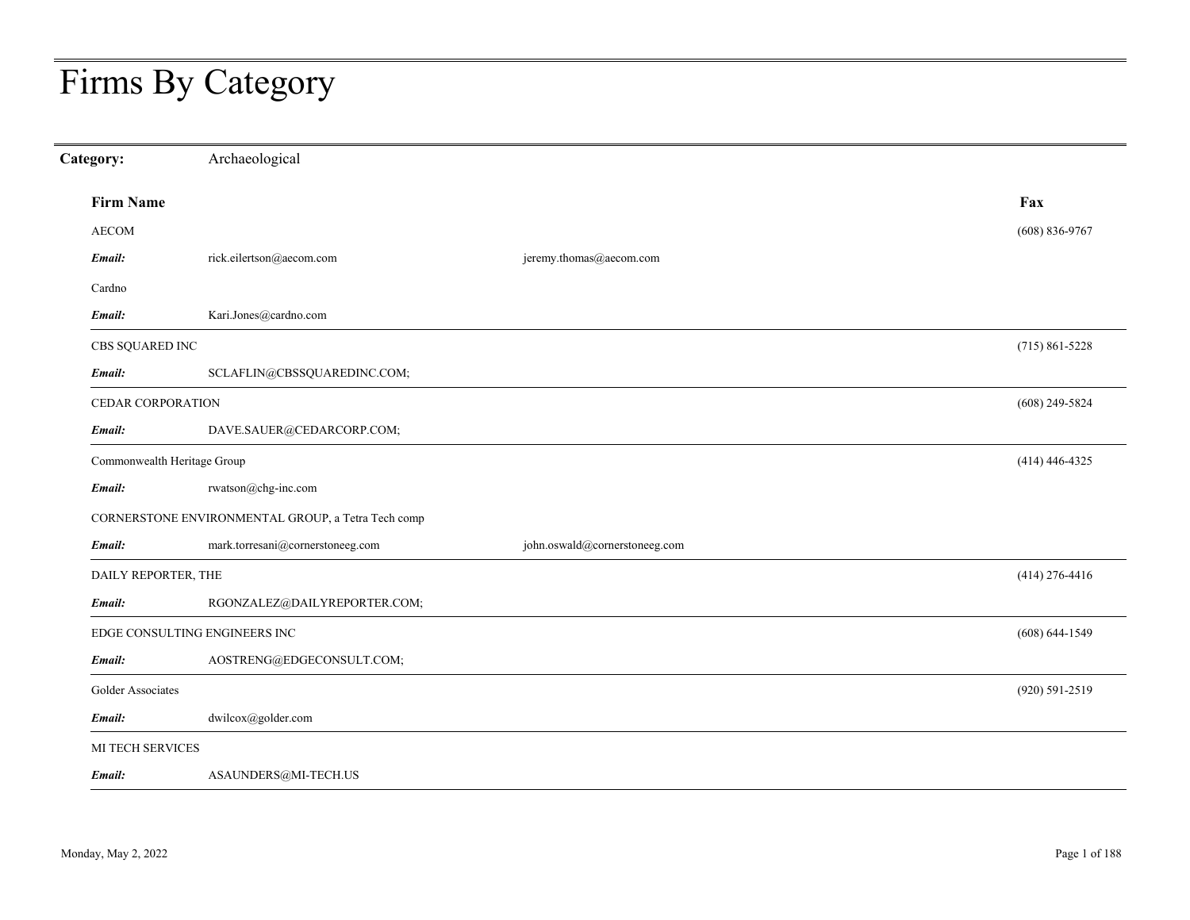# Firms By Category

| Category:                   | Archaeological                                     |                               |                    |
|-----------------------------|----------------------------------------------------|-------------------------------|--------------------|
| <b>Firm Name</b>            |                                                    |                               | Fax                |
| <b>AECOM</b>                |                                                    |                               | $(608) 836-9767$   |
| Email:                      | rick.eilertson@aecom.com                           | jeremy.thomas@aecom.com       |                    |
| Cardno                      |                                                    |                               |                    |
| Email:                      | Kari.Jones@cardno.com                              |                               |                    |
| CBS SQUARED INC             |                                                    |                               | $(715) 861 - 5228$ |
| Email:                      | SCLAFLIN@CBSSQUAREDINC.COM;                        |                               |                    |
| CEDAR CORPORATION           |                                                    |                               | $(608)$ 249-5824   |
| Email:                      | DAVE.SAUER@CEDARCORP.COM;                          |                               |                    |
| Commonwealth Heritage Group |                                                    |                               | $(414)$ 446-4325   |
| Email:                      | rwatson@chg-inc.com                                |                               |                    |
|                             | CORNERSTONE ENVIRONMENTAL GROUP, a Tetra Tech comp |                               |                    |
| Email:                      | mark.torresani@cornerstoneeg.com                   | john.oswald@cornerstoneeg.com |                    |
| DAILY REPORTER, THE         |                                                    |                               | $(414)$ 276-4416   |
| Email:                      | RGONZALEZ@DAILYREPORTER.COM;                       |                               |                    |
|                             | EDGE CONSULTING ENGINEERS INC                      |                               | $(608) 644 - 1549$ |
| Email:                      | AOSTRENG@EDGECONSULT.COM;                          |                               |                    |
| Golder Associates           |                                                    |                               | $(920) 591 - 2519$ |
| Email:                      | dwilcox@golder.com                                 |                               |                    |
| MI TECH SERVICES            |                                                    |                               |                    |
| Email:                      | $\operatorname{ASAUNDERS} @\text{MI-TECH.}$        |                               |                    |
|                             |                                                    |                               |                    |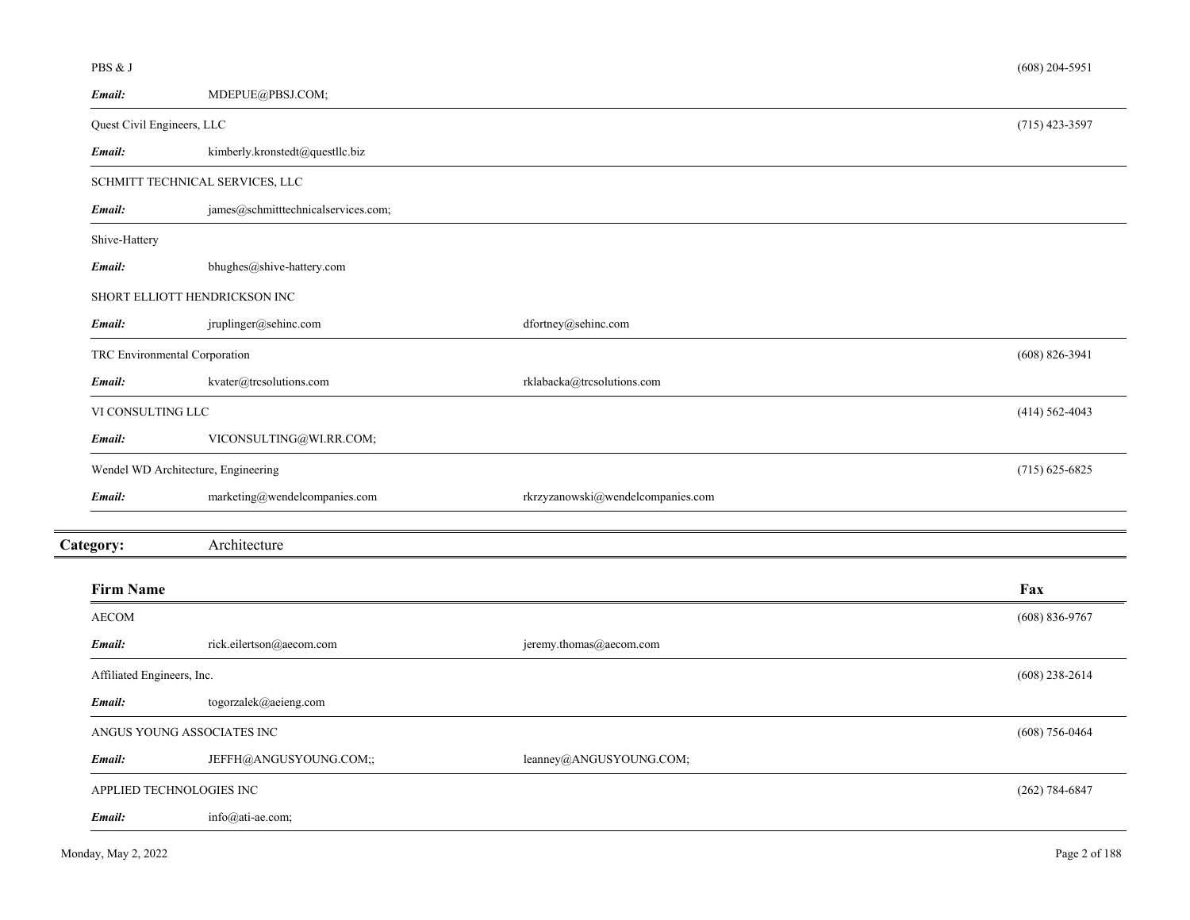| PBS & J                       |                                         |                                   | $(608)$ 204-5951   |
|-------------------------------|-----------------------------------------|-----------------------------------|--------------------|
| Email:                        | MDEPUE@PBSJ.COM;                        |                                   |                    |
| Quest Civil Engineers, LLC    |                                         |                                   | $(715)$ 423-3597   |
| Email:                        | kimberly.kronstedt@questllc.biz         |                                   |                    |
|                               | SCHMITT TECHNICAL SERVICES, LLC         |                                   |                    |
| Email:                        | james@schmitttechnicalservices.com;     |                                   |                    |
| Shive-Hattery                 |                                         |                                   |                    |
| Email:                        | bhughes@shive-hattery.com               |                                   |                    |
|                               | SHORT ELLIOTT HENDRICKSON INC           |                                   |                    |
| Email:                        | jruplinger@sehinc.com                   | dfortney@sehinc.com               |                    |
| TRC Environmental Corporation |                                         |                                   | $(608) 826 - 3941$ |
| Email:                        | kvater@trcsolutions.com                 | rklabacka@trcsolutions.com        |                    |
| VI CONSULTING LLC             |                                         |                                   | $(414) 562 - 4043$ |
| Email:                        | VICONSULTING@WI.RR.COM;                 |                                   |                    |
|                               | Wendel WD Architecture, Engineering     |                                   | $(715)$ 625-6825   |
| Email:                        | $\text{marketing@wendel companies.com}$ | rkrzyzanowski@wendelcompanies.com |                    |
| Category:                     | Architecture                            |                                   |                    |
| <b>Firm Name</b>              |                                         |                                   | Fax                |
| <b>AECOM</b>                  |                                         |                                   | $(608) 836 - 9767$ |
| Email:                        | rick.eilertson@aecom.com                | jeremy.thomas@aecom.com           |                    |
| Affiliated Engineers, Inc.    |                                         |                                   | $(608)$ 238-2614   |
| Email:                        | togorzalek@aeieng.com                   |                                   |                    |
|                               | ANGUS YOUNG ASSOCIATES INC              |                                   | $(608)$ 756-0464   |
| Email:                        | JEFFH@ANGUSYOUNG.COM;;                  | leanney@ANGUSYOUNG.COM;           |                    |
|                               | APPLIED TECHNOLOGIES INC                |                                   | $(262) 784 - 6847$ |
| Email:                        | info@ati-ae.com;                        |                                   |                    |
|                               |                                         |                                   |                    |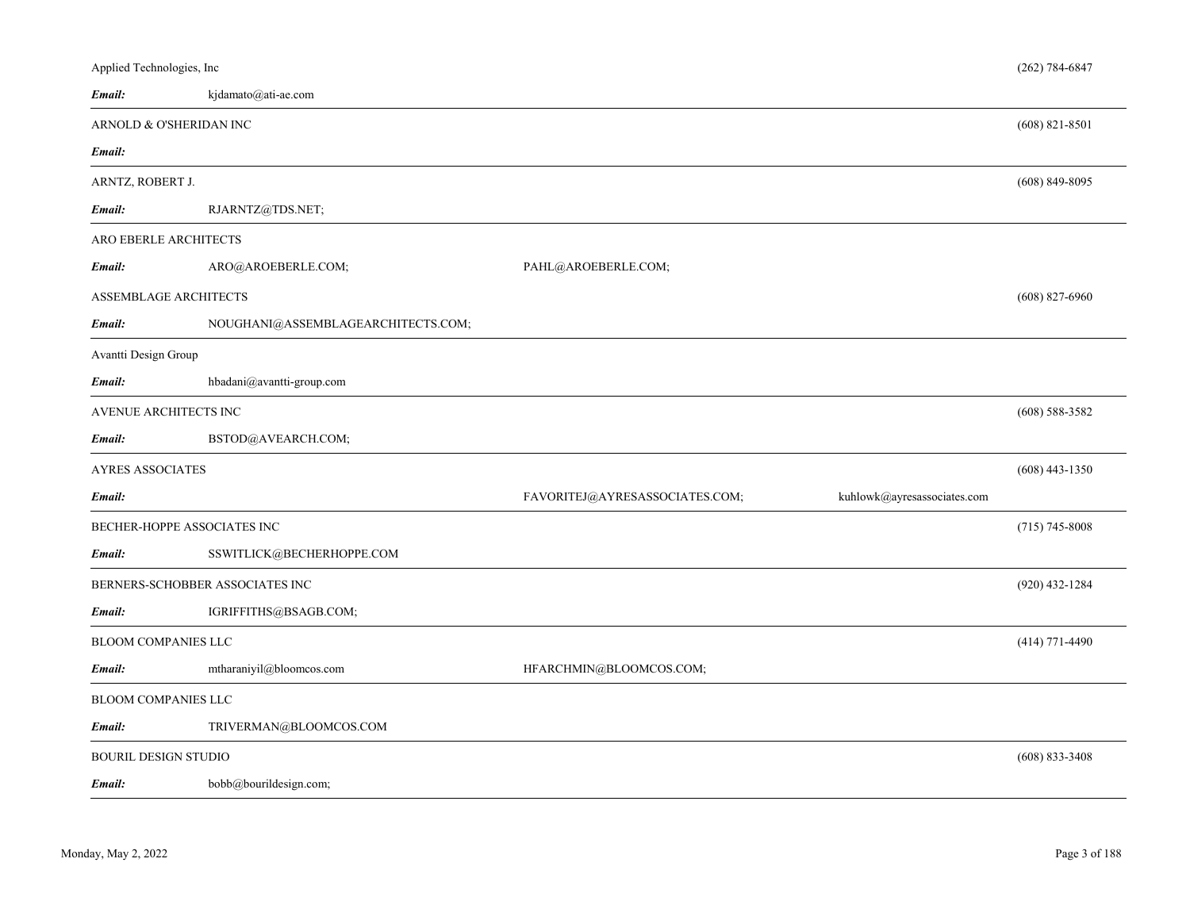| Applied Technologies, Inc   |                                             |                                |                             | $(262) 784 - 6847$ |  |
|-----------------------------|---------------------------------------------|--------------------------------|-----------------------------|--------------------|--|
| Email:                      | kjdamato@ati-ae.com                         |                                |                             |                    |  |
|                             | ARNOLD & O'SHERIDAN INC<br>$(608)$ 821-8501 |                                |                             |                    |  |
| Email:                      |                                             |                                |                             |                    |  |
| ARNTZ, ROBERT J.            |                                             |                                |                             | $(608)$ 849-8095   |  |
| Email:                      | RJARNTZ@TDS.NET;                            |                                |                             |                    |  |
| ARO EBERLE ARCHITECTS       |                                             |                                |                             |                    |  |
| Email:                      | ARO@AROEBERLE.COM;                          | PAHL@AROEBERLE.COM;            |                             |                    |  |
| ASSEMBLAGE ARCHITECTS       |                                             |                                |                             | $(608)$ 827-6960   |  |
| Email:                      | NOUGHANI@ASSEMBLAGEARCHITECTS.COM;          |                                |                             |                    |  |
| Avantti Design Group        |                                             |                                |                             |                    |  |
| Email:                      | hbadani@avantti-group.com                   |                                |                             |                    |  |
| AVENUE ARCHITECTS INC       |                                             |                                |                             | $(608)$ 588-3582   |  |
| Email:                      | BSTOD@AVEARCH.COM;                          |                                |                             |                    |  |
| <b>AYRES ASSOCIATES</b>     |                                             |                                |                             | $(608)$ 443-1350   |  |
| Email:                      |                                             | FAVORITEJ@AYRESASSOCIATES.COM; | kuhlowk@ayresassociates.com |                    |  |
| BECHER-HOPPE ASSOCIATES INC |                                             |                                |                             | $(715) 745 - 8008$ |  |
| Email:                      | SSWITLICK@BECHERHOPPE.COM                   |                                |                             |                    |  |
|                             | BERNERS-SCHOBBER ASSOCIATES INC             |                                |                             | $(920)$ 432-1284   |  |
| Email:                      | IGRIFFITHS@BSAGB.COM;                       |                                |                             |                    |  |
| <b>BLOOM COMPANIES LLC</b>  |                                             |                                |                             | $(414)$ 771-4490   |  |
| Email:                      | mtharaniyil@bloomcos.com                    | HFARCHMIN@BLOOMCOS.COM;        |                             |                    |  |
| BLOOM COMPANIES LLC         |                                             |                                |                             |                    |  |
| Email:                      | TRIVERMAN@BLOOMCOS.COM                      |                                |                             |                    |  |
| <b>BOURIL DESIGN STUDIO</b> |                                             |                                |                             | $(608) 833 - 3408$ |  |
| Email:                      | bobb@bourildesign.com;                      |                                |                             |                    |  |
|                             |                                             |                                |                             |                    |  |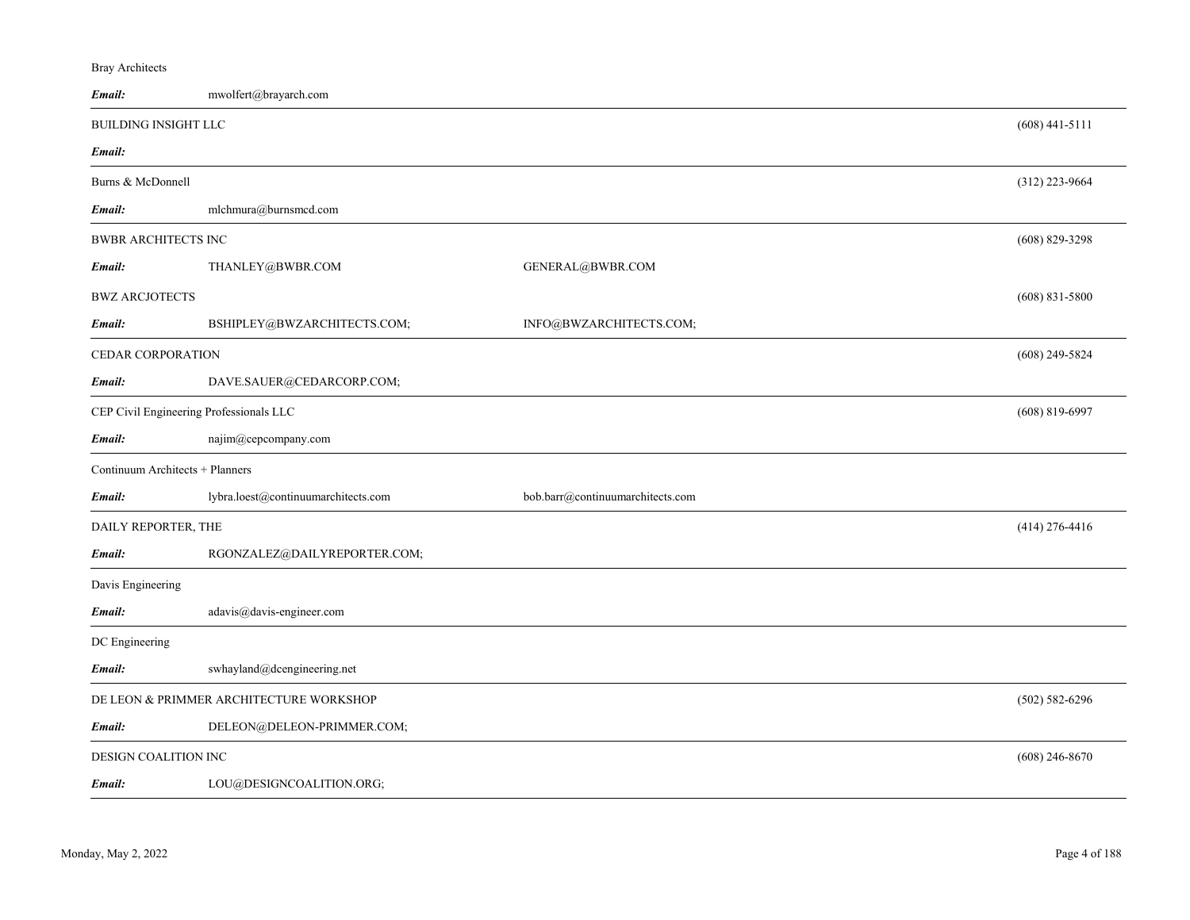# Bray Architects

| Email:                                  | mwolfert@brayarch.com                   |                                  |                    |
|-----------------------------------------|-----------------------------------------|----------------------------------|--------------------|
| <b>BUILDING INSIGHT LLC</b>             |                                         |                                  | $(608)$ 441-5111   |
| Email:                                  |                                         |                                  |                    |
| Burns & McDonnell                       |                                         |                                  | $(312)$ 223-9664   |
| Email:                                  | mlchmura@burnsmcd.com                   |                                  |                    |
| <b>BWBR ARCHITECTS INC</b>              |                                         |                                  | $(608)$ 829-3298   |
| Email:                                  | THANLEY@BWBR.COM                        | GENERAL@BWBR.COM                 |                    |
| <b>BWZ ARCJOTECTS</b>                   |                                         |                                  | $(608)$ 831-5800   |
| Email:                                  | BSHIPLEY@BWZARCHITECTS.COM;             | INFO@BWZARCHITECTS.COM;          |                    |
| CEDAR CORPORATION                       |                                         |                                  | $(608)$ 249-5824   |
| Email:                                  | DAVE.SAUER@CEDARCORP.COM;               |                                  |                    |
| CEP Civil Engineering Professionals LLC |                                         |                                  | $(608)$ 819-6997   |
| Email:                                  | najim@cepcompany.com                    |                                  |                    |
| Continuum Architects + Planners         |                                         |                                  |                    |
| Email:                                  | lybra.loest@continuumarchitects.com     | bob.barr@continuumarchitects.com |                    |
| DAILY REPORTER, THE                     |                                         |                                  | $(414)$ 276-4416   |
| Email:                                  | RGONZALEZ@DAILYREPORTER.COM;            |                                  |                    |
| Davis Engineering                       |                                         |                                  |                    |
| Email:                                  | adavis@davis-engineer.com               |                                  |                    |
| DC Engineering                          |                                         |                                  |                    |
| Email:                                  | swhayland@dcengineering.net             |                                  |                    |
|                                         | DE LEON & PRIMMER ARCHITECTURE WORKSHOP |                                  | $(502) 582 - 6296$ |
| Email:                                  | DELEON@DELEON-PRIMMER.COM;              |                                  |                    |
| DESIGN COALITION INC                    |                                         |                                  | $(608)$ 246-8670   |
| Email:                                  | LOU@DESIGNCOALITION.ORG;                |                                  |                    |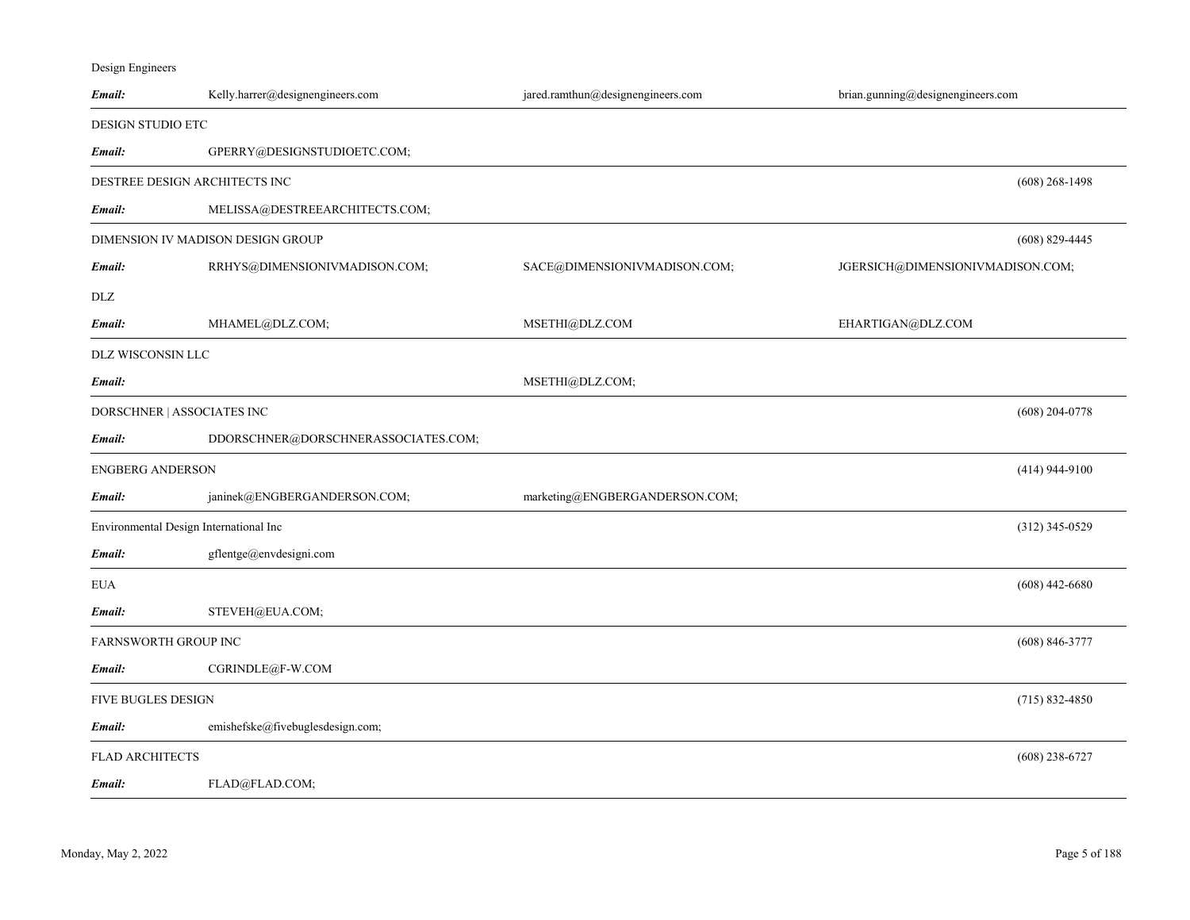| Design Engineers |
|------------------|
|                  |

| Email:                                 | Kelly.harrer@designengineers.com    | jared.ramthun@designengineers.com | brian.gunning@designengineers.com |                    |
|----------------------------------------|-------------------------------------|-----------------------------------|-----------------------------------|--------------------|
| <b>DESIGN STUDIO ETC</b>               |                                     |                                   |                                   |                    |
| Email:                                 | GPERRY@DESIGNSTUDIOETC.COM;         |                                   |                                   |                    |
| DESTREE DESIGN ARCHITECTS INC          |                                     |                                   |                                   | $(608)$ 268-1498   |
| Email:                                 | MELISSA@DESTREEARCHITECTS.COM;      |                                   |                                   |                    |
|                                        | DIMENSION IV MADISON DESIGN GROUP   |                                   |                                   | $(608)$ 829-4445   |
| Email:                                 | RRHYS@DIMENSIONIVMADISON.COM;       | SACE@DIMENSIONIVMADISON.COM;      | JGERSICH@DIMENSIONIVMADISON.COM;  |                    |
| DLZ                                    |                                     |                                   |                                   |                    |
| Email:                                 | MHAMEL@DLZ.COM;                     | MSETHI@DLZ.COM                    | EHARTIGAN@DLZ.COM                 |                    |
| DLZ WISCONSIN LLC                      |                                     |                                   |                                   |                    |
| Email:                                 |                                     | MSETHI@DLZ.COM;                   |                                   |                    |
| DORSCHNER   ASSOCIATES INC             |                                     |                                   |                                   | $(608)$ 204-0778   |
| Email:                                 | DDORSCHNER@DORSCHNERASSOCIATES.COM; |                                   |                                   |                    |
| <b>ENGBERG ANDERSON</b>                |                                     |                                   |                                   | $(414)$ 944-9100   |
| Email:                                 | janinek@ENGBERGANDERSON.COM;        | marketing@ENGBERGANDERSON.COM;    |                                   |                    |
| Environmental Design International Inc |                                     |                                   |                                   | $(312)$ 345-0529   |
| Email:                                 | gflentge@envdesigni.com             |                                   |                                   |                    |
| <b>EUA</b>                             |                                     |                                   |                                   | $(608)$ 442-6680   |
| Email:                                 | STEVEH@EUA.COM;                     |                                   |                                   |                    |
| FARNSWORTH GROUP INC                   |                                     |                                   |                                   | $(608) 846 - 3777$ |
| Email:                                 | CGRINDLE@F-W.COM                    |                                   |                                   |                    |
| FIVE BUGLES DESIGN                     |                                     |                                   |                                   | $(715) 832 - 4850$ |
| Email:                                 | emishefske@fivebuglesdesign.com;    |                                   |                                   |                    |
| <b>FLAD ARCHITECTS</b>                 |                                     |                                   |                                   | $(608)$ 238-6727   |
| Email:                                 | FLAD@FLAD.COM;                      |                                   |                                   |                    |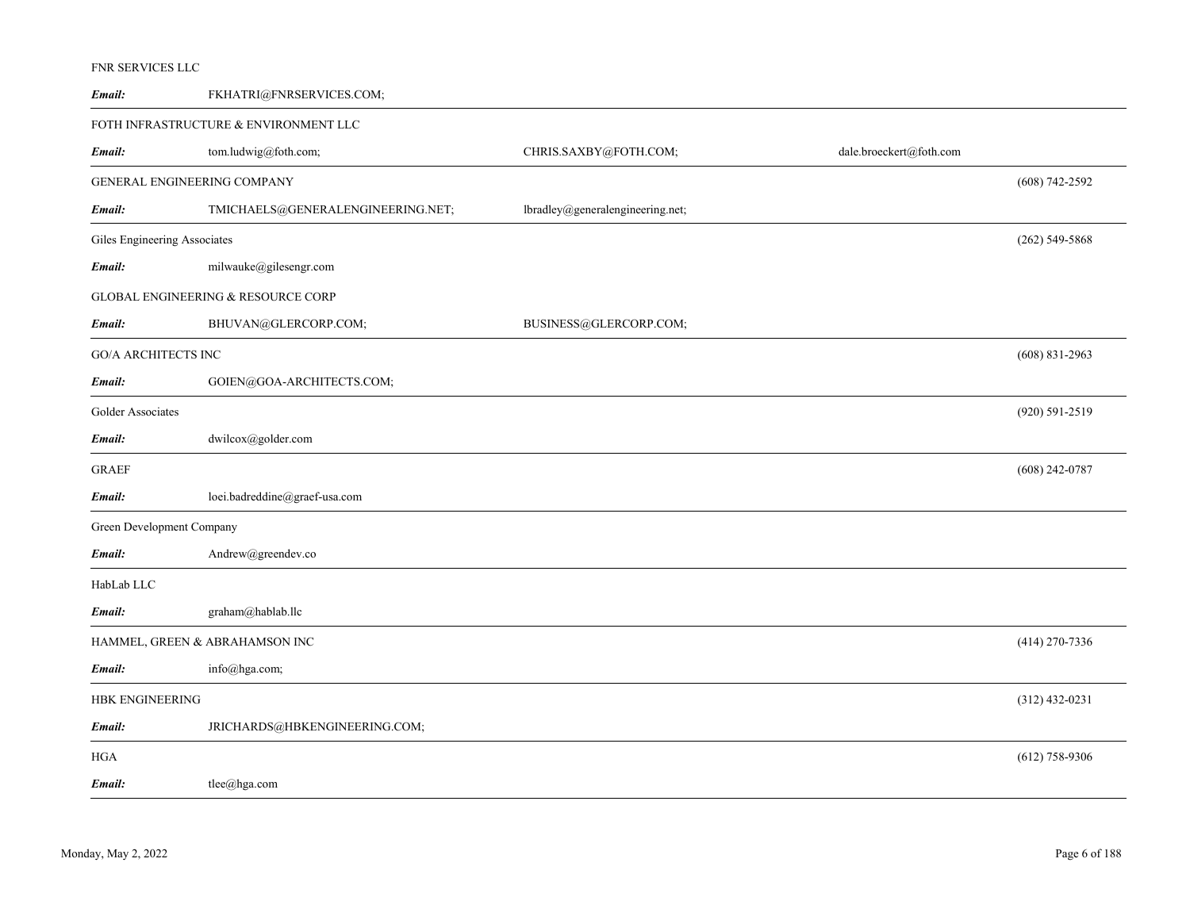| Email:                       | FKHATRI@FNRSERVICES.COM;                      |                                  |                         |                    |  |
|------------------------------|-----------------------------------------------|----------------------------------|-------------------------|--------------------|--|
|                              | FOTH INFRASTRUCTURE & ENVIRONMENT LLC         |                                  |                         |                    |  |
| Email:                       | tom.ludwig@foth.com;                          | CHRIS.SAXBY@FOTH.COM;            | dale.broeckert@foth.com |                    |  |
| GENERAL ENGINEERING COMPANY  |                                               |                                  |                         | $(608)$ 742-2592   |  |
| Email:                       | TMICHAELS@GENERALENGINEERING.NET;             | lbradley@generalengineering.net; |                         |                    |  |
| Giles Engineering Associates |                                               |                                  |                         | $(262)$ 549-5868   |  |
| Email:                       | milwauke@gilesengr.com                        |                                  |                         |                    |  |
|                              | <b>GLOBAL ENGINEERING &amp; RESOURCE CORP</b> |                                  |                         |                    |  |
| Email:                       | BHUVAN@GLERCORP.COM;                          | BUSINESS@GLERCORP.COM;           |                         |                    |  |
| <b>GO/A ARCHITECTS INC</b>   |                                               |                                  |                         | $(608)$ 831-2963   |  |
| Email:                       | GOIEN@GOA-ARCHITECTS.COM;                     |                                  |                         |                    |  |
| Golder Associates            |                                               |                                  |                         | $(920) 591 - 2519$ |  |
| Email:                       | dwilcox@golder.com                            |                                  |                         |                    |  |
| <b>GRAEF</b>                 |                                               |                                  |                         | $(608)$ 242-0787   |  |
| Email:                       | loei.badreddine@graef-usa.com                 |                                  |                         |                    |  |
| Green Development Company    |                                               |                                  |                         |                    |  |
| Email:                       | Andrew@greendev.co                            |                                  |                         |                    |  |
| HabLab LLC                   |                                               |                                  |                         |                    |  |
| Email:                       | graham@hablab.llc                             |                                  |                         |                    |  |
|                              | HAMMEL, GREEN & ABRAHAMSON INC                |                                  |                         | $(414)$ 270-7336   |  |
| Email:                       | $info(\omega)$ hga.com;                       |                                  |                         |                    |  |
| HBK ENGINEERING              |                                               |                                  |                         |                    |  |
| Email:                       | JRICHARDS@HBKENGINEERING.COM;                 |                                  |                         |                    |  |
| HGA                          |                                               |                                  |                         | $(612)$ 758-9306   |  |
| Email:                       | $\text{tlee}(a)$ hga.com                      |                                  |                         |                    |  |

# FNR SERVICES LLC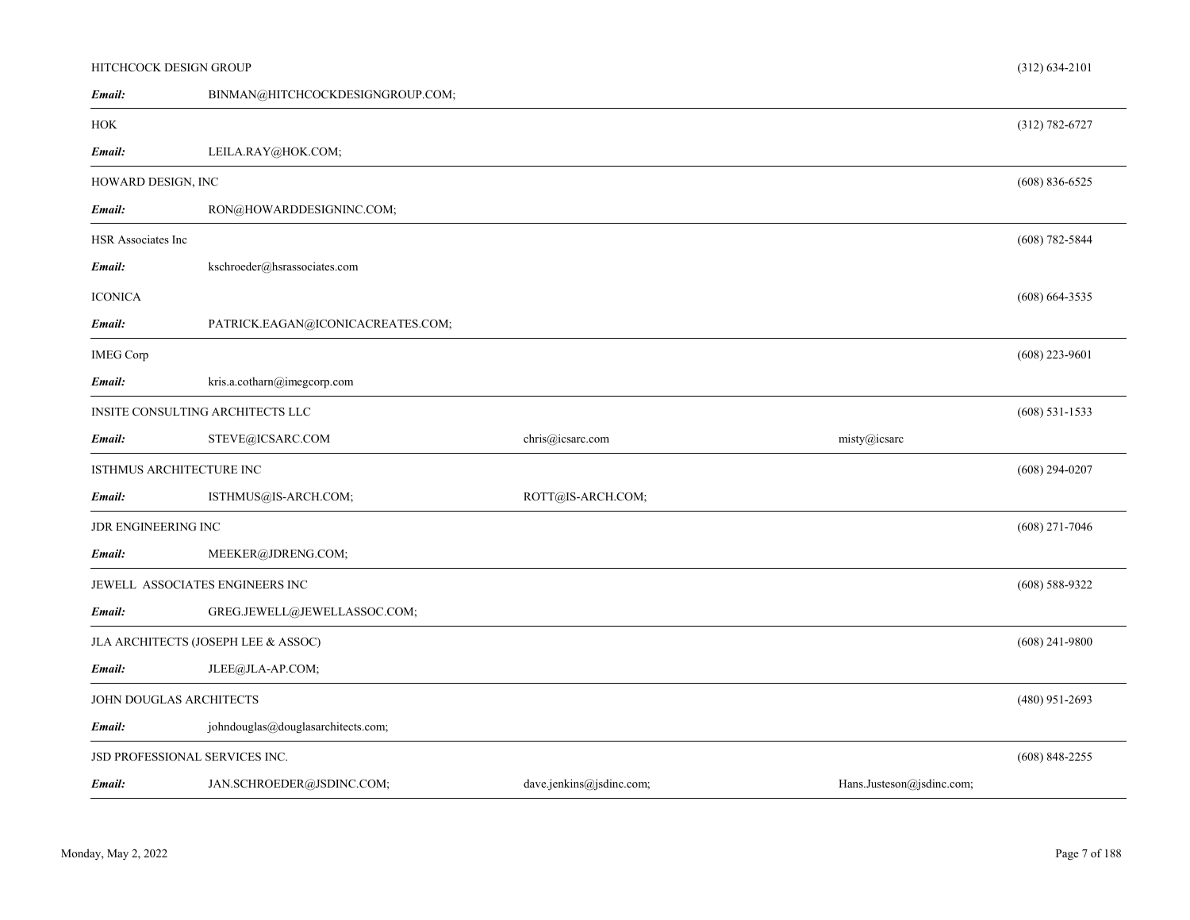| Email:                          | BINMAN@HITCHCOCKDESIGNGROUP.COM;    |                          |                           |                    |
|---------------------------------|-------------------------------------|--------------------------|---------------------------|--------------------|
| HOK                             |                                     |                          |                           | $(312) 782 - 6727$ |
| Email:                          | LEILA.RAY@HOK.COM;                  |                          |                           |                    |
| HOWARD DESIGN, INC              |                                     |                          |                           | $(608) 836 - 6525$ |
| Email:                          | RON@HOWARDDESIGNINC.COM;            |                          |                           |                    |
| <b>HSR Associates Inc</b>       |                                     |                          |                           | $(608)$ 782-5844   |
| Email:                          | kschroeder@hsrassociates.com        |                          |                           |                    |
| <b>ICONICA</b>                  |                                     |                          |                           | $(608) 664 - 3535$ |
| Email:                          | PATRICK.EAGAN@ICONICACREATES.COM;   |                          |                           |                    |
| <b>IMEG Corp</b>                |                                     |                          |                           | $(608)$ 223-9601   |
| Email:                          | kris.a.cotharn@imegcorp.com         |                          |                           |                    |
|                                 | INSITE CONSULTING ARCHITECTS LLC    |                          |                           | $(608)$ 531-1533   |
| Email:                          | STEVE@ICSARC.COM                    | chris@icsarc.com         | misty@icsarc              |                    |
| ISTHMUS ARCHITECTURE INC        |                                     |                          |                           | $(608)$ 294-0207   |
| Email:                          | ISTHMUS@IS-ARCH.COM;                | ROTT@IS-ARCH.COM;        |                           |                    |
| JDR ENGINEERING INC             |                                     |                          |                           | $(608)$ 271-7046   |
| Email:                          | MEEKER@JDRENG.COM;                  |                          |                           |                    |
| JEWELL ASSOCIATES ENGINEERS INC |                                     |                          |                           | $(608)$ 588-9322   |
| Email:                          | GREG.JEWELL@JEWELLASSOC.COM;        |                          |                           |                    |
|                                 | JLA ARCHITECTS (JOSEPH LEE & ASSOC) |                          |                           | $(608)$ 241-9800   |
| Email:                          | JLEE@JLA-AP.COM;                    |                          |                           |                    |
| JOHN DOUGLAS ARCHITECTS         |                                     |                          |                           | $(480)$ 951-2693   |
| Email:                          | johndouglas@douglasarchitects.com;  |                          |                           |                    |
| JSD PROFESSIONAL SERVICES INC.  |                                     |                          |                           | $(608)$ 848-2255   |
| Email:                          | JAN.SCHROEDER@JSDINC.COM;           | dave.jenkins@jsdinc.com; | Hans.Justeson@jsdinc.com; |                    |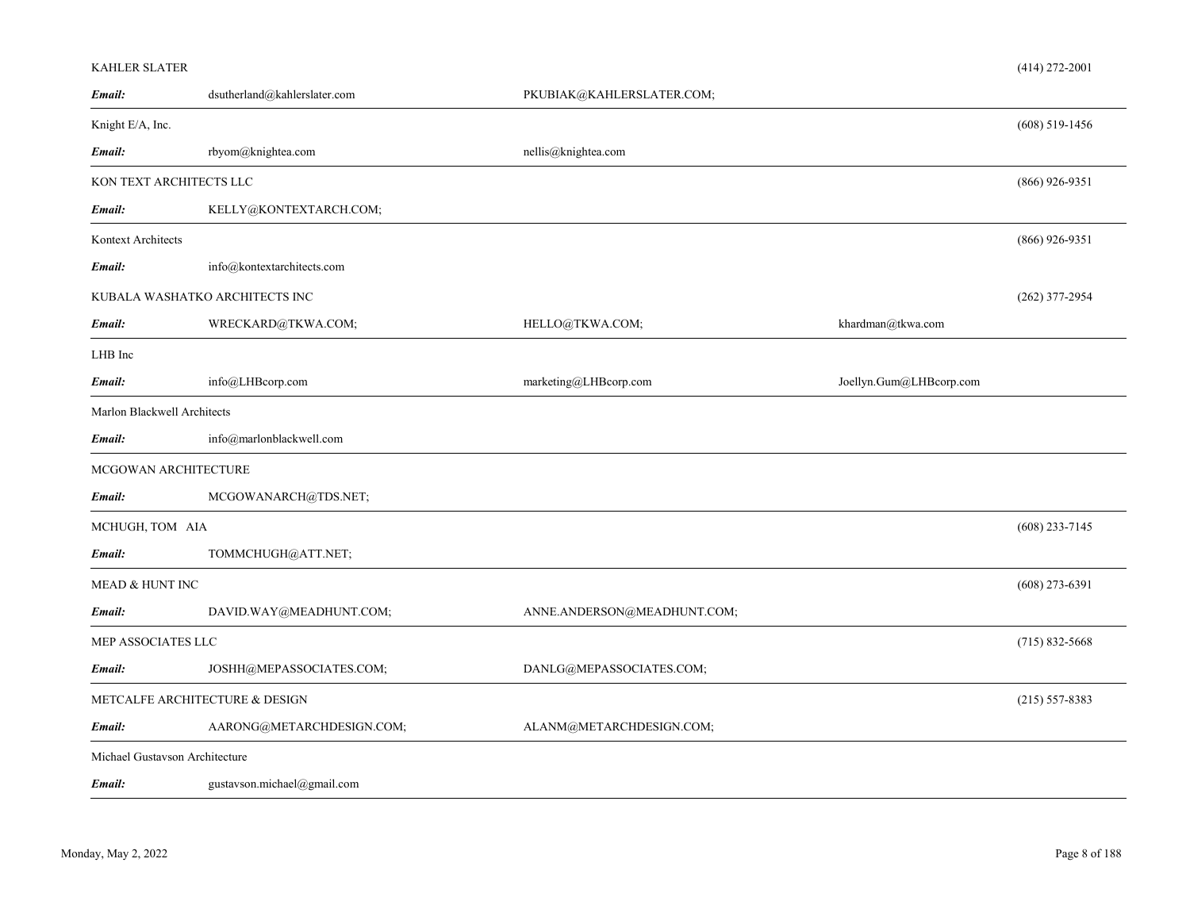| <b>KAHLER SLATER</b>        |                                |                             |                         | $(414)$ 272-2001   |
|-----------------------------|--------------------------------|-----------------------------|-------------------------|--------------------|
| Email:                      | dsutherland@kahlerslater.com   | PKUBIAK@KAHLERSLATER.COM;   |                         |                    |
| Knight E/A, Inc.            |                                |                             |                         | $(608)$ 519-1456   |
| Email:                      | rbyom@knightea.com             | nellis@knightea.com         |                         |                    |
|                             | KON TEXT ARCHITECTS LLC        |                             |                         | $(866)$ 926-9351   |
| Email:                      | KELLY@KONTEXTARCH.COM;         |                             |                         |                    |
| Kontext Architects          |                                |                             |                         | $(866)$ 926-9351   |
| Email:                      | info@kontextarchitects.com     |                             |                         |                    |
|                             | KUBALA WASHATKO ARCHITECTS INC |                             |                         | $(262)$ 377-2954   |
| Email:                      | WRECKARD@TKWA.COM;             | HELLO@TKWA.COM;             | khardman@tkwa.com       |                    |
| LHB Inc                     |                                |                             |                         |                    |
| Email:                      | info@LHBcorp.com               | marketing@LHBcorp.com       | Joellyn.Gum@LHBcorp.com |                    |
| Marlon Blackwell Architects |                                |                             |                         |                    |
| Email:                      | info@marlonblackwell.com       |                             |                         |                    |
|                             | MCGOWAN ARCHITECTURE           |                             |                         |                    |
| Email:                      | MCGOWANARCH@TDS.NET;           |                             |                         |                    |
| MCHUGH, TOM AIA             |                                |                             |                         | $(608)$ 233-7145   |
| Email:                      | TOMMCHUGH@ATT.NET;             |                             |                         |                    |
| <b>MEAD &amp; HUNT INC</b>  |                                |                             |                         | $(608)$ 273-6391   |
| Email:                      | DAVID.WAY@MEADHUNT.COM;        | ANNE.ANDERSON@MEADHUNT.COM; |                         |                    |
| MEP ASSOCIATES LLC          |                                |                             |                         | $(715) 832 - 5668$ |
| Email:                      | JOSHH@MEPASSOCIATES.COM;       | DANLG@MEPASSOCIATES.COM;    |                         |                    |
|                             | METCALFE ARCHITECTURE & DESIGN |                             |                         | $(215) 557 - 8383$ |
| Email:                      | AARONG@METARCHDESIGN.COM;      | ALANM@METARCHDESIGN.COM;    |                         |                    |
|                             | Michael Gustavson Architecture |                             |                         |                    |
| Email:                      | gustavson.michael@gmail.com    |                             |                         |                    |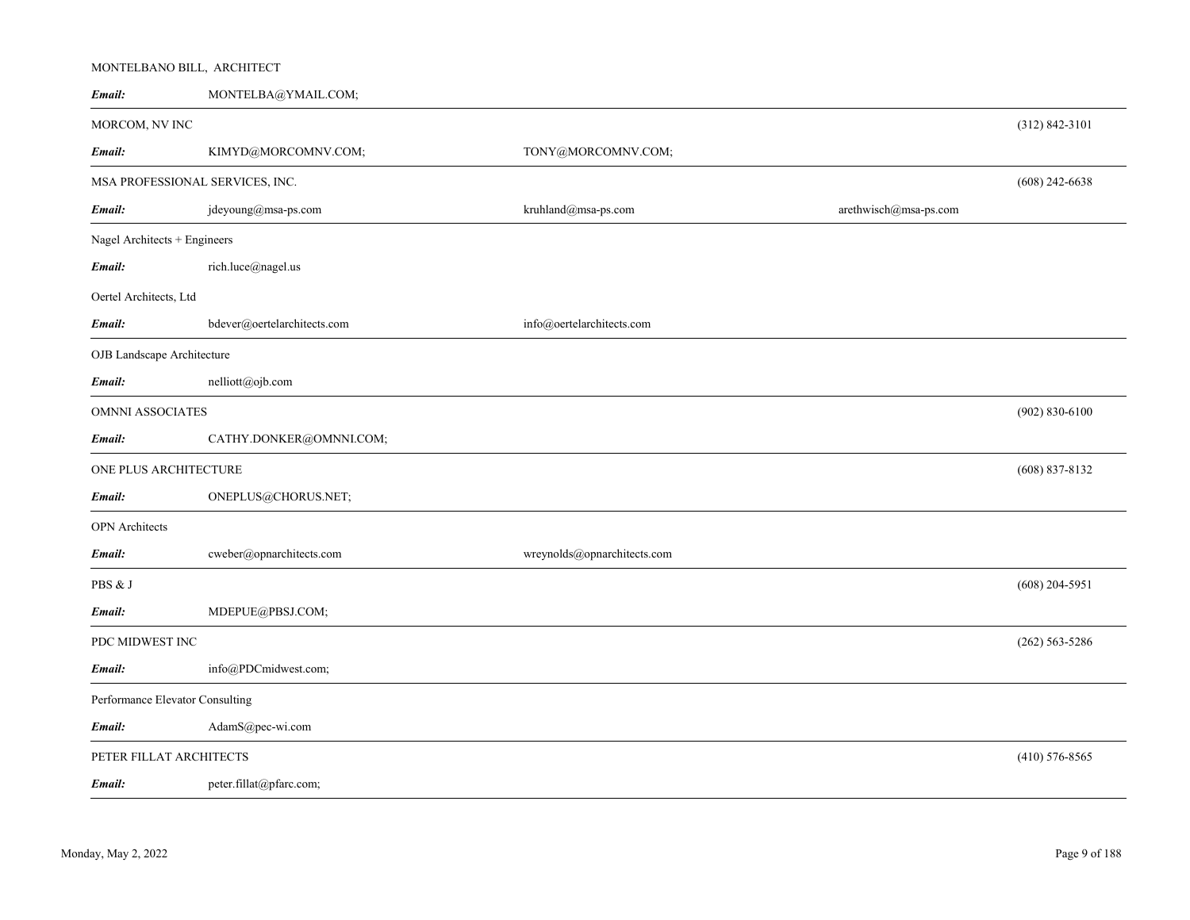| Email:                          | MONTELBA@YMAIL.COM;             |                             |                       |                    |
|---------------------------------|---------------------------------|-----------------------------|-----------------------|--------------------|
| MORCOM, NV INC                  |                                 |                             |                       | $(312) 842 - 3101$ |
| Email:                          | KIMYD@MORCOMNV.COM;             | TONY@MORCOMNV.COM;          |                       |                    |
|                                 | MSA PROFESSIONAL SERVICES, INC. |                             |                       | $(608)$ 242-6638   |
| Email:                          | jdeyoung@msa-ps.com             | kruhland@msa-ps.com         | arethwisch@msa-ps.com |                    |
| Nagel Architects + Engineers    |                                 |                             |                       |                    |
| Email:                          | rich.luce@nagel.us              |                             |                       |                    |
| Oertel Architects, Ltd          |                                 |                             |                       |                    |
| Email:                          | bdever@oertelarchitects.com     | info@oertelarchitects.com   |                       |                    |
| OJB Landscape Architecture      |                                 |                             |                       |                    |
| Email:                          | nelliott@ojb.com                |                             |                       |                    |
| <b>OMNNI ASSOCIATES</b>         |                                 |                             |                       | $(902) 830 - 6100$ |
| Email:                          | CATHY.DONKER@OMNNI.COM;         |                             |                       |                    |
| ONE PLUS ARCHITECTURE           |                                 |                             |                       | $(608)$ 837-8132   |
| Email:                          | ONEPLUS@CHORUS.NET;             |                             |                       |                    |
| <b>OPN</b> Architects           |                                 |                             |                       |                    |
| Email:                          | cweber@opnarchitects.com        | wreynolds@opnarchitects.com |                       |                    |
| PBS & J                         |                                 |                             |                       | $(608)$ 204-5951   |
| Email:                          | MDEPUE@PBSJ.COM;                |                             |                       |                    |
| PDC MIDWEST INC                 |                                 |                             |                       | $(262) 563 - 5286$ |
| Email:                          | info@PDCmidwest.com;            |                             |                       |                    |
| Performance Elevator Consulting |                                 |                             |                       |                    |
| Email:                          | AdamS@pec-wi.com                |                             |                       |                    |
| PETER FILLAT ARCHITECTS         |                                 |                             |                       | $(410) 576 - 8565$ |
| Email:                          | peter.fillat@pfarc.com;         |                             |                       |                    |

MONTELBANO BILL, ARCHITECT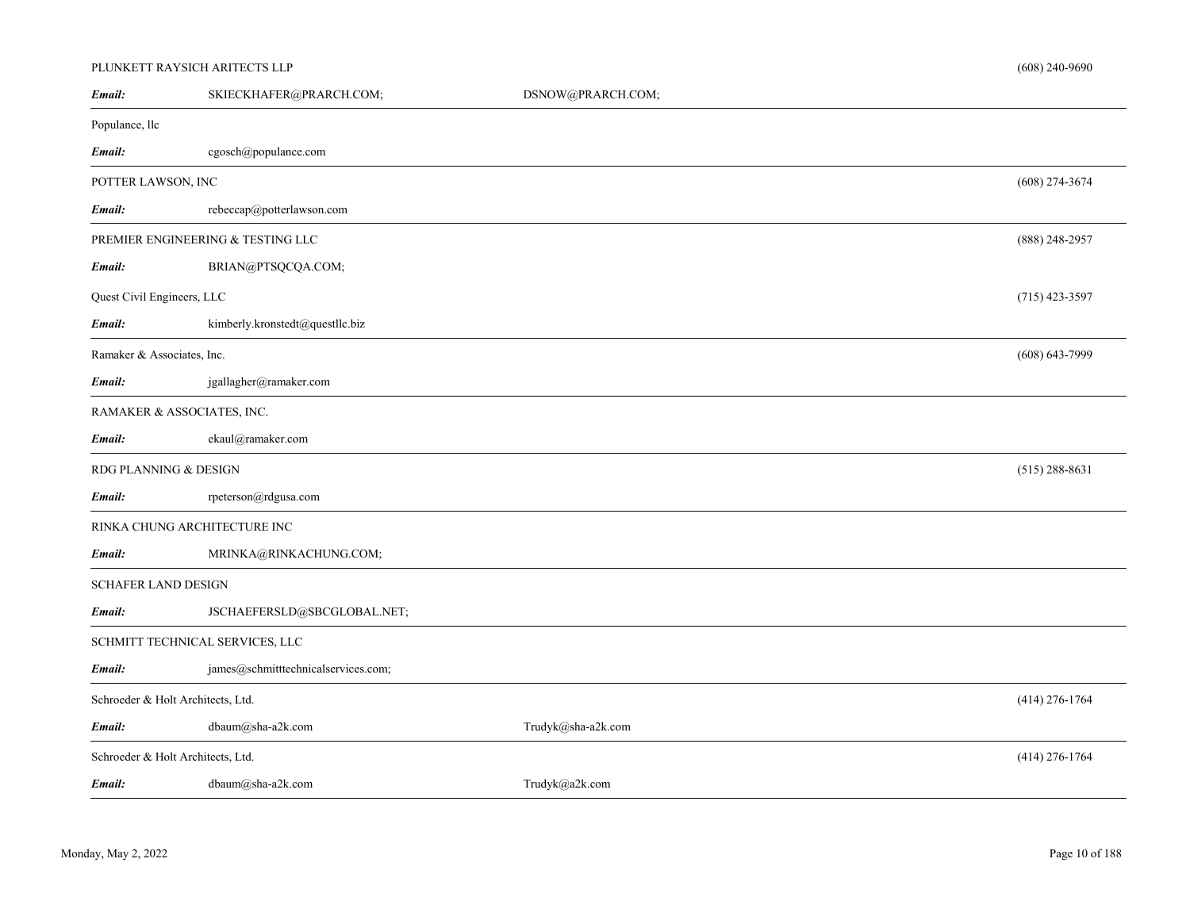# PLUNKETT RAYSICH ARITECTS LLP

| Email:                     | SKIECKHAFER@PRARCH.COM;             | DSNOW@PRARCH.COM;  |                    |
|----------------------------|-------------------------------------|--------------------|--------------------|
| Populance, llc             |                                     |                    |                    |
| Email:                     | cgosch@populance.com                |                    |                    |
| POTTER LAWSON, INC         |                                     |                    | $(608)$ 274-3674   |
| Email:                     | rebeccap@potterlawson.com           |                    |                    |
|                            | PREMIER ENGINEERING & TESTING LLC   |                    | $(888)$ 248-2957   |
| Email:                     | BRIAN@PTSQCQA.COM;                  |                    |                    |
| Quest Civil Engineers, LLC |                                     |                    | $(715)$ 423-3597   |
| Email:                     | kimberly.kronstedt@questllc.biz     |                    |                    |
| Ramaker & Associates, Inc. |                                     |                    | $(608) 643 - 7999$ |
| Email:                     | jgallagher@ramaker.com              |                    |                    |
|                            | RAMAKER & ASSOCIATES, INC.          |                    |                    |
| Email:                     | ekaul@ramaker.com                   |                    |                    |
| RDG PLANNING & DESIGN      |                                     |                    | $(515)$ 288-8631   |
| Email:                     | rpeterson@rdgusa.com                |                    |                    |
|                            | RINKA CHUNG ARCHITECTURE INC        |                    |                    |
| Email:                     | MRINKA@RINKACHUNG.COM;              |                    |                    |
| <b>SCHAFER LAND DESIGN</b> |                                     |                    |                    |
| Email:                     | JSCHAEFERSLD@SBCGLOBAL.NET;         |                    |                    |
|                            | SCHMITT TECHNICAL SERVICES, LLC     |                    |                    |
| Email:                     | james@schmitttechnicalservices.com; |                    |                    |
|                            | Schroeder & Holt Architects, Ltd.   |                    | $(414)$ 276-1764   |
| Email:                     | dbaum@sha-a2k.com                   | Trudyk@sha-a2k.com |                    |
|                            | Schroeder & Holt Architects, Ltd.   |                    | $(414)$ 276-1764   |
| Email:                     | dbaum@sha-a2k.com                   | Trudyk@a2k.com     |                    |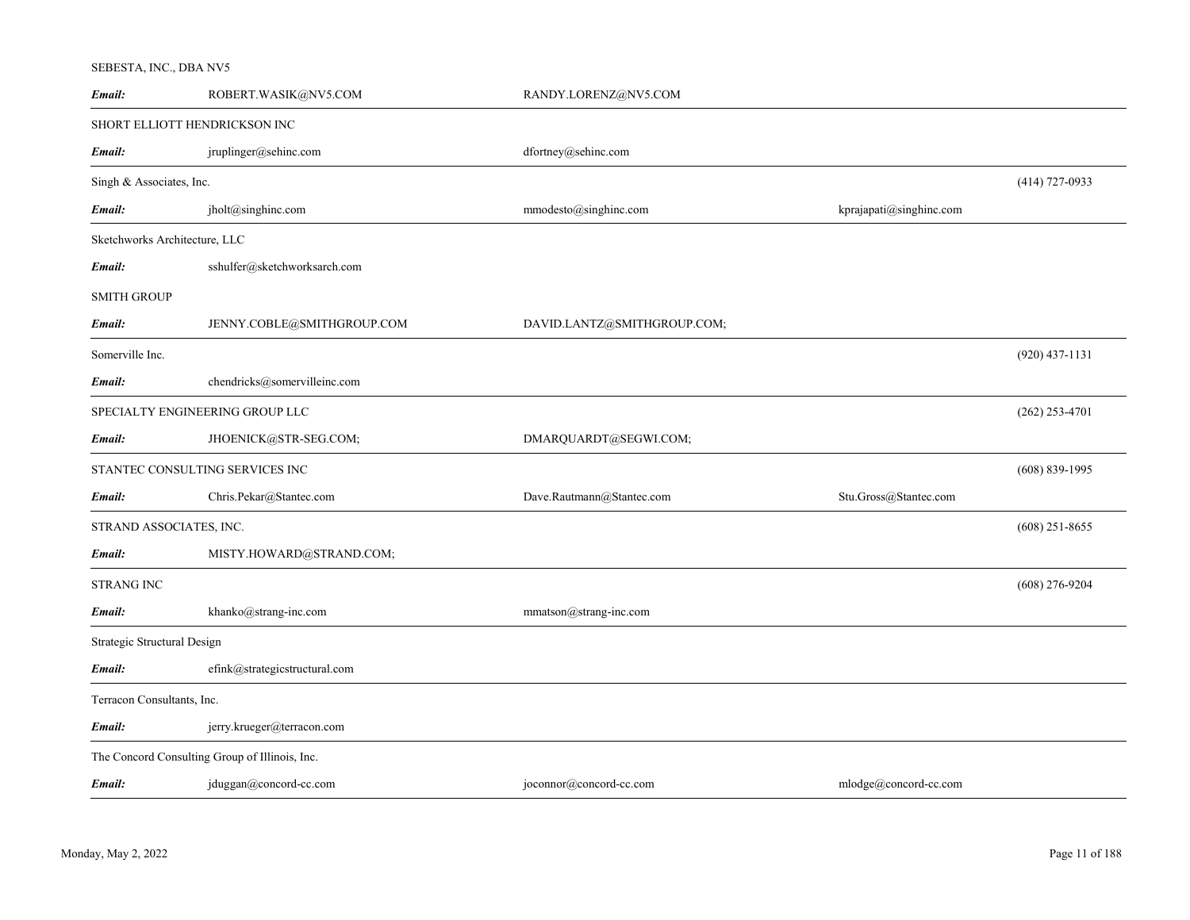# SEBESTA, INC., DBA NV5

| Email:                        | ROBERT.WASIK@NV5.COM                           | RANDY.LORENZ@NV5.COM        |                         |                  |
|-------------------------------|------------------------------------------------|-----------------------------|-------------------------|------------------|
|                               | SHORT ELLIOTT HENDRICKSON INC                  |                             |                         |                  |
| Email:                        | jruplinger@sehinc.com                          | dfortney@sehinc.com         |                         |                  |
| Singh & Associates, Inc.      |                                                |                             |                         | $(414)$ 727-0933 |
| Email:                        | jholt@singhinc.com                             | mmodesto@singhinc.com       | kprajapati@singhinc.com |                  |
| Sketchworks Architecture, LLC |                                                |                             |                         |                  |
| Email:                        | sshulfer@sketchworksarch.com                   |                             |                         |                  |
| SMITH GROUP                   |                                                |                             |                         |                  |
| Email:                        | JENNY.COBLE@SMITHGROUP.COM                     | DAVID.LANTZ@SMITHGROUP.COM; |                         |                  |
| Somerville Inc.               |                                                |                             |                         | $(920)$ 437-1131 |
| Email:                        | chendricks@somervilleinc.com                   |                             |                         |                  |
|                               | SPECIALTY ENGINEERING GROUP LLC                |                             |                         | $(262)$ 253-4701 |
| Email:                        | JHOENICK@STR-SEG.COM;                          | DMARQUARDT@SEGWI.COM;       |                         |                  |
|                               | STANTEC CONSULTING SERVICES INC                |                             |                         | $(608)$ 839-1995 |
| Email:                        | Chris.Pekar@Stantec.com                        | Dave.Rautmann@Stantec.com   | Stu.Gross@Stantec.com   |                  |
| STRAND ASSOCIATES, INC.       |                                                |                             |                         | $(608)$ 251-8655 |
| Email:                        | MISTY.HOWARD@STRAND.COM;                       |                             |                         |                  |
| STRANG INC                    |                                                |                             |                         | $(608)$ 276-9204 |
| Email:                        | khanko@strang-inc.com                          | mmatson@strang-inc.com      |                         |                  |
| Strategic Structural Design   |                                                |                             |                         |                  |
| Email:                        | efink@strategicstructural.com                  |                             |                         |                  |
| Terracon Consultants, Inc.    |                                                |                             |                         |                  |
| Email:                        | jerry.krueger@terracon.com                     |                             |                         |                  |
|                               | The Concord Consulting Group of Illinois, Inc. |                             |                         |                  |
| Email:                        | jduggan@concord-cc.com                         | joconnor@concord-cc.com     | mlodge@concord-cc.com   |                  |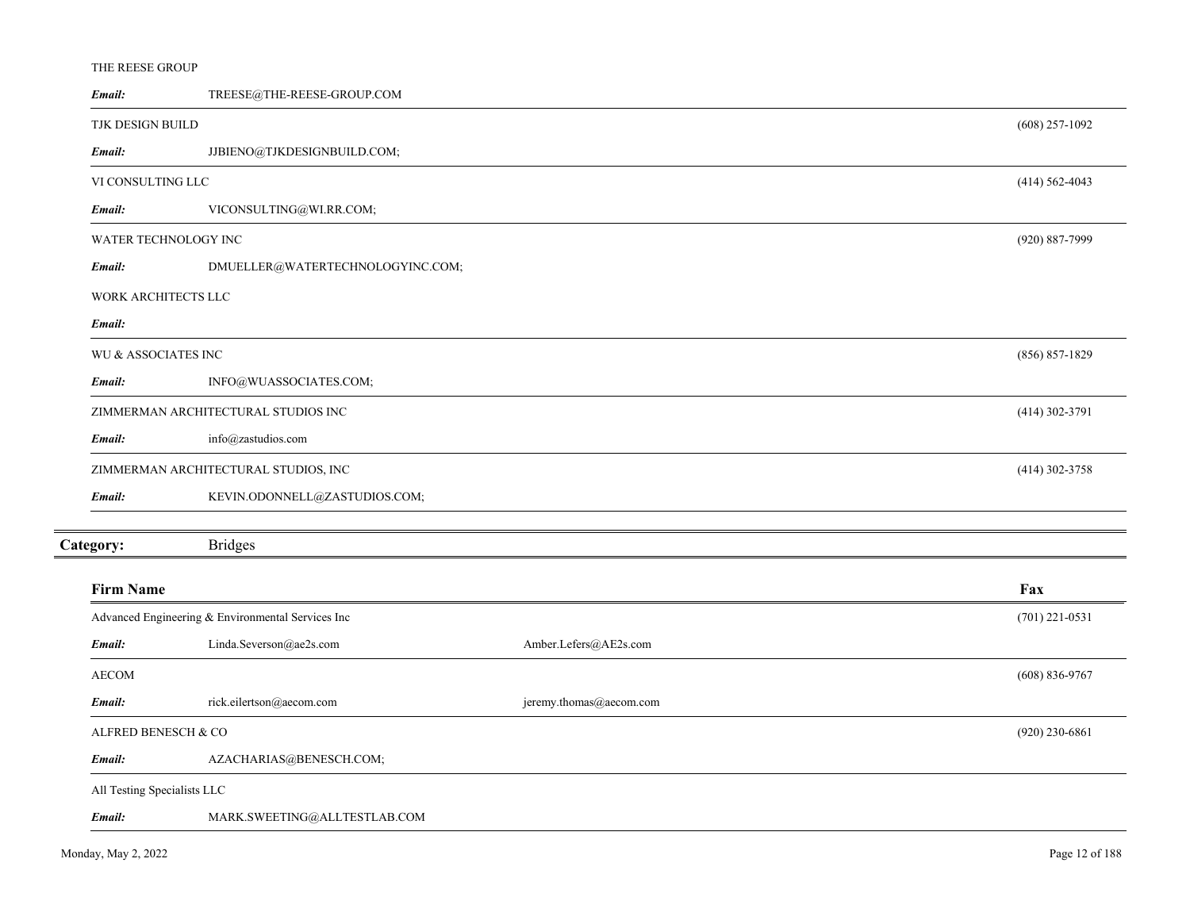| Email:                      | TREESE@THE-REESE-GROUP.COM                        |                         |                    |
|-----------------------------|---------------------------------------------------|-------------------------|--------------------|
| TJK DESIGN BUILD            |                                                   |                         | $(608)$ 257-1092   |
| Email:                      | JJBIENO@TJKDESIGNBUILD.COM;                       |                         |                    |
| VI CONSULTING LLC           |                                                   |                         | $(414) 562 - 4043$ |
| Email:                      | VICONSULTING@WI.RR.COM;                           |                         |                    |
| WATER TECHNOLOGY INC        |                                                   |                         | (920) 887-7999     |
| Email:                      | DMUELLER@WATERTECHNOLOGYINC.COM;                  |                         |                    |
| WORK ARCHITECTS LLC         |                                                   |                         |                    |
| Email:                      |                                                   |                         |                    |
| WU & ASSOCIATES INC         |                                                   |                         | $(856) 857-1829$   |
| Email:                      | INFO@WUASSOCIATES.COM;                            |                         |                    |
|                             | ZIMMERMAN ARCHITECTURAL STUDIOS INC               |                         | $(414)$ 302-3791   |
| Email:                      | info@zastudios.com                                |                         |                    |
|                             | ZIMMERMAN ARCHITECTURAL STUDIOS, INC              |                         | $(414)$ 302-3758   |
| Email:                      | KEVIN.ODONNELL@ZASTUDIOS.COM;                     |                         |                    |
| Category:                   | <b>Bridges</b>                                    |                         |                    |
| <b>Firm Name</b>            |                                                   |                         | Fax                |
|                             | Advanced Engineering & Environmental Services Inc |                         | $(701)$ 221-0531   |
| Email:                      | Linda.Severson@ae2s.com                           | Amber.Lefers@AE2s.com   |                    |
| <b>AECOM</b>                |                                                   |                         | $(608) 836 - 9767$ |
| Email:                      | rick.eilertson@aecom.com                          | jeremy.thomas@aecom.com |                    |
| ALFRED BENESCH & CO         |                                                   |                         | $(920)$ 230-6861   |
| Email:                      | AZACHARIAS@BENESCH.COM;                           |                         |                    |
| All Testing Specialists LLC |                                                   |                         |                    |
| Email:                      | MARK.SWEETING@ALLTESTLAB.COM                      |                         |                    |

THE REESE GROUP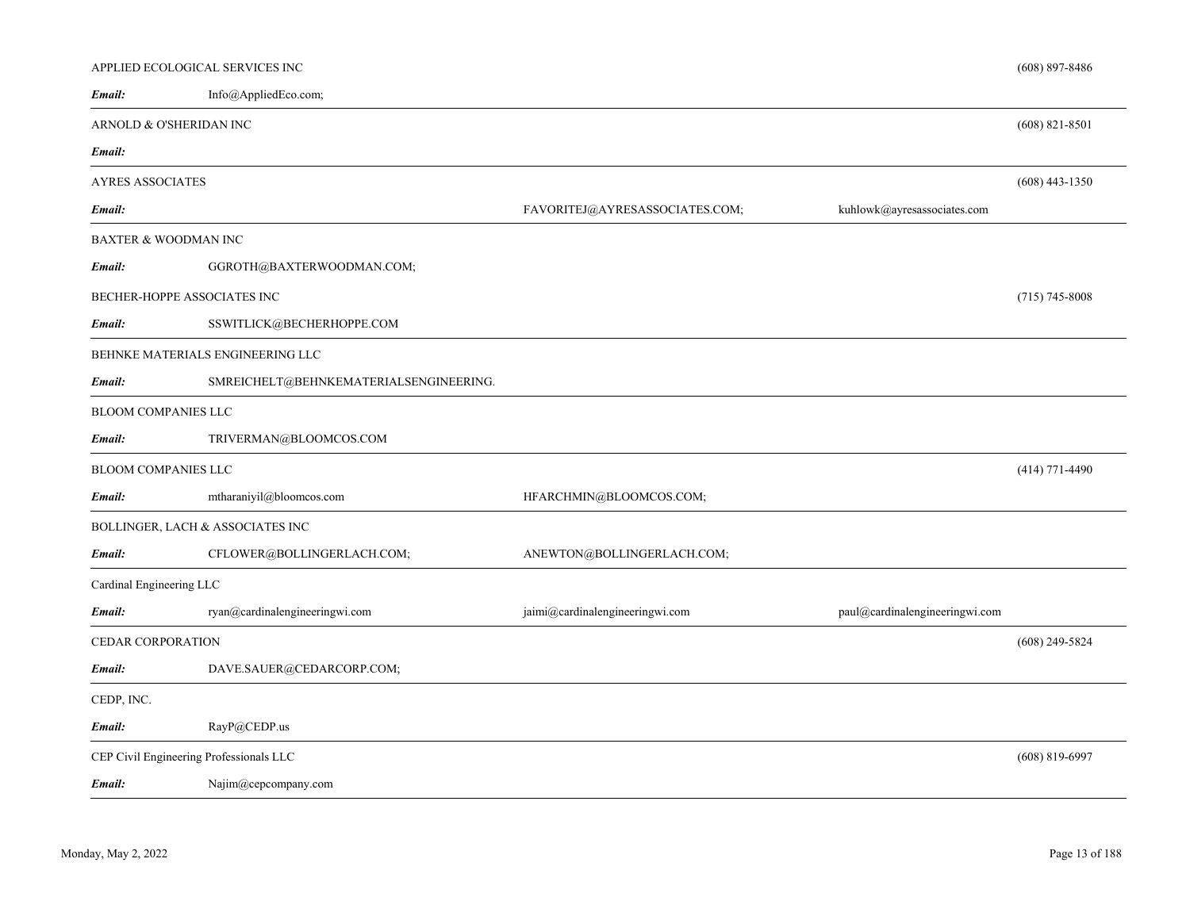|                            | APPLIED ECOLOGICAL SERVICES INC         |                                 |                                | $(608)$ 897-8486 |
|----------------------------|-----------------------------------------|---------------------------------|--------------------------------|------------------|
| Email:                     | Info@AppliedEco.com;                    |                                 |                                |                  |
|                            | ARNOLD & O'SHERIDAN INC                 |                                 |                                | $(608)$ 821-8501 |
| Email:                     |                                         |                                 |                                |                  |
| AYRES ASSOCIATES           |                                         |                                 |                                | $(608)$ 443-1350 |
| Email:                     |                                         | FAVORITEJ@AYRESASSOCIATES.COM;  | kuhlowk@ayresassociates.com    |                  |
|                            | BAXTER & WOODMAN INC                    |                                 |                                |                  |
| Email:                     | GGROTH@BAXTERWOODMAN.COM;               |                                 |                                |                  |
|                            | BECHER-HOPPE ASSOCIATES INC             |                                 |                                | $(715)$ 745-8008 |
| Email:                     | SSWITLICK@BECHERHOPPE.COM               |                                 |                                |                  |
|                            | BEHNKE MATERIALS ENGINEERING LLC        |                                 |                                |                  |
| Email:                     | SMREICHELT@BEHNKEMATERIALSENGINEERING.  |                                 |                                |                  |
| <b>BLOOM COMPANIES LLC</b> |                                         |                                 |                                |                  |
| Email:                     | TRIVERMAN@BLOOMCOS.COM                  |                                 |                                |                  |
| <b>BLOOM COMPANIES LLC</b> |                                         |                                 |                                | $(414)$ 771-4490 |
| Email:                     | mtharaniyil@bloomcos.com                | HFARCHMIN@BLOOMCOS.COM;         |                                |                  |
|                            | BOLLINGER, LACH & ASSOCIATES INC        |                                 |                                |                  |
| Email:                     | CFLOWER@BOLLINGERLACH.COM;              | ANEWTON@BOLLINGERLACH.COM;      |                                |                  |
| Cardinal Engineering LLC   |                                         |                                 |                                |                  |
| Email:                     | ryan@cardinalengineeringwi.com          | jaimi@cardinalengineeringwi.com | paul@cardinalengineeringwi.com |                  |
| CEDAR CORPORATION          |                                         |                                 |                                | $(608)$ 249-5824 |
| Email:                     | DAVE.SAUER@CEDARCORP.COM;               |                                 |                                |                  |
| CEDP, INC.                 |                                         |                                 |                                |                  |
| Email:                     | RayP@CEDP.us                            |                                 |                                |                  |
|                            | CEP Civil Engineering Professionals LLC |                                 |                                | $(608)$ 819-6997 |
| Email:                     | Najim@cepcompany.com                    |                                 |                                |                  |

<u>.</u>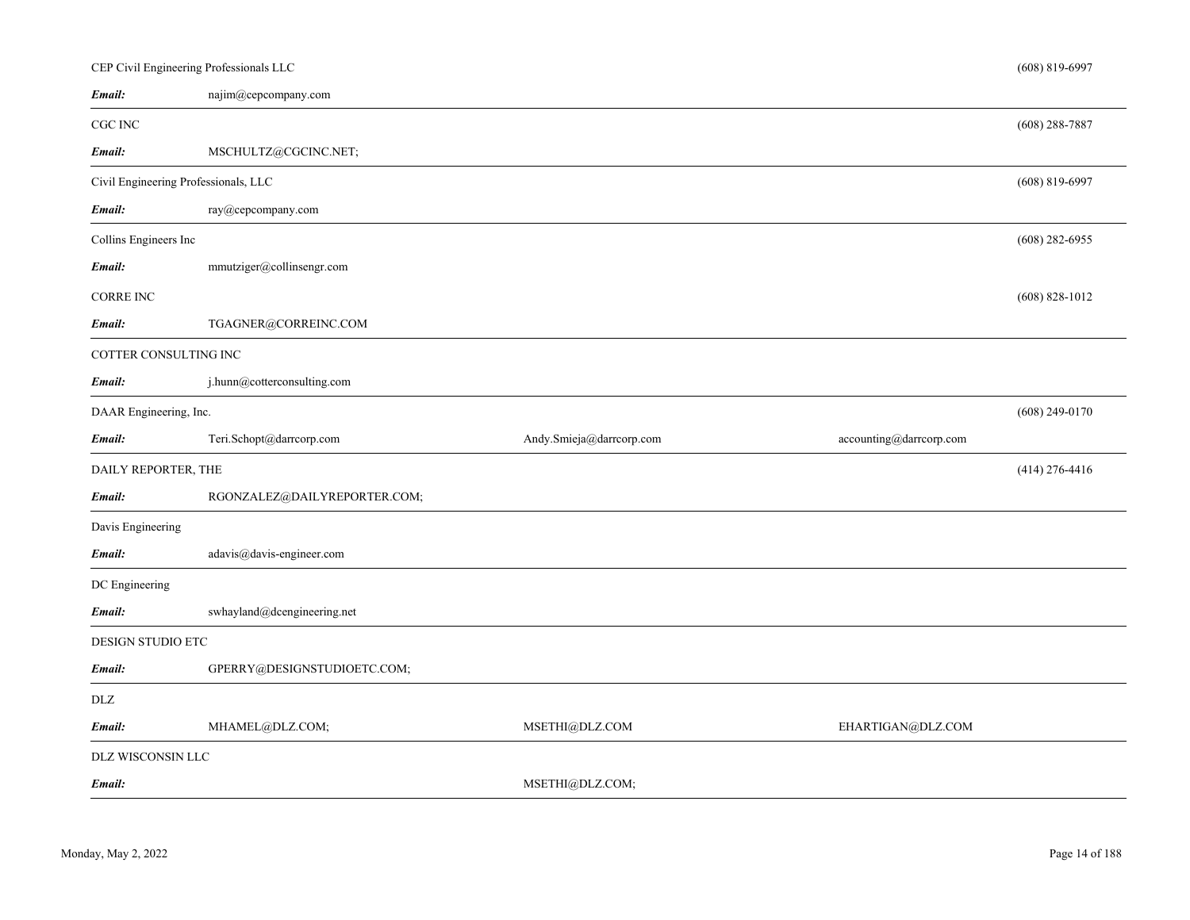|                                      | CEP Civil Engineering Professionals LLC |                          |                         | $(608) 819 - 6997$ |
|--------------------------------------|-----------------------------------------|--------------------------|-------------------------|--------------------|
| Email:                               | najim@cepcompany.com                    |                          |                         |                    |
| CGC INC                              |                                         |                          |                         | $(608)$ 288-7887   |
| Email:                               | MSCHULTZ@CGCINC.NET;                    |                          |                         |                    |
| Civil Engineering Professionals, LLC |                                         |                          |                         | $(608) 819 - 6997$ |
| Email:                               | ray@cepcompany.com                      |                          |                         |                    |
| Collins Engineers Inc                |                                         |                          |                         | $(608)$ 282-6955   |
| Email:                               | mmutziger@collinsengr.com               |                          |                         |                    |
| <b>CORRE INC</b>                     |                                         |                          |                         | $(608) 828 - 1012$ |
| Email:                               | TGAGNER@CORREINC.COM                    |                          |                         |                    |
| COTTER CONSULTING INC                |                                         |                          |                         |                    |
| Email:                               | j.hunn@cotterconsulting.com             |                          |                         |                    |
| DAAR Engineering, Inc.               |                                         |                          |                         | $(608)$ 249-0170   |
| Email:                               | Teri.Schopt@darrcorp.com                | Andy.Smieja@darrcorp.com | accounting@darrcorp.com |                    |
| DAILY REPORTER, THE                  |                                         |                          |                         | $(414)$ 276-4416   |
| Email:                               | RGONZALEZ@DAILYREPORTER.COM;            |                          |                         |                    |
| Davis Engineering                    |                                         |                          |                         |                    |
| Email:                               | adavis@davis-engineer.com               |                          |                         |                    |
| DC Engineering                       |                                         |                          |                         |                    |
|                                      | swhayland@dcengineering.net             |                          |                         |                    |
| Email:                               |                                         |                          |                         |                    |
| DESIGN STUDIO ETC                    |                                         |                          |                         |                    |
| Email:                               | GPERRY@DESIGNSTUDIOETC.COM;             |                          |                         |                    |
| <b>DLZ</b>                           |                                         |                          |                         |                    |
| Email:                               | MHAMEL@DLZ.COM;                         | MSETHI@DLZ.COM           | EHARTIGAN@DLZ.COM       |                    |
| DLZ WISCONSIN LLC                    |                                         |                          |                         |                    |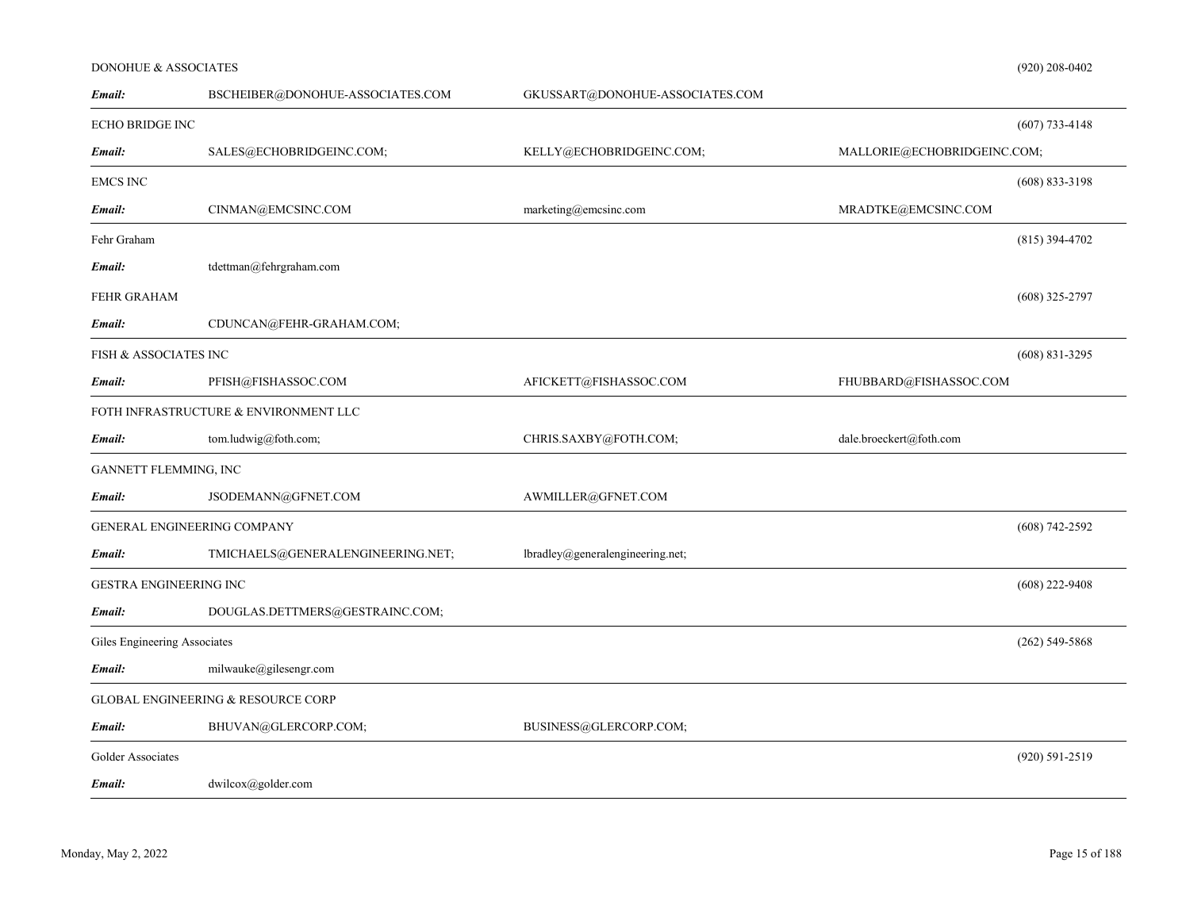# DONOHUE & ASSOCIATES

| Email:                           | BSCHEIBER@DONOHUE-ASSOCIATES.COM              | GKUSSART@DONOHUE-ASSOCIATES.COM  |                             |                    |
|----------------------------------|-----------------------------------------------|----------------------------------|-----------------------------|--------------------|
| <b>ECHO BRIDGE INC</b>           |                                               |                                  |                             | $(607)$ 733-4148   |
| Email:                           | SALES@ECHOBRIDGEINC.COM;                      | KELLY@ECHOBRIDGEINC.COM;         | MALLORIE@ECHOBRIDGEINC.COM; |                    |
| <b>EMCS INC</b>                  |                                               |                                  |                             | $(608) 833 - 3198$ |
| Email:                           | CINMAN@EMCSINC.COM                            | marketing@emcsinc.com            | MRADTKE@EMCSINC.COM         |                    |
| Fehr Graham                      |                                               |                                  |                             | $(815)$ 394-4702   |
| Email:                           | tdettman@fehrgraham.com                       |                                  |                             |                    |
| <b>FEHR GRAHAM</b>               |                                               |                                  |                             | $(608)$ 325-2797   |
| Email:                           | CDUNCAN@FEHR-GRAHAM.COM;                      |                                  |                             |                    |
| <b>FISH &amp; ASSOCIATES INC</b> |                                               |                                  |                             | $(608)$ 831-3295   |
| Email:                           | PFISH@FISHASSOC.COM                           | AFICKETT@FISHASSOC.COM           | FHUBBARD@FISHASSOC.COM      |                    |
|                                  | FOTH INFRASTRUCTURE & ENVIRONMENT LLC         |                                  |                             |                    |
| Email:                           | tom.ludwig@foth.com;                          | CHRIS.SAXBY@FOTH.COM;            | dale.broeckert@foth.com     |                    |
| GANNETT FLEMMING, INC            |                                               |                                  |                             |                    |
| Email:                           | JSODEMANN@GFNET.COM                           | AWMILLER@GFNET.COM               |                             |                    |
|                                  | <b>GENERAL ENGINEERING COMPANY</b>            |                                  |                             | $(608) 742 - 2592$ |
| Email:                           | TMICHAELS@GENERALENGINEERING.NET;             | lbradley@generalengineering.net; |                             |                    |
| GESTRA ENGINEERING INC           |                                               |                                  |                             | $(608)$ 222-9408   |
| Email:                           | DOUGLAS.DETTMERS@GESTRAINC.COM;               |                                  |                             |                    |
| Giles Engineering Associates     |                                               |                                  |                             | $(262)$ 549-5868   |
| Email:                           | milwauke@gilesengr.com                        |                                  |                             |                    |
|                                  | <b>GLOBAL ENGINEERING &amp; RESOURCE CORP</b> |                                  |                             |                    |
| Email:                           | BHUVAN@GLERCORP.COM;                          | BUSINESS@GLERCORP.COM;           |                             |                    |
| Golder Associates                |                                               |                                  |                             | $(920) 591 - 2519$ |
| Email:                           | $dwilcox(a)$ golder.com                       |                                  |                             |                    |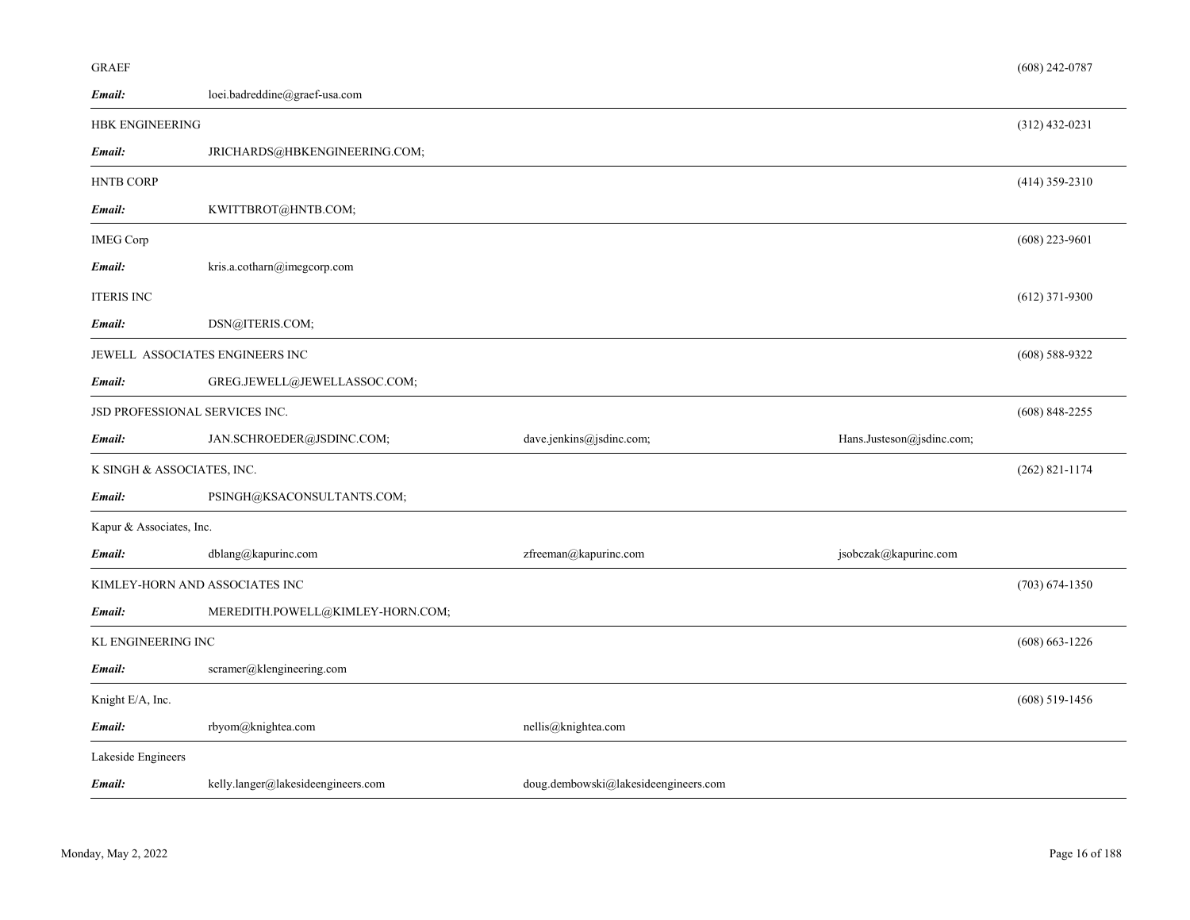| GR A E F |
|----------|
|----------|

| Email:                          | loei.badreddine@graef-usa.com      |                                      |                           |                    |
|---------------------------------|------------------------------------|--------------------------------------|---------------------------|--------------------|
| <b>HBK ENGINEERING</b>          |                                    |                                      |                           | $(312)$ 432-0231   |
| Email:                          | JRICHARDS@HBKENGINEERING.COM;      |                                      |                           |                    |
| <b>HNTB CORP</b>                |                                    |                                      |                           | $(414)$ 359-2310   |
| Email:                          | KWITTBROT@HNTB.COM;                |                                      |                           |                    |
| <b>IMEG Corp</b>                |                                    |                                      |                           | $(608)$ 223-9601   |
| Email:                          | kris.a.cotharn@imegcorp.com        |                                      |                           |                    |
| <b>ITERIS INC</b>               |                                    |                                      |                           | $(612)$ 371-9300   |
| Email:                          | DSN@ITERIS.COM;                    |                                      |                           |                    |
| JEWELL ASSOCIATES ENGINEERS INC |                                    |                                      |                           | $(608)$ 588-9322   |
| Email:                          | GREG.JEWELL@JEWELLASSOC.COM;       |                                      |                           |                    |
| JSD PROFESSIONAL SERVICES INC.  |                                    |                                      |                           | $(608)$ 848-2255   |
| Email:                          | JAN.SCHROEDER@JSDINC.COM;          | dave.jenkins@jsdinc.com;             | Hans.Justeson@jsdinc.com; |                    |
| K SINGH & ASSOCIATES, INC.      |                                    |                                      |                           | $(262)$ 821-1174   |
| Email:                          | PSINGH@KSACONSULTANTS.COM;         |                                      |                           |                    |
| Kapur & Associates, Inc.        |                                    |                                      |                           |                    |
| Email:                          | dblang@kapurinc.com                | zfreeman@kapurinc.com                | jsobczak@kapurinc.com     |                    |
| KIMLEY-HORN AND ASSOCIATES INC  |                                    |                                      |                           | $(703) 674 - 1350$ |
| Email:                          | MEREDITH.POWELL@KIMLEY-HORN.COM;   |                                      |                           |                    |
| KL ENGINEERING INC              |                                    |                                      |                           | $(608) 663 - 1226$ |
| Email:                          | scramer@klengineering.com          |                                      |                           |                    |
| Knight E/A, Inc.                |                                    |                                      |                           | $(608)$ 519-1456   |
| Email:                          | rbyom@knightea.com                 | nellis@knightea.com                  |                           |                    |
| Lakeside Engineers              |                                    |                                      |                           |                    |
| Email:                          | kelly.langer@lakesideengineers.com | doug.dembowski@lakesideengineers.com |                           |                    |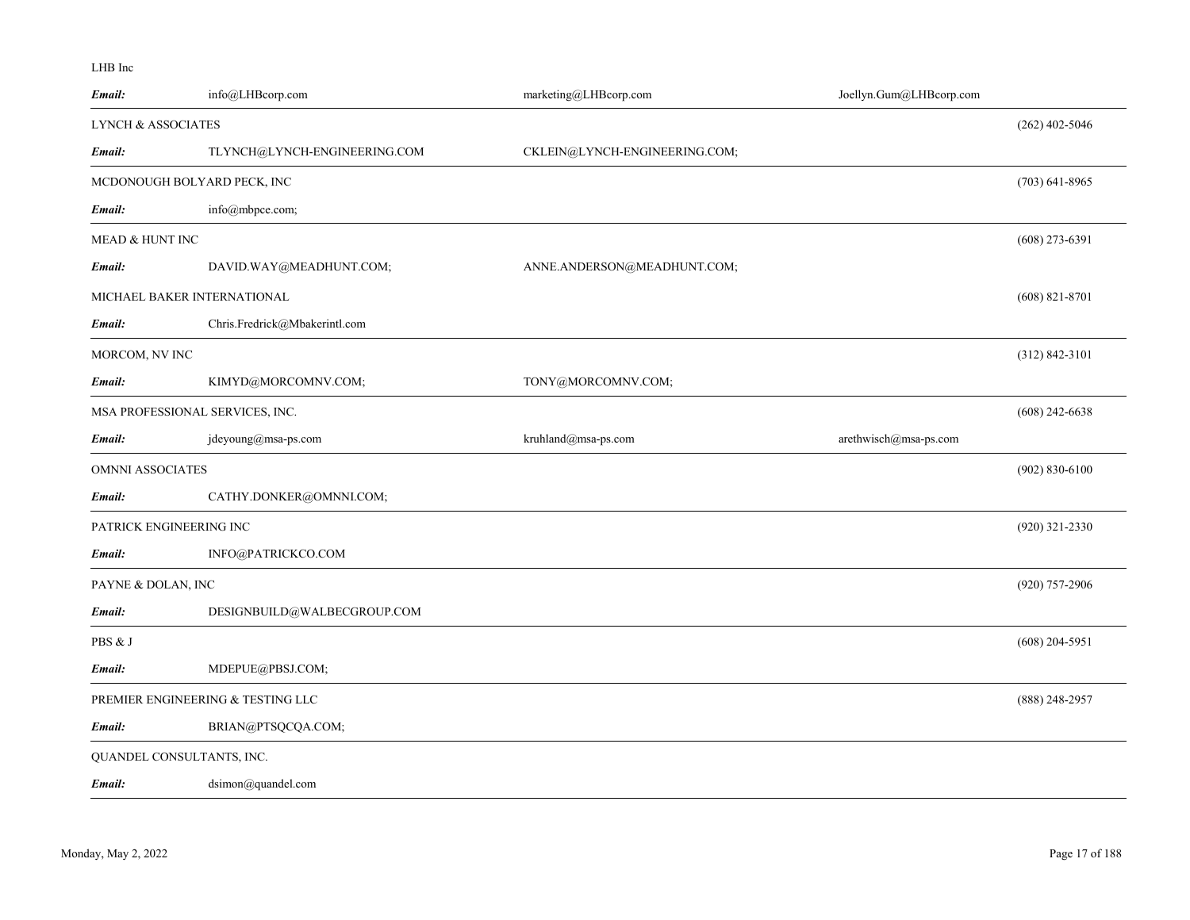### LHB Inc

| Email:                        | info@LHBcorp.com                  | marketing@LHBcorp.com         | Joellyn.Gum@LHBcorp.com |                    |
|-------------------------------|-----------------------------------|-------------------------------|-------------------------|--------------------|
| <b>LYNCH &amp; ASSOCIATES</b> |                                   |                               |                         | $(262)$ 402-5046   |
| Email:                        | TLYNCH@LYNCH-ENGINEERING.COM      | CKLEIN@LYNCH-ENGINEERING.COM; |                         |                    |
|                               | MCDONOUGH BOLYARD PECK, INC       |                               |                         | $(703)$ 641-8965   |
| Email:                        | info@mbpce.com;                   |                               |                         |                    |
| MEAD & HUNT INC               |                                   |                               |                         | $(608)$ 273-6391   |
| Email:                        | DAVID.WAY@MEADHUNT.COM;           | ANNE.ANDERSON@MEADHUNT.COM;   |                         |                    |
|                               | MICHAEL BAKER INTERNATIONAL       |                               |                         | $(608)$ 821-8701   |
| Email:                        | Chris.Fredrick@Mbakerintl.com     |                               |                         |                    |
| MORCOM, NV INC                |                                   |                               |                         | $(312) 842 - 3101$ |
| Email:                        | KIMYD@MORCOMNV.COM;               | TONY@MORCOMNV.COM;            |                         |                    |
|                               | MSA PROFESSIONAL SERVICES, INC.   |                               |                         | $(608)$ 242-6638   |
| Email:                        | jdeyoung@msa-ps.com               | kruhland@msa-ps.com           | arethwisch@msa-ps.com   |                    |
| OMNNI ASSOCIATES              |                                   |                               |                         | $(902) 830 - 6100$ |
| Email:                        | CATHY.DONKER@OMNNI.COM;           |                               |                         |                    |
|                               | PATRICK ENGINEERING INC           |                               |                         | $(920)$ 321-2330   |
| Email:                        | INFO@PATRICKCO.COM                |                               |                         |                    |
| PAYNE & DOLAN, INC            |                                   |                               |                         | $(920)$ 757-2906   |
| Email:                        | DESIGNBUILD@WALBECGROUP.COM       |                               |                         |                    |
| PBS & J                       |                                   |                               |                         | $(608)$ 204-5951   |
| Email:                        | MDEPUE@PBSJ.COM;                  |                               |                         |                    |
|                               | PREMIER ENGINEERING & TESTING LLC |                               |                         | $(888)$ 248-2957   |
| Email:                        | BRIAN@PTSQCQA.COM;                |                               |                         |                    |
|                               | QUANDEL CONSULTANTS, INC.         |                               |                         |                    |
| Email:                        | dsimon@quandel.com                |                               |                         |                    |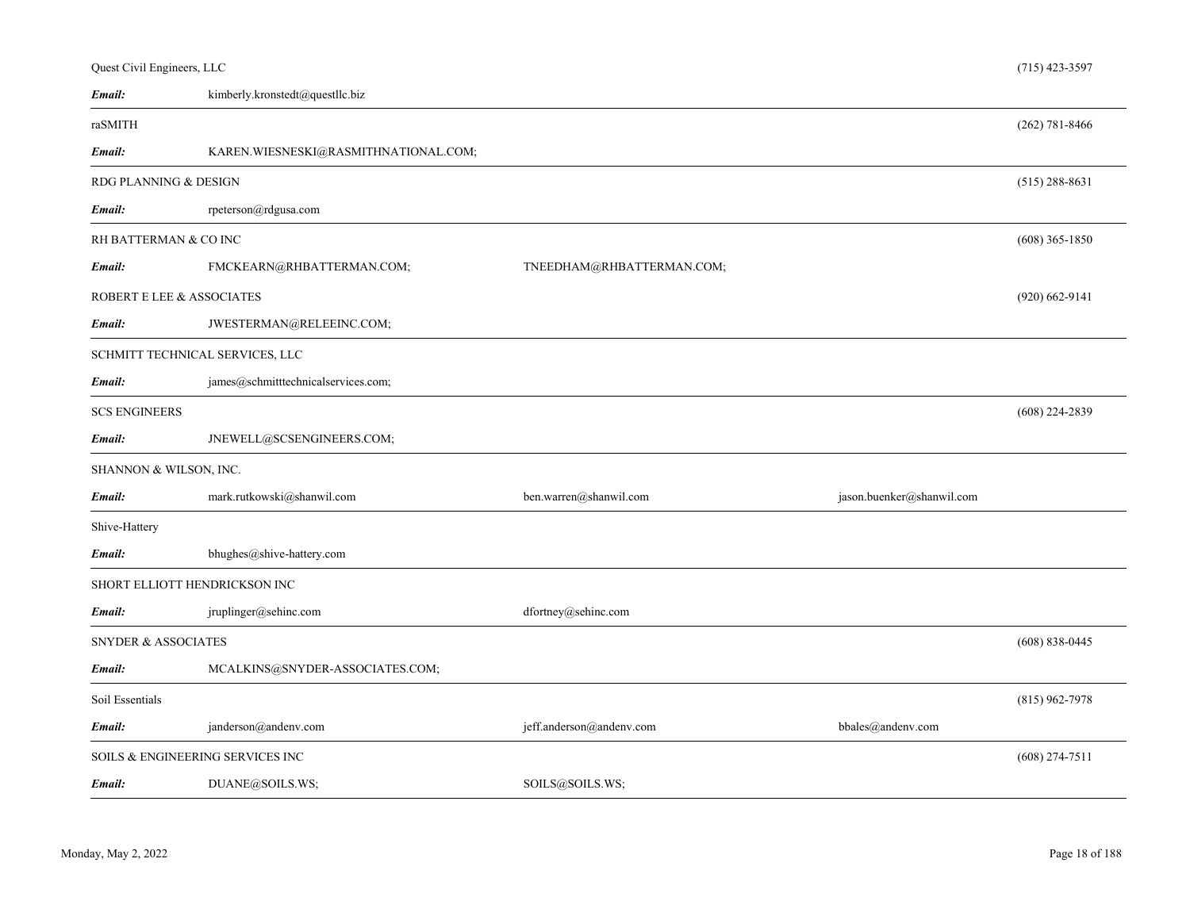| Quest Civil Engineers, LLC     |                                      |                           |                           | $(715)$ 423-3597   |
|--------------------------------|--------------------------------------|---------------------------|---------------------------|--------------------|
| Email:                         | kimberly.kronstedt@questllc.biz      |                           |                           |                    |
| raSMITH                        |                                      |                           |                           | $(262) 781 - 8466$ |
| Email:                         | KAREN.WIESNESKI@RASMITHNATIONAL.COM; |                           |                           |                    |
| RDG PLANNING & DESIGN          |                                      |                           |                           | $(515)$ 288-8631   |
| Email:                         | rpeterson@rdgusa.com                 |                           |                           |                    |
| RH BATTERMAN & CO INC          |                                      |                           |                           | $(608)$ 365-1850   |
| Email:                         | FMCKEARN@RHBATTERMAN.COM;            | TNEEDHAM@RHBATTERMAN.COM; |                           |                    |
|                                | ROBERT E LEE & ASSOCIATES            |                           |                           | $(920)$ 662-9141   |
| Email:                         | JWESTERMAN@RELEEINC.COM;             |                           |                           |                    |
|                                | SCHMITT TECHNICAL SERVICES, LLC      |                           |                           |                    |
| Email:                         | james@schmitttechnicalservices.com;  |                           |                           |                    |
| <b>SCS ENGINEERS</b>           |                                      |                           |                           | $(608)$ 224-2839   |
| Email:                         | JNEWELL@SCSENGINEERS.COM;            |                           |                           |                    |
| SHANNON & WILSON, INC.         |                                      |                           |                           |                    |
| Email:                         | mark.rutkowski@shanwil.com           | ben.warren@shanwil.com    | jason.buenker@shanwil.com |                    |
| Shive-Hattery                  |                                      |                           |                           |                    |
| Email:                         | bhughes@shive-hattery.com            |                           |                           |                    |
|                                | SHORT ELLIOTT HENDRICKSON INC        |                           |                           |                    |
| Email:                         | jruplinger@sehinc.com                | dfortney@sehinc.com       |                           |                    |
| <b>SNYDER &amp; ASSOCIATES</b> |                                      |                           |                           | $(608) 838 - 0445$ |
| Email:                         | MCALKINS@SNYDER-ASSOCIATES.COM;      |                           |                           |                    |
| Soil Essentials                |                                      |                           |                           | $(815)$ 962-7978   |
| Email:                         | janderson@andenv.com                 | jeff.anderson@andenv.com  | bbales@andenv.com         |                    |
|                                | SOILS & ENGINEERING SERVICES INC     |                           |                           | $(608)$ 274-7511   |
| Email:                         | DUANE@SOILS.WS;                      | SOILS@SOILS.WS;           |                           |                    |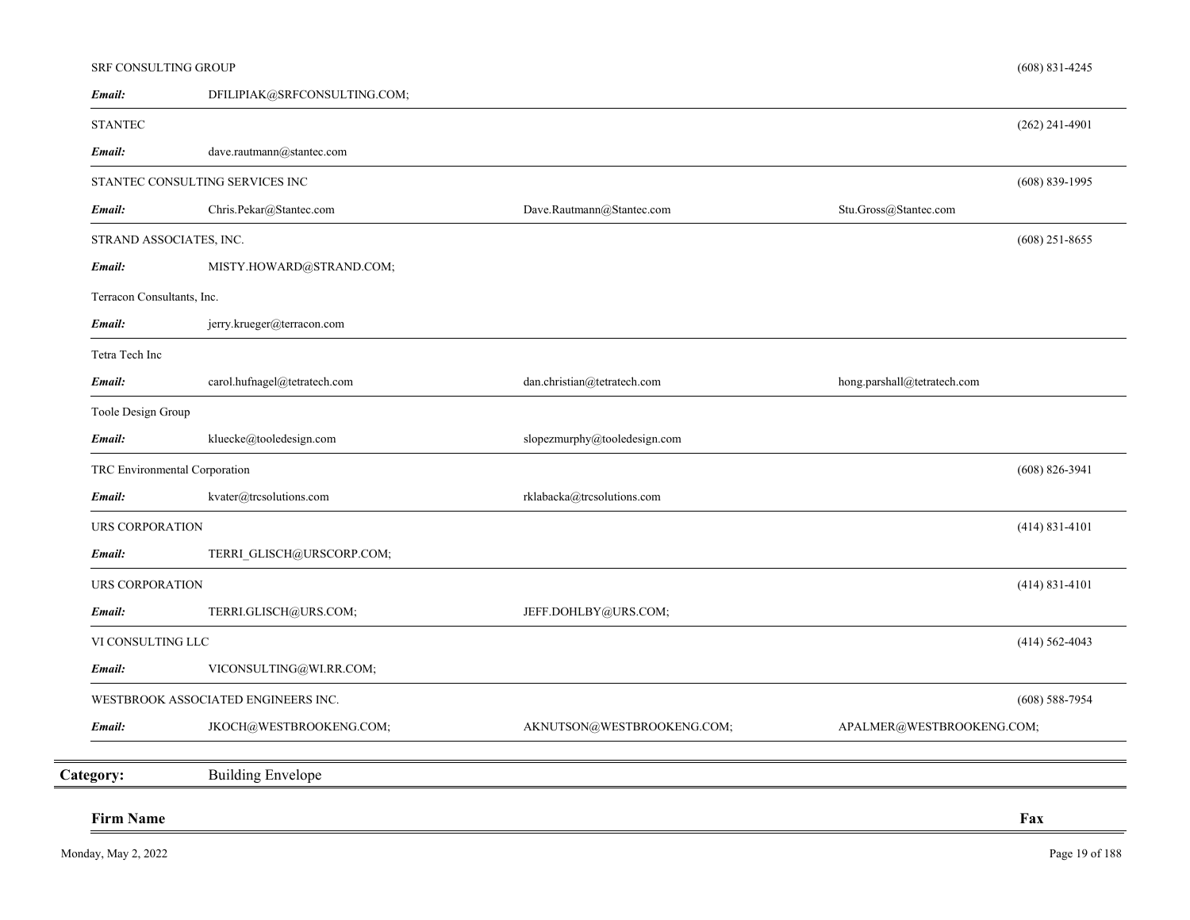| <b>Firm Name</b>                  |                                     |                                                          | Fax                         |
|-----------------------------------|-------------------------------------|----------------------------------------------------------|-----------------------------|
|                                   |                                     |                                                          |                             |
| Category:                         | <b>Building Envelope</b>            |                                                          |                             |
| Email:                            | JKOCH@WESTBROOKENG.COM;             | AKNUTSON@WESTBROOKENG.COM;                               | APALMER@WESTBROOKENG.COM;   |
|                                   | WESTBROOK ASSOCIATED ENGINEERS INC. |                                                          | $(608)$ 588-7954            |
| Email:                            | VICONSULTING@WI.RR.COM;             |                                                          |                             |
| VI CONSULTING LLC                 |                                     |                                                          | $(414) 562 - 4043$          |
| Email:                            | TERRI.GLISCH@URS.COM;               | JEFF.DOHLBY@URS.COM;                                     |                             |
| URS CORPORATION                   |                                     |                                                          | $(414)$ 831-4101            |
| Email:                            | TERRI_GLISCH@URSCORP.COM;           |                                                          |                             |
| URS CORPORATION                   |                                     |                                                          | $(414) 831 - 4101$          |
| Email:                            | kvater@trcsolutions.com             | $\mbox{{\sc rklaback}} a@{\mbox{{\sc trcsolutions.com}}$ |                             |
| TRC Environmental Corporation     |                                     |                                                          | $(608)$ 826-3941            |
| Email:                            | kluecke@tooledesign.com             | slopezmurphy@tooledesign.com                             |                             |
| Toole Design Group                |                                     |                                                          |                             |
| Email:                            | carol.hufnagel@tetratech.com        | dan.christian@tetratech.com                              | hong.parshall@tetratech.com |
| Tetra Tech Inc                    |                                     |                                                          |                             |
| Email:                            | jerry.krueger@terracon.com          |                                                          |                             |
| Terracon Consultants, Inc.        |                                     |                                                          |                             |
| STRAND ASSOCIATES, INC.<br>Email: | MISTY.HOWARD@STRAND.COM;            |                                                          | $(608)$ 251-8655            |
| Email:                            | Chris.Pekar@Stantec.com             | Dave.Rautmann@Stantec.com                                | Stu.Gross@Stantec.com       |
|                                   | STANTEC CONSULTING SERVICES INC     |                                                          | $(608) 839 - 1995$          |
| Email:                            | dave.rautmann@stantec.com           |                                                          |                             |
| <b>STANTEC</b>                    |                                     |                                                          | $(262)$ 241-4901            |
| Email:                            | DFILIPIAK@SRFCONSULTING.COM;        |                                                          |                             |
| <b>SRF CONSULTING GROUP</b>       |                                     |                                                          | $(608)$ 831-4245            |

 $\qquad \qquad$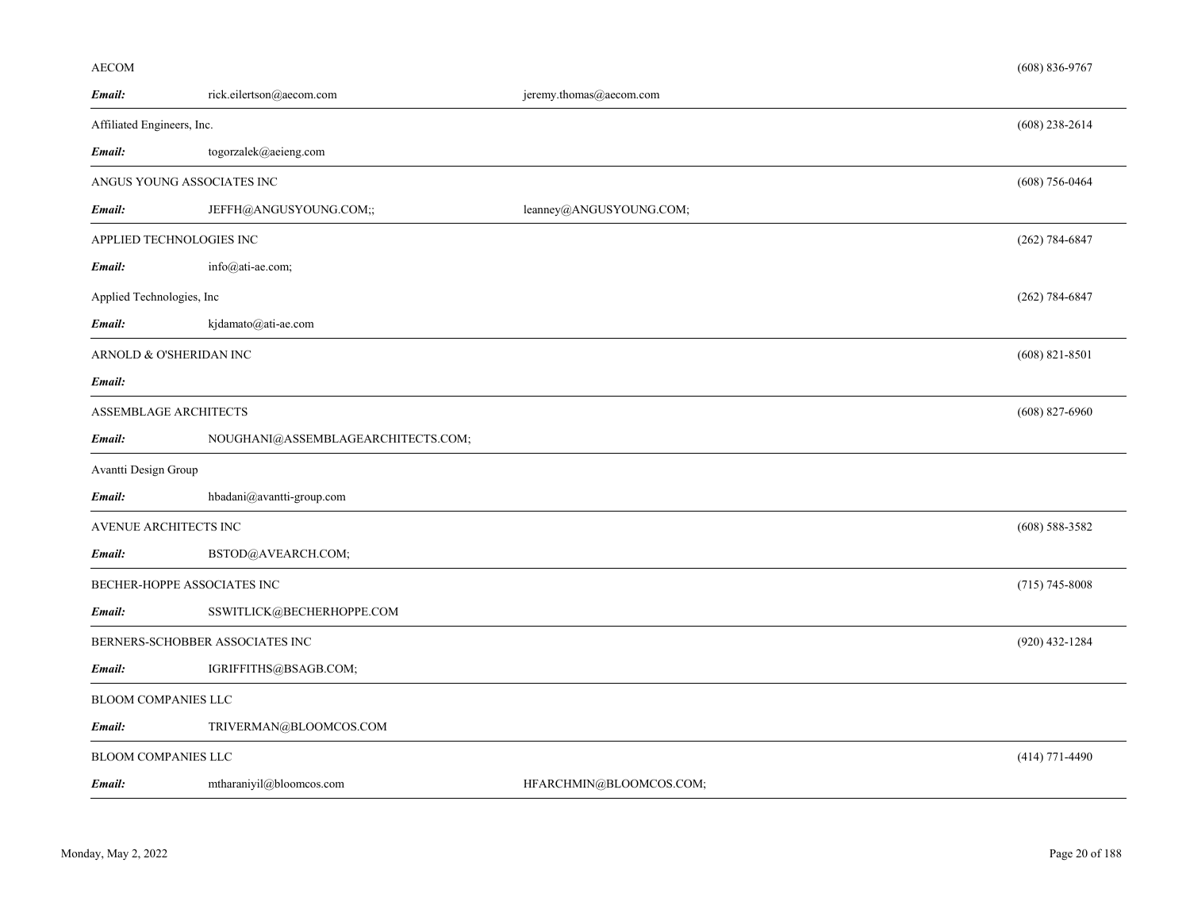### AECOM

| Email:                          | rick.eilertson@aecom.com           | jeremy.thomas@aecom.com |                  |
|---------------------------------|------------------------------------|-------------------------|------------------|
| Affiliated Engineers, Inc.      |                                    |                         | $(608)$ 238-2614 |
| Email:                          | togorzalek@aeieng.com              |                         |                  |
| ANGUS YOUNG ASSOCIATES INC      |                                    |                         | $(608)$ 756-0464 |
| Email:                          | JEFFH@ANGUSYOUNG.COM;;             | leanney@ANGUSYOUNG.COM; |                  |
| APPLIED TECHNOLOGIES INC        |                                    |                         | $(262)$ 784-6847 |
| Email:                          | info@ati-ae.com;                   |                         |                  |
| Applied Technologies, Inc       |                                    |                         | $(262)$ 784-6847 |
| Email:                          | kjdamato@ati-ae.com                |                         |                  |
| ARNOLD & O'SHERIDAN INC         |                                    |                         | $(608)$ 821-8501 |
| Email:                          |                                    |                         |                  |
| ASSEMBLAGE ARCHITECTS           |                                    |                         | $(608)$ 827-6960 |
| Email:                          | NOUGHANI@ASSEMBLAGEARCHITECTS.COM; |                         |                  |
| Avantti Design Group            |                                    |                         |                  |
| Email:                          | hbadani@avantti-group.com          |                         |                  |
| AVENUE ARCHITECTS INC           |                                    |                         | $(608)$ 588-3582 |
| Email:                          | BSTOD@AVEARCH.COM;                 |                         |                  |
| BECHER-HOPPE ASSOCIATES INC     |                                    |                         | $(715)$ 745-8008 |
| Email:                          | SSWITLICK@BECHERHOPPE.COM          |                         |                  |
| BERNERS-SCHOBBER ASSOCIATES INC |                                    |                         | $(920)$ 432-1284 |
| Email:                          | IGRIFFITHS@BSAGB.COM;              |                         |                  |
| BLOOM COMPANIES LLC             |                                    |                         |                  |
| Email:                          | TRIVERMAN@BLOOMCOS.COM             |                         |                  |
| <b>BLOOM COMPANIES LLC</b>      |                                    |                         | $(414)$ 771-4490 |
| Email:                          | mtharaniyil@bloomcos.com           | HFARCHMIN@BLOOMCOS.COM; |                  |

(608) 836-9767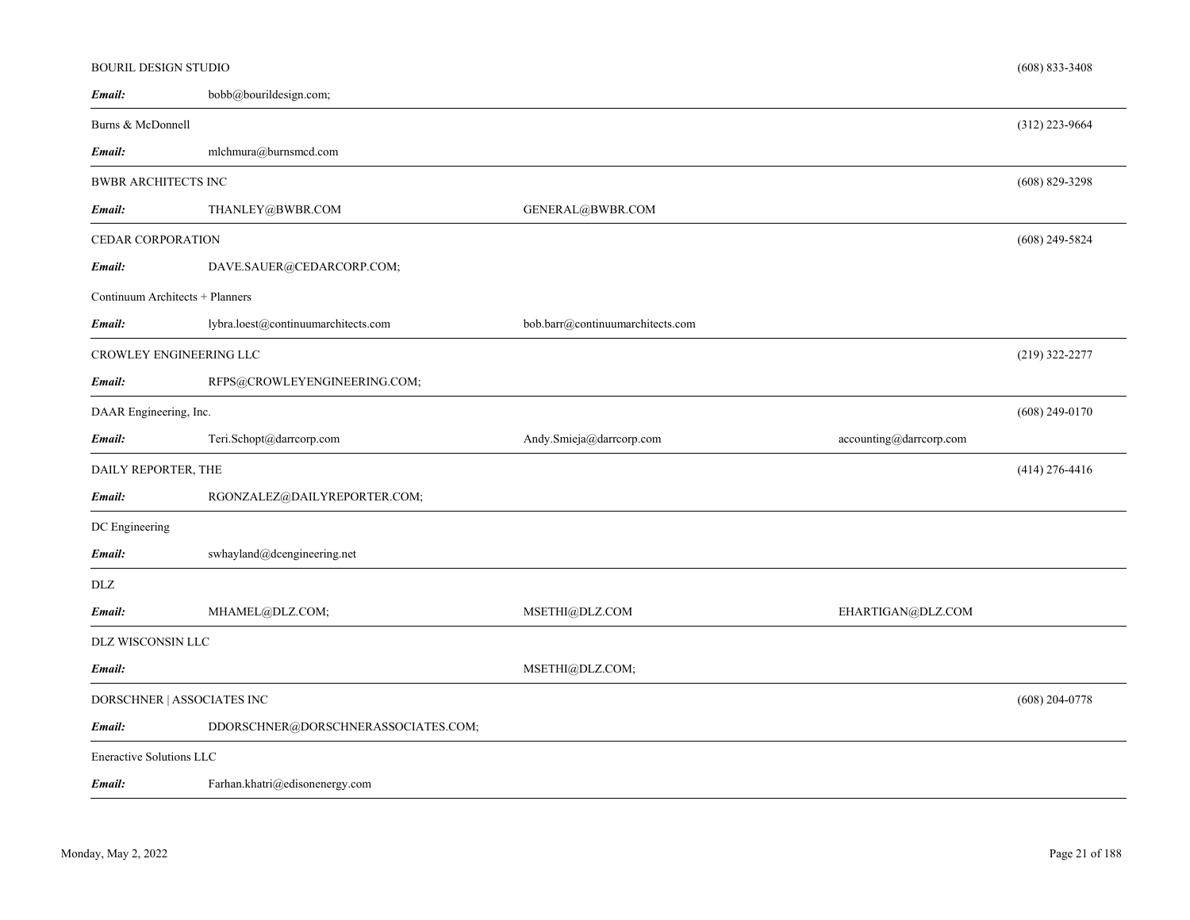| <b>BOURIL DESIGN STUDIO</b>     |                                     |                                  |                         | $(608) 833 - 3408$ |
|---------------------------------|-------------------------------------|----------------------------------|-------------------------|--------------------|
| Email:                          | bobb@bourildesign.com;              |                                  |                         |                    |
| Burns & McDonnell               |                                     |                                  |                         | $(312)$ 223-9664   |
| Email:                          | mlchmura@burnsmcd.com               |                                  |                         |                    |
| <b>BWBR ARCHITECTS INC</b>      |                                     |                                  |                         | $(608)$ 829-3298   |
| Email:                          | THANLEY@BWBR.COM                    | GENERAL@BWBR.COM                 |                         |                    |
| <b>CEDAR CORPORATION</b>        |                                     |                                  |                         | $(608)$ 249-5824   |
| Email:                          | DAVE.SAUER@CEDARCORP.COM;           |                                  |                         |                    |
| Continuum Architects + Planners |                                     |                                  |                         |                    |
| Email:                          | lybra.loest@continuumarchitects.com | bob.barr@continuumarchitects.com |                         |                    |
| CROWLEY ENGINEERING LLC         |                                     |                                  |                         | $(219)$ 322-2277   |
| Email:                          | RFPS@CROWLEYENGINEERING.COM;        |                                  |                         |                    |
| DAAR Engineering, Inc.          |                                     |                                  |                         | $(608)$ 249-0170   |
|                                 |                                     |                                  |                         |                    |
| Email:                          | Teri.Schopt@darrcorp.com            | Andy.Smieja@darrcorp.com         | accounting@darrcorp.com |                    |
| DAILY REPORTER, THE             |                                     |                                  |                         | $(414)$ 276-4416   |
| Email:                          | RGONZALEZ@DAILYREPORTER.COM;        |                                  |                         |                    |
| DC Engineering                  |                                     |                                  |                         |                    |
| Email:                          | swhayland@dcengineering.net         |                                  |                         |                    |
| DLZ                             |                                     |                                  |                         |                    |
| Email:                          | MHAMEL@DLZ.COM;                     | MSETHI@DLZ.COM                   | EHARTIGAN@DLZ.COM       |                    |
| DLZ WISCONSIN LLC               |                                     |                                  |                         |                    |
| Email:                          |                                     | MSETHI@DLZ.COM;                  |                         |                    |
| DORSCHNER   ASSOCIATES INC      |                                     |                                  |                         | $(608)$ 204-0778   |
| Email:                          | DDORSCHNER@DORSCHNERASSOCIATES.COM; |                                  |                         |                    |
| Eneractive Solutions LLC        |                                     |                                  |                         |                    |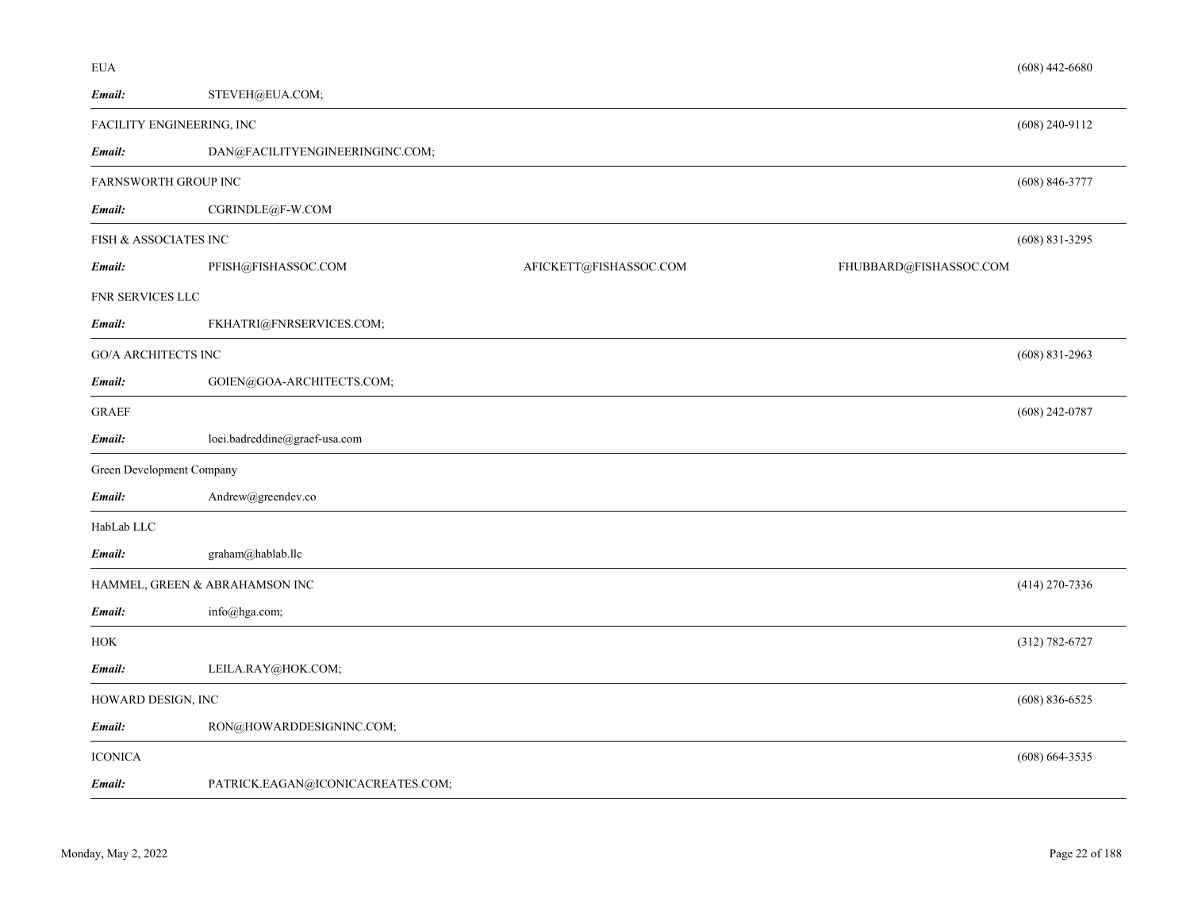| Email:                     | STEVEH@EUA.COM;                   |                        |                        |
|----------------------------|-----------------------------------|------------------------|------------------------|
|                            | FACILITY ENGINEERING, INC         |                        | $(608)$ 240-9112       |
| Email:                     | DAN@FACILITYENGINEERINGINC.COM;   |                        |                        |
| FARNSWORTH GROUP INC       |                                   |                        | $(608) 846 - 3777$     |
| Email:                     | CGRINDLE@F-W.COM                  |                        |                        |
| FISH & ASSOCIATES INC      |                                   |                        | $(608)$ 831-3295       |
| Email:                     | PFISH@FISHASSOC.COM               | AFICKETT@FISHASSOC.COM | FHUBBARD@FISHASSOC.COM |
| FNR SERVICES LLC           |                                   |                        |                        |
| Email:                     | FKHATRI@FNRSERVICES.COM;          |                        |                        |
| <b>GO/A ARCHITECTS INC</b> |                                   |                        | $(608)$ 831-2963       |
| Email:                     | GOIEN@GOA-ARCHITECTS.COM;         |                        |                        |
| <b>GRAEF</b>               |                                   |                        | $(608)$ 242-0787       |
| Email:                     | loei.badreddine@graef-usa.com     |                        |                        |
| Green Development Company  |                                   |                        |                        |
| Email:                     | Andrew@greendev.co                |                        |                        |
| HabLab LLC                 |                                   |                        |                        |
| Email:                     | graham@hablab.llc                 |                        |                        |
|                            | HAMMEL, GREEN & ABRAHAMSON INC    |                        | $(414)$ 270-7336       |
| $\pmb{Email:}$             | info@hga.com;                     |                        |                        |
| <b>HOK</b>                 |                                   |                        | $(312) 782 - 6727$     |
| Email:                     | LEILA.RAY@HOK.COM;                |                        |                        |
| HOWARD DESIGN, INC         |                                   |                        | $(608) 836 - 6525$     |
| Email:                     | RON@HOWARDDESIGNINC.COM;          |                        |                        |
| <b>ICONICA</b>             |                                   |                        | $(608)$ 664-3535       |
| Email:                     | PATRICK.EAGAN@ICONICACREATES.COM; |                        |                        |

(608) 442-6680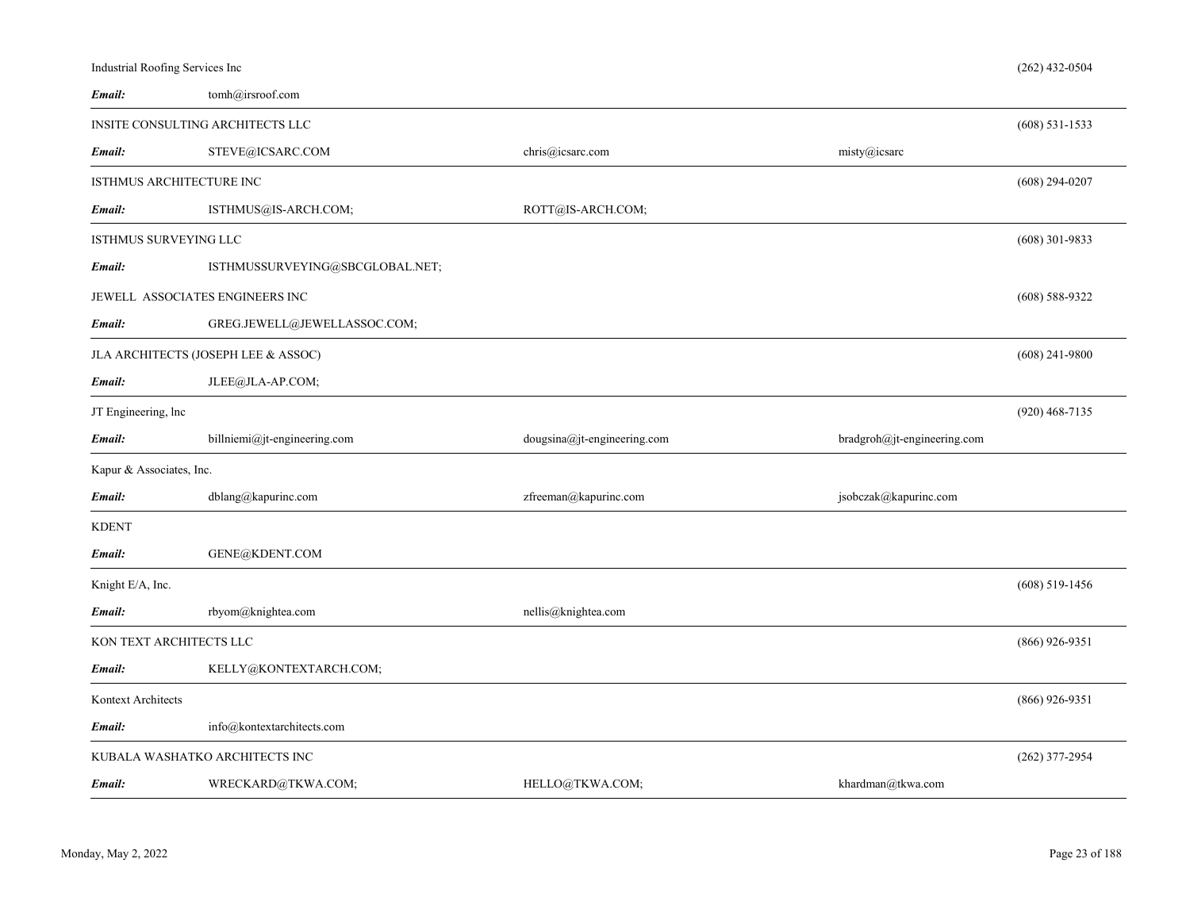| Industrial Roofing Services Inc |                                     |                             |                             | $(262)$ 432-0504 |
|---------------------------------|-------------------------------------|-----------------------------|-----------------------------|------------------|
| Email:                          | tomh@irsroof.com                    |                             |                             |                  |
|                                 | INSITE CONSULTING ARCHITECTS LLC    |                             |                             | $(608)$ 531-1533 |
| Email:                          | STEVE@ICSARC.COM                    | chris@icsarc.com            | misty@icsarc                |                  |
| ISTHMUS ARCHITECTURE INC        |                                     |                             |                             | $(608)$ 294-0207 |
| Email:                          | ISTHMUS@IS-ARCH.COM;                | ROTT@IS-ARCH.COM;           |                             |                  |
| <b>ISTHMUS SURVEYING LLC</b>    |                                     |                             |                             | $(608)$ 301-9833 |
| Email:                          | ISTHMUSSURVEYING@SBCGLOBAL.NET;     |                             |                             |                  |
|                                 | JEWELL ASSOCIATES ENGINEERS INC     |                             |                             | $(608)$ 588-9322 |
| Email:                          | GREG.JEWELL@JEWELLASSOC.COM;        |                             |                             |                  |
|                                 | JLA ARCHITECTS (JOSEPH LEE & ASSOC) |                             |                             | $(608)$ 241-9800 |
| Email:                          | JLEE@JLA-AP.COM;                    |                             |                             |                  |
| JT Engineering, lnc             |                                     |                             |                             | $(920)$ 468-7135 |
| Email:                          | billniemi@jt-engineering.com        | dougsina@jt-engineering.com | bradgroh@jt-engineering.com |                  |
| Kapur & Associates, Inc.        |                                     |                             |                             |                  |
| Email:                          | dblang@kapurinc.com                 | zfreeman@kapurinc.com       | jsobczak@kapurinc.com       |                  |
| <b>KDENT</b>                    |                                     |                             |                             |                  |
| Email:                          | GENE@KDENT.COM                      |                             |                             |                  |
| Knight E/A, Inc.                |                                     |                             |                             | $(608)$ 519-1456 |
| Email:                          | rbyom@knightea.com                  | nellis@knightea.com         |                             |                  |
| KON TEXT ARCHITECTS LLC         |                                     |                             |                             | $(866)$ 926-9351 |
| Email:                          | KELLY@KONTEXTARCH.COM;              |                             |                             |                  |
| Kontext Architects              |                                     |                             |                             | $(866)$ 926-9351 |
| Email:                          |                                     |                             |                             |                  |
|                                 | info@kontextarchitects.com          |                             |                             |                  |
|                                 | KUBALA WASHATKO ARCHITECTS INC      |                             |                             | $(262)$ 377-2954 |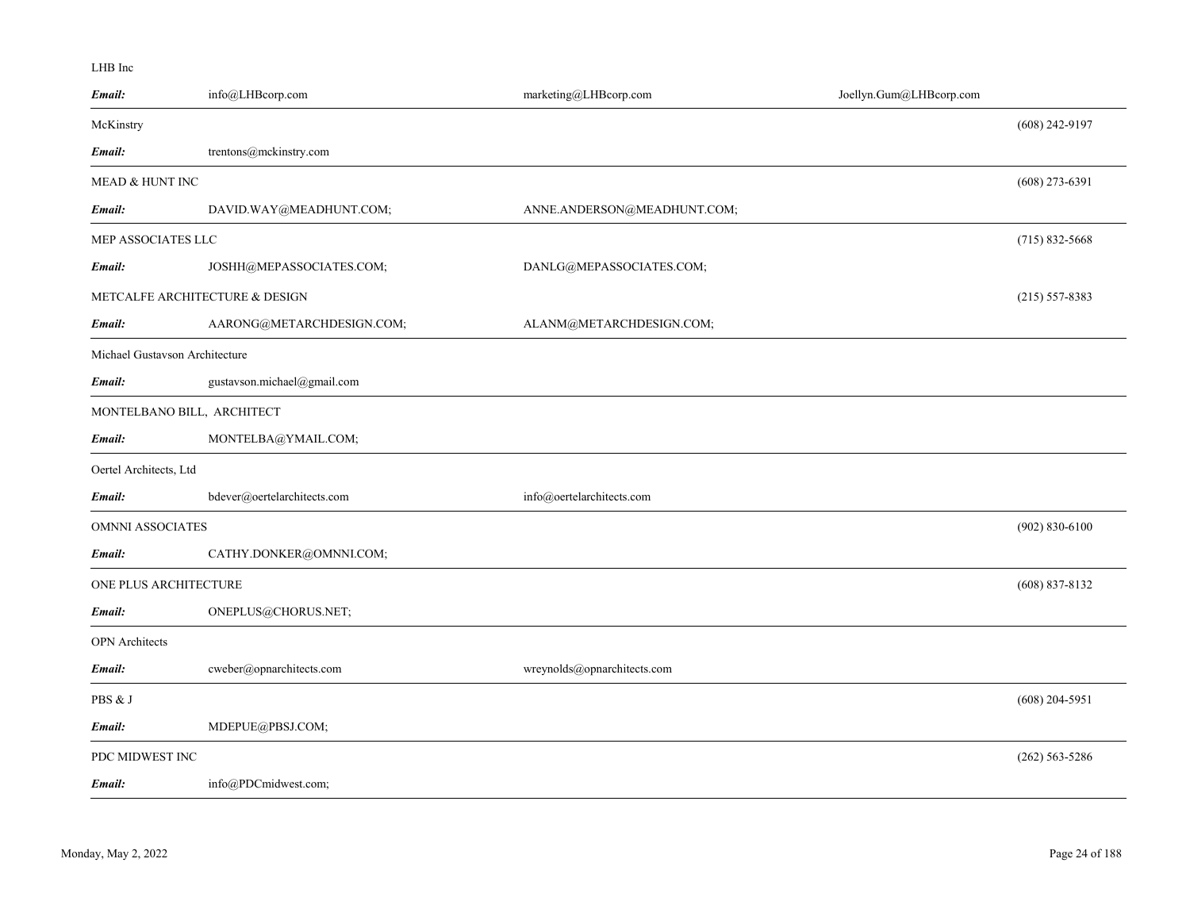#### LHB Inc

| Email:                         | info@LHBcorp.com               | marketing@LHBcorp.com       | Joellyn.Gum@LHBcorp.com |                    |
|--------------------------------|--------------------------------|-----------------------------|-------------------------|--------------------|
| McKinstry                      |                                |                             |                         | $(608)$ 242-9197   |
| Email:                         | trentons@mckinstry.com         |                             |                         |                    |
| MEAD & HUNT INC                |                                |                             |                         | $(608)$ 273-6391   |
| Email:                         | DAVID.WAY@MEADHUNT.COM;        | ANNE.ANDERSON@MEADHUNT.COM; |                         |                    |
| MEP ASSOCIATES LLC             |                                |                             |                         | $(715)$ 832-5668   |
| Email:                         | JOSHH@MEPASSOCIATES.COM;       | DANLG@MEPASSOCIATES.COM;    |                         |                    |
|                                | METCALFE ARCHITECTURE & DESIGN |                             |                         | $(215) 557 - 8383$ |
| Email:                         | AARONG@METARCHDESIGN.COM;      | ALANM@METARCHDESIGN.COM;    |                         |                    |
| Michael Gustavson Architecture |                                |                             |                         |                    |
| Email:                         | gustavson.michael@gmail.com    |                             |                         |                    |
| MONTELBANO BILL, ARCHITECT     |                                |                             |                         |                    |
| Email:                         | MONTELBA@YMAIL.COM;            |                             |                         |                    |
| Oertel Architects, Ltd         |                                |                             |                         |                    |
| Email:                         | bdever@oertelarchitects.com    | info@oertelarchitects.com   |                         |                    |
| <b>OMNNI ASSOCIATES</b>        |                                |                             |                         | $(902) 830 - 6100$ |
| Email:                         | CATHY.DONKER@OMNNI.COM;        |                             |                         |                    |
| ONE PLUS ARCHITECTURE          |                                |                             |                         | $(608)$ 837-8132   |
| Email:                         | ONEPLUS@CHORUS.NET;            |                             |                         |                    |
| <b>OPN</b> Architects          |                                |                             |                         |                    |
| Email:                         | cweber@opnarchitects.com       | wreynolds@opnarchitects.com |                         |                    |
| PBS & J                        |                                |                             |                         | $(608)$ 204-5951   |
| Email:                         | MDEPUE@PBSJ.COM;               |                             |                         |                    |
| PDC MIDWEST INC                |                                |                             |                         | $(262)$ 563-5286   |
| Email:                         | info@PDCmidwest.com;           |                             |                         |                    |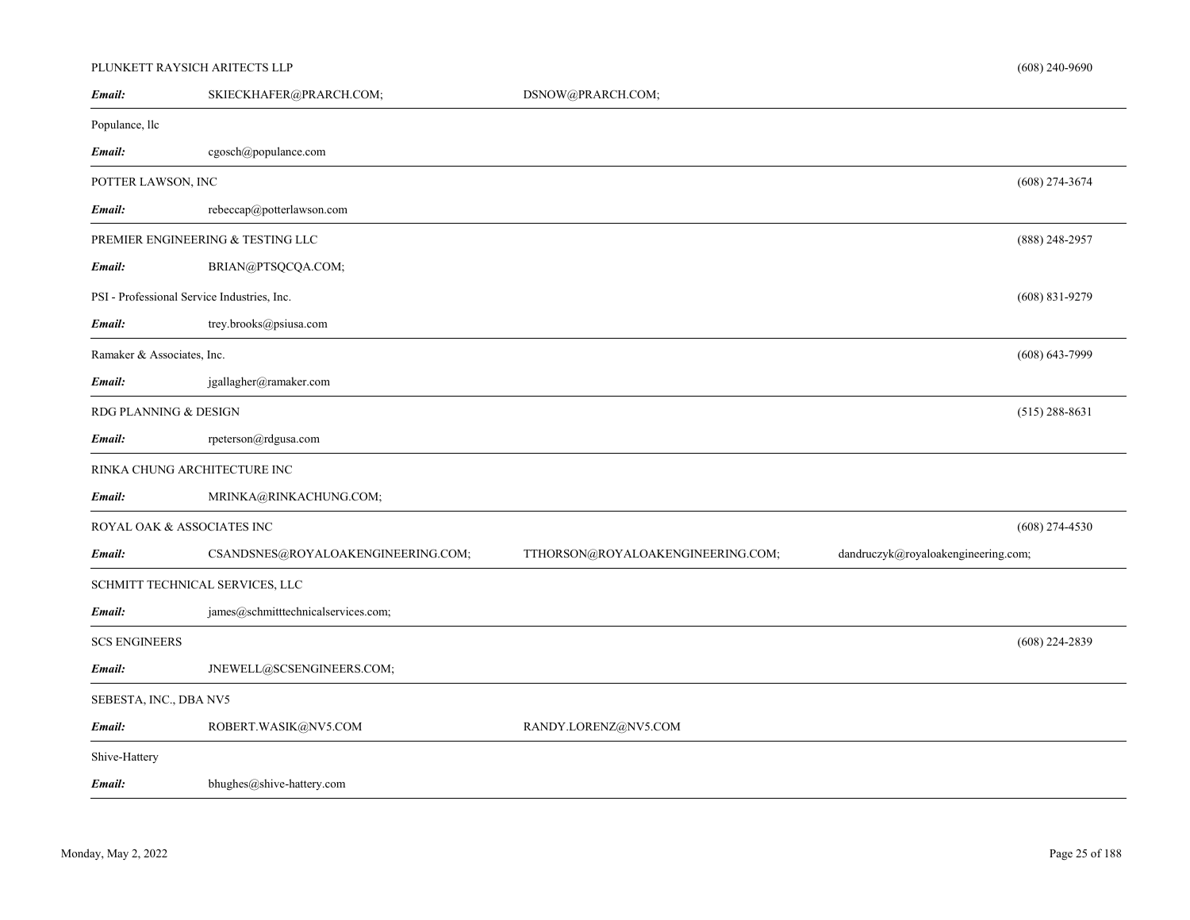# PLUNKETT RAYSICH ARITECTS LLP

| Email:                     | SKIECKHAFER@PRARCH.COM;                     | DSNOW@PRARCH.COM;                 |                                     |                    |
|----------------------------|---------------------------------------------|-----------------------------------|-------------------------------------|--------------------|
| Populance, llc             |                                             |                                   |                                     |                    |
| Email:                     | cgosch@populance.com                        |                                   |                                     |                    |
| POTTER LAWSON, INC         |                                             |                                   |                                     | $(608)$ 274-3674   |
| Email:                     | rebeccap@potterlawson.com                   |                                   |                                     |                    |
|                            | PREMIER ENGINEERING & TESTING LLC           |                                   |                                     | $(888)$ 248-2957   |
| Email:                     | BRIAN@PTSQCQA.COM;                          |                                   |                                     |                    |
|                            | PSI - Professional Service Industries, Inc. |                                   |                                     | $(608) 831 - 9279$ |
| Email:                     | trey.brooks@psiusa.com                      |                                   |                                     |                    |
| Ramaker & Associates, Inc. |                                             |                                   |                                     | $(608) 643 - 7999$ |
| Email:                     | jgallagher@ramaker.com                      |                                   |                                     |                    |
| RDG PLANNING & DESIGN      |                                             |                                   |                                     | $(515)$ 288-8631   |
| Email:                     | rpeterson@rdgusa.com                        |                                   |                                     |                    |
|                            | RINKA CHUNG ARCHITECTURE INC                |                                   |                                     |                    |
| Email:                     | MRINKA@RINKACHUNG.COM;                      |                                   |                                     |                    |
| ROYAL OAK & ASSOCIATES INC |                                             |                                   |                                     | $(608)$ 274-4530   |
| Email:                     | CSANDSNES@ROYALOAKENGINEERING.COM;          | TTHORSON@ROYALOAKENGINEERING.COM; | dandruczyk@royaloakengineering.com; |                    |
|                            | SCHMITT TECHNICAL SERVICES, LLC             |                                   |                                     |                    |
| Email:                     | james@schmitttechnicalservices.com;         |                                   |                                     |                    |
| <b>SCS ENGINEERS</b>       |                                             |                                   |                                     | $(608)$ 224-2839   |
| Email:                     | JNEWELL@SCSENGINEERS.COM;                   |                                   |                                     |                    |
| SEBESTA, INC., DBA NV5     |                                             |                                   |                                     |                    |
| Email:                     | ROBERT.WASIK@NV5.COM                        | RANDY.LORENZ@NV5.COM              |                                     |                    |
| Shive-Hattery              |                                             |                                   |                                     |                    |
| Email:                     | bhughes@shive-hattery.com                   |                                   |                                     |                    |
|                            |                                             |                                   |                                     |                    |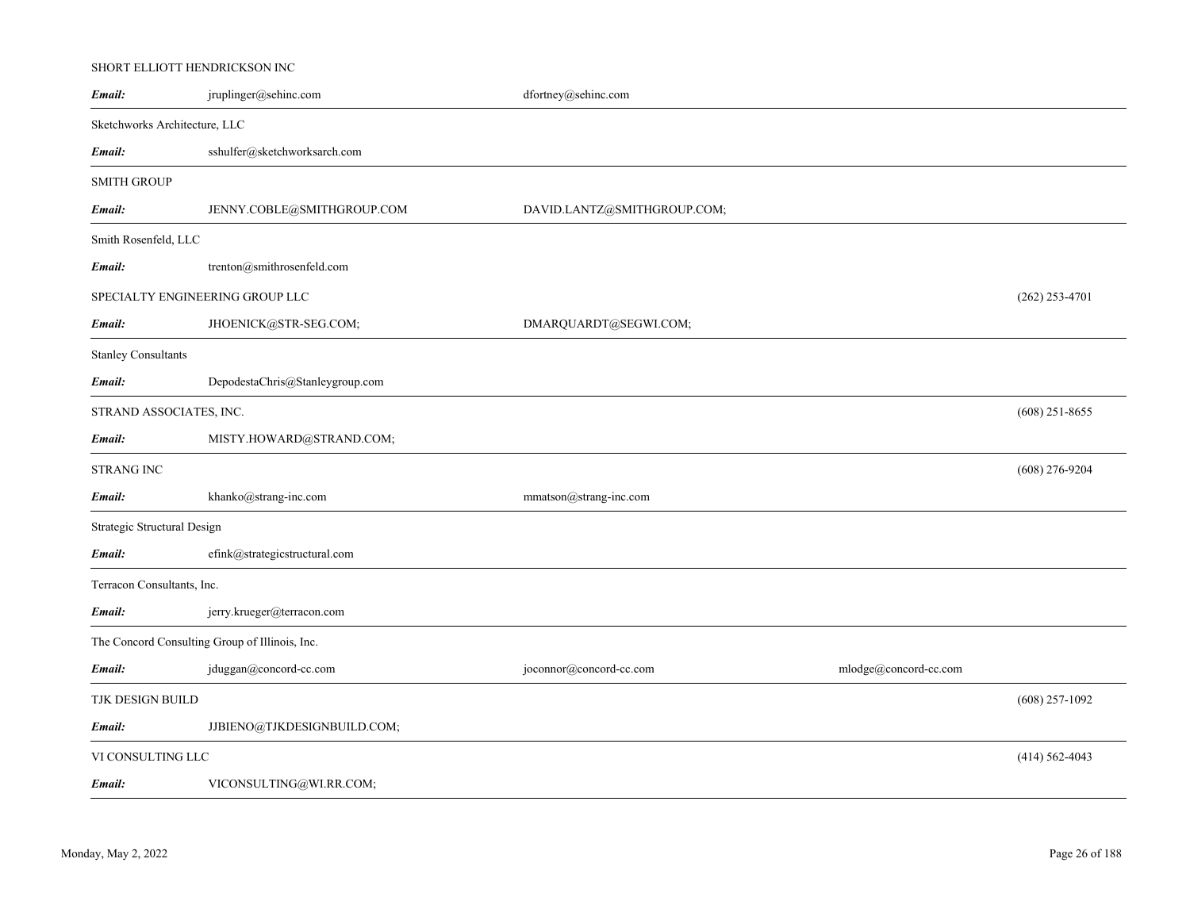# SHORT ELLIOTT HENDRICKSON INC

| Email:                                         | jruplinger@sehinc.com           | dfortney@sehinc.com         |                       |                    |
|------------------------------------------------|---------------------------------|-----------------------------|-----------------------|--------------------|
| Sketchworks Architecture, LLC                  |                                 |                             |                       |                    |
| Email:                                         | sshulfer@sketchworksarch.com    |                             |                       |                    |
| <b>SMITH GROUP</b>                             |                                 |                             |                       |                    |
| Email:                                         | JENNY.COBLE@SMITHGROUP.COM      | DAVID.LANTZ@SMITHGROUP.COM; |                       |                    |
| Smith Rosenfeld, LLC                           |                                 |                             |                       |                    |
| Email:                                         | trenton@smithrosenfeld.com      |                             |                       |                    |
| SPECIALTY ENGINEERING GROUP LLC                |                                 |                             |                       | $(262)$ 253-4701   |
| Email:                                         | JHOENICK@STR-SEG.COM;           | DMARQUARDT@SEGWI.COM;       |                       |                    |
| <b>Stanley Consultants</b>                     |                                 |                             |                       |                    |
| Email:                                         | DepodestaChris@Stanleygroup.com |                             |                       |                    |
| STRAND ASSOCIATES, INC.                        |                                 |                             |                       | $(608)$ 251-8655   |
| Email:                                         | MISTY.HOWARD@STRAND.COM;        |                             |                       |                    |
| <b>STRANG INC</b>                              |                                 |                             |                       | $(608)$ 276-9204   |
| Email:                                         | khanko@strang-inc.com           | mmatson@strang-inc.com      |                       |                    |
| Strategic Structural Design                    |                                 |                             |                       |                    |
| Email:                                         | efink@strategicstructural.com   |                             |                       |                    |
| Terracon Consultants, Inc.                     |                                 |                             |                       |                    |
| Email:                                         | jerry.krueger@terracon.com      |                             |                       |                    |
| The Concord Consulting Group of Illinois, Inc. |                                 |                             |                       |                    |
| Email:                                         | jduggan@concord-cc.com          | joconnor@concord-cc.com     | mlodge@concord-cc.com |                    |
| TJK DESIGN BUILD                               |                                 |                             |                       | $(608)$ 257-1092   |
| Email:                                         | JJBIENO@TJKDESIGNBUILD.COM;     |                             |                       |                    |
| VI CONSULTING LLC                              |                                 |                             |                       | $(414) 562 - 4043$ |
| Email:                                         | VICONSULTING@WI.RR.COM;         |                             |                       |                    |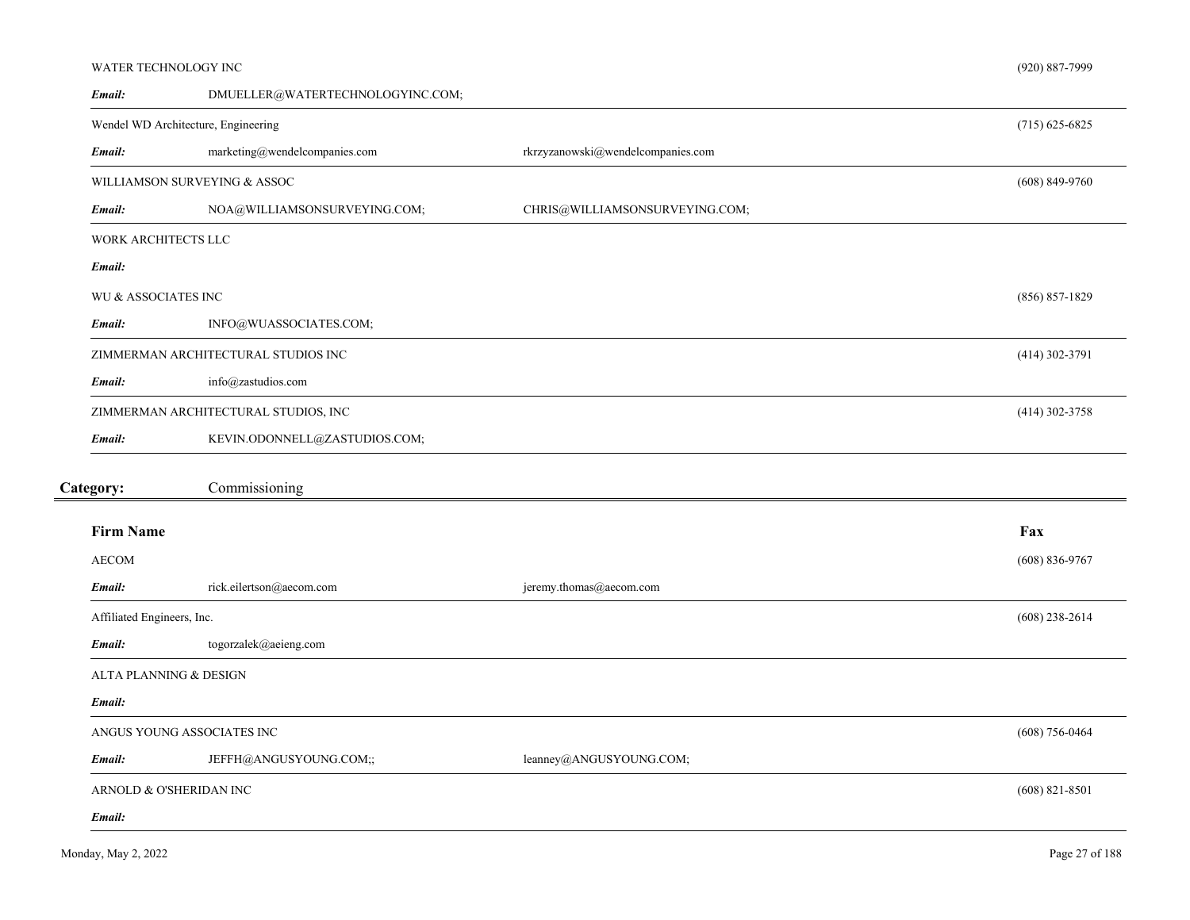#### WATER TECHNOLOGY INC

| Email:                     | DMUELLER@WATERTECHNOLOGYINC.COM;     |                                   |                    |
|----------------------------|--------------------------------------|-----------------------------------|--------------------|
|                            | Wendel WD Architecture, Engineering  |                                   | $(715)$ 625-6825   |
| Email:                     | marketing@wendelcompanies.com        | rkrzyzanowski@wendelcompanies.com |                    |
|                            | WILLIAMSON SURVEYING & ASSOC         |                                   | $(608) 849 - 9760$ |
| Email:                     | NOA@WILLIAMSONSURVEYING.COM;         | CHRIS@WILLIAMSONSURVEYING.COM;    |                    |
| WORK ARCHITECTS LLC        |                                      |                                   |                    |
| Email:                     |                                      |                                   |                    |
| WU & ASSOCIATES INC        |                                      |                                   | $(856) 857 - 1829$ |
| Email:                     | INFO@WUASSOCIATES.COM;               |                                   |                    |
|                            | ZIMMERMAN ARCHITECTURAL STUDIOS INC  |                                   | $(414)$ 302-3791   |
| Email:                     | info@zastudios.com                   |                                   |                    |
|                            | ZIMMERMAN ARCHITECTURAL STUDIOS, INC |                                   | $(414)$ 302-3758   |
| Email:                     | KEVIN.ODONNELL@ZASTUDIOS.COM;        |                                   |                    |
| Category:                  | Commissioning                        |                                   |                    |
| <b>Firm Name</b>           |                                      |                                   | Fax                |
| <b>AECOM</b>               |                                      |                                   | $(608) 836 - 9767$ |
| Email:                     | rick.eilertson@aecom.com             | jeremy.thomas@aecom.com           |                    |
| Affiliated Engineers, Inc. |                                      |                                   | $(608)$ 238-2614   |
| Email:                     | togorzalek@aeieng.com                |                                   |                    |
| ALTA PLANNING & DESIGN     |                                      |                                   |                    |
| Email:                     |                                      |                                   |                    |
|                            | ANGUS YOUNG ASSOCIATES INC           |                                   | $(608) 756 - 0464$ |
| Email:                     | JEFFH@ANGUSYOUNG.COM;;               | leanney@ANGUSYOUNG.COM;           |                    |
|                            | ARNOLD & O'SHERIDAN INC              |                                   | $(608)$ 821-8501   |
| Email:                     |                                      |                                   |                    |

(920) 887-7999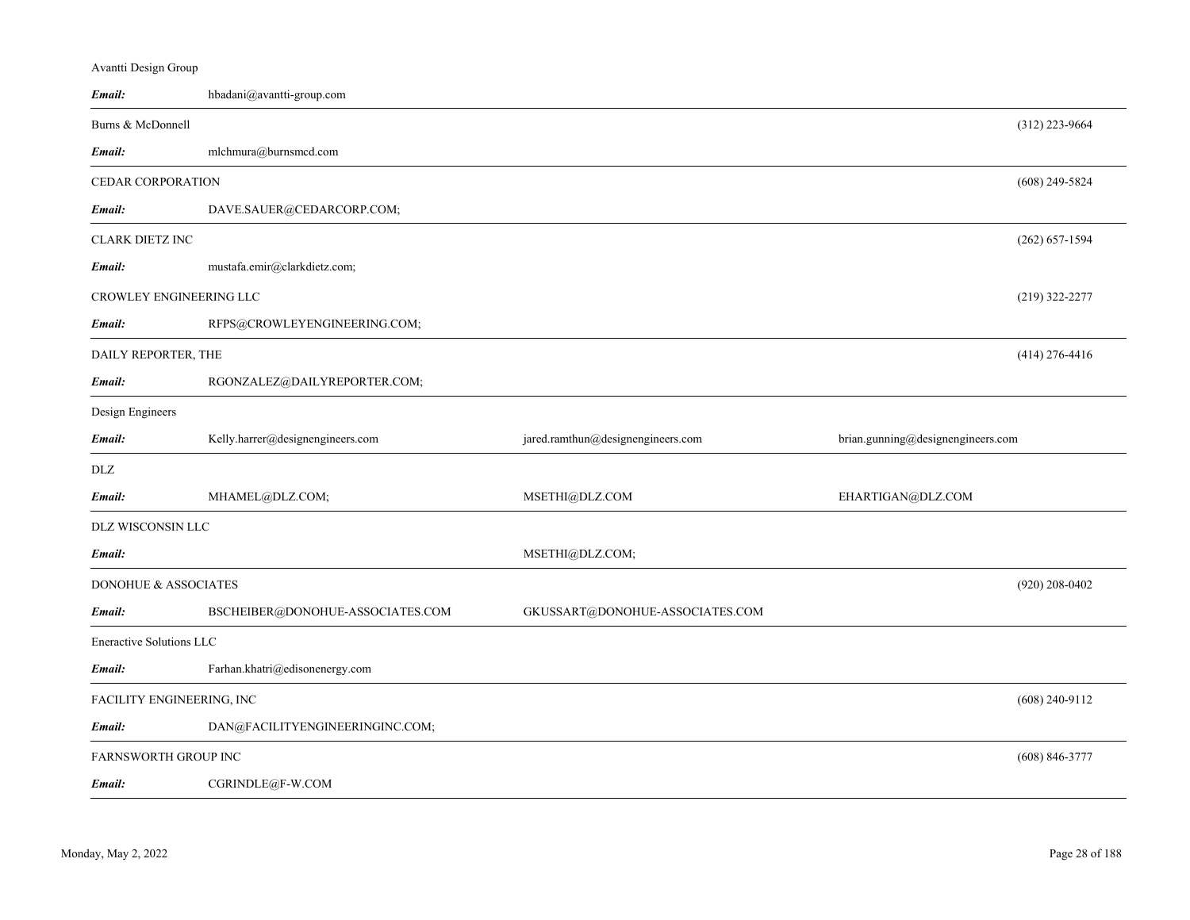| Email:                    | hbadani@avantti-group.com        |                                   |                                   |                    |
|---------------------------|----------------------------------|-----------------------------------|-----------------------------------|--------------------|
| Burns & McDonnell         |                                  |                                   |                                   | $(312)$ 223-9664   |
| Email:                    | mlchmura@burnsmcd.com            |                                   |                                   |                    |
| <b>CEDAR CORPORATION</b>  |                                  |                                   |                                   | $(608)$ 249-5824   |
| Email:                    | DAVE.SAUER@CEDARCORP.COM;        |                                   |                                   |                    |
| <b>CLARK DIETZ INC</b>    |                                  |                                   |                                   | $(262) 657 - 1594$ |
| Email:                    | mustafa.emir@clarkdietz.com;     |                                   |                                   |                    |
| CROWLEY ENGINEERING LLC   |                                  |                                   |                                   | $(219)$ 322-2277   |
| Email:                    | RFPS@CROWLEYENGINEERING.COM;     |                                   |                                   |                    |
| DAILY REPORTER, THE       |                                  |                                   |                                   | $(414)$ 276-4416   |
| Email:                    | RGONZALEZ@DAILYREPORTER.COM;     |                                   |                                   |                    |
| Design Engineers          |                                  |                                   |                                   |                    |
| Email:                    | Kelly.harrer@designengineers.com | jared.ramthun@designengineers.com | brian.gunning@designengineers.com |                    |
| DLZ                       |                                  |                                   |                                   |                    |
| Email:                    | MHAMEL@DLZ.COM;                  | MSETHI@DLZ.COM                    | EHARTIGAN@DLZ.COM                 |                    |
| DLZ WISCONSIN LLC         |                                  |                                   |                                   |                    |
| Email:                    |                                  | MSETHI@DLZ.COM;                   |                                   |                    |
| DONOHUE & ASSOCIATES      |                                  |                                   |                                   | $(920)$ 208-0402   |
| Email:                    | BSCHEIBER@DONOHUE-ASSOCIATES.COM | GKUSSART@DONOHUE-ASSOCIATES.COM   |                                   |                    |
| Eneractive Solutions LLC  |                                  |                                   |                                   |                    |
| Email:                    | Farhan.khatri@edisonenergy.com   |                                   |                                   |                    |
| FACILITY ENGINEERING, INC |                                  |                                   |                                   | $(608)$ 240-9112   |
| Email:                    | DAN@FACILITYENGINEERINGINC.COM;  |                                   |                                   |                    |
| FARNSWORTH GROUP INC      |                                  |                                   |                                   | $(608) 846 - 3777$ |
| Email:                    | CGRINDLE@F-W.COM                 |                                   |                                   |                    |

Avantti Design Group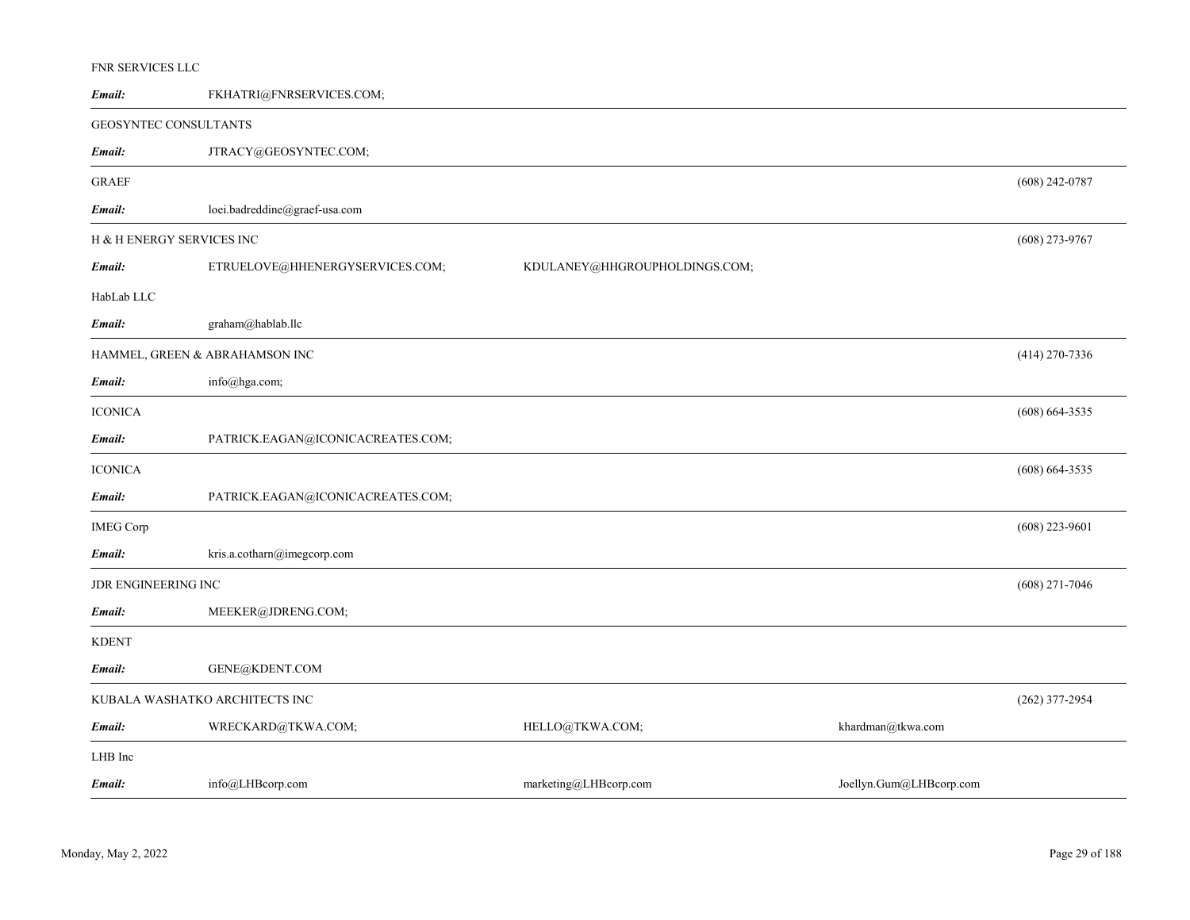# FNR SERVICES LLC

| Email:                    | FKHATRI@FNRSERVICES.COM;          |                               |                         |                    |
|---------------------------|-----------------------------------|-------------------------------|-------------------------|--------------------|
| GEOSYNTEC CONSULTANTS     |                                   |                               |                         |                    |
| Email:                    | JTRACY@GEOSYNTEC.COM;             |                               |                         |                    |
| <b>GRAEF</b>              |                                   |                               |                         | $(608)$ 242-0787   |
| Email:                    | loei.badreddine@graef-usa.com     |                               |                         |                    |
| H & H ENERGY SERVICES INC |                                   |                               |                         | $(608)$ 273-9767   |
| Email:                    | ETRUELOVE@HHENERGYSERVICES.COM;   | KDULANEY@HHGROUPHOLDINGS.COM; |                         |                    |
| HabLab LLC                |                                   |                               |                         |                    |
| Email:                    | graham@hablab.llc                 |                               |                         |                    |
|                           | HAMMEL, GREEN & ABRAHAMSON INC    |                               |                         | $(414)$ 270-7336   |
| Email:                    | info@hga.com;                     |                               |                         |                    |
| <b>ICONICA</b>            |                                   |                               |                         | $(608) 664 - 3535$ |
| Email:                    | PATRICK.EAGAN@ICONICACREATES.COM; |                               |                         |                    |
| <b>ICONICA</b>            |                                   |                               |                         | $(608) 664 - 3535$ |
| Email:                    | PATRICK.EAGAN@ICONICACREATES.COM; |                               |                         |                    |
| <b>IMEG Corp</b>          |                                   |                               |                         | $(608)$ 223-9601   |
| Email:                    | kris.a.cotharn@imegcorp.com       |                               |                         |                    |
| JDR ENGINEERING INC       |                                   |                               |                         | $(608)$ 271-7046   |
| Email:                    | MEEKER@JDRENG.COM;                |                               |                         |                    |
| KDENT                     |                                   |                               |                         |                    |
| Email:                    | GENE@KDENT.COM                    |                               |                         |                    |
|                           | KUBALA WASHATKO ARCHITECTS INC    |                               |                         | $(262)$ 377-2954   |
| Email:                    | WRECKARD@TKWA.COM;                | HELLO@TKWA.COM;               | khardman@tkwa.com       |                    |
| LHB Inc                   |                                   |                               |                         |                    |
| Email:                    | info@LHBcorp.com                  | marketing@LHBcorp.com         | Joellyn.Gum@LHBcorp.com |                    |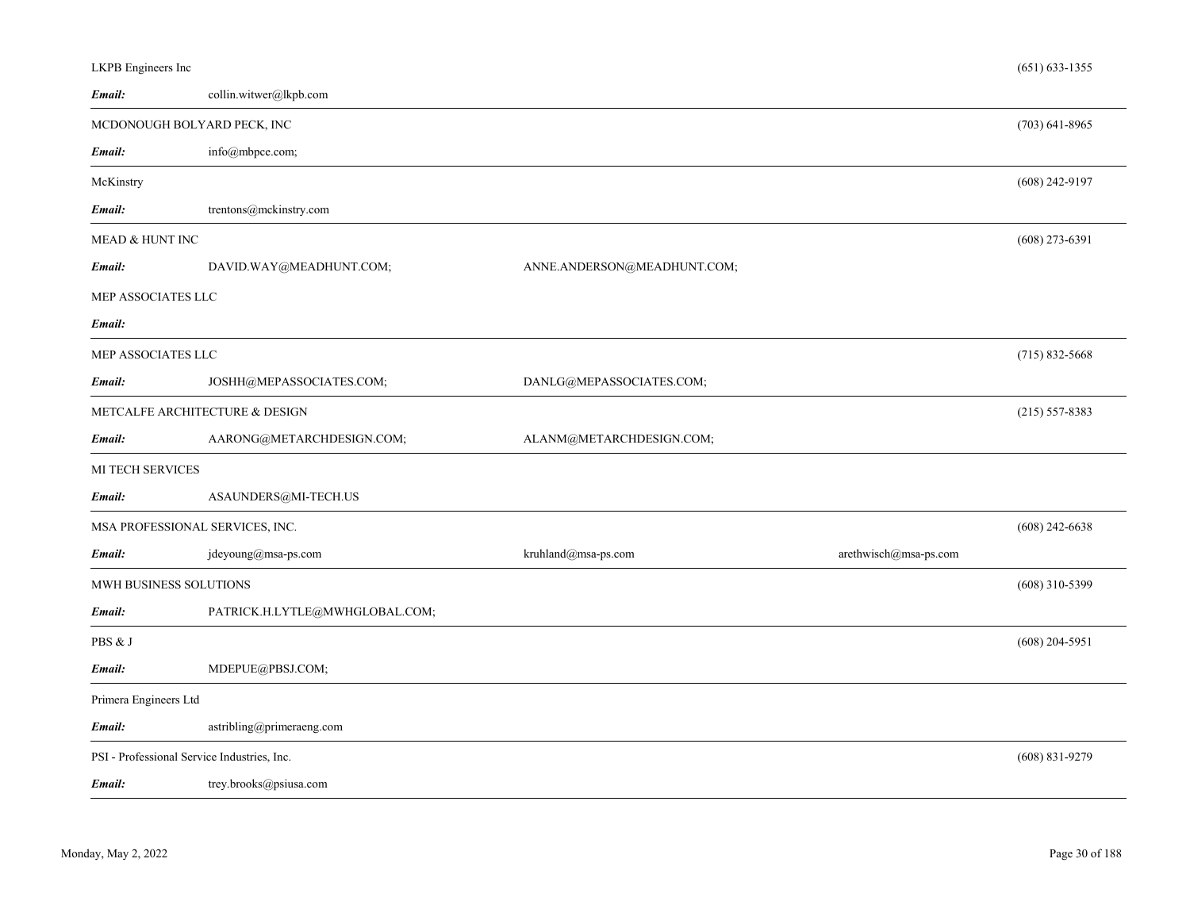| LKPB Engineers Inc                          |                                |                             |                       | $(651) 633 - 1355$ |
|---------------------------------------------|--------------------------------|-----------------------------|-----------------------|--------------------|
| Email:                                      | collin.witwer@lkpb.com         |                             |                       |                    |
| MCDONOUGH BOLYARD PECK, INC                 |                                |                             |                       | $(703)$ 641-8965   |
| Email:                                      | info@mbpce.com;                |                             |                       |                    |
| McKinstry                                   |                                |                             |                       | $(608)$ 242-9197   |
| Email:                                      | trentons@mckinstry.com         |                             |                       |                    |
| MEAD & HUNT INC                             |                                |                             |                       | $(608)$ 273-6391   |
| Email:                                      | DAVID.WAY@MEADHUNT.COM;        | ANNE.ANDERSON@MEADHUNT.COM; |                       |                    |
| MEP ASSOCIATES LLC                          |                                |                             |                       |                    |
| Email:                                      |                                |                             |                       |                    |
| MEP ASSOCIATES LLC                          |                                |                             |                       | $(715)$ 832-5668   |
| Email:                                      | JOSHH@MEPASSOCIATES.COM;       | DANLG@MEPASSOCIATES.COM;    |                       |                    |
|                                             | METCALFE ARCHITECTURE & DESIGN |                             |                       | $(215) 557 - 8383$ |
| Email:                                      | AARONG@METARCHDESIGN.COM;      | ALANM@METARCHDESIGN.COM;    |                       |                    |
| <b>MI TECH SERVICES</b>                     |                                |                             |                       |                    |
| Email:                                      | ASAUNDERS@MI-TECH.US           |                             |                       |                    |
| MSA PROFESSIONAL SERVICES, INC.             |                                |                             |                       | $(608)$ 242-6638   |
| Email:                                      | jdeyoung@msa-ps.com            | kruhland@msa-ps.com         | arethwisch@msa-ps.com |                    |
| MWH BUSINESS SOLUTIONS                      |                                |                             |                       | $(608)$ 310-5399   |
| Email:                                      | PATRICK.H.LYTLE@MWHGLOBAL.COM; |                             |                       |                    |
| PBS & J                                     |                                |                             |                       | $(608)$ 204-5951   |
| Email:                                      | MDEPUE@PBSJ.COM;               |                             |                       |                    |
| Primera Engineers Ltd                       |                                |                             |                       |                    |
| Email:                                      | astribling@primeraeng.com      |                             |                       |                    |
| PSI - Professional Service Industries, Inc. |                                |                             |                       | $(608) 831 - 9279$ |
| Email:                                      | trey.brooks@psiusa.com         |                             |                       |                    |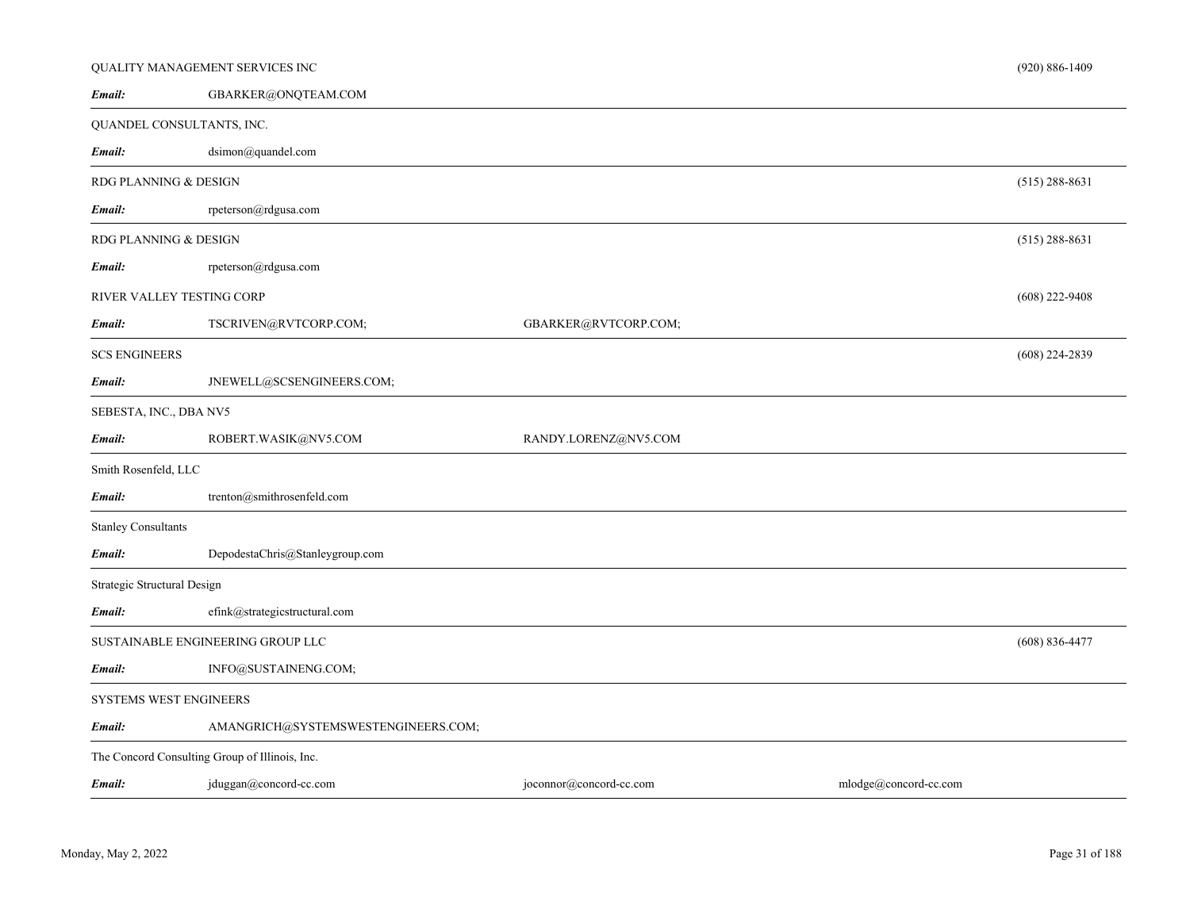|                             | QUALITY MANAGEMENT SERVICES INC                |                         |                       |                    |  |  |
|-----------------------------|------------------------------------------------|-------------------------|-----------------------|--------------------|--|--|
| Email:                      | GBARKER@ONQTEAM.COM                            |                         |                       |                    |  |  |
| QUANDEL CONSULTANTS, INC.   |                                                |                         |                       |                    |  |  |
| Email:                      | dsimon@quandel.com                             |                         |                       |                    |  |  |
| RDG PLANNING & DESIGN       |                                                |                         |                       | $(515)$ 288-8631   |  |  |
| Email:                      | rpeterson@rdgusa.com                           |                         |                       |                    |  |  |
| RDG PLANNING & DESIGN       |                                                |                         |                       | $(515)$ 288-8631   |  |  |
| Email:                      | rpeterson@rdgusa.com                           |                         |                       |                    |  |  |
| RIVER VALLEY TESTING CORP   |                                                |                         |                       | $(608)$ 222-9408   |  |  |
| Email:                      | TSCRIVEN@RVTCORP.COM;                          | GBARKER@RVTCORP.COM;    |                       |                    |  |  |
| <b>SCS ENGINEERS</b>        |                                                |                         |                       | $(608)$ 224-2839   |  |  |
| Email:                      | JNEWELL@SCSENGINEERS.COM;                      |                         |                       |                    |  |  |
| SEBESTA, INC., DBA NV5      |                                                |                         |                       |                    |  |  |
| Email:                      | ROBERT.WASIK@NV5.COM                           | RANDY.LORENZ@NV5.COM    |                       |                    |  |  |
| Smith Rosenfeld, LLC        |                                                |                         |                       |                    |  |  |
| Email:                      | trenton@smithrosenfeld.com                     |                         |                       |                    |  |  |
| <b>Stanley Consultants</b>  |                                                |                         |                       |                    |  |  |
| Email:                      | DepodestaChris@Stanleygroup.com                |                         |                       |                    |  |  |
| Strategic Structural Design |                                                |                         |                       |                    |  |  |
| Email:                      | efink@strategicstructural.com                  |                         |                       |                    |  |  |
|                             | SUSTAINABLE ENGINEERING GROUP LLC              |                         |                       | $(608) 836 - 4477$ |  |  |
| Email:                      | INFO@SUSTAINENG.COM;                           |                         |                       |                    |  |  |
|                             | SYSTEMS WEST ENGINEERS                         |                         |                       |                    |  |  |
| Email:                      | AMANGRICH@SYSTEMSWESTENGINEERS.COM;            |                         |                       |                    |  |  |
|                             | The Concord Consulting Group of Illinois, Inc. |                         |                       |                    |  |  |
| Email:                      | jduggan@concord-cc.com                         | joconnor@concord-cc.com | mlodge@concord-cc.com |                    |  |  |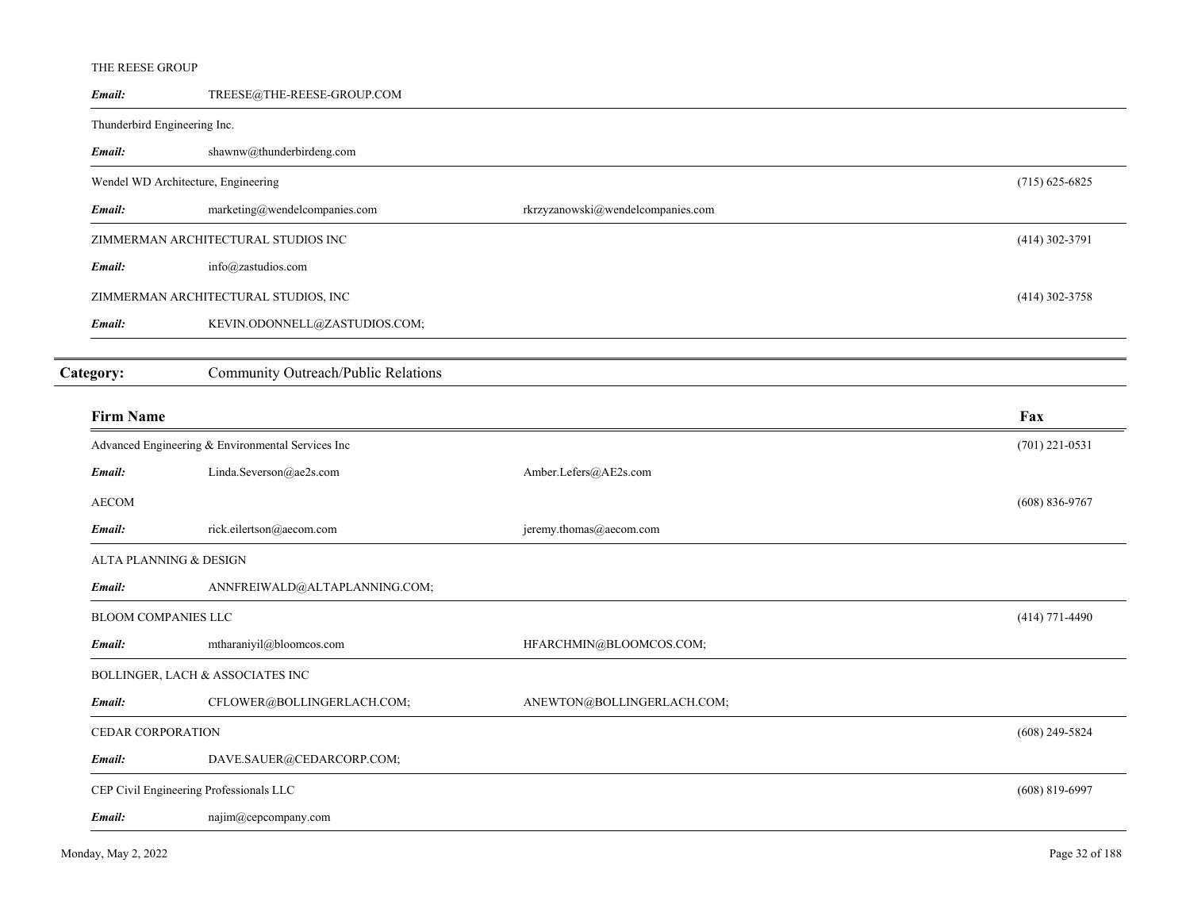# THE REESE GROUP

| Email:                       | TREESE@THE-REESE-GROUP.COM                        |                                   |                    |
|------------------------------|---------------------------------------------------|-----------------------------------|--------------------|
| Thunderbird Engineering Inc. |                                                   |                                   |                    |
| Email:                       | shawnw@thunderbirdeng.com                         |                                   |                    |
|                              | Wendel WD Architecture, Engineering               |                                   | $(715)$ 625-6825   |
| Email:                       | marketing@wendelcompanies.com                     | rkrzyzanowski@wendelcompanies.com |                    |
|                              | ZIMMERMAN ARCHITECTURAL STUDIOS INC               |                                   | $(414)$ 302-3791   |
| Email:                       | info@zastudios.com                                |                                   |                    |
|                              | ZIMMERMAN ARCHITECTURAL STUDIOS, INC              |                                   | $(414)$ 302-3758   |
| Email:                       | KEVIN.ODONNELL@ZASTUDIOS.COM;                     |                                   |                    |
|                              |                                                   |                                   |                    |
| Category:                    | Community Outreach/Public Relations               |                                   |                    |
| <b>Firm Name</b>             |                                                   |                                   | Fax                |
|                              | Advanced Engineering & Environmental Services Inc |                                   | $(701)$ 221-0531   |
| Email:                       | Linda.Severson@ae2s.com                           | Amber.Lefers@AE2s.com             |                    |
| <b>AECOM</b>                 |                                                   |                                   | $(608) 836 - 9767$ |
| Email:                       | rick.eilertson@aecom.com                          | jeremy.thomas@aecom.com           |                    |
| ALTA PLANNING & DESIGN       |                                                   |                                   |                    |
| Email:                       | ANNFREIWALD@ALTAPLANNING.COM;                     |                                   |                    |
| <b>BLOOM COMPANIES LLC</b>   |                                                   |                                   | $(414)$ 771-4490   |
| Email:                       | mtharaniyil@bloomcos.com                          | HFARCHMIN@BLOOMCOS.COM;           |                    |
|                              | BOLLINGER, LACH & ASSOCIATES INC                  |                                   |                    |
| Email:                       | CFLOWER@BOLLINGERLACH.COM;                        | ANEWTON@BOLLINGERLACH.COM;        |                    |
| <b>CEDAR CORPORATION</b>     |                                                   |                                   | $(608)$ 249-5824   |
| Email:                       | DAVE.SAUER@CEDARCORP.COM;                         |                                   |                    |
|                              | CEP Civil Engineering Professionals LLC           |                                   | $(608)$ 819-6997   |
| Email:                       | najim@cepcompany.com                              |                                   |                    |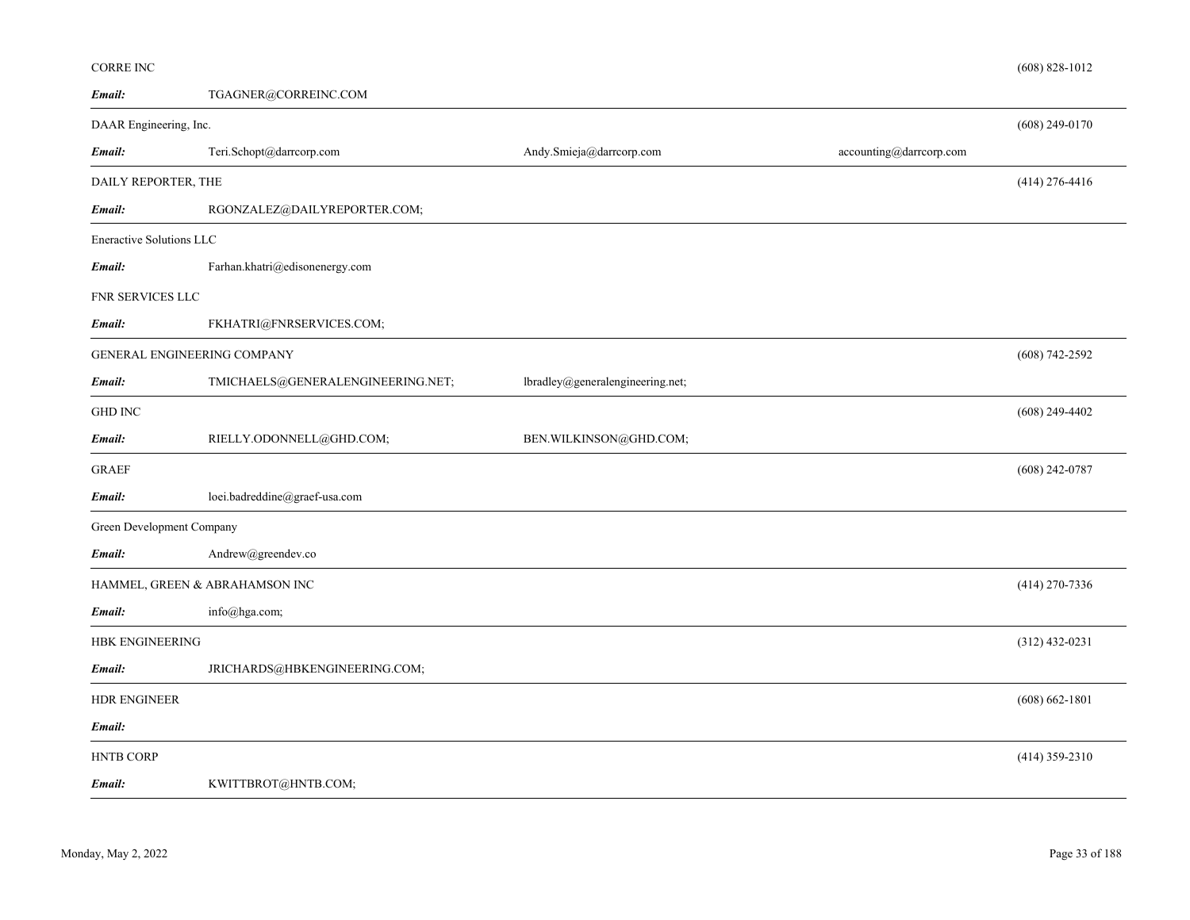| TGAGNER@CORREINC.COM              |                                                                                                                                                                         |                         |                    |
|-----------------------------------|-------------------------------------------------------------------------------------------------------------------------------------------------------------------------|-------------------------|--------------------|
|                                   |                                                                                                                                                                         |                         | $(608)$ 249-0170   |
| Teri.Schopt@darrcorp.com          | Andy.Smieja@darrcorp.com                                                                                                                                                | accounting@darrcorp.com |                    |
|                                   |                                                                                                                                                                         |                         | $(414)$ 276-4416   |
| RGONZALEZ@DAILYREPORTER.COM;      |                                                                                                                                                                         |                         |                    |
|                                   |                                                                                                                                                                         |                         |                    |
| Farhan.khatri@edisonenergy.com    |                                                                                                                                                                         |                         |                    |
|                                   |                                                                                                                                                                         |                         |                    |
| FKHATRI@FNRSERVICES.COM;          |                                                                                                                                                                         |                         |                    |
|                                   |                                                                                                                                                                         |                         | $(608)$ 742-2592   |
| TMICHAELS@GENERALENGINEERING.NET; | lbradley@generalengineering.net;                                                                                                                                        |                         |                    |
|                                   |                                                                                                                                                                         |                         | $(608)$ 249-4402   |
| RIELLY.ODONNELL@GHD.COM;          | BEN.WILKINSON@GHD.COM;                                                                                                                                                  |                         |                    |
|                                   |                                                                                                                                                                         |                         | $(608)$ 242-0787   |
| loei.badreddine@graef-usa.com     |                                                                                                                                                                         |                         |                    |
|                                   |                                                                                                                                                                         |                         |                    |
| Andrew@greendev.co                |                                                                                                                                                                         |                         |                    |
|                                   |                                                                                                                                                                         |                         | $(414)$ 270-7336   |
| info@hga.com;                     |                                                                                                                                                                         |                         |                    |
|                                   |                                                                                                                                                                         |                         | $(312)$ 432-0231   |
| JRICHARDS@HBKENGINEERING.COM;     |                                                                                                                                                                         |                         |                    |
|                                   |                                                                                                                                                                         |                         | $(608) 662 - 1801$ |
|                                   |                                                                                                                                                                         |                         |                    |
|                                   |                                                                                                                                                                         |                         | $(414)$ 359-2310   |
| KWITTBROT@HNTB.COM;               |                                                                                                                                                                         |                         |                    |
|                                   | DAAR Engineering, Inc.<br>DAILY REPORTER, THE<br>Eneractive Solutions LLC<br>GENERAL ENGINEERING COMPANY<br>Green Development Company<br>HAMMEL, GREEN & ABRAHAMSON INC |                         |                    |

(608) 828-1012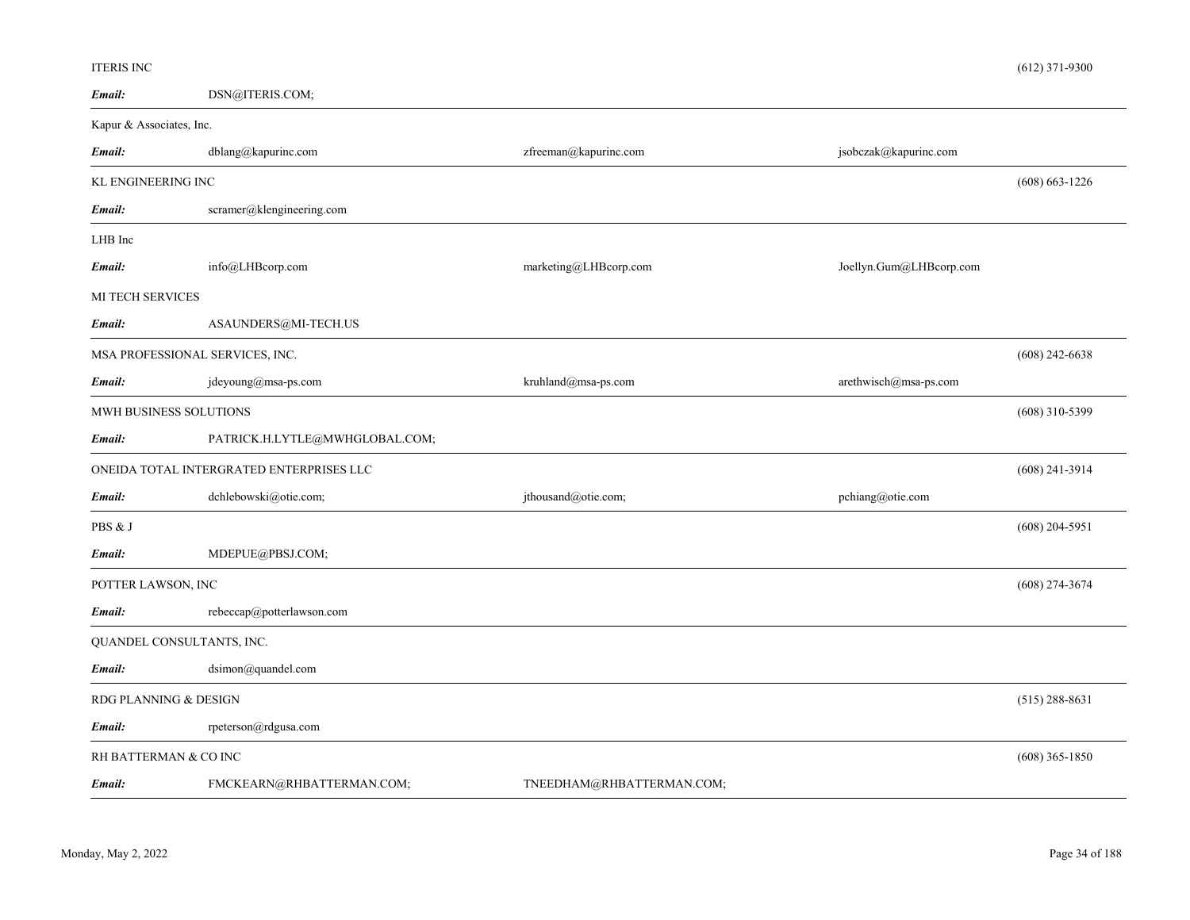#### ITERIS INC

| Email:                                    | DSN@ITERIS.COM;                          |                           |                         |                    |
|-------------------------------------------|------------------------------------------|---------------------------|-------------------------|--------------------|
| Kapur & Associates, Inc.                  |                                          |                           |                         |                    |
| Email:                                    | dblang@kapurinc.com                      | zfreeman@kapurinc.com     | jsobczak@kapurinc.com   |                    |
| KL ENGINEERING INC                        |                                          |                           |                         | $(608) 663 - 1226$ |
| Email:                                    | scramer@klengineering.com                |                           |                         |                    |
| LHB Inc                                   |                                          |                           |                         |                    |
| Email:                                    | info@LHBcorp.com                         | marketing@LHBcorp.com     | Joellyn.Gum@LHBcorp.com |                    |
| MI TECH SERVICES                          |                                          |                           |                         |                    |
| Email:                                    | ASAUNDERS@MI-TECH.US                     |                           |                         |                    |
| MSA PROFESSIONAL SERVICES, INC.           |                                          |                           |                         | $(608)$ 242-6638   |
| Email:                                    | jdeyoung@msa-ps.com                      | kruhland@msa-ps.com       | arethwisch@msa-ps.com   |                    |
| MWH BUSINESS SOLUTIONS                    |                                          |                           |                         | $(608)$ 310-5399   |
| Email:                                    | PATRICK.H.LYTLE@MWHGLOBAL.COM;           |                           |                         |                    |
|                                           | ONEIDA TOTAL INTERGRATED ENTERPRISES LLC |                           |                         | $(608)$ 241-3914   |
| Email:                                    | dchlebowski@otie.com;                    | jthousand@otie.com;       | pchiang@otie.com        |                    |
| PBS & J                                   |                                          |                           |                         | $(608)$ 204-5951   |
| Email:                                    | MDEPUE@PBSJ.COM;                         |                           |                         |                    |
| POTTER LAWSON, INC                        |                                          |                           |                         | $(608)$ 274-3674   |
| Email:                                    | rebeccap@potterlawson.com                |                           |                         |                    |
| QUANDEL CONSULTANTS, INC.                 |                                          |                           |                         |                    |
| Email:                                    | dsimon@quandel.com                       |                           |                         |                    |
| RDG PLANNING & DESIGN                     |                                          |                           | $(515)$ 288-8631        |                    |
| Email:                                    | rpeterson@rdgusa.com                     |                           |                         |                    |
| RH BATTERMAN & CO INC<br>$(608)$ 365-1850 |                                          |                           |                         |                    |
| Email:                                    | FMCKEARN@RHBATTERMAN.COM;                | TNEEDHAM@RHBATTERMAN.COM; |                         |                    |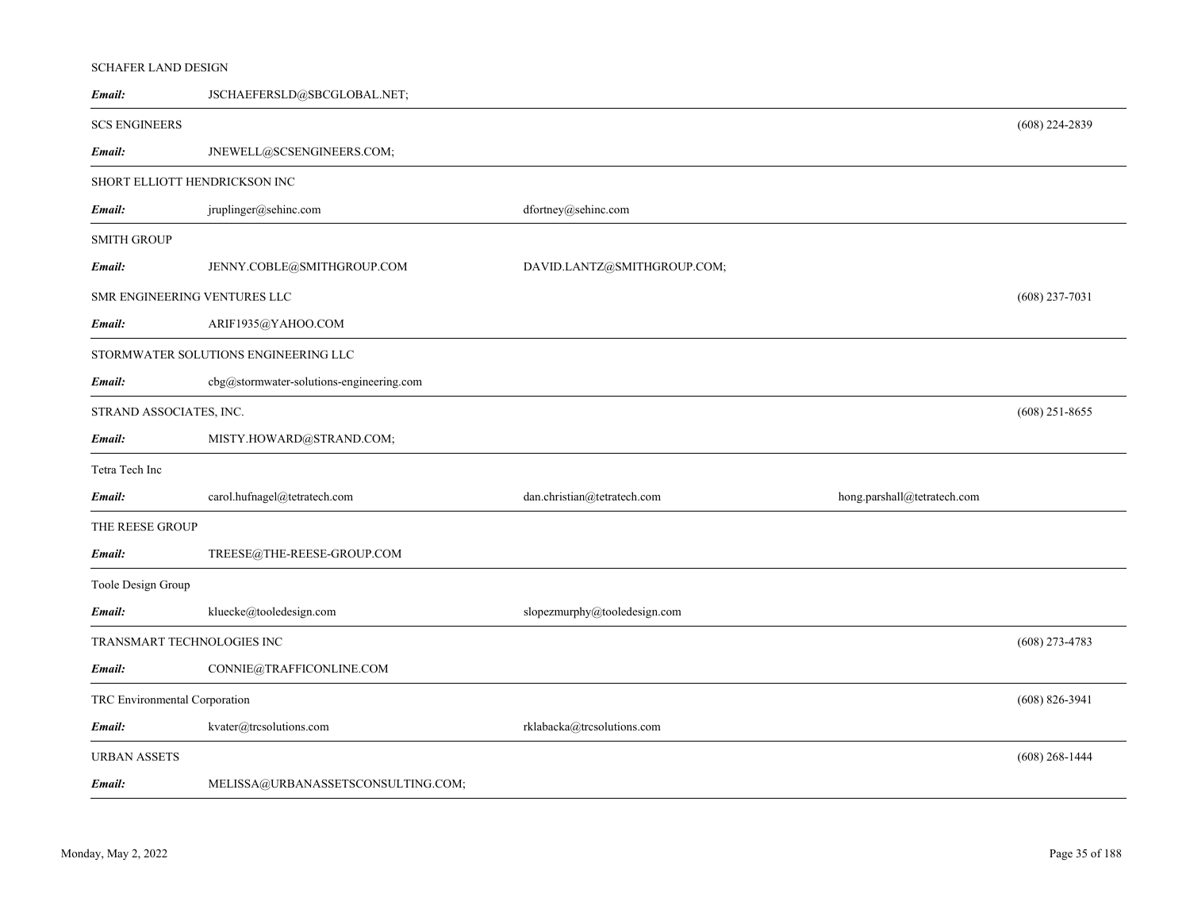# SCHAFER LAND DESIGN

| Email:                        | JSCHAEFERSLD@SBCGLOBAL.NET;              |                              |                             |                  |
|-------------------------------|------------------------------------------|------------------------------|-----------------------------|------------------|
| <b>SCS ENGINEERS</b>          |                                          |                              |                             | $(608)$ 224-2839 |
| Email:                        | JNEWELL@SCSENGINEERS.COM;                |                              |                             |                  |
| SHORT ELLIOTT HENDRICKSON INC |                                          |                              |                             |                  |
| Email:                        | jruplinger@sehinc.com                    | dfortney@sehinc.com          |                             |                  |
| <b>SMITH GROUP</b>            |                                          |                              |                             |                  |
| Email:                        | JENNY.COBLE@SMITHGROUP.COM               | DAVID.LANTZ@SMITHGROUP.COM;  |                             |                  |
| SMR ENGINEERING VENTURES LLC  |                                          |                              |                             | $(608)$ 237-7031 |
| Email:                        | ARIF1935@YAHOO.COM                       |                              |                             |                  |
|                               | STORMWATER SOLUTIONS ENGINEERING LLC     |                              |                             |                  |
| Email:                        | cbg@stormwater-solutions-engineering.com |                              |                             |                  |
| STRAND ASSOCIATES, INC.       |                                          |                              |                             | $(608)$ 251-8655 |
| Email:                        | MISTY.HOWARD@STRAND.COM;                 |                              |                             |                  |
| Tetra Tech Inc                |                                          |                              |                             |                  |
| Email:                        | carol.hufnagel@tetratech.com             | dan.christian@tetratech.com  | hong.parshall@tetratech.com |                  |
| THE REESE GROUP               |                                          |                              |                             |                  |
| Email:                        | TREESE@THE-REESE-GROUP.COM               |                              |                             |                  |
| Toole Design Group            |                                          |                              |                             |                  |
| Email:                        | kluecke@tooledesign.com                  | slopezmurphy@tooledesign.com |                             |                  |
| TRANSMART TECHNOLOGIES INC    |                                          |                              |                             | $(608)$ 273-4783 |
| Email:                        | CONNIE@TRAFFICONLINE.COM                 |                              |                             |                  |
| TRC Environmental Corporation |                                          |                              |                             | $(608)$ 826-3941 |
| Email:                        | kvater@trcsolutions.com                  | rklabacka@trcsolutions.com   |                             |                  |
| URBAN ASSETS                  |                                          |                              |                             | $(608)$ 268-1444 |
| Email:                        | MELISSA@URBANASSETSCONSULTING.COM;       |                              |                             |                  |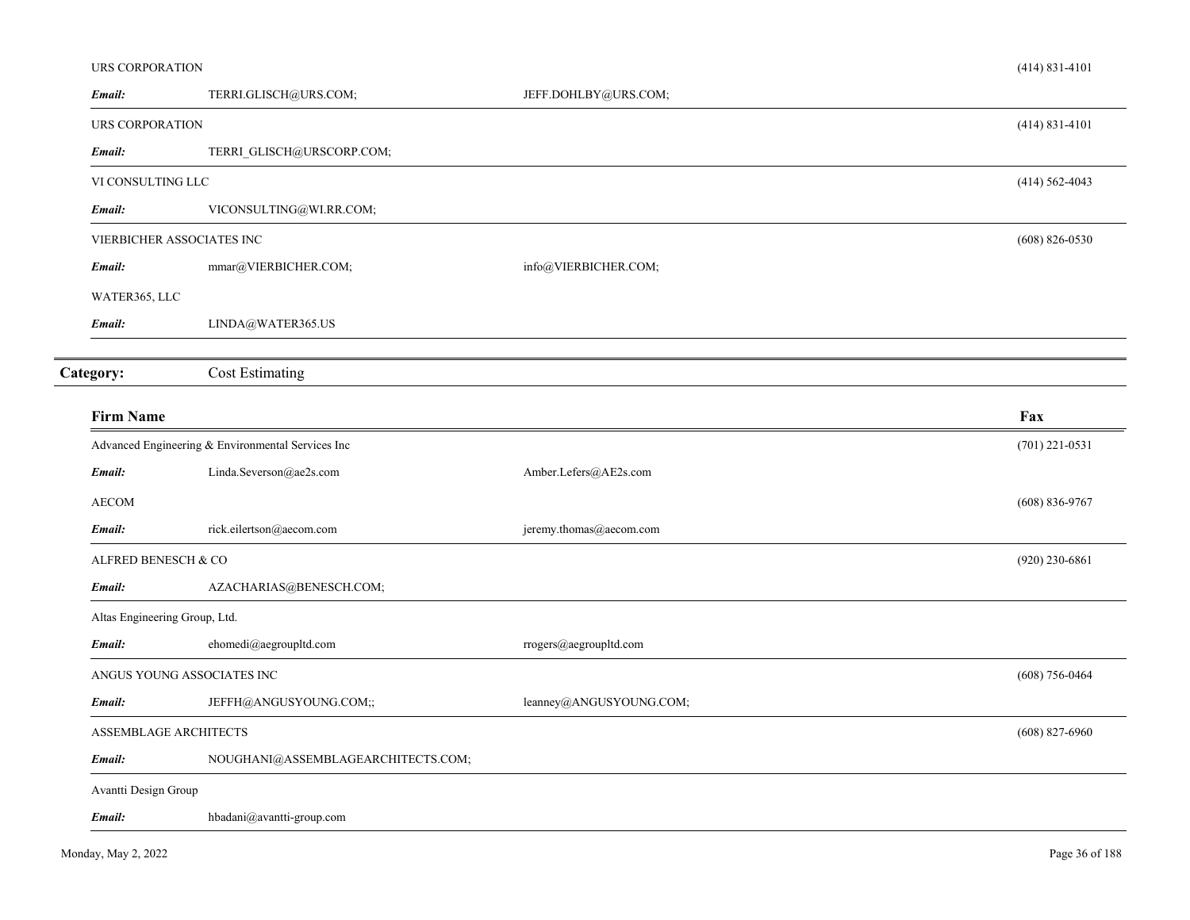| URS CORPORATION               |                                                   |                         | $(414) 831 - 4101$ |
|-------------------------------|---------------------------------------------------|-------------------------|--------------------|
| Email:                        | TERRI.GLISCH@URS.COM;                             | JEFF.DOHLBY@URS.COM;    |                    |
| URS CORPORATION               |                                                   |                         | $(414)$ 831-4101   |
| Email:                        | TERRI_GLISCH@URSCORP.COM;                         |                         |                    |
| VI CONSULTING LLC             |                                                   |                         | $(414) 562 - 4043$ |
| Email:                        | VICONSULTING@WI.RR.COM;                           |                         |                    |
|                               | VIERBICHER ASSOCIATES INC                         |                         | $(608)$ 826-0530   |
| Email:                        | mmar@VIERBICHER.COM;                              | info@VIERBICHER.COM;    |                    |
| WATER365, LLC                 |                                                   |                         |                    |
| Email:                        | LINDA@WATER365.US                                 |                         |                    |
|                               |                                                   |                         |                    |
| Category:                     | <b>Cost Estimating</b>                            |                         |                    |
| <b>Firm Name</b>              |                                                   |                         | Fax                |
|                               | Advanced Engineering & Environmental Services Inc |                         | $(701)$ 221-0531   |
| Email:                        | Linda.Severson@ae2s.com                           | Amber.Lefers@AE2s.com   |                    |
| <b>AECOM</b>                  |                                                   |                         | $(608) 836 - 9767$ |
| Email:                        | rick.eilertson@aecom.com                          | jeremy.thomas@aecom.com |                    |
| ALFRED BENESCH & CO           |                                                   |                         | $(920)$ 230-6861   |
| Email:                        | AZACHARIAS@BENESCH.COM;                           |                         |                    |
| Altas Engineering Group, Ltd. |                                                   |                         |                    |
| Email:                        | ehomedi@aegroupltd.com                            | rrogers@aegroupltd.com  |                    |
|                               | ANGUS YOUNG ASSOCIATES INC                        |                         | $(608)$ 756-0464   |
| Email:                        | JEFFH@ANGUSYOUNG.COM;;                            | leanney@ANGUSYOUNG.COM; |                    |
| ASSEMBLAGE ARCHITECTS         |                                                   |                         | $(608)$ 827-6960   |
| Email:                        | NOUGHANI@ASSEMBLAGEARCHITECTS.COM;                |                         |                    |
| Avantti Design Group          |                                                   |                         |                    |
| Email:                        | hbadani@avantti-group.com                         |                         |                    |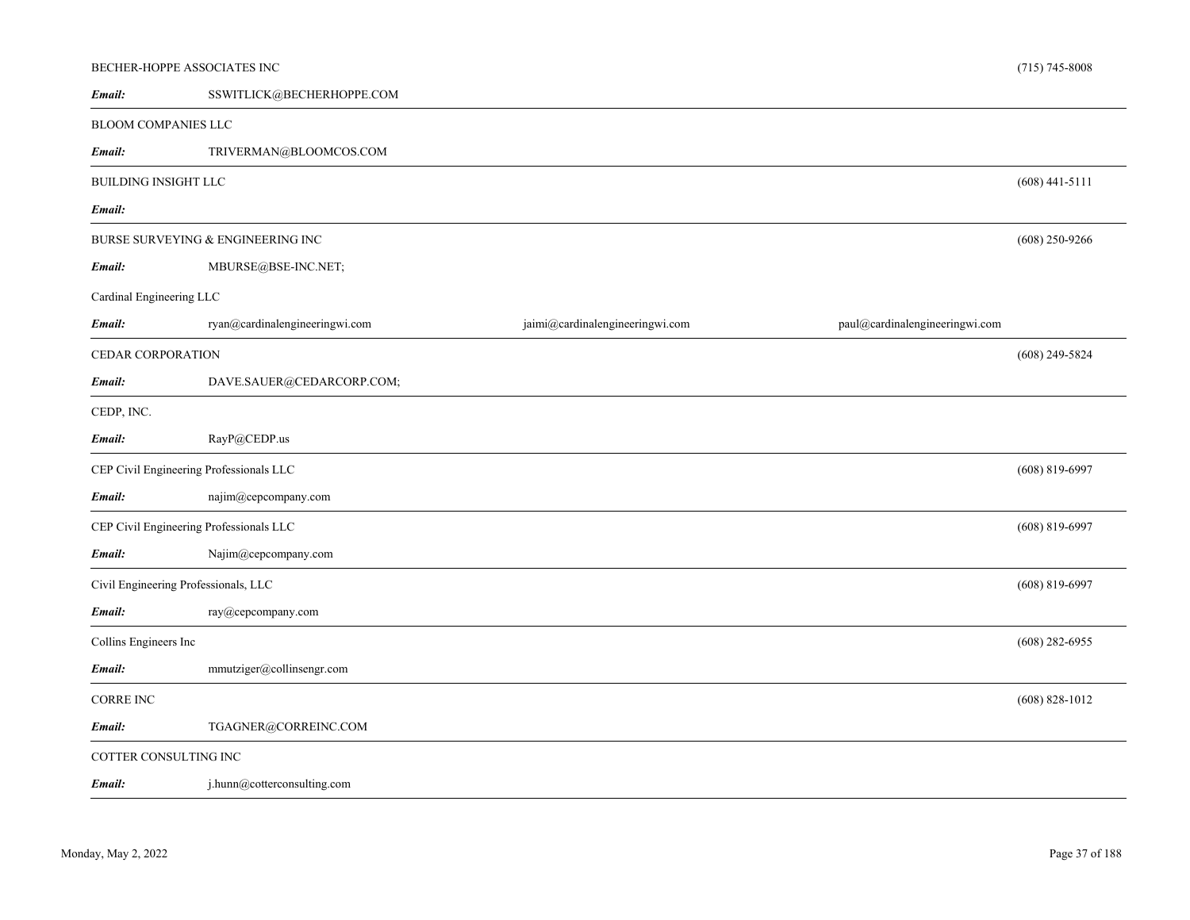| BECHER-HOPPE ASSOCIATES INC             |                                   |                                 |                                | $(715) 745 - 8008$ |
|-----------------------------------------|-----------------------------------|---------------------------------|--------------------------------|--------------------|
| Email:                                  | SSWITLICK@BECHERHOPPE.COM         |                                 |                                |                    |
| <b>BLOOM COMPANIES LLC</b>              |                                   |                                 |                                |                    |
| Email:                                  | TRIVERMAN@BLOOMCOS.COM            |                                 |                                |                    |
| <b>BUILDING INSIGHT LLC</b>             |                                   |                                 |                                | $(608)$ 441-5111   |
| Email:                                  |                                   |                                 |                                |                    |
|                                         | BURSE SURVEYING & ENGINEERING INC |                                 |                                | $(608)$ 250-9266   |
| Email:                                  | MBURSE@BSE-INC.NET;               |                                 |                                |                    |
| Cardinal Engineering LLC                |                                   |                                 |                                |                    |
| Email:                                  | ryan@cardinalengineeringwi.com    | jaimi@cardinalengineeringwi.com | paul@cardinalengineeringwi.com |                    |
| CEDAR CORPORATION                       |                                   |                                 |                                | $(608)$ 249-5824   |
| Email:                                  | DAVE.SAUER@CEDARCORP.COM;         |                                 |                                |                    |
| CEDP, INC.                              |                                   |                                 |                                |                    |
| Email:                                  | RayP@CEDP.us                      |                                 |                                |                    |
| CEP Civil Engineering Professionals LLC |                                   |                                 |                                | $(608)$ 819-6997   |
| Email:                                  | najim@cepcompany.com              |                                 |                                |                    |
| CEP Civil Engineering Professionals LLC |                                   |                                 |                                | $(608)$ 819-6997   |
| Email:                                  | Najim@cepcompany.com              |                                 |                                |                    |
| Civil Engineering Professionals, LLC    |                                   |                                 |                                | $(608)$ 819-6997   |
| Email:                                  | ray@cepcompany.com                |                                 |                                |                    |
| Collins Engineers Inc                   |                                   |                                 |                                | $(608)$ 282-6955   |
| Email:                                  | mmutziger@collinsengr.com         |                                 |                                |                    |
| CORRE INC                               |                                   |                                 |                                | $(608) 828 - 1012$ |
| Email:                                  | TGAGNER@CORREINC.COM              |                                 |                                |                    |
| COTTER CONSULTING INC                   |                                   |                                 |                                |                    |
| Email:                                  | j.hunn@cotterconsulting.com       |                                 |                                |                    |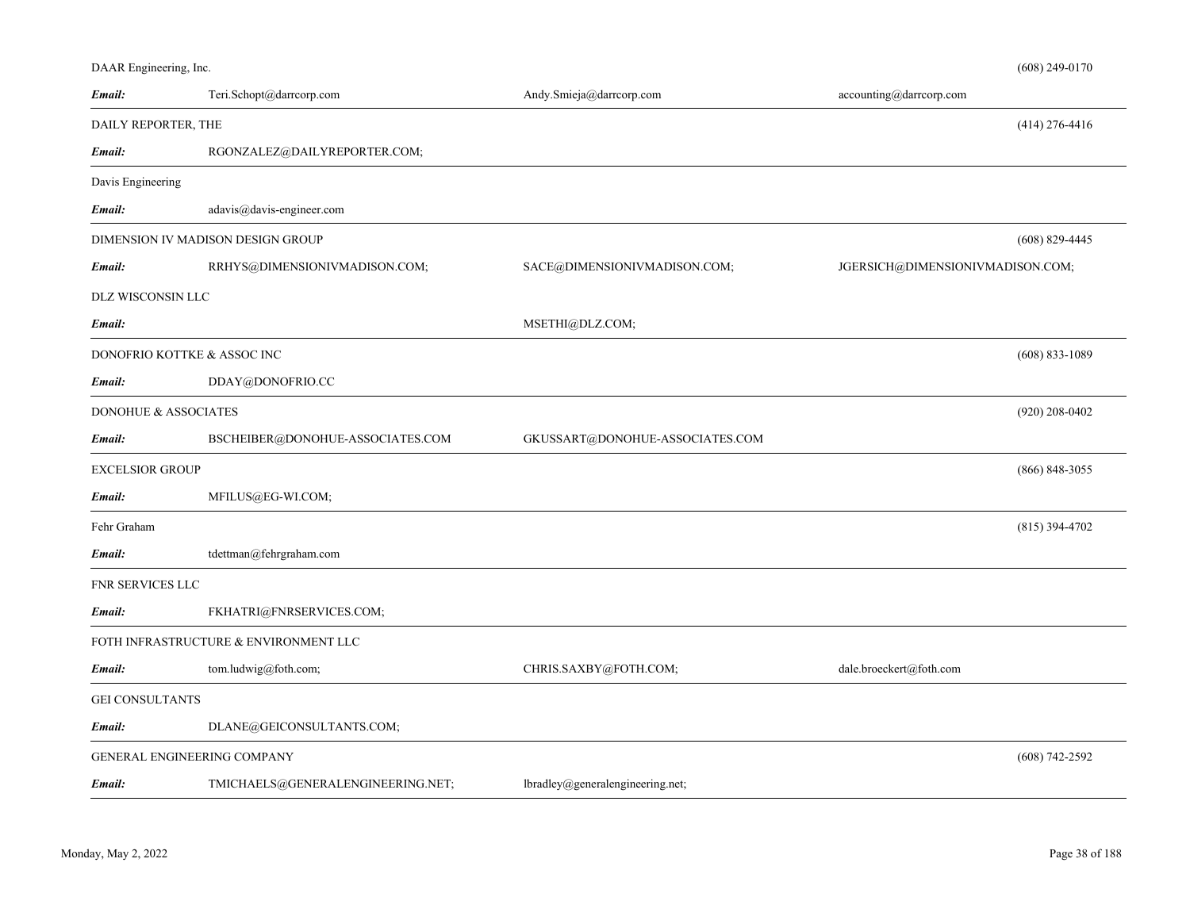| DAAR Engineering, Inc. |  |  |
|------------------------|--|--|
|                        |  |  |

| Email:                          | Teri.Schopt@darrcorp.com              | Andy.Smieja@darrcorp.com          | accounting@darrcorp.com          |                    |
|---------------------------------|---------------------------------------|-----------------------------------|----------------------------------|--------------------|
| DAILY REPORTER, THE             |                                       |                                   |                                  | $(414)$ 276-4416   |
| Email:                          | RGONZALEZ@DAILYREPORTER.COM;          |                                   |                                  |                    |
| Davis Engineering               |                                       |                                   |                                  |                    |
| Email:                          | $adavis@davis\text{-}engineer.com$    |                                   |                                  |                    |
|                                 | DIMENSION IV MADISON DESIGN GROUP     |                                   |                                  | $(608) 829 - 4445$ |
| Email:                          | RRHYS@DIMENSIONIVMADISON.COM;         | SACE@DIMENSIONIVMADISON.COM;      | JGERSICH@DIMENSIONIVMADISON.COM; |                    |
| DLZ WISCONSIN LLC               |                                       |                                   |                                  |                    |
| Email:                          |                                       | MSETHI@DLZ.COM;                   |                                  |                    |
|                                 | DONOFRIO KOTTKE & ASSOC INC           |                                   |                                  | $(608) 833 - 1089$ |
| Email:                          | DDAY@DONOFRIO.CC                      |                                   |                                  |                    |
| <b>DONOHUE &amp; ASSOCIATES</b> |                                       |                                   |                                  | $(920)$ 208-0402   |
| Email:                          | BSCHEIBER@DONOHUE-ASSOCIATES.COM      | GKUSSART@DONOHUE-ASSOCIATES.COM   |                                  |                    |
| EXCELSIOR GROUP                 |                                       |                                   |                                  | $(866)$ 848-3055   |
| Email:                          | MFILUS@EG-WI.COM;                     |                                   |                                  |                    |
| Fehr Graham                     |                                       |                                   |                                  | $(815)$ 394-4702   |
| Email:                          | tdettman@fehrgraham.com               |                                   |                                  |                    |
| FNR SERVICES LLC                |                                       |                                   |                                  |                    |
| Email:                          | FKHATRI@FNRSERVICES.COM;              |                                   |                                  |                    |
|                                 | FOTH INFRASTRUCTURE & ENVIRONMENT LLC |                                   |                                  |                    |
| Email:                          | tom.ludwig@foth.com;                  | CHRIS.SAXBY@FOTH.COM;             | dale.broeckert@foth.com          |                    |
| <b>GEI CONSULTANTS</b>          |                                       |                                   |                                  |                    |
| Email:                          | DLANE@GEICONSULTANTS.COM;             |                                   |                                  |                    |
|                                 | GENERAL ENGINEERING COMPANY           |                                   |                                  | $(608) 742 - 2592$ |
| Email:                          | TMICHAELS@GENERALENGINEERING.NET;     | lbradley@general engineering.net; |                                  |                    |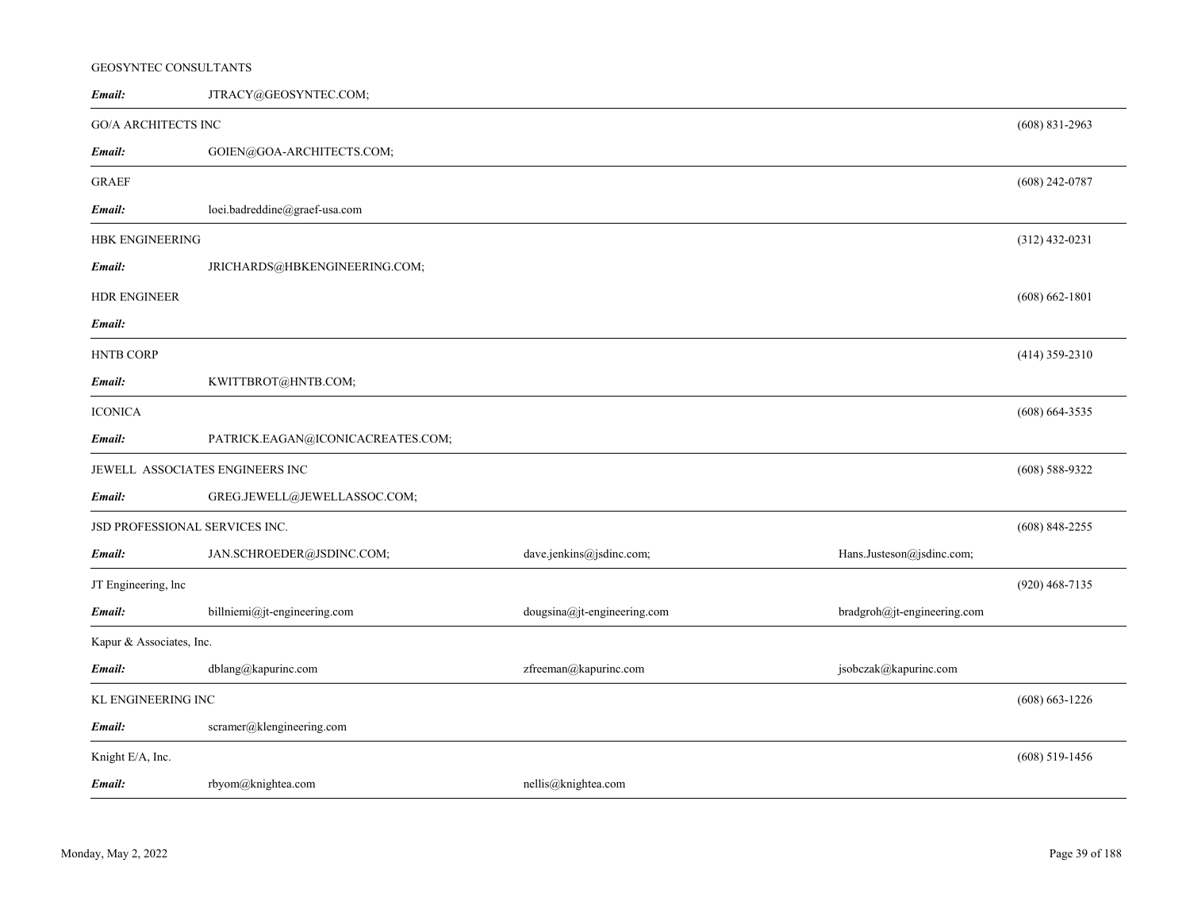## GEOSYNTEC CONSULTANTS

| Email:                          | JTRACY@GEOSYNTEC.COM;             |                             |                             |                    |
|---------------------------------|-----------------------------------|-----------------------------|-----------------------------|--------------------|
| <b>GO/A ARCHITECTS INC</b>      |                                   |                             |                             | $(608)$ 831-2963   |
| Email:                          | GOIEN@GOA-ARCHITECTS.COM;         |                             |                             |                    |
| <b>GRAEF</b>                    |                                   |                             |                             | $(608)$ 242-0787   |
| Email:                          | loei.badreddine@graef-usa.com     |                             |                             |                    |
| HBK ENGINEERING                 |                                   |                             |                             | $(312)$ 432-0231   |
| Email:                          | JRICHARDS@HBKENGINEERING.COM;     |                             |                             |                    |
| <b>HDR ENGINEER</b>             |                                   |                             |                             | $(608) 662 - 1801$ |
| Email:                          |                                   |                             |                             |                    |
| <b>HNTB CORP</b>                |                                   |                             |                             | $(414)$ 359-2310   |
| Email:                          | KWITTBROT@HNTB.COM;               |                             |                             |                    |
| <b>ICONICA</b>                  |                                   |                             |                             | $(608)$ 664-3535   |
| Email:                          | PATRICK.EAGAN@ICONICACREATES.COM; |                             |                             |                    |
| JEWELL ASSOCIATES ENGINEERS INC |                                   |                             |                             | $(608)$ 588-9322   |
| Email:                          | GREG.JEWELL@JEWELLASSOC.COM;      |                             |                             |                    |
| JSD PROFESSIONAL SERVICES INC.  |                                   |                             |                             | $(608)$ 848-2255   |
| Email:                          | JAN.SCHROEDER@JSDINC.COM;         | dave.jenkins@jsdinc.com;    | Hans.Justeson@jsdinc.com;   |                    |
| JT Engineering, lnc             |                                   |                             |                             | $(920)$ 468-7135   |
| Email:                          | billniemi@jt-engineering.com      | dougsina@jt-engineering.com | bradgroh@jt-engineering.com |                    |
| Kapur & Associates, Inc.        |                                   |                             |                             |                    |
| Email:                          | dblang@kapurinc.com               | zfreeman@kapurinc.com       | jsobczak@kapurinc.com       |                    |
| KL ENGINEERING INC              |                                   |                             |                             |                    |
| Email:                          | scramer@klengineering.com         |                             |                             |                    |
| Knight E/A, Inc.                |                                   |                             |                             | $(608)$ 519-1456   |
| Email:                          | rbyom@knightea.com                | nellis@knightea.com         |                             |                    |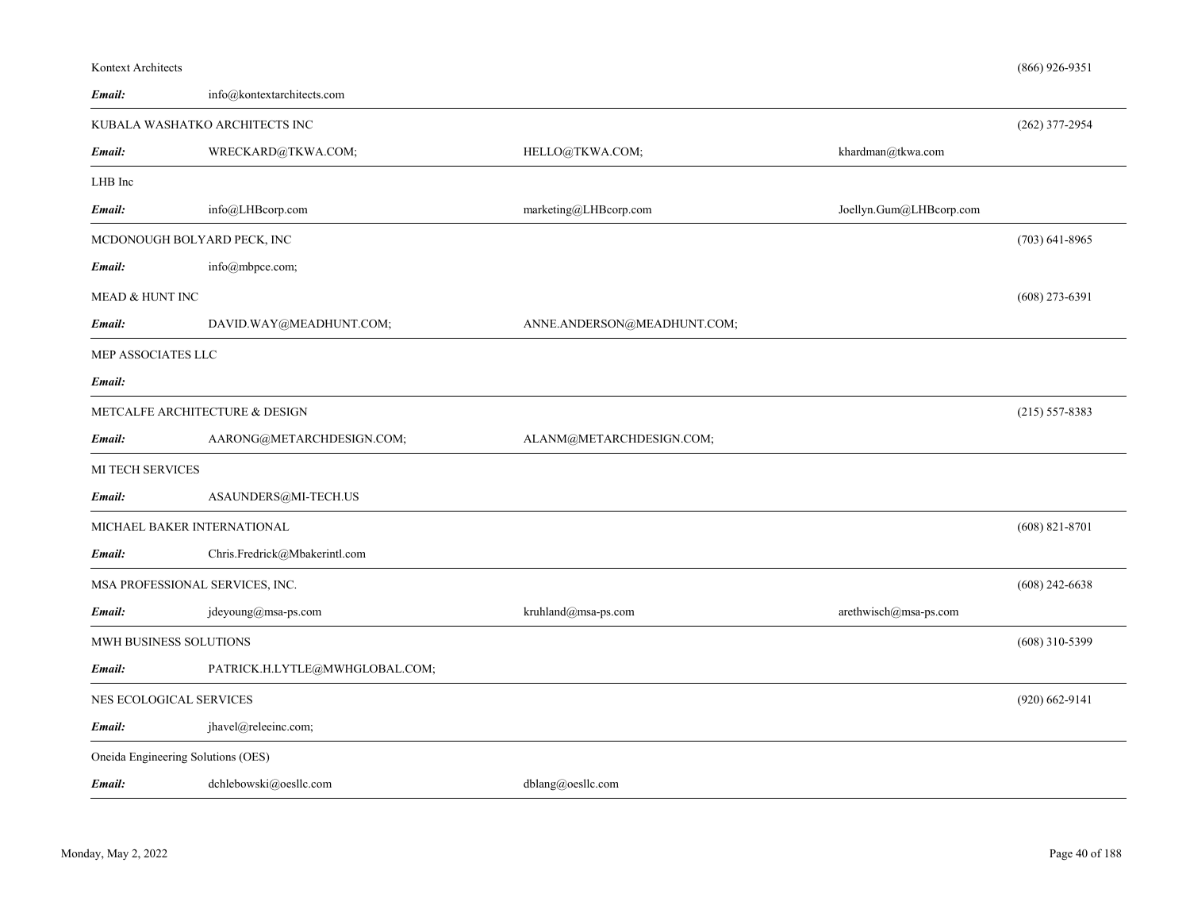| Email:                         | info@kontextarchitects.com         |                             |                         |                    |
|--------------------------------|------------------------------------|-----------------------------|-------------------------|--------------------|
|                                | KUBALA WASHATKO ARCHITECTS INC     |                             |                         | $(262)$ 377-2954   |
| Email:                         | WRECKARD@TKWA.COM;                 | HELLO@TKWA.COM;             | khardman@tkwa.com       |                    |
| LHB Inc                        |                                    |                             |                         |                    |
| Email:                         | info@LHBcorp.com                   | marketing@LHBcorp.com       | Joellyn.Gum@LHBcorp.com |                    |
|                                | MCDONOUGH BOLYARD PECK, INC        |                             |                         | $(703)$ 641-8965   |
| Email:                         | info@mbpce.com;                    |                             |                         |                    |
| <b>MEAD &amp; HUNT INC</b>     |                                    |                             |                         | $(608)$ 273-6391   |
| Email:                         | DAVID.WAY@MEADHUNT.COM;            | ANNE.ANDERSON@MEADHUNT.COM; |                         |                    |
| MEP ASSOCIATES LLC             |                                    |                             |                         |                    |
| Email:                         |                                    |                             |                         |                    |
| METCALFE ARCHITECTURE & DESIGN |                                    |                             |                         | $(215) 557 - 8383$ |
| Email:                         | AARONG@METARCHDESIGN.COM;          | ALANM@METARCHDESIGN.COM;    |                         |                    |
| MI TECH SERVICES               |                                    |                             |                         |                    |
| Email:                         | ASAUNDERS@MI-TECH.US               |                             |                         |                    |
|                                | MICHAEL BAKER INTERNATIONAL        |                             |                         | $(608) 821 - 8701$ |
| Email:                         | Chris.Fredrick@Mbakerintl.com      |                             |                         |                    |
|                                | MSA PROFESSIONAL SERVICES, INC.    |                             |                         | $(608)$ 242-6638   |
| Email:                         | jdeyoung@msa-ps.com                | kruhland@msa-ps.com         | arethwisch@msa-ps.com   |                    |
| MWH BUSINESS SOLUTIONS         |                                    |                             |                         | $(608)$ 310-5399   |
| Email:                         | PATRICK.H.LYTLE@MWHGLOBAL.COM;     |                             |                         |                    |
|                                | NES ECOLOGICAL SERVICES            |                             |                         | $(920)$ 662-9141   |
| Email:                         | jhavel@releeinc.com;               |                             |                         |                    |
|                                | Oneida Engineering Solutions (OES) |                             |                         |                    |

Kontext Architects

(866) 926-9351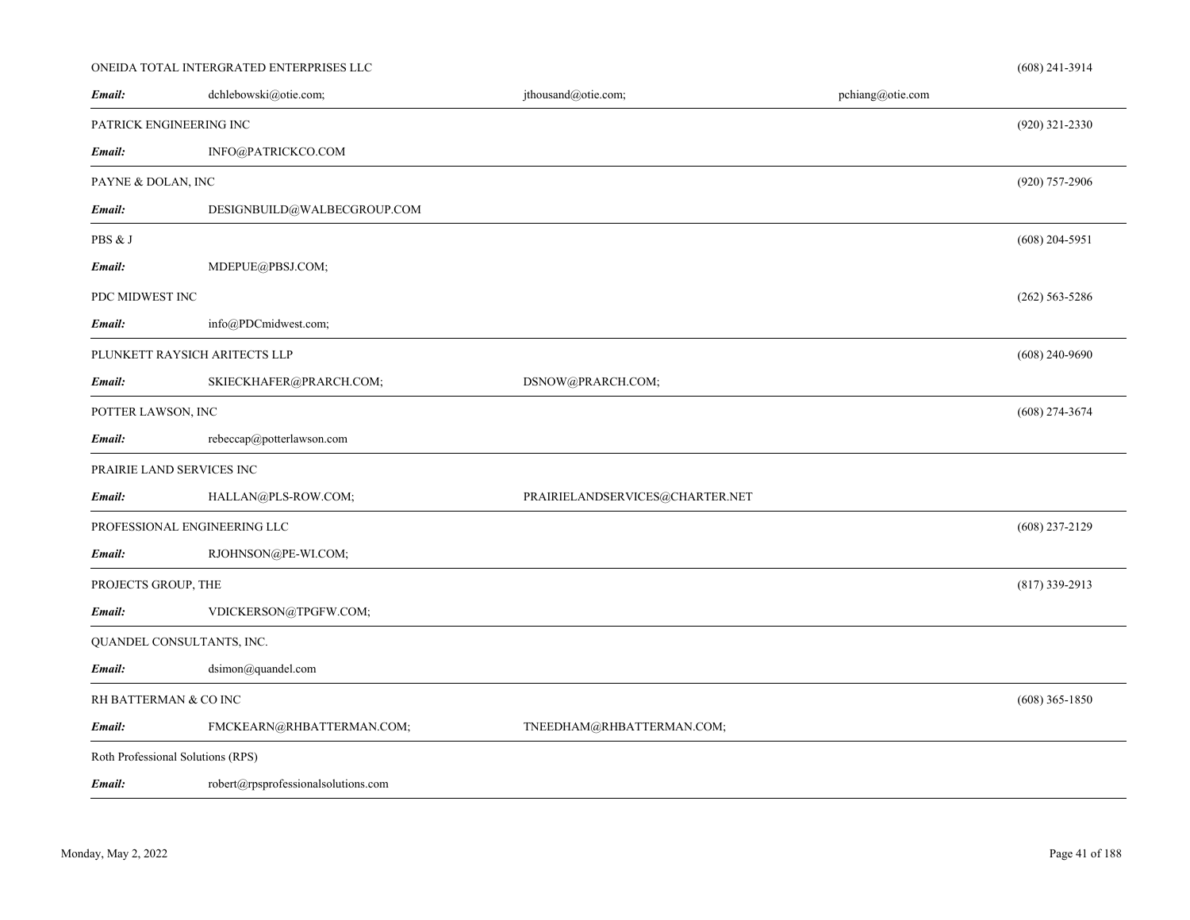### ONEIDA TOTAL INTERGRATED ENTERPRISES LLC

| Email:                            | dchlebowski@otie.com;               | jthousand@otie.com;             | pchiang@otie.com |                  |
|-----------------------------------|-------------------------------------|---------------------------------|------------------|------------------|
| PATRICK ENGINEERING INC           |                                     |                                 |                  | $(920)$ 321-2330 |
| Email:                            | INFO@PATRICKCO.COM                  |                                 |                  |                  |
| PAYNE & DOLAN, INC                |                                     |                                 |                  | (920) 757-2906   |
| Email:                            | DESIGNBUILD@WALBECGROUP.COM         |                                 |                  |                  |
| PBS & J                           |                                     |                                 |                  | $(608)$ 204-5951 |
| Email:                            | MDEPUE@PBSJ.COM;                    |                                 |                  |                  |
| PDC MIDWEST INC                   |                                     |                                 |                  | $(262)$ 563-5286 |
| Email:                            | info@PDCmidwest.com;                |                                 |                  |                  |
| PLUNKETT RAYSICH ARITECTS LLP     |                                     |                                 |                  | $(608)$ 240-9690 |
| Email:                            | SKIECKHAFER@PRARCH.COM;             | DSNOW@PRARCH.COM;               |                  |                  |
| POTTER LAWSON, INC                |                                     |                                 |                  | $(608)$ 274-3674 |
| Email:                            | rebeccap@potterlawson.com           |                                 |                  |                  |
| PRAIRIE LAND SERVICES INC         |                                     |                                 |                  |                  |
| Email:                            | HALLAN@PLS-ROW.COM;                 | PRAIRIELANDSERVICES@CHARTER.NET |                  |                  |
| PROFESSIONAL ENGINEERING LLC      |                                     |                                 |                  | $(608)$ 237-2129 |
| Email:                            | RJOHNSON@PE-WI.COM;                 |                                 |                  |                  |
| PROJECTS GROUP, THE               |                                     |                                 |                  | $(817)$ 339-2913 |
| Email:                            | VDICKERSON@TPGFW.COM;               |                                 |                  |                  |
| QUANDEL CONSULTANTS, INC.         |                                     |                                 |                  |                  |
| Email:                            | dsimon@quandel.com                  |                                 |                  |                  |
| RH BATTERMAN & CO INC             |                                     |                                 |                  | $(608)$ 365-1850 |
| Email:                            | FMCKEARN@RHBATTERMAN.COM;           | TNEEDHAM@RHBATTERMAN.COM;       |                  |                  |
| Roth Professional Solutions (RPS) |                                     |                                 |                  |                  |
| Email:                            | robert@rpsprofessionalsolutions.com |                                 |                  |                  |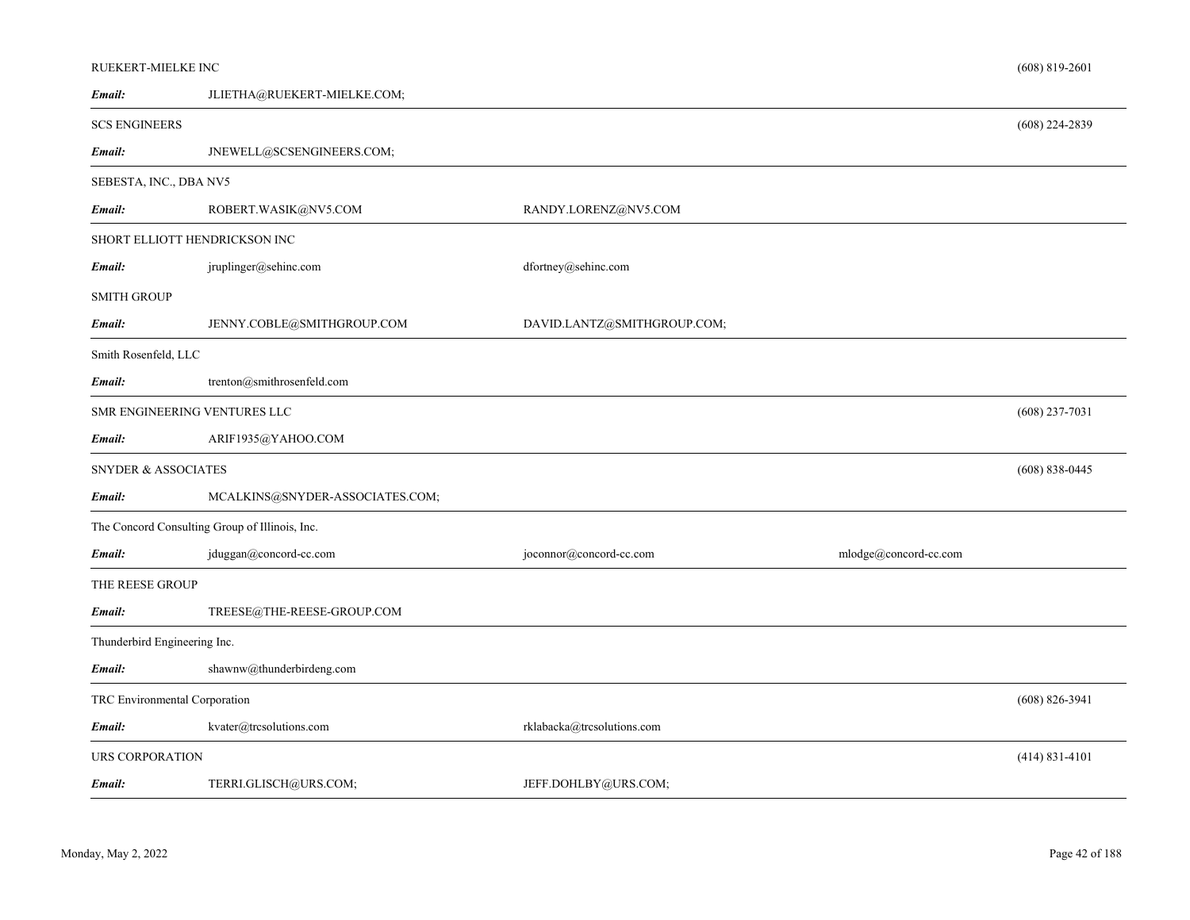|                               | RUEKERT-MIELKE INC<br>$(608)$ 819-2601         |                             |                       |                    |
|-------------------------------|------------------------------------------------|-----------------------------|-----------------------|--------------------|
| Email:                        | JLIETHA@RUEKERT-MIELKE.COM;                    |                             |                       |                    |
| <b>SCS ENGINEERS</b>          |                                                |                             |                       | $(608)$ 224-2839   |
| Email:                        | JNEWELL@SCSENGINEERS.COM;                      |                             |                       |                    |
| SEBESTA, INC., DBA NV5        |                                                |                             |                       |                    |
| Email:                        | ROBERT.WASIK@NV5.COM                           | RANDY.LORENZ@NV5.COM        |                       |                    |
| SHORT ELLIOTT HENDRICKSON INC |                                                |                             |                       |                    |
| Email:                        | jruplinger@sehinc.com                          | dfortney@sehinc.com         |                       |                    |
| <b>SMITH GROUP</b>            |                                                |                             |                       |                    |
| Email:                        | JENNY.COBLE@SMITHGROUP.COM                     | DAVID.LANTZ@SMITHGROUP.COM; |                       |                    |
| Smith Rosenfeld, LLC          |                                                |                             |                       |                    |
| Email:                        | trenton@smithrosenfeld.com                     |                             |                       |                    |
| SMR ENGINEERING VENTURES LLC  |                                                |                             |                       | $(608)$ 237-7031   |
| Email:                        | ARIF1935@YAHOO.COM                             |                             |                       |                    |
| SNYDER & ASSOCIATES           |                                                |                             |                       | $(608) 838 - 0445$ |
| Email:                        | MCALKINS@SNYDER-ASSOCIATES.COM;                |                             |                       |                    |
|                               | The Concord Consulting Group of Illinois, Inc. |                             |                       |                    |
| Email:                        | jduggan@concord-cc.com                         | joconnor@concord-cc.com     | mlodge@concord-cc.com |                    |
| THE REESE GROUP               |                                                |                             |                       |                    |
| Email:                        | TREESE@THE-REESE-GROUP.COM                     |                             |                       |                    |
| Thunderbird Engineering Inc.  |                                                |                             |                       |                    |
| Email:                        | shawnw@thunderbirdeng.com                      |                             |                       |                    |
| TRC Environmental Corporation |                                                |                             |                       | $(608) 826 - 3941$ |
| Email:                        | kvater@trcsolutions.com                        | rklabacka@trcsolutions.com  |                       |                    |
| URS CORPORATION               |                                                |                             |                       | $(414) 831 - 4101$ |
| Email:                        | TERRI.GLISCH@URS.COM;                          | JEFF.DOHLBY@URS.COM;        |                       |                    |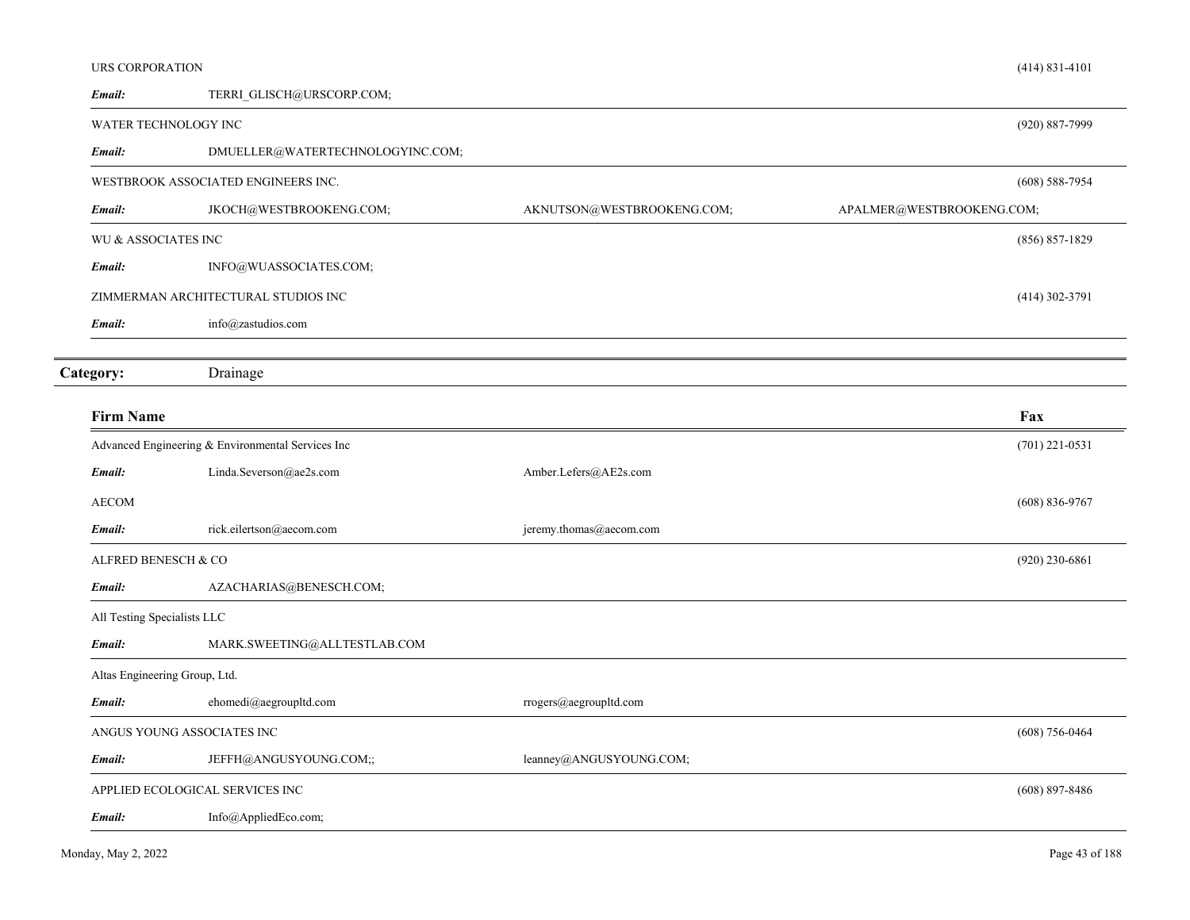| <b>URS CORPORATION</b>      |                                                   |                            | $(414) 831 - 4101$        |  |
|-----------------------------|---------------------------------------------------|----------------------------|---------------------------|--|
| Email:                      | TERRI GLISCH@URSCORP.COM;                         |                            |                           |  |
|                             | WATER TECHNOLOGY INC                              |                            | (920) 887-7999            |  |
| Email:                      | DMUELLER@WATERTECHNOLOGYINC.COM;                  |                            |                           |  |
|                             | WESTBROOK ASSOCIATED ENGINEERS INC.               |                            | $(608)$ 588-7954          |  |
| Email:                      | JKOCH@WESTBROOKENG.COM;                           | AKNUTSON@WESTBROOKENG.COM; | APALMER@WESTBROOKENG.COM; |  |
| WU & ASSOCIATES INC         |                                                   |                            | $(856) 857 - 1829$        |  |
| Email:                      | INFO@WUASSOCIATES.COM;                            |                            |                           |  |
|                             | ZIMMERMAN ARCHITECTURAL STUDIOS INC               |                            | $(414)$ 302-3791          |  |
| Email:                      | info@zastudios.com                                |                            |                           |  |
|                             |                                                   |                            |                           |  |
| Category:                   | Drainage                                          |                            |                           |  |
| <b>Firm Name</b>            |                                                   |                            | Fax                       |  |
|                             | Advanced Engineering & Environmental Services Inc |                            | $(701)$ 221-0531          |  |
| Email:                      | Linda.Severson@ae2s.com                           | Amber.Lefers@AE2s.com      |                           |  |
| <b>AECOM</b>                |                                                   |                            | $(608) 836 - 9767$        |  |
| Email:                      | rick.eilertson@aecom.com                          | jeremy.thomas@aecom.com    |                           |  |
| ALFRED BENESCH & CO         |                                                   |                            | $(920)$ 230-6861          |  |
| Email:                      | AZACHARIAS@BENESCH.COM;                           |                            |                           |  |
| All Testing Specialists LLC |                                                   |                            |                           |  |
| Email:                      | MARK.SWEETING@ALLTESTLAB.COM                      |                            |                           |  |
|                             | Altas Engineering Group, Ltd.                     |                            |                           |  |
| Email:                      | $\mathrm{ehomedi}@\mathrm{aegroupltd.com}$        | rrogers@aegroupltd.com     |                           |  |
|                             | ANGUS YOUNG ASSOCIATES INC                        |                            | $(608) 756 - 0464$        |  |
| Email:                      | JEFFH@ANGUSYOUNG.COM;;                            | leanney@ANGUSYOUNG.COM;    |                           |  |
|                             | APPLIED ECOLOGICAL SERVICES INC                   |                            | $(608)$ 897-8486          |  |
| Email:                      | Info@AppliedEco.com;                              |                            |                           |  |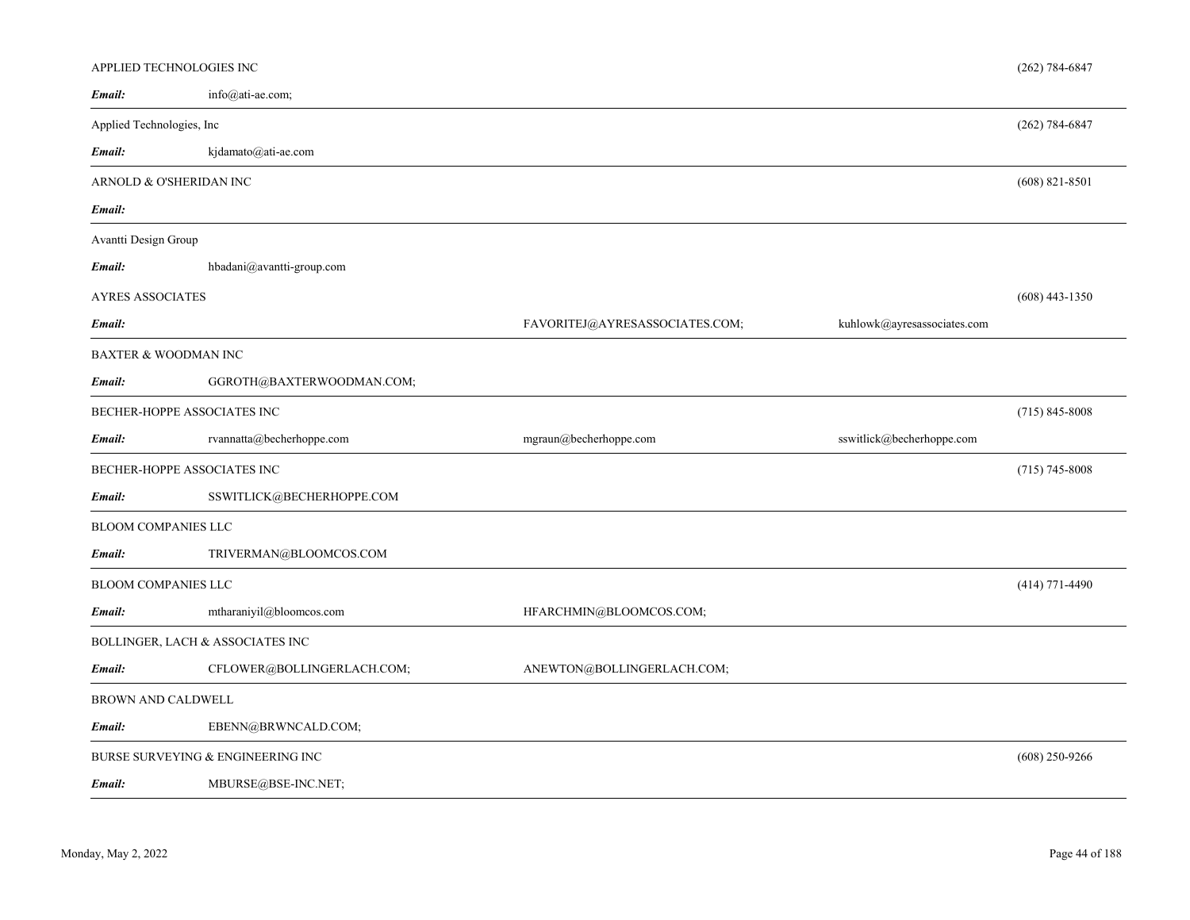| APPLIED TECHNOLOGIES INC        |                                   |                                |                             | $(262) 784 - 6847$ |
|---------------------------------|-----------------------------------|--------------------------------|-----------------------------|--------------------|
| Email:                          | info@ati-ae.com;                  |                                |                             |                    |
| Applied Technologies, Inc       |                                   |                                |                             | $(262) 784 - 6847$ |
| Email:                          | kjdamato@ati-ae.com               |                                |                             |                    |
| ARNOLD & O'SHERIDAN INC         |                                   |                                |                             | $(608)$ 821-8501   |
| Email:                          |                                   |                                |                             |                    |
| Avantti Design Group            |                                   |                                |                             |                    |
| Email:                          | hbadani@avantti-group.com         |                                |                             |                    |
| AYRES ASSOCIATES                |                                   |                                |                             | $(608)$ 443-1350   |
| Email:                          |                                   | FAVORITEJ@AYRESASSOCIATES.COM; | kuhlowk@ayresassociates.com |                    |
| <b>BAXTER &amp; WOODMAN INC</b> |                                   |                                |                             |                    |
| Email:                          | GGROTH@BAXTERWOODMAN.COM;         |                                |                             |                    |
| BECHER-HOPPE ASSOCIATES INC     |                                   |                                |                             | $(715) 845 - 8008$ |
| Email:                          | rvannatta@becherhoppe.com         | mgraun@becherhoppe.com         | sswitlick@becherhoppe.com   |                    |
| BECHER-HOPPE ASSOCIATES INC     |                                   |                                |                             | $(715)$ 745-8008   |
| Email:                          | SSWITLICK@BECHERHOPPE.COM         |                                |                             |                    |
| <b>BLOOM COMPANIES LLC</b>      |                                   |                                |                             |                    |
| Email:                          | TRIVERMAN@BLOOMCOS.COM            |                                |                             |                    |
| <b>BLOOM COMPANIES LLC</b>      |                                   |                                |                             | $(414)$ 771-4490   |
| Email:                          | mtharaniyil@bloomcos.com          | HFARCHMIN@BLOOMCOS.COM;        |                             |                    |
|                                 | BOLLINGER, LACH & ASSOCIATES INC  |                                |                             |                    |
| Email:                          | CFLOWER@BOLLINGERLACH.COM;        | ANEWTON@BOLLINGERLACH.COM;     |                             |                    |
| BROWN AND CALDWELL              |                                   |                                |                             |                    |
| Email:                          | EBENN@BRWNCALD.COM;               |                                |                             |                    |
|                                 | BURSE SURVEYING & ENGINEERING INC |                                |                             | $(608)$ 250-9266   |
|                                 |                                   |                                |                             |                    |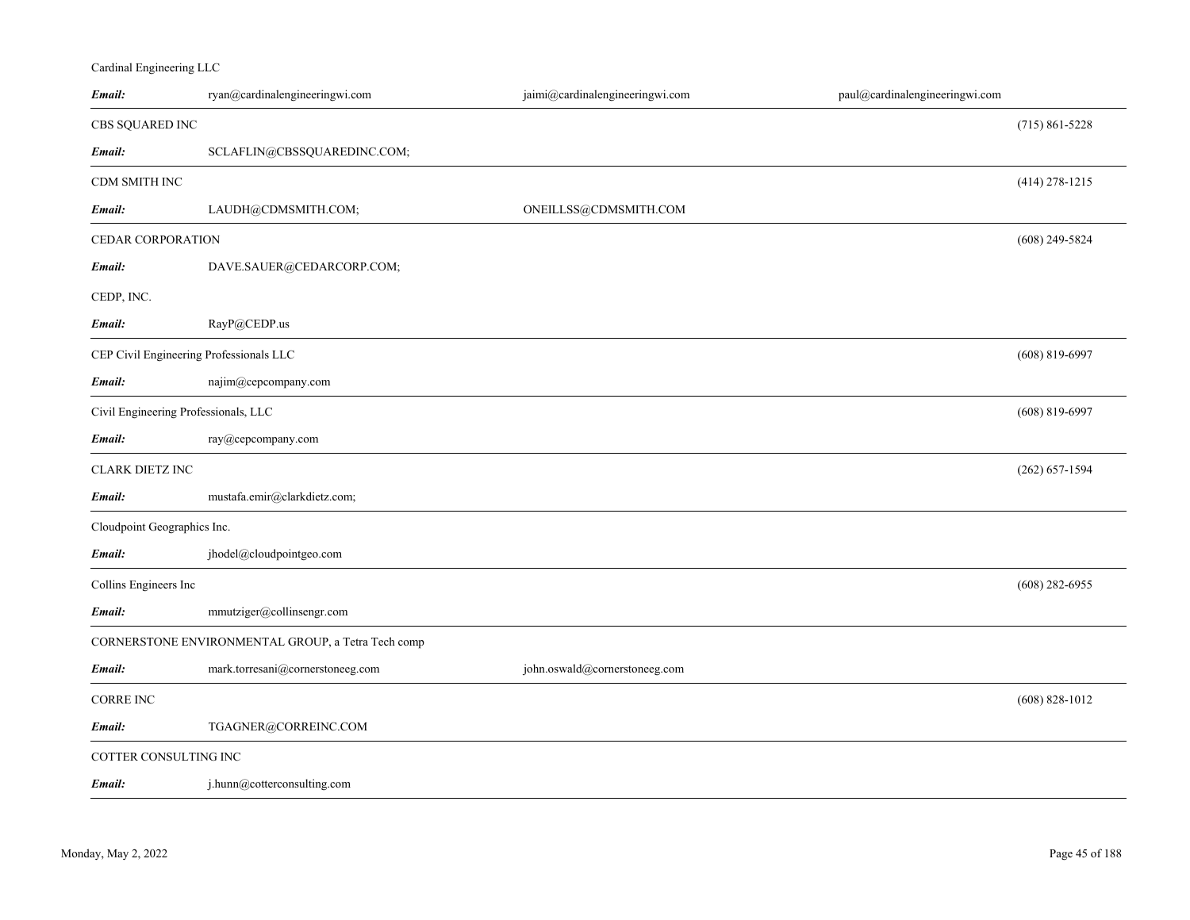## Cardinal Engineering LLC

| Email:                                  | ryan@cardinalengineeringwi.com                     | jaimi@cardinalengineeringwi.com | paul@cardinalengineeringwi.com |                    |
|-----------------------------------------|----------------------------------------------------|---------------------------------|--------------------------------|--------------------|
| CBS SQUARED INC                         |                                                    |                                 |                                | $(715)$ 861-5228   |
| Email:                                  | SCLAFLIN@CBSSQUAREDINC.COM;                        |                                 |                                |                    |
| CDM SMITH INC                           |                                                    |                                 |                                | $(414)$ 278-1215   |
| Email:                                  | LAUDH@CDMSMITH.COM;                                | ONEILLSS@CDMSMITH.COM           |                                |                    |
| CEDAR CORPORATION                       |                                                    |                                 |                                | $(608)$ 249-5824   |
| Email:                                  | DAVE.SAUER@CEDARCORP.COM;                          |                                 |                                |                    |
| CEDP, INC.                              |                                                    |                                 |                                |                    |
| Email:                                  | RayP@CEDP.us                                       |                                 |                                |                    |
| CEP Civil Engineering Professionals LLC |                                                    |                                 |                                | $(608)$ 819-6997   |
| Email:                                  | najim@cepcompany.com                               |                                 |                                |                    |
| Civil Engineering Professionals, LLC    |                                                    |                                 |                                | $(608)$ 819-6997   |
| Email:                                  | ray@cepcompany.com                                 |                                 |                                |                    |
| <b>CLARK DIETZ INC</b>                  |                                                    |                                 |                                | $(262) 657 - 1594$ |
| Email:                                  | mustafa.emir@clarkdietz.com;                       |                                 |                                |                    |
| Cloudpoint Geographics Inc.             |                                                    |                                 |                                |                    |
| Email:                                  | jhodel@cloudpointgeo.com                           |                                 |                                |                    |
| Collins Engineers Inc                   |                                                    |                                 |                                | $(608)$ 282-6955   |
| Email:                                  | mmutziger@collinsengr.com                          |                                 |                                |                    |
|                                         | CORNERSTONE ENVIRONMENTAL GROUP, a Tetra Tech comp |                                 |                                |                    |
| Email:                                  | mark.torresani@cornerstoneeg.com                   | john.oswald@cornerstoneeg.com   |                                |                    |
| <b>CORRE INC</b>                        |                                                    |                                 |                                | $(608) 828 - 1012$ |
| Email:                                  | TGAGNER@CORREINC.COM                               |                                 |                                |                    |
| COTTER CONSULTING INC                   |                                                    |                                 |                                |                    |
| Email:                                  | j.hunn@cotterconsulting.com                        |                                 |                                |                    |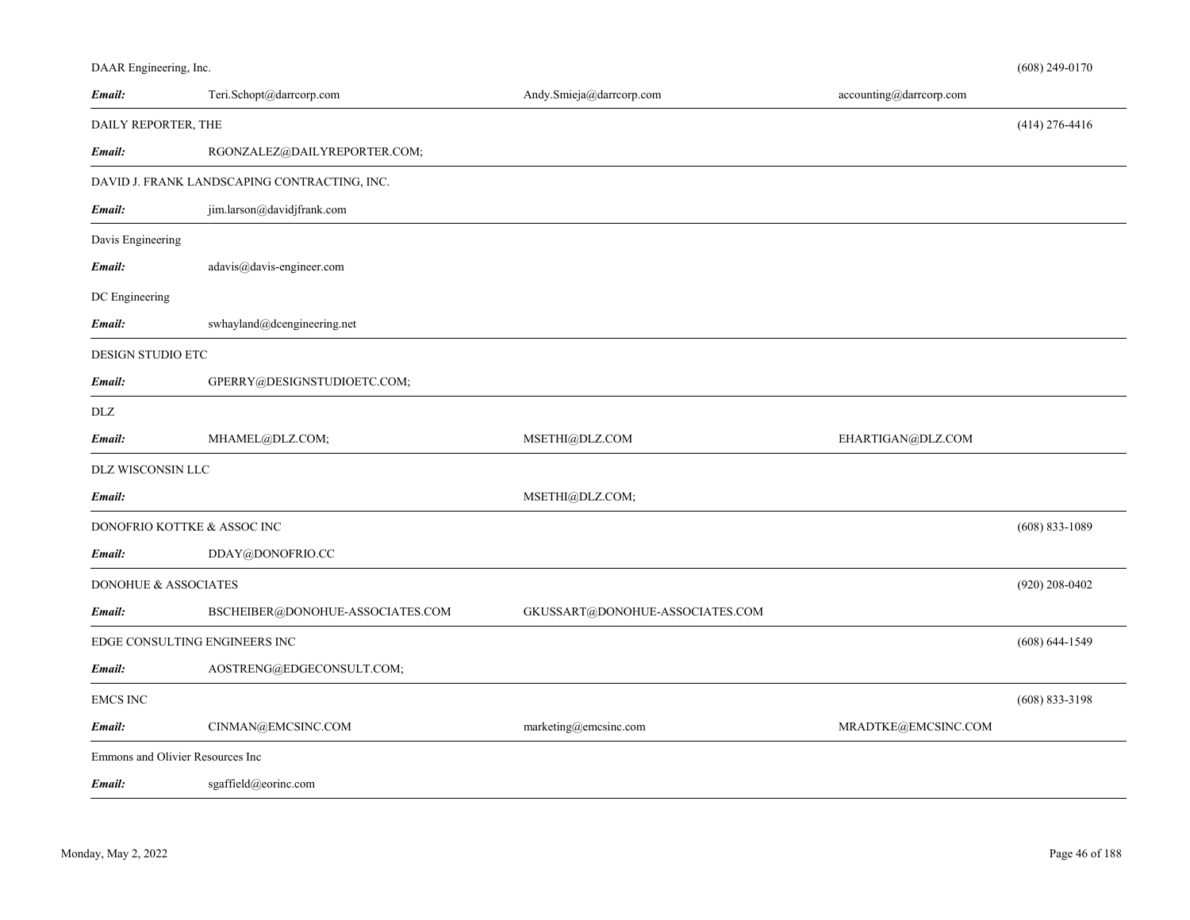| Email:               | Teri.Schopt@darrcorp.com                     | Andy.Smieja@darrcorp.com        | accounting@darrcorp.com |                    |
|----------------------|----------------------------------------------|---------------------------------|-------------------------|--------------------|
| DAILY REPORTER, THE  |                                              |                                 |                         | $(414)$ 276-4416   |
| Email:               | RGONZALEZ@DAILYREPORTER.COM;                 |                                 |                         |                    |
|                      | DAVID J. FRANK LANDSCAPING CONTRACTING, INC. |                                 |                         |                    |
| Email:               | jim.larson@davidjfrank.com                   |                                 |                         |                    |
| Davis Engineering    |                                              |                                 |                         |                    |
| Email:               | adavis@davis-engineer.com                    |                                 |                         |                    |
| DC Engineering       |                                              |                                 |                         |                    |
| Email:               | swhayland@dcengineering.net                  |                                 |                         |                    |
| DESIGN STUDIO ETC    |                                              |                                 |                         |                    |
| Email:               | GPERRY@DESIGNSTUDIOETC.COM;                  |                                 |                         |                    |
| <b>DLZ</b>           |                                              |                                 |                         |                    |
| Email:               | MHAMEL@DLZ.COM;                              | MSETHI@DLZ.COM                  | EHARTIGAN@DLZ.COM       |                    |
| DLZ WISCONSIN LLC    |                                              |                                 |                         |                    |
| Email:               |                                              | MSETHI@DLZ.COM;                 |                         |                    |
|                      | DONOFRIO KOTTKE & ASSOC INC                  |                                 |                         | $(608) 833 - 1089$ |
| Email:               | DDAY@DONOFRIO.CC                             |                                 |                         |                    |
| DONOHUE & ASSOCIATES |                                              |                                 |                         | $(920)$ 208-0402   |
| Email:               | BSCHEIBER@DONOHUE-ASSOCIATES.COM             | GKUSSART@DONOHUE-ASSOCIATES.COM |                         |                    |
|                      | EDGE CONSULTING ENGINEERS INC                |                                 |                         | $(608) 644 - 1549$ |
| Email:               | AOSTRENG@EDGECONSULT.COM;                    |                                 |                         |                    |
| <b>EMCS INC</b>      |                                              |                                 |                         | $(608)$ 833-3198   |
| Email:               | CINMAN@EMCSINC.COM                           | marketing@emcsinc.com           | MRADTKE@EMCSINC.COM     |                    |
|                      | Emmons and Olivier Resources Inc             |                                 |                         |                    |

*Email:*sgaffield@eorinc.com

DAAR Engineering, Inc.

(608) 249-0170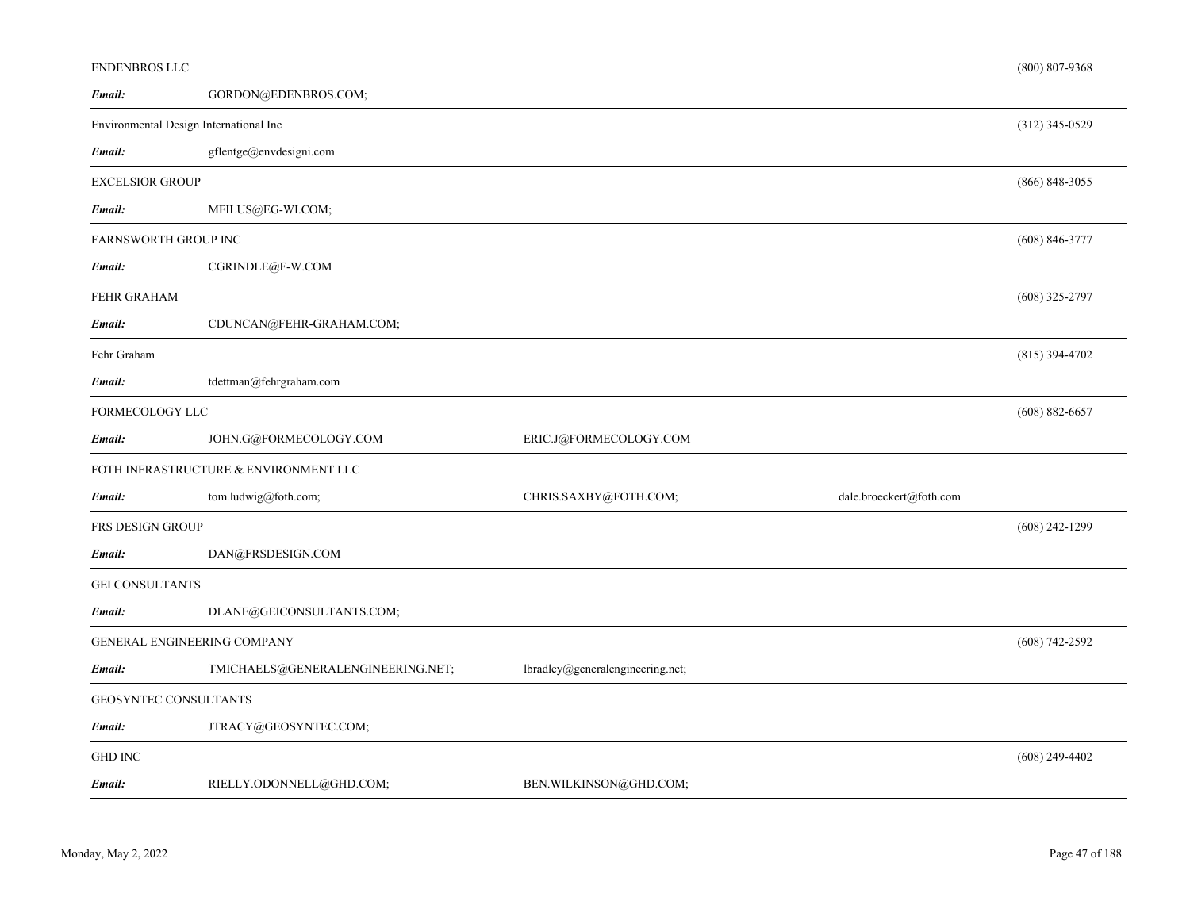| ENDENBROS LLC          |                                        |                                  |                         | $(800)$ 807-9368   |
|------------------------|----------------------------------------|----------------------------------|-------------------------|--------------------|
| Email:                 | GORDON@EDENBROS.COM;                   |                                  |                         |                    |
|                        | Environmental Design International Inc |                                  |                         | $(312)$ 345-0529   |
| Email:                 | gflentge@envdesigni.com                |                                  |                         |                    |
| <b>EXCELSIOR GROUP</b> |                                        |                                  |                         | $(866) 848 - 3055$ |
| Email:                 | MFILUS@EG-WI.COM;                      |                                  |                         |                    |
| FARNSWORTH GROUP INC   |                                        |                                  |                         | $(608)$ 846-3777   |
| Email:                 | CGRINDLE@F-W.COM                       |                                  |                         |                    |
| FEHR GRAHAM            |                                        |                                  |                         | $(608)$ 325-2797   |
| Email:                 | CDUNCAN@FEHR-GRAHAM.COM;               |                                  |                         |                    |
| Fehr Graham            |                                        |                                  |                         | $(815)$ 394-4702   |
| Email:                 | tdettman@fehrgraham.com                |                                  |                         |                    |
| FORMECOLOGY LLC        |                                        |                                  |                         | $(608) 882 - 6657$ |
| Email:                 | JOHN.G@FORMECOLOGY.COM                 | ERIC.J@FORMECOLOGY.COM           |                         |                    |
|                        | FOTH INFRASTRUCTURE & ENVIRONMENT LLC  |                                  |                         |                    |
| Email:                 | tom.ludwig@foth.com;                   | CHRIS.SAXBY@FOTH.COM;            | dale.broeckert@foth.com |                    |
| FRS DESIGN GROUP       |                                        |                                  |                         | $(608)$ 242-1299   |
| Email:                 | DAN@FRSDESIGN.COM                      |                                  |                         |                    |
| <b>GEI CONSULTANTS</b> |                                        |                                  |                         |                    |
| Email:                 | DLANE@GEICONSULTANTS.COM;              |                                  |                         |                    |
|                        | GENERAL ENGINEERING COMPANY            |                                  |                         | $(608) 742 - 2592$ |
| Email:                 | TMICHAELS@GENERALENGINEERING.NET;      | lbradley@generalengineering.net; |                         |                    |
|                        | GEOSYNTEC CONSULTANTS                  |                                  |                         |                    |
| Email:                 | JTRACY@GEOSYNTEC.COM;                  |                                  |                         |                    |
| <b>GHD INC</b>         |                                        |                                  |                         | $(608)$ 249-4402   |
| Email:                 | RIELLY.ODONNELL@GHD.COM;               | BEN.WILKINSON@GHD.COM;           |                         |                    |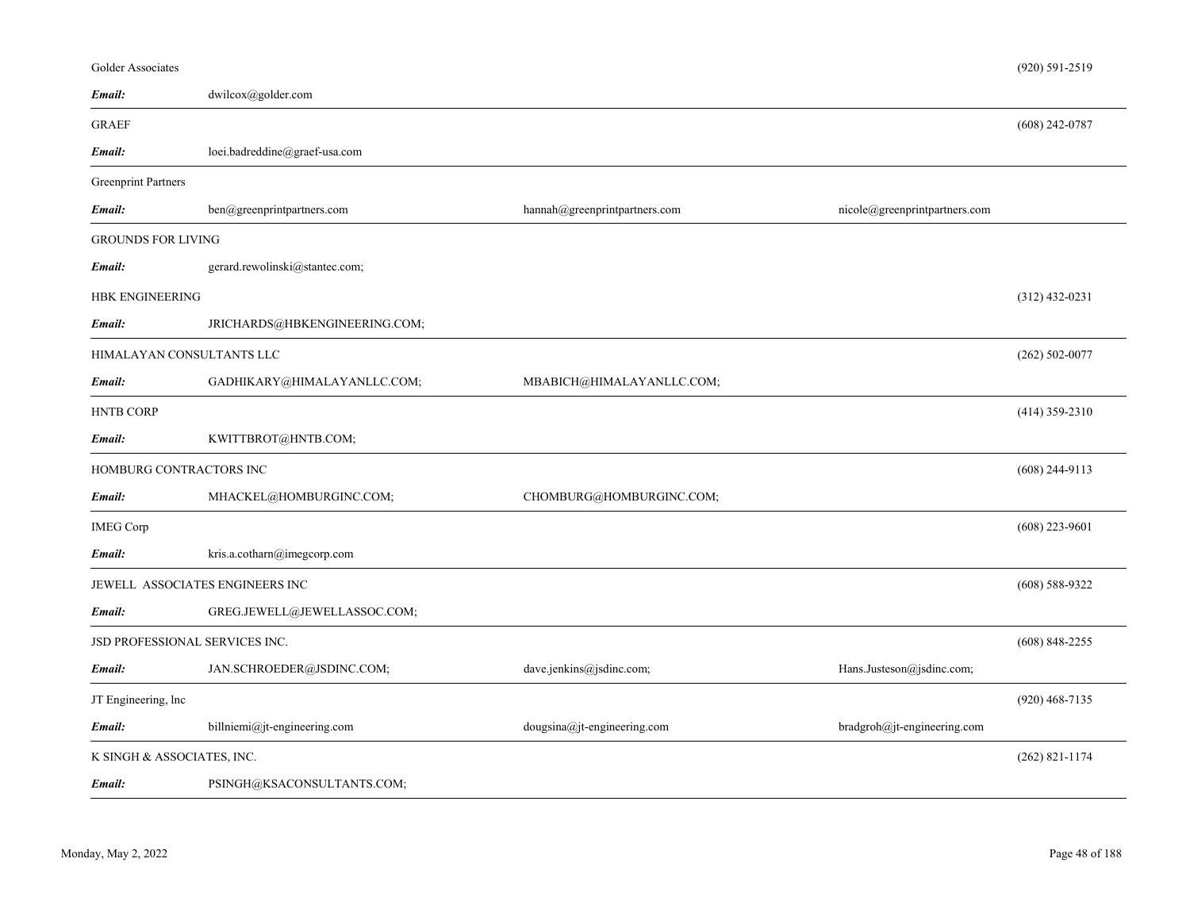| <b>Golder Associates</b>       |                                 |                               |                               | (920) 591-2519     |
|--------------------------------|---------------------------------|-------------------------------|-------------------------------|--------------------|
| Email:                         | dwilcox@golder.com              |                               |                               |                    |
| <b>GRAEF</b>                   |                                 |                               |                               | $(608)$ 242-0787   |
| Email:                         | loei.badreddine@graef-usa.com   |                               |                               |                    |
| <b>Greenprint Partners</b>     |                                 |                               |                               |                    |
| Email:                         | ben@greenprintpartners.com      | hannah@greenprintpartners.com | nicole@greenprintpartners.com |                    |
| <b>GROUNDS FOR LIVING</b>      |                                 |                               |                               |                    |
| Email:                         | gerard.rewolinski@stantec.com;  |                               |                               |                    |
| <b>HBK ENGINEERING</b>         |                                 |                               |                               | $(312)$ 432-0231   |
| Email:                         | JRICHARDS@HBKENGINEERING.COM;   |                               |                               |                    |
| HIMALAYAN CONSULTANTS LLC      |                                 |                               |                               | $(262) 502 - 0077$ |
| Email:                         | GADHIKARY@HIMALAYANLLC.COM;     | MBABICH@HIMALAYANLLC.COM;     |                               |                    |
| <b>HNTB CORP</b>               |                                 |                               |                               | $(414)$ 359-2310   |
| Email:                         | KWITTBROT@HNTB.COM;             |                               |                               |                    |
| HOMBURG CONTRACTORS INC        |                                 |                               |                               | $(608)$ 244-9113   |
| Email:                         | MHACKEL@HOMBURGINC.COM;         | CHOMBURG@HOMBURGINC.COM;      |                               |                    |
| <b>IMEG Corp</b>               |                                 |                               |                               | $(608)$ 223-9601   |
| Email:                         | kris.a.cotharn@imegcorp.com     |                               |                               |                    |
|                                | JEWELL ASSOCIATES ENGINEERS INC |                               |                               | $(608)$ 588-9322   |
| Email:                         | GREG.JEWELL@JEWELLASSOC.COM;    |                               |                               |                    |
| JSD PROFESSIONAL SERVICES INC. |                                 |                               |                               | $(608)$ 848-2255   |
| Email:                         | JAN.SCHROEDER@JSDINC.COM;       | dave.jenkins@jsdinc.com;      | Hans.Justeson@jsdinc.com;     |                    |
| JT Engineering, lnc            |                                 |                               |                               | $(920)$ 468-7135   |
| Email:                         | billniemi@jt-engineering.com    | dougsina@jt-engineering.com   | bradgroh@jt-engineering.com   |                    |
| K SINGH & ASSOCIATES, INC.     |                                 |                               |                               | $(262)$ 821-1174   |
| Email:                         | PSINGH@KSACONSULTANTS.COM;      |                               |                               |                    |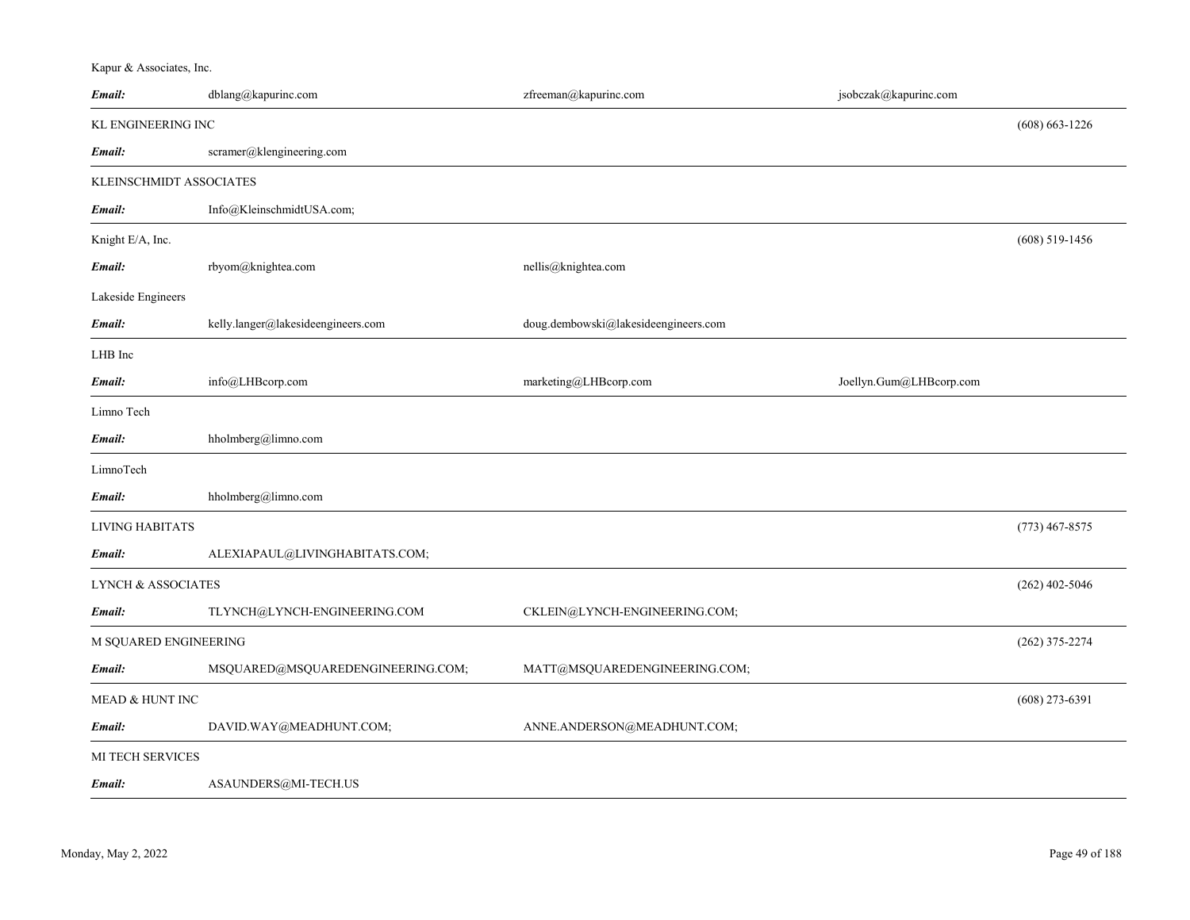Kapur & Associates, Inc.

| Email:                        | dblang@kapurinc.com                | zfreeman@kapurinc.com                | jsobczak@kapurinc.com   |                    |
|-------------------------------|------------------------------------|--------------------------------------|-------------------------|--------------------|
| <b>KL ENGINEERING INC</b>     |                                    |                                      |                         | $(608) 663 - 1226$ |
| Email:                        | scramer@klengineering.com          |                                      |                         |                    |
| KLEINSCHMIDT ASSOCIATES       |                                    |                                      |                         |                    |
| Email:                        | Info@KleinschmidtUSA.com;          |                                      |                         |                    |
| Knight E/A, Inc.              |                                    |                                      |                         | $(608)$ 519-1456   |
| Email:                        | rbyom@knightea.com                 | nellis@knightea.com                  |                         |                    |
| Lakeside Engineers            |                                    |                                      |                         |                    |
| Email:                        | kelly.langer@lakesideengineers.com | doug.dembowski@lakesideengineers.com |                         |                    |
| LHB Inc                       |                                    |                                      |                         |                    |
| Email:                        | info@LHBcorp.com                   | marketing@LHBcorp.com                | Joellyn.Gum@LHBcorp.com |                    |
| Limno Tech                    |                                    |                                      |                         |                    |
| Email:                        | hholmberg@limno.com                |                                      |                         |                    |
| LimnoTech                     |                                    |                                      |                         |                    |
| Email:                        | hholmberg@limno.com                |                                      |                         |                    |
| <b>LIVING HABITATS</b>        |                                    |                                      |                         | $(773)$ 467-8575   |
| Email:                        | ALEXIAPAUL@LIVINGHABITATS.COM;     |                                      |                         |                    |
| <b>LYNCH &amp; ASSOCIATES</b> |                                    |                                      |                         | $(262)$ 402-5046   |
| Email:                        | TLYNCH@LYNCH-ENGINEERING.COM       | CKLEIN@LYNCH-ENGINEERING.COM;        |                         |                    |
| M SQUARED ENGINEERING         |                                    |                                      |                         | $(262)$ 375-2274   |
| Email:                        | MSQUARED@MSQUAREDENGINEERING.COM;  | MATT@MSQUAREDENGINEERING.COM;        |                         |                    |
| <b>MEAD &amp; HUNT INC</b>    |                                    |                                      |                         | $(608)$ 273-6391   |
| Email:                        | DAVID.WAY@MEADHUNT.COM;            | ANNE.ANDERSON@MEADHUNT.COM;          |                         |                    |
| MI TECH SERVICES              |                                    |                                      |                         |                    |
| Email:                        | ASAUNDERS@MI-TECH.US               |                                      |                         |                    |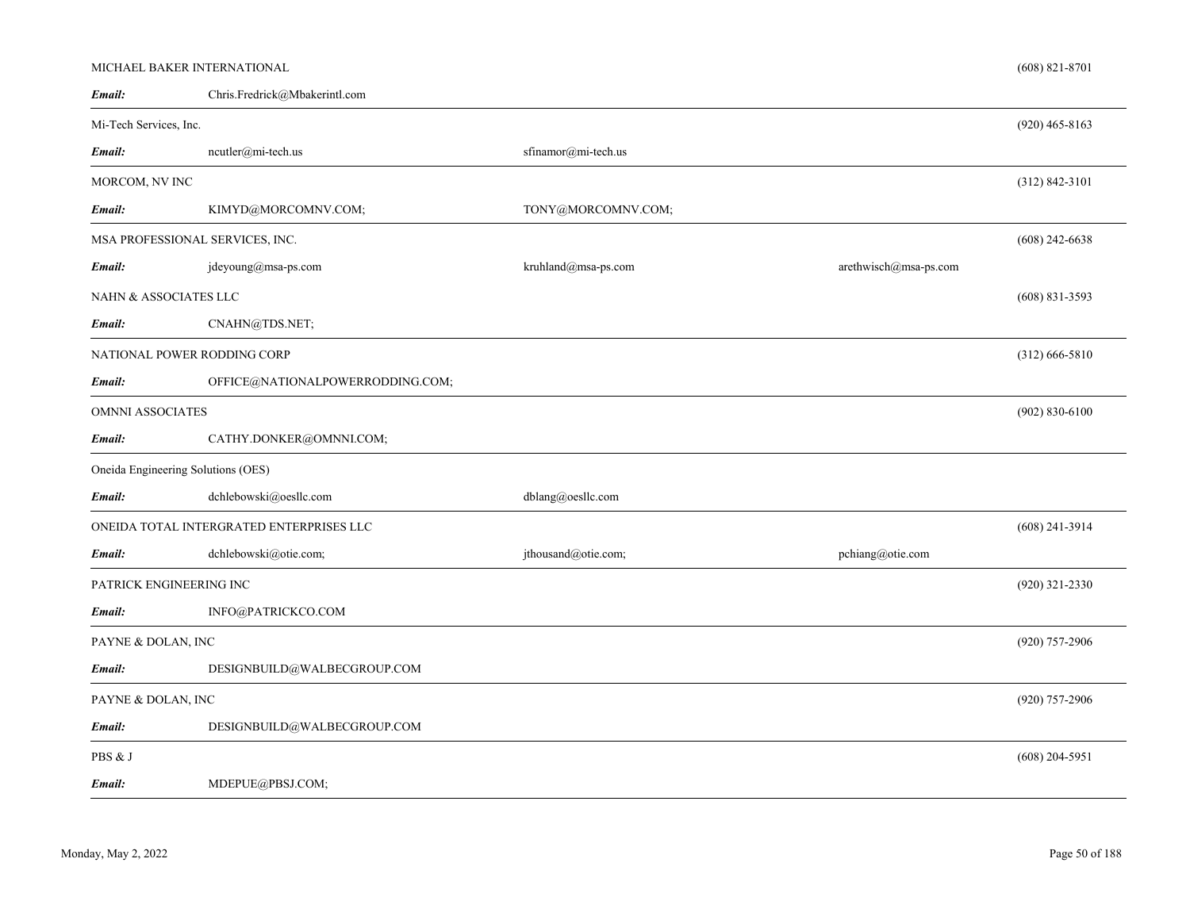| Email:                  | Chris.Fredrick@Mbakerintl.com            |                                                                            |                       |                    |
|-------------------------|------------------------------------------|----------------------------------------------------------------------------|-----------------------|--------------------|
| Mi-Tech Services, Inc.  |                                          |                                                                            |                       | $(920)$ 465-8163   |
| Email:                  | ncutler@mi-tech.us                       | sfinamor@mi-tech.us                                                        |                       |                    |
| MORCOM, NV INC          |                                          |                                                                            |                       | $(312) 842 - 3101$ |
| Email:                  | KIMYD@MORCOMNV.COM;                      | TONY@MORCOMNV.COM;                                                         |                       |                    |
|                         | MSA PROFESSIONAL SERVICES, INC.          |                                                                            |                       | $(608)$ 242-6638   |
| Email:                  | jdeyoung@msa-ps.com                      | $\text{kruhland}\xspace(\!\overline{\mathcal{Q}}\!\!\text{msa-ps.com}\!\!$ | arethwisch@msa-ps.com |                    |
| NAHN & ASSOCIATES LLC   |                                          |                                                                            |                       | $(608)$ 831-3593   |
| Email:                  | CNAHN@TDS.NET;                           |                                                                            |                       |                    |
|                         | NATIONAL POWER RODDING CORP              |                                                                            |                       | $(312)$ 666-5810   |
| Email:                  | OFFICE@NATIONALPOWERRODDING.COM;         |                                                                            |                       |                    |
| <b>OMNNI ASSOCIATES</b> |                                          |                                                                            |                       | $(902) 830 - 6100$ |
| Email:                  | CATHY.DONKER@OMNNI.COM;                  |                                                                            |                       |                    |
|                         | Oneida Engineering Solutions (OES)       |                                                                            |                       |                    |
| Email:                  | dchlebowski@oesllc.com                   | dblang@oesllc.com                                                          |                       |                    |
|                         | ONEIDA TOTAL INTERGRATED ENTERPRISES LLC |                                                                            |                       | $(608)$ 241-3914   |
| Email:                  | dchlebowski@otie.com;                    | jthousand@otie.com;                                                        | pchiang@otie.com      |                    |
|                         | PATRICK ENGINEERING INC                  |                                                                            |                       | $(920)$ 321-2330   |
| Email:                  | INFO@PATRICKCO.COM                       |                                                                            |                       |                    |
| PAYNE & DOLAN, INC      |                                          |                                                                            |                       | $(920)$ 757-2906   |
| Email:                  | DESIGNBUILD@WALBECGROUP.COM              |                                                                            |                       |                    |
| PAYNE & DOLAN, INC      |                                          |                                                                            |                       | $(920)$ 757-2906   |
| Email:                  | DESIGNBUILD@WALBECGROUP.COM              |                                                                            |                       |                    |
| PBS & J                 |                                          |                                                                            |                       | $(608)$ 204-5951   |
| Email:                  | MDEPUE@PBSJ.COM;                         |                                                                            |                       |                    |

# *Email:*

MICHAEL BAKER INTERNATIONAL

(608) 821-8701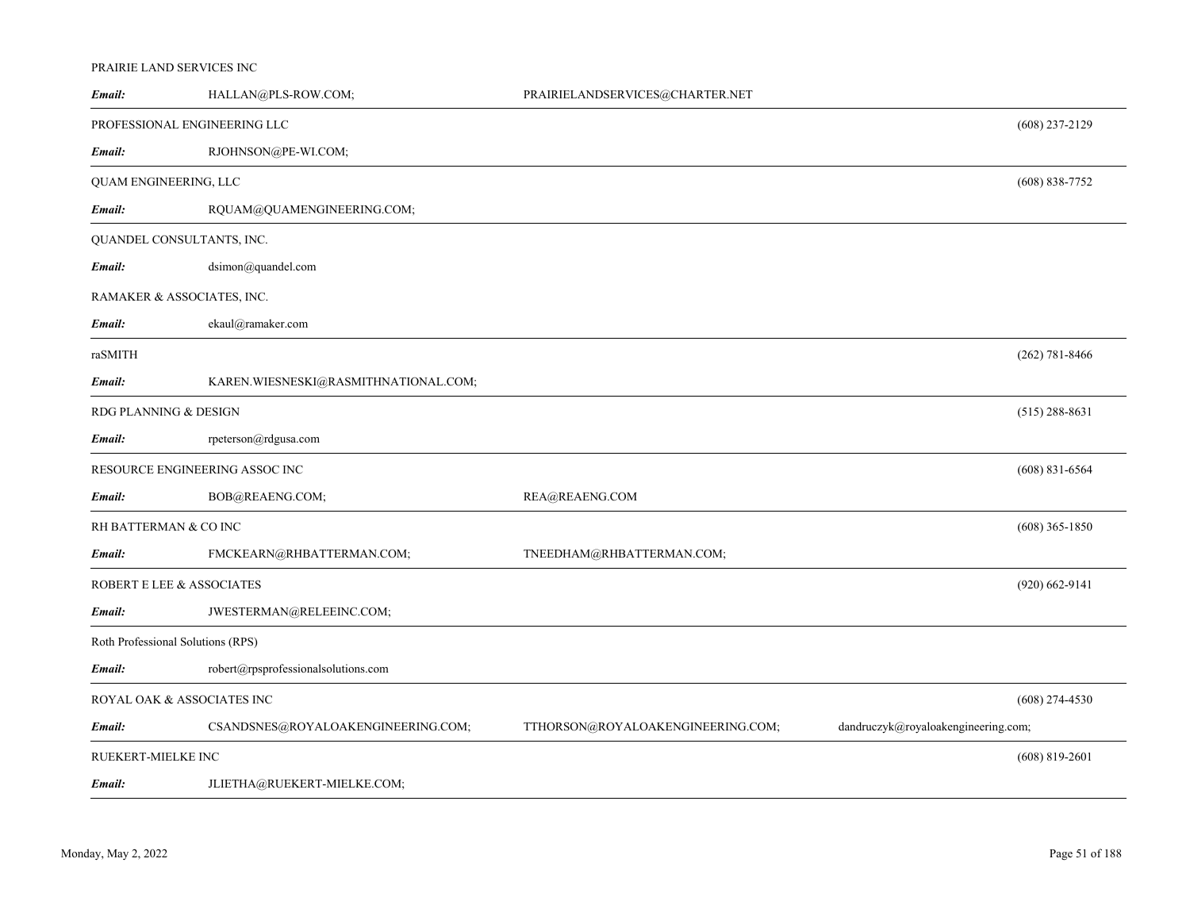## PRAIRIE LAND SERVICES INC

| Email:                            | HALLAN@PLS-ROW.COM;                  | PRAIRIELANDSERVICES@CHARTER.NET   |                                     |                    |
|-----------------------------------|--------------------------------------|-----------------------------------|-------------------------------------|--------------------|
| PROFESSIONAL ENGINEERING LLC      |                                      |                                   |                                     | $(608)$ 237-2129   |
| Email:                            | RJOHNSON@PE-WI.COM;                  |                                   |                                     |                    |
| QUAM ENGINEERING, LLC             |                                      |                                   |                                     | $(608) 838 - 7752$ |
| Email:                            | RQUAM@QUAMENGINEERING.COM;           |                                   |                                     |                    |
| QUANDEL CONSULTANTS, INC.         |                                      |                                   |                                     |                    |
| Email:                            | dsimon@quandel.com                   |                                   |                                     |                    |
| RAMAKER & ASSOCIATES, INC.        |                                      |                                   |                                     |                    |
| Email:                            | ekaul@ramaker.com                    |                                   |                                     |                    |
| raSMITH                           |                                      |                                   |                                     | $(262) 781 - 8466$ |
| Email:                            | KAREN.WIESNESKI@RASMITHNATIONAL.COM; |                                   |                                     |                    |
| RDG PLANNING & DESIGN             |                                      |                                   |                                     | $(515)$ 288-8631   |
| Email:                            | rpeterson@rdgusa.com                 |                                   |                                     |                    |
| RESOURCE ENGINEERING ASSOC INC    |                                      |                                   |                                     | $(608)$ 831-6564   |
| Email:                            | BOB@REAENG.COM;                      | REA@REAENG.COM                    |                                     |                    |
| RH BATTERMAN & CO INC             |                                      |                                   |                                     | $(608)$ 365-1850   |
| Email:                            | FMCKEARN@RHBATTERMAN.COM;            | TNEEDHAM@RHBATTERMAN.COM;         |                                     |                    |
| ROBERT E LEE & ASSOCIATES         |                                      |                                   |                                     | $(920)$ 662-9141   |
| Email:                            | JWESTERMAN@RELEEINC.COM;             |                                   |                                     |                    |
| Roth Professional Solutions (RPS) |                                      |                                   |                                     |                    |
| Email:                            | robert@rpsprofessionalsolutions.com  |                                   |                                     |                    |
| ROYAL OAK & ASSOCIATES INC        |                                      |                                   |                                     | $(608)$ 274-4530   |
| Email:                            | CSANDSNES@ROYALOAKENGINEERING.COM;   | TTHORSON@ROYALOAKENGINEERING.COM; | dandruczyk@royaloakengineering.com; |                    |
| RUEKERT-MIELKE INC                |                                      |                                   |                                     | $(608) 819 - 2601$ |
| Email:                            | JLIETHA@RUEKERT-MIELKE.COM;          |                                   |                                     |                    |
|                                   |                                      |                                   |                                     |                    |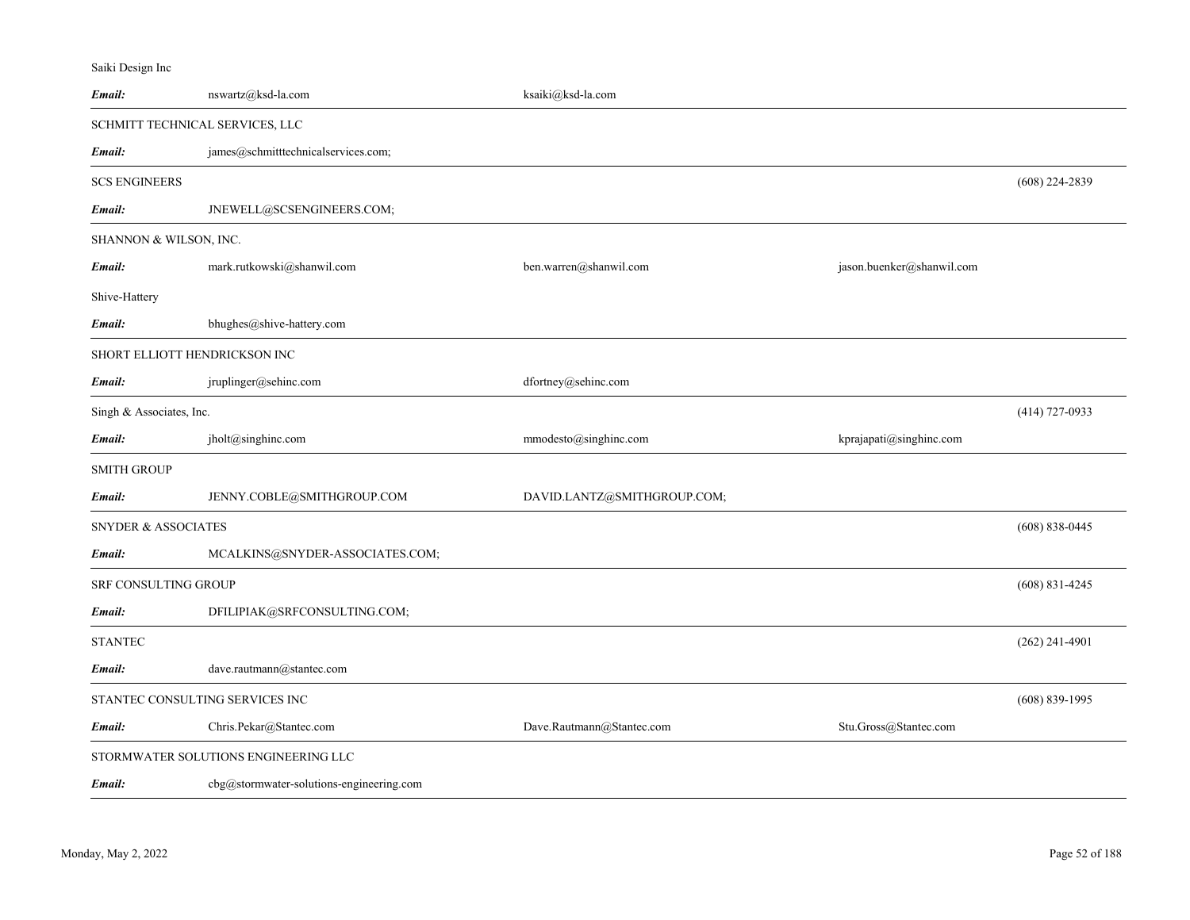# Saiki Design Inc

| Email:                   | nswartz@ksd-la.com                       | ksaiki@ksd-la.com           |                           |                    |
|--------------------------|------------------------------------------|-----------------------------|---------------------------|--------------------|
|                          | SCHMITT TECHNICAL SERVICES, LLC          |                             |                           |                    |
| Email:                   | james@schmitttechnicalservices.com;      |                             |                           |                    |
| <b>SCS ENGINEERS</b>     |                                          |                             |                           | $(608)$ 224-2839   |
| Email:                   | JNEWELL@SCSENGINEERS.COM;                |                             |                           |                    |
| SHANNON & WILSON, INC.   |                                          |                             |                           |                    |
| Email:                   | mark.rutkowski@shanwil.com               | ben.warren@shanwil.com      | jason.buenker@shanwil.com |                    |
| Shive-Hattery            |                                          |                             |                           |                    |
| Email:                   | bhughes@shive-hattery.com                |                             |                           |                    |
|                          | SHORT ELLIOTT HENDRICKSON INC            |                             |                           |                    |
| Email:                   | jruplinger@sehinc.com                    | dfortney@sehinc.com         |                           |                    |
| Singh & Associates, Inc. |                                          |                             |                           | $(414)$ 727-0933   |
| Email:                   | jholt@singhinc.com                       | mmodesto@singhinc.com       | kprajapati@singhinc.com   |                    |
| <b>SMITH GROUP</b>       |                                          |                             |                           |                    |
| Email:                   | JENNY.COBLE@SMITHGROUP.COM               | DAVID.LANTZ@SMITHGROUP.COM; |                           |                    |
| SNYDER & ASSOCIATES      |                                          |                             |                           | $(608) 838 - 0445$ |
| Email:                   | MCALKINS@SNYDER-ASSOCIATES.COM;          |                             |                           |                    |
| SRF CONSULTING GROUP     |                                          |                             |                           | $(608)$ 831-4245   |
| Email:                   | DFILIPIAK@SRFCONSULTING.COM;             |                             |                           |                    |
| <b>STANTEC</b>           |                                          |                             |                           | $(262)$ 241-4901   |
| Email:                   | dave.rautmann@stantec.com                |                             |                           |                    |
|                          | STANTEC CONSULTING SERVICES INC          |                             |                           | $(608) 839-1995$   |
| Email:                   | Chris.Pekar@Stantec.com                  | Dave.Rautmann@Stantec.com   | Stu.Gross@Stantec.com     |                    |
|                          | STORMWATER SOLUTIONS ENGINEERING LLC     |                             |                           |                    |
| Email:                   | cbg@stormwater-solutions-engineering.com |                             |                           |                    |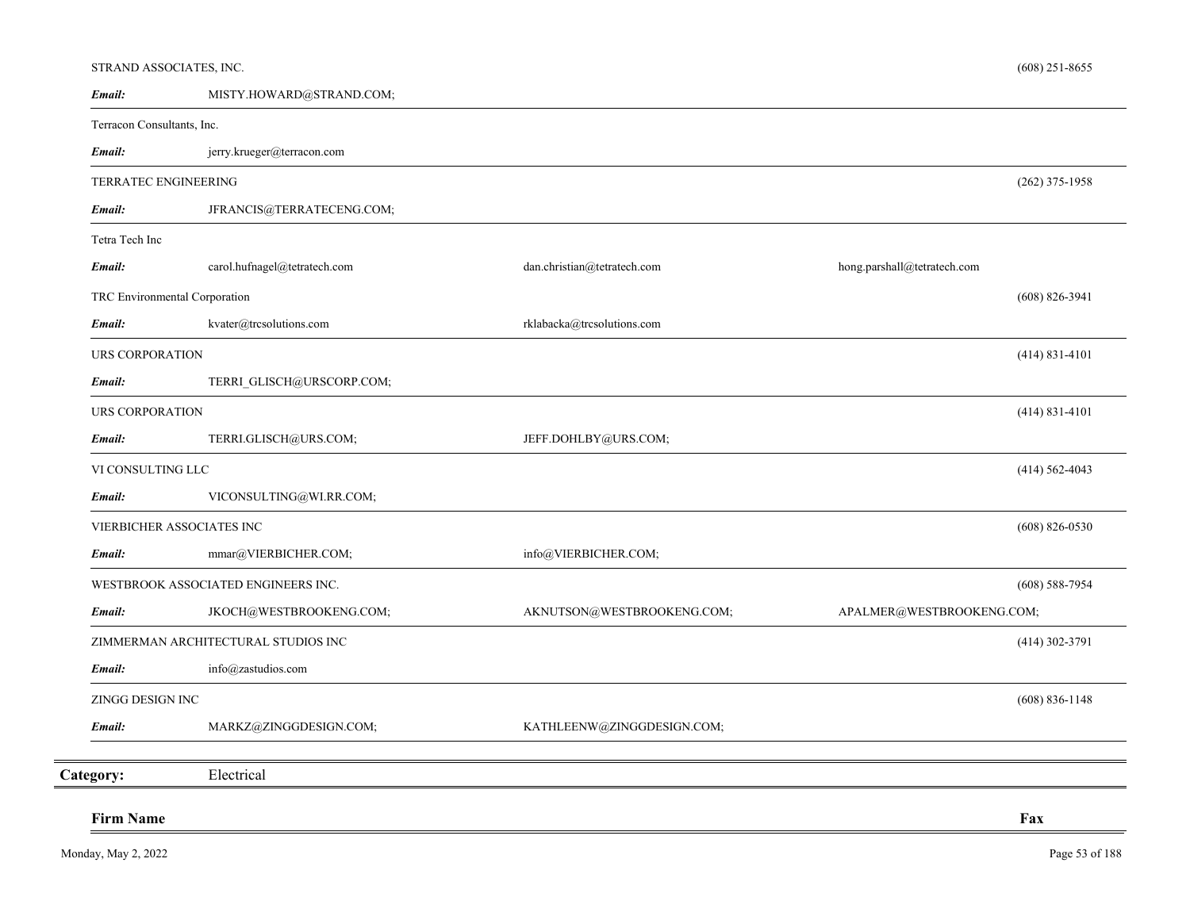## STRAND ASSOCIATES, INC.

| Email:                        | MISTY.HOWARD@STRAND.COM;            |                             |                             |
|-------------------------------|-------------------------------------|-----------------------------|-----------------------------|
| Terracon Consultants, Inc.    |                                     |                             |                             |
| Email:                        | jerry.krueger@terracon.com          |                             |                             |
| TERRATEC ENGINEERING          |                                     |                             | $(262)$ 375-1958            |
| Email:                        | JFRANCIS@TERRATECENG.COM;           |                             |                             |
| Tetra Tech Inc                |                                     |                             |                             |
| Email:                        | carol.hufnagel@tetratech.com        | dan.christian@tetratech.com | hong.parshall@tetratech.com |
| TRC Environmental Corporation |                                     |                             | $(608) 826 - 3941$          |
| Email:                        | kvater@trcsolutions.com             | rklabacka@trcsolutions.com  |                             |
| <b>URS CORPORATION</b>        |                                     |                             | $(414)$ 831-4101            |
| Email:                        | TERRI GLISCH@URSCORP.COM;           |                             |                             |
| <b>URS CORPORATION</b>        |                                     |                             | $(414)$ 831-4101            |
| Email:                        | TERRI.GLISCH@URS.COM;               | JEFF.DOHLBY@URS.COM;        |                             |
| VI CONSULTING LLC             |                                     |                             | $(414) 562 - 4043$          |
| Email:                        | VICONSULTING@WI.RR.COM;             |                             |                             |
|                               | VIERBICHER ASSOCIATES INC           |                             | $(608)$ 826-0530            |
| Email:                        | mmar@VIERBICHER.COM;                | info@VIERBICHER.COM;        |                             |
|                               | WESTBROOK ASSOCIATED ENGINEERS INC. |                             | $(608)$ 588-7954            |
| Email:                        | JKOCH@WESTBROOKENG.COM;             | AKNUTSON@WESTBROOKENG.COM;  | APALMER@WESTBROOKENG.COM;   |
|                               | ZIMMERMAN ARCHITECTURAL STUDIOS INC |                             | $(414)$ 302-3791            |
| Email:                        | info@zastudios.com                  |                             |                             |
| ZINGG DESIGN INC              |                                     |                             | $(608) 836 - 1148$          |
| Email:                        | MARKZ@ZINGGDESIGN.COM;              | KATHLEENW@ZINGGDESIGN.COM;  |                             |
| Category:                     | Electrical                          |                             |                             |
|                               |                                     |                             |                             |
| <b>Firm Name</b>              |                                     |                             | Fax                         |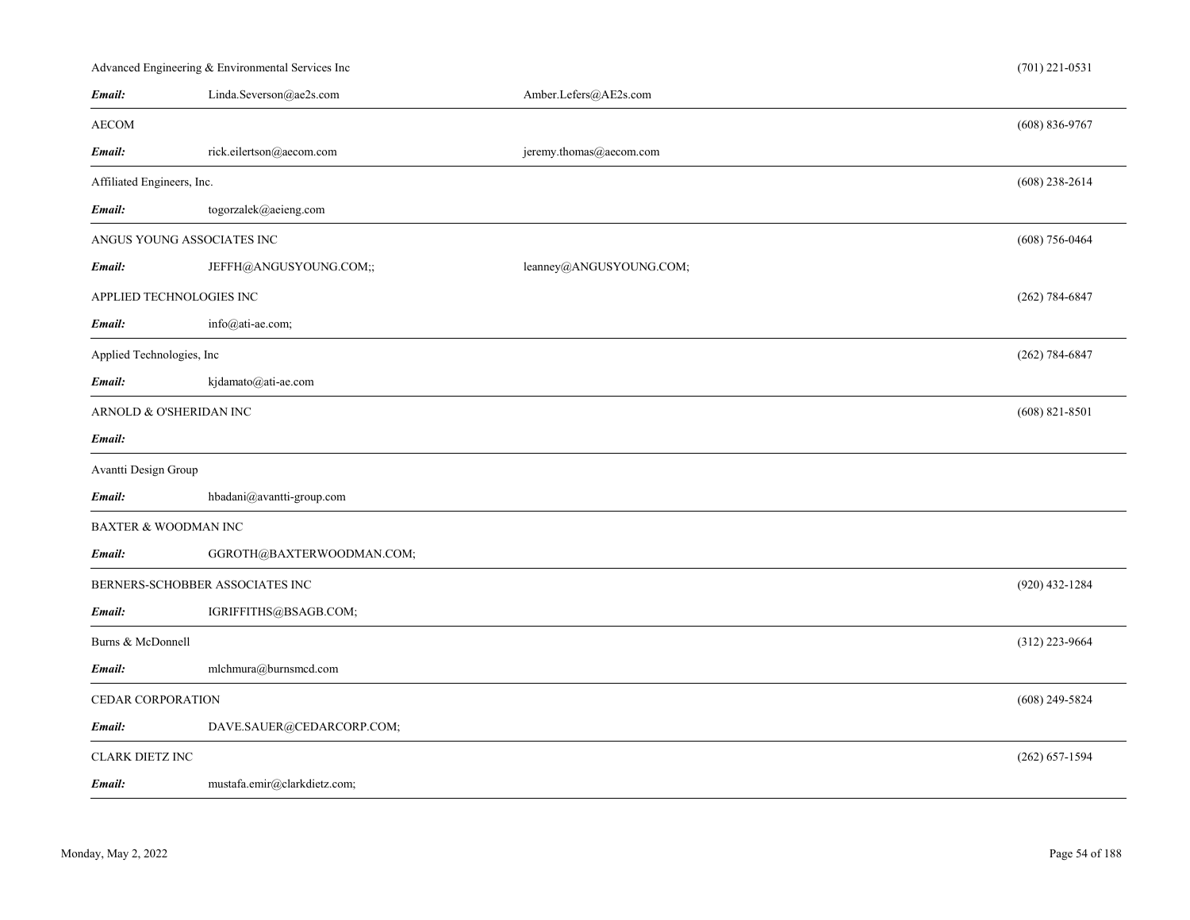|                            | Advanced Engineering & Environmental Services Inc |                         | $(701)$ 221-0531   |
|----------------------------|---------------------------------------------------|-------------------------|--------------------|
| Email:                     | Linda.Severson@ae2s.com                           | Amber.Lefers@AE2s.com   |                    |
| <b>AECOM</b>               |                                                   |                         | $(608) 836 - 9767$ |
| Email:                     | rick.eilertson@aecom.com                          | jeremy.thomas@aecom.com |                    |
| Affiliated Engineers, Inc. |                                                   |                         | $(608)$ 238-2614   |
| Email:                     | togorzalek@aeieng.com                             |                         |                    |
|                            | ANGUS YOUNG ASSOCIATES INC                        |                         | $(608)$ 756-0464   |
| Email:                     | JEFFH@ANGUSYOUNG.COM;;                            | leanney@ANGUSYOUNG.COM; |                    |
|                            | APPLIED TECHNOLOGIES INC                          |                         | $(262) 784 - 6847$ |
| Email:                     | info@ati-ae.com;                                  |                         |                    |
| Applied Technologies, Inc  |                                                   |                         | $(262) 784 - 6847$ |
| Email:                     | kjdamato@ati-ae.com                               |                         |                    |
|                            | ARNOLD & O'SHERIDAN INC                           |                         | $(608)$ 821-8501   |
| Email:                     |                                                   |                         |                    |
| Avantti Design Group       |                                                   |                         |                    |
| Email:                     | hbadani@avantti-group.com                         |                         |                    |
|                            | <b>BAXTER &amp; WOODMAN INC</b>                   |                         |                    |
| Email:                     | GGROTH@BAXTERWOODMAN.COM;                         |                         |                    |
|                            | BERNERS-SCHOBBER ASSOCIATES INC                   |                         | (920) 432-1284     |
| Email:                     | IGRIFFITHS@BSAGB.COM;                             |                         |                    |
| Burns & McDonnell          |                                                   |                         | (312) 223-9664     |
| Email:                     | mlchmura@burnsmcd.com                             |                         |                    |
| CEDAR CORPORATION          |                                                   |                         | $(608)$ 249-5824   |
| Email:                     | DAVE.SAUER@CEDARCORP.COM;                         |                         |                    |
| <b>CLARK DIETZ INC</b>     |                                                   |                         | $(262) 657 - 1594$ |
| Email:                     | mustafa.emir@clarkdietz.com;                      |                         |                    |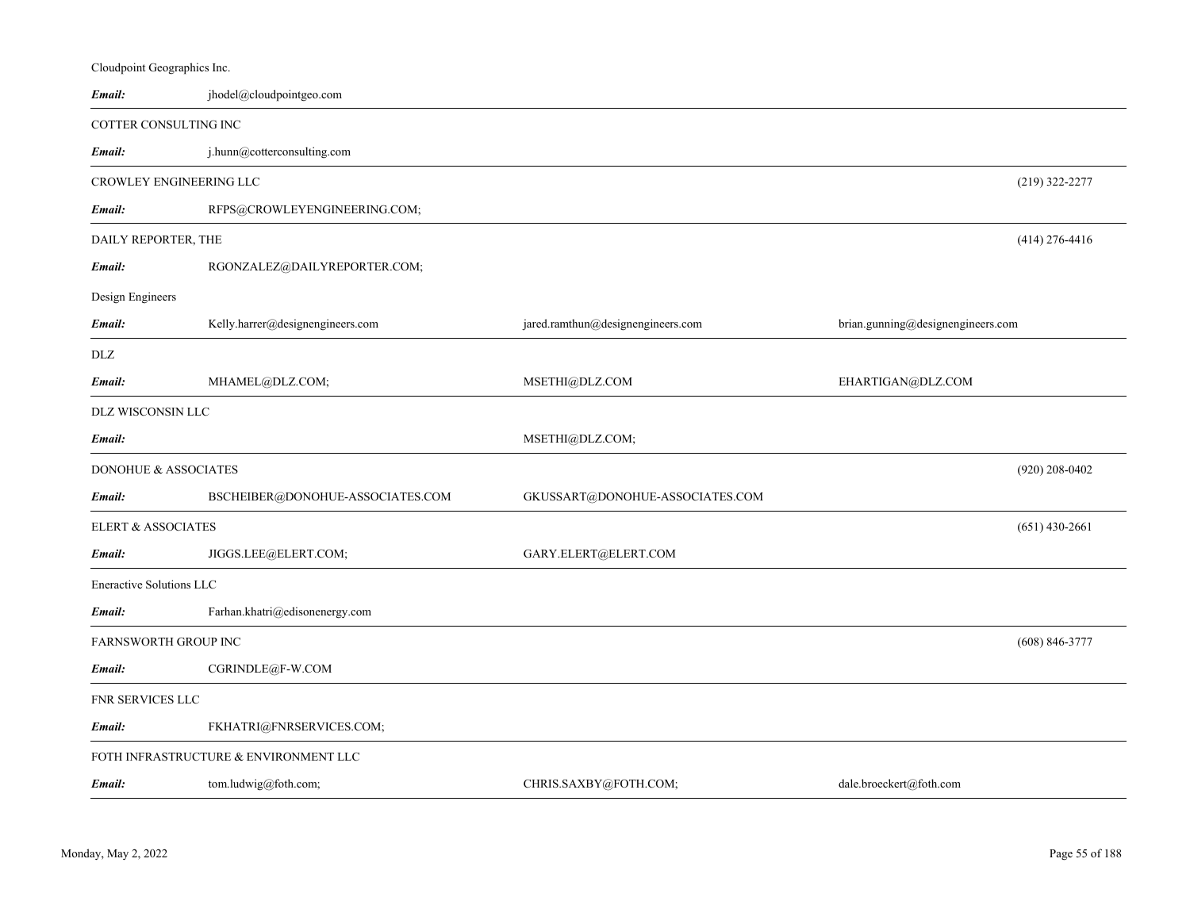| Cloudpoint Geographics Inc.   |                                       |                                   |                                   |
|-------------------------------|---------------------------------------|-----------------------------------|-----------------------------------|
| Email:                        | jhodel@cloudpointgeo.com              |                                   |                                   |
| COTTER CONSULTING INC         |                                       |                                   |                                   |
| Email:                        | j.hunn@cotterconsulting.com           |                                   |                                   |
| CROWLEY ENGINEERING LLC       |                                       |                                   | $(219)$ 322-2277                  |
| Email:                        | RFPS@CROWLEYENGINEERING.COM;          |                                   |                                   |
| DAILY REPORTER, THE           |                                       |                                   | $(414)$ 276-4416                  |
| Email:                        | RGONZALEZ@DAILYREPORTER.COM;          |                                   |                                   |
| Design Engineers              |                                       |                                   |                                   |
| Email:                        | Kelly.harrer@designengineers.com      | jared.ramthun@designengineers.com | brian.gunning@designengineers.com |
| DLZ                           |                                       |                                   |                                   |
| Email:                        | MHAMEL@DLZ.COM;                       | MSETHI@DLZ.COM                    | EHARTIGAN@DLZ.COM                 |
| DLZ WISCONSIN LLC             |                                       |                                   |                                   |
| Email:                        |                                       | MSETHI@DLZ.COM;                   |                                   |
| DONOHUE & ASSOCIATES          |                                       |                                   | $(920)$ 208-0402                  |
| Email:                        | BSCHEIBER@DONOHUE-ASSOCIATES.COM      | GKUSSART@DONOHUE-ASSOCIATES.COM   |                                   |
| <b>ELERT &amp; ASSOCIATES</b> |                                       |                                   | $(651)$ 430-2661                  |
| Email:                        | JIGGS.LEE@ELERT.COM;                  | GARY.ELERT@ELERT.COM              |                                   |
| Eneractive Solutions LLC      |                                       |                                   |                                   |
| Email:                        | Farhan.khatri@edisonenergy.com        |                                   |                                   |
| <b>FARNSWORTH GROUP INC</b>   |                                       |                                   | $(608) 846 - 3777$                |
| Email:                        | CGRINDLE@F-W.COM                      |                                   |                                   |
| FNR SERVICES LLC              |                                       |                                   |                                   |
| Email:                        | FKHATRI@FNRSERVICES.COM;              |                                   |                                   |
|                               | FOTH INFRASTRUCTURE & ENVIRONMENT LLC |                                   |                                   |
| Email:                        | tom.ludwig@foth.com;                  | CHRIS.SAXBY@FOTH.COM;             | dale.broeckert@foth.com           |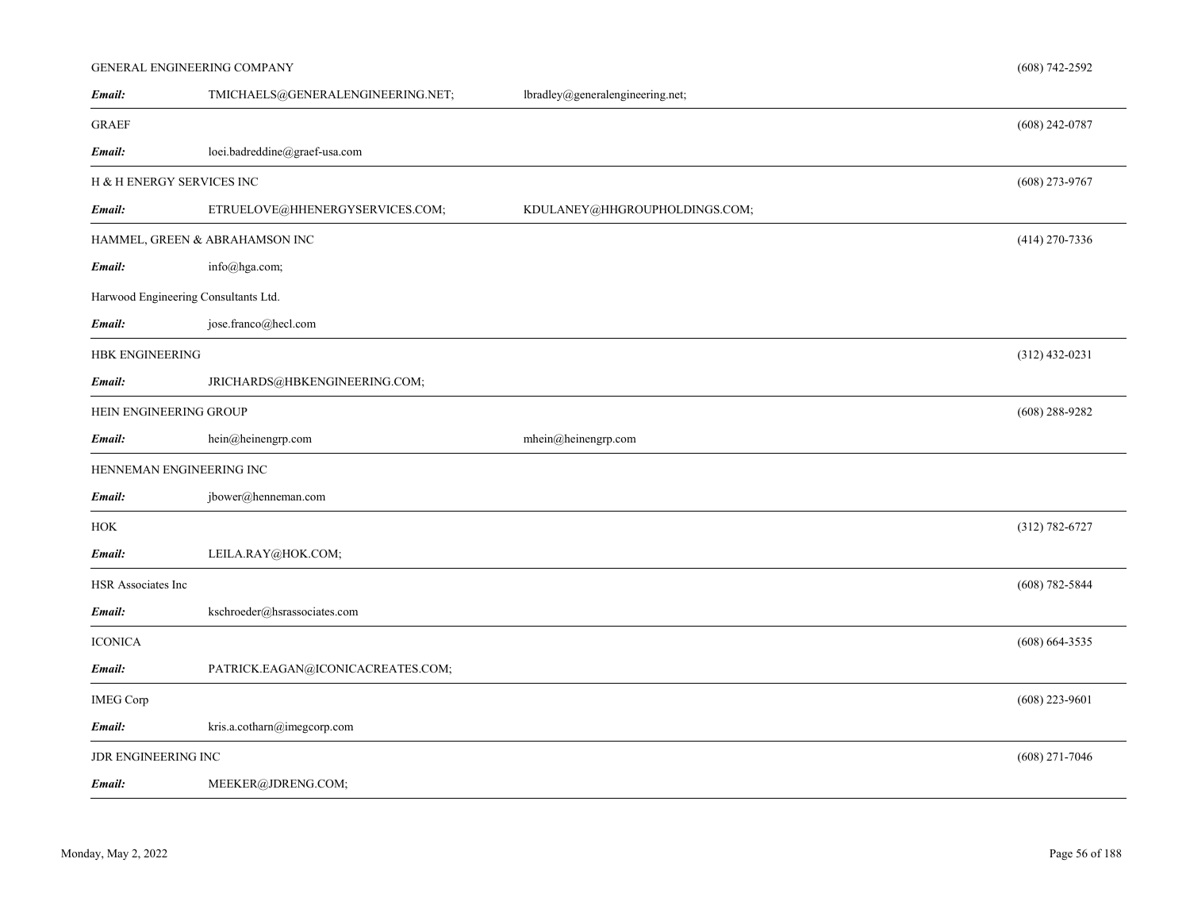## GENERAL ENGINEERING COMPANY

| Email:                    | TMICHAELS@GENERALENGINEERING.NET;    | lbradley@generalengineering.net; |                    |
|---------------------------|--------------------------------------|----------------------------------|--------------------|
| <b>GRAEF</b>              |                                      |                                  | $(608)$ 242-0787   |
| Email:                    | loei.badreddine@graef-usa.com        |                                  |                    |
| H & H ENERGY SERVICES INC |                                      |                                  | $(608)$ 273-9767   |
| Email:                    | ETRUELOVE@HHENERGYSERVICES.COM;      | KDULANEY@HHGROUPHOLDINGS.COM;    |                    |
|                           | HAMMEL, GREEN & ABRAHAMSON INC       |                                  | $(414)$ 270-7336   |
| Email:                    | info@hga.com;                        |                                  |                    |
|                           | Harwood Engineering Consultants Ltd. |                                  |                    |
| Email:                    | jose.franco@hecl.com                 |                                  |                    |
| <b>HBK ENGINEERING</b>    |                                      |                                  | $(312)$ 432-0231   |
| Email:                    | JRICHARDS@HBKENGINEERING.COM;        |                                  |                    |
| HEIN ENGINEERING GROUP    |                                      |                                  | $(608)$ 288-9282   |
| Email:                    | hein@heinengrp.com                   | mhein@heinengrp.com              |                    |
|                           | HENNEMAN ENGINEERING INC             |                                  |                    |
| Email:                    | jbower@henneman.com                  |                                  |                    |
| <b>HOK</b>                |                                      |                                  | $(312) 782 - 6727$ |
| Email:                    | LEILA.RAY@HOK.COM;                   |                                  |                    |
| HSR Associates Inc        |                                      |                                  | $(608) 782 - 5844$ |
| Email:                    | kschroeder@hsrassociates.com         |                                  |                    |
| <b>ICONICA</b>            |                                      |                                  | $(608) 664 - 3535$ |
| Email:                    | PATRICK.EAGAN@ICONICACREATES.COM;    |                                  |                    |
| <b>IMEG Corp</b>          |                                      |                                  | $(608)$ 223-9601   |
| Email:                    | kris.a.cotharn@imegcorp.com          |                                  |                    |
| JDR ENGINEERING INC       |                                      |                                  | $(608)$ 271-7046   |
| Email:                    | MEEKER@JDRENG.COM;                   |                                  |                    |

(608) 742-2592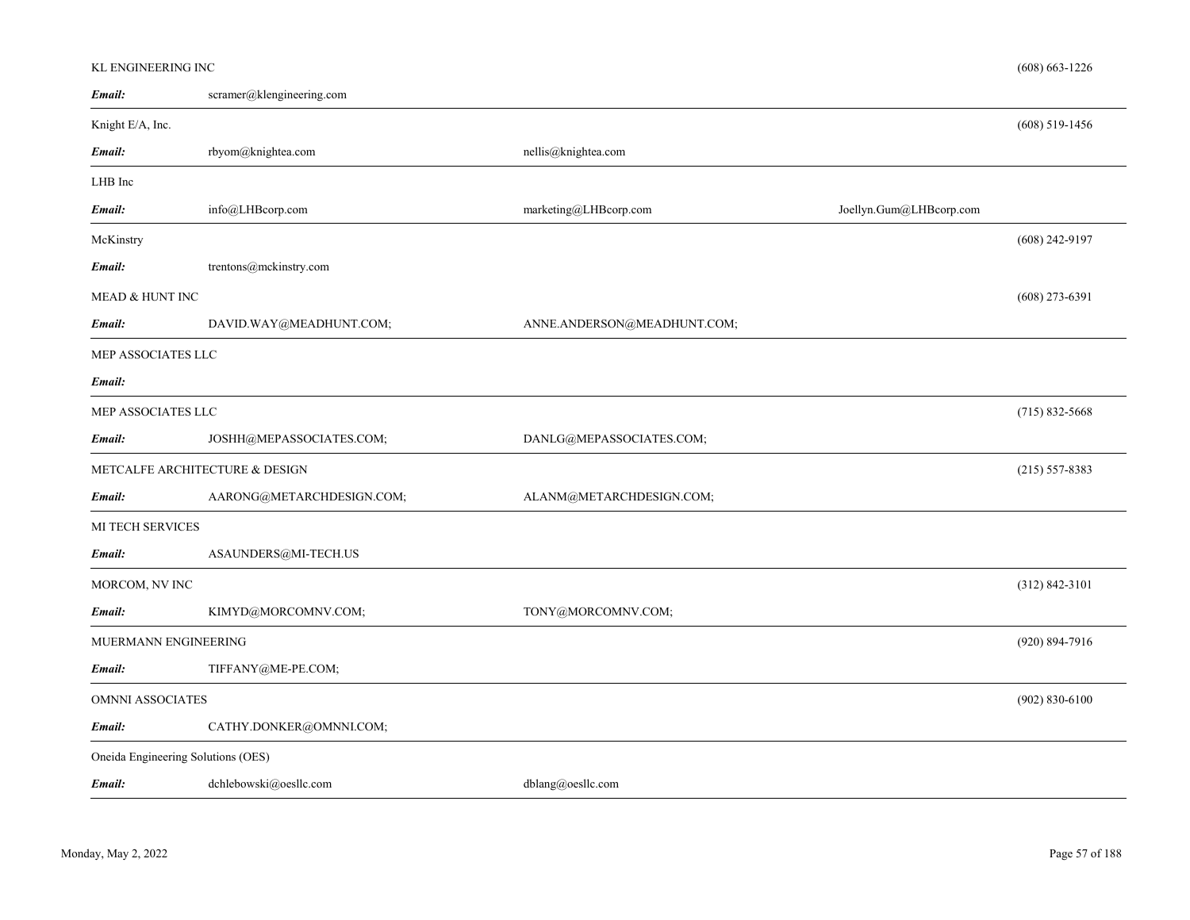## KL ENGINEERING INC

| Email:                             | $scramer@klength$ engineering.com |                             |                         |                    |
|------------------------------------|-----------------------------------|-----------------------------|-------------------------|--------------------|
| Knight E/A, Inc.                   |                                   |                             |                         | $(608)$ 519-1456   |
| Email:                             | rbyom@knightea.com                | nellis@knightea.com         |                         |                    |
| LHB Inc                            |                                   |                             |                         |                    |
| Email:                             | info@LHBcorp.com                  | marketing@LHBcorp.com       | Joellyn.Gum@LHBcorp.com |                    |
| McKinstry                          |                                   |                             |                         | $(608)$ 242-9197   |
| Email:                             | trentons@mckinstry.com            |                             |                         |                    |
| MEAD & HUNT INC                    |                                   |                             |                         | $(608)$ 273-6391   |
| Email:                             | DAVID.WAY@MEADHUNT.COM;           | ANNE.ANDERSON@MEADHUNT.COM; |                         |                    |
| MEP ASSOCIATES LLC                 |                                   |                             |                         |                    |
| Email:                             |                                   |                             |                         |                    |
| MEP ASSOCIATES LLC                 |                                   |                             |                         | $(715)$ 832-5668   |
| Email:                             | JOSHH@MEPASSOCIATES.COM;          | DANLG@MEPASSOCIATES.COM;    |                         |                    |
|                                    | METCALFE ARCHITECTURE & DESIGN    |                             |                         | $(215) 557 - 8383$ |
| Email:                             | AARONG@METARCHDESIGN.COM;         | ALANM@METARCHDESIGN.COM;    |                         |                    |
| MI TECH SERVICES                   |                                   |                             |                         |                    |
| Email:                             | ASAUNDERS@MI-TECH.US              |                             |                         |                    |
| MORCOM, NV INC                     |                                   |                             |                         | $(312) 842 - 3101$ |
| Email:                             | KIMYD@MORCOMNV.COM;               | TONY@MORCOMNV.COM;          |                         |                    |
| MUERMANN ENGINEERING               |                                   |                             |                         | $(920) 894 - 7916$ |
| Email:                             | TIFFANY@ME-PE.COM;                |                             |                         |                    |
| <b>OMNNI ASSOCIATES</b>            |                                   |                             |                         | $(902) 830 - 6100$ |
| Email:                             | CATHY.DONKER@OMNNI.COM;           |                             |                         |                    |
| Oneida Engineering Solutions (OES) |                                   |                             |                         |                    |
| Email:                             | dchlebowski@oesllc.com            | dblang@oesllc.com           |                         |                    |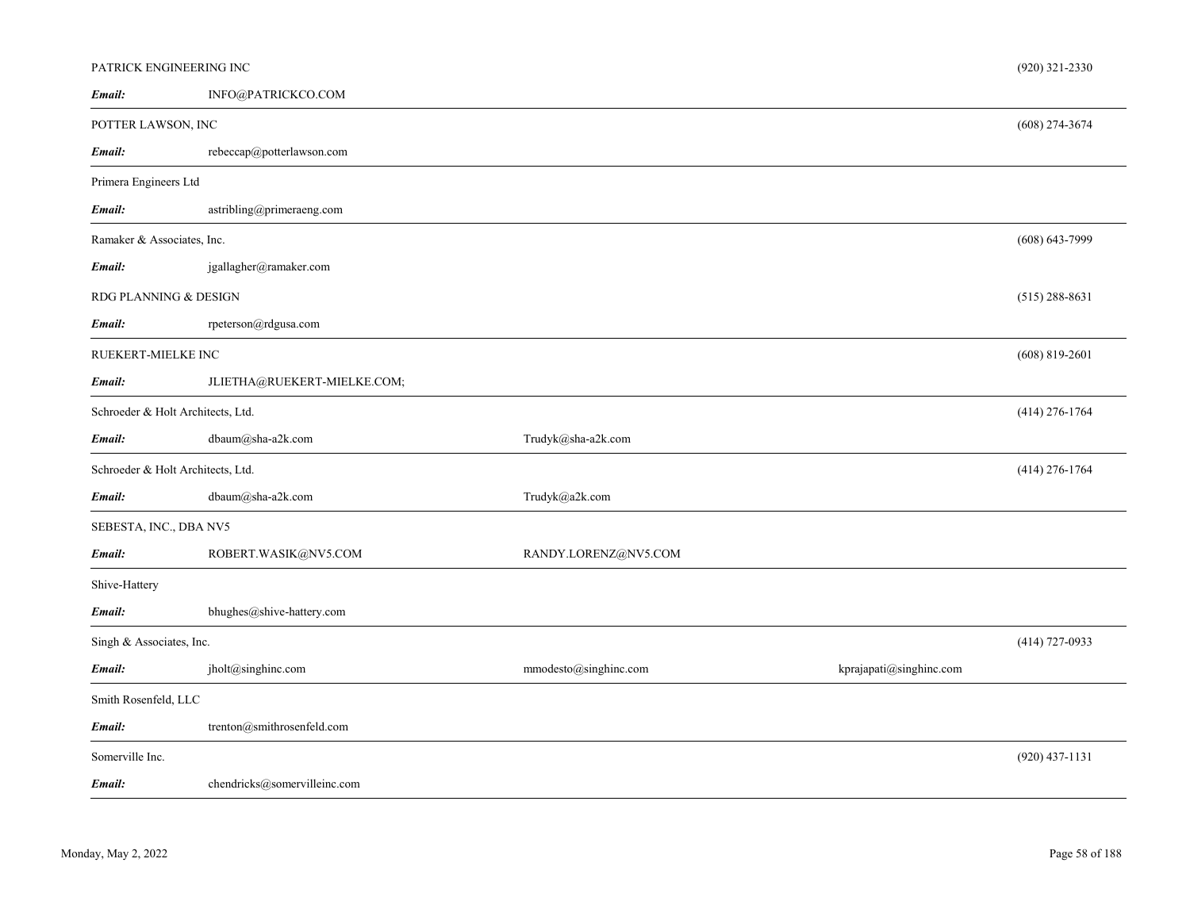| PATRICK ENGINEERING INC           |                                                  |                       |                         | $(920)$ 321-2330   |
|-----------------------------------|--------------------------------------------------|-----------------------|-------------------------|--------------------|
| Email:                            | INFO@PATRICKCO.COM                               |                       |                         |                    |
| POTTER LAWSON, INC                |                                                  |                       |                         | $(608)$ 274-3674   |
| Email:                            | rebeccap@potterlawson.com                        |                       |                         |                    |
| Primera Engineers Ltd             |                                                  |                       |                         |                    |
| Email:                            | astribling@primeraeng.com                        |                       |                         |                    |
|                                   | $(608) 643 - 7999$<br>Ramaker & Associates, Inc. |                       |                         |                    |
| Email:                            | jgallagher@ramaker.com                           |                       |                         |                    |
| RDG PLANNING & DESIGN             |                                                  |                       |                         | $(515)$ 288-8631   |
| Email:                            | rpeterson@rdgusa.com                             |                       |                         |                    |
| RUEKERT-MIELKE INC                |                                                  |                       |                         | $(608) 819 - 2601$ |
| Email:                            | JLIETHA@RUEKERT-MIELKE.COM;                      |                       |                         |                    |
| Schroeder & Holt Architects, Ltd. |                                                  |                       |                         | $(414)$ 276-1764   |
| Email:                            | dbaum@sha-a2k.com                                | Trudyk@sha-a2k.com    |                         |                    |
| Schroeder & Holt Architects, Ltd. |                                                  |                       |                         | $(414)$ 276-1764   |
| Email:                            | dbaum@sha-a2k.com                                | Trudyk@a2k.com        |                         |                    |
| SEBESTA, INC., DBA NV5            |                                                  |                       |                         |                    |
| Email:                            | ROBERT.WASIK@NV5.COM                             | RANDY.LORENZ@NV5.COM  |                         |                    |
| Shive-Hattery                     |                                                  |                       |                         |                    |
| Email:                            | bhughes@shive-hattery.com                        |                       |                         |                    |
| Singh & Associates, Inc.          |                                                  |                       |                         | $(414)$ 727-0933   |
| Email:                            | jholt@singhinc.com                               | mmodesto@singhinc.com | kprajapati@singhinc.com |                    |
| Smith Rosenfeld, LLC              |                                                  |                       |                         |                    |
| Email:                            | trenton@smithrosenfeld.com                       |                       |                         |                    |
| Somerville Inc.                   |                                                  |                       |                         | $(920)$ 437-1131   |
| Email:                            | chendricks@somervilleinc.com                     |                       |                         |                    |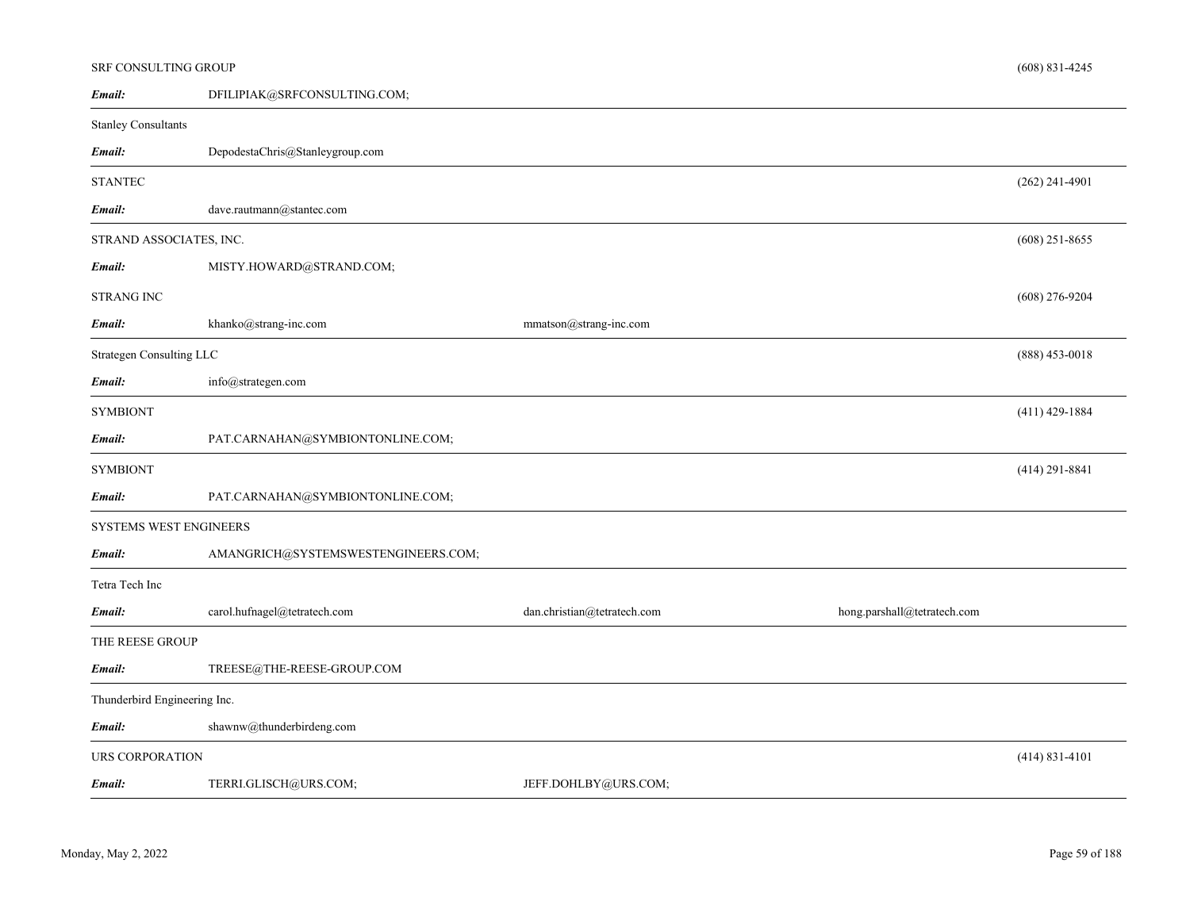|                              | SRF CONSULTING GROUP<br>$(608)$ 831-4245    |                             |                             |                    |  |
|------------------------------|---------------------------------------------|-----------------------------|-----------------------------|--------------------|--|
| Email:                       | DFILIPIAK@SRFCONSULTING.COM;                |                             |                             |                    |  |
| <b>Stanley Consultants</b>   |                                             |                             |                             |                    |  |
| Email:                       | DepodestaChris@Stanleygroup.com             |                             |                             |                    |  |
| <b>STANTEC</b>               |                                             |                             |                             | $(262)$ 241-4901   |  |
| Email:                       | dave.rautmann@stantec.com                   |                             |                             |                    |  |
|                              | $(608)$ 251-8655<br>STRAND ASSOCIATES, INC. |                             |                             |                    |  |
| Email:                       | MISTY.HOWARD@STRAND.COM;                    |                             |                             |                    |  |
| STRANG INC                   |                                             |                             |                             | $(608)$ 276-9204   |  |
| Email:                       | khanko@strang-inc.com                       | mmatson@strang-inc.com      |                             |                    |  |
| Strategen Consulting LLC     |                                             |                             |                             | $(888)$ 453-0018   |  |
| Email:                       | info@strategen.com                          |                             |                             |                    |  |
| <b>SYMBIONT</b>              |                                             |                             |                             | $(411)$ 429-1884   |  |
| Email:                       | PAT.CARNAHAN@SYMBIONTONLINE.COM;            |                             |                             |                    |  |
| <b>SYMBIONT</b>              |                                             |                             |                             | $(414)$ 291-8841   |  |
| Email:                       | PAT.CARNAHAN@SYMBIONTONLINE.COM;            |                             |                             |                    |  |
| SYSTEMS WEST ENGINEERS       |                                             |                             |                             |                    |  |
| Email:                       | AMANGRICH@SYSTEMSWESTENGINEERS.COM;         |                             |                             |                    |  |
| Tetra Tech Inc               |                                             |                             |                             |                    |  |
| Email:                       | carol.hufnagel@tetratech.com                | dan.christian@tetratech.com | hong.parshall@tetratech.com |                    |  |
| THE REESE GROUP              |                                             |                             |                             |                    |  |
| Email:                       | TREESE@THE-REESE-GROUP.COM                  |                             |                             |                    |  |
| Thunderbird Engineering Inc. |                                             |                             |                             |                    |  |
| Email:                       | shawnw@thunderbirdeng.com                   |                             |                             |                    |  |
| <b>URS CORPORATION</b>       |                                             |                             |                             | $(414) 831 - 4101$ |  |
| Email:                       | TERRI.GLISCH@URS.COM;                       | JEFF.DOHLBY@URS.COM;        |                             |                    |  |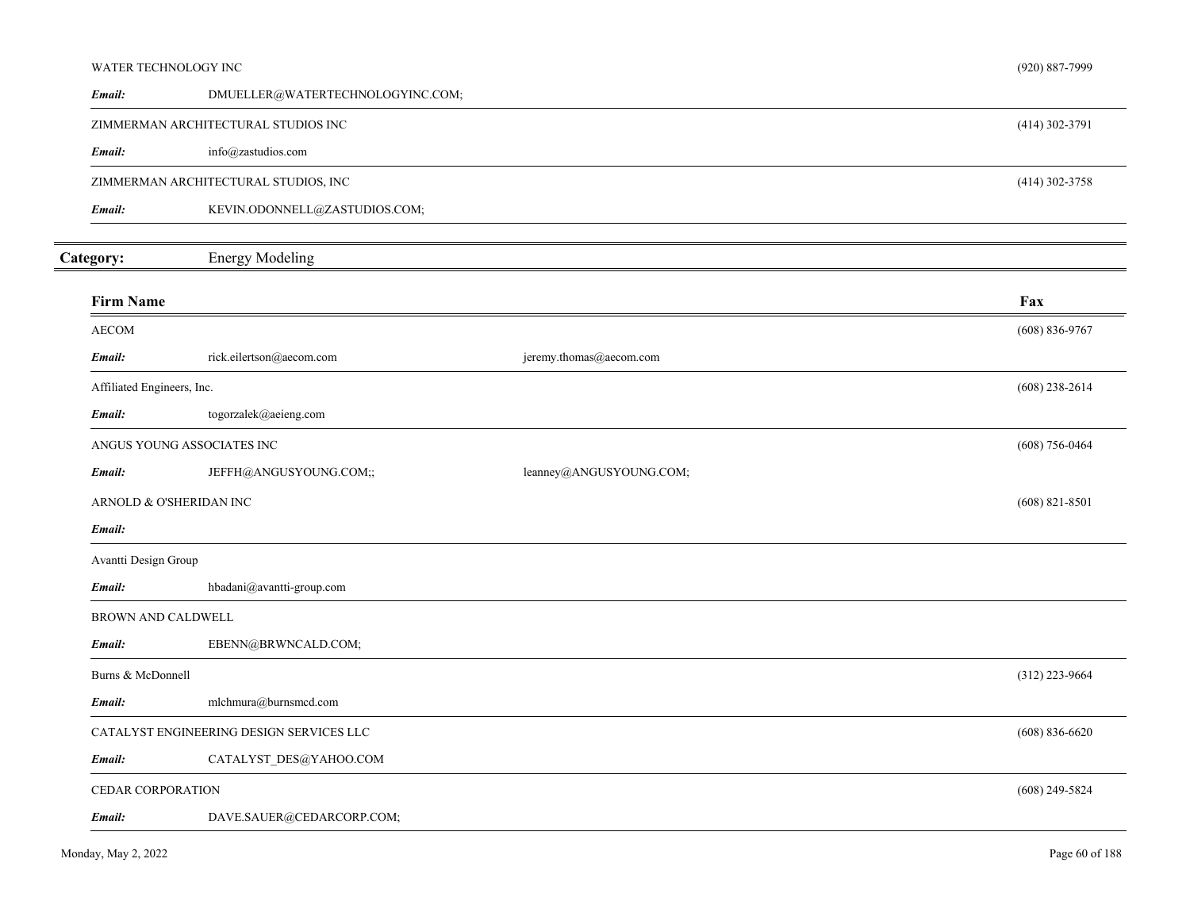| WATER TECHNOLOGY INC       |                                          |                         | $(920) 887 - 7999$ |
|----------------------------|------------------------------------------|-------------------------|--------------------|
| Email:                     | DMUELLER@WATERTECHNOLOGYINC.COM;         |                         |                    |
|                            | ZIMMERMAN ARCHITECTURAL STUDIOS INC      |                         | $(414)$ 302-3791   |
| Email:                     | info@zastudios.com                       |                         |                    |
|                            | ZIMMERMAN ARCHITECTURAL STUDIOS, INC     |                         | (414) 302-3758     |
| Email:                     | KEVIN.ODONNELL@ZASTUDIOS.COM;            |                         |                    |
| Category:                  | <b>Energy Modeling</b>                   |                         |                    |
| <b>Firm Name</b>           |                                          |                         | Fax                |
| <b>AECOM</b>               |                                          |                         | $(608) 836 - 9767$ |
| Email:                     | rick.eilertson@aecom.com                 | jeremy.thomas@aecom.com |                    |
| Affiliated Engineers, Inc. |                                          |                         | $(608)$ 238-2614   |
| Email:                     | togorzalek@aeieng.com                    |                         |                    |
| ANGUS YOUNG ASSOCIATES INC |                                          |                         | $(608) 756 - 0464$ |
| Email:                     | JEFFH@ANGUSYOUNG.COM;;                   | leanney@ANGUSYOUNG.COM; |                    |
| ARNOLD & O'SHERIDAN INC    |                                          |                         | $(608)$ 821-8501   |
| Email:                     |                                          |                         |                    |
| Avantti Design Group       |                                          |                         |                    |
| Email:                     | hbadani@avantti-group.com                |                         |                    |
| <b>BROWN AND CALDWELL</b>  |                                          |                         |                    |
| Email:                     | EBENN@BRWNCALD.COM;                      |                         |                    |
| Burns & McDonnell          |                                          |                         | $(312)$ 223-9664   |
| Email:                     | mlchmura@burnsmcd.com                    |                         |                    |
|                            | CATALYST ENGINEERING DESIGN SERVICES LLC |                         | $(608) 836 - 6620$ |
| Email:                     | CATALYST_DES@YAHOO.COM                   |                         |                    |
| CEDAR CORPORATION          |                                          |                         | $(608)$ 249-5824   |
| Email:                     | DAVE.SAUER@CEDARCORP.COM;                |                         |                    |
|                            |                                          |                         |                    |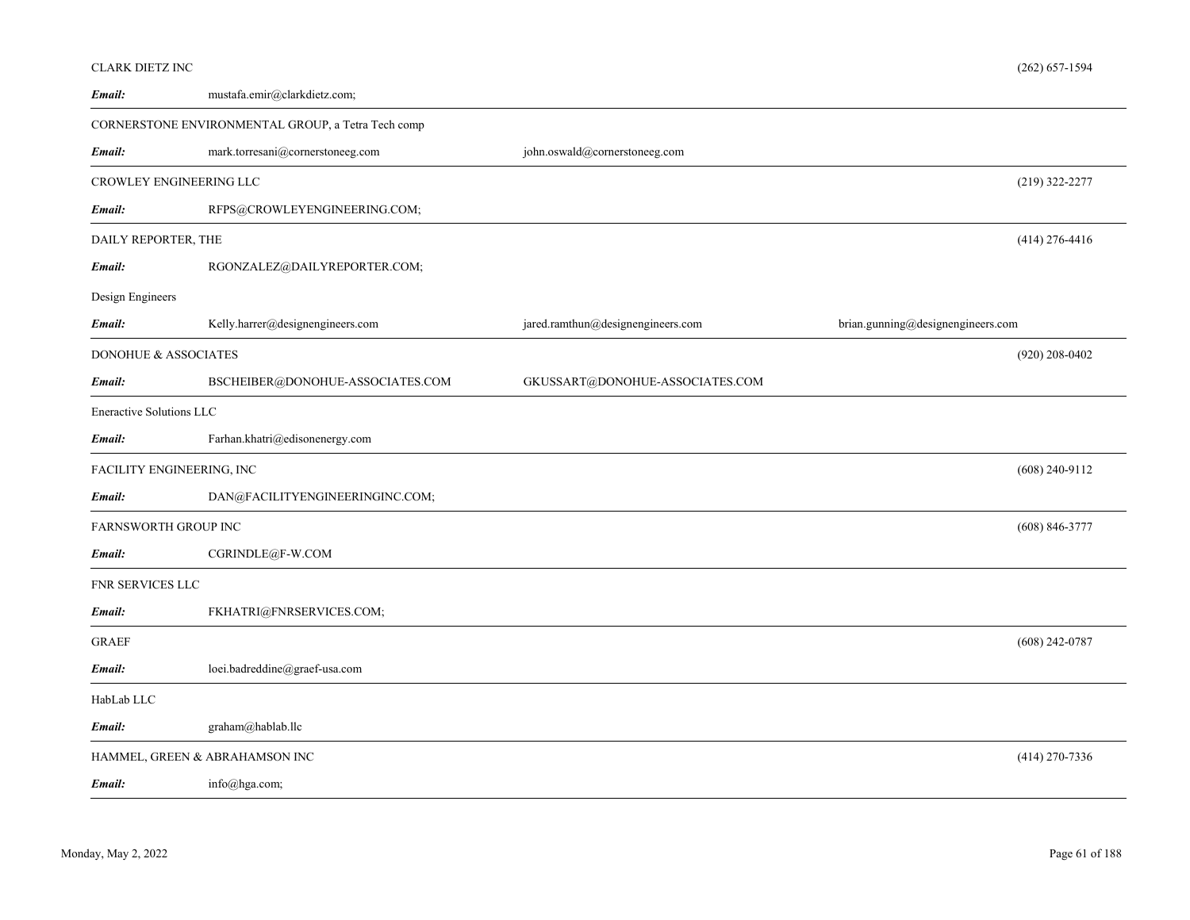| CLARK DIETZ INC                 |                                                    |                                   | $(262) 657 - 1594$                |
|---------------------------------|----------------------------------------------------|-----------------------------------|-----------------------------------|
| Email:                          | mustafa.emir@clarkdietz.com;                       |                                   |                                   |
|                                 | CORNERSTONE ENVIRONMENTAL GROUP, a Tetra Tech comp |                                   |                                   |
| Email:                          | mark.torresani@cornerstoneeg.com                   | john.oswald@cornerstoneeg.com     |                                   |
|                                 | CROWLEY ENGINEERING LLC                            |                                   | $(219)$ 322-2277                  |
| Email:                          | RFPS@CROWLEYENGINEERING.COM;                       |                                   |                                   |
| DAILY REPORTER, THE             |                                                    |                                   | $(414)$ 276-4416                  |
| Email:                          | RGONZALEZ@DAILYREPORTER.COM;                       |                                   |                                   |
| Design Engineers                |                                                    |                                   |                                   |
| Email:                          | Kelly.harrer@designengineers.com                   | jared.ramthun@designengineers.com | brian.gunning@designengineers.com |
| <b>DONOHUE &amp; ASSOCIATES</b> |                                                    |                                   | $(920)$ 208-0402                  |
| Email:                          | BSCHEIBER@DONOHUE-ASSOCIATES.COM                   | GKUSSART@DONOHUE-ASSOCIATES.COM   |                                   |
| Eneractive Solutions LLC        |                                                    |                                   |                                   |
| Email:                          | Farhan.khatri@edisonenergy.com                     |                                   |                                   |
|                                 | FACILITY ENGINEERING, INC                          |                                   | $(608)$ 240-9112                  |
| Email:                          | DAN@FACILITYENGINEERINGINC.COM;                    |                                   |                                   |
| FARNSWORTH GROUP INC            |                                                    |                                   | $(608) 846 - 3777$                |
| Email:                          | CGRINDLE@F-W.COM                                   |                                   |                                   |
| FNR SERVICES LLC                |                                                    |                                   |                                   |
| Email:                          | FKHATRI@FNRSERVICES.COM;                           |                                   |                                   |
| <b>GRAEF</b>                    |                                                    |                                   | $(608)$ 242-0787                  |
| Email:                          | loei.badreddine@graef-usa.com                      |                                   |                                   |
| HabLab LLC                      |                                                    |                                   |                                   |
| Email:                          | graham@hablab.llc                                  |                                   |                                   |
|                                 | HAMMEL, GREEN & ABRAHAMSON INC                     |                                   | $(414)$ 270-7336                  |
| Email:                          | info@hga.com;                                      |                                   |                                   |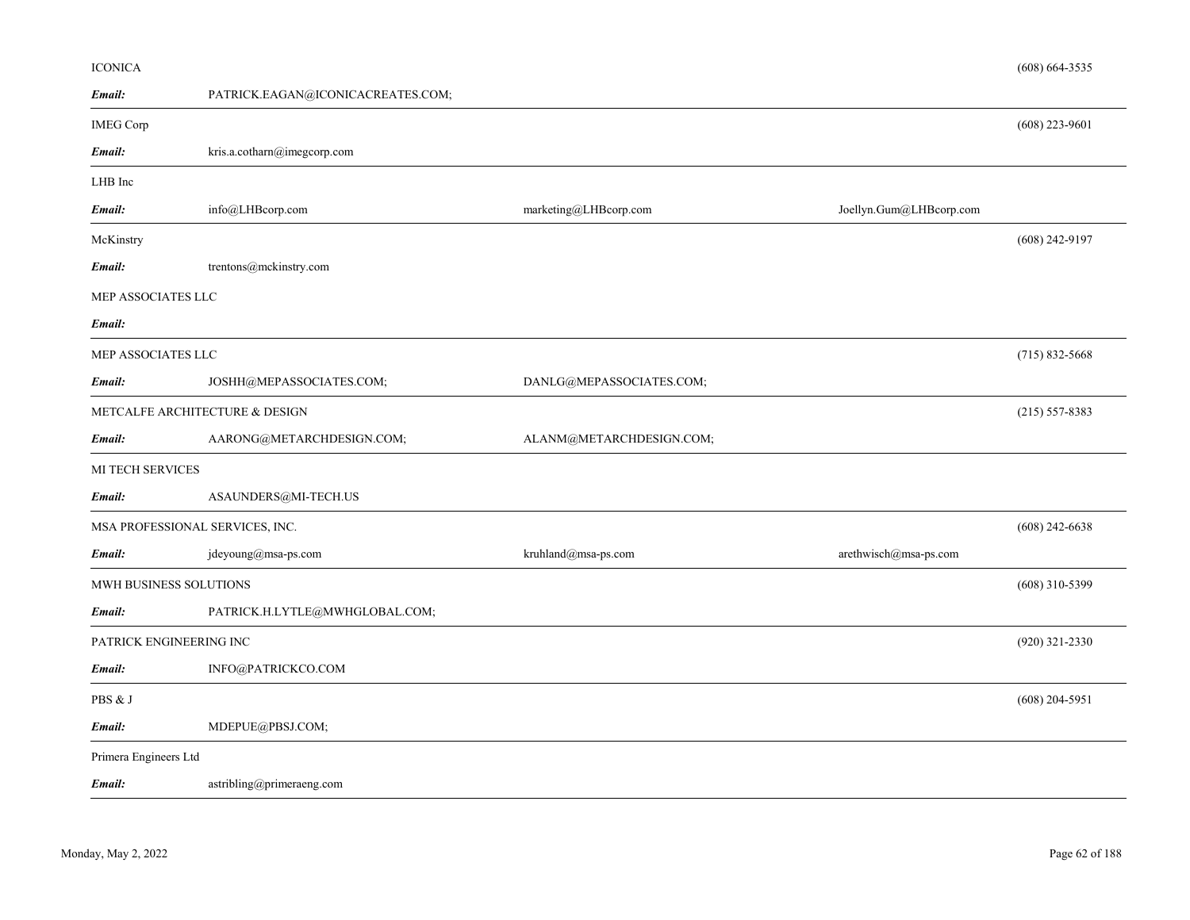| <b>ICONICA</b>          |                                   |                          |                         | $(608)$ 664-3535   |
|-------------------------|-----------------------------------|--------------------------|-------------------------|--------------------|
| Email:                  | PATRICK.EAGAN@ICONICACREATES.COM; |                          |                         |                    |
| <b>IMEG Corp</b>        |                                   |                          |                         | $(608)$ 223-9601   |
| Email:                  | kris.a.cotharn@imegcorp.com       |                          |                         |                    |
| LHB Inc                 |                                   |                          |                         |                    |
| Email:                  | info@LHBcorp.com                  | marketing@LHBcorp.com    | Joellyn.Gum@LHBcorp.com |                    |
| McKinstry               |                                   |                          |                         | $(608)$ 242-9197   |
| Email:                  | trentons@mckinstry.com            |                          |                         |                    |
| MEP ASSOCIATES LLC      |                                   |                          |                         |                    |
| Email:                  |                                   |                          |                         |                    |
| MEP ASSOCIATES LLC      |                                   |                          |                         | $(715) 832 - 5668$ |
| Email:                  | JOSHH@MEPASSOCIATES.COM;          | DANLG@MEPASSOCIATES.COM; |                         |                    |
|                         | METCALFE ARCHITECTURE & DESIGN    |                          |                         | $(215) 557 - 8383$ |
| Email:                  | AARONG@METARCHDESIGN.COM;         | ALANM@METARCHDESIGN.COM; |                         |                    |
| <b>MI TECH SERVICES</b> |                                   |                          |                         |                    |
| Email:                  | ASAUNDERS@MI-TECH.US              |                          |                         |                    |
|                         | MSA PROFESSIONAL SERVICES, INC.   |                          |                         | $(608)$ 242-6638   |
| Email:                  | $j$ deyoung@msa-ps.com            | kruhland@msa-ps.com      | arethwisch@msa-ps.com   |                    |
| MWH BUSINESS SOLUTIONS  |                                   |                          |                         | $(608)$ 310-5399   |
| Email:                  | PATRICK.H.LYTLE@MWHGLOBAL.COM;    |                          |                         |                    |
| PATRICK ENGINEERING INC |                                   |                          |                         | (920) 321-2330     |
| Email:                  | INFO@PATRICKCO.COM                |                          |                         |                    |
| PBS & J                 |                                   |                          |                         | $(608)$ 204-5951   |
| Email:                  | MDEPUE@PBSJ.COM;                  |                          |                         |                    |
| Primera Engineers Ltd   |                                   |                          |                         |                    |
| Email:                  | astribling@primeraeng.com         |                          |                         |                    |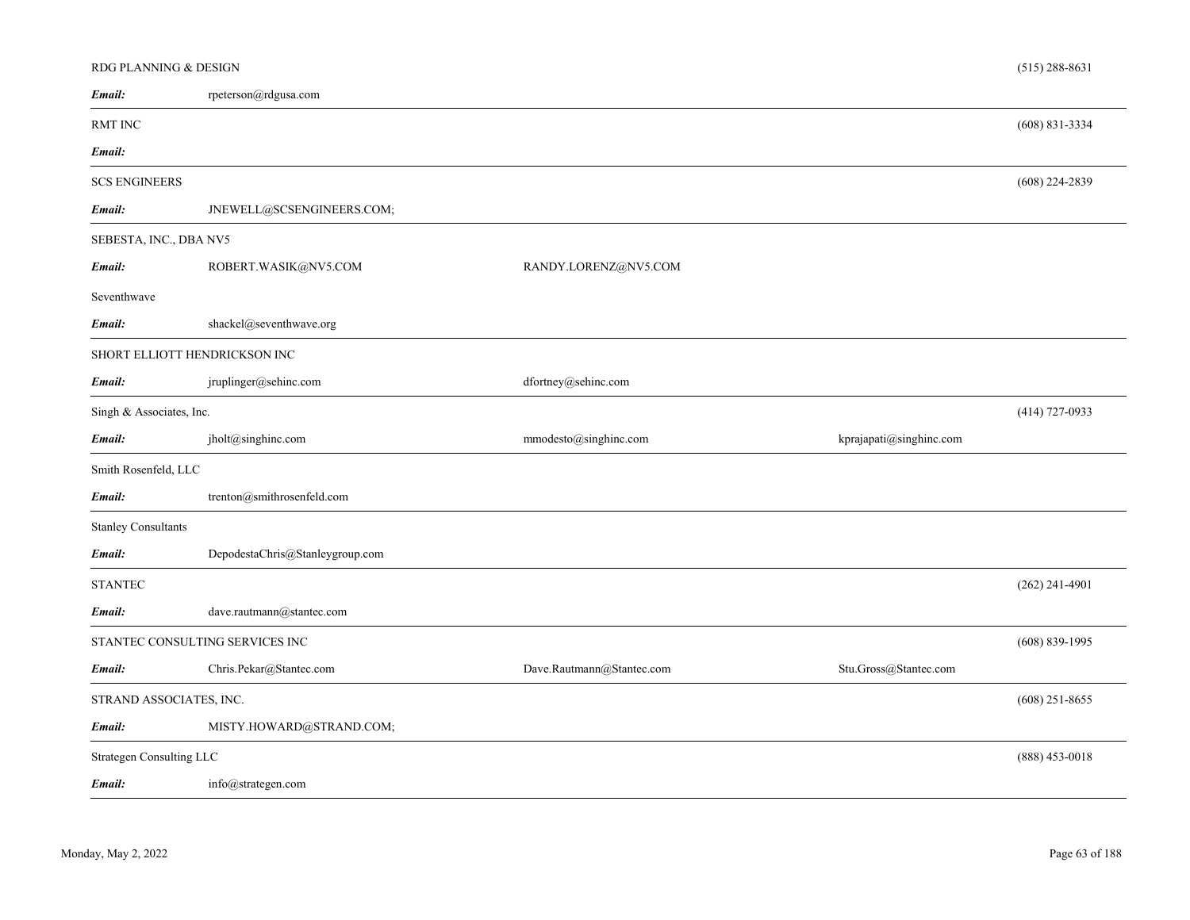| RDG PLANNING & DESIGN         |                                 |                           |                         | $(515)$ 288-8631   |
|-------------------------------|---------------------------------|---------------------------|-------------------------|--------------------|
| Email:                        | rpeterson@rdgusa.com            |                           |                         |                    |
| <b>RMT INC</b>                |                                 |                           |                         | $(608) 831 - 3334$ |
| Email:                        |                                 |                           |                         |                    |
| <b>SCS ENGINEERS</b>          |                                 |                           |                         | $(608)$ 224-2839   |
| Email:                        | JNEWELL@SCSENGINEERS.COM;       |                           |                         |                    |
| SEBESTA, INC., DBA NV5        |                                 |                           |                         |                    |
| Email:                        | ROBERT.WASIK@NV5.COM            | RANDY.LORENZ@NV5.COM      |                         |                    |
| Seventhwave                   |                                 |                           |                         |                    |
| Email:                        | shackel@seventhwave.org         |                           |                         |                    |
| SHORT ELLIOTT HENDRICKSON INC |                                 |                           |                         |                    |
| Email:                        | jruplinger@sehinc.com           | dfortney@sehinc.com       |                         |                    |
| Singh & Associates, Inc.      |                                 |                           |                         | $(414)$ 727-0933   |
| Email:                        | jholt@singhinc.com              | mmodesto@singhinc.com     | kprajapati@singhinc.com |                    |
| Smith Rosenfeld, LLC          |                                 |                           |                         |                    |
| Email:                        | trenton@smithrosenfeld.com      |                           |                         |                    |
| <b>Stanley Consultants</b>    |                                 |                           |                         |                    |
| Email:                        | DepodestaChris@Stanleygroup.com |                           |                         |                    |
| <b>STANTEC</b>                |                                 |                           |                         | $(262)$ 241-4901   |
| Email:                        | dave.rautmann@stantec.com       |                           |                         |                    |
|                               | STANTEC CONSULTING SERVICES INC |                           |                         | $(608) 839 - 1995$ |
| Email:                        | Chris.Pekar@Stantec.com         | Dave.Rautmann@Stantec.com | Stu.Gross@Stantec.com   |                    |
| STRAND ASSOCIATES, INC.       |                                 |                           |                         | $(608)$ 251-8655   |
| Email:                        | MISTY.HOWARD@STRAND.COM;        |                           |                         |                    |
| Strategen Consulting LLC      |                                 |                           |                         | (888) 453-0018     |
| Email:                        | info@strategen.com              |                           |                         |                    |
|                               |                                 |                           |                         |                    |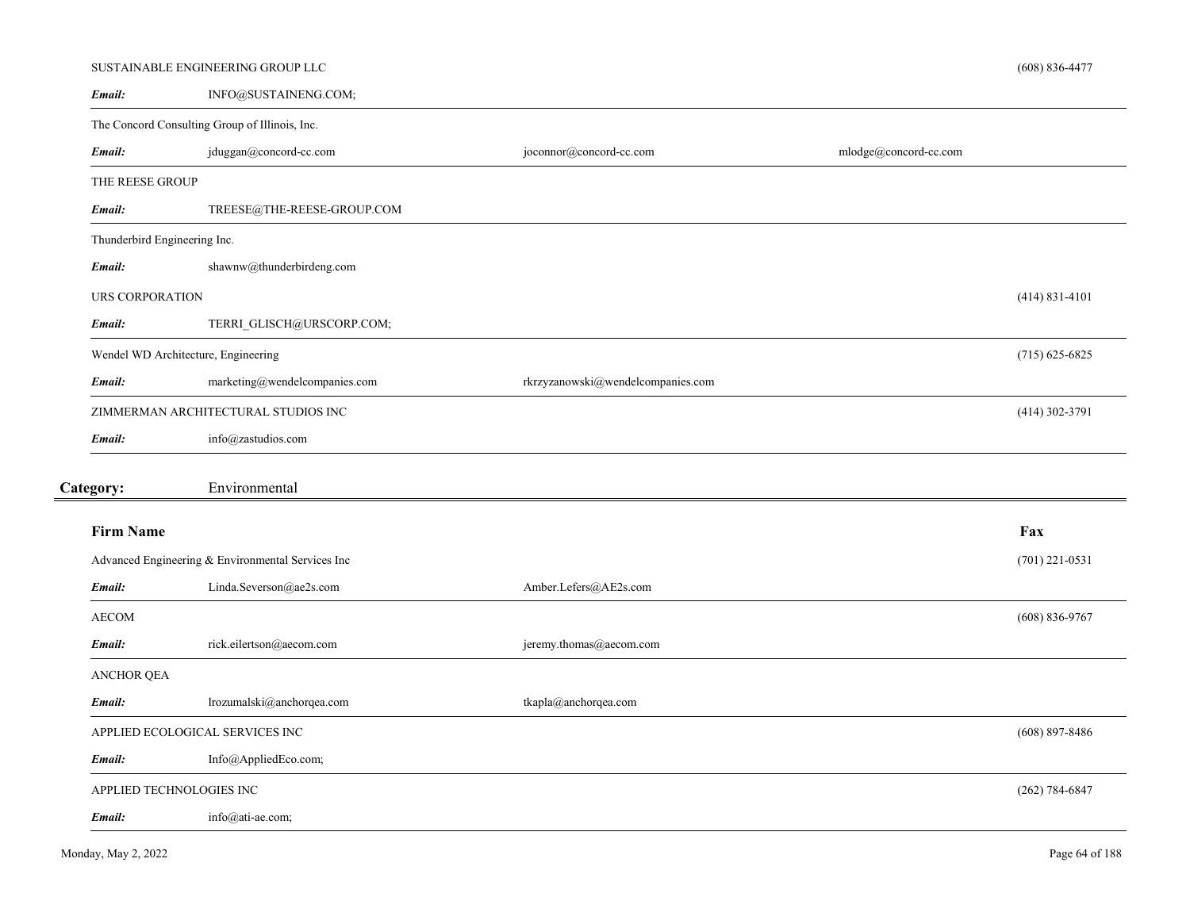|                                     | SUSTAINABLE ENGINEERING GROUP LLC                 |                                   |                       | $(608) 836 - 4477$ |
|-------------------------------------|---------------------------------------------------|-----------------------------------|-----------------------|--------------------|
| Email:                              | INFO@SUSTAINENG.COM;                              |                                   |                       |                    |
|                                     | The Concord Consulting Group of Illinois, Inc.    |                                   |                       |                    |
| Email:                              | jduggan@concord-cc.com                            | joconnor@concord-cc.com           | mlodge@concord-cc.com |                    |
| THE REESE GROUP                     |                                                   |                                   |                       |                    |
| Email:                              | TREESE@THE-REESE-GROUP.COM                        |                                   |                       |                    |
| Thunderbird Engineering Inc.        |                                                   |                                   |                       |                    |
| Email:                              | shawnw@thunderbirdeng.com                         |                                   |                       |                    |
| URS CORPORATION                     |                                                   |                                   |                       | $(414) 831 - 4101$ |
| Email:                              | TERRI_GLISCH@URSCORP.COM;                         |                                   |                       |                    |
| Wendel WD Architecture, Engineering |                                                   |                                   |                       | $(715)$ 625-6825   |
| Email:                              | marketing@wendelcompanies.com                     | rkrzyzanowski@wendelcompanies.com |                       |                    |
|                                     | ZIMMERMAN ARCHITECTURAL STUDIOS INC               |                                   |                       | $(414)$ 302-3791   |
| Email:                              | info@zastudios.com                                |                                   |                       |                    |
| Category:                           | Environmental                                     |                                   |                       |                    |
|                                     |                                                   |                                   |                       |                    |
| <b>Firm Name</b>                    |                                                   |                                   |                       | Fax                |
|                                     | Advanced Engineering & Environmental Services Inc |                                   |                       | $(701)$ 221-0531   |
| Email:                              | Linda.Severson@ae2s.com                           | Amber.Lefers@AE2s.com             |                       |                    |
| <b>AECOM</b>                        |                                                   |                                   |                       | $(608) 836 - 9767$ |
| Email:                              | rick.eilertson@aecom.com                          | jeremy.thomas@aecom.com           |                       |                    |
| ANCHOR QEA                          |                                                   |                                   |                       |                    |
| Email:                              | lrozumalski@anchorqea.com                         | tkapla@anchorqea.com              |                       |                    |
|                                     | APPLIED ECOLOGICAL SERVICES INC                   |                                   |                       | $(608)$ 897-8486   |
| Email:                              | Info@AppliedEco.com;                              |                                   |                       |                    |
| APPLIED TECHNOLOGIES INC            |                                                   |                                   |                       | $(262)$ 784-6847   |
| Email:                              | info@ati-ae.com;                                  |                                   |                       |                    |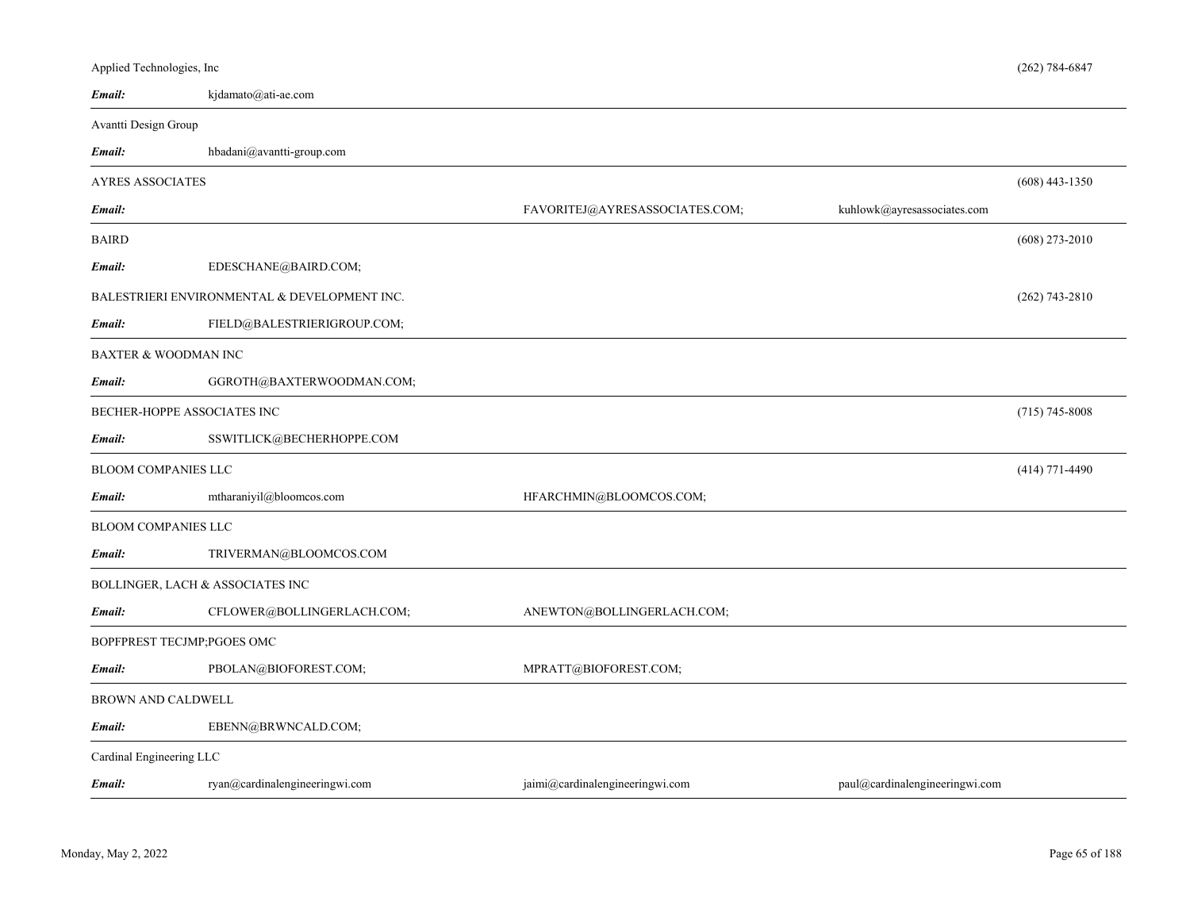| Applied Technologies, Inc       |                                              |                                 |                                | $(262) 784 - 6847$ |
|---------------------------------|----------------------------------------------|---------------------------------|--------------------------------|--------------------|
| Email:                          | kjdamato@ati-ae.com                          |                                 |                                |                    |
| Avantti Design Group            |                                              |                                 |                                |                    |
| Email:                          | hbadani@avantti-group.com                    |                                 |                                |                    |
| <b>AYRES ASSOCIATES</b>         |                                              |                                 |                                | $(608)$ 443-1350   |
| Email:                          |                                              | FAVORITEJ@AYRESASSOCIATES.COM;  | kuhlowk@ayresassociates.com    |                    |
| <b>BAIRD</b>                    |                                              |                                 |                                | $(608)$ 273-2010   |
| Email:                          | EDESCHANE@BAIRD.COM;                         |                                 |                                |                    |
|                                 | BALESTRIERI ENVIRONMENTAL & DEVELOPMENT INC. |                                 |                                | $(262)$ 743-2810   |
| Email:                          | FIELD@BALESTRIERIGROUP.COM;                  |                                 |                                |                    |
| <b>BAXTER &amp; WOODMAN INC</b> |                                              |                                 |                                |                    |
| Email:                          | GGROTH@BAXTERWOODMAN.COM;                    |                                 |                                |                    |
| BECHER-HOPPE ASSOCIATES INC     |                                              |                                 |                                | $(715) 745 - 8008$ |
| Email:                          | SSWITLICK@BECHERHOPPE.COM                    |                                 |                                |                    |
| <b>BLOOM COMPANIES LLC</b>      |                                              |                                 |                                | $(414)$ 771-4490   |
| Email:                          | mtharaniyil@bloomcos.com                     | HFARCHMIN@BLOOMCOS.COM;         |                                |                    |
| <b>BLOOM COMPANIES LLC</b>      |                                              |                                 |                                |                    |
| Email:                          | TRIVERMAN@BLOOMCOS.COM                       |                                 |                                |                    |
|                                 | BOLLINGER, LACH & ASSOCIATES INC             |                                 |                                |                    |
| Email:                          | CFLOWER@BOLLINGERLACH.COM;                   | ANEWTON@BOLLINGERLACH.COM;      |                                |                    |
| BOPFPREST TECJMP;PGOES OMC      |                                              |                                 |                                |                    |
| Email:                          | PBOLAN@BIOFOREST.COM;                        | MPRATT@BIOFOREST.COM;           |                                |                    |
| BROWN AND CALDWELL              |                                              |                                 |                                |                    |
| Email:                          | EBENN@BRWNCALD.COM;                          |                                 |                                |                    |
| Cardinal Engineering LLC        |                                              |                                 |                                |                    |
| Email:                          | ryan@cardinalengineeringwi.com               | jaimi@cardinalengineeringwi.com | paul@cardinalengineeringwi.com |                    |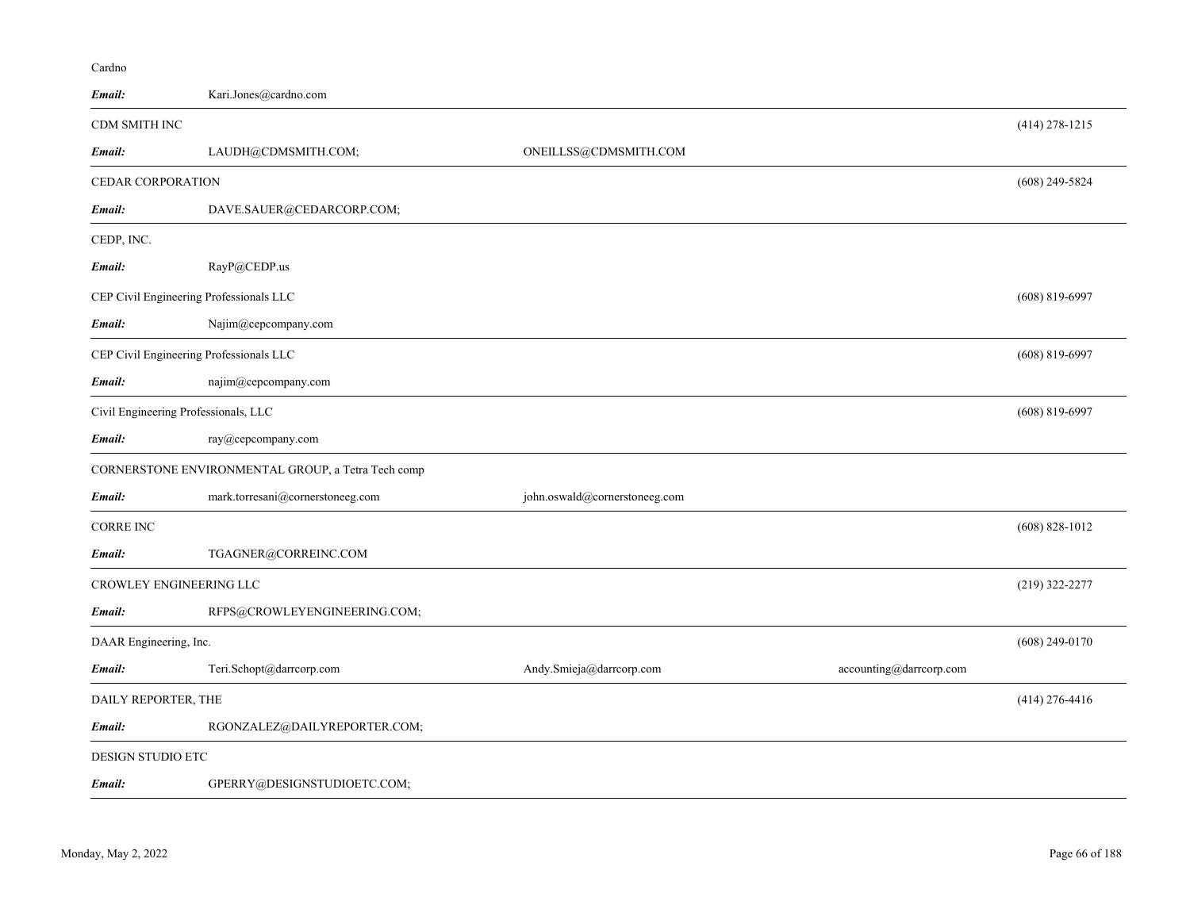| Email:                                  | Kari.Jones@cardno.com                              |                               |                         |                    |
|-----------------------------------------|----------------------------------------------------|-------------------------------|-------------------------|--------------------|
| CDM SMITH INC                           |                                                    |                               |                         | $(414)$ 278-1215   |
| Email:                                  | LAUDH@CDMSMITH.COM;                                | ONEILLSS@CDMSMITH.COM         |                         |                    |
| CEDAR CORPORATION                       |                                                    |                               |                         | $(608)$ 249-5824   |
| Email:                                  | DAVE.SAUER@CEDARCORP.COM;                          |                               |                         |                    |
| CEDP, INC.                              |                                                    |                               |                         |                    |
| Email:                                  | RayP@CEDP.us                                       |                               |                         |                    |
| CEP Civil Engineering Professionals LLC |                                                    |                               |                         | $(608) 819 - 6997$ |
| Email:                                  | Najim@cepcompany.com                               |                               |                         |                    |
| CEP Civil Engineering Professionals LLC |                                                    |                               |                         | $(608) 819 - 6997$ |
| Email:                                  | najim@cepcompany.com                               |                               |                         |                    |
| Civil Engineering Professionals, LLC    |                                                    |                               |                         | $(608) 819 - 6997$ |
| Email:                                  | ray@cepcompany.com                                 |                               |                         |                    |
|                                         | CORNERSTONE ENVIRONMENTAL GROUP, a Tetra Tech comp |                               |                         |                    |
| Email:                                  | mark.torresani@cornerstoneeg.com                   | john.oswald@cornerstoneeg.com |                         |                    |
| <b>CORRE INC</b>                        |                                                    |                               |                         | $(608) 828 - 1012$ |
| Email:                                  | TGAGNER@CORREINC.COM                               |                               |                         |                    |
| CROWLEY ENGINEERING LLC                 |                                                    |                               |                         | (219) 322-2277     |
| Email:                                  | RFPS@CROWLEYENGINEERING.COM;                       |                               |                         |                    |
| DAAR Engineering, Inc.                  |                                                    |                               |                         | $(608)$ 249-0170   |
| Email:                                  | Teri.Schopt@darrcorp.com                           | Andy.Smieja@darrcorp.com      | accounting@darrcorp.com |                    |
| DAILY REPORTER, THE                     |                                                    |                               |                         | $(414)$ 276-4416   |
| Email:                                  | RGONZALEZ@DAILYREPORTER.COM;                       |                               |                         |                    |
| DESIGN STUDIO ETC                       |                                                    |                               |                         |                    |
| Email:                                  | GPERRY@DESIGNSTUDIOETC.COM;                        |                               |                         |                    |

Cardno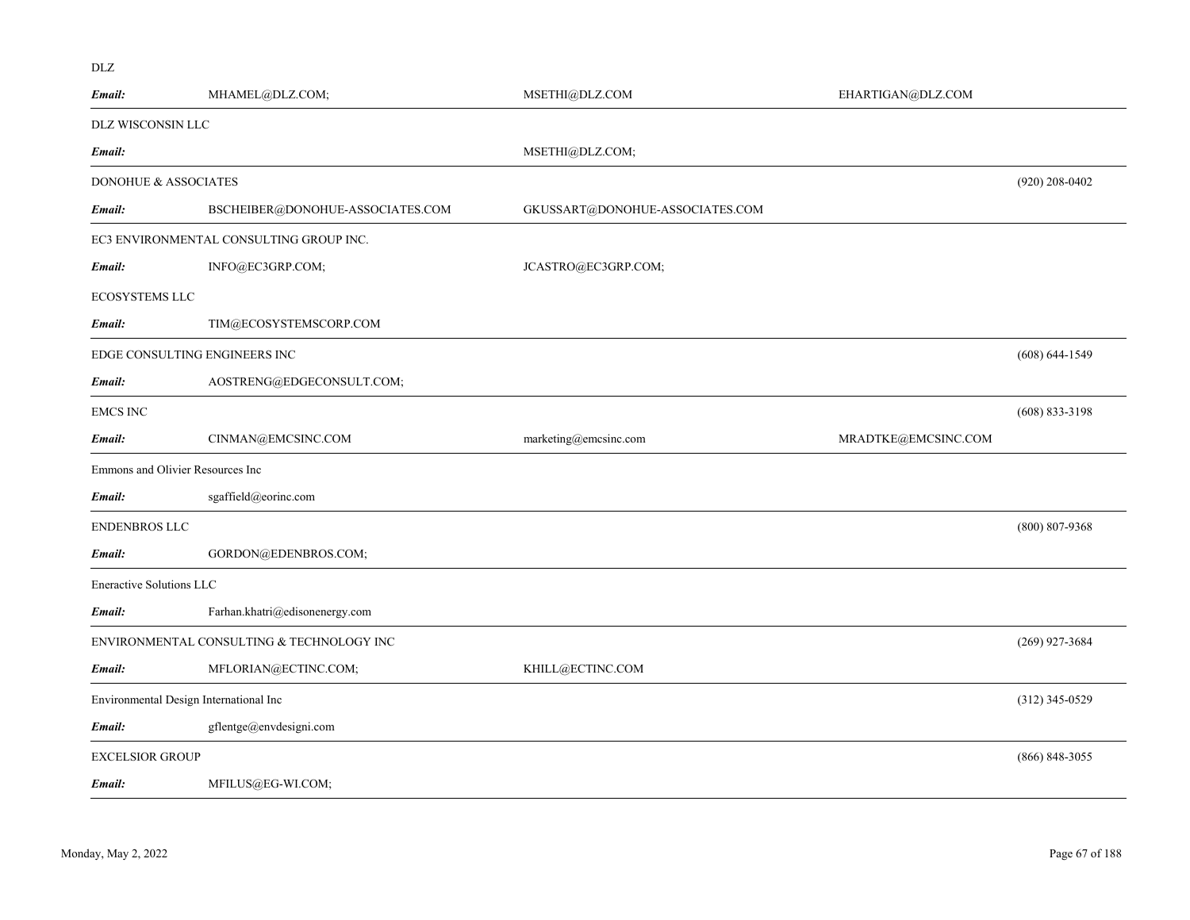| Email:                                 | MHAMEL@DLZ.COM;                           | MSETHI@DLZ.COM                  | EHARTIGAN@DLZ.COM   |                    |
|----------------------------------------|-------------------------------------------|---------------------------------|---------------------|--------------------|
| DLZ WISCONSIN LLC                      |                                           |                                 |                     |                    |
| Email:                                 |                                           | MSETHI@DLZ.COM;                 |                     |                    |
| DONOHUE & ASSOCIATES                   |                                           |                                 |                     | $(920)$ 208-0402   |
| Email:                                 | BSCHEIBER@DONOHUE-ASSOCIATES.COM          | GKUSSART@DONOHUE-ASSOCIATES.COM |                     |                    |
|                                        | EC3 ENVIRONMENTAL CONSULTING GROUP INC.   |                                 |                     |                    |
| Email:                                 | INFO@EC3GRP.COM;                          | JCASTRO@EC3GRP.COM;             |                     |                    |
| <b>ECOSYSTEMS LLC</b>                  |                                           |                                 |                     |                    |
| Email:                                 | TIM@ECOSYSTEMSCORP.COM                    |                                 |                     |                    |
| EDGE CONSULTING ENGINEERS INC          |                                           |                                 |                     | $(608) 644 - 1549$ |
| Email:                                 | AOSTRENG@EDGECONSULT.COM;                 |                                 |                     |                    |
| <b>EMCS INC</b>                        |                                           |                                 |                     | $(608)$ 833-3198   |
| Email:                                 | CINMAN@EMCSINC.COM                        | marketing@emcsinc.com           | MRADTKE@EMCSINC.COM |                    |
| Emmons and Olivier Resources Inc       |                                           |                                 |                     |                    |
| Email:                                 | sgaffield@eorinc.com                      |                                 |                     |                    |
| <b>ENDENBROS LLC</b>                   |                                           |                                 |                     | $(800) 807 - 9368$ |
| Email:                                 | GORDON@EDENBROS.COM;                      |                                 |                     |                    |
| Eneractive Solutions LLC               |                                           |                                 |                     |                    |
| Email:                                 | Farhan.khatri@edisonenergy.com            |                                 |                     |                    |
|                                        | ENVIRONMENTAL CONSULTING & TECHNOLOGY INC |                                 |                     | $(269)$ 927-3684   |
| Email:                                 | MFLORIAN@ECTINC.COM;                      | KHILL@ECTINC.COM                |                     |                    |
| Environmental Design International Inc |                                           |                                 |                     | $(312)$ 345-0529   |
| Email:                                 | gflentge@envdesigni.com                   |                                 |                     |                    |
| <b>EXCELSIOR GROUP</b>                 |                                           |                                 |                     | $(866) 848 - 3055$ |
| Email:                                 | MFILUS@EG-WI.COM;                         |                                 |                     |                    |

DLZ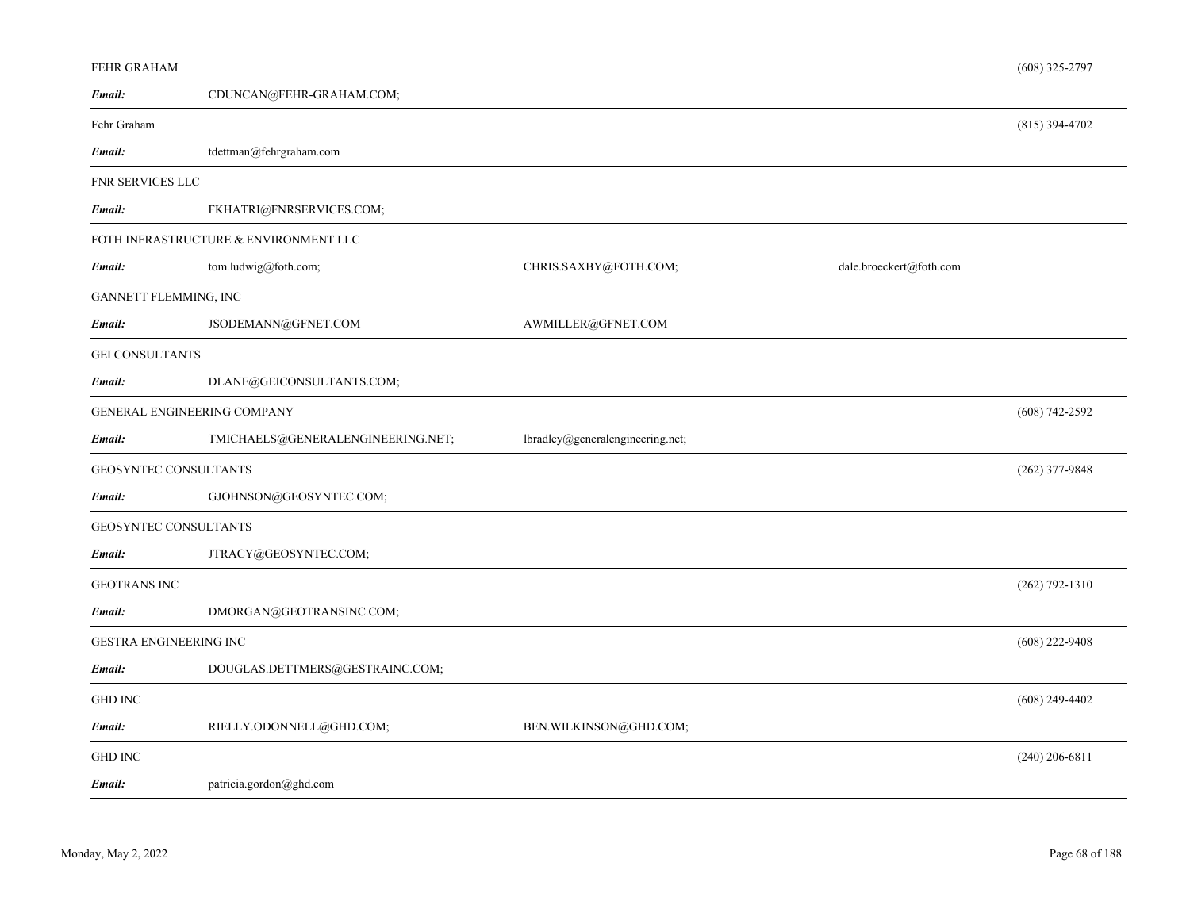| FEHR GRAHAM                   |                                       |                                  |                         | $(608)$ 325-2797   |
|-------------------------------|---------------------------------------|----------------------------------|-------------------------|--------------------|
| Email:                        | CDUNCAN@FEHR-GRAHAM.COM;              |                                  |                         |                    |
| Fehr Graham                   |                                       |                                  |                         | $(815)$ 394-4702   |
| Email:                        | tdettman@fehrgraham.com               |                                  |                         |                    |
| FNR SERVICES LLC              |                                       |                                  |                         |                    |
| Email:                        | FKHATRI@FNRSERVICES.COM;              |                                  |                         |                    |
|                               | FOTH INFRASTRUCTURE & ENVIRONMENT LLC |                                  |                         |                    |
| Email:                        | tom.ludwig@foth.com;                  | CHRIS.SAXBY@FOTH.COM;            | dale.broeckert@foth.com |                    |
| GANNETT FLEMMING, INC         |                                       |                                  |                         |                    |
| Email:                        | JSODEMANN@GFNET.COM                   | AWMILLER@GFNET.COM               |                         |                    |
| <b>GEI CONSULTANTS</b>        |                                       |                                  |                         |                    |
| Email:                        | DLANE@GEICONSULTANTS.COM;             |                                  |                         |                    |
| GENERAL ENGINEERING COMPANY   |                                       |                                  |                         | $(608) 742 - 2592$ |
| Email:                        | TMICHAELS@GENERALENGINEERING.NET;     | lbradley@generalengineering.net; |                         |                    |
| <b>GEOSYNTEC CONSULTANTS</b>  |                                       |                                  |                         | $(262)$ 377-9848   |
| Email:                        | GJOHNSON@GEOSYNTEC.COM;               |                                  |                         |                    |
| <b>GEOSYNTEC CONSULTANTS</b>  |                                       |                                  |                         |                    |
| Email:                        | JTRACY@GEOSYNTEC.COM;                 |                                  |                         |                    |
| <b>GEOTRANS INC</b>           |                                       |                                  |                         | $(262) 792 - 1310$ |
| Email:                        | DMORGAN@GEOTRANSINC.COM;              |                                  |                         |                    |
| <b>GESTRA ENGINEERING INC</b> |                                       |                                  |                         | $(608)$ 222-9408   |
| Email:                        | DOUGLAS.DETTMERS@GESTRAINC.COM;       |                                  |                         |                    |
| <b>GHD INC</b>                |                                       |                                  |                         | $(608)$ 249-4402   |
| Email:                        | RIELLY.ODONNELL@GHD.COM;              | BEN.WILKINSON@GHD.COM;           |                         |                    |
| <b>GHD INC</b>                |                                       |                                  |                         | $(240)$ 206-6811   |
| Email:                        | patricia.gordon@ghd.com               |                                  |                         |                    |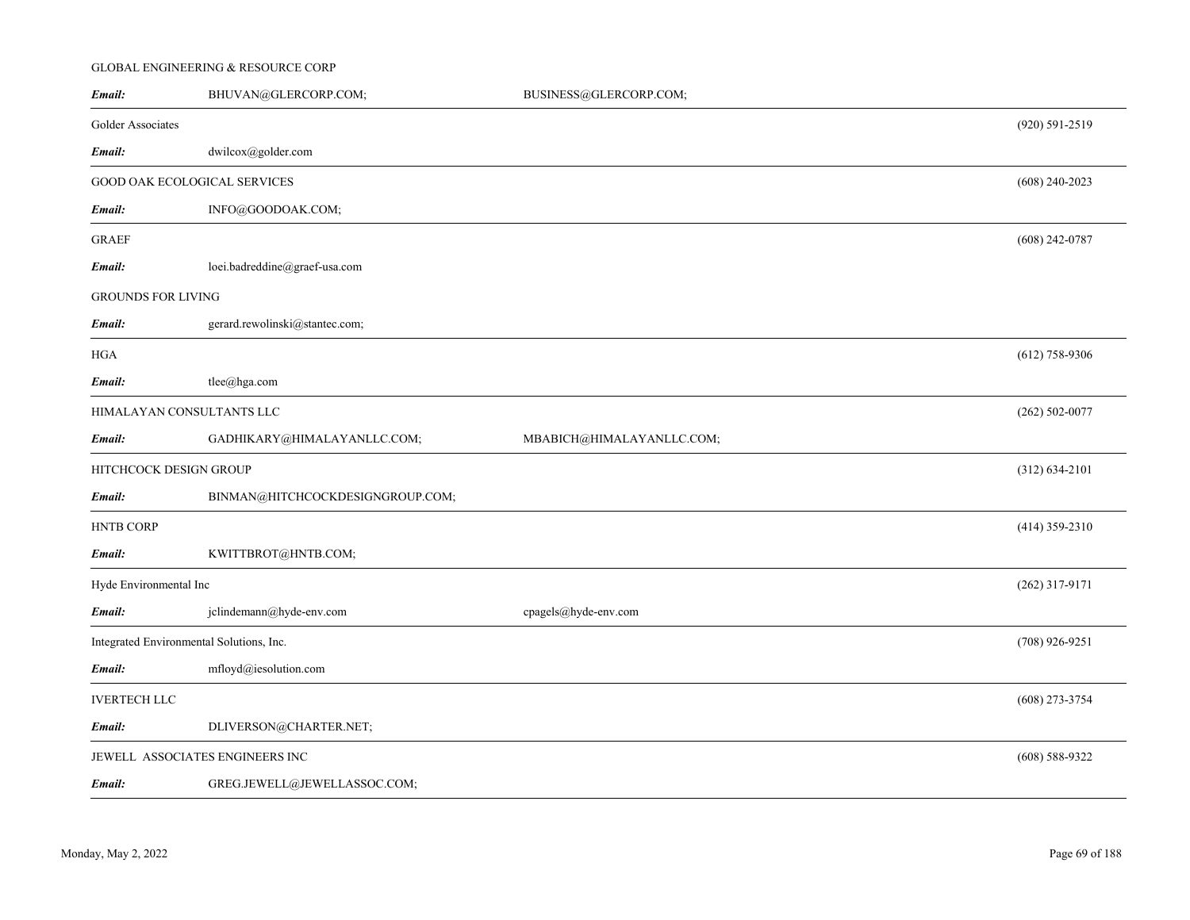## GLOBAL ENGINEERING & RESOURCE CORP

| Email:                    | BHUVAN@GLERCORP.COM;                     | BUSINESS@GLERCORP.COM;    |                    |
|---------------------------|------------------------------------------|---------------------------|--------------------|
| Golder Associates         |                                          |                           | (920) 591-2519     |
| Email:                    | dwilcox@golder.com                       |                           |                    |
|                           | GOOD OAK ECOLOGICAL SERVICES             |                           | $(608)$ 240-2023   |
| Email:                    | INFO@GOODOAK.COM;                        |                           |                    |
| <b>GRAEF</b>              |                                          |                           | $(608)$ 242-0787   |
| Email:                    | loei.badreddine@graef-usa.com            |                           |                    |
| <b>GROUNDS FOR LIVING</b> |                                          |                           |                    |
| Email:                    | gerard.rewolinski@stantec.com;           |                           |                    |
| <b>HGA</b>                |                                          |                           | $(612)$ 758-9306   |
| Email:                    | tlee@hga.com                             |                           |                    |
|                           | HIMALAYAN CONSULTANTS LLC                |                           | $(262) 502 - 0077$ |
| Email:                    | GADHIKARY@HIMALAYANLLC.COM;              | MBABICH@HIMALAYANLLC.COM; |                    |
|                           | HITCHCOCK DESIGN GROUP                   |                           | $(312) 634 - 2101$ |
| Email:                    | BINMAN@HITCHCOCKDESIGNGROUP.COM;         |                           |                    |
| <b>HNTB CORP</b>          |                                          |                           | $(414)$ 359-2310   |
| Email:                    | KWITTBROT@HNTB.COM;                      |                           |                    |
| Hyde Environmental Inc    |                                          |                           | $(262)$ 317-9171   |
| Email:                    | jclindemann@hyde-env.com                 | cpagels@hyde-env.com      |                    |
|                           | Integrated Environmental Solutions, Inc. |                           | $(708)$ 926-9251   |
| Email:                    | mfloyd@iesolution.com                    |                           |                    |
| <b>IVERTECH LLC</b>       |                                          |                           | $(608)$ 273-3754   |
| Email:                    | DLIVERSON@CHARTER.NET;                   |                           |                    |
|                           | JEWELL ASSOCIATES ENGINEERS INC          |                           | $(608) 588 - 9322$ |
| Email:                    | GREG.JEWELL@JEWELLASSOC.COM;             |                           |                    |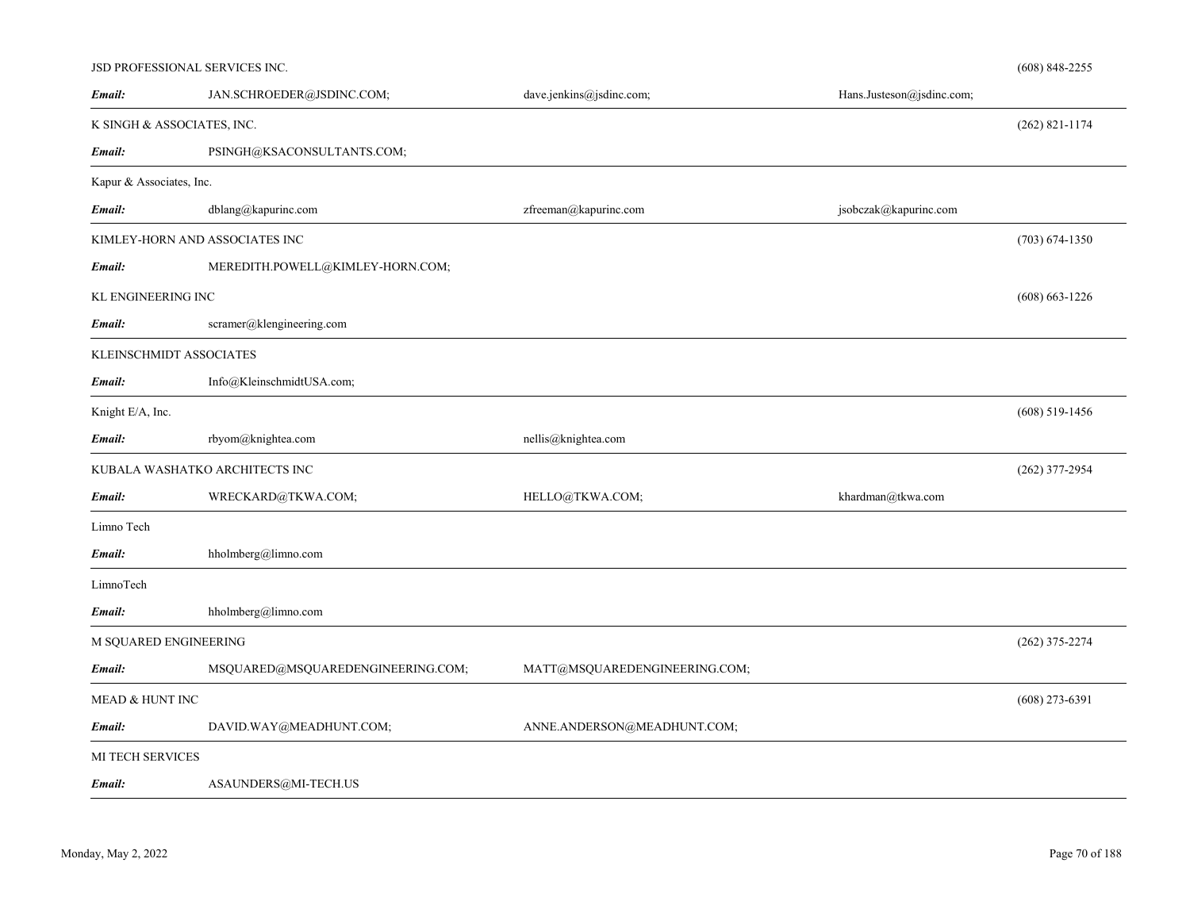| JSD PROFESSIONAL SERVICES INC. |                                   |                               |                           | $(608)$ 848-2255   |
|--------------------------------|-----------------------------------|-------------------------------|---------------------------|--------------------|
| Email:                         | JAN.SCHROEDER@JSDINC.COM;         | dave.jenkins@jsdinc.com;      | Hans.Justeson@jsdinc.com; |                    |
| K SINGH & ASSOCIATES, INC.     |                                   |                               |                           | $(262)$ 821-1174   |
| Email:                         | PSINGH@KSACONSULTANTS.COM;        |                               |                           |                    |
| Kapur & Associates, Inc.       |                                   |                               |                           |                    |
| Email:                         | dblang@kapurinc.com               | zfreeman@kapurinc.com         | jsobczak@kapurinc.com     |                    |
|                                | KIMLEY-HORN AND ASSOCIATES INC    |                               |                           | $(703) 674 - 1350$ |
| Email:                         | MEREDITH.POWELL@KIMLEY-HORN.COM;  |                               |                           |                    |
| KL ENGINEERING INC             |                                   |                               |                           | $(608) 663 - 1226$ |
| Email:                         | scramer@klengineering.com         |                               |                           |                    |
| KLEINSCHMIDT ASSOCIATES        |                                   |                               |                           |                    |
| Email:                         | Info@KleinschmidtUSA.com;         |                               |                           |                    |
| Knight E/A, Inc.               |                                   |                               |                           | $(608)$ 519-1456   |
| Email:                         | rbyom@knightea.com                | nellis@knightea.com           |                           |                    |
|                                | KUBALA WASHATKO ARCHITECTS INC    |                               |                           | $(262)$ 377-2954   |
| Email:                         | WRECKARD@TKWA.COM;                | HELLO@TKWA.COM;               | khardman@tkwa.com         |                    |
| Limno Tech                     |                                   |                               |                           |                    |
| Email:                         | hholmberg@limno.com               |                               |                           |                    |
| LimnoTech                      |                                   |                               |                           |                    |
| Email:                         | hholmberg@limno.com               |                               |                           |                    |
| M SQUARED ENGINEERING          |                                   |                               |                           | $(262)$ 375-2274   |
| Email:                         | MSQUARED@MSQUAREDENGINEERING.COM; | MATT@MSQUAREDENGINEERING.COM; |                           |                    |
| MEAD & HUNT INC                |                                   |                               |                           | $(608)$ 273-6391   |
|                                |                                   |                               |                           |                    |
| Email:                         | DAVID.WAY@MEADHUNT.COM;           | ANNE.ANDERSON@MEADHUNT.COM;   |                           |                    |
| <b>MI TECH SERVICES</b>        |                                   |                               |                           |                    |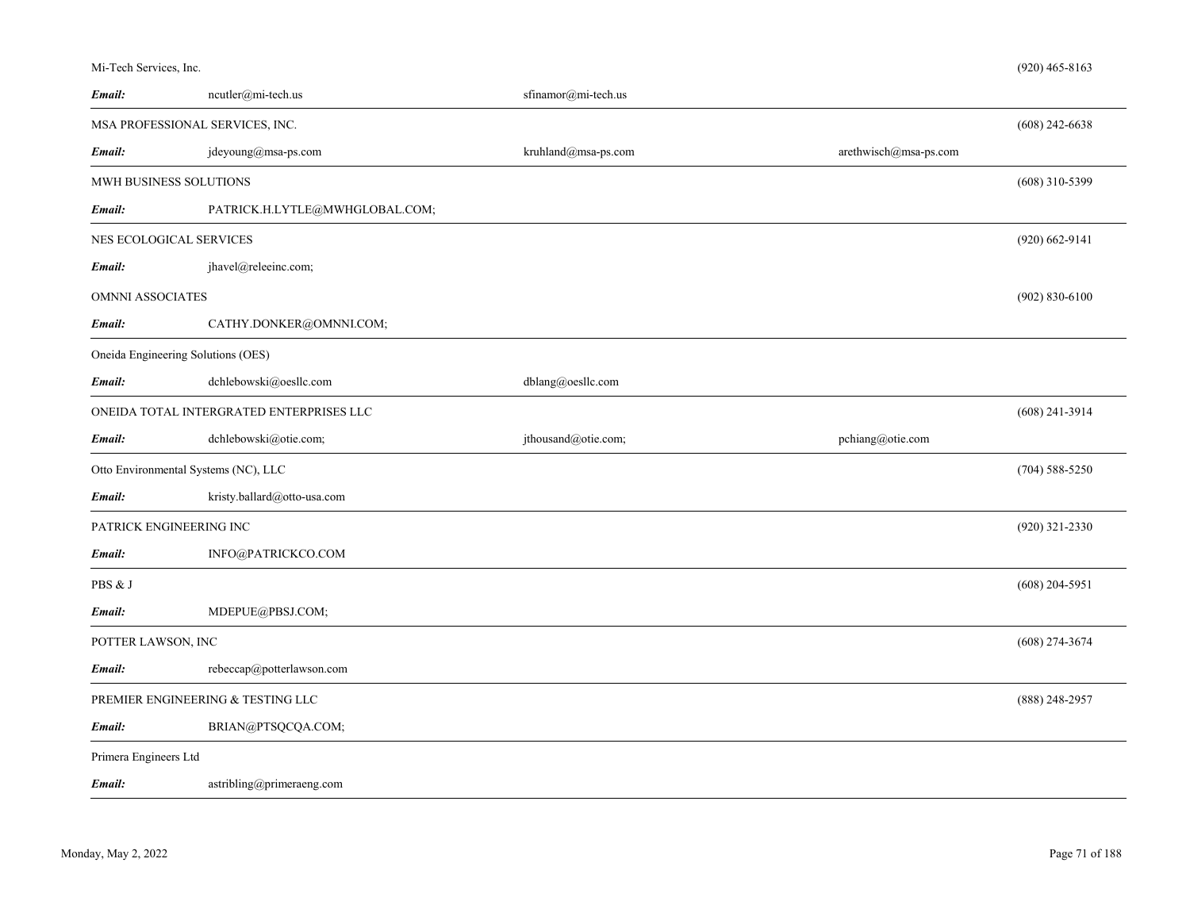| Mi-Tech Services, Inc. |  |  |  |  |
|------------------------|--|--|--|--|
|------------------------|--|--|--|--|

| Email:                                                       | ncutler@mi-tech.us             | sfinamor@mi-tech.us |                       |                    |  |
|--------------------------------------------------------------|--------------------------------|---------------------|-----------------------|--------------------|--|
| MSA PROFESSIONAL SERVICES, INC.<br>$(608)$ 242-6638          |                                |                     |                       |                    |  |
| Email:                                                       | jdeyoung@msa-ps.com            | kruhland@msa-ps.com | arethwisch@msa-ps.com |                    |  |
|                                                              | MWH BUSINESS SOLUTIONS         |                     |                       |                    |  |
| Email:                                                       | PATRICK.H.LYTLE@MWHGLOBAL.COM; |                     |                       |                    |  |
| NES ECOLOGICAL SERVICES                                      |                                |                     |                       |                    |  |
| Email:                                                       | jhavel@releeinc.com;           |                     |                       |                    |  |
| $(902) 830 - 6100$<br>OMNNI ASSOCIATES                       |                                |                     |                       |                    |  |
| Email:                                                       | CATHY.DONKER@OMNNI.COM;        |                     |                       |                    |  |
| Oneida Engineering Solutions (OES)                           |                                |                     |                       |                    |  |
| Email:                                                       | dchlebowski@oesllc.com         | dblang@oesllc.com   |                       |                    |  |
| ONEIDA TOTAL INTERGRATED ENTERPRISES LLC<br>$(608)$ 241-3914 |                                |                     |                       |                    |  |
| Email:                                                       | dchlebowski@otie.com;          | jthousand@otie.com; | pchiang@otie.com      |                    |  |
| Otto Environmental Systems (NC), LLC                         |                                |                     |                       | $(704) 588 - 5250$ |  |
| Email:                                                       | kristy.ballard@otto-usa.com    |                     |                       |                    |  |
| PATRICK ENGINEERING INC<br>$(920)$ 321-2330                  |                                |                     |                       |                    |  |
| Email:                                                       | INFO@PATRICKCO.COM             |                     |                       |                    |  |
| PBS & J                                                      |                                |                     |                       | $(608)$ 204-5951   |  |
| Email:                                                       | MDEPUE@PBSJ.COM;               |                     |                       |                    |  |
| POTTER LAWSON, INC<br>$(608)$ 274-3674                       |                                |                     |                       |                    |  |
| Email:                                                       | rebeccap@potterlawson.com      |                     |                       |                    |  |
| PREMIER ENGINEERING & TESTING LLC                            |                                |                     |                       |                    |  |
| Email:                                                       | BRIAN@PTSQCQA.COM;             |                     |                       |                    |  |
| Primera Engineers Ltd                                        |                                |                     |                       |                    |  |
| Email:                                                       | astribling@primeraeng.com      |                     |                       |                    |  |
|                                                              |                                |                     |                       |                    |  |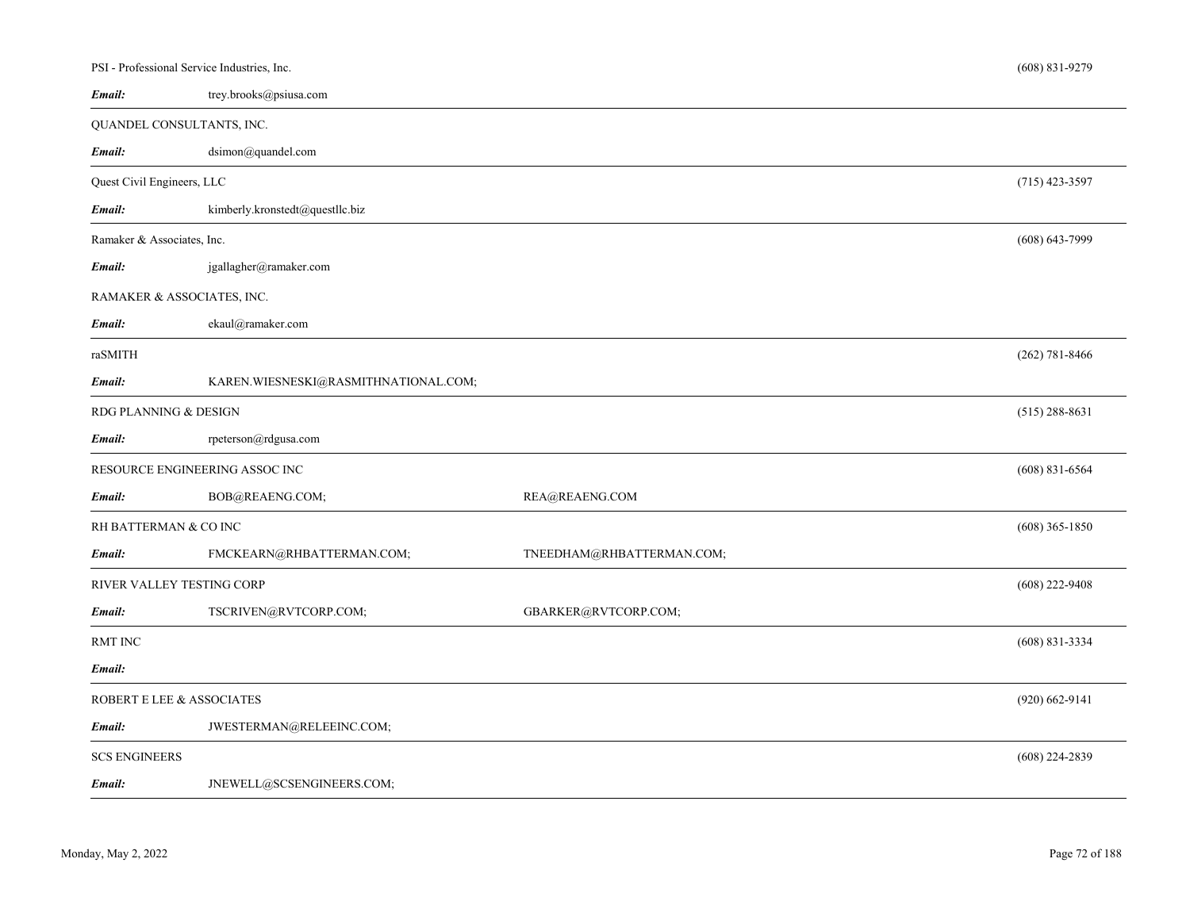| PSI - Professional Service Industries, Inc. |                                      |                           |                    |  |
|---------------------------------------------|--------------------------------------|---------------------------|--------------------|--|
| Email:                                      | trey.brooks@psiusa.com               |                           |                    |  |
|                                             | QUANDEL CONSULTANTS, INC.            |                           |                    |  |
| Email:                                      | dsimon@quandel.com                   |                           |                    |  |
| Quest Civil Engineers, LLC                  |                                      |                           |                    |  |
| Email:                                      | kimberly.kronstedt@questllc.biz      |                           |                    |  |
| Ramaker & Associates, Inc.                  |                                      |                           |                    |  |
| Email:                                      | jgallagher@ramaker.com               |                           |                    |  |
|                                             | RAMAKER & ASSOCIATES, INC.           |                           |                    |  |
| Email:                                      | ekaul@ramaker.com                    |                           |                    |  |
| raSMITH                                     |                                      |                           | $(262) 781 - 8466$ |  |
| Email:                                      | KAREN.WIESNESKI@RASMITHNATIONAL.COM; |                           |                    |  |
| RDG PLANNING & DESIGN                       |                                      |                           |                    |  |
| Email:                                      | rpeterson@rdgusa.com                 |                           |                    |  |
|                                             | RESOURCE ENGINEERING ASSOC INC       |                           | $(608)$ 831-6564   |  |
| Email:                                      | BOB@REAENG.COM;                      | REA@REAENG.COM            |                    |  |
| RH BATTERMAN & CO INC                       |                                      |                           |                    |  |
| Email:                                      | FMCKEARN@RHBATTERMAN.COM;            | TNEEDHAM@RHBATTERMAN.COM; |                    |  |
| RIVER VALLEY TESTING CORP                   |                                      |                           |                    |  |
| Email:                                      | TSCRIVEN@RVTCORP.COM;                | GBARKER@RVTCORP.COM;      |                    |  |
| <b>RMT INC</b>                              |                                      |                           | $(608)$ 831-3334   |  |
| Email:                                      |                                      |                           |                    |  |
| ROBERT E LEE & ASSOCIATES                   |                                      |                           |                    |  |
| Email:                                      | JWESTERMAN@RELEEINC.COM;             |                           |                    |  |
| <b>SCS ENGINEERS</b>                        |                                      |                           | $(608)$ 224-2839   |  |
| Email:                                      | JNEWELL@SCSENGINEERS.COM;            |                           |                    |  |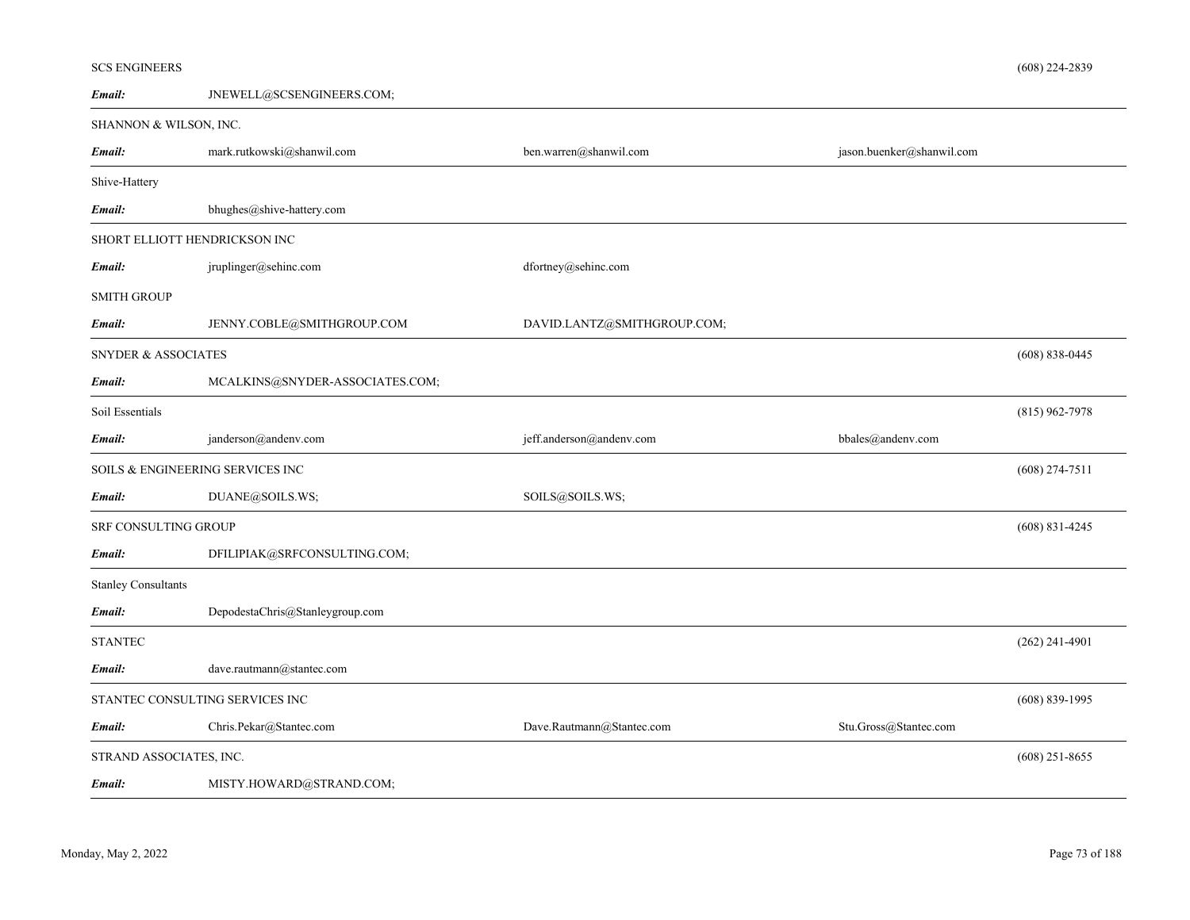# SCS ENGINEERS

*Email:*

# SHANNON & WILSON, INC.

JNEWELL@SCSENGINEERS.COM;

| Email:                           | mark.rutkowski@shanwil.com      | ben.warren@shanwil.com      | jason.buenker@shanwil.com |                    |
|----------------------------------|---------------------------------|-----------------------------|---------------------------|--------------------|
| Shive-Hattery                    |                                 |                             |                           |                    |
| Email:                           | bhughes@shive-hattery.com       |                             |                           |                    |
| SHORT ELLIOTT HENDRICKSON INC    |                                 |                             |                           |                    |
| Email:                           | jruplinger@sehinc.com           | dfortney@sehinc.com         |                           |                    |
| <b>SMITH GROUP</b>               |                                 |                             |                           |                    |
| Email:                           | JENNY.COBLE@SMITHGROUP.COM      | DAVID.LANTZ@SMITHGROUP.COM; |                           |                    |
| <b>SNYDER &amp; ASSOCIATES</b>   |                                 |                             |                           | $(608) 838 - 0445$ |
| Email:                           | MCALKINS@SNYDER-ASSOCIATES.COM; |                             |                           |                    |
| Soil Essentials                  |                                 |                             |                           | $(815)$ 962-7978   |
| Email:                           | janderson@andenv.com            | jeff.anderson@andenv.com    | bbales@andenv.com         |                    |
| SOILS & ENGINEERING SERVICES INC |                                 |                             |                           | $(608)$ 274-7511   |
| Email:                           | DUANE@SOILS.WS;                 | SOILS@SOILS.WS;             |                           |                    |
| <b>SRF CONSULTING GROUP</b>      |                                 |                             |                           | $(608)$ 831-4245   |
| Email:                           | DFILIPIAK@SRFCONSULTING.COM;    |                             |                           |                    |
| <b>Stanley Consultants</b>       |                                 |                             |                           |                    |
| Email:                           | DepodestaChris@Stanleygroup.com |                             |                           |                    |
| <b>STANTEC</b>                   |                                 |                             |                           | $(262)$ 241-4901   |
| Email:                           | dave.rautmann@stantec.com       |                             |                           |                    |
|                                  | STANTEC CONSULTING SERVICES INC |                             |                           | $(608) 839-1995$   |
| Email:                           | Chris.Pekar@Stantec.com         | Dave.Rautmann@Stantec.com   | Stu.Gross@Stantec.com     |                    |
| STRAND ASSOCIATES, INC.          |                                 |                             |                           | $(608)$ 251-8655   |
| Email:                           | MISTY.HOWARD@STRAND.COM;        |                             |                           |                    |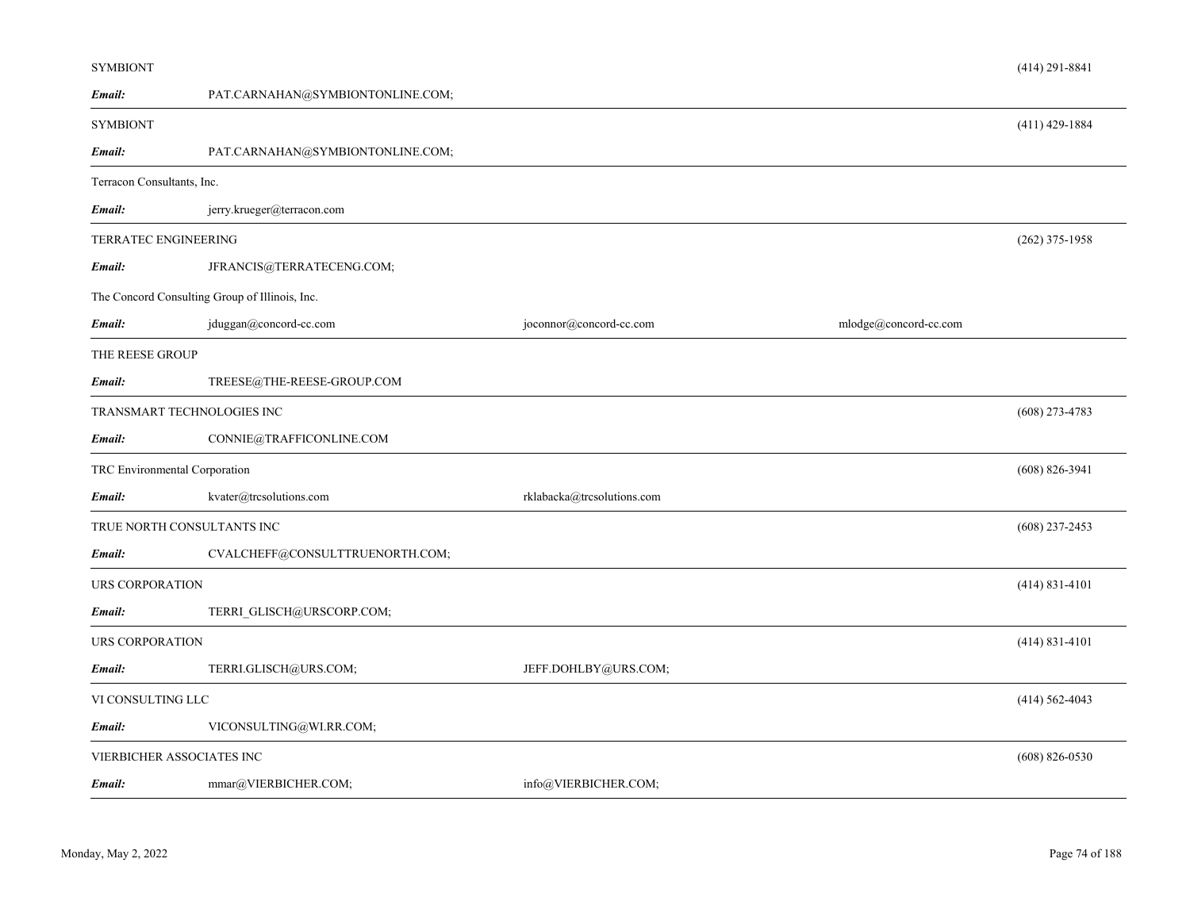| <b>SYMBIONT</b>            |                                                |                            |                       | $(414)$ 291-8841   |
|----------------------------|------------------------------------------------|----------------------------|-----------------------|--------------------|
| Email:                     | PAT.CARNAHAN@SYMBIONTONLINE.COM;               |                            |                       |                    |
| <b>SYMBIONT</b>            |                                                |                            |                       | $(411)$ 429-1884   |
| Email:                     | PAT.CARNAHAN@SYMBIONTONLINE.COM;               |                            |                       |                    |
| Terracon Consultants, Inc. |                                                |                            |                       |                    |
| Email:                     | jerry.krueger@terracon.com                     |                            |                       |                    |
| TERRATEC ENGINEERING       |                                                |                            |                       | $(262)$ 375-1958   |
| Email:                     | JFRANCIS@TERRATECENG.COM;                      |                            |                       |                    |
|                            | The Concord Consulting Group of Illinois, Inc. |                            |                       |                    |
| Email:                     | jduggan@concord-cc.com                         | joconnor@concord-cc.com    | mlodge@concord-cc.com |                    |
| THE REESE GROUP            |                                                |                            |                       |                    |
| Email:                     | TREESE@THE-REESE-GROUP.COM                     |                            |                       |                    |
|                            | TRANSMART TECHNOLOGIES INC                     |                            |                       | $(608)$ 273-4783   |
| Email:                     | CONNIE@TRAFFICONLINE.COM                       |                            |                       |                    |
|                            | TRC Environmental Corporation                  |                            |                       | $(608) 826 - 3941$ |
| Email:                     | kvater@trcsolutions.com                        | rklabacka@trcsolutions.com |                       |                    |
|                            | TRUE NORTH CONSULTANTS INC                     |                            |                       | $(608)$ 237-2453   |
| Email:                     | CVALCHEFF@CONSULTTRUENORTH.COM;                |                            |                       |                    |
| URS CORPORATION            |                                                |                            |                       | $(414) 831 - 4101$ |
| Email:                     | TERRI GLISCH@URSCORP.COM;                      |                            |                       |                    |
| URS CORPORATION            |                                                |                            |                       | $(414) 831 - 4101$ |
| Email:                     | TERRI.GLISCH@URS.COM;                          | JEFF.DOHLBY@URS.COM;       |                       |                    |
| VI CONSULTING LLC          |                                                |                            |                       | $(414) 562 - 4043$ |
| Email:                     | VICONSULTING@WI.RR.COM;                        |                            |                       |                    |
|                            | VIERBICHER ASSOCIATES INC                      |                            |                       | $(608) 826 - 0530$ |
| Email:                     | mmar@VIERBICHER.COM;                           | info@VIERBICHER.COM;       |                       |                    |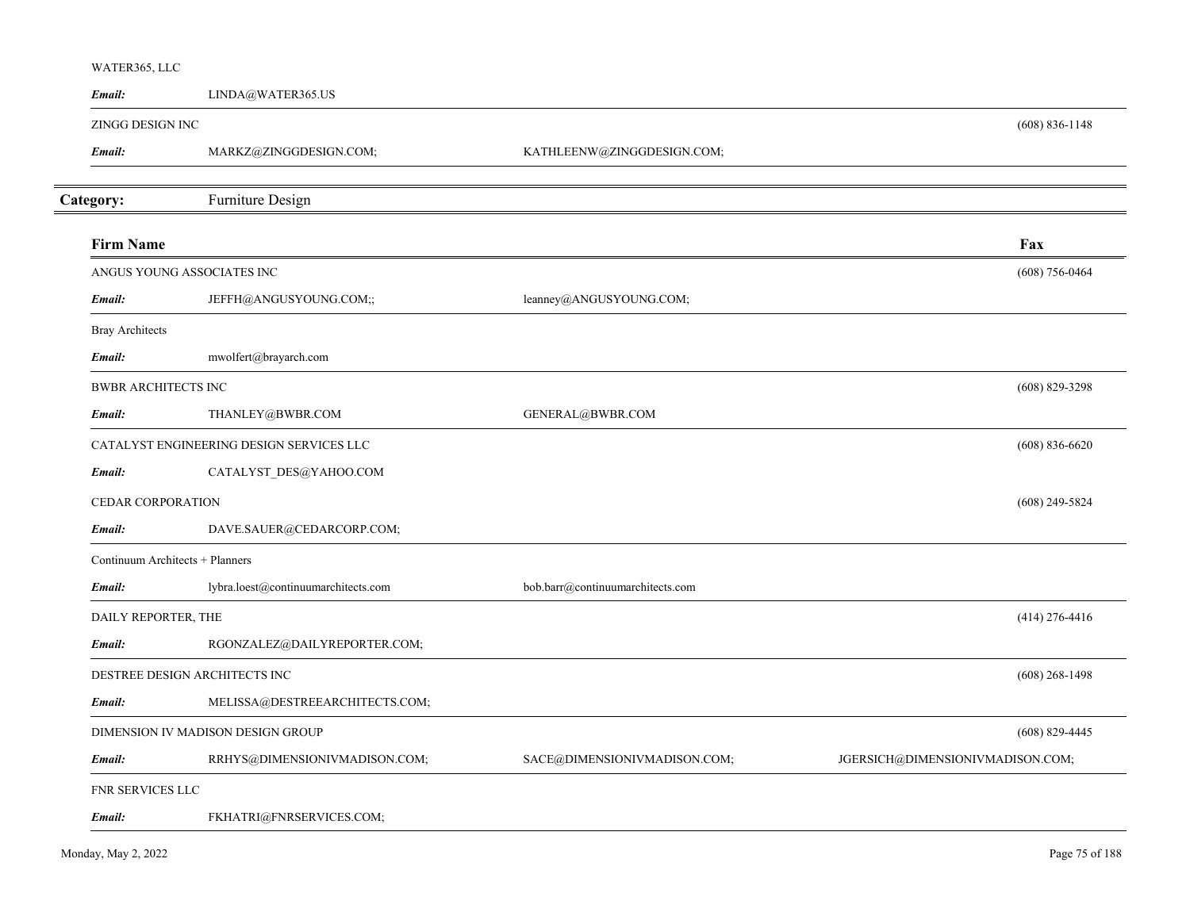| WATER365, LLC              |                                          |                                  |                                  |
|----------------------------|------------------------------------------|----------------------------------|----------------------------------|
| Email:                     | LINDA@WATER365.US                        |                                  |                                  |
| ZINGG DESIGN INC           |                                          |                                  | $(608) 836 - 1148$               |
| Email:                     | MARKZ@ZINGGDESIGN.COM;                   | KATHLEENW@ZINGGDESIGN.COM;       |                                  |
| Category:                  | Furniture Design                         |                                  |                                  |
| <b>Firm Name</b>           |                                          |                                  | Fax                              |
|                            | ANGUS YOUNG ASSOCIATES INC               |                                  | $(608) 756 - 0464$               |
| Email:                     | JEFFH@ANGUSYOUNG.COM;;                   | leanney@ANGUSYOUNG.COM;          |                                  |
| <b>Bray Architects</b>     |                                          |                                  |                                  |
| Email:                     | mwolfert@brayarch.com                    |                                  |                                  |
| <b>BWBR ARCHITECTS INC</b> |                                          |                                  | $(608)$ 829-3298                 |
| Email:                     | THANLEY@BWBR.COM                         | GENERAL@BWBR.COM                 |                                  |
|                            | CATALYST ENGINEERING DESIGN SERVICES LLC |                                  | $(608) 836 - 6620$               |
| Email:                     | CATALYST_DES@YAHOO.COM                   |                                  |                                  |
| <b>CEDAR CORPORATION</b>   |                                          |                                  | $(608)$ 249-5824                 |
| Email:                     | DAVE.SAUER@CEDARCORP.COM;                |                                  |                                  |
|                            | Continuum Architects + Planners          |                                  |                                  |
| Email:                     | lybra.loest@continuumarchitects.com      | bob.barr@continuumarchitects.com |                                  |
| DAILY REPORTER, THE        |                                          |                                  | $(414)$ 276-4416                 |
| Email:                     | RGONZALEZ@DAILYREPORTER.COM;             |                                  |                                  |
|                            | DESTREE DESIGN ARCHITECTS INC            |                                  | $(608)$ 268-1498                 |
| Email:                     | MELISSA@DESTREEARCHITECTS.COM;           |                                  |                                  |
|                            | DIMENSION IV MADISON DESIGN GROUP        |                                  | $(608)$ 829-4445                 |
| Email:                     | RRHYS@DIMENSIONIVMADISON.COM;            | SACE@DIMENSIONIVMADISON.COM;     | JGERSICH@DIMENSIONIVMADISON.COM; |
| FNR SERVICES LLC           |                                          |                                  |                                  |
| Email:                     | FKHATRI@FNRSERVICES.COM;                 |                                  |                                  |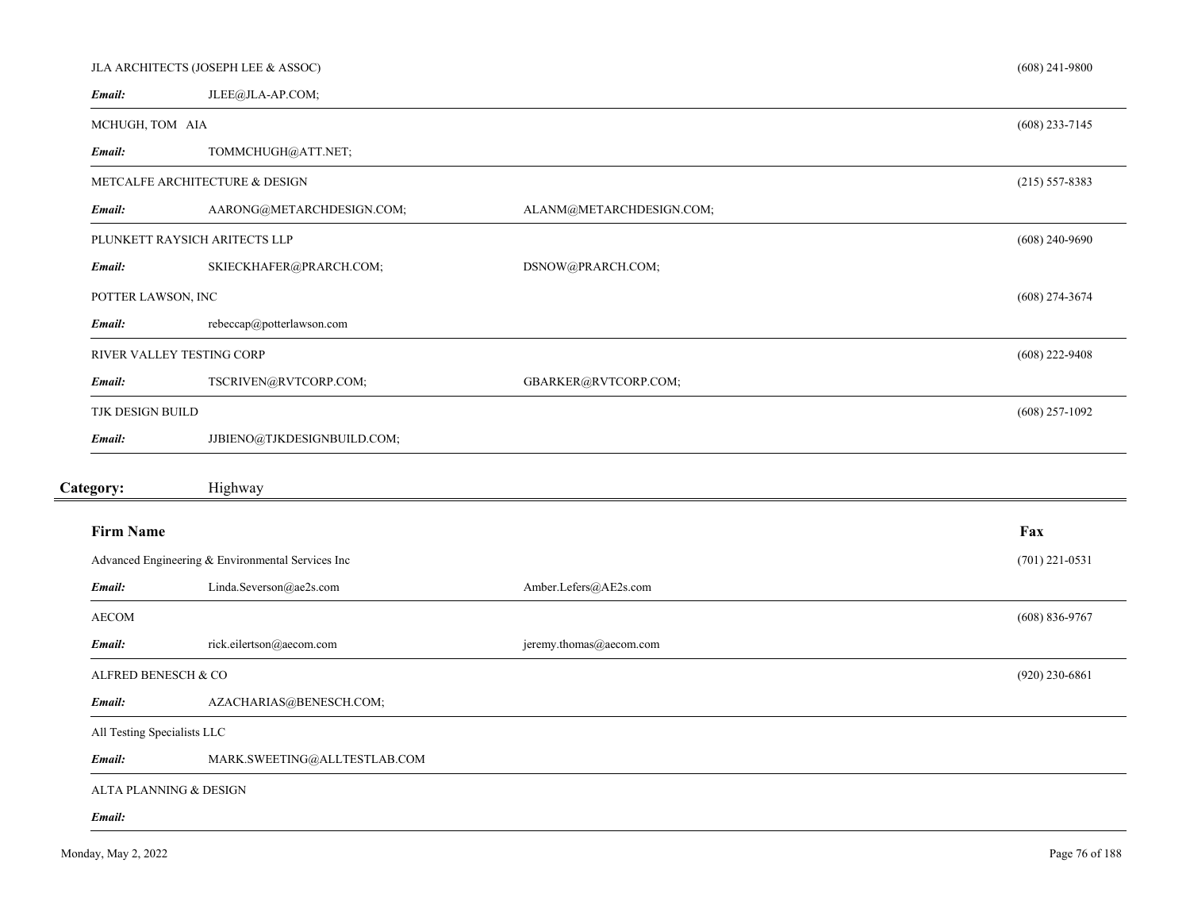|                             | JLA ARCHITECTS (JOSEPH LEE & ASSOC)               |                          | $(608)$ 241-9800   |
|-----------------------------|---------------------------------------------------|--------------------------|--------------------|
| Email:                      | JLEE@JLA-AP.COM;                                  |                          |                    |
| MCHUGH, TOM AIA             |                                                   |                          | $(608)$ 233-7145   |
| Email:                      | TOMMCHUGH@ATT.NET;                                |                          |                    |
|                             | METCALFE ARCHITECTURE & DESIGN                    |                          | $(215) 557 - 8383$ |
| Email:                      | AARONG@METARCHDESIGN.COM;                         | ALANM@METARCHDESIGN.COM; |                    |
|                             | PLUNKETT RAYSICH ARITECTS LLP                     |                          | $(608)$ 240-9690   |
| Email:                      | SKIECKHAFER@PRARCH.COM;                           | DSNOW@PRARCH.COM;        |                    |
| POTTER LAWSON, INC          |                                                   |                          | $(608)$ 274-3674   |
| Email:                      | rebeccap@potterlawson.com                         |                          |                    |
|                             | RIVER VALLEY TESTING CORP                         |                          | $(608)$ 222-9408   |
| Email:                      | TSCRIVEN@RVTCORP.COM;                             | GBARKER@RVTCORP.COM;     |                    |
| TJK DESIGN BUILD            |                                                   |                          | $(608)$ 257-1092   |
| Email:                      | JJBIENO@TJKDESIGNBUILD.COM;                       |                          |                    |
|                             |                                                   |                          |                    |
| Category:                   | Highway                                           |                          |                    |
| <b>Firm Name</b>            |                                                   |                          | Fax                |
|                             | Advanced Engineering & Environmental Services Inc |                          | $(701)$ 221-0531   |
| Email:                      | Linda.Severson@ae2s.com                           | Amber.Lefers@AE2s.com    |                    |
| <b>AECOM</b>                |                                                   |                          | $(608) 836 - 9767$ |
| Email:                      | rick.eilertson@aecom.com                          | jeremy.thomas@aecom.com  |                    |
| ALFRED BENESCH & CO         |                                                   |                          | $(920)$ 230-6861   |
| Email:                      | AZACHARIAS@BENESCH.COM;                           |                          |                    |
| All Testing Specialists LLC |                                                   |                          |                    |
| Email:                      | MARK.SWEETING@ALLTESTLAB.COM                      |                          |                    |
|                             | ALTA PLANNING & DESIGN                            |                          |                    |
| Email:                      |                                                   |                          |                    |
|                             |                                                   |                          |                    |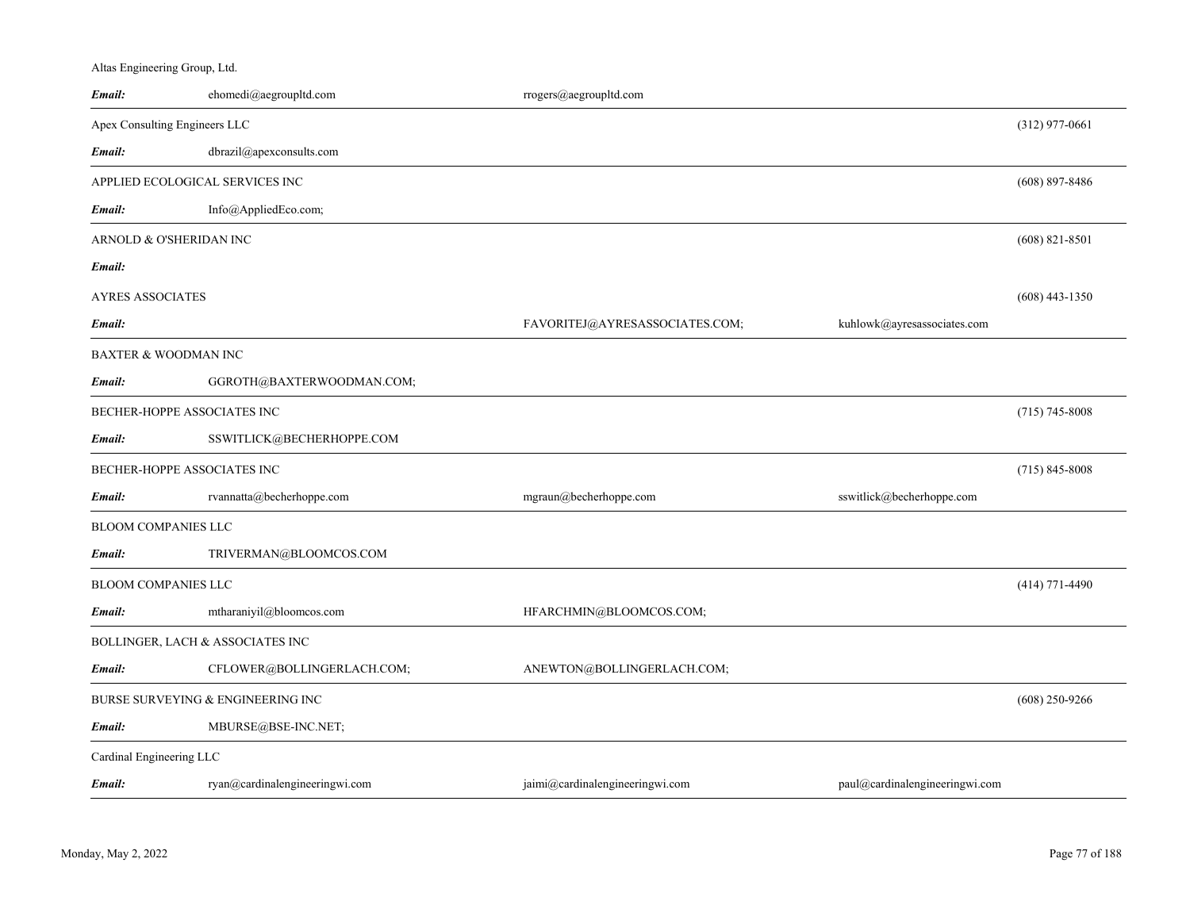| Altas Engineering Group, Ltd. |                                   |                                  |                                |                    |
|-------------------------------|-----------------------------------|----------------------------------|--------------------------------|--------------------|
| Email:                        | ehomedi@aegroupltd.com            | rrogers@aegroupltd.com           |                                |                    |
|                               | Apex Consulting Engineers LLC     |                                  |                                | $(312)$ 977-0661   |
| Email:                        | dbrazil@apexconsults.com          |                                  |                                |                    |
|                               | APPLIED ECOLOGICAL SERVICES INC   |                                  |                                | $(608)$ 897-8486   |
| Email:                        | Info@AppliedEco.com;              |                                  |                                |                    |
|                               | ARNOLD & O'SHERIDAN INC           |                                  |                                | $(608)$ 821-8501   |
| Email:                        |                                   |                                  |                                |                    |
| AYRES ASSOCIATES              |                                   |                                  |                                | $(608)$ 443-1350   |
| Email:                        |                                   | FAVORITEJ@AYRESASSOCIATES.COM;   | kuhlowk@ayresassociates.com    |                    |
|                               | BAXTER & WOODMAN INC              |                                  |                                |                    |
| Email:                        | GGROTH@BAXTERWOODMAN.COM;         |                                  |                                |                    |
|                               | BECHER-HOPPE ASSOCIATES INC       |                                  |                                | $(715) 745 - 8008$ |
| Email:                        | SSWITLICK@BECHERHOPPE.COM         |                                  |                                |                    |
|                               | BECHER-HOPPE ASSOCIATES INC       |                                  |                                | $(715)$ 845-8008   |
| Email:                        | rvannatta@becherhoppe.com         | mgraun@becherhoppe.com           | sswitlick@becherhoppe.com      |                    |
| BLOOM COMPANIES LLC           |                                   |                                  |                                |                    |
| Email:                        | TRIVERMAN@BLOOMCOS.COM            |                                  |                                |                    |
| BLOOM COMPANIES LLC           |                                   |                                  |                                | $(414)$ 771-4490   |
| Email:                        | mtharaniyil@bloomcos.com          | HFARCHMIN@BLOOMCOS.COM;          |                                |                    |
|                               | BOLLINGER, LACH & ASSOCIATES INC  |                                  |                                |                    |
| Email:                        | CFLOWER@BOLLINGERLACH.COM;        | ANEWTON@BOLLINGERLACH.COM;       |                                |                    |
|                               | BURSE SURVEYING & ENGINEERING INC |                                  |                                | $(608)$ 250-9266   |
| Email:                        | MBURSE@BSE-INC.NET;               |                                  |                                |                    |
| Cardinal Engineering LLC      |                                   |                                  |                                |                    |
| Email:                        | ryan@cardinalengineeringwi.com    | jaimi@cardinal engineeringwi.com | paul@cardinalengineeringwi.com |                    |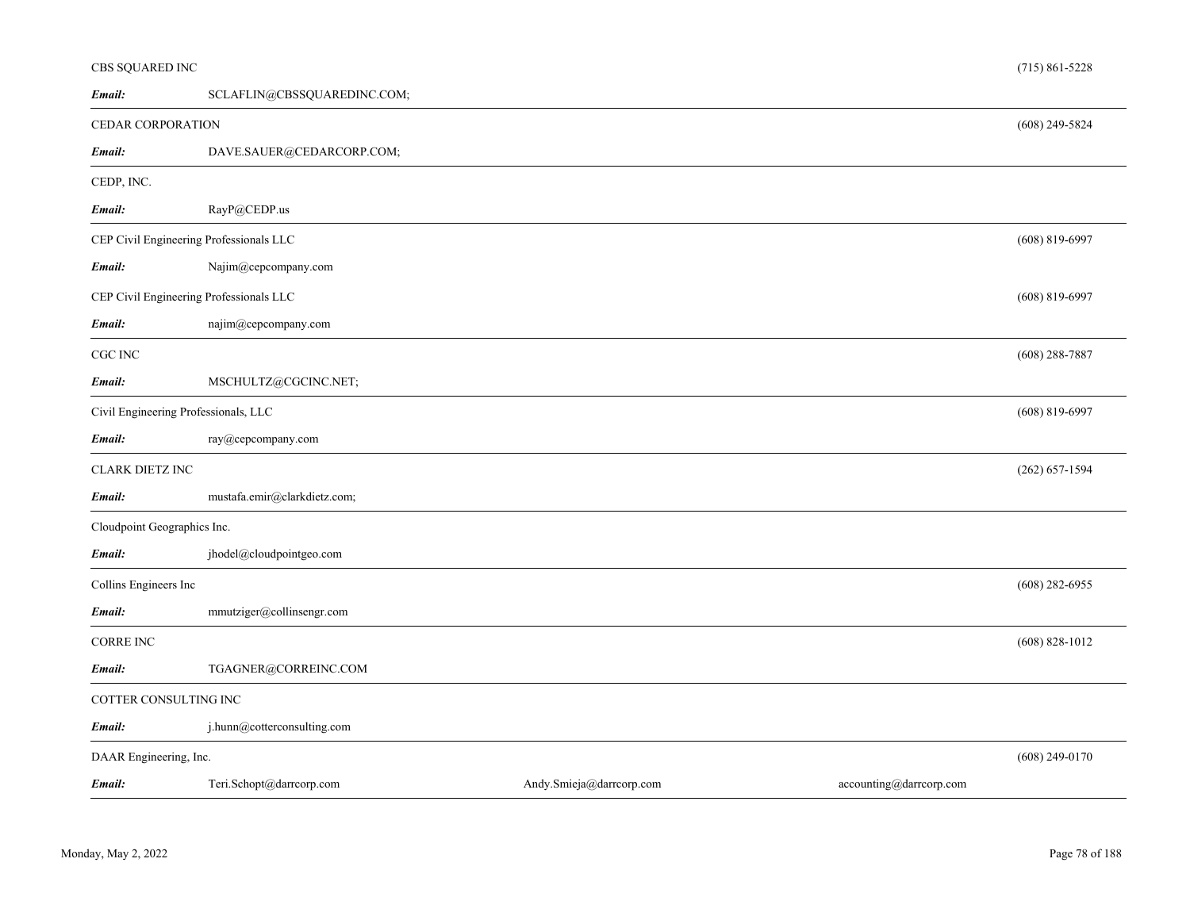| CBS SQUARED INC             |                                         |                          |                         | $(715) 861 - 5228$ |
|-----------------------------|-----------------------------------------|--------------------------|-------------------------|--------------------|
| Email:                      | SCLAFLIN@CBSSQUAREDINC.COM;             |                          |                         |                    |
| CEDAR CORPORATION           |                                         |                          |                         | $(608)$ 249-5824   |
| Email:                      | DAVE.SAUER@CEDARCORP.COM;               |                          |                         |                    |
| CEDP, INC.                  |                                         |                          |                         |                    |
| Email:                      | RayP@CEDP.us                            |                          |                         |                    |
|                             | CEP Civil Engineering Professionals LLC |                          |                         | $(608) 819 - 6997$ |
| Email:                      | Najim@cepcompany.com                    |                          |                         |                    |
|                             | CEP Civil Engineering Professionals LLC |                          |                         | $(608)$ 819-6997   |
| Email:                      | najim@cepcompany.com                    |                          |                         |                    |
| $\rm CGC$ $\rm INC$         |                                         |                          |                         | $(608)$ 288-7887   |
| Email:                      | MSCHULTZ@CGCINC.NET;                    |                          |                         |                    |
|                             | Civil Engineering Professionals, LLC    |                          |                         | $(608)$ 819-6997   |
| Email:                      | ray@cepcompany.com                      |                          |                         |                    |
| <b>CLARK DIETZ INC</b>      |                                         |                          |                         | $(262) 657 - 1594$ |
| Email:                      | mustafa.emir@clarkdietz.com;            |                          |                         |                    |
| Cloudpoint Geographics Inc. |                                         |                          |                         |                    |
| Email:                      | jhodel@cloudpointgeo.com                |                          |                         |                    |
| Collins Engineers Inc       |                                         |                          |                         | $(608)$ 282-6955   |
| Email:                      | mmutziger@collinsengr.com               |                          |                         |                    |
| <b>CORRE INC</b>            |                                         |                          |                         | $(608) 828 - 1012$ |
| Email:                      | TGAGNER@CORREINC.COM                    |                          |                         |                    |
| COTTER CONSULTING INC       |                                         |                          |                         |                    |
| Email:                      | j.hunn@cotterconsulting.com             |                          |                         |                    |
| DAAR Engineering, Inc.      |                                         |                          |                         | $(608)$ 249-0170   |
| Email:                      | Teri.Schopt@darrcorp.com                | Andy.Smieja@darrcorp.com | accounting@darrcorp.com |                    |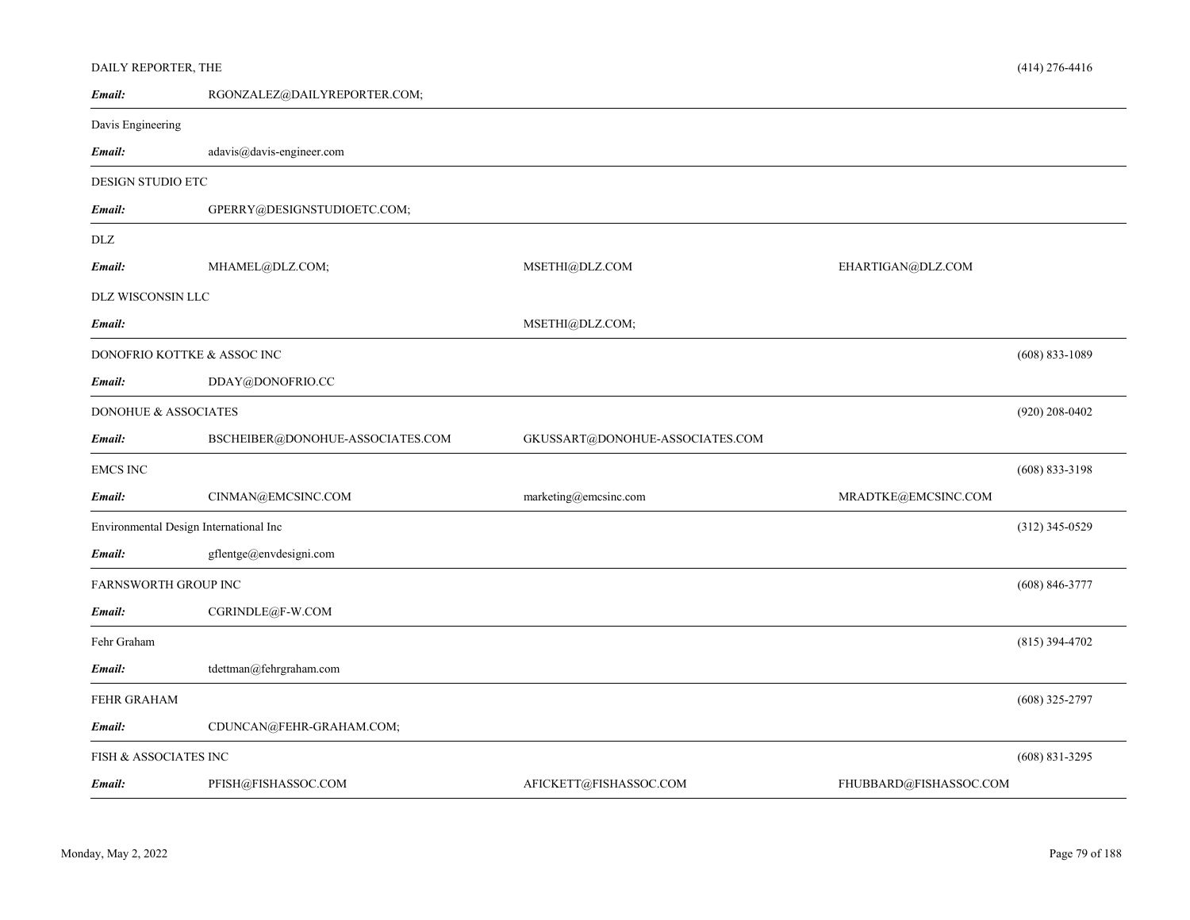| DAILY REPORTER, THE                    |                                  |                                 |                        | $(414)$ 276-4416   |
|----------------------------------------|----------------------------------|---------------------------------|------------------------|--------------------|
| Email:                                 | RGONZALEZ@DAILYREPORTER.COM;     |                                 |                        |                    |
| Davis Engineering                      |                                  |                                 |                        |                    |
| Email:                                 | adavis@davis-engineer.com        |                                 |                        |                    |
| <b>DESIGN STUDIO ETC</b>               |                                  |                                 |                        |                    |
| Email:                                 | GPERRY@DESIGNSTUDIOETC.COM;      |                                 |                        |                    |
| <b>DLZ</b>                             |                                  |                                 |                        |                    |
| Email:                                 | MHAMEL@DLZ.COM;                  | MSETHI@DLZ.COM                  | EHARTIGAN@DLZ.COM      |                    |
| DLZ WISCONSIN LLC                      |                                  |                                 |                        |                    |
| Email:                                 |                                  | MSETHI@DLZ.COM;                 |                        |                    |
| DONOFRIO KOTTKE & ASSOC INC            |                                  |                                 |                        | $(608) 833 - 1089$ |
| Email:                                 | DDAY@DONOFRIO.CC                 |                                 |                        |                    |
| DONOHUE & ASSOCIATES                   |                                  |                                 |                        | $(920)$ 208-0402   |
| Email:                                 | BSCHEIBER@DONOHUE-ASSOCIATES.COM | GKUSSART@DONOHUE-ASSOCIATES.COM |                        |                    |
| <b>EMCS INC</b>                        |                                  |                                 |                        | $(608) 833 - 3198$ |
| Email:                                 | CINMAN@EMCSINC.COM               | marketing@emcsinc.com           | MRADTKE@EMCSINC.COM    |                    |
| Environmental Design International Inc |                                  |                                 |                        | $(312)$ 345-0529   |
| Email:                                 | gflentge@envdesigni.com          |                                 |                        |                    |
| <b>FARNSWORTH GROUP INC</b>            |                                  |                                 |                        | $(608) 846 - 3777$ |
| Email:                                 | CGRINDLE@F-W.COM                 |                                 |                        |                    |
| Fehr Graham                            |                                  |                                 |                        | $(815)$ 394-4702   |
| Email:                                 | tdettman@fehrgraham.com          |                                 |                        |                    |
| <b>FEHR GRAHAM</b>                     |                                  |                                 |                        | $(608)$ 325-2797   |
| Email:                                 | CDUNCAN@FEHR-GRAHAM.COM;         |                                 |                        |                    |
| <b>FISH &amp; ASSOCIATES INC</b>       |                                  |                                 |                        | $(608) 831 - 3295$ |
| Email:                                 | PFISH@FISHASSOC.COM              | AFICKETT@FISHASSOC.COM          | FHUBBARD@FISHASSOC.COM |                    |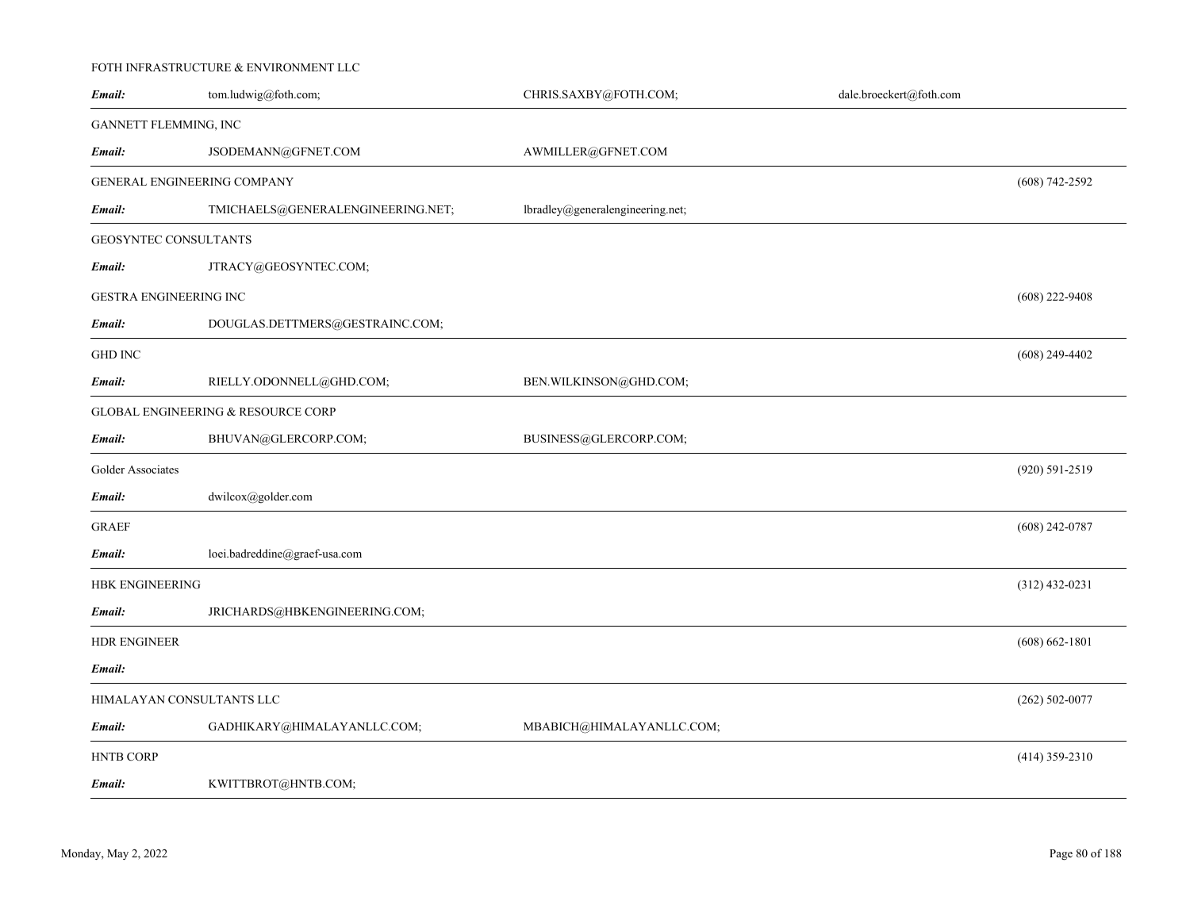# FOTH INFRASTRUCTURE & ENVIRONMENT LLC

| Email:                      | tom.ludwig@foth.com;                          | CHRIS.SAXBY@FOTH.COM;            | dale.broeckert@foth.com |                    |
|-----------------------------|-----------------------------------------------|----------------------------------|-------------------------|--------------------|
| GANNETT FLEMMING, INC       |                                               |                                  |                         |                    |
| Email:                      | JSODEMANN@GFNET.COM                           | AWMILLER@GFNET.COM               |                         |                    |
| GENERAL ENGINEERING COMPANY |                                               |                                  |                         | $(608) 742 - 2592$ |
| Email:                      | TMICHAELS@GENERALENGINEERING.NET;             | lbradley@generalengineering.net; |                         |                    |
| GEOSYNTEC CONSULTANTS       |                                               |                                  |                         |                    |
| Email:                      | JTRACY@GEOSYNTEC.COM;                         |                                  |                         |                    |
| GESTRA ENGINEERING INC      |                                               |                                  |                         | $(608)$ 222-9408   |
| Email:                      | DOUGLAS.DETTMERS@GESTRAINC.COM;               |                                  |                         |                    |
| <b>GHD INC</b>              |                                               |                                  |                         | $(608)$ 249-4402   |
| Email:                      | RIELLY.ODONNELL@GHD.COM;                      | BEN.WILKINSON@GHD.COM;           |                         |                    |
|                             | <b>GLOBAL ENGINEERING &amp; RESOURCE CORP</b> |                                  |                         |                    |
| Email:                      | BHUVAN@GLERCORP.COM;                          | BUSINESS@GLERCORP.COM;           |                         |                    |
| Golder Associates           |                                               |                                  |                         | (920) 591-2519     |
| Email:                      | dwilcox@golder.com                            |                                  |                         |                    |
| <b>GRAEF</b>                |                                               |                                  |                         | $(608)$ 242-0787   |
| Email:                      | loei.badreddine@graef-usa.com                 |                                  |                         |                    |
| <b>HBK ENGINEERING</b>      |                                               |                                  |                         | $(312)$ 432-0231   |
| Email:                      | JRICHARDS@HBKENGINEERING.COM;                 |                                  |                         |                    |
| <b>HDR ENGINEER</b>         |                                               |                                  |                         | $(608) 662 - 1801$ |
| Email:                      |                                               |                                  |                         |                    |
| HIMALAYAN CONSULTANTS LLC   |                                               |                                  |                         | $(262) 502 - 0077$ |
| Email:                      | GADHIKARY@HIMALAYANLLC.COM;                   | MBABICH@HIMALAYANLLC.COM;        |                         |                    |
| <b>HNTB CORP</b>            |                                               |                                  |                         | $(414)$ 359-2310   |
| Email:                      | KWITTBROT@HNTB.COM;                           |                                  |                         |                    |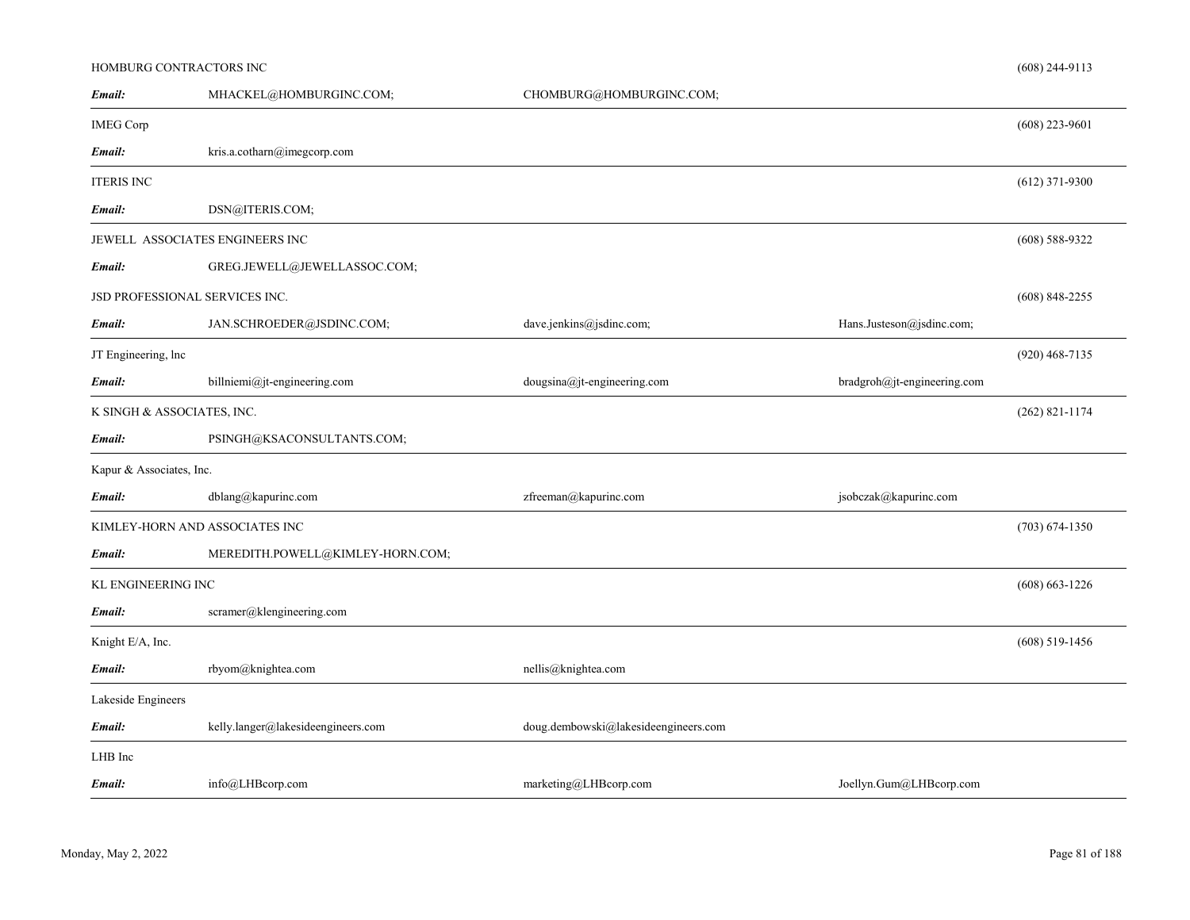# HOMBURG CONTRACTORS INC

| Email:                         | MHACKEL@HOMBURGINC.COM;            | CHOMBURG@HOMBURGINC.COM;             |                             |                    |
|--------------------------------|------------------------------------|--------------------------------------|-----------------------------|--------------------|
| <b>IMEG Corp</b>               |                                    |                                      |                             | $(608)$ 223-9601   |
| Email:                         | kris.a.cotharn@imegcorp.com        |                                      |                             |                    |
| <b>ITERIS INC</b>              |                                    |                                      |                             | $(612)$ 371-9300   |
| Email:                         | DSN@ITERIS.COM;                    |                                      |                             |                    |
|                                | JEWELL ASSOCIATES ENGINEERS INC    |                                      |                             | $(608)$ 588-9322   |
| Email:                         | GREG.JEWELL@JEWELLASSOC.COM;       |                                      |                             |                    |
| JSD PROFESSIONAL SERVICES INC. |                                    |                                      |                             | $(608)$ 848-2255   |
| Email:                         | JAN.SCHROEDER@JSDINC.COM;          | dave.jenkins@jsdinc.com;             | Hans.Justeson@jsdinc.com;   |                    |
| JT Engineering, lnc            |                                    |                                      |                             | $(920)$ 468-7135   |
| Email:                         | billniemi@jt-engineering.com       | dougsina@jt-engineering.com          | bradgroh@jt-engineering.com |                    |
| K SINGH & ASSOCIATES, INC.     |                                    |                                      |                             | $(262)$ 821-1174   |
| Email:                         | PSINGH@KSACONSULTANTS.COM;         |                                      |                             |                    |
| Kapur & Associates, Inc.       |                                    |                                      |                             |                    |
| Email:                         | dblang@kapurinc.com                | zfreeman@kapurinc.com                | jsobczak@kapurinc.com       |                    |
|                                | KIMLEY-HORN AND ASSOCIATES INC     |                                      |                             | $(703)$ 674-1350   |
| Email:                         | MEREDITH.POWELL@KIMLEY-HORN.COM;   |                                      |                             |                    |
| KL ENGINEERING INC             |                                    |                                      |                             | $(608) 663 - 1226$ |
| Email:                         | scramer@klengineering.com          |                                      |                             |                    |
| Knight E/A, Inc.               |                                    |                                      |                             | $(608)$ 519-1456   |
| Email:                         | rbyom@knightea.com                 | nellis@knightea.com                  |                             |                    |
| Lakeside Engineers             |                                    |                                      |                             |                    |
| Email:                         | kelly.langer@lakesideengineers.com | doug.dembowski@lakesideengineers.com |                             |                    |
| LHB Inc                        |                                    |                                      |                             |                    |
| Email:                         | info@LHBcorp.com                   | marketing@LHBcorp.com                | Joellyn.Gum@LHBcorp.com     |                    |

(608) 244-9113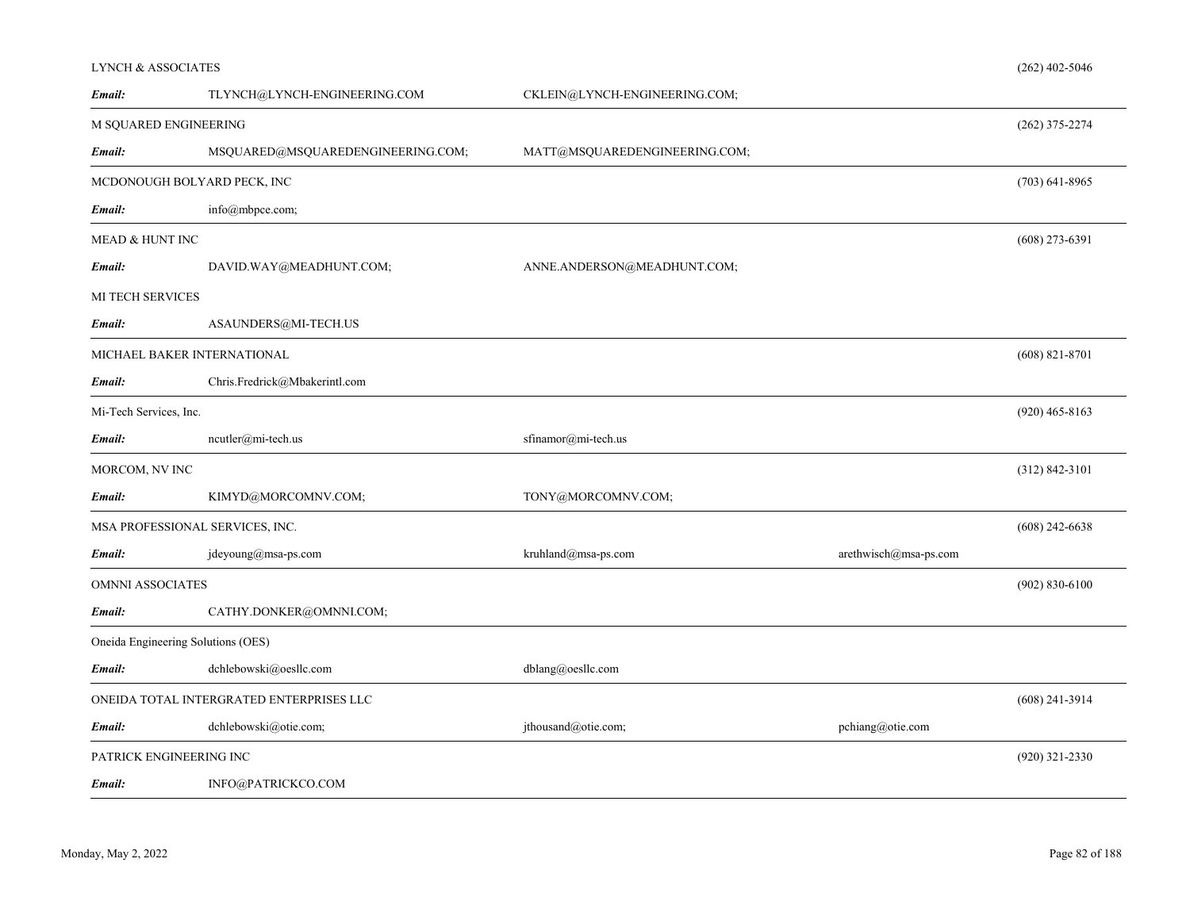| <b>LYNCH &amp; ASSOCIATES</b>      |                                          |                               |                                  | $(262)$ 402-5046   |
|------------------------------------|------------------------------------------|-------------------------------|----------------------------------|--------------------|
| Email:                             | TLYNCH@LYNCH-ENGINEERING.COM             | CKLEIN@LYNCH-ENGINEERING.COM; |                                  |                    |
| M SQUARED ENGINEERING              |                                          |                               |                                  | $(262)$ 375-2274   |
| Email:                             | MSQUARED@MSQUAREDENGINEERING.COM;        | MATT@MSQUAREDENGINEERING.COM; |                                  |                    |
| MCDONOUGH BOLYARD PECK, INC        |                                          |                               |                                  | $(703)$ 641-8965   |
| Email:                             | info@mbpce.com;                          |                               |                                  |                    |
| MEAD & HUNT INC                    |                                          |                               |                                  | $(608)$ 273-6391   |
| Email:                             | DAVID.WAY@MEADHUNT.COM;                  | ANNE.ANDERSON@MEADHUNT.COM;   |                                  |                    |
| MI TECH SERVICES                   |                                          |                               |                                  |                    |
| Email:                             | ASAUNDERS@MI-TECH.US                     |                               |                                  |                    |
| MICHAEL BAKER INTERNATIONAL        |                                          |                               |                                  | $(608)$ 821-8701   |
| Email:                             | Chris.Fredrick@Mbakerintl.com            |                               |                                  |                    |
| Mi-Tech Services, Inc.             |                                          |                               |                                  | $(920)$ 465-8163   |
| Email:                             | $neutler@mi-tech.us$                     | sfinamor@mi-tech.us           |                                  |                    |
| MORCOM, NV INC                     |                                          |                               |                                  | $(312) 842 - 3101$ |
| Email:                             | KIMYD@MORCOMNV.COM;                      | TONY@MORCOMNV.COM;            |                                  |                    |
| MSA PROFESSIONAL SERVICES, INC.    |                                          |                               |                                  | $(608)$ 242-6638   |
| Email:                             | $j$ deyoung@msa-ps.com                   | kruhland@msa-ps.com           | $arethwise h(\omega)$ msa-ps.com |                    |
| OMNNI ASSOCIATES                   |                                          |                               |                                  | $(902) 830 - 6100$ |
| Email:                             | CATHY.DONKER@OMNNI.COM;                  |                               |                                  |                    |
| Oneida Engineering Solutions (OES) |                                          |                               |                                  |                    |
| Email:                             | dchlebowski@oesllc.com                   | $dblang(a)$ oesllc.com        |                                  |                    |
|                                    | ONEIDA TOTAL INTERGRATED ENTERPRISES LLC |                               |                                  | $(608)$ 241-3914   |
| Email:                             | dchlebowski@otie.com;                    | jthousand@otie.com;           | pchiang@otie.com                 |                    |
| PATRICK ENGINEERING INC            |                                          |                               |                                  | $(920)$ 321-2330   |
| Email:                             | INFO@PATRICKCO.COM                       |                               |                                  |                    |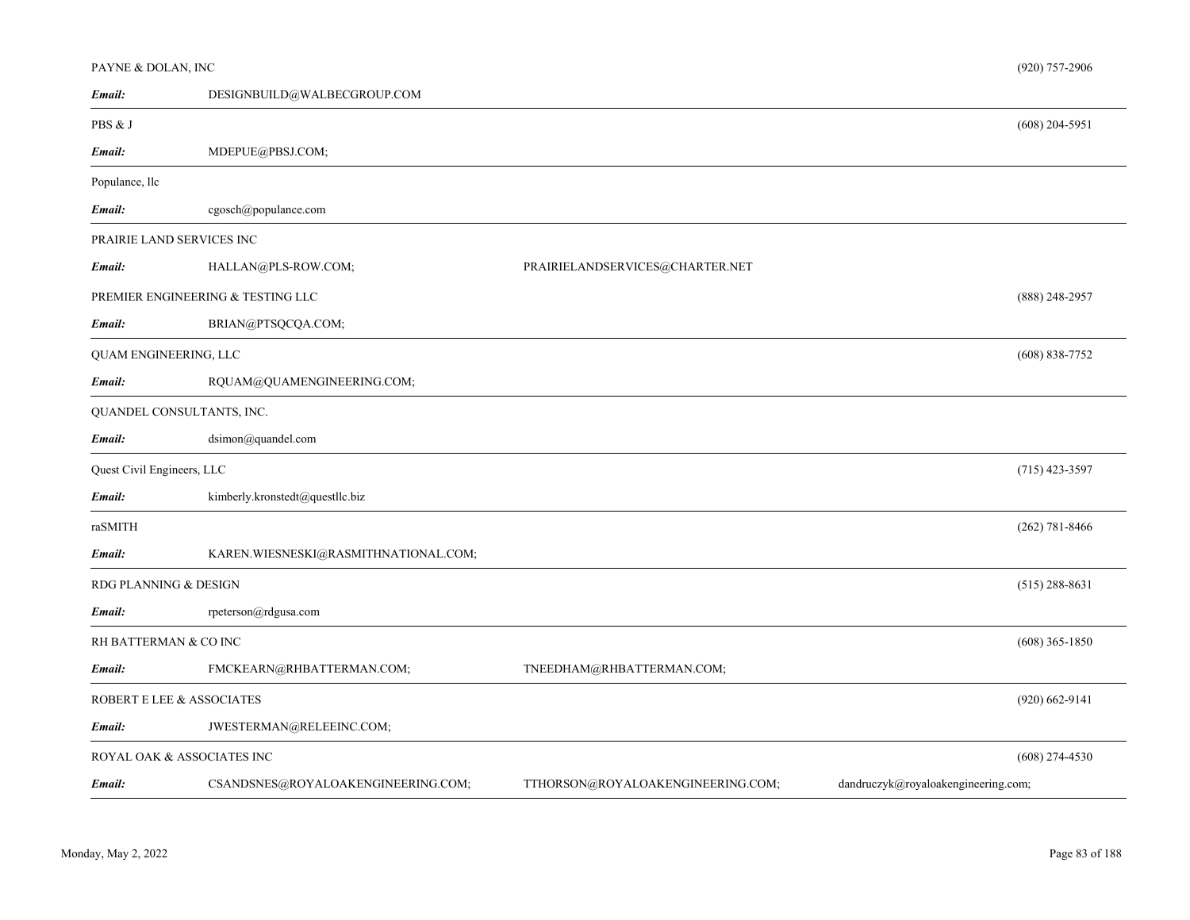| PAYNE & DOLAN, INC         |                                      |                                   | $(920)$ 757-2906                    |
|----------------------------|--------------------------------------|-----------------------------------|-------------------------------------|
| Email:                     | DESIGNBUILD@WALBECGROUP.COM          |                                   |                                     |
| PBS & J                    |                                      |                                   | $(608)$ 204-5951                    |
| Email:                     | MDEPUE@PBSJ.COM;                     |                                   |                                     |
| Populance, llc             |                                      |                                   |                                     |
| Email:                     | cgosch@populance.com                 |                                   |                                     |
|                            | PRAIRIE LAND SERVICES INC            |                                   |                                     |
| Email:                     | HALLAN@PLS-ROW.COM;                  | PRAIRIELANDSERVICES@CHARTER.NET   |                                     |
|                            | PREMIER ENGINEERING & TESTING LLC    |                                   | $(888)$ 248-2957                    |
| Email:                     | BRIAN@PTSQCQA.COM;                   |                                   |                                     |
| QUAM ENGINEERING, LLC      |                                      |                                   | $(608) 838 - 7752$                  |
| Email:                     | RQUAM@QUAMENGINEERING.COM;           |                                   |                                     |
|                            | QUANDEL CONSULTANTS, INC.            |                                   |                                     |
| Email:                     | dsimon@quandel.com                   |                                   |                                     |
| Quest Civil Engineers, LLC |                                      |                                   | $(715)$ 423-3597                    |
| Email:                     | kimberly.kronstedt@questllc.biz      |                                   |                                     |
| raSMITH                    |                                      |                                   | $(262) 781 - 8466$                  |
| Email:                     | KAREN.WIESNESKI@RASMITHNATIONAL.COM; |                                   |                                     |
| RDG PLANNING & DESIGN      |                                      |                                   | $(515)$ 288-8631                    |
| Email:                     | rpeterson@rdgusa.com                 |                                   |                                     |
| RH BATTERMAN & CO INC      |                                      |                                   | $(608)$ 365-1850                    |
| Email:                     | FMCKEARN@RHBATTERMAN.COM;            | TNEEDHAM@RHBATTERMAN.COM;         |                                     |
|                            | ROBERT E LEE & ASSOCIATES            |                                   | $(920) 662 - 9141$                  |
| Email:                     | JWESTERMAN@RELEEINC.COM;             |                                   |                                     |
|                            | ROYAL OAK & ASSOCIATES INC           |                                   | $(608)$ 274-4530                    |
| Email:                     | CSANDSNES@ROYALOAKENGINEERING.COM;   | TTHORSON@ROYALOAKENGINEERING.COM; | dandruczyk@royaloakengineering.com; |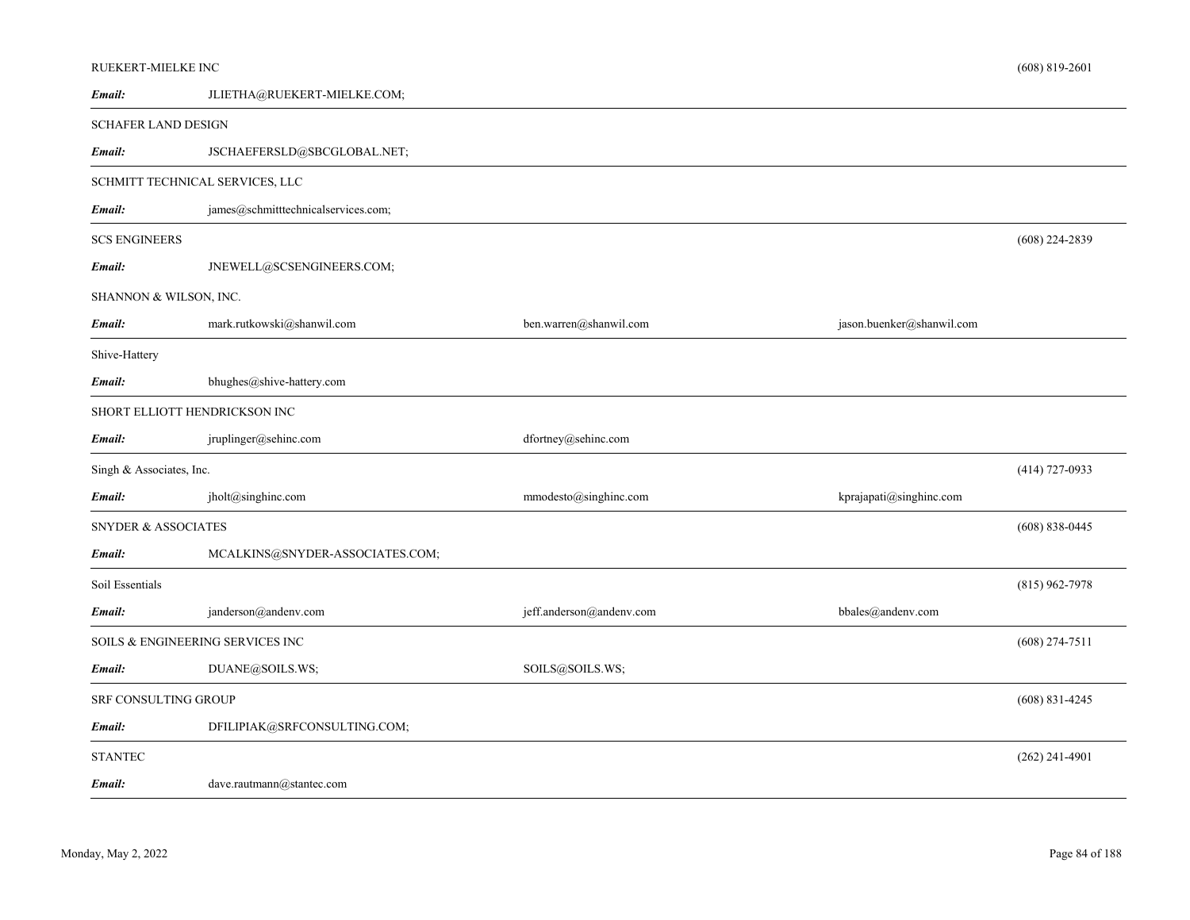# RUEKERT-MIELKE INC

| Email:                         | JLIETHA@RUEKERT-MIELKE.COM;         |                          |                           |                    |
|--------------------------------|-------------------------------------|--------------------------|---------------------------|--------------------|
| <b>SCHAFER LAND DESIGN</b>     |                                     |                          |                           |                    |
| Email:                         | JSCHAEFERSLD@SBCGLOBAL.NET;         |                          |                           |                    |
|                                | SCHMITT TECHNICAL SERVICES, LLC     |                          |                           |                    |
| Email:                         | james@schmitttechnicalservices.com; |                          |                           |                    |
| <b>SCS ENGINEERS</b>           |                                     |                          |                           | $(608)$ 224-2839   |
| Email:                         | JNEWELL@SCSENGINEERS.COM;           |                          |                           |                    |
| SHANNON & WILSON, INC.         |                                     |                          |                           |                    |
| Email:                         | mark.rutkowski@shanwil.com          | ben.warren@shanwil.com   | jason.buenker@shanwil.com |                    |
| Shive-Hattery                  |                                     |                          |                           |                    |
| Email:                         | bhughes@shive-hattery.com           |                          |                           |                    |
|                                | SHORT ELLIOTT HENDRICKSON INC       |                          |                           |                    |
| Email:                         | jruplinger@sehinc.com               | dfortney@sehinc.com      |                           |                    |
| Singh & Associates, Inc.       |                                     |                          |                           | $(414)$ 727-0933   |
| Email:                         | jholt@singhinc.com                  | mmodesto@singhinc.com    | kprajapati@singhinc.com   |                    |
| <b>SNYDER &amp; ASSOCIATES</b> |                                     |                          |                           | $(608) 838 - 0445$ |
| Email:                         | MCALKINS@SNYDER-ASSOCIATES.COM;     |                          |                           |                    |
| Soil Essentials                |                                     |                          |                           | $(815)$ 962-7978   |
| Email:                         | janderson@andenv.com                | jeff.anderson@andenv.com | bbales@andenv.com         |                    |
|                                | SOILS & ENGINEERING SERVICES INC    |                          |                           | $(608)$ 274-7511   |
| Email:                         | DUANE@SOILS.WS;                     | SOILS@SOILS.WS;          |                           |                    |
| <b>SRF CONSULTING GROUP</b>    |                                     |                          |                           | $(608)$ 831-4245   |
| Email:                         | DFILIPIAK@SRFCONSULTING.COM;        |                          |                           |                    |
| <b>STANTEC</b>                 |                                     |                          |                           | $(262)$ 241-4901   |
| Email:                         | dave.rautmann@stantec.com           |                          |                           |                    |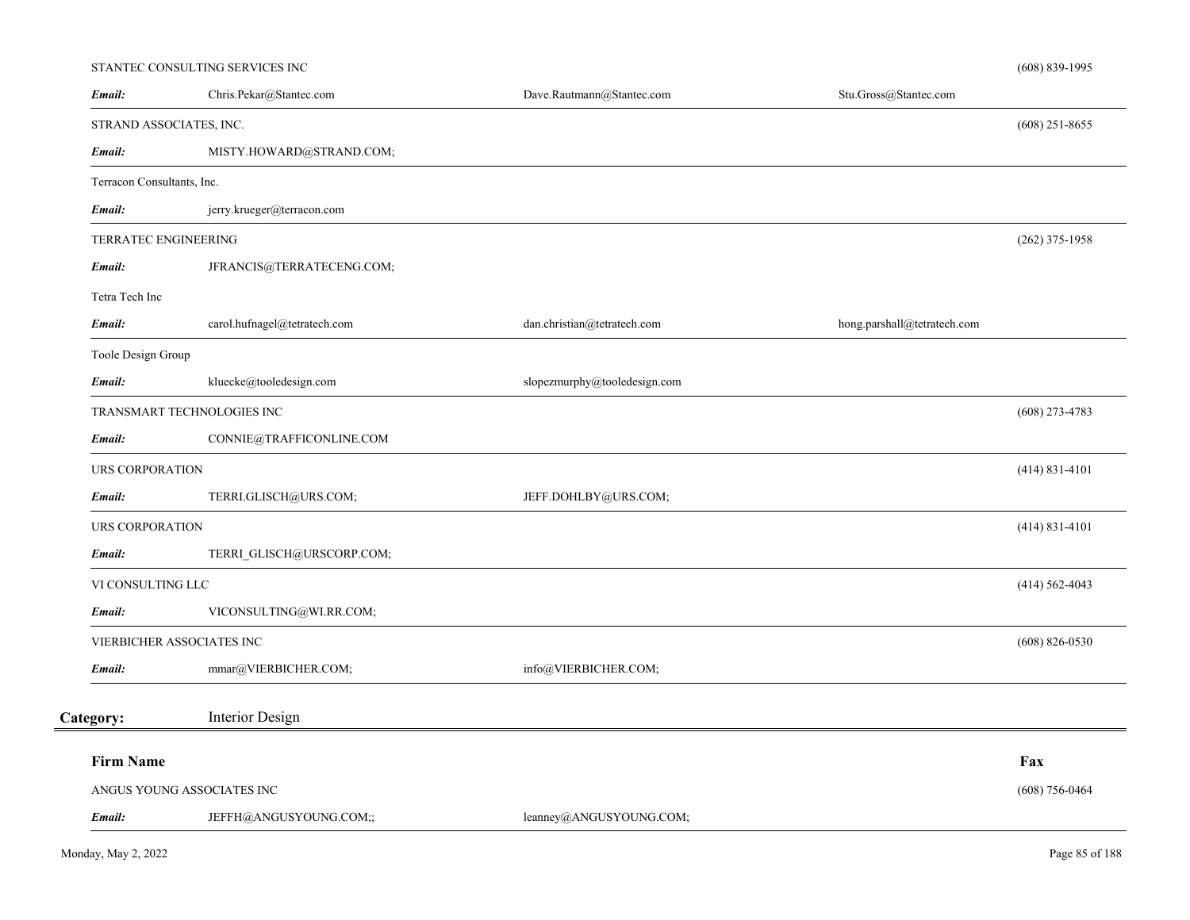# STANTEC CONSULTING SERVICES INC

| Email:                     | Chris.Pekar@Stantec.com      | Dave.Rautmann@Stantec.com    | Stu.Gross@Stantec.com       |                    |
|----------------------------|------------------------------|------------------------------|-----------------------------|--------------------|
| STRAND ASSOCIATES, INC.    |                              |                              |                             | $(608)$ 251-8655   |
| Email:                     | MISTY.HOWARD@STRAND.COM;     |                              |                             |                    |
| Terracon Consultants, Inc. |                              |                              |                             |                    |
| Email:                     | jerry.krueger@terracon.com   |                              |                             |                    |
| TERRATEC ENGINEERING       |                              |                              |                             | $(262)$ 375-1958   |
| Email:                     | JFRANCIS@TERRATECENG.COM;    |                              |                             |                    |
| Tetra Tech Inc             |                              |                              |                             |                    |
| Email:                     | carol.hufnagel@tetratech.com | dan.christian@tetratech.com  | hong.parshall@tetratech.com |                    |
| Toole Design Group         |                              |                              |                             |                    |
| Email:                     | kluecke@tooledesign.com      | slopezmurphy@tooledesign.com |                             |                    |
|                            | TRANSMART TECHNOLOGIES INC   |                              |                             | $(608)$ 273-4783   |
| Email:                     | CONNIE@TRAFFICONLINE.COM     |                              |                             |                    |
| <b>URS CORPORATION</b>     |                              |                              |                             | $(414) 831 - 4101$ |
| Email:                     | TERRI.GLISCH@URS.COM;        | JEFF.DOHLBY@URS.COM;         |                             |                    |
| <b>URS CORPORATION</b>     |                              |                              |                             | $(414) 831 - 4101$ |
| Email:                     | TERRI_GLISCH@URSCORP.COM;    |                              |                             |                    |
| VI CONSULTING LLC          |                              |                              |                             | $(414) 562 - 4043$ |
| Email:                     | VICONSULTING@WI.RR.COM;      |                              |                             |                    |
|                            | VIERBICHER ASSOCIATES INC    |                              |                             | $(608) 826 - 0530$ |
| Email:                     | mmar@VIERBICHER.COM;         | info@VIERBICHER.COM;         |                             |                    |
| Category:                  | Interior Design              |                              |                             |                    |
| <b>Firm Name</b>           |                              |                              |                             | Fax                |
|                            | ANGUS YOUNG ASSOCIATES INC   |                              |                             | $(608)$ 756-0464   |
| Email:                     | JEFFH@ANGUSYOUNG.COM;;       | leanney@ANGUSYOUNG.COM;      |                             |                    |

(608) 839-1995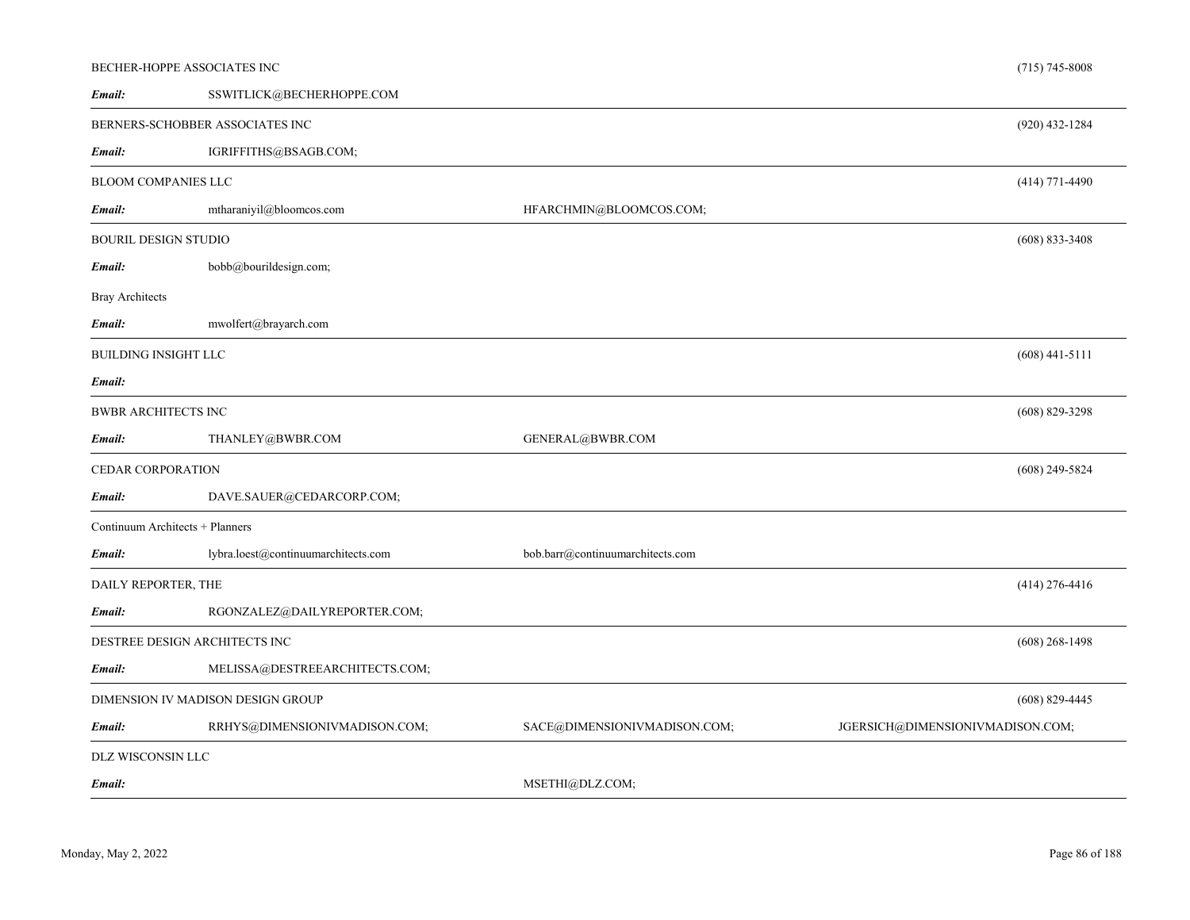|                                 | BECHER-HOPPE ASSOCIATES INC         |                                  | $(715) 745 - 8008$               |
|---------------------------------|-------------------------------------|----------------------------------|----------------------------------|
| Email:                          | SSWITLICK@BECHERHOPPE.COM           |                                  |                                  |
|                                 | BERNERS-SCHOBBER ASSOCIATES INC     |                                  | $(920)$ 432-1284                 |
| Email:                          | IGRIFFITHS@BSAGB.COM;               |                                  |                                  |
| <b>BLOOM COMPANIES LLC</b>      |                                     |                                  | $(414)$ 771-4490                 |
| Email:                          | mtharaniyil@bloomcos.com            | HFARCHMIN@BLOOMCOS.COM;          |                                  |
| <b>BOURIL DESIGN STUDIO</b>     |                                     |                                  | $(608) 833 - 3408$               |
| Email:                          | bobb@bourildesign.com;              |                                  |                                  |
| <b>Bray Architects</b>          |                                     |                                  |                                  |
| Email:                          | mwolfert@brayarch.com               |                                  |                                  |
| BUILDING INSIGHT LLC            |                                     |                                  | $(608)$ 441-5111                 |
| Email:                          |                                     |                                  |                                  |
| BWBR ARCHITECTS INC             |                                     |                                  | $(608)$ 829-3298                 |
| Email:                          | THANLEY@BWBR.COM                    | GENERAL@BWBR.COM                 |                                  |
| CEDAR CORPORATION               |                                     |                                  | $(608)$ 249-5824                 |
| Email:                          | DAVE.SAUER@CEDARCORP.COM;           |                                  |                                  |
| Continuum Architects + Planners |                                     |                                  |                                  |
| Email:                          | lybra.loest@continuumarchitects.com | bob.barr@continuumarchitects.com |                                  |
| DAILY REPORTER, THE             |                                     |                                  | $(414)$ 276-4416                 |
| Email:                          | RGONZALEZ@DAILYREPORTER.COM;        |                                  |                                  |
|                                 | DESTREE DESIGN ARCHITECTS INC       |                                  | $(608)$ 268-1498                 |
| Email:                          | MELISSA@DESTREEARCHITECTS.COM;      |                                  |                                  |
|                                 | DIMENSION IV MADISON DESIGN GROUP   |                                  | $(608)$ 829-4445                 |
| Email:                          | RRHYS@DIMENSIONIVMADISON.COM;       | SACE@DIMENSIONIVMADISON.COM;     | JGERSICH@DIMENSIONIVMADISON.COM; |
| DLZ WISCONSIN LLC               |                                     |                                  |                                  |
| Email:                          |                                     | MSETHI@DLZ.COM;                  |                                  |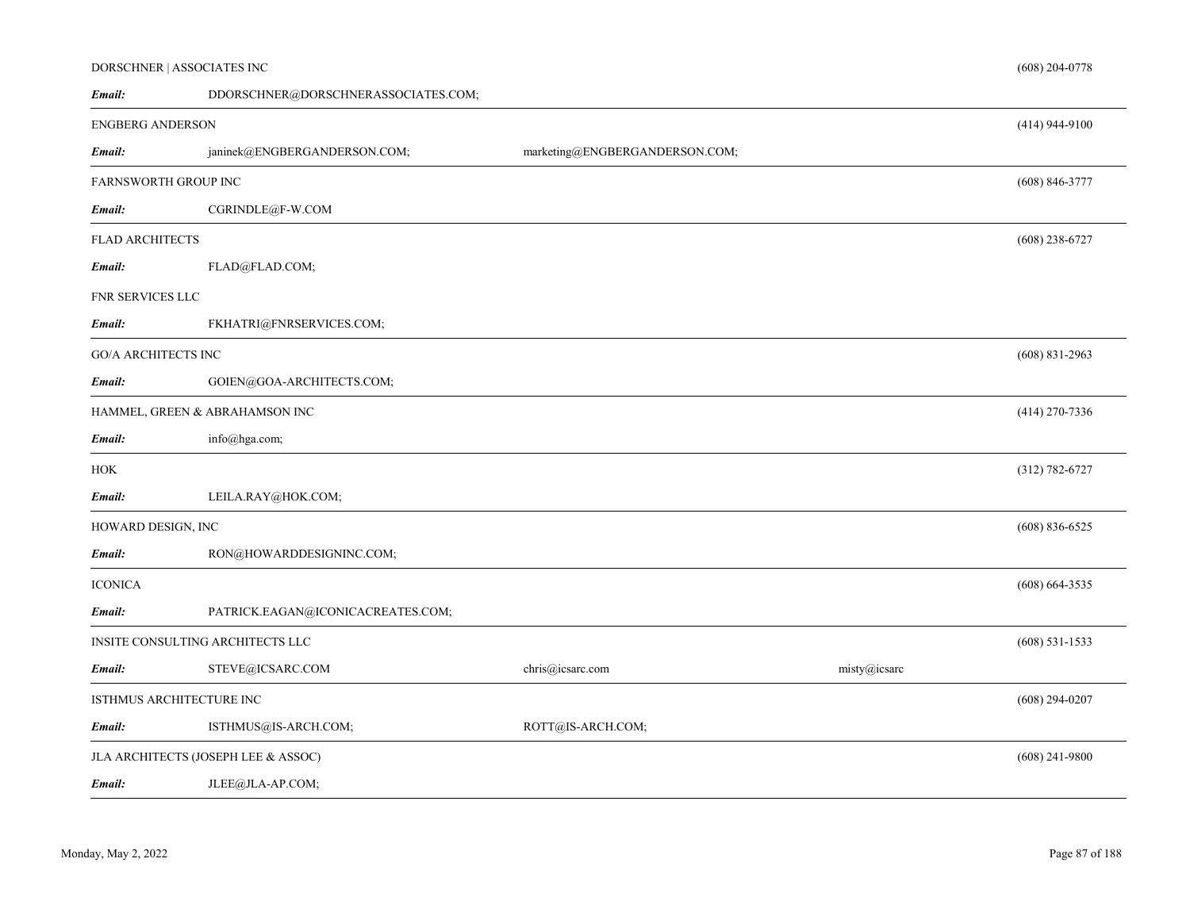# DORSCHNER | ASSOCIATES INC

| Email:                           | DDORSCHNER@DORSCHNERASSOCIATES.COM; |                                |              |                    |
|----------------------------------|-------------------------------------|--------------------------------|--------------|--------------------|
| <b>ENGBERG ANDERSON</b>          |                                     |                                |              | $(414)$ 944-9100   |
| Email:                           | janinek@ENGBERGANDERSON.COM;        | marketing@ENGBERGANDERSON.COM; |              |                    |
| FARNSWORTH GROUP INC             |                                     |                                |              | $(608) 846 - 3777$ |
| Email:                           | CGRINDLE@F-W.COM                    |                                |              |                    |
| <b>FLAD ARCHITECTS</b>           |                                     |                                |              | $(608)$ 238-6727   |
| Email:                           | FLAD@FLAD.COM;                      |                                |              |                    |
| FNR SERVICES LLC                 |                                     |                                |              |                    |
| Email:                           | FKHATRI@FNRSERVICES.COM;            |                                |              |                    |
| <b>GO/A ARCHITECTS INC</b>       |                                     |                                |              | $(608)$ 831-2963   |
| Email:                           | GOIEN@GOA-ARCHITECTS.COM;           |                                |              |                    |
|                                  | HAMMEL, GREEN & ABRAHAMSON INC      |                                |              | $(414)$ 270-7336   |
| Email:                           | info@hga.com;                       |                                |              |                    |
| HOK                              |                                     |                                |              | $(312) 782 - 6727$ |
| Email:                           | LEILA.RAY@HOK.COM;                  |                                |              |                    |
| HOWARD DESIGN, INC               |                                     |                                |              | $(608) 836 - 6525$ |
| Email:                           | RON@HOWARDDESIGNINC.COM;            |                                |              |                    |
| <b>ICONICA</b>                   |                                     |                                |              | $(608) 664 - 3535$ |
| Email:                           | PATRICK.EAGAN@ICONICACREATES.COM;   |                                |              |                    |
| INSITE CONSULTING ARCHITECTS LLC |                                     |                                |              | $(608)$ 531-1533   |
| Email:                           | STEVE@ICSARC.COM                    | chris@icsarc.com               | misty@icsarc |                    |
|                                  | ISTHMUS ARCHITECTURE INC            |                                |              | $(608)$ 294-0207   |
| Email:                           | ISTHMUS@IS-ARCH.COM;                | ROTT@IS-ARCH.COM;              |              |                    |
|                                  | JLA ARCHITECTS (JOSEPH LEE & ASSOC) |                                |              | $(608)$ 241-9800   |
| Email:                           | JLEE@JLA-AP.COM;                    |                                |              |                    |

(608) 204-0778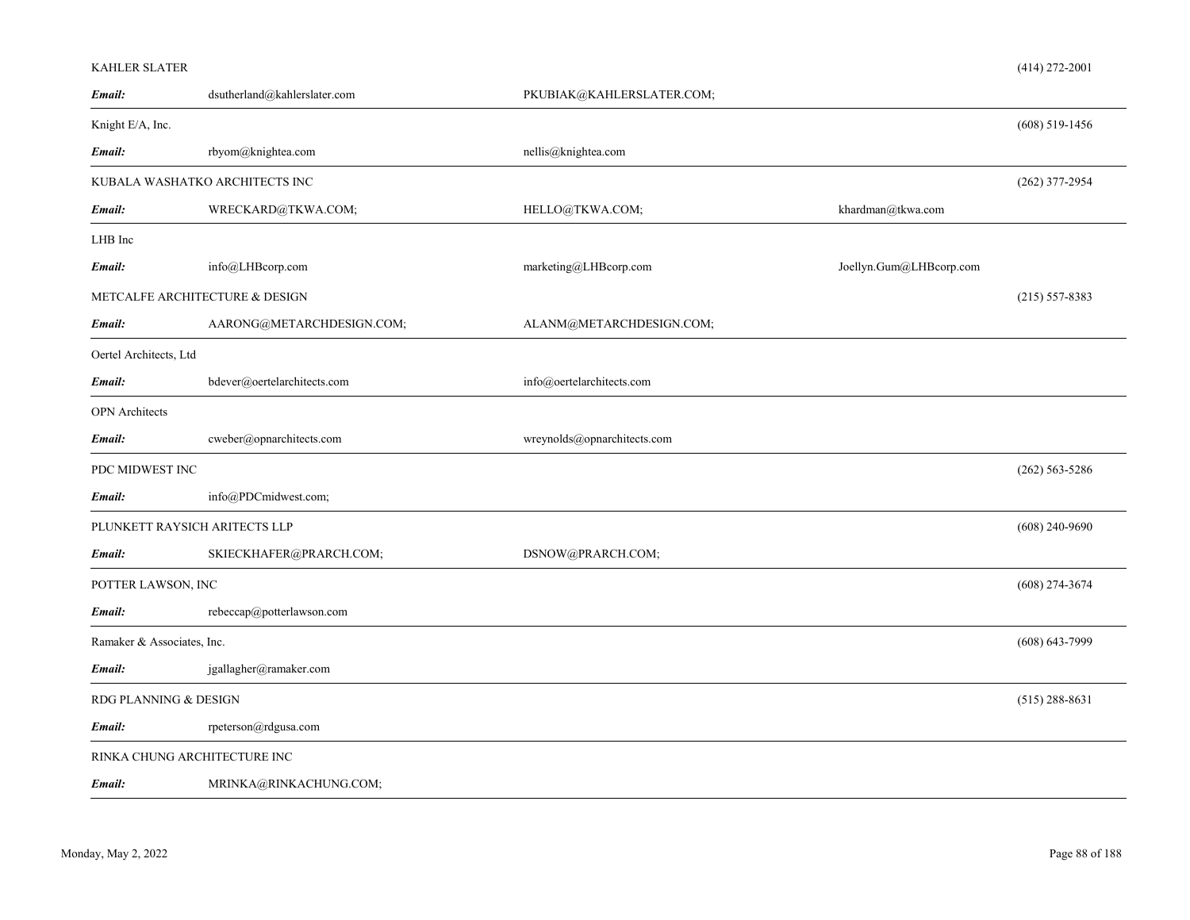| Email:                         | dsutherland@kahlerslater.com   | PKUBIAK@KAHLERSLATER.COM;   |                         |                    |
|--------------------------------|--------------------------------|-----------------------------|-------------------------|--------------------|
| Knight E/A, Inc.               |                                |                             |                         | $(608)$ 519-1456   |
| Email:                         | rbyom@knightea.com             | nellis@knightea.com         |                         |                    |
|                                | KUBALA WASHATKO ARCHITECTS INC |                             |                         | $(262)$ 377-2954   |
| Email:                         | WRECKARD@TKWA.COM;             | HELLO@TKWA.COM;             | khardman@tkwa.com       |                    |
| LHB Inc                        |                                |                             |                         |                    |
| Email:                         | info@LHBcorp.com               | marketing@LHBcorp.com       | Joellyn.Gum@LHBcorp.com |                    |
| METCALFE ARCHITECTURE & DESIGN |                                |                             |                         | $(215) 557 - 8383$ |
| Email:                         | AARONG@METARCHDESIGN.COM;      | ALANM@METARCHDESIGN.COM;    |                         |                    |
| Oertel Architects, Ltd         |                                |                             |                         |                    |
| Email:                         | bdever@oertelarchitects.com    | info@oertelarchitects.com   |                         |                    |
| <b>OPN</b> Architects          |                                |                             |                         |                    |
| Email:                         | cweber@opnarchitects.com       | wreynolds@opnarchitects.com |                         |                    |
| PDC MIDWEST INC                |                                |                             |                         | $(262) 563 - 5286$ |
| Email:                         | info@PDCmidwest.com;           |                             |                         |                    |
| PLUNKETT RAYSICH ARITECTS LLP  |                                |                             |                         | $(608)$ 240-9690   |
| Email:                         | SKIECKHAFER@PRARCH.COM;        | DSNOW@PRARCH.COM;           |                         |                    |
| POTTER LAWSON, INC             |                                |                             |                         | $(608)$ 274-3674   |
| Email:                         | rebeccap@potterlawson.com      |                             |                         |                    |
| Ramaker & Associates, Inc.     |                                |                             |                         | $(608) 643 - 7999$ |
| Email:                         | jgallagher@ramaker.com         |                             |                         |                    |
| RDG PLANNING & DESIGN          |                                |                             |                         | $(515)$ 288-8631   |
| Email:                         | rpeterson@rdgusa.com           |                             |                         |                    |
| RINKA CHUNG ARCHITECTURE INC   |                                |                             |                         |                    |
| Email:                         | MRINKA@RINKACHUNG.COM;         |                             |                         |                    |

KAHLER SLATER

(414) 272-2001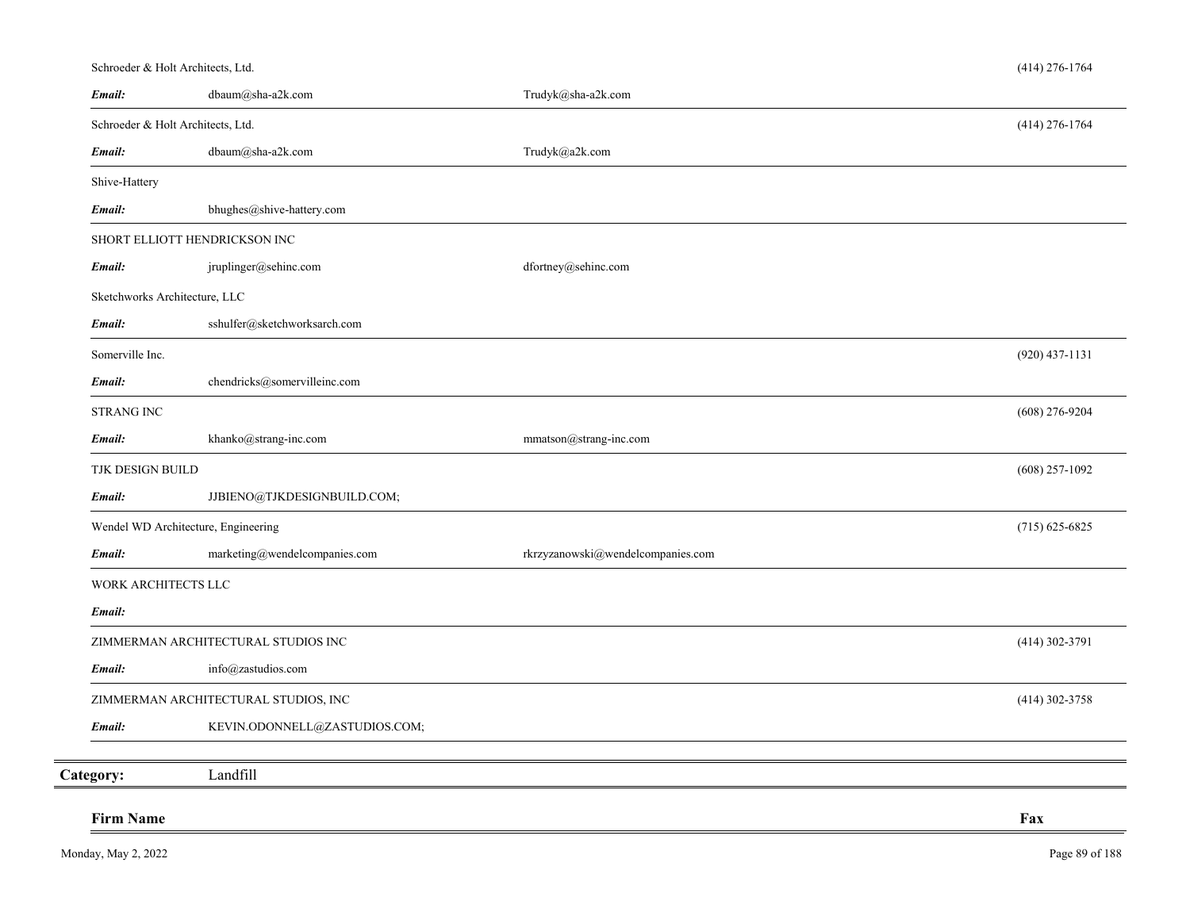# Schroeder & Holt Architects, Ltd.

| Email:                            | dbaum@sha-a2k.com                    | Trudyk@sha-a2k.com                |                  |
|-----------------------------------|--------------------------------------|-----------------------------------|------------------|
| Schroeder & Holt Architects, Ltd. |                                      |                                   | $(414)$ 276-1764 |
| Email:                            | dbaum@sha-a2k.com                    | Trudyk@a2k.com                    |                  |
| Shive-Hattery                     |                                      |                                   |                  |
| Email:                            | bhughes@shive-hattery.com            |                                   |                  |
|                                   | SHORT ELLIOTT HENDRICKSON INC        |                                   |                  |
| Email:                            | jruplinger@sehinc.com                | dfortney@sehinc.com               |                  |
| Sketchworks Architecture, LLC     |                                      |                                   |                  |
| Email:                            | sshulfer@sketchworksarch.com         |                                   |                  |
| Somerville Inc.                   |                                      |                                   | $(920)$ 437-1131 |
| Email:                            | chendricks@somervilleinc.com         |                                   |                  |
| <b>STRANG INC</b>                 |                                      |                                   | $(608)$ 276-9204 |
| Email:                            | khanko@strang-inc.com                | mmatson@strang-inc.com            |                  |
| TJK DESIGN BUILD                  |                                      |                                   | $(608)$ 257-1092 |
| Email:                            | JJBIENO@TJKDESIGNBUILD.COM;          |                                   |                  |
|                                   | Wendel WD Architecture, Engineering  |                                   | $(715)$ 625-6825 |
| Email:                            | marketing@wendelcompanies.com        | rkrzyzanowski@wendelcompanies.com |                  |
| WORK ARCHITECTS LLC               |                                      |                                   |                  |
| Email:                            |                                      |                                   |                  |
|                                   | ZIMMERMAN ARCHITECTURAL STUDIOS INC  |                                   | $(414)$ 302-3791 |
| Email:                            | info@zastudios.com                   |                                   |                  |
|                                   | ZIMMERMAN ARCHITECTURAL STUDIOS, INC |                                   | (414) 302-3758   |
| Email:                            | KEVIN.ODONNELL@ZASTUDIOS.COM;        |                                   |                  |
| Category:                         | Landfill                             |                                   |                  |
| <b>Firm Name</b>                  |                                      |                                   | Fax              |
|                                   |                                      |                                   |                  |

(414) 276-1764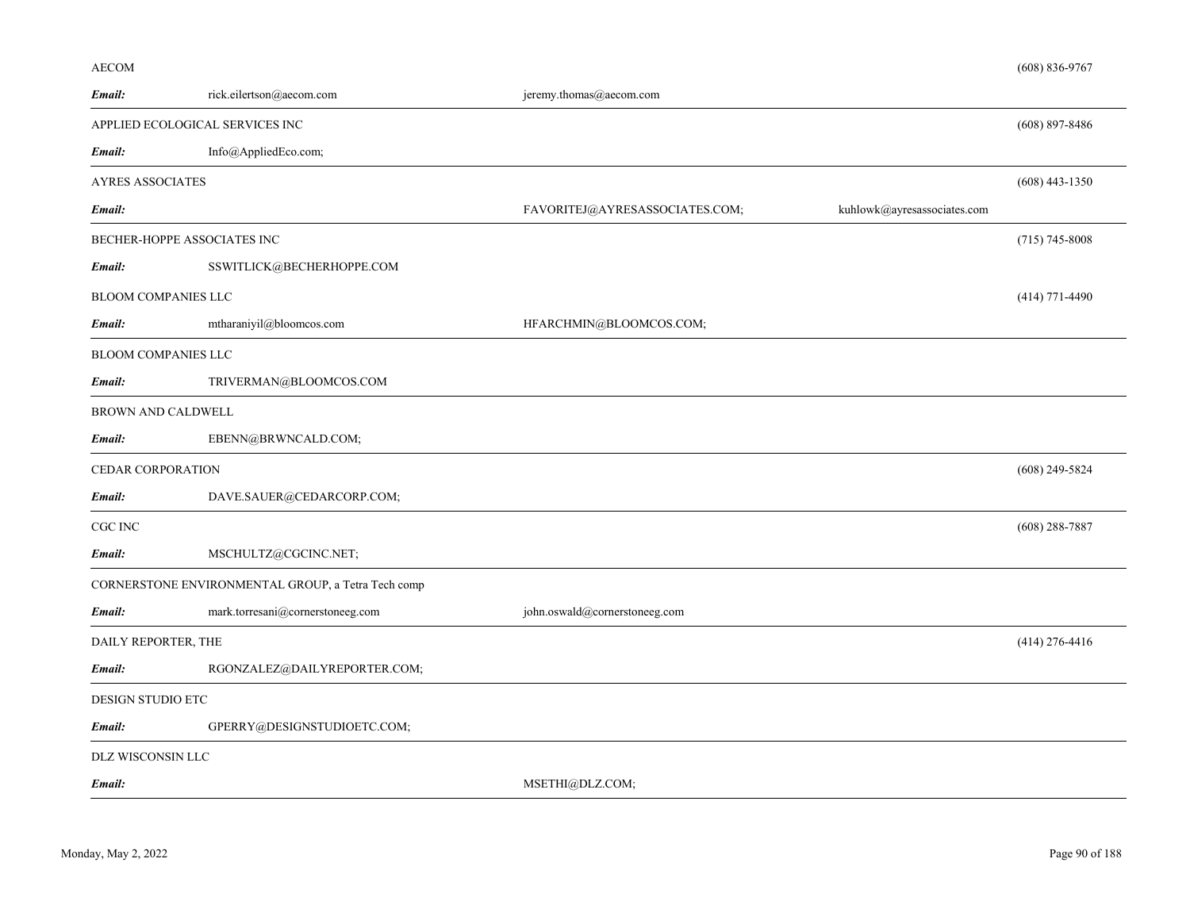# AECOM

| Email:                          | rick.eilertson@aecom.com                           | jeremy.thomas@aecom.com                                       |                    |
|---------------------------------|----------------------------------------------------|---------------------------------------------------------------|--------------------|
| APPLIED ECOLOGICAL SERVICES INC |                                                    |                                                               | $(608)$ 897-8486   |
| Email:                          | Info@AppliedEco.com;                               |                                                               |                    |
| <b>AYRES ASSOCIATES</b>         |                                                    |                                                               | $(608)$ 443-1350   |
| Email:                          |                                                    | kuhlowk@ayresassociates.com<br>FAVORITEJ@AYRESASSOCIATES.COM; |                    |
| BECHER-HOPPE ASSOCIATES INC     |                                                    |                                                               | $(715) 745 - 8008$ |
| Email:                          | SSWITLICK@BECHERHOPPE.COM                          |                                                               |                    |
| <b>BLOOM COMPANIES LLC</b>      |                                                    |                                                               | $(414)$ 771-4490   |
| Email:                          | mtharaniyil@bloomcos.com                           | HFARCHMIN@BLOOMCOS.COM;                                       |                    |
| <b>BLOOM COMPANIES LLC</b>      |                                                    |                                                               |                    |
| Email:                          | TRIVERMAN@BLOOMCOS.COM                             |                                                               |                    |
| <b>BROWN AND CALDWELL</b>       |                                                    |                                                               |                    |
| Email:                          | EBENN@BRWNCALD.COM;                                |                                                               |                    |
| <b>CEDAR CORPORATION</b>        |                                                    |                                                               | $(608)$ 249-5824   |
| Email:                          | DAVE.SAUER@CEDARCORP.COM;                          |                                                               |                    |
| CGC INC                         |                                                    |                                                               | $(608)$ 288-7887   |
| Email:                          | MSCHULTZ@CGCINC.NET;                               |                                                               |                    |
|                                 | CORNERSTONE ENVIRONMENTAL GROUP, a Tetra Tech comp |                                                               |                    |
| Email:                          | mark.torresani@cornerstoneeg.com                   | john.oswald@cornerstoneeg.com                                 |                    |
| DAILY REPORTER, THE             |                                                    |                                                               | $(414)$ 276-4416   |
| Email:                          | RGONZALEZ@DAILYREPORTER.COM;                       |                                                               |                    |
| DESIGN STUDIO ETC               |                                                    |                                                               |                    |
| Email:                          | GPERRY@DESIGNSTUDIOETC.COM;                        |                                                               |                    |
| DLZ WISCONSIN LLC               |                                                    |                                                               |                    |
| Email:                          |                                                    | MSETHI@DLZ.COM;                                               |                    |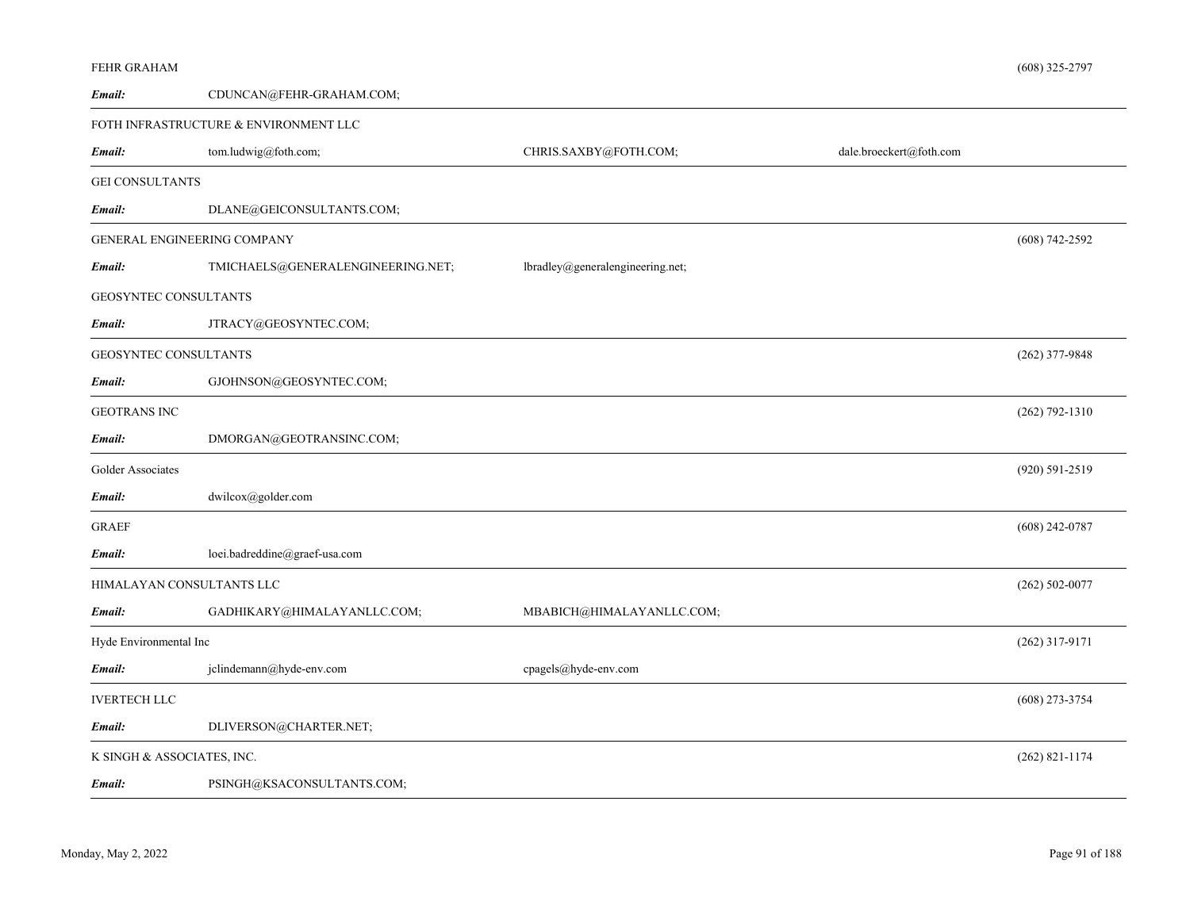| FEHR GRAHAM                |                                       |                                  |                         | $(608)$ 325-2797   |
|----------------------------|---------------------------------------|----------------------------------|-------------------------|--------------------|
| Email:                     | CDUNCAN@FEHR-GRAHAM.COM;              |                                  |                         |                    |
|                            | FOTH INFRASTRUCTURE & ENVIRONMENT LLC |                                  |                         |                    |
| Email:                     | tom.ludwig@foth.com;                  | CHRIS.SAXBY@FOTH.COM;            | dale.broeckert@foth.com |                    |
| <b>GEI CONSULTANTS</b>     |                                       |                                  |                         |                    |
| Email:                     | DLANE@GEICONSULTANTS.COM;             |                                  |                         |                    |
|                            | <b>GENERAL ENGINEERING COMPANY</b>    |                                  |                         | $(608)$ 742-2592   |
| Email:                     | TMICHAELS@GENERALENGINEERING.NET;     | lbradley@generalengineering.net; |                         |                    |
| GEOSYNTEC CONSULTANTS      |                                       |                                  |                         |                    |
| Email:                     | JTRACY@GEOSYNTEC.COM;                 |                                  |                         |                    |
| GEOSYNTEC CONSULTANTS      |                                       |                                  |                         | (262) 377-9848     |
| Email:                     | GJOHNSON@GEOSYNTEC.COM;               |                                  |                         |                    |
| <b>GEOTRANS INC</b>        |                                       |                                  |                         | $(262) 792 - 1310$ |
| Email:                     | DMORGAN@GEOTRANSINC.COM;              |                                  |                         |                    |
| Golder Associates          |                                       |                                  |                         | (920) 591-2519     |
| Email:                     | dwilcox@golder.com                    |                                  |                         |                    |
| <b>GRAEF</b>               |                                       |                                  |                         | $(608)$ 242-0787   |
| Email:                     | loei.badreddine@graef-usa.com         |                                  |                         |                    |
|                            | HIMALAYAN CONSULTANTS LLC             |                                  |                         | $(262) 502 - 0077$ |
| Email:                     | GADHIKARY@HIMALAYANLLC.COM;           | MBABICH@HIMALAYANLLC.COM;        |                         |                    |
| Hyde Environmental Inc     |                                       |                                  |                         | $(262)$ 317-9171   |
| Email:                     | jclindemann@hyde-env.com              | cpagels@hyde-env.com             |                         |                    |
| <b>IVERTECH LLC</b>        |                                       |                                  |                         | $(608)$ 273-3754   |
| Email:                     | DLIVERSON@CHARTER.NET;                |                                  |                         |                    |
| K SINGH & ASSOCIATES, INC. |                                       |                                  |                         | $(262)$ 821-1174   |
| Email:                     | PSINGH@KSACONSULTANTS.COM;            |                                  |                         |                    |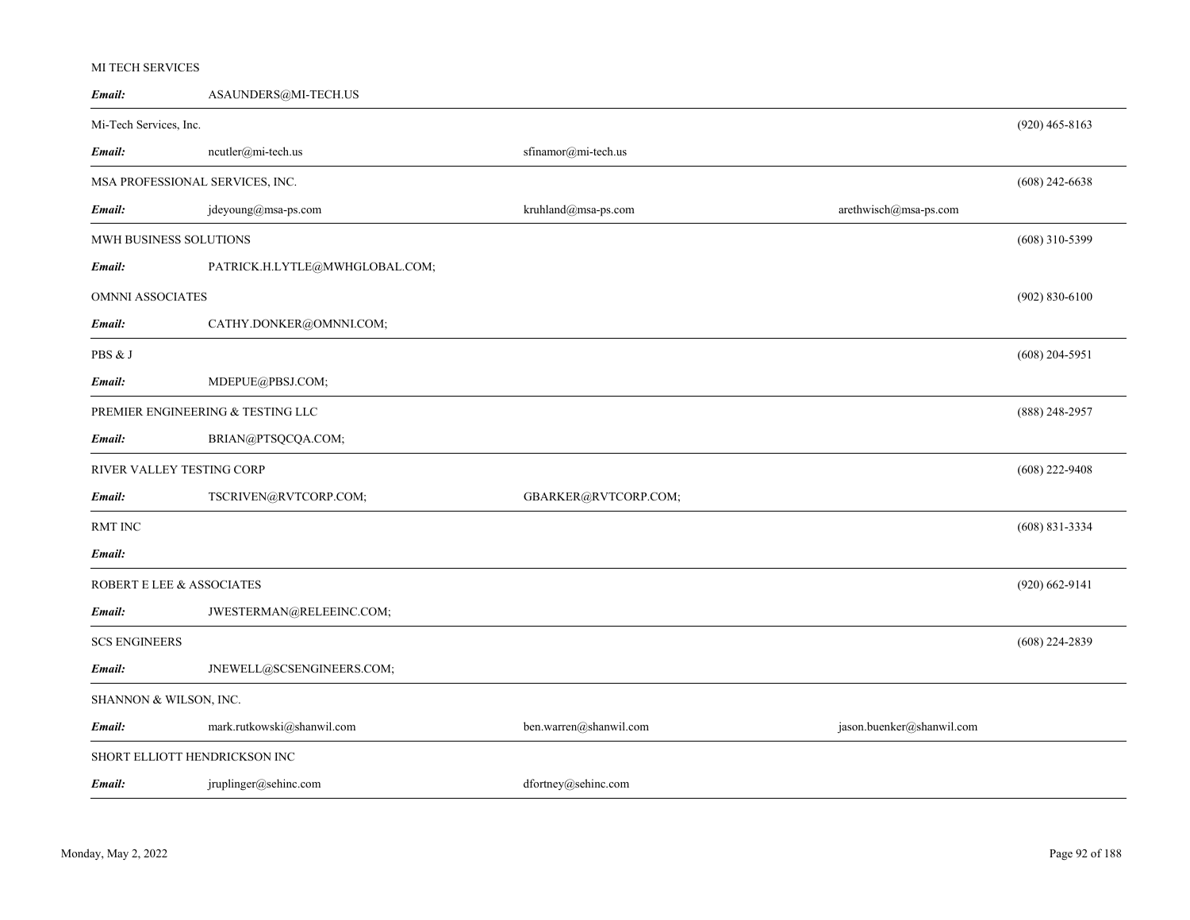# MI TECH SERVICES

| Email:                    | ASAUNDERS@MI-TECH.US              |                        |                           |                    |
|---------------------------|-----------------------------------|------------------------|---------------------------|--------------------|
| Mi-Tech Services, Inc.    |                                   |                        |                           | $(920)$ 465-8163   |
| Email:                    | ncutler@mi-tech.us                | sfinamor@mi-tech.us    |                           |                    |
|                           | MSA PROFESSIONAL SERVICES, INC.   |                        |                           | $(608)$ 242-6638   |
| Email:                    | jdeyoung@msa-ps.com               | kruhland@msa-ps.com    | arethwisch@msa-ps.com     |                    |
| MWH BUSINESS SOLUTIONS    |                                   |                        |                           | $(608)$ 310-5399   |
| Email:                    | PATRICK.H.LYTLE@MWHGLOBAL.COM;    |                        |                           |                    |
| <b>OMNNI ASSOCIATES</b>   |                                   |                        |                           | $(902) 830 - 6100$ |
| Email:                    | CATHY.DONKER@OMNNI.COM;           |                        |                           |                    |
| PBS & J                   |                                   |                        |                           | $(608)$ 204-5951   |
| Email:                    | MDEPUE@PBSJ.COM;                  |                        |                           |                    |
|                           | PREMIER ENGINEERING & TESTING LLC |                        |                           | $(888)$ 248-2957   |
| Email:                    | BRIAN@PTSQCQA.COM;                |                        |                           |                    |
| RIVER VALLEY TESTING CORP |                                   |                        |                           | $(608)$ 222-9408   |
| Email:                    | TSCRIVEN@RVTCORP.COM;             | GBARKER@RVTCORP.COM;   |                           |                    |
| <b>RMT INC</b>            |                                   |                        |                           | $(608) 831 - 3334$ |
| Email:                    |                                   |                        |                           |                    |
| ROBERT E LEE & ASSOCIATES |                                   |                        |                           | $(920)$ 662-9141   |
| Email:                    | JWESTERMAN@RELEEINC.COM;          |                        |                           |                    |
| <b>SCS ENGINEERS</b>      |                                   |                        |                           | $(608)$ 224-2839   |
| Email:                    | JNEWELL@SCSENGINEERS.COM;         |                        |                           |                    |
| SHANNON & WILSON, INC.    |                                   |                        |                           |                    |
| Email:                    | mark.rutkowski@shanwil.com        | ben.warren@shanwil.com | jason.buenker@shanwil.com |                    |
|                           | SHORT ELLIOTT HENDRICKSON INC     |                        |                           |                    |
| Email:                    | jruplinger@sehinc.com             | dfortney@sehinc.com    |                           |                    |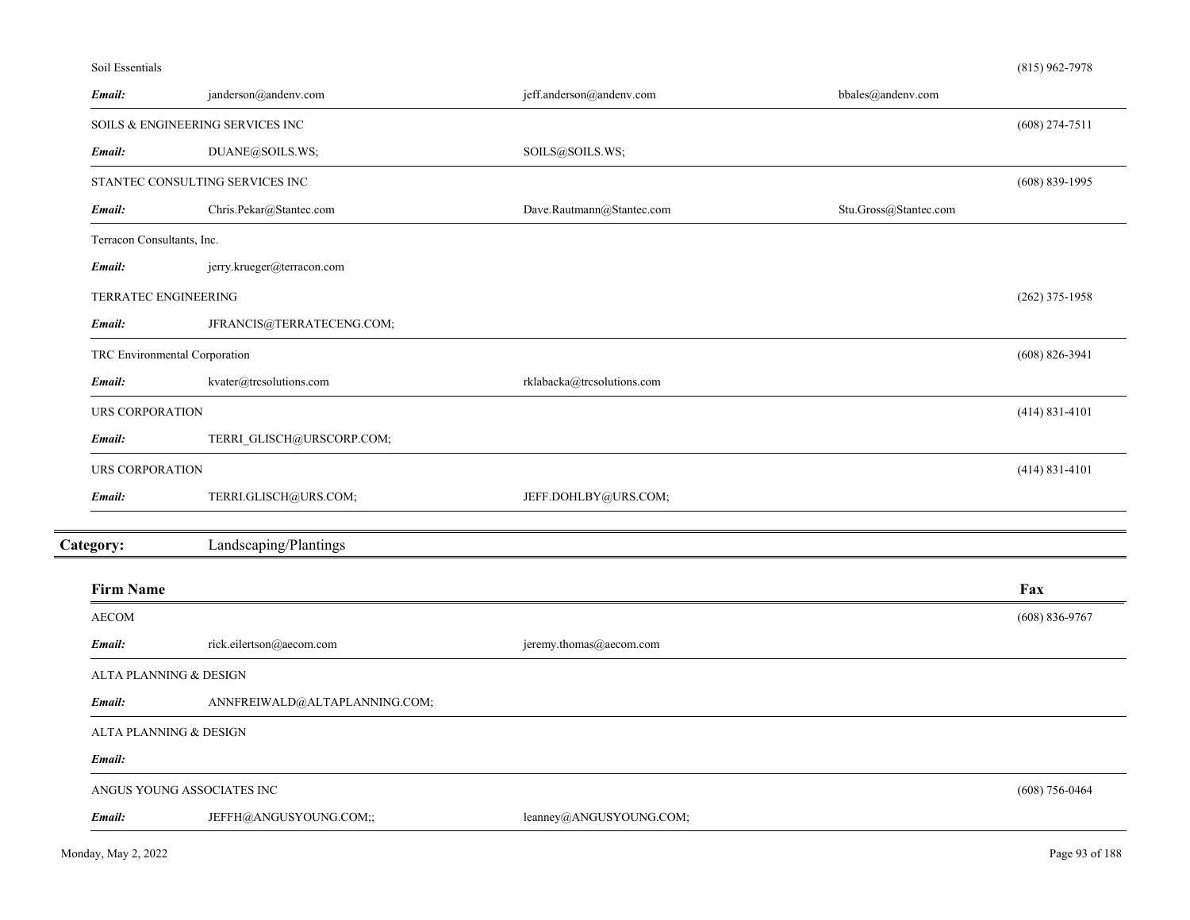## Soil Essentials

| Email:                      | janderson@andenv.com              | jeff.anderson@andenv.com   | bbales@andenv.com     |                    |
|-----------------------------|-----------------------------------|----------------------------|-----------------------|--------------------|
|                             | SOILS & ENGINEERING SERVICES INC  |                            |                       | $(608)$ 274-7511   |
| Email:                      | DUANE@SOILS.WS;                   | SOILS@SOILS.WS;            |                       |                    |
|                             | STANTEC CONSULTING SERVICES INC   |                            |                       | $(608) 839 - 1995$ |
| Email:                      | Chris.Pekar@Stantec.com           | Dave.Rautmann@Stantec.com  | Stu.Gross@Stantec.com |                    |
| Terracon Consultants, Inc.  |                                   |                            |                       |                    |
| Email:                      | jerry.krueger@terracon.com        |                            |                       |                    |
| <b>TERRATEC ENGINEERING</b> |                                   |                            |                       | $(262)$ 375-1958   |
| Email:                      | JFRANCIS@TERRATECENG.COM;         |                            |                       |                    |
|                             | TRC Environmental Corporation     |                            |                       | $(608) 826 - 3941$ |
| Email:                      | kvater@trcsolutions.com           | rklabacka@trcsolutions.com |                       |                    |
| URS CORPORATION             |                                   |                            |                       | $(414) 831 - 4101$ |
| Email:                      | TERRI_GLISCH@URSCORP.COM;         |                            |                       |                    |
| URS CORPORATION             |                                   |                            |                       | $(414)$ 831-4101   |
| Email:                      | TERRI.GLISCH@URS.COM;             | JEFF.DOHLBY@URS.COM;       |                       |                    |
| Category:                   | Landscaping/Plantings             |                            |                       |                    |
|                             |                                   |                            |                       |                    |
| <b>Firm Name</b>            |                                   |                            |                       | Fax                |
| <b>AECOM</b>                |                                   |                            |                       | $(608) 836-9767$   |
| Email:                      | rick.eilertson@aecom.com          | jeremy.thomas@aecom.com    |                       |                    |
|                             | <b>ALTA PLANNING &amp; DESIGN</b> |                            |                       |                    |
| Email:                      | ANNFREIWALD@ALTAPLANNING.COM;     |                            |                       |                    |
|                             | ALTA PLANNING & DESIGN            |                            |                       |                    |
| Email:                      |                                   |                            |                       |                    |
|                             | ANGUS YOUNG ASSOCIATES INC        |                            |                       | $(608)$ 756-0464   |
| Email:                      | JEFFH@ANGUSYOUNG.COM;;            | leanney@ANGUSYOUNG.COM;    |                       |                    |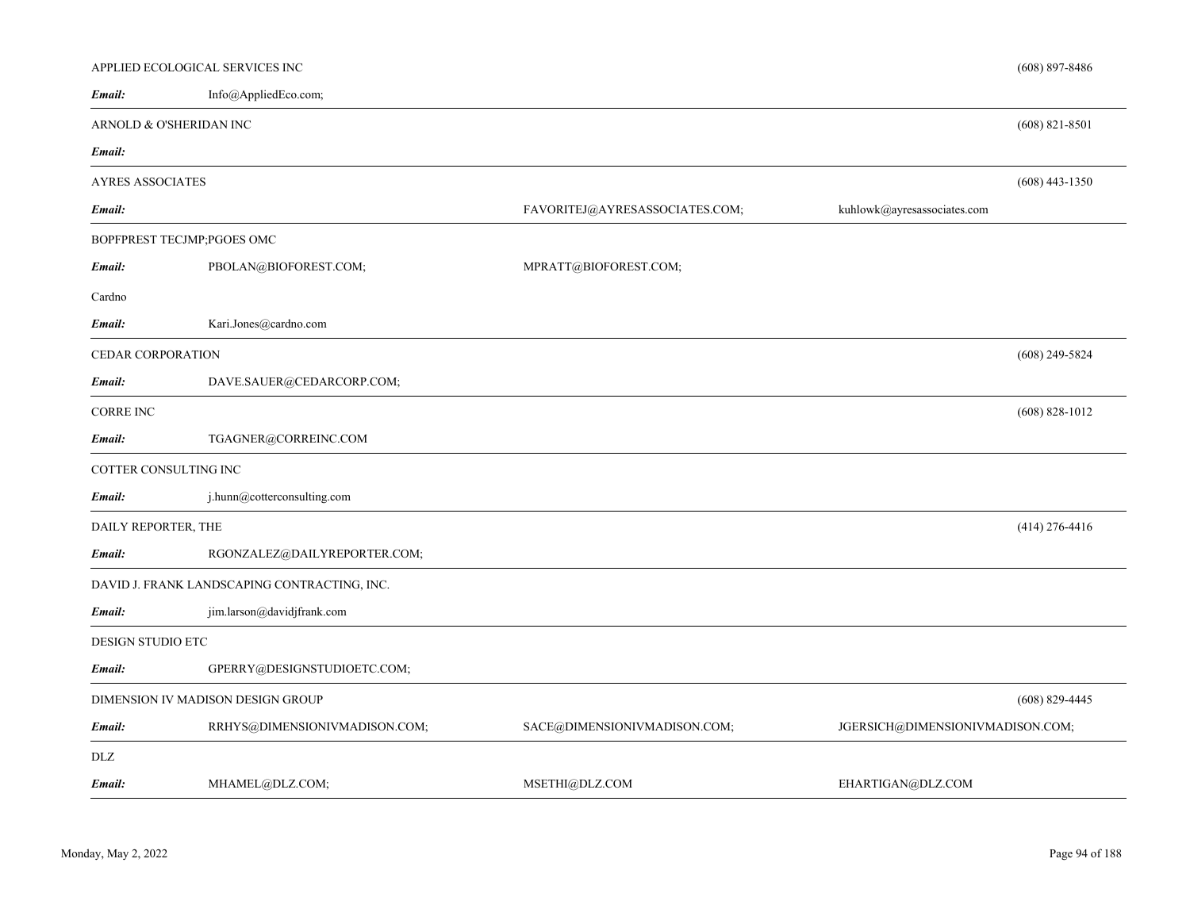| Info@AppliedEco.com;<br>ARNOLD & O'SHERIDAN INC |                                |                             | $(608)$ 821-8501                 |
|-------------------------------------------------|--------------------------------|-----------------------------|----------------------------------|
|                                                 |                                |                             |                                  |
|                                                 |                                |                             |                                  |
|                                                 |                                |                             |                                  |
|                                                 |                                |                             | $(608)$ 443-1350                 |
|                                                 | FAVORITEJ@AYRESASSOCIATES.COM; | kuhlowk@ayresassociates.com |                                  |
| BOPFPREST TECJMP;PGOES OMC                      |                                |                             |                                  |
| PBOLAN@BIOFOREST.COM;                           | MPRATT@BIOFOREST.COM;          |                             |                                  |
|                                                 |                                |                             |                                  |
| Kari.Jones@cardno.com                           |                                |                             |                                  |
| <b>CEDAR CORPORATION</b>                        |                                |                             | $(608)$ 249-5824                 |
| DAVE.SAUER@CEDARCORP.COM;                       |                                |                             |                                  |
|                                                 |                                |                             | $(608) 828 - 1012$               |
| TGAGNER@CORREINC.COM                            |                                |                             |                                  |
| COTTER CONSULTING INC                           |                                |                             |                                  |
| j.hunn@cotterconsulting.com                     |                                |                             |                                  |
| DAILY REPORTER, THE                             |                                |                             | $(414)$ 276-4416                 |
| RGONZALEZ@DAILYREPORTER.COM;                    |                                |                             |                                  |
| DAVID J. FRANK LANDSCAPING CONTRACTING, INC.    |                                |                             |                                  |
| jim.larson@davidjfrank.com                      |                                |                             |                                  |
| DESIGN STUDIO ETC                               |                                |                             |                                  |
| GPERRY@DESIGNSTUDIOETC.COM;                     |                                |                             |                                  |
| DIMENSION IV MADISON DESIGN GROUP               |                                |                             | $(608)$ 829-4445                 |
| RRHYS@DIMENSIONIVMADISON.COM;                   | SACE@DIMENSIONIVMADISON.COM;   |                             |                                  |
|                                                 |                                |                             |                                  |
| MHAMEL@DLZ.COM;                                 | MSETHI@DLZ.COM                 | EHARTIGAN@DLZ.COM           |                                  |
|                                                 |                                |                             | JGERSICH@DIMENSIONIVMADISON.COM; |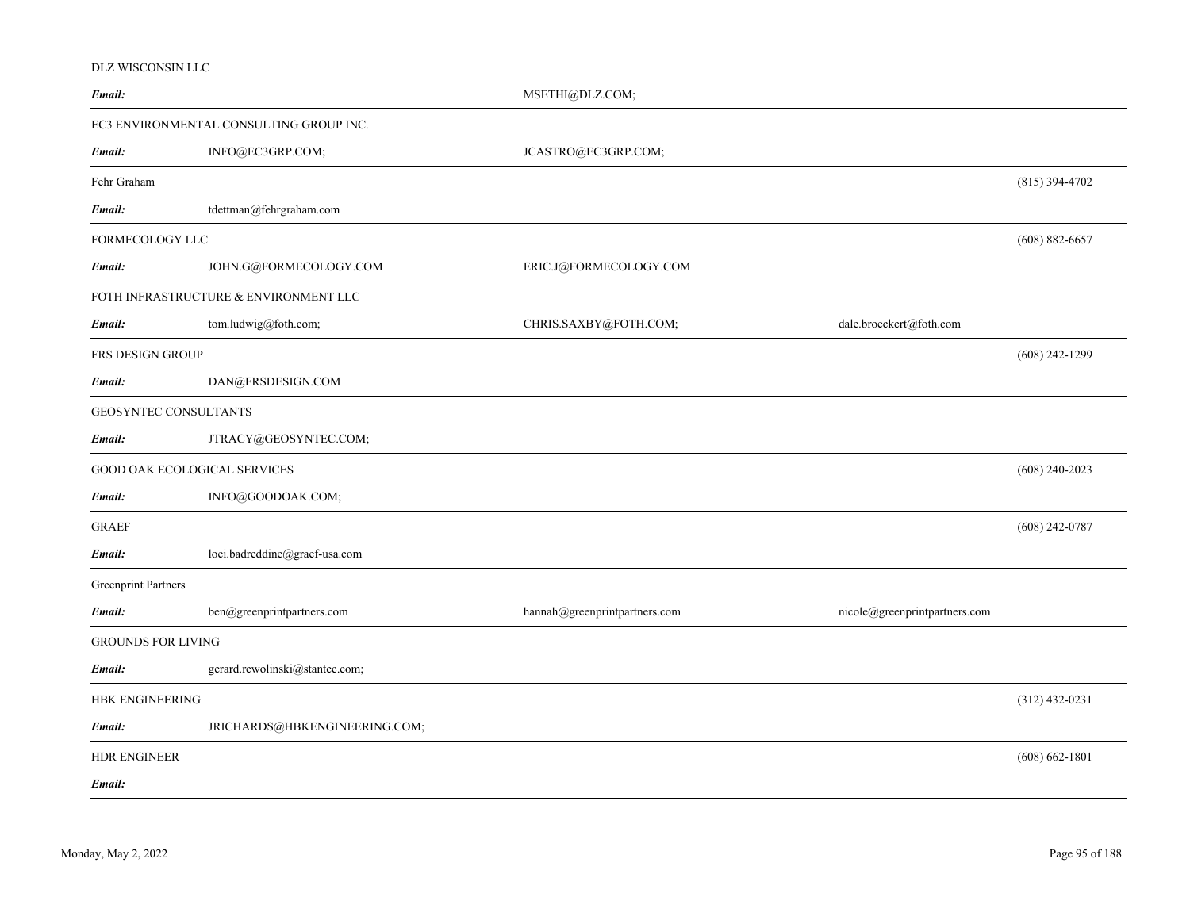### DLZ WISCONSIN LLC

| Email:                     |                                         | MSETHI@DLZ.COM;               |                               |                    |
|----------------------------|-----------------------------------------|-------------------------------|-------------------------------|--------------------|
|                            | EC3 ENVIRONMENTAL CONSULTING GROUP INC. |                               |                               |                    |
| Email:                     | INFO@EC3GRP.COM;                        | JCASTRO@EC3GRP.COM;           |                               |                    |
| Fehr Graham                |                                         |                               |                               | $(815)$ 394-4702   |
| Email:                     | tdettman@fehrgraham.com                 |                               |                               |                    |
| FORMECOLOGY LLC            |                                         |                               |                               | $(608) 882 - 6657$ |
| Email:                     | JOHN.G@FORMECOLOGY.COM                  | ERIC.J@FORMECOLOGY.COM        |                               |                    |
|                            | FOTH INFRASTRUCTURE & ENVIRONMENT LLC   |                               |                               |                    |
| Email:                     | tom.ludwig@foth.com;                    | CHRIS.SAXBY@FOTH.COM;         | dale.broeckert@foth.com       |                    |
| FRS DESIGN GROUP           |                                         |                               |                               | $(608)$ 242-1299   |
| Email:                     | DAN@FRSDESIGN.COM                       |                               |                               |                    |
| GEOSYNTEC CONSULTANTS      |                                         |                               |                               |                    |
| Email:                     | JTRACY@GEOSYNTEC.COM;                   |                               |                               |                    |
|                            | <b>GOOD OAK ECOLOGICAL SERVICES</b>     |                               |                               | $(608)$ 240-2023   |
| Email:                     | INFO@GOODOAK.COM;                       |                               |                               |                    |
| <b>GRAEF</b>               |                                         |                               |                               | $(608)$ 242-0787   |
| Email:                     | loei.badreddine@graef-usa.com           |                               |                               |                    |
| <b>Greenprint Partners</b> |                                         |                               |                               |                    |
| Email:                     | ben@greenprintpartners.com              | hannah@greenprintpartners.com | nicole@greenprintpartners.com |                    |
| <b>GROUNDS FOR LIVING</b>  |                                         |                               |                               |                    |
| Email:                     | gerard.rewolinski@stantec.com;          |                               |                               |                    |
| <b>HBK ENGINEERING</b>     |                                         |                               |                               | $(312)$ 432-0231   |
| Email:                     | JRICHARDS@HBKENGINEERING.COM;           |                               |                               |                    |
| <b>HDR ENGINEER</b>        |                                         |                               |                               | $(608) 662 - 1801$ |
| Email:                     |                                         |                               |                               |                    |
|                            |                                         |                               |                               |                    |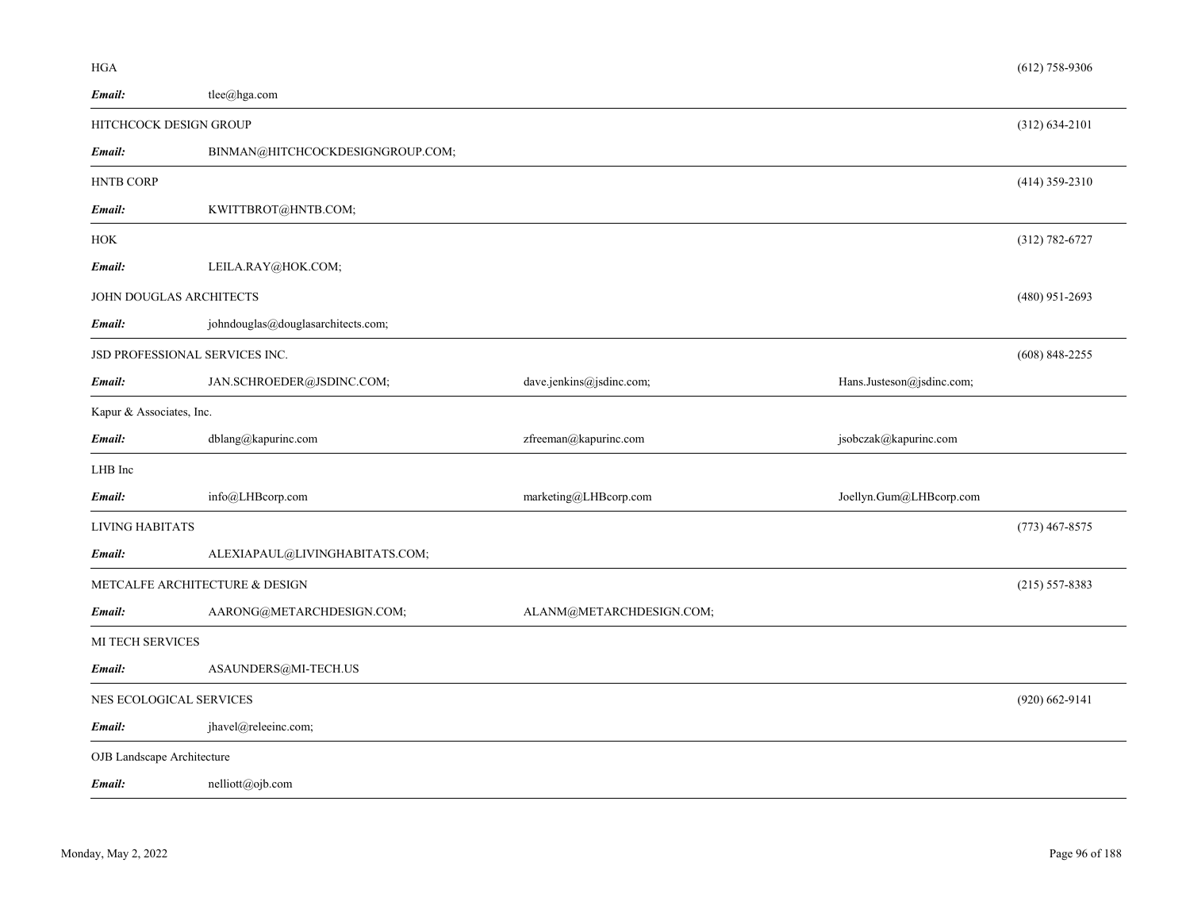| Email:                         | tlee@hga.com                       |                          |                           |                    |
|--------------------------------|------------------------------------|--------------------------|---------------------------|--------------------|
| HITCHCOCK DESIGN GROUP         |                                    |                          |                           | $(312) 634 - 2101$ |
| Email:                         | BINMAN@HITCHCOCKDESIGNGROUP.COM;   |                          |                           |                    |
| <b>HNTB CORP</b>               |                                    |                          |                           | $(414)$ 359-2310   |
| Email:                         | KWITTBROT@HNTB.COM;                |                          |                           |                    |
| HOK                            |                                    |                          |                           | $(312) 782 - 6727$ |
| Email:                         | LEILA.RAY@HOK.COM;                 |                          |                           |                    |
| JOHN DOUGLAS ARCHITECTS        |                                    |                          |                           | $(480)$ 951-2693   |
| Email:                         | johndouglas@douglasarchitects.com; |                          |                           |                    |
| JSD PROFESSIONAL SERVICES INC. |                                    |                          |                           | $(608)$ 848-2255   |
| Email:                         | JAN.SCHROEDER@JSDINC.COM;          | dave.jenkins@jsdinc.com; | Hans.Justeson@jsdinc.com; |                    |
| Kapur & Associates, Inc.       |                                    |                          |                           |                    |
| Email:                         | dblang@kapurinc.com                | zfreeman@kapurinc.com    | jsobczak@kapurinc.com     |                    |
| LHB Inc                        |                                    |                          |                           |                    |
| Email:                         | info@LHBcorp.com                   | marketing@LHBcorp.com    | Joellyn.Gum@LHBcorp.com   |                    |
| LIVING HABITATS                |                                    |                          |                           | $(773)$ 467-8575   |
| Email:                         | ALEXIAPAUL@LIVINGHABITATS.COM;     |                          |                           |                    |
|                                | METCALFE ARCHITECTURE & DESIGN     |                          |                           | $(215) 557 - 8383$ |
| Email:                         | AARONG@METARCHDESIGN.COM;          | ALANM@METARCHDESIGN.COM; |                           |                    |
| MI TECH SERVICES               |                                    |                          |                           |                    |
| Email:                         | ASAUNDERS@MI-TECH.US               |                          |                           |                    |
| NES ECOLOGICAL SERVICES        |                                    |                          |                           | $(920)$ 662-9141   |
| Email:                         | jhavel@releeinc.com;               |                          |                           |                    |

OJB Landscape Architecture

*Email:*nelliott@ojb.com

HGA

(612) 758-9306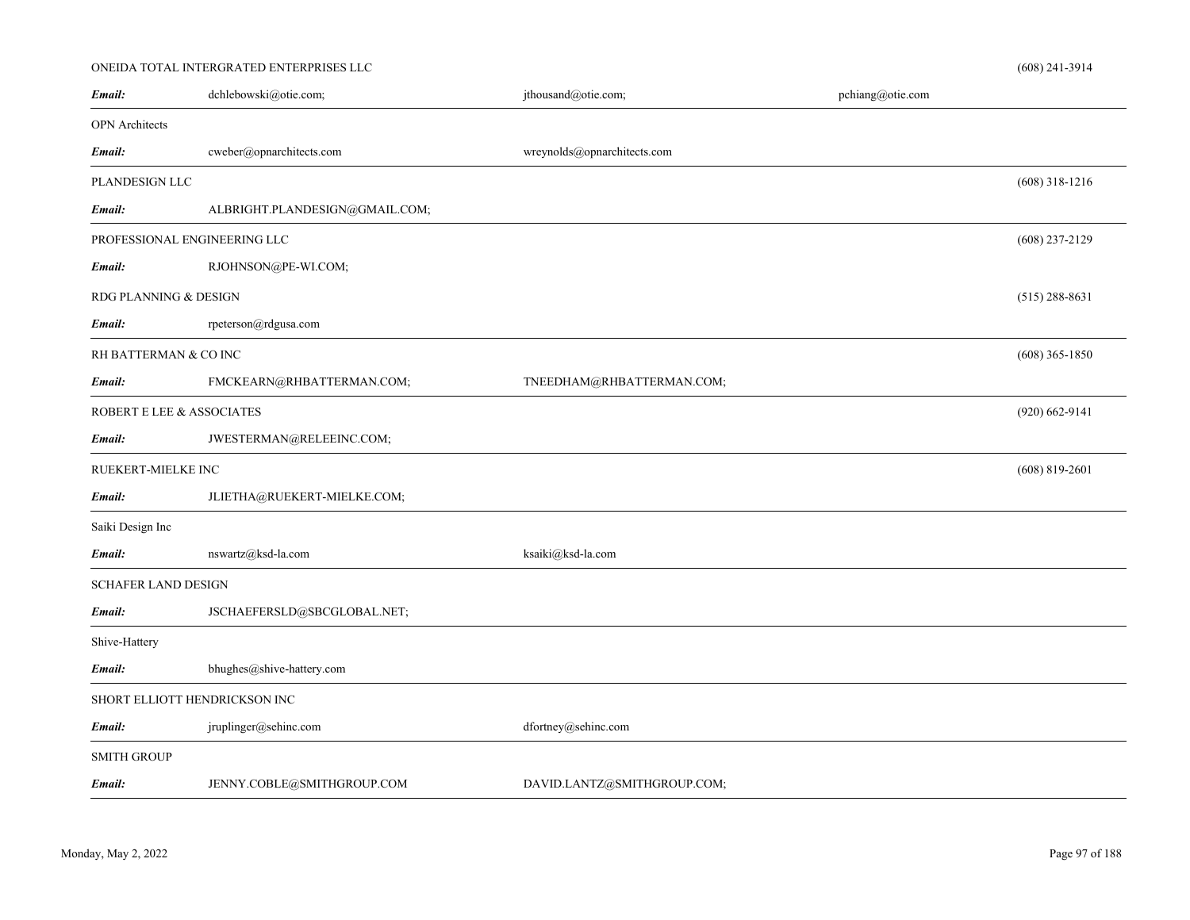# ONEIDA TOTAL INTERGRATED ENTERPRISES LLC

| Email:                       | dchlebowski@otie.com;          | jthousand@otie.com;         | pchiang@otie.com |                    |
|------------------------------|--------------------------------|-----------------------------|------------------|--------------------|
| <b>OPN</b> Architects        |                                |                             |                  |                    |
| Email:                       | cweber@opnarchitects.com       | wreynolds@opnarchitects.com |                  |                    |
| PLANDESIGN LLC               |                                |                             |                  | $(608)$ 318-1216   |
| Email:                       | ALBRIGHT.PLANDESIGN@GMAIL.COM; |                             |                  |                    |
| PROFESSIONAL ENGINEERING LLC |                                |                             |                  | $(608)$ 237-2129   |
| Email:                       | RJOHNSON@PE-WI.COM;            |                             |                  |                    |
| RDG PLANNING & DESIGN        |                                |                             |                  | $(515)$ 288-8631   |
| Email:                       | rpeterson@rdgusa.com           |                             |                  |                    |
| RH BATTERMAN & CO INC        |                                |                             |                  | $(608)$ 365-1850   |
| Email:                       | FMCKEARN@RHBATTERMAN.COM;      | TNEEDHAM@RHBATTERMAN.COM;   |                  |                    |
| ROBERT E LEE & ASSOCIATES    |                                |                             |                  | $(920) 662 - 9141$ |
| Email:                       | JWESTERMAN@RELEEINC.COM;       |                             |                  |                    |
| RUEKERT-MIELKE INC           |                                |                             |                  | $(608)$ 819-2601   |
| Email:                       | JLIETHA@RUEKERT-MIELKE.COM;    |                             |                  |                    |
| Saiki Design Inc             |                                |                             |                  |                    |
| Email:                       | nswartz@ksd-la.com             | ksaiki@ksd-la.com           |                  |                    |
| <b>SCHAFER LAND DESIGN</b>   |                                |                             |                  |                    |
| Email:                       | JSCHAEFERSLD@SBCGLOBAL.NET;    |                             |                  |                    |
| Shive-Hattery                |                                |                             |                  |                    |
| Email:                       | bhughes@shive-hattery.com      |                             |                  |                    |
|                              | SHORT ELLIOTT HENDRICKSON INC  |                             |                  |                    |
| Email:                       | jruplinger@sehinc.com          | dfortney@sehinc.com         |                  |                    |
| <b>SMITH GROUP</b>           |                                |                             |                  |                    |
| Email:                       | JENNY.COBLE@SMITHGROUP.COM     | DAVID.LANTZ@SMITHGROUP.COM; |                  |                    |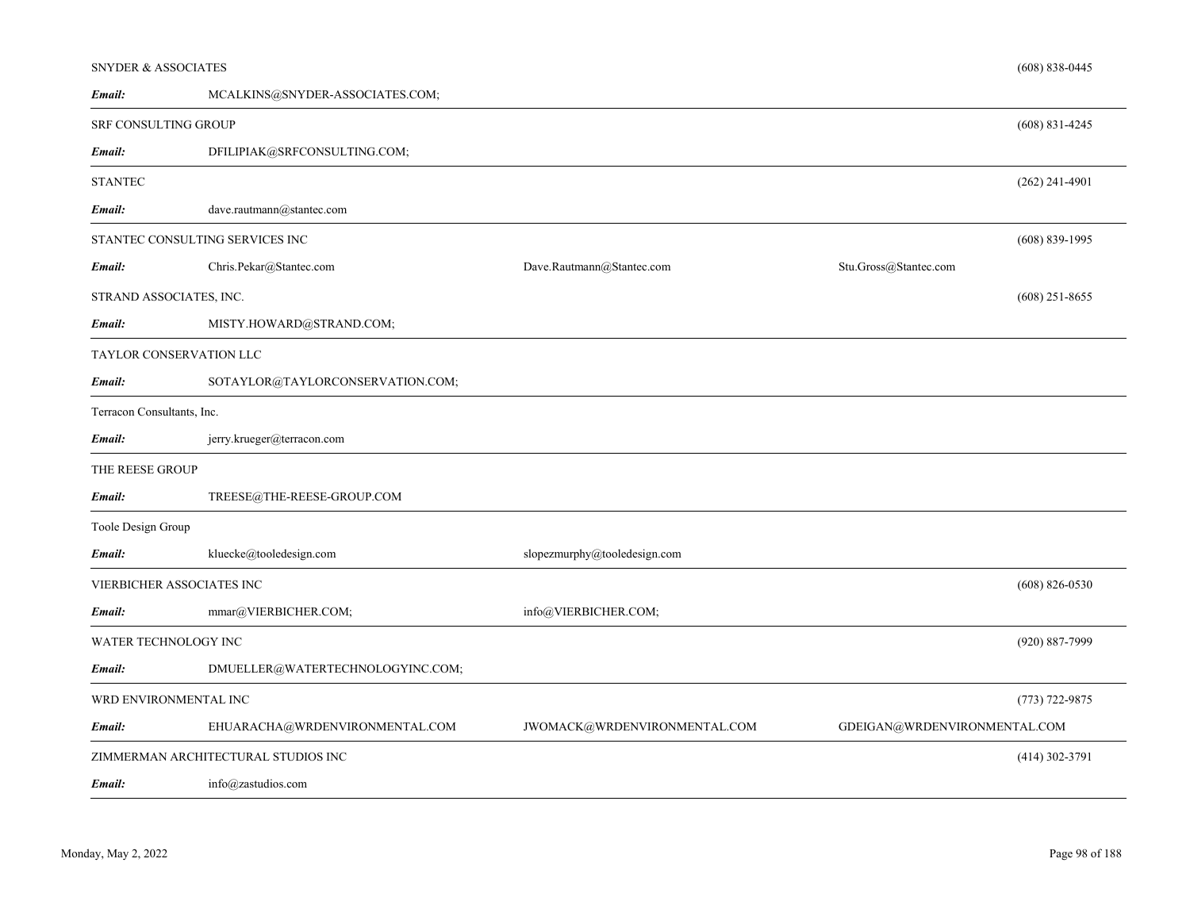| <b>SNYDER &amp; ASSOCIATES</b> |                                     |                              |                              | $(608) 838 - 0445$ |
|--------------------------------|-------------------------------------|------------------------------|------------------------------|--------------------|
| Email:                         | MCALKINS@SNYDER-ASSOCIATES.COM;     |                              |                              |                    |
| SRF CONSULTING GROUP           |                                     |                              |                              | $(608) 831 - 4245$ |
| Email:                         | DFILIPIAK@SRFCONSULTING.COM;        |                              |                              |                    |
| <b>STANTEC</b>                 |                                     |                              |                              | $(262)$ 241-4901   |
| Email:                         | dave.rautmann@stantec.com           |                              |                              |                    |
|                                | STANTEC CONSULTING SERVICES INC     |                              |                              | $(608) 839 - 1995$ |
| Email:                         | Chris.Pekar@Stantec.com             | Dave.Rautmann@Stantec.com    | Stu.Gross@Stantec.com        |                    |
| STRAND ASSOCIATES, INC.        |                                     |                              |                              | $(608)$ 251-8655   |
| Email:                         | MISTY.HOWARD@STRAND.COM;            |                              |                              |                    |
|                                | TAYLOR CONSERVATION LLC             |                              |                              |                    |
| Email:                         | SOTAYLOR@TAYLORCONSERVATION.COM;    |                              |                              |                    |
| Terracon Consultants, Inc.     |                                     |                              |                              |                    |
| Email:                         | jerry.krueger@terracon.com          |                              |                              |                    |
| THE REESE GROUP                |                                     |                              |                              |                    |
| Email:                         | TREESE@THE-REESE-GROUP.COM          |                              |                              |                    |
| Toole Design Group             |                                     |                              |                              |                    |
| Email:                         | kluecke@tooledesign.com             | slopezmurphy@tooledesign.com |                              |                    |
|                                | VIERBICHER ASSOCIATES INC           |                              |                              | $(608) 826 - 0530$ |
| Email:                         | mmar@VIERBICHER.COM;                | info@VIERBICHER.COM;         |                              |                    |
| WATER TECHNOLOGY INC           |                                     |                              |                              | (920) 887-7999     |
| Email:                         | DMUELLER@WATERTECHNOLOGYINC.COM;    |                              |                              |                    |
| WRD ENVIRONMENTAL INC          |                                     |                              |                              | $(773) 722 - 9875$ |
| Email:                         | EHUARACHA@WRDENVIRONMENTAL.COM      | JWOMACK@WRDENVIRONMENTAL.COM | GDEIGAN@WRDENVIRONMENTAL.COM |                    |
|                                | ZIMMERMAN ARCHITECTURAL STUDIOS INC |                              |                              | $(414)$ 302-3791   |
|                                |                                     |                              |                              |                    |

info@zastudios.com *Email:*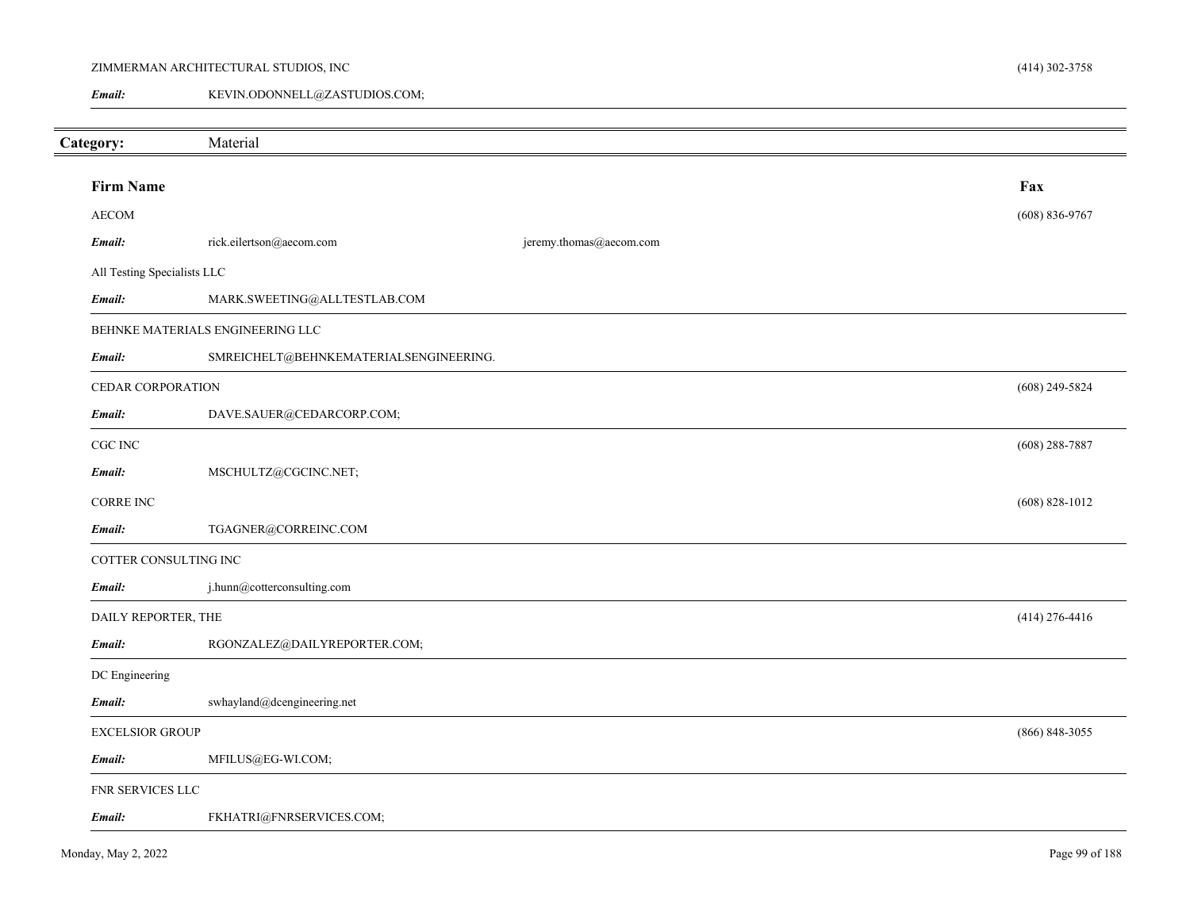# ZIMMERMAN ARCHITECTURAL STUDIOS, INC

KEVIN.ODONNELL@ZASTUDIOS.COM; *Email:*

| Category:                   | Material                               |                         |                    |
|-----------------------------|----------------------------------------|-------------------------|--------------------|
|                             |                                        |                         |                    |
| <b>Firm Name</b>            |                                        |                         | Fax                |
| <b>AECOM</b>                |                                        |                         | $(608) 836 - 9767$ |
| Email:                      | rick.eilertson@aecom.com               | jeremy.thomas@aecom.com |                    |
| All Testing Specialists LLC |                                        |                         |                    |
| Email:                      | MARK.SWEETING@ALLTESTLAB.COM           |                         |                    |
|                             | BEHNKE MATERIALS ENGINEERING LLC       |                         |                    |
| Email:                      | SMREICHELT@BEHNKEMATERIALSENGINEERING. |                         |                    |
| CEDAR CORPORATION           |                                        |                         | $(608)$ 249-5824   |
| Email:                      | DAVE.SAUER@CEDARCORP.COM;              |                         |                    |
| CGC INC                     |                                        |                         | $(608)$ 288-7887   |
| Email:                      | MSCHULTZ@CGCINC.NET;                   |                         |                    |
| CORRE INC                   |                                        |                         | $(608)$ 828-1012   |
| Email:                      | TGAGNER@CORREINC.COM                   |                         |                    |
| COTTER CONSULTING INC       |                                        |                         |                    |
| Email:                      | j.hunn@cotterconsulting.com            |                         |                    |
| DAILY REPORTER, THE         |                                        |                         | $(414)$ 276-4416   |
| Email:                      | RGONZALEZ@DAILYREPORTER.COM;           |                         |                    |
| DC Engineering              |                                        |                         |                    |
| Email:                      | swhayland@dcengineering.net            |                         |                    |
| <b>EXCELSIOR GROUP</b>      |                                        |                         | $(866) 848 - 3055$ |
| Email:                      | MFILUS@EG-WI.COM;                      |                         |                    |
| FNR SERVICES LLC            |                                        |                         |                    |
| Email:                      | FKHATRI@FNRSERVICES.COM;               |                         |                    |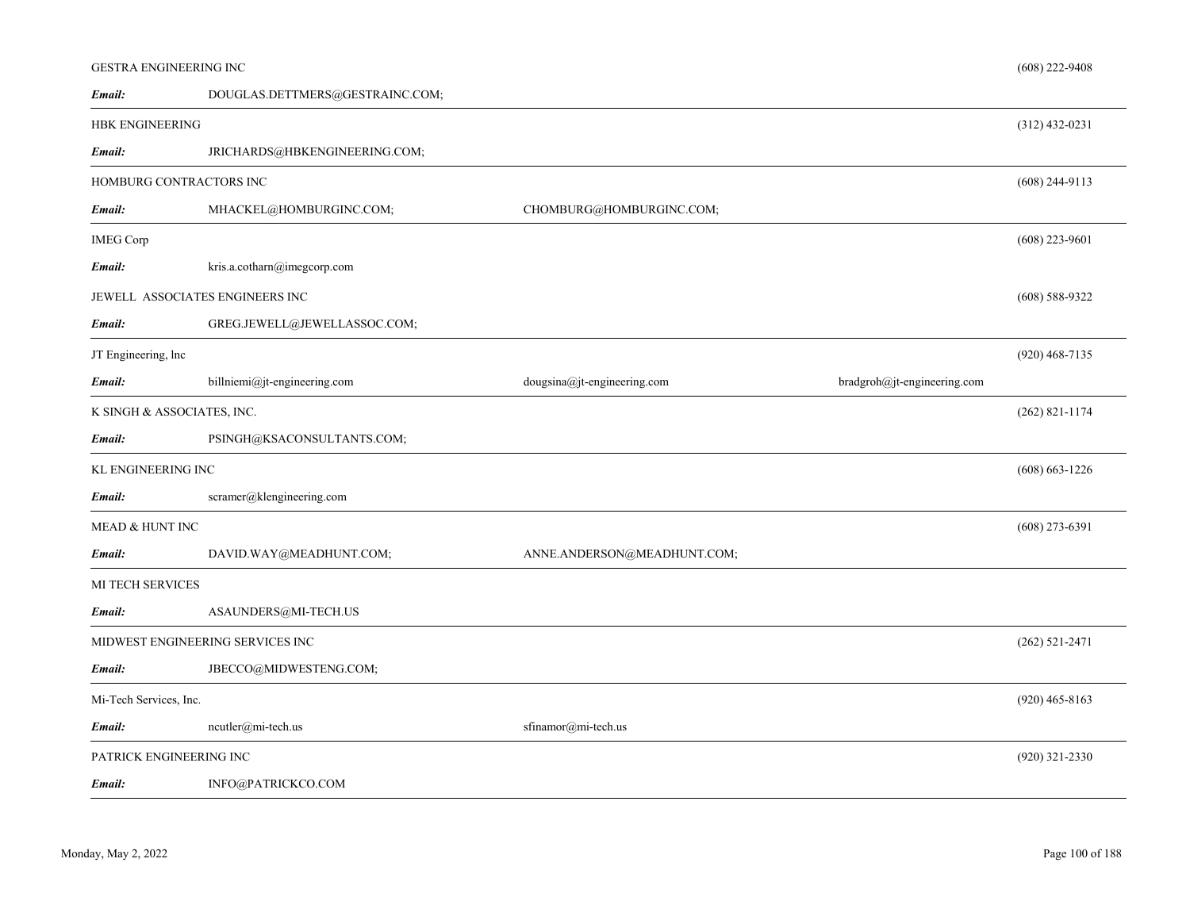# GESTRA ENGINEERING INC

| Email:                     | DOUGLAS.DETTMERS@GESTRAINC.COM;  |                             |                             |                    |
|----------------------------|----------------------------------|-----------------------------|-----------------------------|--------------------|
| HBK ENGINEERING            |                                  |                             |                             | $(312)$ 432-0231   |
| Email:                     | JRICHARDS@HBKENGINEERING.COM;    |                             |                             |                    |
| HOMBURG CONTRACTORS INC    |                                  |                             |                             | $(608)$ 244-9113   |
| Email:                     | MHACKEL@HOMBURGINC.COM;          | CHOMBURG@HOMBURGINC.COM;    |                             |                    |
| <b>IMEG Corp</b>           |                                  |                             |                             | $(608)$ 223-9601   |
| Email:                     | kris.a.cotharn@imegcorp.com      |                             |                             |                    |
|                            | JEWELL ASSOCIATES ENGINEERS INC  |                             |                             | $(608)$ 588-9322   |
| Email:                     | GREG.JEWELL@JEWELLASSOC.COM;     |                             |                             |                    |
| JT Engineering, lnc        |                                  |                             |                             | $(920)$ 468-7135   |
| Email:                     | billniemi@jt-engineering.com     | dougsina@jt-engineering.com | bradgroh@jt-engineering.com |                    |
| K SINGH & ASSOCIATES, INC. |                                  |                             |                             | $(262)$ 821-1174   |
| Email:                     | PSINGH@KSACONSULTANTS.COM;       |                             |                             |                    |
| KL ENGINEERING INC         |                                  |                             |                             | $(608) 663 - 1226$ |
| Email:                     | scramer@klengineering.com        |                             |                             |                    |
| MEAD & HUNT INC            |                                  |                             |                             | $(608)$ 273-6391   |
| Email:                     | DAVID.WAY@MEADHUNT.COM;          | ANNE.ANDERSON@MEADHUNT.COM; |                             |                    |
| MI TECH SERVICES           |                                  |                             |                             |                    |
| Email:                     | ASAUNDERS@MI-TECH.US             |                             |                             |                    |
|                            | MIDWEST ENGINEERING SERVICES INC |                             |                             | $(262) 521 - 2471$ |
| Email:                     | JBECCO@MIDWESTENG.COM;           |                             |                             |                    |
| Mi-Tech Services, Inc.     |                                  |                             |                             | $(920)$ 465-8163   |
| Email:                     | $neutler@mi-tech.us$             | sfinamor@mi-tech.us         |                             |                    |
| PATRICK ENGINEERING INC    |                                  |                             |                             | $(920)$ 321-2330   |
| Email:                     | INFO@PATRICKCO.COM               |                             |                             |                    |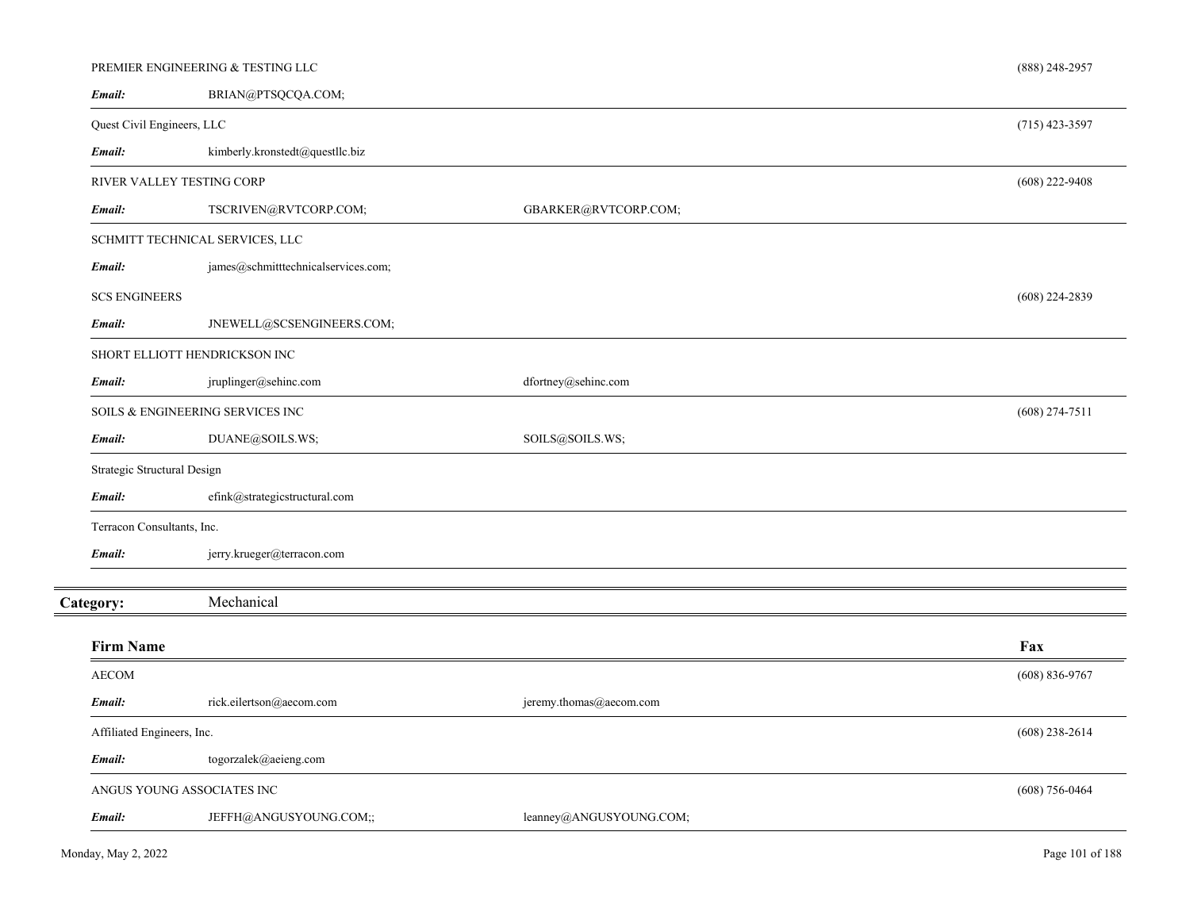|                             | PREMIER ENGINEERING & TESTING LLC   |                         | (888) 248-2957     |
|-----------------------------|-------------------------------------|-------------------------|--------------------|
| Email:                      | BRIAN@PTSQCQA.COM;                  |                         |                    |
| Quest Civil Engineers, LLC  |                                     |                         | $(715)$ 423-3597   |
| Email:                      | kimberly.kronstedt@questllc.biz     |                         |                    |
|                             | RIVER VALLEY TESTING CORP           |                         | $(608)$ 222-9408   |
| Email:                      | TSCRIVEN@RVTCORP.COM;               | GBARKER@RVTCORP.COM;    |                    |
|                             | SCHMITT TECHNICAL SERVICES, LLC     |                         |                    |
| Email:                      | james@schmitttechnicalservices.com; |                         |                    |
| <b>SCS ENGINEERS</b>        |                                     |                         | $(608)$ 224-2839   |
| Email:                      | JNEWELL@SCSENGINEERS.COM;           |                         |                    |
|                             | SHORT ELLIOTT HENDRICKSON INC       |                         |                    |
| Email:                      | jruplinger@sehinc.com               | dfortney@sehinc.com     |                    |
|                             | SOILS & ENGINEERING SERVICES INC    |                         | $(608)$ 274-7511   |
| Email:                      | DUANE@SOILS.WS;                     | SOILS@SOILS.WS;         |                    |
| Strategic Structural Design |                                     |                         |                    |
| Email:                      | efink@strategicstructural.com       |                         |                    |
| Terracon Consultants, Inc.  |                                     |                         |                    |
| Email:                      | jerry.krueger@terracon.com          |                         |                    |
| Category:                   | Mechanical                          |                         |                    |
| <b>Firm Name</b>            |                                     |                         | Fax                |
| <b>AECOM</b>                |                                     |                         | $(608) 836 - 9767$ |
| Email:                      | rick.eilertson@aecom.com            | jeremy.thomas@aecom.com |                    |
| Affiliated Engineers, Inc.  |                                     |                         | $(608)$ 238-2614   |
| Email:                      | togorzalek@aeieng.com               |                         |                    |
|                             | ANGUS YOUNG ASSOCIATES INC          |                         | $(608)$ 756-0464   |
| Email:                      | JEFFH@ANGUSYOUNG.COM;;              | leanney@ANGUSYOUNG.COM; |                    |
|                             |                                     |                         |                    |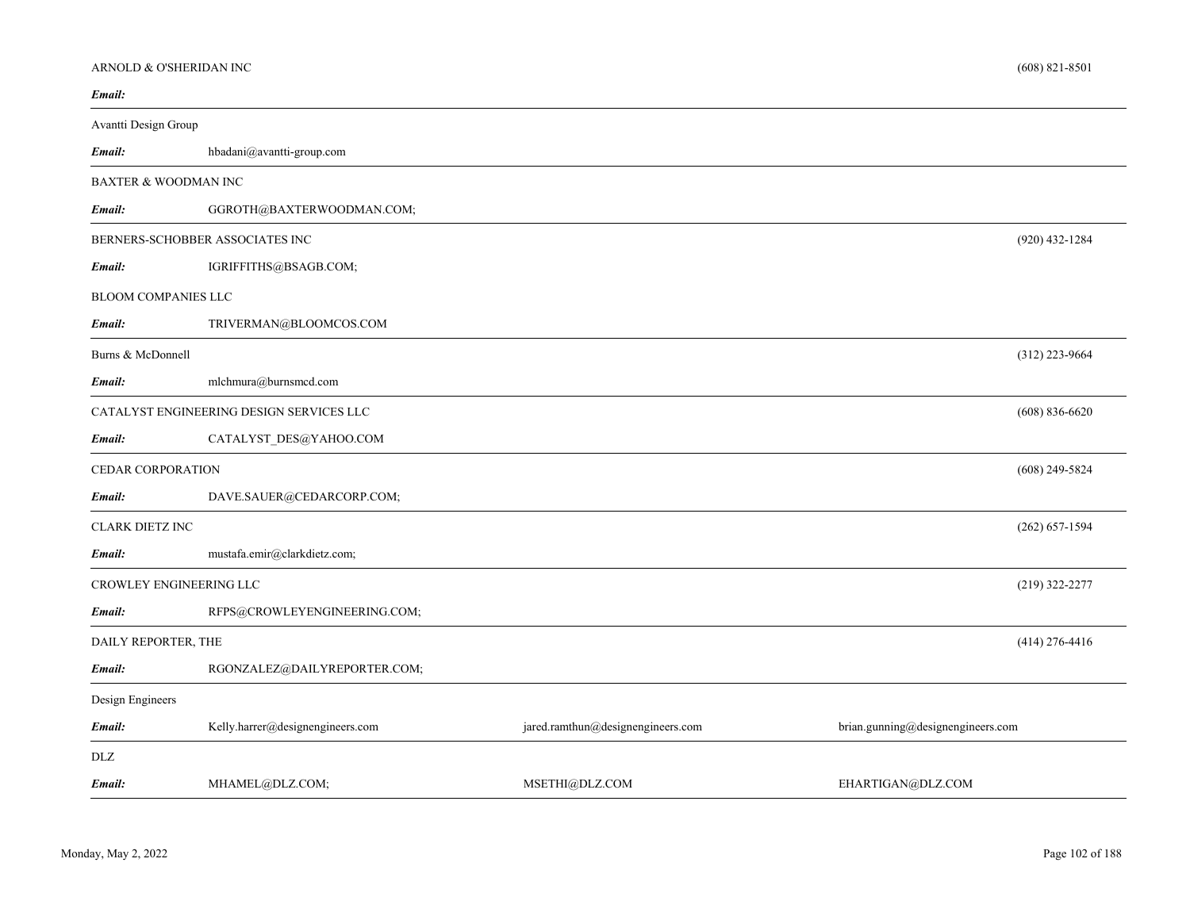# ARNOLD & O'SHERIDAN INC

| Email:                     |                                                                        |                                   |                                   |
|----------------------------|------------------------------------------------------------------------|-----------------------------------|-----------------------------------|
| Avantti Design Group       |                                                                        |                                   |                                   |
| Email:                     | $\mathrm{hbadan}(\mathcal{Q}\mathrm{avanti}\text{-}\mathrm{group.com}$ |                                   |                                   |
|                            | <b>BAXTER &amp; WOODMAN INC</b>                                        |                                   |                                   |
| Email:                     | GGROTH@BAXTERWOODMAN.COM;                                              |                                   |                                   |
|                            | BERNERS-SCHOBBER ASSOCIATES INC                                        |                                   | $(920)$ 432-1284                  |
| Email:                     | IGRIFFITHS@BSAGB.COM;                                                  |                                   |                                   |
| <b>BLOOM COMPANIES LLC</b> |                                                                        |                                   |                                   |
| Email:                     | TRIVERMAN@BLOOMCOS.COM                                                 |                                   |                                   |
| Burns & McDonnell          |                                                                        |                                   | $(312)$ 223-9664                  |
| Email:                     | mlchmura@burnsmcd.com                                                  |                                   |                                   |
|                            | CATALYST ENGINEERING DESIGN SERVICES LLC                               |                                   | $(608) 836 - 6620$                |
| Email:                     | CATALYST_DES@YAHOO.COM                                                 |                                   |                                   |
| <b>CEDAR CORPORATION</b>   |                                                                        |                                   | $(608)$ 249-5824                  |
| Email:                     | DAVE.SAUER@CEDARCORP.COM;                                              |                                   |                                   |
| <b>CLARK DIETZ INC</b>     |                                                                        |                                   | $(262) 657 - 1594$                |
| Email:                     | mustafa.emir@clarkdietz.com;                                           |                                   |                                   |
|                            | CROWLEY ENGINEERING LLC                                                |                                   | $(219)$ 322-2277                  |
| Email:                     | RFPS@CROWLEYENGINEERING.COM;                                           |                                   |                                   |
| DAILY REPORTER, THE        |                                                                        |                                   | $(414)$ 276-4416                  |
| Email:                     | RGONZALEZ@DAILYREPORTER.COM;                                           |                                   |                                   |
| Design Engineers           |                                                                        |                                   |                                   |
| Email:                     | Kelly.harrer@designengineers.com                                       | jared.ramthun@designengineers.com | brian.gunning@designengineers.com |
| DLZ                        |                                                                        |                                   |                                   |
| Email:                     | MHAMEL@DLZ.COM;                                                        | MSETHI@DLZ.COM                    | EHARTIGAN@DLZ.COM                 |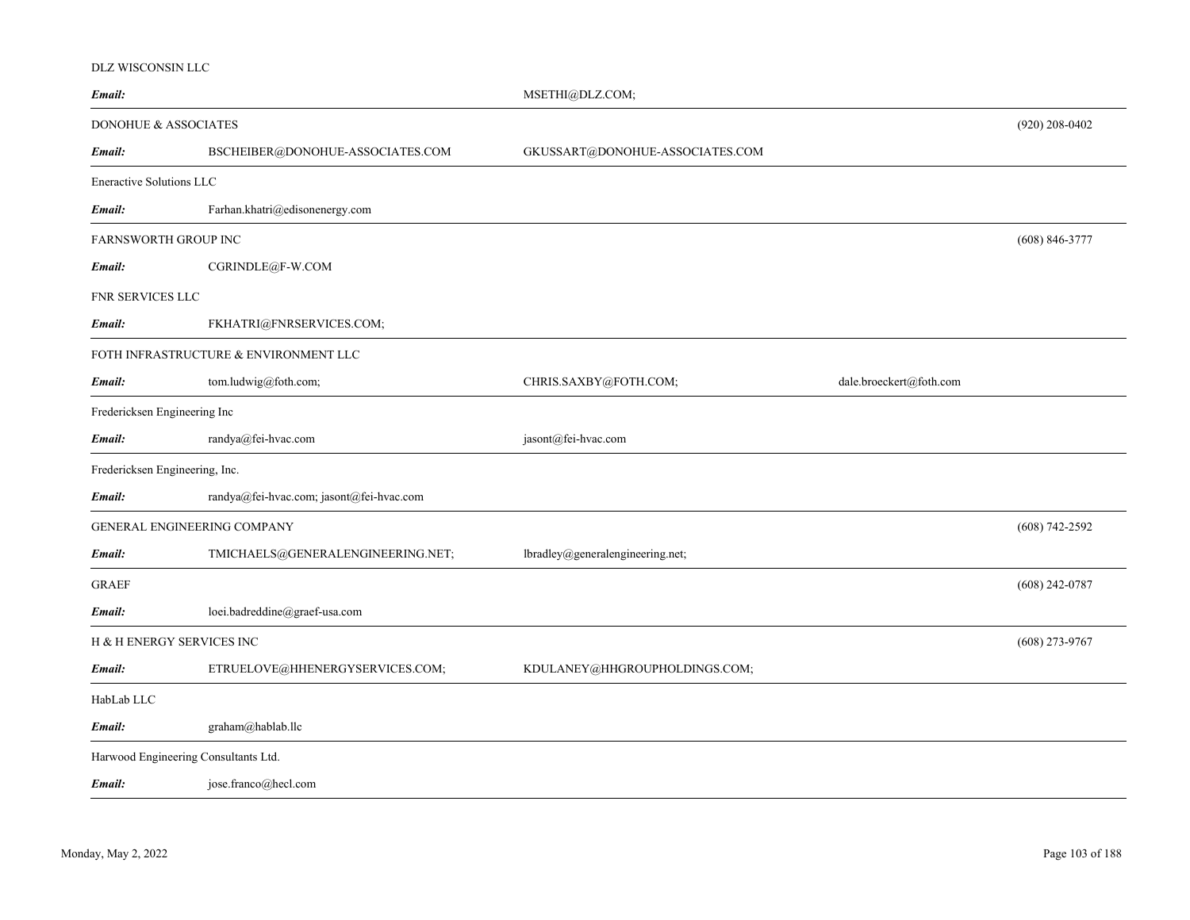#### DLZ WISCONSIN LLC

| Email:                               |                                          | MSETHI@DLZ.COM;                  |                         |                    |
|--------------------------------------|------------------------------------------|----------------------------------|-------------------------|--------------------|
| DONOHUE & ASSOCIATES                 |                                          |                                  |                         | $(920)$ 208-0402   |
| Email:                               | BSCHEIBER@DONOHUE-ASSOCIATES.COM         | GKUSSART@DONOHUE-ASSOCIATES.COM  |                         |                    |
| <b>Eneractive Solutions LLC</b>      |                                          |                                  |                         |                    |
| Email:                               | Farhan.khatri@edisonenergy.com           |                                  |                         |                    |
| FARNSWORTH GROUP INC                 |                                          |                                  |                         | $(608) 846 - 3777$ |
| Email:                               | CGRINDLE@F-W.COM                         |                                  |                         |                    |
| FNR SERVICES LLC                     |                                          |                                  |                         |                    |
| Email:                               | FKHATRI@FNRSERVICES.COM;                 |                                  |                         |                    |
|                                      | FOTH INFRASTRUCTURE & ENVIRONMENT LLC    |                                  |                         |                    |
| Email:                               | tom.ludwig@foth.com;                     | CHRIS.SAXBY@FOTH.COM;            | dale.broeckert@foth.com |                    |
| Fredericksen Engineering Inc         |                                          |                                  |                         |                    |
| Email:                               | randya@fei-hvac.com                      | jasont@fei-hvac.com              |                         |                    |
| Fredericksen Engineering, Inc.       |                                          |                                  |                         |                    |
| Email:                               | randya@fei-hvac.com; jasont@fei-hvac.com |                                  |                         |                    |
| GENERAL ENGINEERING COMPANY          |                                          |                                  |                         | $(608) 742 - 2592$ |
| Email:                               | TMICHAELS@GENERALENGINEERING.NET;        | lbradley@generalengineering.net; |                         |                    |
| <b>GRAEF</b>                         |                                          |                                  |                         | $(608)$ 242-0787   |
| Email:                               | loei.badreddine@graef-usa.com            |                                  |                         |                    |
| H & H ENERGY SERVICES INC            |                                          |                                  |                         | $(608)$ 273-9767   |
| Email:                               | ETRUELOVE@HHENERGYSERVICES.COM;          | KDULANEY@HHGROUPHOLDINGS.COM;    |                         |                    |
| HabLab LLC                           |                                          |                                  |                         |                    |
| Email:                               | graham@hablab.llc                        |                                  |                         |                    |
| Harwood Engineering Consultants Ltd. |                                          |                                  |                         |                    |
| Email:                               | jose.franco@hecl.com                     |                                  |                         |                    |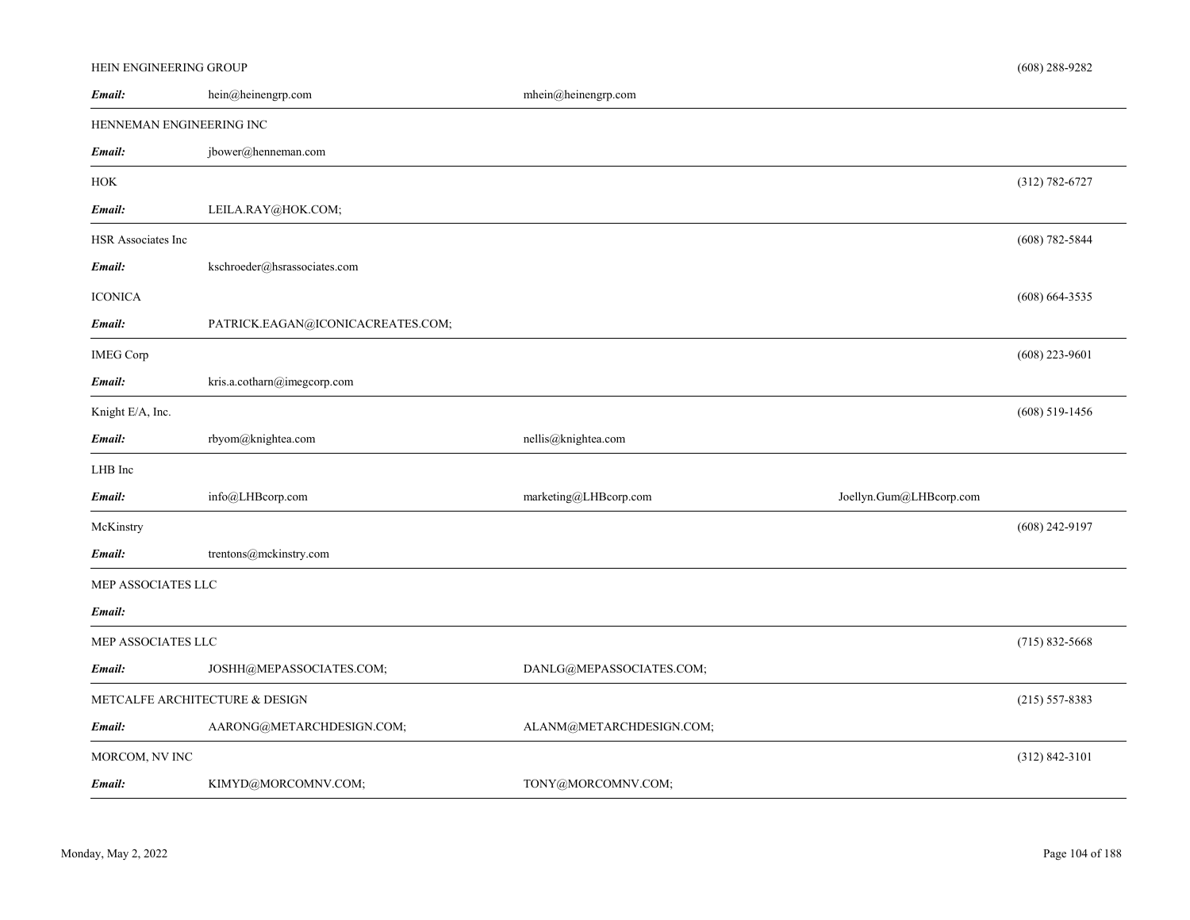# HEIN ENGINEERING GROUP

| hein@heinengrp.com                | mhein@heinengrp.com      |                         |                    |
|-----------------------------------|--------------------------|-------------------------|--------------------|
| HENNEMAN ENGINEERING INC          |                          |                         |                    |
| jbower@henneman.com               |                          |                         |                    |
|                                   |                          |                         | (312) 782-6727     |
| LEILA.RAY@HOK.COM;                |                          |                         |                    |
|                                   |                          |                         | $(608) 782 - 5844$ |
| kschroeder@hsrassociates.com      |                          |                         |                    |
|                                   |                          |                         | $(608) 664 - 3535$ |
| PATRICK.EAGAN@ICONICACREATES.COM; |                          |                         |                    |
|                                   |                          |                         | $(608)$ 223-9601   |
| kris.a.cotharn@imegcorp.com       |                          |                         |                    |
|                                   |                          |                         | $(608)$ 519-1456   |
| rbyom@knightea.com                | nellis@knightea.com      |                         |                    |
|                                   |                          |                         |                    |
| info@LHBcorp.com                  | marketing@LHBcorp.com    | Joellyn.Gum@LHBcorp.com |                    |
|                                   |                          |                         | $(608)$ 242-9197   |
| trentons@mckinstry.com            |                          |                         |                    |
| MEP ASSOCIATES LLC                |                          |                         |                    |
|                                   |                          |                         |                    |
| MEP ASSOCIATES LLC                |                          |                         | $(715) 832 - 5668$ |
| JOSHH@MEPASSOCIATES.COM;          | DANLG@MEPASSOCIATES.COM; |                         |                    |
| METCALFE ARCHITECTURE & DESIGN    |                          |                         | $(215) 557 - 8383$ |
| AARONG@METARCHDESIGN.COM;         | ALANM@METARCHDESIGN.COM; |                         |                    |
|                                   |                          |                         | $(312) 842 - 3101$ |
| KIMYD@MORCOMNV.COM;               | TONY@MORCOMNV.COM;       |                         |                    |
|                                   |                          |                         |                    |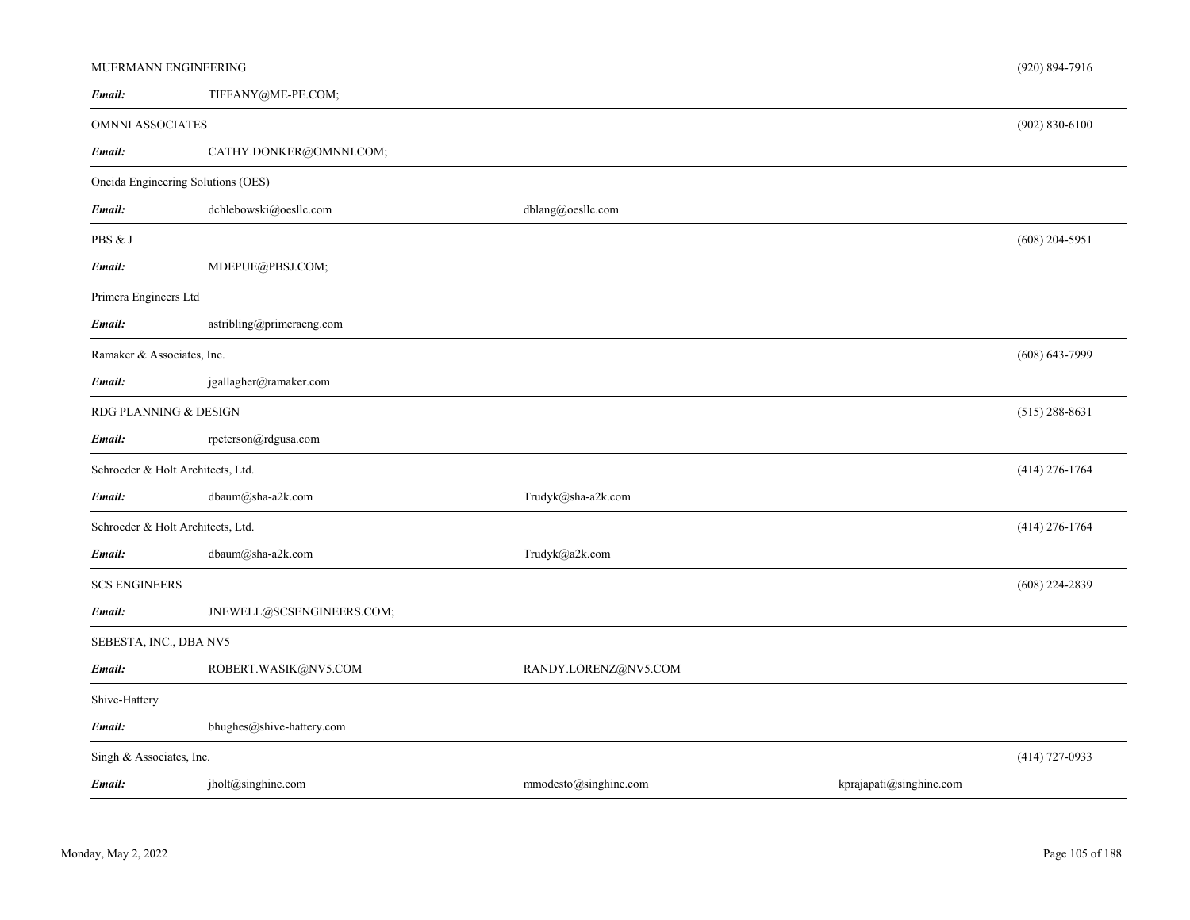| MUERMANN ENGINEERING               |                           |                       |                         | $(920) 894 - 7916$ |
|------------------------------------|---------------------------|-----------------------|-------------------------|--------------------|
| Email:                             | TIFFANY@ME-PE.COM;        |                       |                         |                    |
| OMNNI ASSOCIATES                   |                           |                       |                         | $(902) 830 - 6100$ |
| Email:                             | CATHY.DONKER@OMNNI.COM;   |                       |                         |                    |
| Oneida Engineering Solutions (OES) |                           |                       |                         |                    |
| Email:                             | dchlebowski@oesllc.com    | dblang@oesllc.com     |                         |                    |
| PBS & J                            |                           |                       |                         | $(608)$ 204-5951   |
| Email:                             | MDEPUE@PBSJ.COM;          |                       |                         |                    |
| Primera Engineers Ltd              |                           |                       |                         |                    |
| Email:                             | astribling@primeraeng.com |                       |                         |                    |
| Ramaker & Associates, Inc.         |                           |                       |                         | $(608) 643 - 7999$ |
| Email:                             | jgallagher@ramaker.com    |                       |                         |                    |
| RDG PLANNING & DESIGN              |                           |                       |                         | $(515)$ 288-8631   |
| Email:                             | rpeterson@rdgusa.com      |                       |                         |                    |
| Schroeder & Holt Architects, Ltd.  |                           |                       |                         | $(414)$ 276-1764   |
| Email:                             | dbaum@sha-a2k.com         | Trudyk@sha-a2k.com    |                         |                    |
| Schroeder & Holt Architects, Ltd.  |                           |                       |                         | $(414)$ 276-1764   |
| Email:                             | dbaum@sha-a2k.com         | Trudyk@a2k.com        |                         |                    |
| <b>SCS ENGINEERS</b>               |                           |                       |                         | $(608)$ 224-2839   |
| Email:                             | JNEWELL@SCSENGINEERS.COM; |                       |                         |                    |
| SEBESTA, INC., DBA NV5             |                           |                       |                         |                    |
| Email:                             | ROBERT.WASIK@NV5.COM      | RANDY.LORENZ@NV5.COM  |                         |                    |
| Shive-Hattery                      |                           |                       |                         |                    |
| Email:                             | bhughes@shive-hattery.com |                       |                         |                    |
| Singh & Associates, Inc.           |                           |                       |                         | $(414)$ 727-0933   |
| Email:                             | jholt@singhinc.com        | mmodesto@singhinc.com | kprajapati@singhinc.com |                    |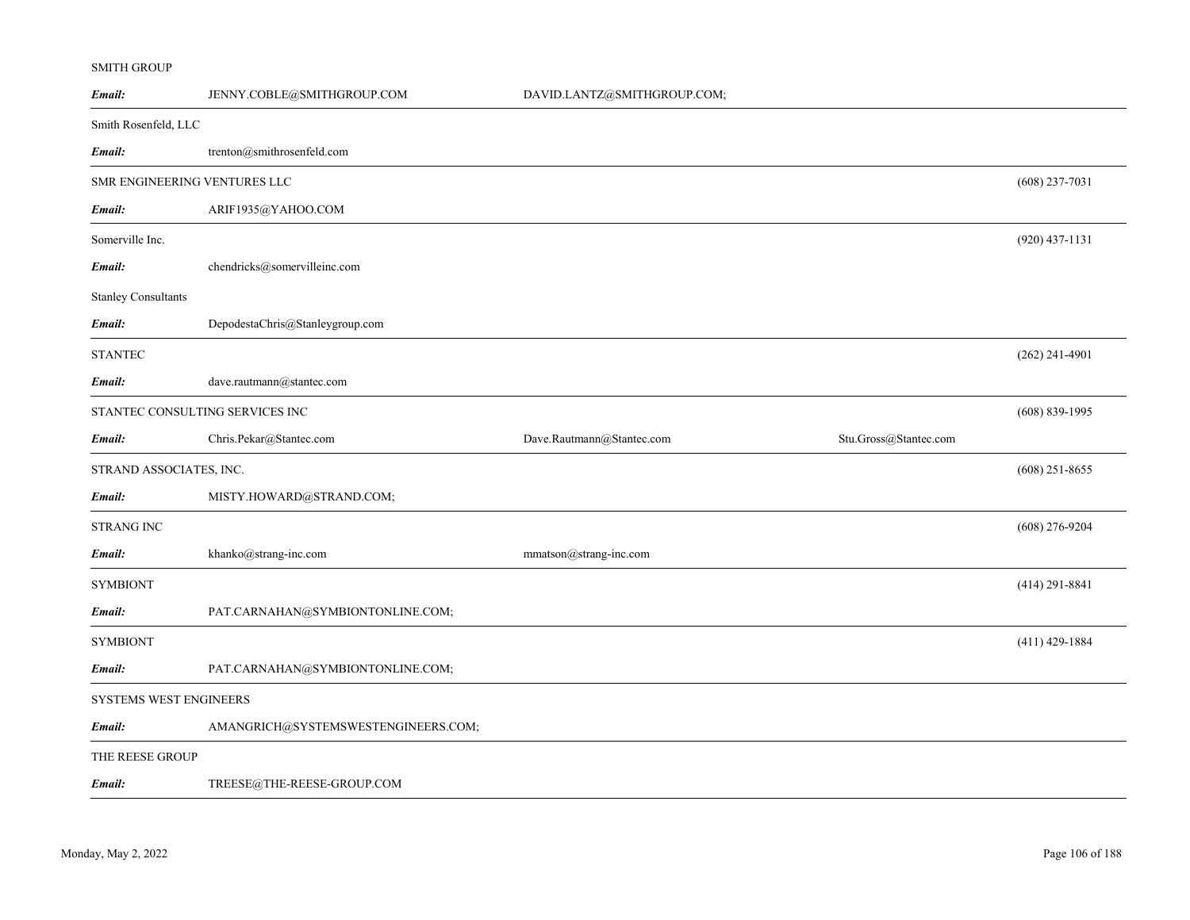#### SMITH GROUP

| Email:                       | JENNY.COBLE@SMITHGROUP.COM          | DAVID.LANTZ@SMITHGROUP.COM; |                       |                    |
|------------------------------|-------------------------------------|-----------------------------|-----------------------|--------------------|
| Smith Rosenfeld, LLC         |                                     |                             |                       |                    |
| Email:                       | trenton@smithrosenfeld.com          |                             |                       |                    |
| SMR ENGINEERING VENTURES LLC |                                     |                             |                       | $(608)$ 237-7031   |
| Email:                       | ARIF1935@YAHOO.COM                  |                             |                       |                    |
| Somerville Inc.              |                                     |                             |                       | $(920)$ 437-1131   |
| Email:                       | chendricks@somervilleinc.com        |                             |                       |                    |
| <b>Stanley Consultants</b>   |                                     |                             |                       |                    |
| Email:                       | DepodestaChris@Stanleygroup.com     |                             |                       |                    |
| <b>STANTEC</b>               |                                     |                             |                       | $(262)$ 241-4901   |
| Email:                       | dave.rautmann@stantec.com           |                             |                       |                    |
|                              | STANTEC CONSULTING SERVICES INC     |                             |                       | $(608) 839 - 1995$ |
| Email:                       | Chris.Pekar@Stantec.com             | Dave.Rautmann@Stantec.com   | Stu.Gross@Stantec.com |                    |
| STRAND ASSOCIATES, INC.      |                                     |                             |                       | $(608)$ 251-8655   |
| Email:                       | MISTY.HOWARD@STRAND.COM;            |                             |                       |                    |
| <b>STRANG INC</b>            |                                     |                             |                       | $(608)$ 276-9204   |
| Email:                       | khanko@strang-inc.com               | mmatson@strang-inc.com      |                       |                    |
| <b>SYMBIONT</b>              |                                     |                             |                       | $(414)$ 291-8841   |
| Email:                       | PAT.CARNAHAN@SYMBIONTONLINE.COM;    |                             |                       |                    |
| <b>SYMBIONT</b>              |                                     |                             |                       | $(411)$ 429-1884   |
| Email:                       | PAT.CARNAHAN@SYMBIONTONLINE.COM;    |                             |                       |                    |
| SYSTEMS WEST ENGINEERS       |                                     |                             |                       |                    |
| Email:                       | AMANGRICH@SYSTEMSWESTENGINEERS.COM; |                             |                       |                    |
| THE REESE GROUP              |                                     |                             |                       |                    |
| Email:                       | TREESE@THE-REESE-GROUP.COM          |                             |                       |                    |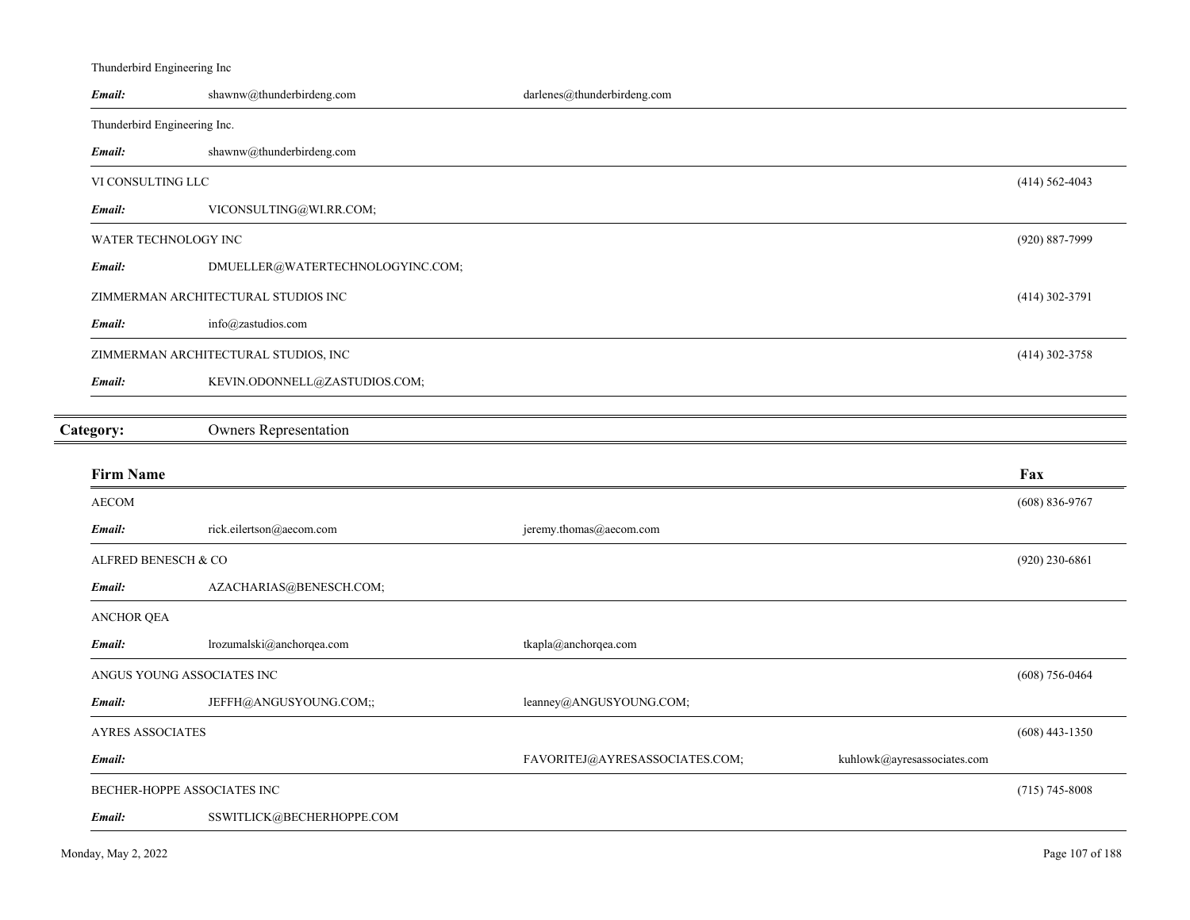| Thunderbird Engineering Inc  |                                      |                                                               |                    |
|------------------------------|--------------------------------------|---------------------------------------------------------------|--------------------|
| Email:                       | shawnw@thunderbirdeng.com            | darlenes@thunderbirdeng.com                                   |                    |
| Thunderbird Engineering Inc. |                                      |                                                               |                    |
| Email:                       | shawnw@thunderbirdeng.com            |                                                               |                    |
| VI CONSULTING LLC            |                                      |                                                               | $(414) 562 - 4043$ |
| Email:                       | VICONSULTING@WI.RR.COM;              |                                                               |                    |
| WATER TECHNOLOGY INC         |                                      |                                                               | (920) 887-7999     |
| Email:                       | DMUELLER@WATERTECHNOLOGYINC.COM;     |                                                               |                    |
|                              | ZIMMERMAN ARCHITECTURAL STUDIOS INC  |                                                               | $(414)$ 302-3791   |
| Email:                       | info@zastudios.com                   |                                                               |                    |
|                              | ZIMMERMAN ARCHITECTURAL STUDIOS, INC |                                                               | $(414)$ 302-3758   |
| Email:                       | KEVIN.ODONNELL@ZASTUDIOS.COM;        |                                                               |                    |
|                              |                                      |                                                               |                    |
| Category:                    | <b>Owners Representation</b>         |                                                               |                    |
|                              |                                      |                                                               |                    |
| <b>Firm Name</b>             |                                      |                                                               | Fax                |
| <b>AECOM</b>                 |                                      |                                                               | $(608) 836 - 9767$ |
| Email:                       | rick.eilertson@aecom.com             | jeremy.thomas@aecom.com                                       |                    |
| ALFRED BENESCH & CO          |                                      |                                                               | $(920)$ 230-6861   |
| Email:                       | AZACHARIAS@BENESCH.COM;              |                                                               |                    |
| <b>ANCHOR QEA</b>            |                                      |                                                               |                    |
| Email:                       | lrozumalski@anchorqea.com            | tkapla@anchorqea.com                                          |                    |
| ANGUS YOUNG ASSOCIATES INC   |                                      |                                                               | $(608) 756 - 0464$ |
| Email:                       | JEFFH@ANGUSYOUNG.COM;;               | leanney@ANGUSYOUNG.COM;                                       |                    |
| <b>AYRES ASSOCIATES</b>      |                                      |                                                               | $(608)$ 443-1350   |
| Email:                       |                                      | FAVORITEJ@AYRESASSOCIATES.COM;<br>kuhlowk@ayresassociates.com |                    |
| BECHER-HOPPE ASSOCIATES INC  |                                      |                                                               | $(715) 745 - 8008$ |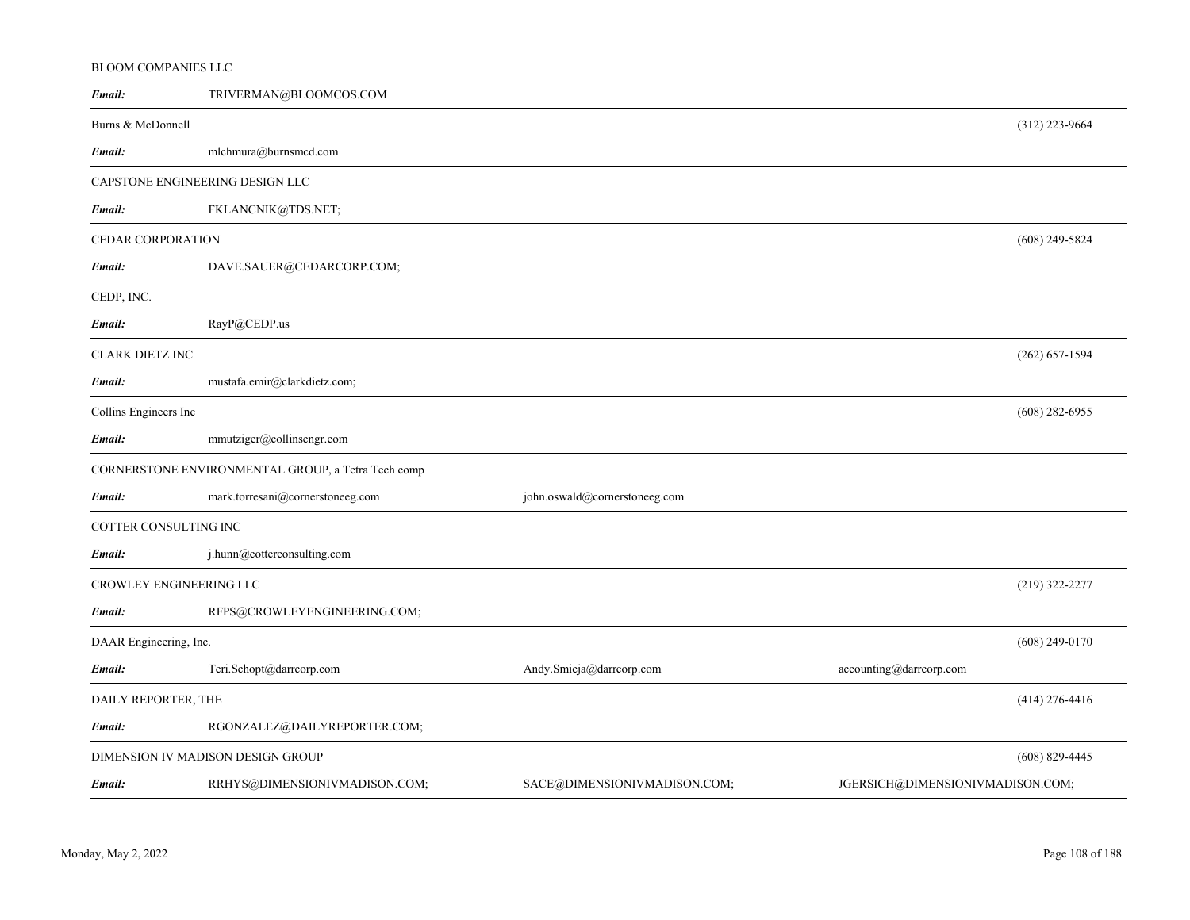## BLOOM COMPANIES LLC

| Email:                                                | TRIVERMAN@BLOOMCOS.COM           |                               |                                  |                    |
|-------------------------------------------------------|----------------------------------|-------------------------------|----------------------------------|--------------------|
| Burns & McDonnell                                     |                                  |                               |                                  | $(312)$ 223-9664   |
| Email:                                                | mlchmura@burnsmcd.com            |                               |                                  |                    |
| CAPSTONE ENGINEERING DESIGN LLC                       |                                  |                               |                                  |                    |
| Email:                                                | FKLANCNIK@TDS.NET;               |                               |                                  |                    |
| CEDAR CORPORATION                                     |                                  |                               |                                  | $(608)$ 249-5824   |
| Email:                                                | DAVE.SAUER@CEDARCORP.COM;        |                               |                                  |                    |
| CEDP, INC.                                            |                                  |                               |                                  |                    |
| Email:                                                | RayP@CEDP.us                     |                               |                                  |                    |
| CLARK DIETZ INC                                       |                                  |                               |                                  | $(262) 657 - 1594$ |
| Email:                                                | mustafa.emir@clarkdietz.com;     |                               |                                  |                    |
| Collins Engineers Inc                                 |                                  |                               |                                  | $(608)$ 282-6955   |
| Email:                                                | mmutziger@collinsengr.com        |                               |                                  |                    |
| CORNERSTONE ENVIRONMENTAL GROUP, a Tetra Tech comp    |                                  |                               |                                  |                    |
| Email:                                                | mark.torresani@cornerstoneeg.com | john.oswald@cornerstoneeg.com |                                  |                    |
| COTTER CONSULTING INC                                 |                                  |                               |                                  |                    |
| Email:                                                | j.hunn@cotterconsulting.com      |                               |                                  |                    |
| CROWLEY ENGINEERING LLC                               |                                  |                               | $(219)$ 322-2277                 |                    |
| Email:                                                | RFPS@CROWLEYENGINEERING.COM;     |                               |                                  |                    |
| DAAR Engineering, Inc.                                |                                  |                               | $(608)$ 249-0170                 |                    |
| Email:                                                | Teri.Schopt@darrcorp.com         | Andy.Smieja@darrcorp.com      | accounting@darrcorp.com          |                    |
| DAILY REPORTER, THE                                   |                                  |                               |                                  | $(414)$ 276-4416   |
| Email:                                                | RGONZALEZ@DAILYREPORTER.COM;     |                               |                                  |                    |
| DIMENSION IV MADISON DESIGN GROUP<br>$(608)$ 829-4445 |                                  |                               |                                  |                    |
| Email:                                                | RRHYS@DIMENSIONIVMADISON.COM;    | SACE@DIMENSIONIVMADISON.COM;  | JGERSICH@DIMENSIONIVMADISON.COM; |                    |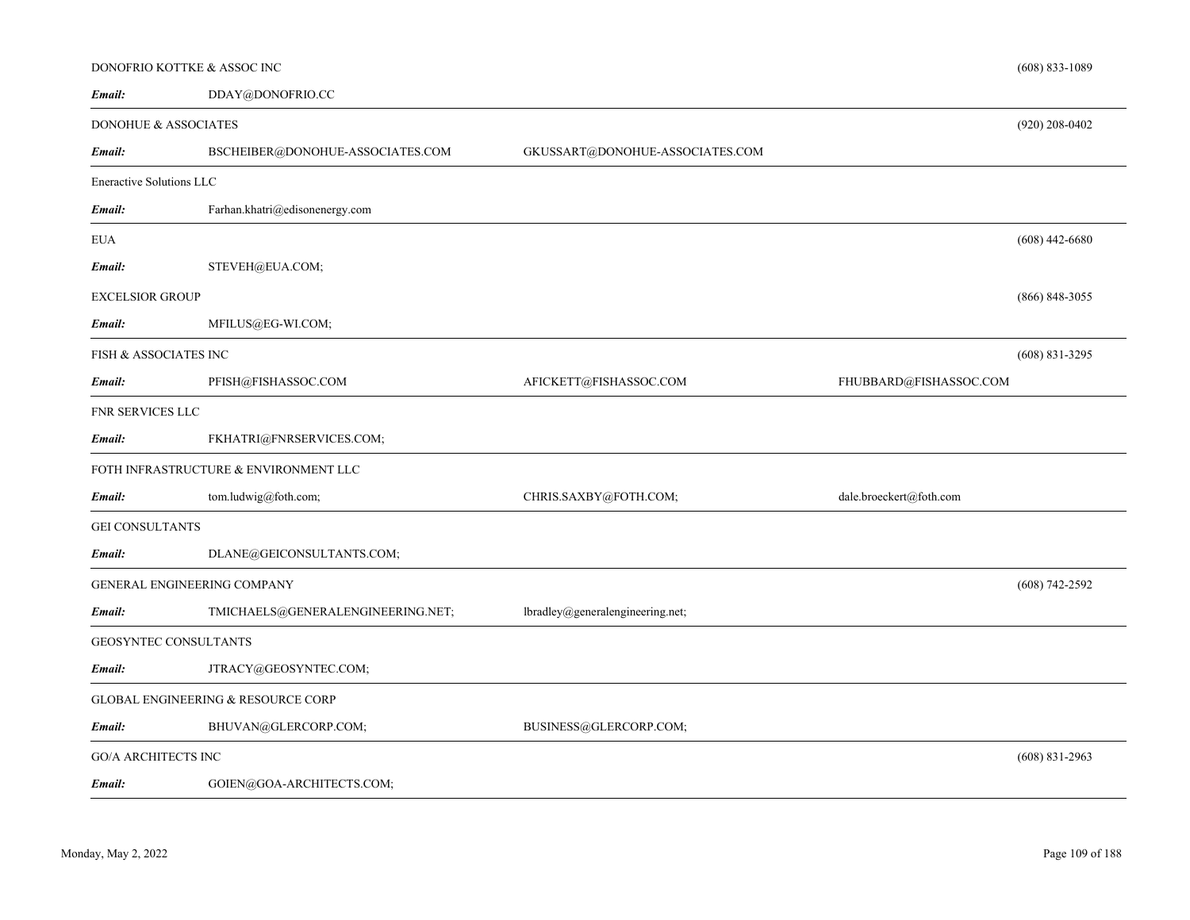|                                 | DONOFRIO KOTTKE & ASSOC INC           |                                  |                         | $(608)$ 833-1089   |
|---------------------------------|---------------------------------------|----------------------------------|-------------------------|--------------------|
| Email:                          | DDAY@DONOFRIO.CC                      |                                  |                         |                    |
| <b>DONOHUE &amp; ASSOCIATES</b> |                                       |                                  |                         | $(920)$ 208-0402   |
| Email:                          | BSCHEIBER@DONOHUE-ASSOCIATES.COM      | GKUSSART@DONOHUE-ASSOCIATES.COM  |                         |                    |
| <b>Eneractive Solutions LLC</b> |                                       |                                  |                         |                    |
| Email:                          | Farhan.khatri@edisonenergy.com        |                                  |                         |                    |
| EUA                             |                                       |                                  |                         | $(608)$ 442-6680   |
| Email:                          | STEVEH@EUA.COM;                       |                                  |                         |                    |
| EXCELSIOR GROUP                 |                                       |                                  |                         | $(866)$ 848-3055   |
| Email:                          | MFILUS@EG-WI.COM;                     |                                  |                         |                    |
| FISH & ASSOCIATES INC           |                                       |                                  |                         | $(608) 831 - 3295$ |
| Email:                          | PFISH@FISHASSOC.COM                   | AFICKETT@FISHASSOC.COM           | FHUBBARD@FISHASSOC.COM  |                    |
| FNR SERVICES LLC                |                                       |                                  |                         |                    |
| Email:                          | FKHATRI@FNRSERVICES.COM;              |                                  |                         |                    |
|                                 | FOTH INFRASTRUCTURE & ENVIRONMENT LLC |                                  |                         |                    |
| Email:                          | tom.ludwig@foth.com;                  | CHRIS.SAXBY@FOTH.COM;            | dale.broeckert@foth.com |                    |
| <b>GEI CONSULTANTS</b>          |                                       |                                  |                         |                    |
| Email:                          | DLANE@GEICONSULTANTS.COM;             |                                  |                         |                    |
|                                 | <b>GENERAL ENGINEERING COMPANY</b>    |                                  |                         | $(608)$ 742-2592   |
| Email:                          | TMICHAELS@GENERALENGINEERING.NET;     | lbradley@generalengineering.net; |                         |                    |
|                                 | <b>GEOSYNTEC CONSULTANTS</b>          |                                  |                         |                    |
| Email:                          | JTRACY@GEOSYNTEC.COM;                 |                                  |                         |                    |
|                                 | GLOBAL ENGINEERING & RESOURCE CORP    |                                  |                         |                    |
| Email:                          | BHUVAN@GLERCORP.COM;                  | BUSINESS@GLERCORP.COM;           |                         |                    |
| <b>GO/A ARCHITECTS INC</b>      |                                       |                                  |                         | $(608)$ 831-2963   |
| Email:                          | GOIEN@GOA-ARCHITECTS.COM;             |                                  |                         |                    |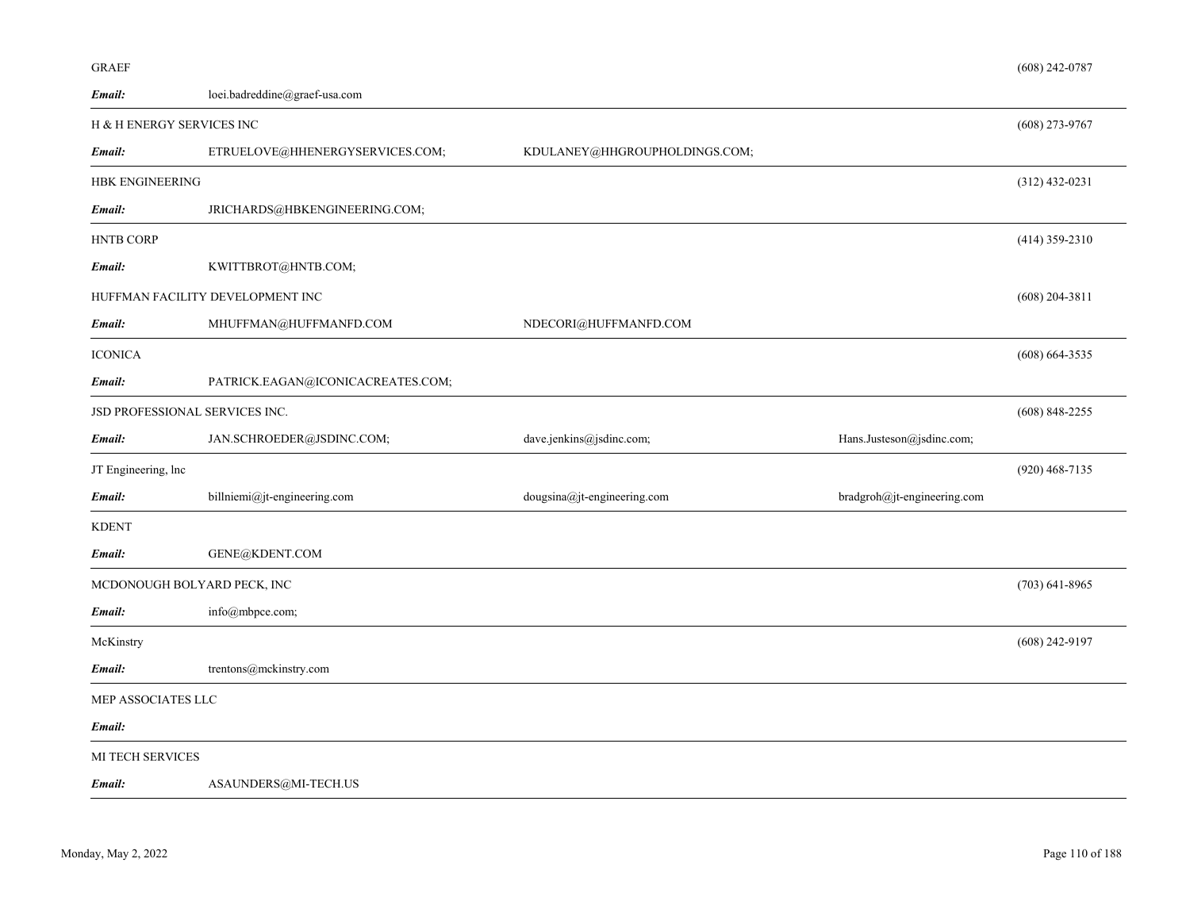| <b>GRAEF</b>                   |                                   |                               |                             | $(608)$ 242-0787   |
|--------------------------------|-----------------------------------|-------------------------------|-----------------------------|--------------------|
| Email:                         | loei.badreddine@graef-usa.com     |                               |                             |                    |
| H & H ENERGY SERVICES INC      |                                   |                               |                             | $(608)$ 273-9767   |
| Email:                         | ETRUELOVE@HHENERGYSERVICES.COM;   | KDULANEY@HHGROUPHOLDINGS.COM; |                             |                    |
| <b>HBK ENGINEERING</b>         |                                   |                               |                             | $(312)$ 432-0231   |
| Email:                         | JRICHARDS@HBKENGINEERING.COM;     |                               |                             |                    |
| <b>HNTB CORP</b>               |                                   |                               |                             | $(414)$ 359-2310   |
| Email:                         | KWITTBROT@HNTB.COM;               |                               |                             |                    |
|                                | HUFFMAN FACILITY DEVELOPMENT INC  |                               |                             | $(608)$ 204-3811   |
| Email:                         | MHUFFMAN@HUFFMANFD.COM            | NDECORI@HUFFMANFD.COM         |                             |                    |
| <b>ICONICA</b>                 |                                   |                               |                             | $(608) 664 - 3535$ |
| Email:                         | PATRICK.EAGAN@ICONICACREATES.COM; |                               |                             |                    |
| JSD PROFESSIONAL SERVICES INC. |                                   |                               |                             | $(608)$ 848-2255   |
| Email:                         | JAN.SCHROEDER@JSDINC.COM;         | dave.jenkins@jsdinc.com;      | Hans.Justeson@jsdinc.com;   |                    |
| JT Engineering, lnc            |                                   |                               |                             | $(920)$ 468-7135   |
| Email:                         | billniemi@jt-engineering.com      | dougsina@jt-engineering.com   | bradgroh@jt-engineering.com |                    |
| <b>KDENT</b>                   |                                   |                               |                             |                    |
| Email:                         | GENE@KDENT.COM                    |                               |                             |                    |
| MCDONOUGH BOLYARD PECK, INC    |                                   |                               |                             | $(703)$ 641-8965   |
| Email:                         | info@mbpce.com;                   |                               |                             |                    |
| McKinstry                      |                                   |                               |                             | $(608)$ 242-9197   |
| Email:                         | trentons@mckinstry.com            |                               |                             |                    |
| MEP ASSOCIATES LLC             |                                   |                               |                             |                    |
| Email:                         |                                   |                               |                             |                    |
| <b>MI TECH SERVICES</b>        |                                   |                               |                             |                    |
| Email:                         | ASAUNDERS@MI-TECH.US              |                               |                             |                    |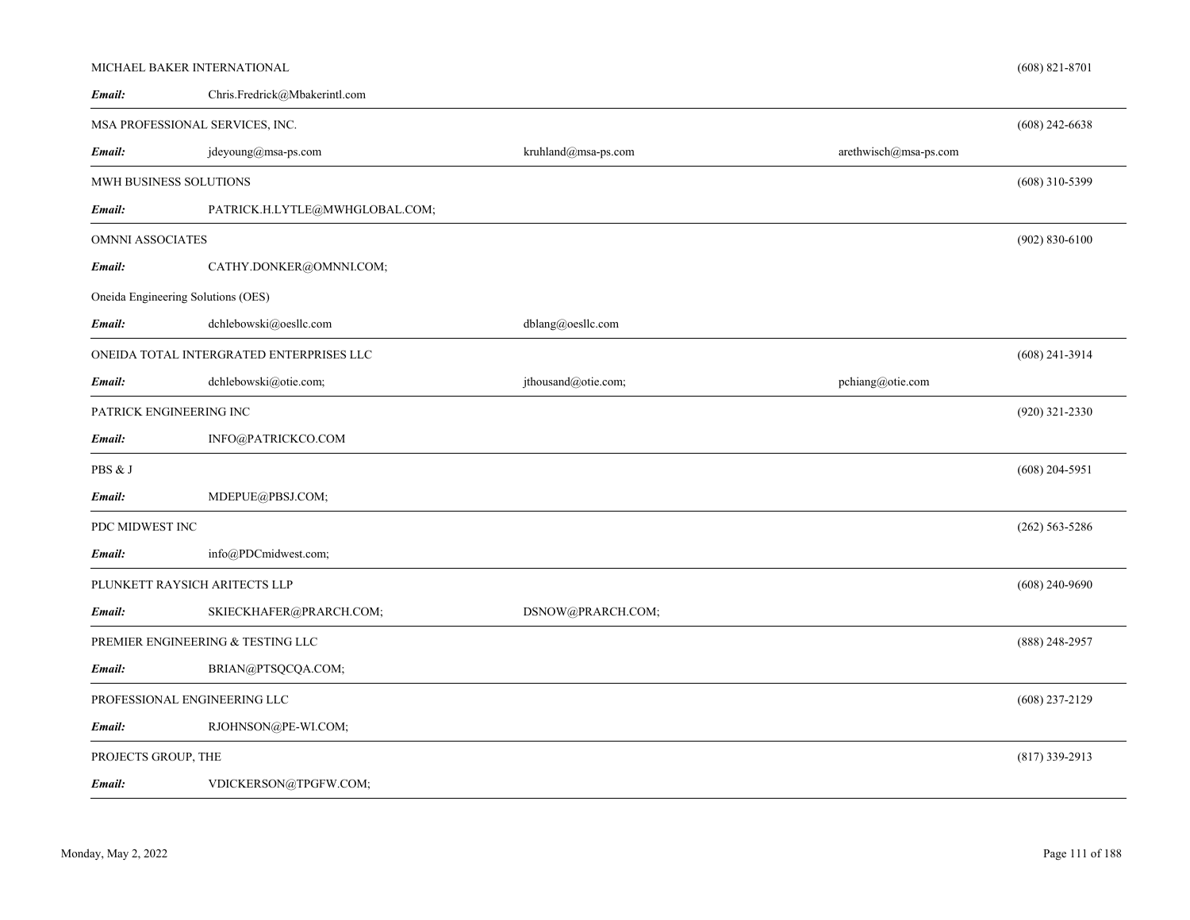|                         | MICHAEL BAKER INTERNATIONAL              |                     |                       | $(608)$ 821-8701   |
|-------------------------|------------------------------------------|---------------------|-----------------------|--------------------|
| Email:                  | Chris.Fredrick@Mbakerintl.com            |                     |                       |                    |
|                         | MSA PROFESSIONAL SERVICES, INC.          |                     |                       | $(608)$ 242-6638   |
| Email:                  | jdeyoung@msa-ps.com                      | kruhland@msa-ps.com | arethwisch@msa-ps.com |                    |
|                         | MWH BUSINESS SOLUTIONS                   |                     |                       | $(608)$ 310-5399   |
| Email:                  | PATRICK.H.LYTLE@MWHGLOBAL.COM;           |                     |                       |                    |
| <b>OMNNI ASSOCIATES</b> |                                          |                     |                       | $(902) 830 - 6100$ |
| Email:                  | CATHY.DONKER@OMNNI.COM;                  |                     |                       |                    |
|                         | Oneida Engineering Solutions (OES)       |                     |                       |                    |
| Email:                  | dchlebowski@oesllc.com                   | dblang@oesllc.com   |                       |                    |
|                         | ONEIDA TOTAL INTERGRATED ENTERPRISES LLC |                     |                       | $(608)$ 241-3914   |
| Email:                  | dchlebowski@otie.com;                    | jthousand@otie.com; | pchiang@otie.com      |                    |
|                         | PATRICK ENGINEERING INC                  |                     |                       | $(920)$ 321-2330   |
| Email:                  | INFO@PATRICKCO.COM                       |                     |                       |                    |
| PBS & J                 |                                          |                     |                       | $(608)$ 204-5951   |
| Email:                  | MDEPUE@PBSJ.COM;                         |                     |                       |                    |
| PDC MIDWEST INC         |                                          |                     |                       | $(262)$ 563-5286   |
| Email:                  | info@PDCmidwest.com;                     |                     |                       |                    |
|                         | PLUNKETT RAYSICH ARITECTS LLP            |                     |                       | $(608)$ 240-9690   |
| Email:                  | SKIECKHAFER@PRARCH.COM;                  | DSNOW@PRARCH.COM;   |                       |                    |
|                         | PREMIER ENGINEERING & TESTING LLC        |                     |                       | $(888)$ 248-2957   |
| Email:                  | BRIAN@PTSQCQA.COM;                       |                     |                       |                    |
|                         | PROFESSIONAL ENGINEERING LLC             |                     |                       | $(608)$ 237-2129   |
| Email:                  | RJOHNSON@PE-WI.COM;                      |                     |                       |                    |
| PROJECTS GROUP, THE     |                                          |                     |                       | $(817)$ 339-2913   |
| Email:                  | VDICKERSON@TPGFW.COM;                    |                     |                       |                    |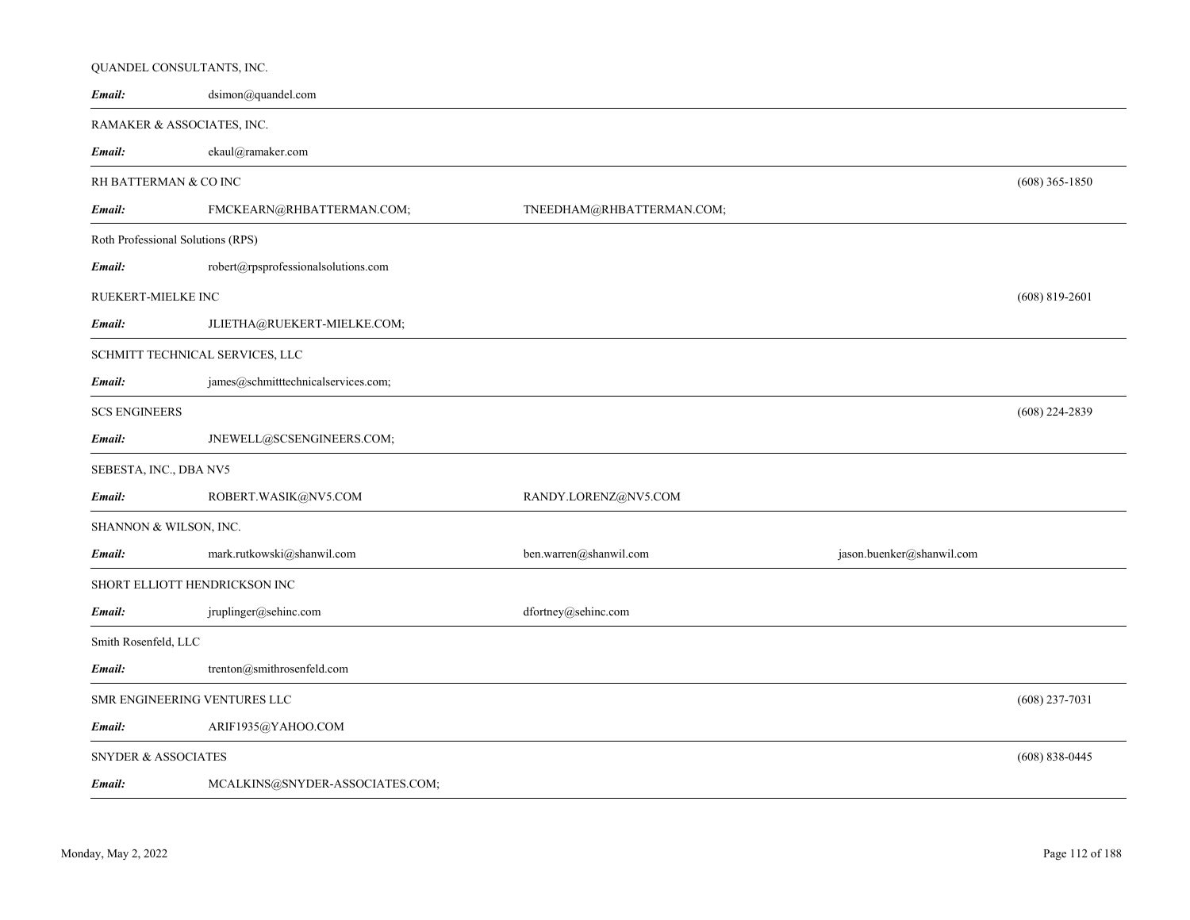|                                | QUANDEL CONSULTANTS, INC.           |                           |                           |                    |
|--------------------------------|-------------------------------------|---------------------------|---------------------------|--------------------|
| Email:                         | dsimon@quandel.com                  |                           |                           |                    |
|                                | RAMAKER & ASSOCIATES, INC.          |                           |                           |                    |
| Email:                         | ekaul@ramaker.com                   |                           |                           |                    |
|                                | RH BATTERMAN & CO INC               |                           |                           | $(608)$ 365-1850   |
| Email:                         | FMCKEARN@RHBATTERMAN.COM;           | TNEEDHAM@RHBATTERMAN.COM; |                           |                    |
|                                | Roth Professional Solutions (RPS)   |                           |                           |                    |
| Email:                         | robert@rpsprofessionalsolutions.com |                           |                           |                    |
| RUEKERT-MIELKE INC             |                                     |                           |                           | $(608)$ 819-2601   |
| Email:                         | JLIETHA@RUEKERT-MIELKE.COM;         |                           |                           |                    |
|                                | SCHMITT TECHNICAL SERVICES, LLC     |                           |                           |                    |
| Email:                         | james@schmitttechnicalservices.com; |                           |                           |                    |
| <b>SCS ENGINEERS</b>           |                                     |                           |                           | $(608)$ 224-2839   |
| Email:                         | JNEWELL@SCSENGINEERS.COM;           |                           |                           |                    |
| SEBESTA, INC., DBA NV5         |                                     |                           |                           |                    |
| Email:                         | ROBERT.WASIK@NV5.COM                | RANDY.LORENZ@NV5.COM      |                           |                    |
| SHANNON & WILSON, INC.         |                                     |                           |                           |                    |
| Email:                         | mark.rutkowski@shanwil.com          | ben.warren@shanwil.com    | jason.buenker@shanwil.com |                    |
|                                | SHORT ELLIOTT HENDRICKSON INC       |                           |                           |                    |
| Email:                         | jruplinger@sehinc.com               | dfortney@sehinc.com       |                           |                    |
| Smith Rosenfeld, LLC           |                                     |                           |                           |                    |
| Email:                         | trenton@smithrosenfeld.com          |                           |                           |                    |
|                                | SMR ENGINEERING VENTURES LLC        |                           |                           | $(608)$ 237-7031   |
| Email:                         | ARIF1935@YAHOO.COM                  |                           |                           |                    |
| <b>SNYDER &amp; ASSOCIATES</b> |                                     |                           |                           | $(608) 838 - 0445$ |
| Email:                         | MCALKINS@SNYDER-ASSOCIATES.COM;     |                           |                           |                    |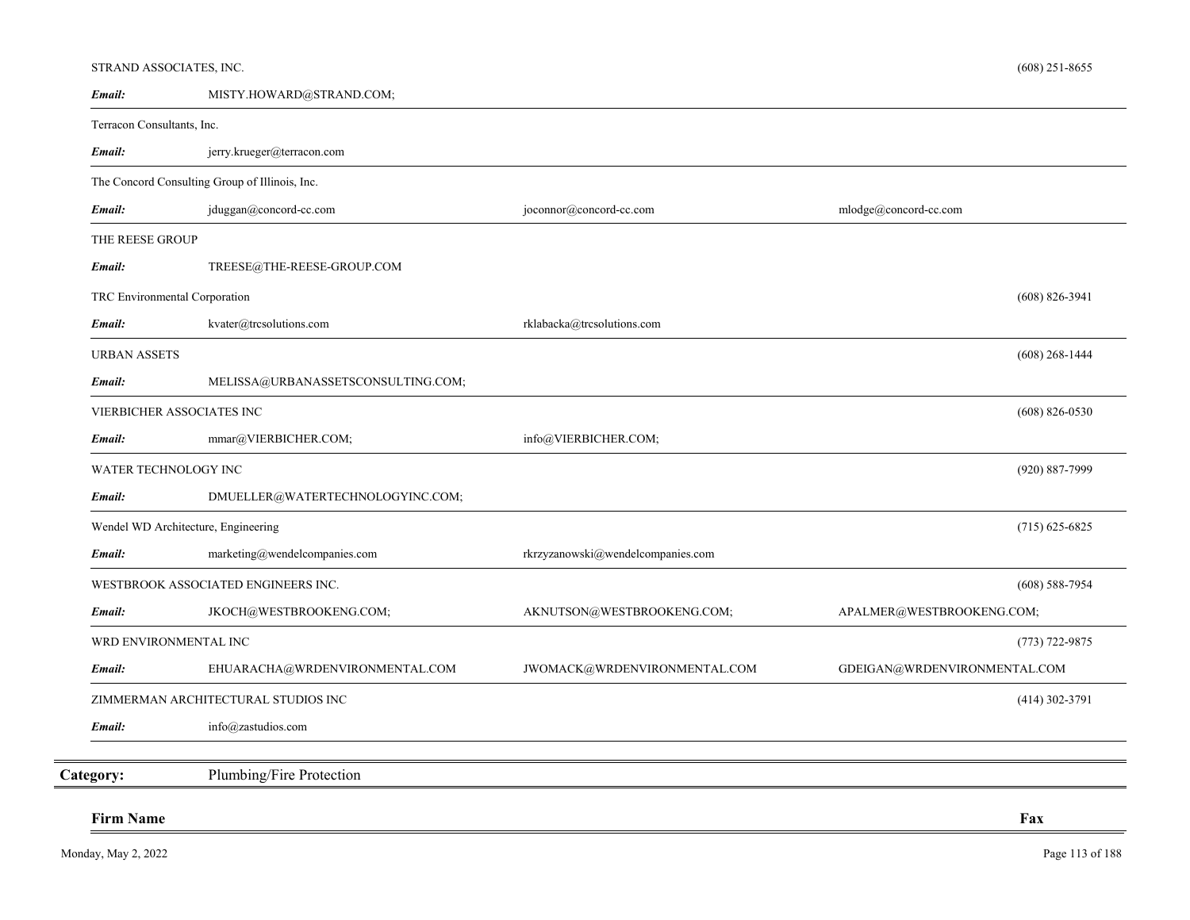# STRAND ASSOCIATES, INC.

| Email:                        | MISTY.HOWARD@STRAND.COM;                       |                                   |                              |
|-------------------------------|------------------------------------------------|-----------------------------------|------------------------------|
| Terracon Consultants, Inc.    |                                                |                                   |                              |
| Email:                        | jerry.krueger@terracon.com                     |                                   |                              |
|                               | The Concord Consulting Group of Illinois, Inc. |                                   |                              |
| Email:                        | jduggan@concord-cc.com                         | joconnor@concord-cc.com           | mlodge@concord-cc.com        |
| THE REESE GROUP               |                                                |                                   |                              |
| Email:                        | TREESE@THE-REESE-GROUP.COM                     |                                   |                              |
| TRC Environmental Corporation |                                                |                                   | $(608) 826 - 3941$           |
| Email:                        | kvater@trcsolutions.com                        | rklabacka@trcsolutions.com        |                              |
| <b>URBAN ASSETS</b>           |                                                |                                   | $(608)$ 268-1444             |
| Email:                        | MELISSA@URBANASSETSCONSULTING.COM;             |                                   |                              |
|                               | VIERBICHER ASSOCIATES INC                      |                                   | $(608)$ 826-0530             |
| Email:                        | mmar@VIERBICHER.COM;                           | info@VIERBICHER.COM;              |                              |
| WATER TECHNOLOGY INC          |                                                |                                   | (920) 887-7999               |
| Email:                        | DMUELLER@WATERTECHNOLOGYINC.COM;               |                                   |                              |
|                               | Wendel WD Architecture, Engineering            |                                   | $(715)$ 625-6825             |
| Email:                        | marketing@wendelcompanies.com                  | rkrzyzanowski@wendelcompanies.com |                              |
|                               | WESTBROOK ASSOCIATED ENGINEERS INC.            |                                   | $(608)$ 588-7954             |
| Email:                        | JKOCH@WESTBROOKENG.COM;                        | AKNUTSON@WESTBROOKENG.COM;        | APALMER@WESTBROOKENG.COM;    |
| WRD ENVIRONMENTAL INC         |                                                |                                   | $(773) 722 - 9875$           |
| Email:                        | EHUARACHA@WRDENVIRONMENTAL.COM                 | JWOMACK@WRDENVIRONMENTAL.COM      | GDEIGAN@WRDENVIRONMENTAL.COM |
|                               | ZIMMERMAN ARCHITECTURAL STUDIOS INC            |                                   | $(414)$ 302-3791             |
| Email:                        | info@zastudios.com                             |                                   |                              |
| Category:                     | Plumbing/Fire Protection                       |                                   |                              |
| <b>Firm Name</b>              |                                                |                                   | Fax                          |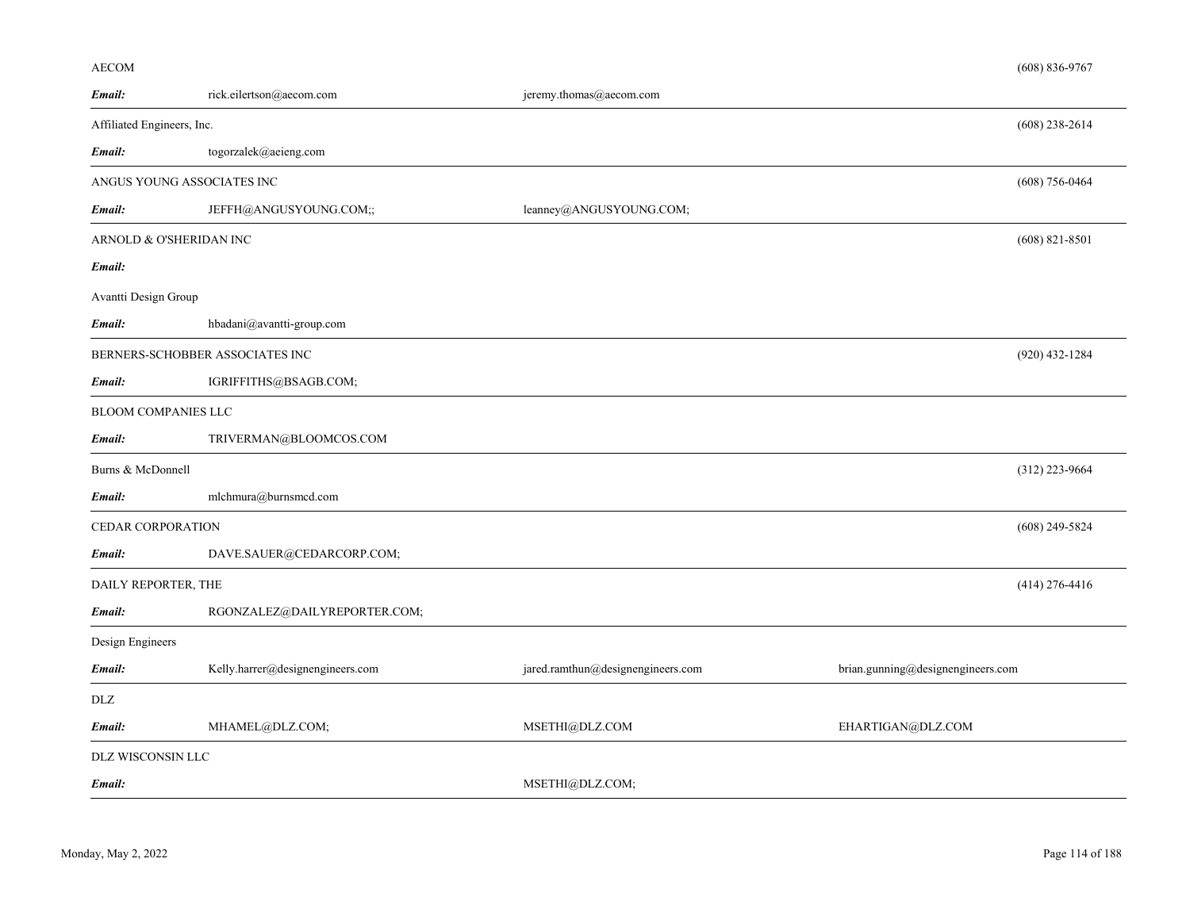# AECOM

| Email:                     | rick.eilertson@aecom.com         | jeremy.thomas@aecom.com           |                                   |
|----------------------------|----------------------------------|-----------------------------------|-----------------------------------|
| Affiliated Engineers, Inc. |                                  |                                   | $(608)$ 238-2614                  |
| Email:                     | togorzalek@aeieng.com            |                                   |                                   |
| ANGUS YOUNG ASSOCIATES INC |                                  |                                   | $(608)$ 756-0464                  |
| Email:                     | JEFFH@ANGUSYOUNG.COM;;           | leanney@ANGUSYOUNG.COM;           |                                   |
| ARNOLD & O'SHERIDAN INC    |                                  |                                   | $(608)$ 821-8501                  |
| Email:                     |                                  |                                   |                                   |
| Avantti Design Group       |                                  |                                   |                                   |
| Email:                     | hbadani@avantti-group.com        |                                   |                                   |
|                            | BERNERS-SCHOBBER ASSOCIATES INC  |                                   | $(920)$ 432-1284                  |
| Email:                     | IGRIFFITHS@BSAGB.COM;            |                                   |                                   |
| BLOOM COMPANIES LLC        |                                  |                                   |                                   |
| Email:                     | TRIVERMAN@BLOOMCOS.COM           |                                   |                                   |
| Burns & McDonnell          |                                  |                                   | $(312)$ 223-9664                  |
| Email:                     | mlchmura@burnsmcd.com            |                                   |                                   |
| CEDAR CORPORATION          |                                  |                                   | $(608)$ 249-5824                  |
| Email:                     | DAVE.SAUER@CEDARCORP.COM;        |                                   |                                   |
| DAILY REPORTER, THE        |                                  |                                   | $(414)$ 276-4416                  |
| Email:                     | RGONZALEZ@DAILYREPORTER.COM;     |                                   |                                   |
| Design Engineers           |                                  |                                   |                                   |
| Email:                     | Kelly.harrer@designengineers.com | jared.ramthun@designengineers.com | brian.gunning@designengineers.com |
| DLZ                        |                                  |                                   |                                   |
| Email:                     | MHAMEL@DLZ.COM;                  | MSETHI@DLZ.COM                    | EHARTIGAN@DLZ.COM                 |
| DLZ WISCONSIN LLC          |                                  |                                   |                                   |
| Email:                     |                                  | MSETHI@DLZ.COM;                   |                                   |

(608) 836-9767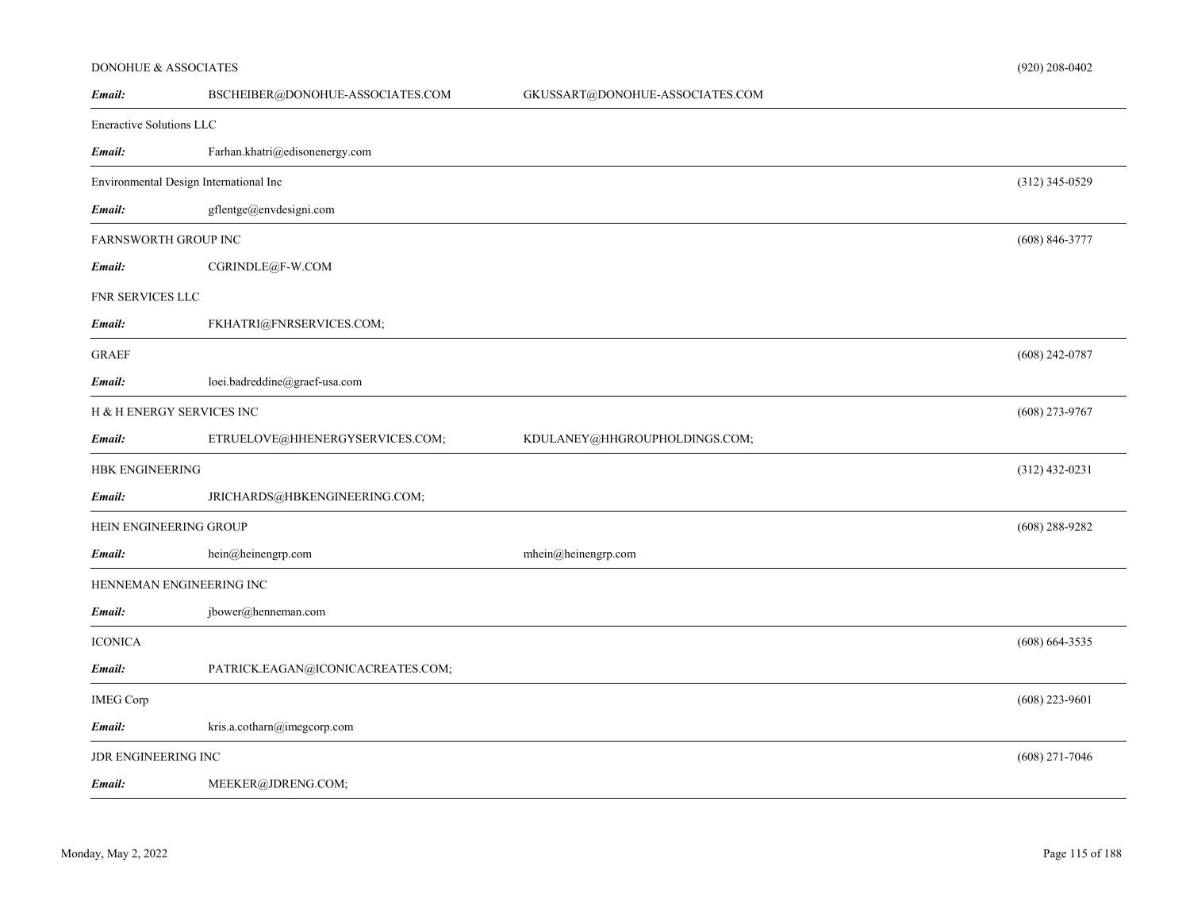## DONOHUE & ASSOCIATES

| Email:                   | BSCHEIBER@DONOHUE-ASSOCIATES.COM       | GKUSSART@DONOHUE-ASSOCIATES.COM |                    |
|--------------------------|----------------------------------------|---------------------------------|--------------------|
| Eneractive Solutions LLC |                                        |                                 |                    |
| Email:                   | Farhan.khatri@edisonenergy.com         |                                 |                    |
|                          | Environmental Design International Inc |                                 | $(312)$ 345-0529   |
| Email:                   | gflentge@envdesigni.com                |                                 |                    |
| FARNSWORTH GROUP INC     |                                        |                                 | $(608) 846 - 3777$ |
| Email:                   | CGRINDLE@F-W.COM                       |                                 |                    |
| FNR SERVICES LLC         |                                        |                                 |                    |
| Email:                   | FKHATRI@FNRSERVICES.COM;               |                                 |                    |
| <b>GRAEF</b>             |                                        |                                 | $(608)$ 242-0787   |
| Email:                   | loei.badreddine@graef-usa.com          |                                 |                    |
|                          | H & H ENERGY SERVICES INC              |                                 | $(608)$ 273-9767   |
| Email:                   | ETRUELOVE@HHENERGYSERVICES.COM;        | KDULANEY@HHGROUPHOLDINGS.COM;   |                    |
| HBK ENGINEERING          |                                        |                                 | $(312)$ 432-0231   |
| Email:                   | JRICHARDS@HBKENGINEERING.COM;          |                                 |                    |
| HEIN ENGINEERING GROUP   |                                        |                                 | $(608)$ 288-9282   |
| Email:                   | hein@heinengrp.com                     | mhein@heinengrp.com             |                    |
|                          | HENNEMAN ENGINEERING INC               |                                 |                    |
| Email:                   | jbower@henneman.com                    |                                 |                    |
| <b>ICONICA</b>           |                                        |                                 | $(608)$ 664-3535   |
| Email:                   | PATRICK.EAGAN@ICONICACREATES.COM;      |                                 |                    |
| <b>IMEG Corp</b>         |                                        |                                 | $(608)$ 223-9601   |
| Email:                   | kris.a.cotharn@imegcorp.com            |                                 |                    |
| JDR ENGINEERING INC      |                                        |                                 | $(608)$ 271-7046   |
| Email:                   | MEEKER@JDRENG.COM;                     |                                 |                    |

(920) 208-0402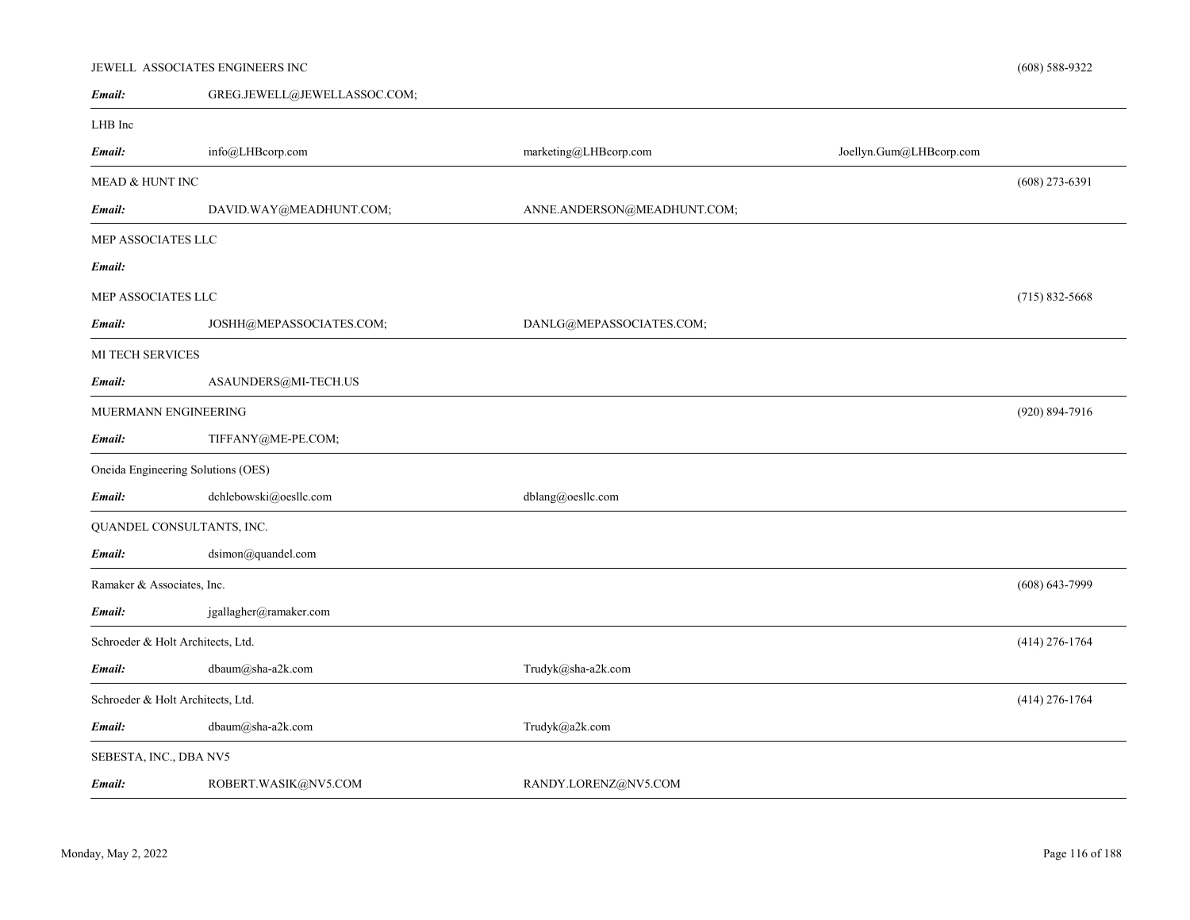#### JEWELL ASSOCIATES ENGINEERS INC

| Email:                             | GREG.JEWELL@JEWELLASSOC.COM; |                             |                         |                    |
|------------------------------------|------------------------------|-----------------------------|-------------------------|--------------------|
| LHB Inc                            |                              |                             |                         |                    |
| Email:                             | info@LHBcorp.com             | marketing@LHBcorp.com       | Joellyn.Gum@LHBcorp.com |                    |
| MEAD & HUNT INC                    |                              |                             |                         | $(608)$ 273-6391   |
| Email:                             | DAVID.WAY@MEADHUNT.COM;      | ANNE.ANDERSON@MEADHUNT.COM; |                         |                    |
| MEP ASSOCIATES LLC                 |                              |                             |                         |                    |
| Email:                             |                              |                             |                         |                    |
| MEP ASSOCIATES LLC                 |                              |                             |                         | $(715)$ 832-5668   |
| Email:                             | JOSHH@MEPASSOCIATES.COM;     | DANLG@MEPASSOCIATES.COM;    |                         |                    |
| MI TECH SERVICES                   |                              |                             |                         |                    |
| Email:                             | ASAUNDERS@MI-TECH.US         |                             |                         |                    |
| MUERMANN ENGINEERING               |                              |                             |                         | $(920) 894 - 7916$ |
| Email:                             | TIFFANY@ME-PE.COM;           |                             |                         |                    |
| Oneida Engineering Solutions (OES) |                              |                             |                         |                    |
| Email:                             | dchlebowski@oesllc.com       | dblang@oesllc.com           |                         |                    |
| QUANDEL CONSULTANTS, INC.          |                              |                             |                         |                    |
| Email:                             | dsimon@quandel.com           |                             |                         |                    |
| Ramaker & Associates, Inc.         |                              |                             |                         | $(608) 643 - 7999$ |
| Email:                             | jgallagher@ramaker.com       |                             |                         |                    |
| Schroeder & Holt Architects, Ltd.  |                              |                             |                         | $(414)$ 276-1764   |
| Email:                             | $\text{dbaum@sha-a2k.com}$   | Trudyk@sha-a2k.com          |                         |                    |
| Schroeder & Holt Architects, Ltd.  |                              |                             |                         | $(414)$ 276-1764   |
| Email:                             | dbaum@sha-a2k.com            | Trudyk@a2k.com              |                         |                    |
| SEBESTA, INC., DBA NV5             |                              |                             |                         |                    |
| Email:                             | ROBERT.WASIK@NV5.COM         | RANDY.LORENZ@NV5.COM        |                         |                    |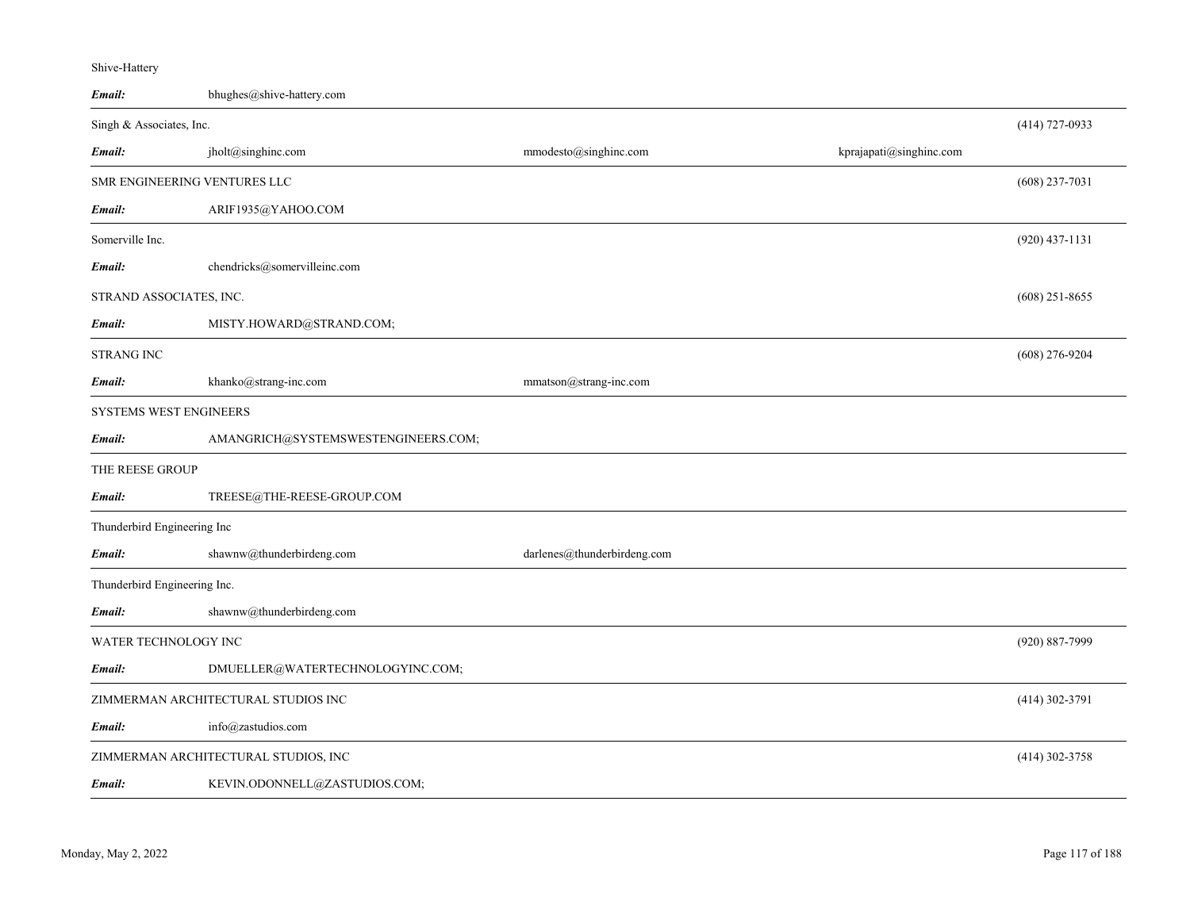| Email:                       | bhughes@shive-hattery.com            |                             |                         |                  |
|------------------------------|--------------------------------------|-----------------------------|-------------------------|------------------|
| Singh & Associates, Inc.     |                                      |                             |                         | $(414)$ 727-0933 |
| Email:                       | jholt@singhinc.com                   | mmodesto@singhinc.com       | kprajapati@singhinc.com |                  |
| SMR ENGINEERING VENTURES LLC |                                      |                             |                         | $(608)$ 237-7031 |
| Email:                       | ARIF1935@YAHOO.COM                   |                             |                         |                  |
| Somerville Inc.              |                                      |                             |                         | $(920)$ 437-1131 |
| Email:                       | chendricks@somervilleinc.com         |                             |                         |                  |
| STRAND ASSOCIATES, INC.      |                                      |                             |                         | $(608)$ 251-8655 |
| Email:                       | MISTY.HOWARD@STRAND.COM;             |                             |                         |                  |
| <b>STRANG INC</b>            |                                      |                             |                         | $(608)$ 276-9204 |
| Email:                       | khanko@strang-inc.com                | mmatson@strang-inc.com      |                         |                  |
| SYSTEMS WEST ENGINEERS       |                                      |                             |                         |                  |
| Email:                       | AMANGRICH@SYSTEMSWESTENGINEERS.COM;  |                             |                         |                  |
| THE REESE GROUP              |                                      |                             |                         |                  |
| Email:                       | TREESE@THE-REESE-GROUP.COM           |                             |                         |                  |
| Thunderbird Engineering Inc  |                                      |                             |                         |                  |
| Email:                       | shawnw@thunderbirdeng.com            | darlenes@thunderbirdeng.com |                         |                  |
| Thunderbird Engineering Inc. |                                      |                             |                         |                  |
| Email:                       | shawnw@thunderbirdeng.com            |                             |                         |                  |
| WATER TECHNOLOGY INC         |                                      |                             |                         | (920) 887-7999   |
| Email:                       | DMUELLER@WATERTECHNOLOGYINC.COM;     |                             |                         |                  |
|                              | ZIMMERMAN ARCHITECTURAL STUDIOS INC  |                             |                         | $(414)$ 302-3791 |
| Email:                       | info@zastudios.com                   |                             |                         |                  |
|                              | ZIMMERMAN ARCHITECTURAL STUDIOS, INC |                             |                         | $(414)$ 302-3758 |
| Email:                       | KEVIN.ODONNELL@ZASTUDIOS.COM;        |                             |                         |                  |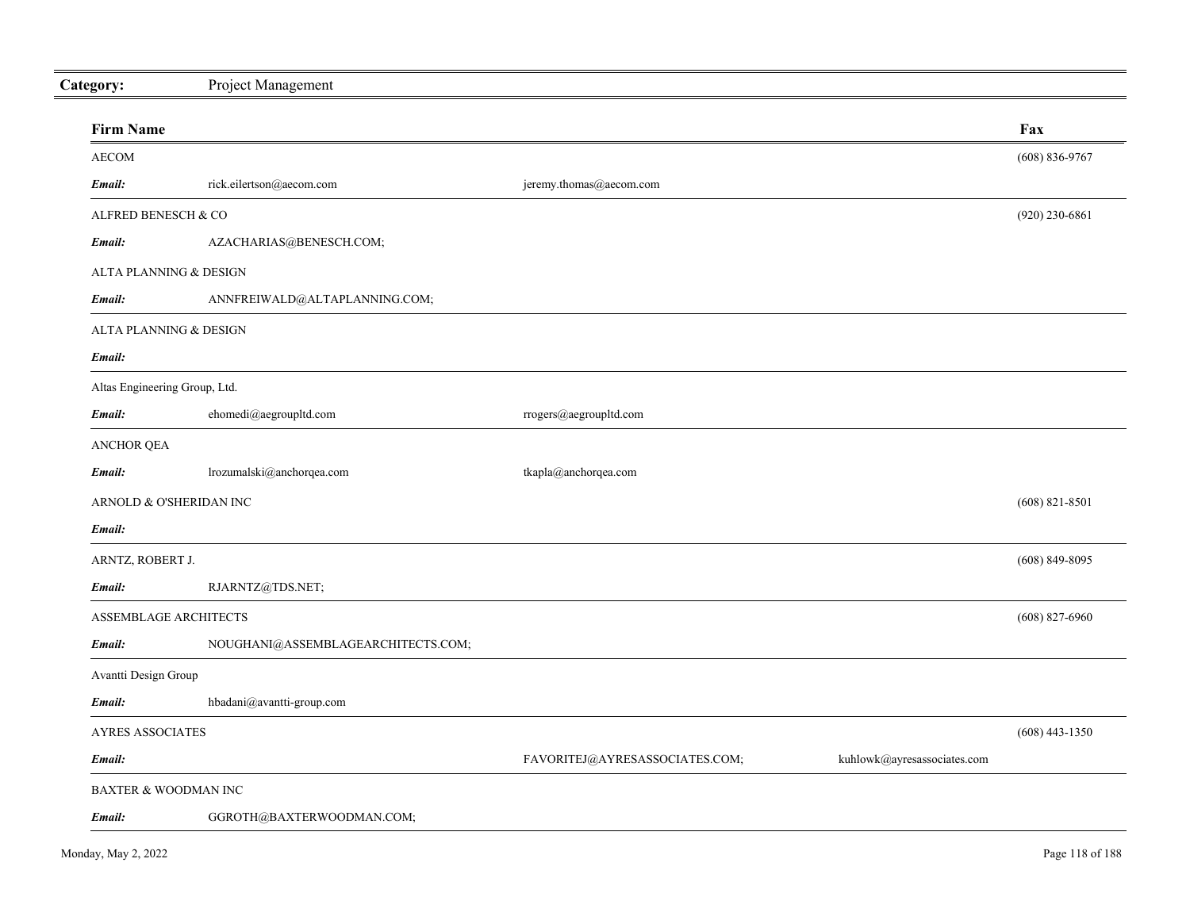| Category:                       | Project Management                 |                                |                             |                    |
|---------------------------------|------------------------------------|--------------------------------|-----------------------------|--------------------|
| <b>Firm Name</b>                |                                    |                                |                             | Fax                |
| <b>AECOM</b>                    |                                    |                                |                             | $(608) 836 - 9767$ |
| Email:                          | rick.eilertson@aecom.com           | jeremy.thomas@aecom.com        |                             |                    |
| ALFRED BENESCH & CO             |                                    |                                |                             | $(920)$ 230-6861   |
| Email:                          | AZACHARIAS@BENESCH.COM;            |                                |                             |                    |
| ALTA PLANNING & DESIGN          |                                    |                                |                             |                    |
| Email:                          | ANNFREIWALD@ALTAPLANNING.COM;      |                                |                             |                    |
| ALTA PLANNING & DESIGN          |                                    |                                |                             |                    |
| Email:                          |                                    |                                |                             |                    |
| Altas Engineering Group, Ltd.   |                                    |                                |                             |                    |
| Email:                          | ehomedi@aegroupltd.com             | rrogers@aegroupltd.com         |                             |                    |
| <b>ANCHOR QEA</b>               |                                    |                                |                             |                    |
| Email:                          | lrozumalski@anchorqea.com          | tkapla@anchorqea.com           |                             |                    |
| ARNOLD & O'SHERIDAN INC         |                                    |                                |                             | $(608)$ 821-8501   |
| Email:                          |                                    |                                |                             |                    |
| ARNTZ, ROBERT J.                |                                    |                                |                             | $(608)$ 849-8095   |
| Email:                          | RJARNTZ@TDS.NET;                   |                                |                             |                    |
| ASSEMBLAGE ARCHITECTS           |                                    |                                |                             | $(608)$ 827-6960   |
| Email:                          | NOUGHANI@ASSEMBLAGEARCHITECTS.COM; |                                |                             |                    |
| Avantti Design Group            |                                    |                                |                             |                    |
| Email:                          | hbadani@avantti-group.com          |                                |                             |                    |
| <b>AYRES ASSOCIATES</b>         |                                    |                                |                             | $(608)$ 443-1350   |
| Email:                          |                                    | FAVORITEJ@AYRESASSOCIATES.COM; | kuhlowk@ayresassociates.com |                    |
| <b>BAXTER &amp; WOODMAN INC</b> |                                    |                                |                             |                    |
| Email:                          | GGROTH@BAXTERWOODMAN.COM;          |                                |                             |                    |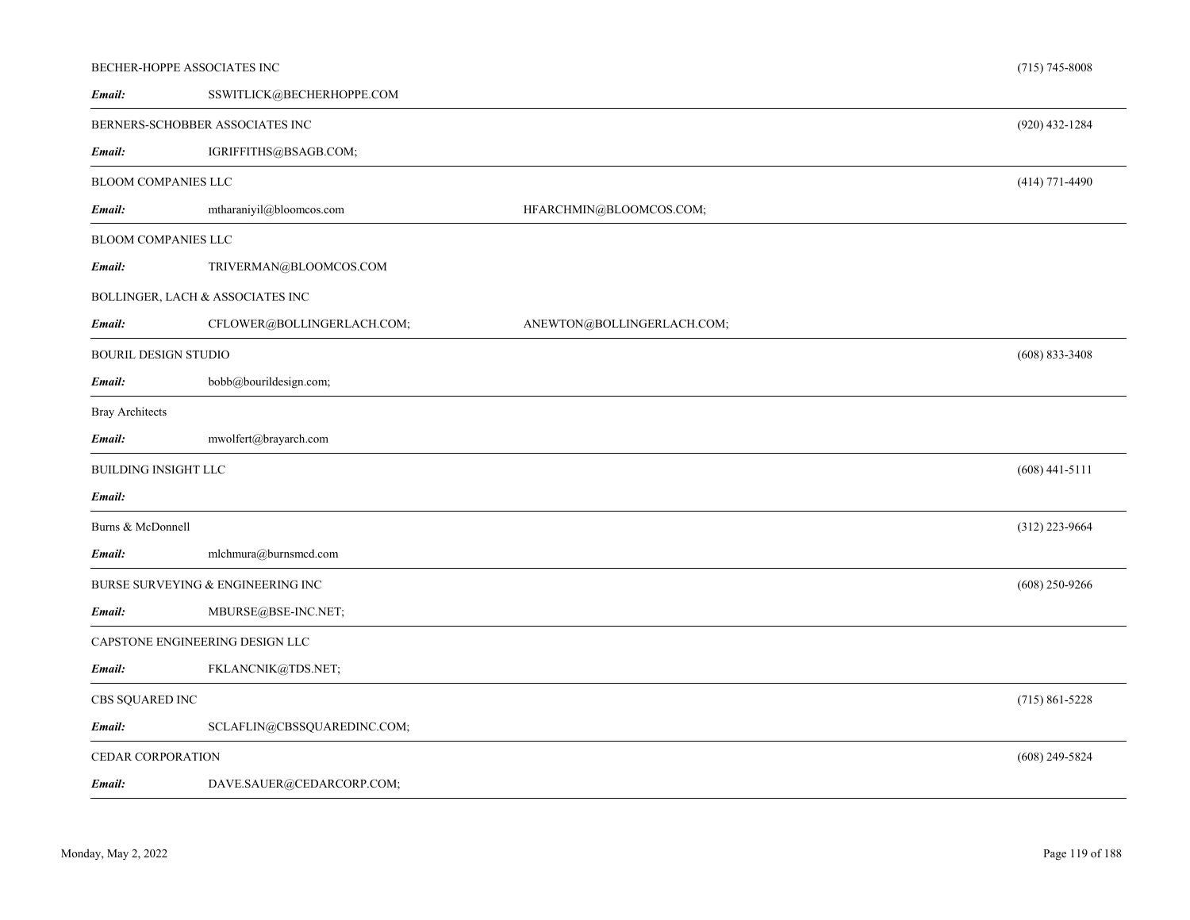| BECHER-HOPPE ASSOCIATES INC |                                     |                            | $(715) 745 - 8008$ |
|-----------------------------|-------------------------------------|----------------------------|--------------------|
| Email:                      | SSWITLICK@BECHERHOPPE.COM           |                            |                    |
|                             | BERNERS-SCHOBBER ASSOCIATES INC     |                            | $(920)$ 432-1284   |
| Email:                      | IGRIFFITHS@BSAGB.COM;               |                            |                    |
| <b>BLOOM COMPANIES LLC</b>  |                                     |                            | $(414)$ 771-4490   |
| Email:                      | mtharaniyil@bloomcos.com            | HFARCHMIN@BLOOMCOS.COM;    |                    |
| BLOOM COMPANIES LLC         |                                     |                            |                    |
| Email:                      | TRIVERMAN@BLOOMCOS.COM              |                            |                    |
|                             | BOLLINGER, LACH $\&$ ASSOCIATES INC |                            |                    |
| Email:                      | CFLOWER@BOLLINGERLACH.COM;          | ANEWTON@BOLLINGERLACH.COM; |                    |
| <b>BOURIL DESIGN STUDIO</b> |                                     |                            | $(608)$ 833-3408   |
| Email:                      | bobb@bourildesign.com;              |                            |                    |
| <b>Bray Architects</b>      |                                     |                            |                    |
|                             |                                     |                            |                    |
| Email:                      | mwolfert@brayarch.com               |                            |                    |
| <b>BUILDING INSIGHT LLC</b> |                                     |                            | $(608)$ 441-5111   |
| Email:                      |                                     |                            |                    |
| Burns & McDonnell           |                                     |                            | $(312)$ 223-9664   |
| Email:                      | mlchmura@burnsmcd.com               |                            |                    |
|                             | BURSE SURVEYING & ENGINEERING INC   |                            | $(608)$ 250-9266   |
| Email:                      | MBURSE@BSE-INC.NET;                 |                            |                    |
|                             | CAPSTONE ENGINEERING DESIGN LLC     |                            |                    |
| Email:                      | FKLANCNIK@TDS.NET;                  |                            |                    |
| CBS SQUARED INC             |                                     |                            | $(715) 861 - 5228$ |
| Email:                      | SCLAFLIN@CBSSQUAREDINC.COM;         |                            |                    |
| CEDAR CORPORATION           |                                     |                            | $(608)$ 249-5824   |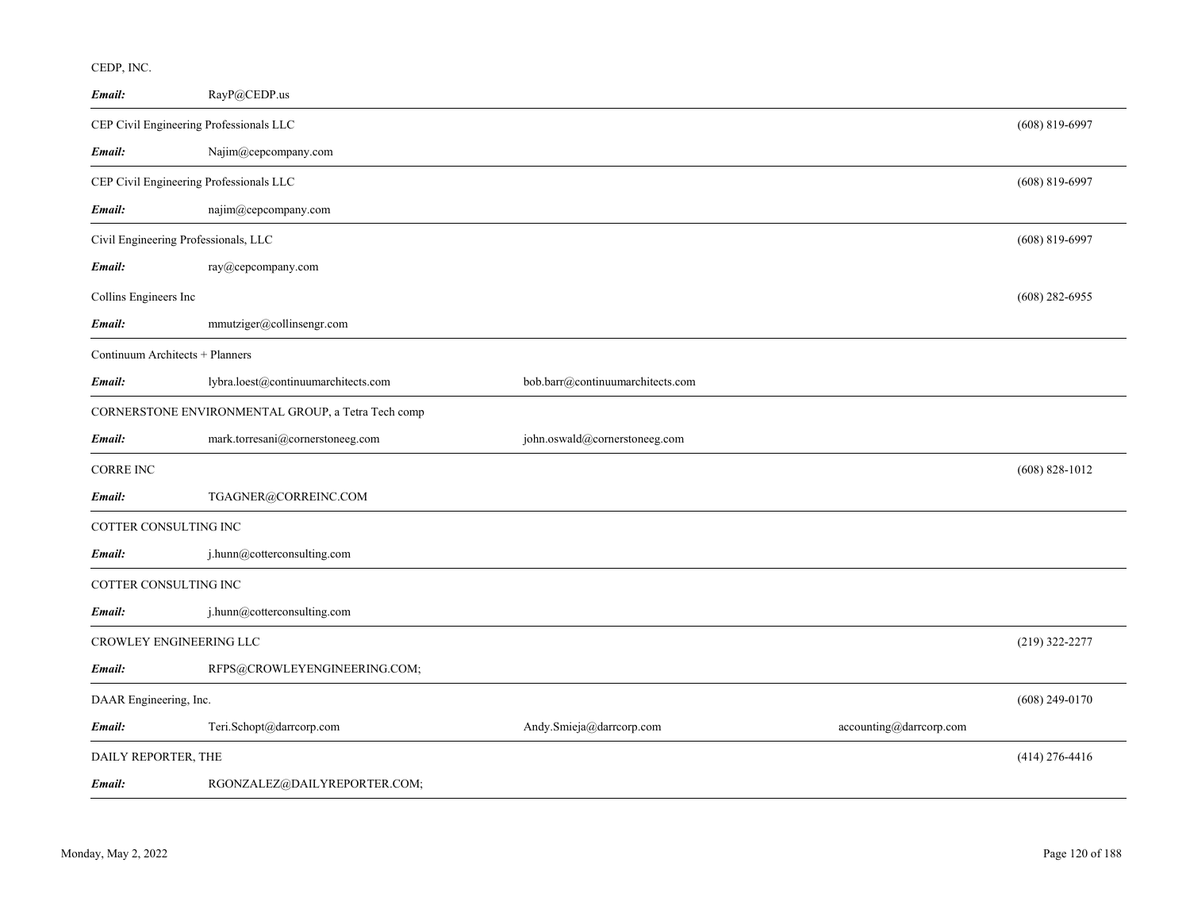| Email:                                  | RayP@CEDP.us                                       |                                  |                         |                    |
|-----------------------------------------|----------------------------------------------------|----------------------------------|-------------------------|--------------------|
| CEP Civil Engineering Professionals LLC |                                                    |                                  |                         | $(608) 819 - 6997$ |
| Email:                                  | Najim@cepcompany.com                               |                                  |                         |                    |
| CEP Civil Engineering Professionals LLC |                                                    |                                  |                         | $(608) 819 - 6997$ |
| Email:                                  | najim@cepcompany.com                               |                                  |                         |                    |
| Civil Engineering Professionals, LLC    |                                                    |                                  |                         | $(608)$ 819-6997   |
| Email:                                  | ray@cepcompany.com                                 |                                  |                         |                    |
| Collins Engineers Inc                   |                                                    |                                  |                         | $(608)$ 282-6955   |
| Email:                                  | mmutziger@collinsengr.com                          |                                  |                         |                    |
| Continuum Architects + Planners         |                                                    |                                  |                         |                    |
| Email:                                  | lybra.loest@continuumarchitects.com                | bob.barr@continuumarchitects.com |                         |                    |
|                                         | CORNERSTONE ENVIRONMENTAL GROUP, a Tetra Tech comp |                                  |                         |                    |
| Email:                                  | mark.torresani@cornerstoneeg.com                   | john.oswald@cornerstoneeg.com    |                         |                    |
| <b>CORRE INC</b>                        |                                                    |                                  |                         | $(608) 828 - 1012$ |
| Email:                                  | TGAGNER@CORREINC.COM                               |                                  |                         |                    |
| COTTER CONSULTING INC                   |                                                    |                                  |                         |                    |
| Email:                                  | j.hunn@cotterconsulting.com                        |                                  |                         |                    |
| COTTER CONSULTING INC                   |                                                    |                                  |                         |                    |
| Email:                                  | j.hunn@cotterconsulting.com                        |                                  |                         |                    |
| CROWLEY ENGINEERING LLC                 |                                                    |                                  |                         | (219) 322-2277     |
| Email:                                  | RFPS@CROWLEYENGINEERING.COM;                       |                                  |                         |                    |
| DAAR Engineering, Inc.                  |                                                    |                                  |                         | $(608)$ 249-0170   |
| Email:                                  | Teri.Schopt@darrcorp.com                           | Andy.Smieja@darrcorp.com         | accounting@darrcorp.com |                    |
| DAILY REPORTER, THE                     |                                                    |                                  |                         | $(414)$ 276-4416   |
| Email:                                  | RGONZALEZ@DAILYREPORTER.COM;                       |                                  |                         |                    |

CEDP, INC.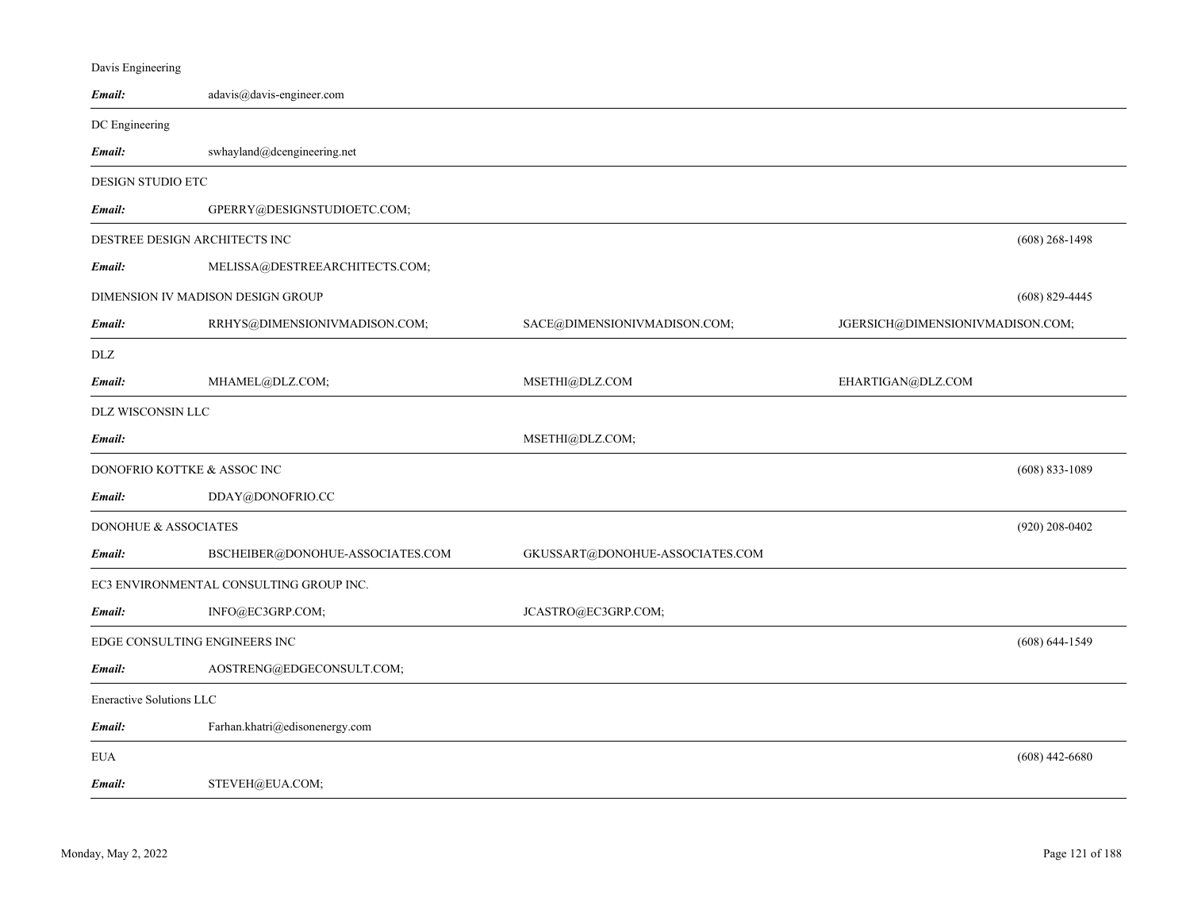| Davis Engineering             |                                         |                                 |                                  |
|-------------------------------|-----------------------------------------|---------------------------------|----------------------------------|
| Email:                        | adavis@davis-engineer.com               |                                 |                                  |
| DC Engineering                |                                         |                                 |                                  |
| Email:                        | swhayland@dcengineering.net             |                                 |                                  |
| DESIGN STUDIO ETC             |                                         |                                 |                                  |
| Email:                        | GPERRY@DESIGNSTUDIOETC.COM;             |                                 |                                  |
| DESTREE DESIGN ARCHITECTS INC |                                         |                                 | $(608)$ 268-1498                 |
| Email:                        | MELISSA@DESTREEARCHITECTS.COM;          |                                 |                                  |
|                               | DIMENSION IV MADISON DESIGN GROUP       |                                 | $(608)$ 829-4445                 |
| Email:                        | RRHYS@DIMENSIONIVMADISON.COM;           | SACE@DIMENSIONIVMADISON.COM;    | JGERSICH@DIMENSIONIVMADISON.COM; |
| DLZ                           |                                         |                                 |                                  |
| Email:                        | MHAMEL@DLZ.COM;                         | MSETHI@DLZ.COM                  | EHARTIGAN@DLZ.COM                |
| DLZ WISCONSIN LLC             |                                         |                                 |                                  |
| Email:                        |                                         | MSETHI@DLZ.COM;                 |                                  |
| DONOFRIO KOTTKE & ASSOC INC   |                                         |                                 | $(608) 833 - 1089$               |
| Email:                        | DDAY@DONOFRIO.CC                        |                                 |                                  |
| DONOHUE & ASSOCIATES          |                                         |                                 | $(920)$ 208-0402                 |
| Email:                        | BSCHEIBER@DONOHUE-ASSOCIATES.COM        | GKUSSART@DONOHUE-ASSOCIATES.COM |                                  |
|                               | EC3 ENVIRONMENTAL CONSULTING GROUP INC. |                                 |                                  |
| Email:                        | INFO@EC3GRP.COM;                        | JCASTRO@EC3GRP.COM;             |                                  |
| EDGE CONSULTING ENGINEERS INC |                                         |                                 | $(608) 644 - 1549$               |
| Email:                        | AOSTRENG@EDGECONSULT.COM;               |                                 |                                  |
| Eneractive Solutions LLC      |                                         |                                 |                                  |
| Email:                        | Farhan.khatri@edisonenergy.com          |                                 |                                  |
| <b>EUA</b>                    |                                         |                                 | $(608)$ 442-6680                 |
| Email:                        | STEVEH@EUA.COM;                         |                                 |                                  |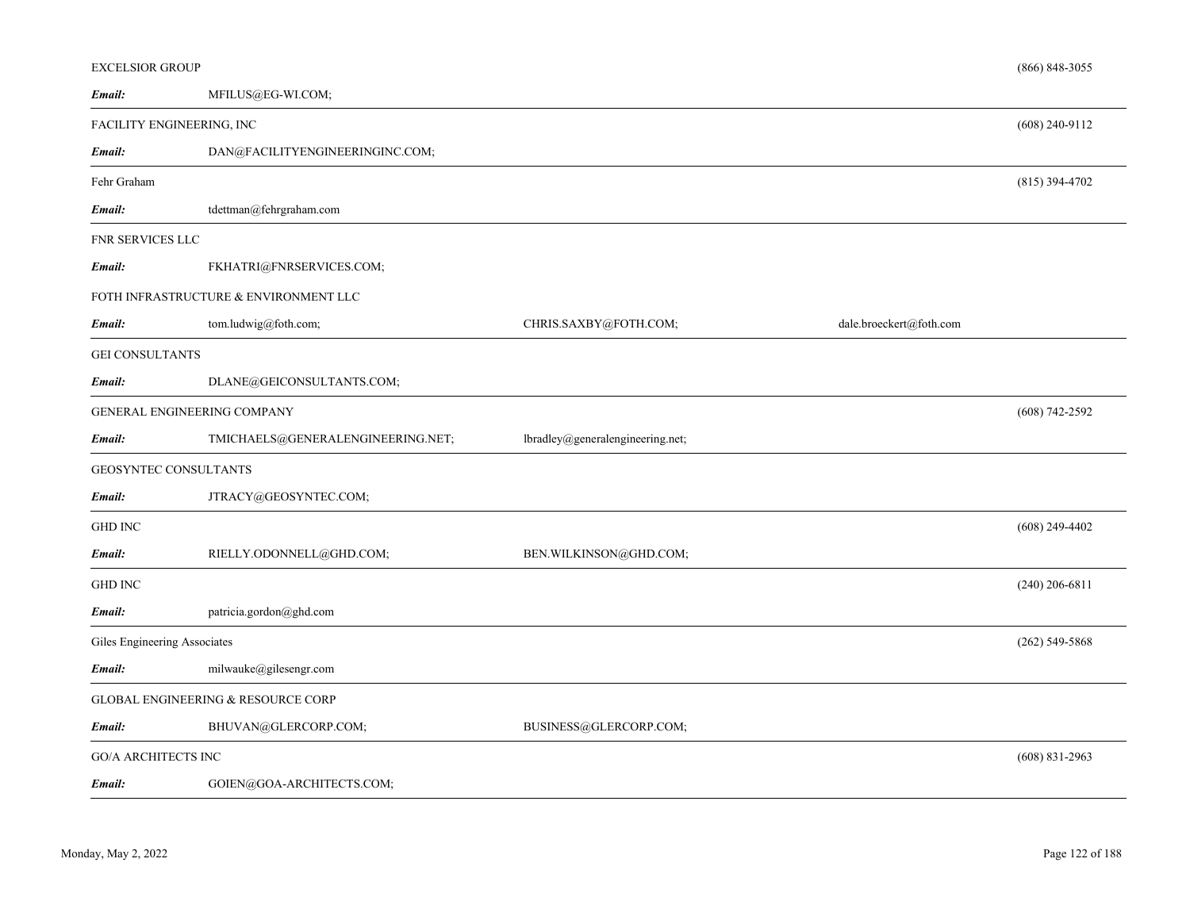| <b>EXCELSIOR GROUP</b>              |                                       |                                  |                         | $(866) 848 - 3055$ |
|-------------------------------------|---------------------------------------|----------------------------------|-------------------------|--------------------|
| Email:                              | MFILUS@EG-WI.COM;                     |                                  |                         |                    |
| FACILITY ENGINEERING, INC           |                                       |                                  |                         | $(608)$ 240-9112   |
| Email:                              | DAN@FACILITYENGINEERINGINC.COM;       |                                  |                         |                    |
| Fehr Graham                         |                                       |                                  |                         | $(815)$ 394-4702   |
| Email:                              | tdettman@fehrgraham.com               |                                  |                         |                    |
| FNR SERVICES LLC                    |                                       |                                  |                         |                    |
| Email:                              | FKHATRI@FNRSERVICES.COM;              |                                  |                         |                    |
|                                     | FOTH INFRASTRUCTURE & ENVIRONMENT LLC |                                  |                         |                    |
| Email:                              | tom.ludwig@foth.com;                  | CHRIS.SAXBY@FOTH.COM;            | dale.broeckert@foth.com |                    |
| <b>GEI CONSULTANTS</b>              |                                       |                                  |                         |                    |
| Email:                              | DLANE@GEICONSULTANTS.COM;             |                                  |                         |                    |
| GENERAL ENGINEERING COMPANY         |                                       |                                  |                         | $(608) 742 - 2592$ |
| Email:                              | TMICHAELS@GENERALENGINEERING.NET;     | lbradley@generalengineering.net; |                         |                    |
| GEOSYNTEC CONSULTANTS               |                                       |                                  |                         |                    |
| Email:                              | JTRACY@GEOSYNTEC.COM;                 |                                  |                         |                    |
| <b>GHD INC</b>                      |                                       |                                  |                         | $(608)$ 249-4402   |
| Email:                              | RIELLY.ODONNELL@GHD.COM;              | BEN.WILKINSON@GHD.COM;           |                         |                    |
| <b>GHD INC</b>                      |                                       |                                  |                         | $(240)$ 206-6811   |
| Email:                              | patricia.gordon@ghd.com               |                                  |                         |                    |
| <b>Giles Engineering Associates</b> |                                       |                                  |                         | $(262)$ 549-5868   |
| Email:                              | milwauke@gilesengr.com                |                                  |                         |                    |
| GLOBAL ENGINEERING & RESOURCE CORP  |                                       |                                  |                         |                    |
| Email:                              | BHUVAN@GLERCORP.COM;                  | BUSINESS@GLERCORP.COM;           |                         |                    |
| <b>GO/A ARCHITECTS INC</b>          |                                       |                                  |                         | $(608)$ 831-2963   |
| Email:                              | GOIEN@GOA-ARCHITECTS.COM;             |                                  |                         |                    |
|                                     |                                       |                                  |                         |                    |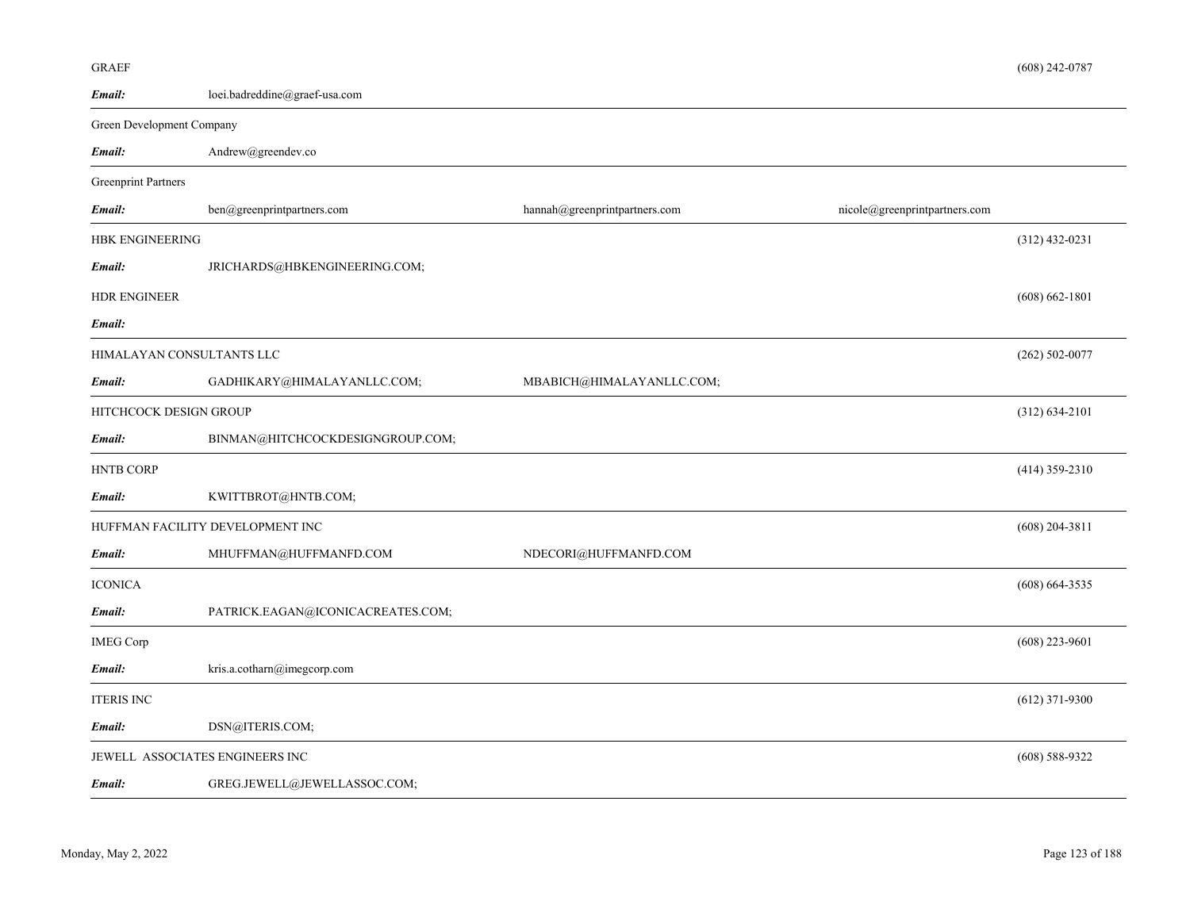| Email:                          | $\text{loci.badreddine}\textcircled{a}\text{graef-usa.com}$ |                               |                               |                    |
|---------------------------------|-------------------------------------------------------------|-------------------------------|-------------------------------|--------------------|
| Green Development Company       |                                                             |                               |                               |                    |
| Email:                          | Andrew@greendev.co                                          |                               |                               |                    |
| <b>Greenprint Partners</b>      |                                                             |                               |                               |                    |
| Email:                          | ben@greenprintpartners.com                                  | hannah@greenprintpartners.com | nicole@greenprintpartners.com |                    |
| HBK ENGINEERING                 |                                                             |                               |                               | $(312)$ 432-0231   |
| Email:                          | JRICHARDS@HBKENGINEERING.COM;                               |                               |                               |                    |
| <b>HDR ENGINEER</b>             |                                                             |                               |                               | $(608) 662 - 1801$ |
| Email:                          |                                                             |                               |                               |                    |
| HIMALAYAN CONSULTANTS LLC       |                                                             |                               |                               | $(262) 502 - 0077$ |
| Email:                          | GADHIKARY@HIMALAYANLLC.COM;                                 | MBABICH@HIMALAYANLLC.COM;     |                               |                    |
| HITCHCOCK DESIGN GROUP          |                                                             |                               |                               | $(312) 634 - 2101$ |
| Email:                          | BINMAN@HITCHCOCKDESIGNGROUP.COM;                            |                               |                               |                    |
| HNTB CORP                       |                                                             |                               |                               | $(414)$ 359-2310   |
| Email:                          | KWITTBROT@HNTB.COM;                                         |                               |                               |                    |
|                                 | HUFFMAN FACILITY DEVELOPMENT INC                            |                               |                               | $(608)$ 204-3811   |
| Email:                          | MHUFFMAN@HUFFMANFD.COM                                      | NDECORI@HUFFMANFD.COM         |                               |                    |
| <b>ICONICA</b>                  |                                                             |                               |                               | $(608) 664 - 3535$ |
| Email:                          | PATRICK.EAGAN@ICONICACREATES.COM;                           |                               |                               |                    |
| <b>IMEG Corp</b>                |                                                             |                               |                               | $(608)$ 223-9601   |
| Email:                          | kris.a.cotharn@imegcorp.com                                 |                               |                               |                    |
| <b>ITERIS INC</b>               |                                                             |                               |                               | $(612)$ 371-9300   |
| Email:                          | DSN@ITERIS.COM;                                             |                               |                               |                    |
| JEWELL ASSOCIATES ENGINEERS INC |                                                             |                               |                               | $(608) 588 - 9322$ |
| Email:                          | GREG.JEWELL@JEWELLASSOC.COM;                                |                               |                               |                    |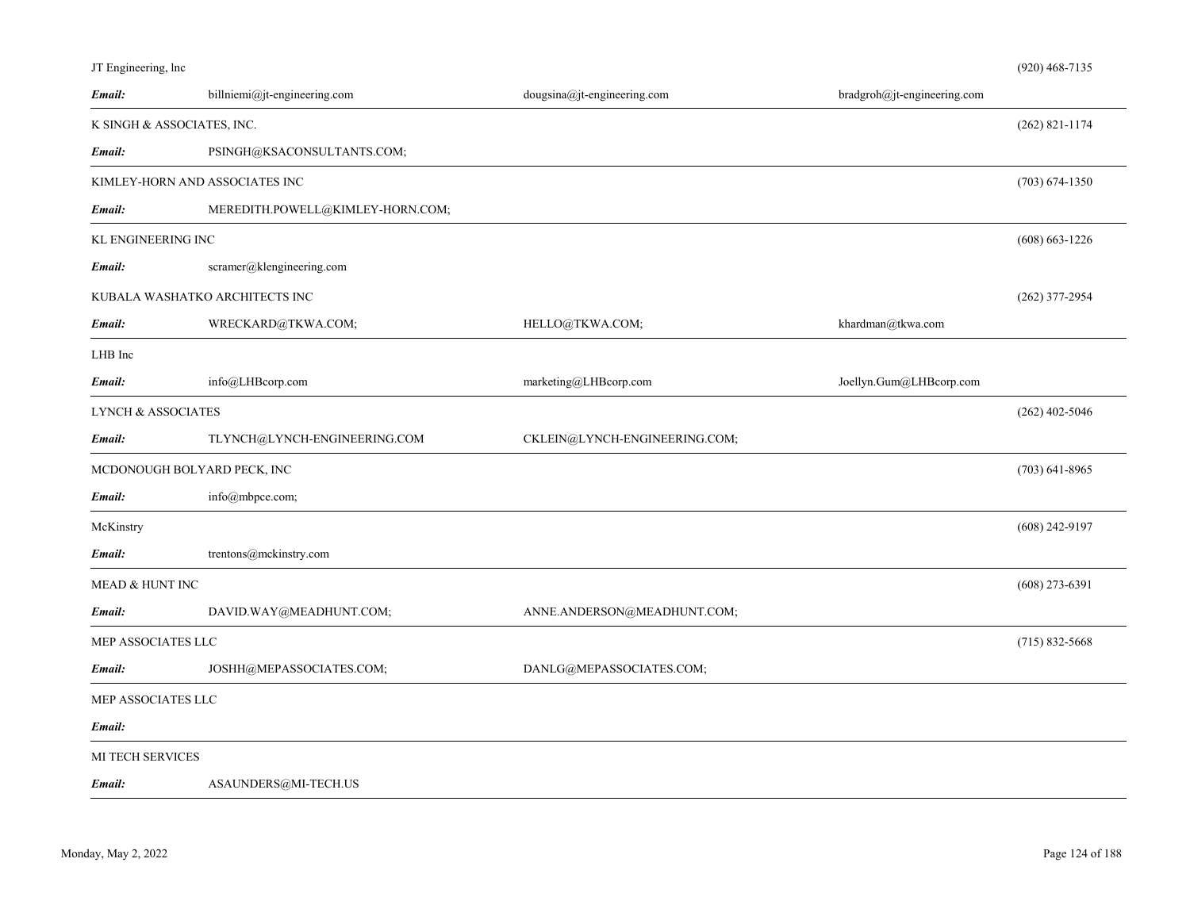|  | JT Engineering, lnc |  |
|--|---------------------|--|
|  |                     |  |

| Email:                        | billniemi@jt-engineering.com     | dougsina@jt-engineering.com   | bradgroh@jt-engineering.com |                    |
|-------------------------------|----------------------------------|-------------------------------|-----------------------------|--------------------|
|                               | K SINGH & ASSOCIATES, INC.       |                               |                             | $(262)$ 821-1174   |
| Email:                        | PSINGH@KSACONSULTANTS.COM;       |                               |                             |                    |
|                               | KIMLEY-HORN AND ASSOCIATES INC   |                               |                             | $(703) 674 - 1350$ |
| Email:                        | MEREDITH.POWELL@KIMLEY-HORN.COM; |                               |                             |                    |
| KL ENGINEERING INC            |                                  |                               |                             | $(608)$ 663-1226   |
| Email:                        | scramer@klengineering.com        |                               |                             |                    |
|                               | KUBALA WASHATKO ARCHITECTS INC   |                               |                             | $(262)$ 377-2954   |
| Email:                        | WRECKARD@TKWA.COM;               | HELLO@TKWA.COM;               | khardman@tkwa.com           |                    |
| LHB Inc                       |                                  |                               |                             |                    |
| Email:                        | info@LHBcorp.com                 | marketing@LHBcorp.com         | Joellyn.Gum@LHBcorp.com     |                    |
| <b>LYNCH &amp; ASSOCIATES</b> |                                  |                               |                             | $(262)$ 402-5046   |
| Email:                        | TLYNCH@LYNCH-ENGINEERING.COM     | CKLEIN@LYNCH-ENGINEERING.COM; |                             |                    |
|                               | MCDONOUGH BOLYARD PECK, INC      |                               |                             | $(703)$ 641-8965   |
| Email:                        | info@mbpce.com;                  |                               |                             |                    |
| McKinstry                     |                                  |                               |                             | $(608)$ 242-9197   |
| Email:                        | trentons@mckinstry.com           |                               |                             |                    |
| MEAD & HUNT INC               |                                  |                               |                             | $(608)$ 273-6391   |
| Email:                        | DAVID.WAY@MEADHUNT.COM;          | ANNE.ANDERSON@MEADHUNT.COM;   |                             |                    |
| MEP ASSOCIATES LLC            |                                  |                               |                             | $(715)$ 832-5668   |
| Email:                        | JOSHH@MEPASSOCIATES.COM;         | DANLG@MEPASSOCIATES.COM;      |                             |                    |
| MEP ASSOCIATES LLC            |                                  |                               |                             |                    |
| Email:                        |                                  |                               |                             |                    |
| MI TECH SERVICES              |                                  |                               |                             |                    |
| Email:                        | ASAUNDERS@MI-TECH.US             |                               |                             |                    |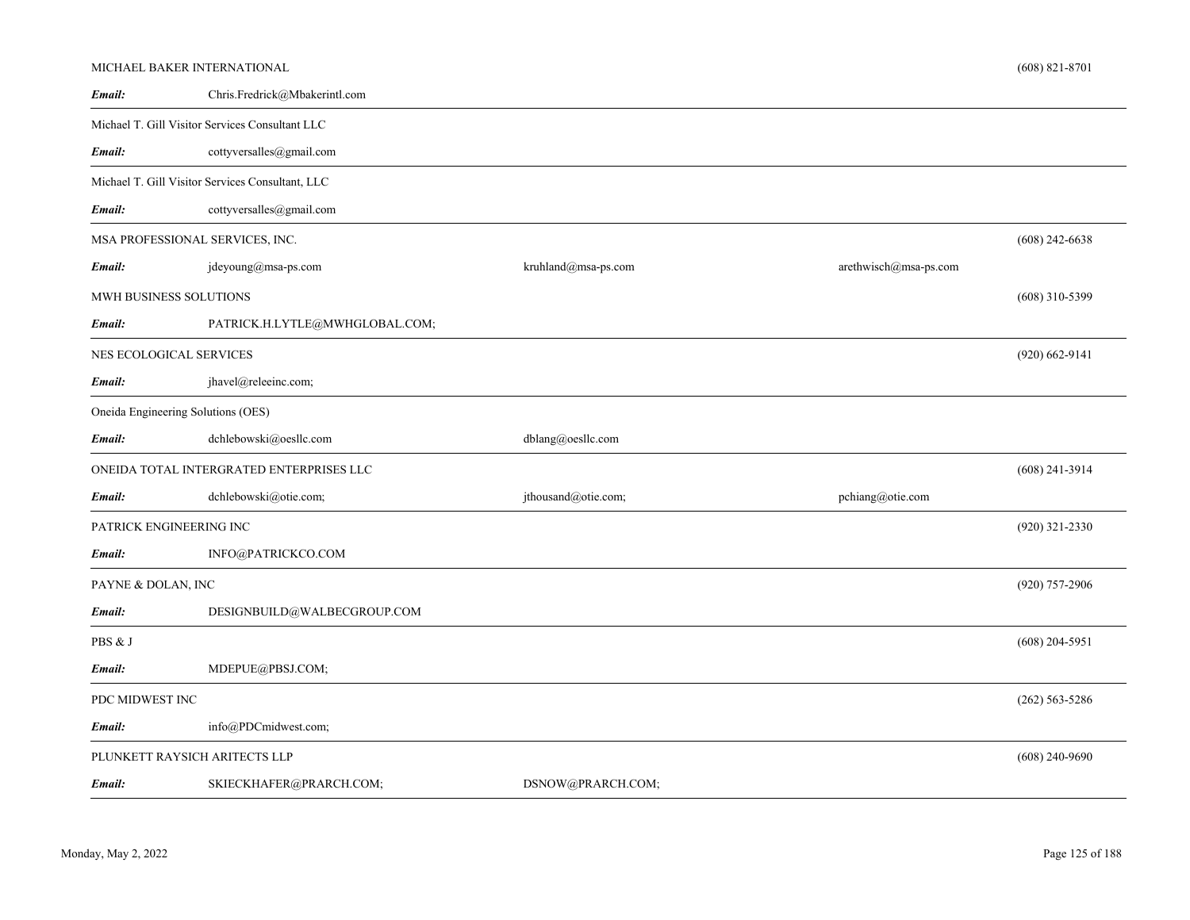|                    | MICHAEL BAKER INTERNATIONAL                      |                     |                       | $(608)$ 821-8701   |
|--------------------|--------------------------------------------------|---------------------|-----------------------|--------------------|
| Email:             | Chris.Fredrick@Mbakerintl.com                    |                     |                       |                    |
|                    | Michael T. Gill Visitor Services Consultant LLC  |                     |                       |                    |
| Email:             | cottyversalles@gmail.com                         |                     |                       |                    |
|                    | Michael T. Gill Visitor Services Consultant, LLC |                     |                       |                    |
| Email:             | cottyversalles@gmail.com                         |                     |                       |                    |
|                    | MSA PROFESSIONAL SERVICES, INC.                  |                     |                       | $(608)$ 242-6638   |
| Email:             | jdeyoung@msa-ps.com                              | kruhland@msa-ps.com | arethwisch@msa-ps.com |                    |
|                    | MWH BUSINESS SOLUTIONS                           |                     |                       | $(608)$ 310-5399   |
| Email:             | PATRICK.H.LYTLE@MWHGLOBAL.COM;                   |                     |                       |                    |
|                    | NES ECOLOGICAL SERVICES                          |                     |                       | $(920) 662 - 9141$ |
| Email:             | jhavel@releeinc.com;                             |                     |                       |                    |
|                    | Oneida Engineering Solutions (OES)               |                     |                       |                    |
| Email:             | dchlebowski@oesllc.com                           | dblang@oesllc.com   |                       |                    |
|                    | ONEIDA TOTAL INTERGRATED ENTERPRISES LLC         |                     |                       | $(608)$ 241-3914   |
| Email:             | dchlebowski@otie.com;                            | jthousand@otie.com; | pchiang@otie.com      |                    |
|                    | PATRICK ENGINEERING INC                          |                     |                       | $(920)$ 321-2330   |
| Email:             | INFO@PATRICKCO.COM                               |                     |                       |                    |
| PAYNE & DOLAN, INC |                                                  |                     |                       | (920) 757-2906     |
| Email:             | DESIGNBUILD@WALBECGROUP.COM                      |                     |                       |                    |
| PBS & J            |                                                  |                     |                       | $(608)$ 204-5951   |
| Email:             | MDEPUE@PBSJ.COM;                                 |                     |                       |                    |
| PDC MIDWEST INC    |                                                  |                     |                       | $(262)$ 563-5286   |
| Email:             | info@PDCmidwest.com;                             |                     |                       |                    |
|                    | PLUNKETT RAYSICH ARITECTS LLP                    |                     |                       | $(608)$ 240-9690   |
| Email:             | SKIECKHAFER@PRARCH.COM;                          | DSNOW@PRARCH.COM;   |                       |                    |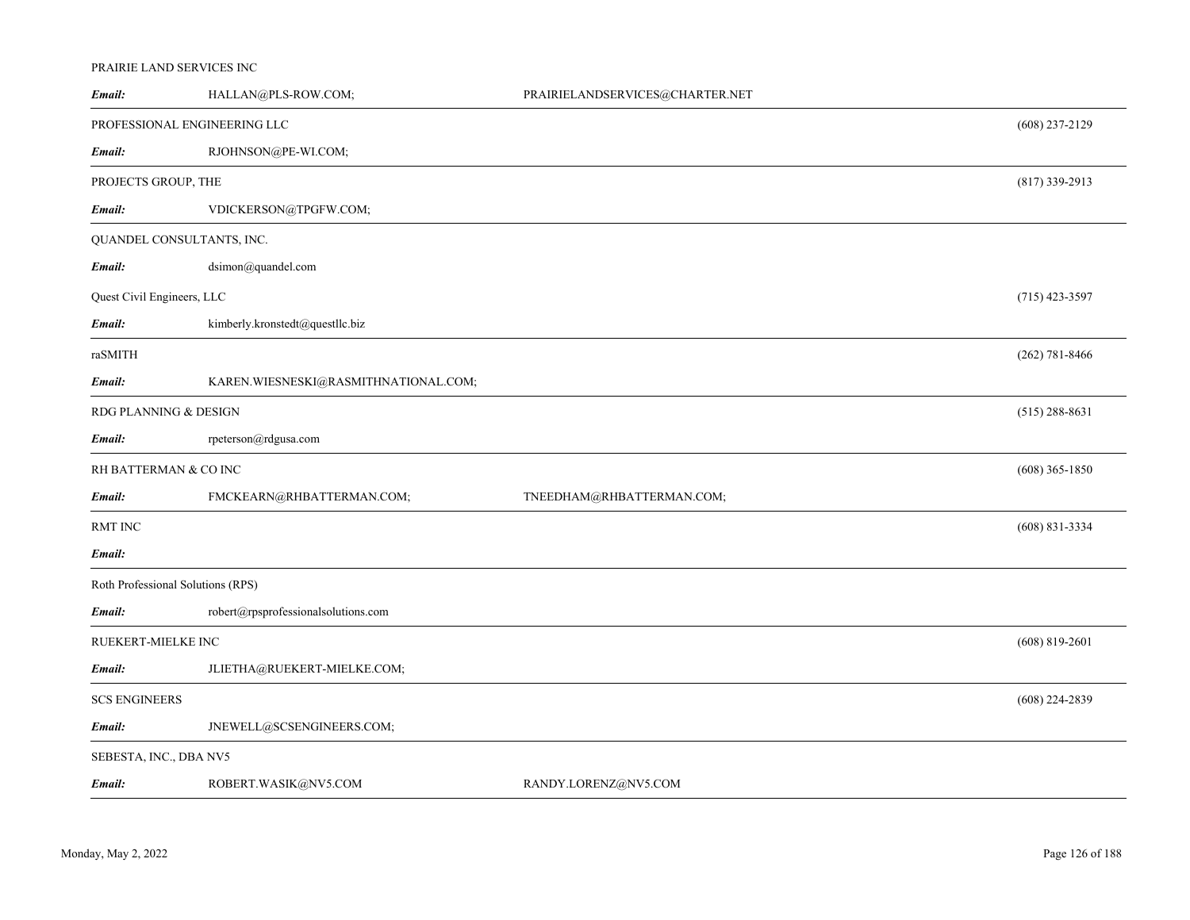# PRAIRIE LAND SERVICES INC

| Email:                            | HALLAN@PLS-ROW.COM;                  | PRAIRIELANDSERVICES@CHARTER.NET |                  |
|-----------------------------------|--------------------------------------|---------------------------------|------------------|
| PROFESSIONAL ENGINEERING LLC      |                                      |                                 | $(608)$ 237-2129 |
| Email:                            | RJOHNSON@PE-WI.COM;                  |                                 |                  |
| PROJECTS GROUP, THE               |                                      |                                 | $(817)$ 339-2913 |
| Email:                            | VDICKERSON@TPGFW.COM;                |                                 |                  |
| QUANDEL CONSULTANTS, INC.         |                                      |                                 |                  |
| Email:                            | dsimon@quandel.com                   |                                 |                  |
| Quest Civil Engineers, LLC        |                                      |                                 | $(715)$ 423-3597 |
| Email:                            | kimberly.kronstedt@questllc.biz      |                                 |                  |
| raSMITH                           |                                      |                                 | $(262)$ 781-8466 |
| Email:                            | KAREN.WIESNESKI@RASMITHNATIONAL.COM; |                                 |                  |
| RDG PLANNING & DESIGN             |                                      |                                 | $(515)$ 288-8631 |
| Email:                            | rpeterson@rdgusa.com                 |                                 |                  |
| RH BATTERMAN & CO INC             |                                      |                                 | $(608)$ 365-1850 |
| Email:                            | FMCKEARN@RHBATTERMAN.COM;            | TNEEDHAM@RHBATTERMAN.COM;       |                  |
| RMT INC                           |                                      |                                 | $(608)$ 831-3334 |
| Email:                            |                                      |                                 |                  |
| Roth Professional Solutions (RPS) |                                      |                                 |                  |
| Email:                            | robert@rpsprofessionalsolutions.com  |                                 |                  |
| RUEKERT-MIELKE INC                |                                      |                                 | $(608)$ 819-2601 |
| Email:                            | JLIETHA@RUEKERT-MIELKE.COM;          |                                 |                  |
| <b>SCS ENGINEERS</b>              |                                      |                                 | $(608)$ 224-2839 |
| Email:                            | JNEWELL@SCSENGINEERS.COM;            |                                 |                  |
| SEBESTA, INC., DBA NV5            |                                      |                                 |                  |
| Email:                            | ROBERT.WASIK@NV5.COM                 | RANDY.LORENZ@NV5.COM            |                  |
|                                   |                                      |                                 |                  |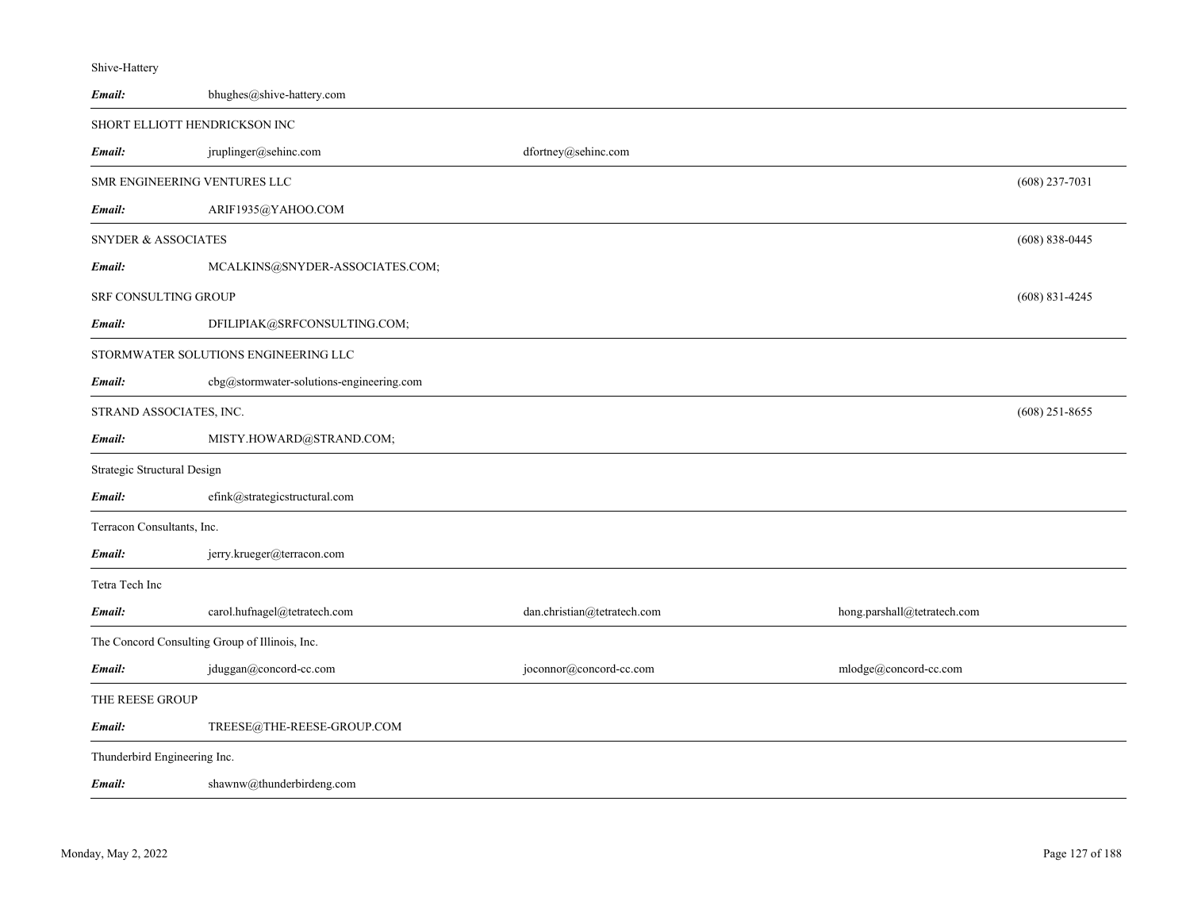| Shive-Hattery                  |                                                |                             |                             |                    |
|--------------------------------|------------------------------------------------|-----------------------------|-----------------------------|--------------------|
| Email:                         | bhughes@shive-hattery.com                      |                             |                             |                    |
|                                | SHORT ELLIOTT HENDRICKSON INC                  |                             |                             |                    |
| Email:                         | jruplinger@sehinc.com                          | dfortney@sehinc.com         |                             |                    |
|                                | SMR ENGINEERING VENTURES LLC                   |                             |                             | $(608)$ 237-7031   |
| Email:                         | ARIF1935@YAHOO.COM                             |                             |                             |                    |
| <b>SNYDER &amp; ASSOCIATES</b> |                                                |                             |                             | $(608) 838 - 0445$ |
| Email:                         | MCALKINS@SNYDER-ASSOCIATES.COM;                |                             |                             |                    |
| <b>SRF CONSULTING GROUP</b>    |                                                |                             |                             | $(608)$ 831-4245   |
| Email:                         | DFILIPIAK@SRFCONSULTING.COM;                   |                             |                             |                    |
|                                | STORMWATER SOLUTIONS ENGINEERING LLC           |                             |                             |                    |
| Email:                         | cbg@stormwater-solutions-engineering.com       |                             |                             |                    |
| STRAND ASSOCIATES, INC.        |                                                |                             |                             | $(608)$ 251-8655   |
| Email:                         | MISTY.HOWARD@STRAND.COM;                       |                             |                             |                    |
| Strategic Structural Design    |                                                |                             |                             |                    |
| Email:                         | efink@strategicstructural.com                  |                             |                             |                    |
| Terracon Consultants, Inc.     |                                                |                             |                             |                    |
| Email:                         | jerry.krueger@terracon.com                     |                             |                             |                    |
| Tetra Tech Inc                 |                                                |                             |                             |                    |
| Email:                         | carol.hufnagel@tetratech.com                   | dan.christian@tetratech.com | hong.parshall@tetratech.com |                    |
|                                | The Concord Consulting Group of Illinois, Inc. |                             |                             |                    |
| Email:                         | jduggan@concord-cc.com                         | joconnor@concord-cc.com     | mlodge@concord-cc.com       |                    |
| THE REESE GROUP                |                                                |                             |                             |                    |
| Email:                         | TREESE@THE-REESE-GROUP.COM                     |                             |                             |                    |
| Thunderbird Engineering Inc.   |                                                |                             |                             |                    |
| Email:                         | shawnw@thunderbirdeng.com                      |                             |                             |                    |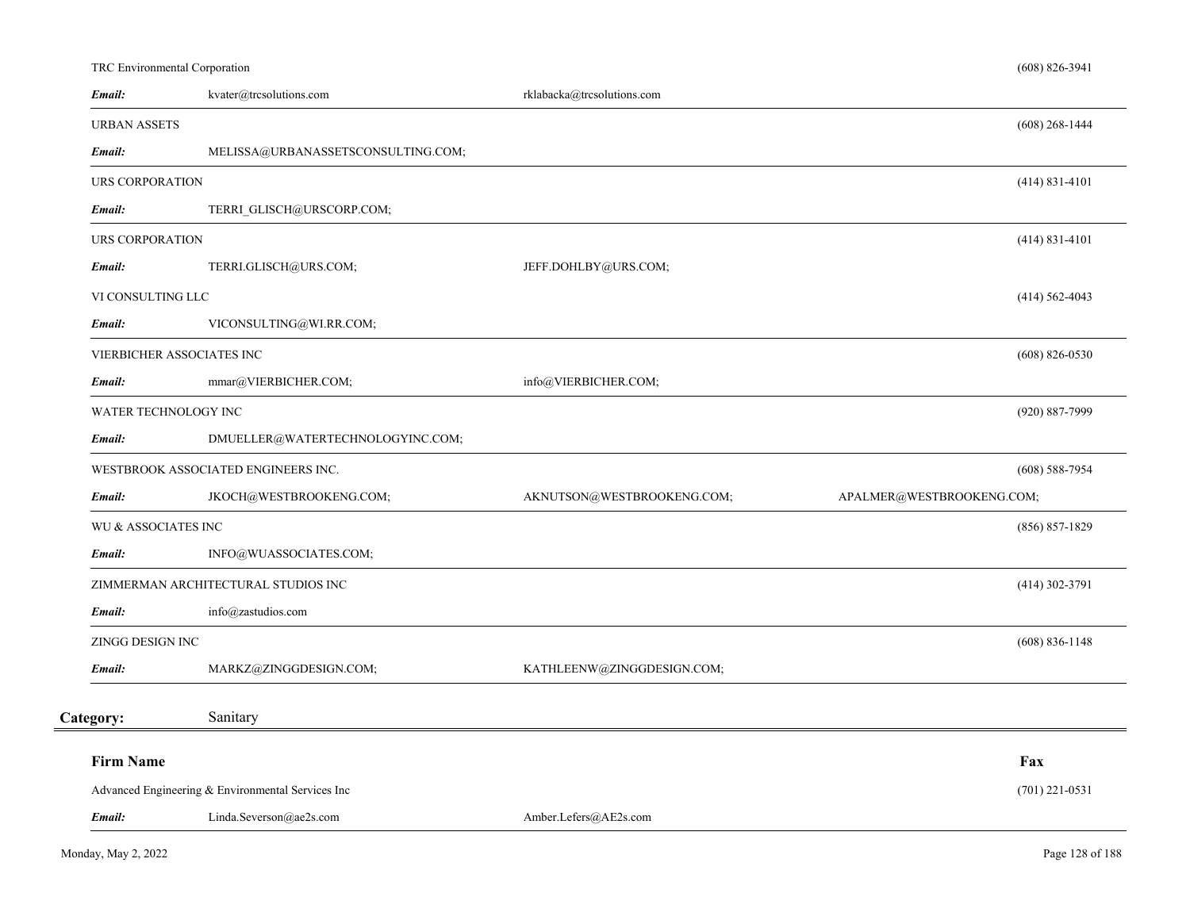# TRC Environmental Corporation

| Email:                 | kvater@trcsolutions.com                           | rklabacka@trcsolutions.com |                           |  |
|------------------------|---------------------------------------------------|----------------------------|---------------------------|--|
| <b>URBAN ASSETS</b>    |                                                   |                            | $(608)$ 268-1444          |  |
| Email:                 | MELISSA@URBANASSETSCONSULTING.COM;                |                            |                           |  |
| <b>URS CORPORATION</b> |                                                   |                            | $(414) 831 - 4101$        |  |
| Email:                 | TERRI GLISCH@URSCORP.COM;                         |                            |                           |  |
| URS CORPORATION        |                                                   |                            | $(414) 831 - 4101$        |  |
| Email:                 | TERRI.GLISCH@URS.COM;                             | JEFF.DOHLBY@URS.COM;       |                           |  |
| VI CONSULTING LLC      |                                                   |                            | $(414) 562 - 4043$        |  |
| Email:                 | VICONSULTING@WI.RR.COM;                           |                            |                           |  |
|                        | VIERBICHER ASSOCIATES INC                         |                            | $(608) 826 - 0530$        |  |
| Email:                 | mmar@VIERBICHER.COM;                              | info@VIERBICHER.COM;       |                           |  |
| WATER TECHNOLOGY INC   |                                                   |                            | $(920) 887 - 7999$        |  |
| Email:                 | DMUELLER@WATERTECHNOLOGYINC.COM;                  |                            |                           |  |
|                        | WESTBROOK ASSOCIATED ENGINEERS INC.               |                            | $(608)$ 588-7954          |  |
| Email:                 | JKOCH@WESTBROOKENG.COM;                           | AKNUTSON@WESTBROOKENG.COM; | APALMER@WESTBROOKENG.COM; |  |
| WU & ASSOCIATES INC    |                                                   |                            | $(856) 857 - 1829$        |  |
| Email:                 | INFO@WUASSOCIATES.COM;                            |                            |                           |  |
|                        | ZIMMERMAN ARCHITECTURAL STUDIOS INC               |                            | $(414)$ 302-3791          |  |
| Email:                 | info@zastudios.com                                |                            |                           |  |
| ZINGG DESIGN INC       |                                                   |                            | $(608) 836 - 1148$        |  |
| Email:                 | MARKZ@ZINGGDESIGN.COM;                            | KATHLEENW@ZINGGDESIGN.COM; |                           |  |
| Category:              | Sanitary                                          |                            |                           |  |
| <b>Firm Name</b>       |                                                   |                            | Fax                       |  |
|                        | Advanced Engineering & Environmental Services Inc |                            | $(701)$ 221-0531          |  |
| Email:                 | Linda.Severson@ae2s.com                           | Amber.Lefers@AE2s.com      |                           |  |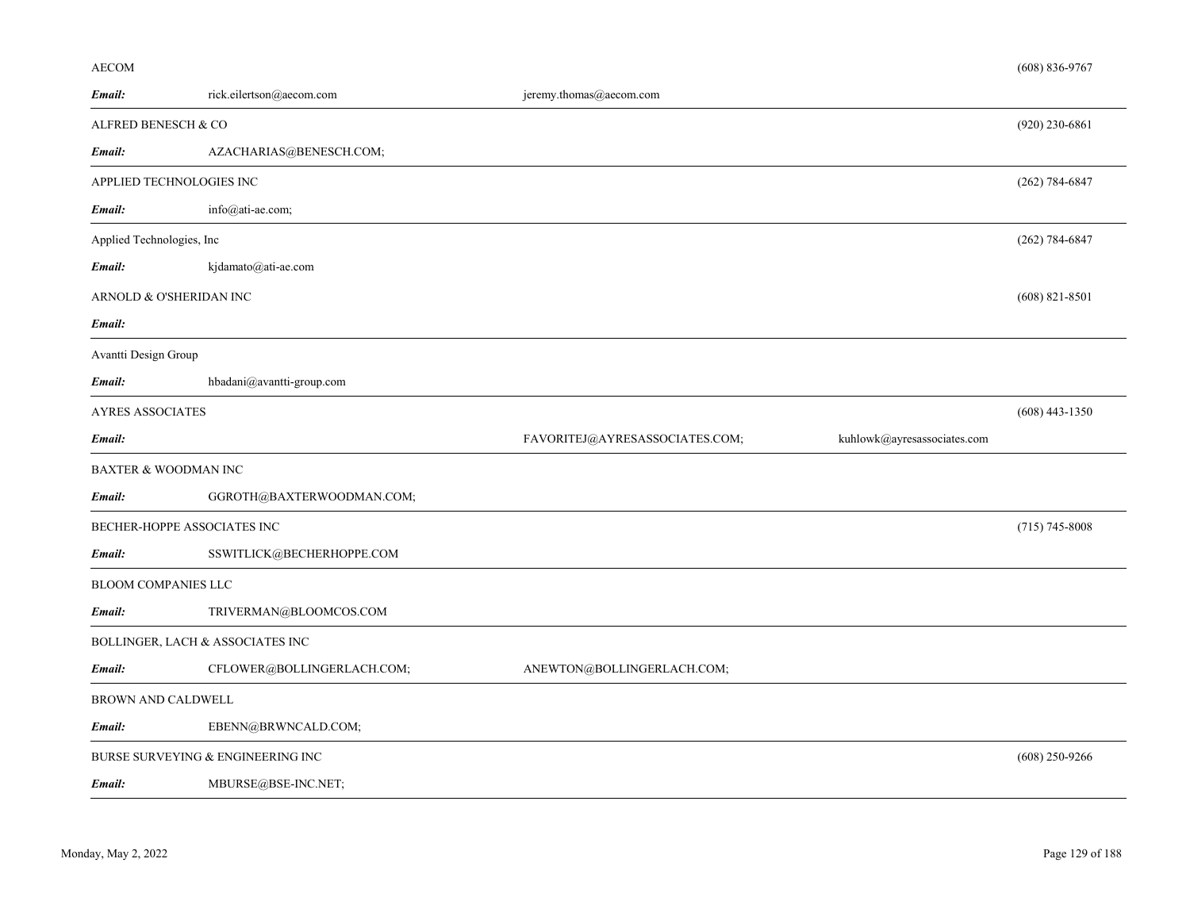# AECOM

| Email:                           | rick.eilertson@aecom.com          | jeremy.thomas@aecom.com        |                             |                    |
|----------------------------------|-----------------------------------|--------------------------------|-----------------------------|--------------------|
| ALFRED BENESCH & CO              |                                   |                                |                             | $(920)$ 230-6861   |
| Email:                           | AZACHARIAS@BENESCH.COM;           |                                |                             |                    |
| APPLIED TECHNOLOGIES INC         |                                   |                                |                             | $(262) 784 - 6847$ |
| Email:                           | info@ati-ae.com;                  |                                |                             |                    |
| Applied Technologies, Inc        |                                   |                                |                             | $(262)$ 784-6847   |
| Email:                           | kjdamato@ati-ae.com               |                                |                             |                    |
| ARNOLD & O'SHERIDAN INC          |                                   |                                |                             | $(608)$ 821-8501   |
| Email:                           |                                   |                                |                             |                    |
| Avantti Design Group             |                                   |                                |                             |                    |
| Email:                           | hbadani@avantti-group.com         |                                |                             |                    |
| <b>AYRES ASSOCIATES</b>          |                                   |                                |                             | $(608)$ 443-1350   |
| Email:                           |                                   | FAVORITEJ@AYRESASSOCIATES.COM; | kuhlowk@ayresassociates.com |                    |
| <b>BAXTER &amp; WOODMAN INC</b>  |                                   |                                |                             |                    |
| Email:                           | GGROTH@BAXTERWOODMAN.COM;         |                                |                             |                    |
| BECHER-HOPPE ASSOCIATES INC      |                                   |                                |                             | $(715)$ 745-8008   |
| Email:                           | SSWITLICK@BECHERHOPPE.COM         |                                |                             |                    |
| <b>BLOOM COMPANIES LLC</b>       |                                   |                                |                             |                    |
| Email:                           | TRIVERMAN@BLOOMCOS.COM            |                                |                             |                    |
| BOLLINGER, LACH & ASSOCIATES INC |                                   |                                |                             |                    |
| Email:                           | CFLOWER@BOLLINGERLACH.COM;        | ANEWTON@BOLLINGERLACH.COM;     |                             |                    |
| <b>BROWN AND CALDWELL</b>        |                                   |                                |                             |                    |
| Email:                           | EBENN@BRWNCALD.COM;               |                                |                             |                    |
|                                  | BURSE SURVEYING & ENGINEERING INC |                                |                             | $(608)$ 250-9266   |
| Email:                           | MBURSE@BSE-INC.NET;               |                                |                             |                    |

(608) 836-9767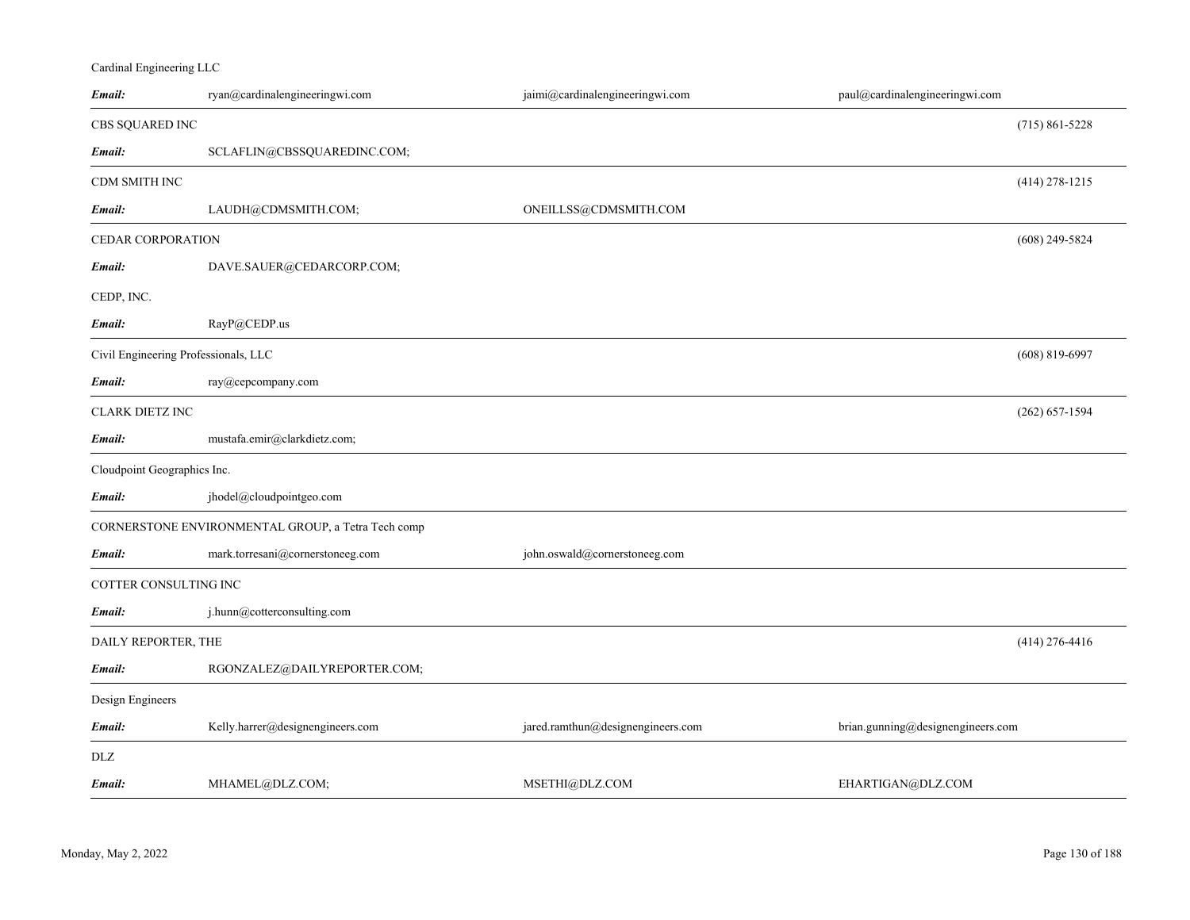# Cardinal Engineering LLC

| Email:                               | ryan@cardinalengineeringwi.com                     | jaimi@cardinalengineeringwi.com   | paul@cardinalengineeringwi.com    |                    |
|--------------------------------------|----------------------------------------------------|-----------------------------------|-----------------------------------|--------------------|
| CBS SQUARED INC                      |                                                    |                                   |                                   | $(715) 861 - 5228$ |
| Email:                               | SCLAFLIN@CBSSQUAREDINC.COM;                        |                                   |                                   |                    |
| CDM SMITH INC                        |                                                    |                                   |                                   | $(414)$ 278-1215   |
| Email:                               | LAUDH@CDMSMITH.COM;                                | ONEILLSS@CDMSMITH.COM             |                                   |                    |
| CEDAR CORPORATION                    |                                                    |                                   |                                   | $(608)$ 249-5824   |
| Email:                               | DAVE.SAUER@CEDARCORP.COM;                          |                                   |                                   |                    |
| CEDP, INC.                           |                                                    |                                   |                                   |                    |
| Email:                               | RayP@CEDP.us                                       |                                   |                                   |                    |
| Civil Engineering Professionals, LLC |                                                    |                                   |                                   | $(608)$ 819-6997   |
| Email:                               | ray@cepcompany.com                                 |                                   |                                   |                    |
| CLARK DIETZ INC                      |                                                    |                                   |                                   | $(262) 657 - 1594$ |
| Email:                               | mustafa.emir@clarkdietz.com;                       |                                   |                                   |                    |
| Cloudpoint Geographics Inc.          |                                                    |                                   |                                   |                    |
| Email:                               | jhodel@cloudpointgeo.com                           |                                   |                                   |                    |
|                                      | CORNERSTONE ENVIRONMENTAL GROUP, a Tetra Tech comp |                                   |                                   |                    |
| Email:                               | mark.torresani@cornerstoneeg.com                   | john.oswald@cornerstoneeg.com     |                                   |                    |
| COTTER CONSULTING INC                |                                                    |                                   |                                   |                    |
| Email:                               | j.hunn@cotterconsulting.com                        |                                   |                                   |                    |
| DAILY REPORTER, THE                  |                                                    |                                   |                                   | $(414)$ 276-4416   |
| Email:                               | RGONZALEZ@DAILYREPORTER.COM;                       |                                   |                                   |                    |
| Design Engineers                     |                                                    |                                   |                                   |                    |
| Email:                               | Kelly.harrer@designengineers.com                   | jared.ramthun@designengineers.com | brian.gunning@designengineers.com |                    |
| DLZ                                  |                                                    |                                   |                                   |                    |
| Email:                               | MHAMEL@DLZ.COM;                                    | MSETHI@DLZ.COM                    | EHARTIGAN@DLZ.COM                 |                    |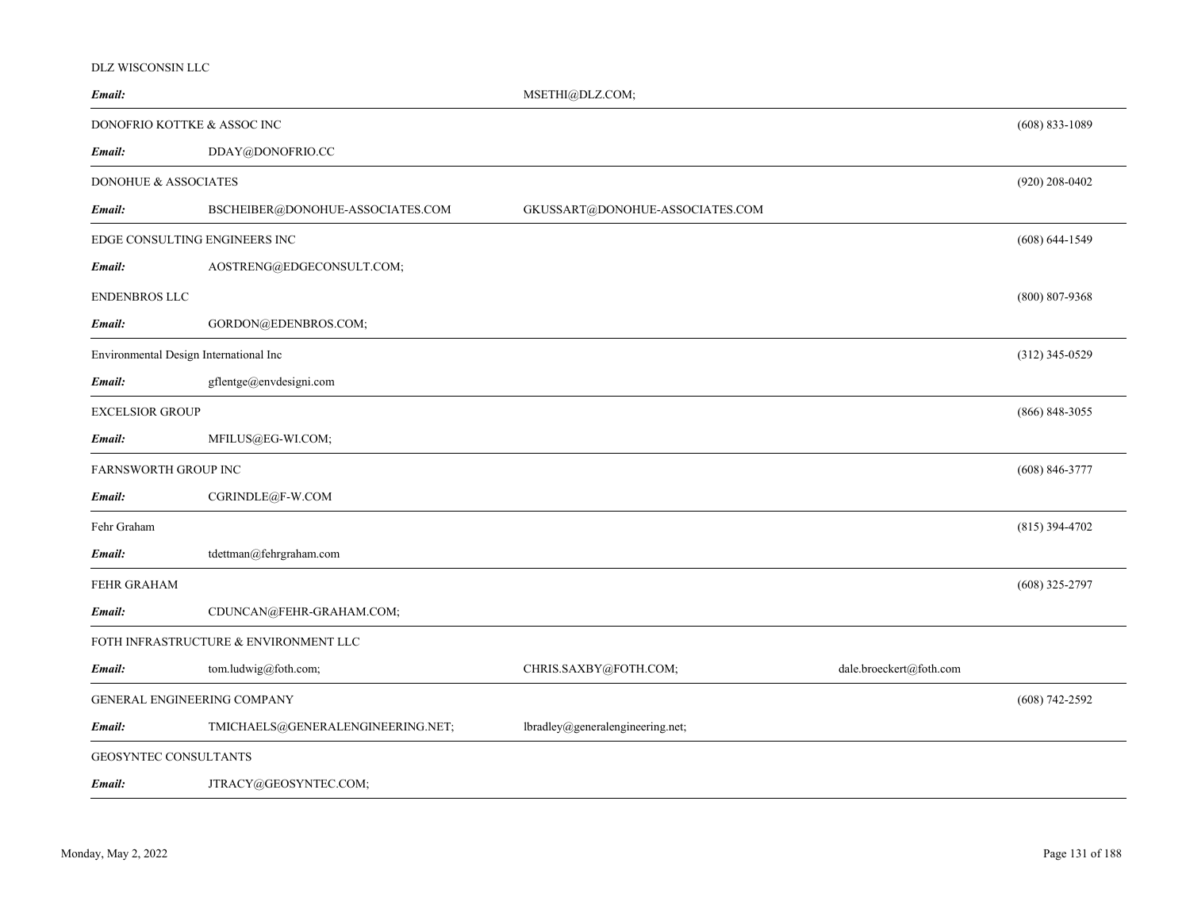#### DLZ WISCONSIN LLC

| Email:                                 |                                       | MSETHI@DLZ.COM;                  |                         |                    |
|----------------------------------------|---------------------------------------|----------------------------------|-------------------------|--------------------|
| DONOFRIO KOTTKE & ASSOC INC            |                                       |                                  |                         | $(608)$ 833-1089   |
| Email:                                 | DDAY@DONOFRIO.CC                      |                                  |                         |                    |
| DONOHUE & ASSOCIATES                   |                                       |                                  |                         | $(920)$ 208-0402   |
| Email:                                 | BSCHEIBER@DONOHUE-ASSOCIATES.COM      | GKUSSART@DONOHUE-ASSOCIATES.COM  |                         |                    |
| EDGE CONSULTING ENGINEERS INC          |                                       |                                  |                         | $(608) 644 - 1549$ |
| Email:                                 | AOSTRENG@EDGECONSULT.COM;             |                                  |                         |                    |
| <b>ENDENBROS LLC</b>                   |                                       |                                  |                         | $(800)$ 807-9368   |
| Email:                                 | GORDON@EDENBROS.COM;                  |                                  |                         |                    |
| Environmental Design International Inc |                                       |                                  |                         | $(312)$ 345-0529   |
| Email:                                 | gflentge@envdesigni.com               |                                  |                         |                    |
| EXCELSIOR GROUP                        |                                       |                                  |                         | $(866)$ 848-3055   |
| Email:                                 | MFILUS@EG-WI.COM;                     |                                  |                         |                    |
| FARNSWORTH GROUP INC                   |                                       |                                  |                         | $(608) 846 - 3777$ |
| Email:                                 | CGRINDLE@F-W.COM                      |                                  |                         |                    |
| Fehr Graham                            |                                       |                                  |                         | $(815)$ 394-4702   |
| Email:                                 | tdettman@fehrgraham.com               |                                  |                         |                    |
| FEHR GRAHAM                            |                                       |                                  |                         | $(608)$ 325-2797   |
| Email:                                 | CDUNCAN@FEHR-GRAHAM.COM;              |                                  |                         |                    |
|                                        | FOTH INFRASTRUCTURE & ENVIRONMENT LLC |                                  |                         |                    |
| Email:                                 | tom.ludwig@foth.com;                  | CHRIS.SAXBY@FOTH.COM;            | dale.broeckert@foth.com |                    |
| GENERAL ENGINEERING COMPANY            |                                       |                                  |                         | $(608)$ 742-2592   |
| Email:                                 | TMICHAELS@GENERALENGINEERING.NET;     | lbradley@generalengineering.net; |                         |                    |
| GEOSYNTEC CONSULTANTS                  |                                       |                                  |                         |                    |
| Email:                                 | JTRACY@GEOSYNTEC.COM;                 |                                  |                         |                    |
|                                        |                                       |                                  |                         |                    |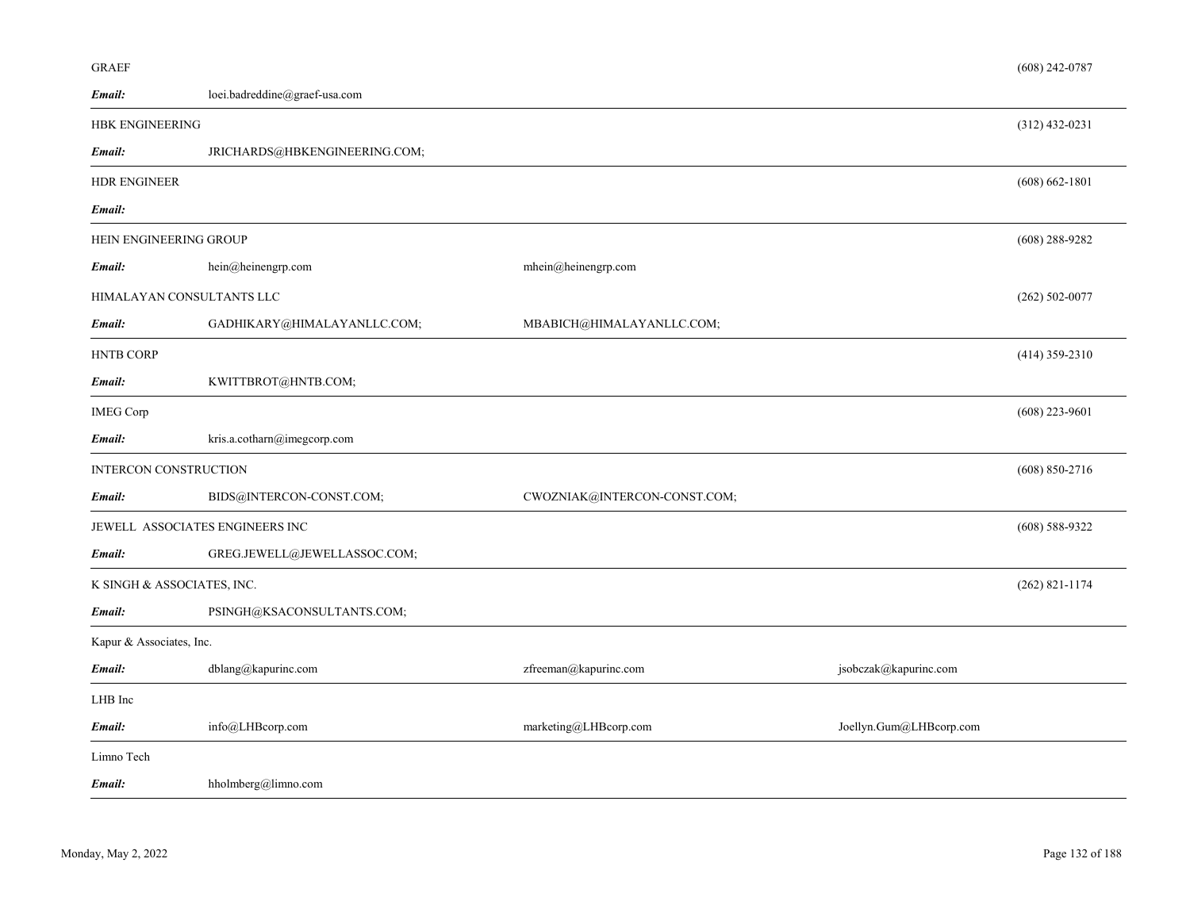| <b>GRAEF</b>                  |                                 |                              |                         | $(608)$ 242-0787   |
|-------------------------------|---------------------------------|------------------------------|-------------------------|--------------------|
| Email:                        | loei.badreddine@graef-usa.com   |                              |                         |                    |
| <b>HBK ENGINEERING</b>        |                                 |                              |                         | $(312)$ 432-0231   |
| Email:                        | JRICHARDS@HBKENGINEERING.COM;   |                              |                         |                    |
| <b>HDR ENGINEER</b>           |                                 |                              |                         | $(608) 662 - 1801$ |
| Email:                        |                                 |                              |                         |                    |
| <b>HEIN ENGINEERING GROUP</b> |                                 |                              |                         | $(608)$ 288-9282   |
| Email:                        | hein@heinengrp.com              | mhein@heinengrp.com          |                         |                    |
| HIMALAYAN CONSULTANTS LLC     |                                 |                              |                         | $(262) 502 - 0077$ |
| Email:                        | GADHIKARY@HIMALAYANLLC.COM;     | MBABICH@HIMALAYANLLC.COM;    |                         |                    |
| <b>HNTB CORP</b>              |                                 |                              |                         | $(414)$ 359-2310   |
| Email:                        | KWITTBROT@HNTB.COM;             |                              |                         |                    |
| <b>IMEG Corp</b>              |                                 |                              |                         | $(608)$ 223-9601   |
| Email:                        | kris.a.cotharn@imegcorp.com     |                              |                         |                    |
| INTERCON CONSTRUCTION         |                                 |                              |                         | $(608) 850 - 2716$ |
| Email:                        | BIDS@INTERCON-CONST.COM;        | CWOZNIAK@INTERCON-CONST.COM; |                         |                    |
|                               | JEWELL ASSOCIATES ENGINEERS INC |                              |                         | $(608) 588 - 9322$ |
| Email:                        | GREG.JEWELL@JEWELLASSOC.COM;    |                              |                         |                    |
| K SINGH & ASSOCIATES, INC.    |                                 |                              |                         | $(262)$ 821-1174   |
| Email:                        | PSINGH@KSACONSULTANTS.COM;      |                              |                         |                    |
| Kapur & Associates, Inc.      |                                 |                              |                         |                    |
| Email:                        | dblang@kapurinc.com             | zfreeman@kapurinc.com        | jsobczak@kapurinc.com   |                    |
| LHB Inc                       |                                 |                              |                         |                    |
| Email:                        | info@LHBcorp.com                | marketing@LHBcorp.com        | Joellyn.Gum@LHBcorp.com |                    |
| Limno Tech                    |                                 |                              |                         |                    |
| Email:                        | hholmberg@limno.com             |                              |                         |                    |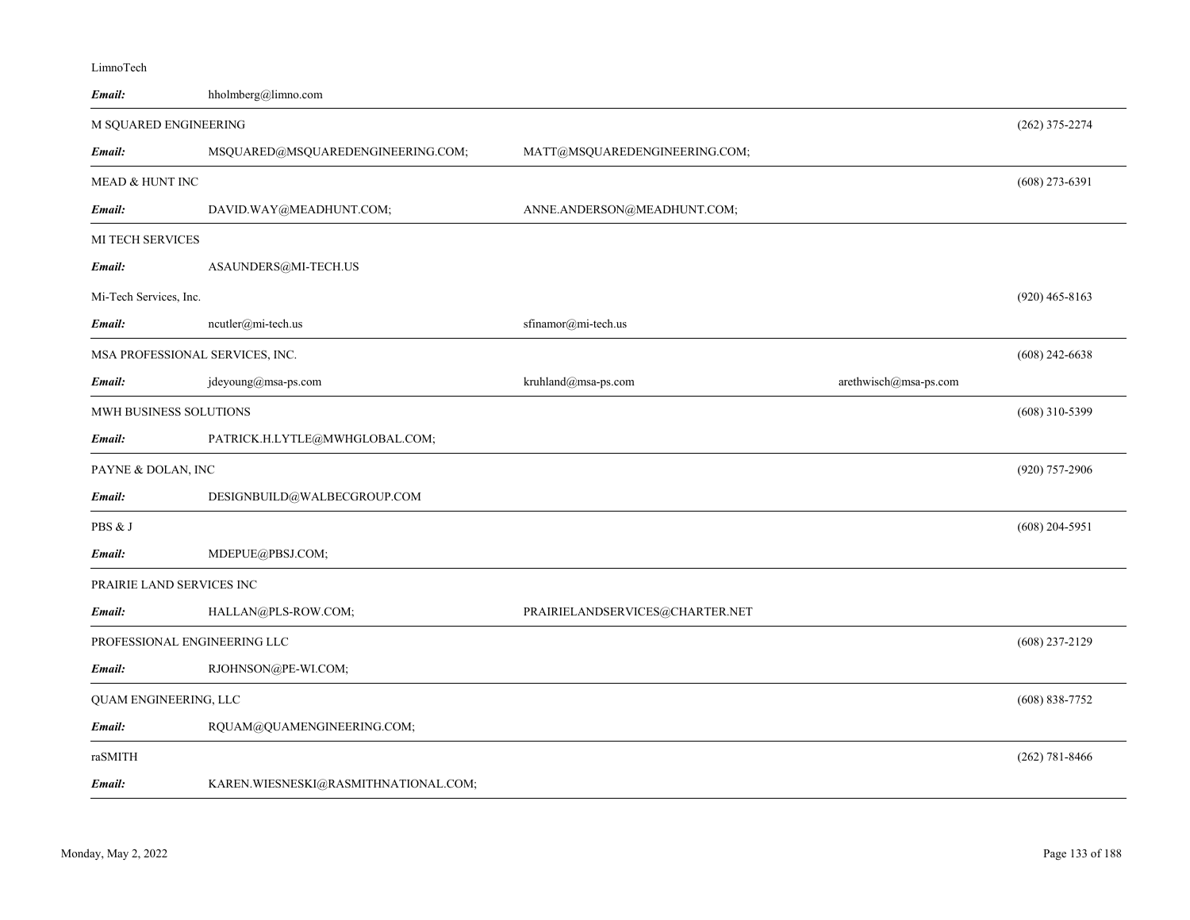| Email:                          | hholmberg@limno.com                  |                                 |                       |                    |
|---------------------------------|--------------------------------------|---------------------------------|-----------------------|--------------------|
| M SQUARED ENGINEERING           |                                      |                                 |                       | $(262)$ 375-2274   |
| Email:                          | MSQUARED@MSQUAREDENGINEERING.COM;    | MATT@MSQUAREDENGINEERING.COM;   |                       |                    |
| MEAD & HUNT INC                 |                                      |                                 |                       | $(608)$ 273-6391   |
| Email:                          | DAVID.WAY@MEADHUNT.COM;              | ANNE.ANDERSON@MEADHUNT.COM;     |                       |                    |
| MI TECH SERVICES                |                                      |                                 |                       |                    |
| Email:                          | ASAUNDERS@MI-TECH.US                 |                                 |                       |                    |
| Mi-Tech Services, Inc.          |                                      |                                 |                       | $(920)$ 465-8163   |
| Email:                          | ncutler@mi-tech.us                   | sfinamor@mi-tech.us             |                       |                    |
| MSA PROFESSIONAL SERVICES, INC. |                                      |                                 |                       | $(608)$ 242-6638   |
| Email:                          | jdeyoung@msa-ps.com                  | kruhland@msa-ps.com             | arethwisch@msa-ps.com |                    |
| MWH BUSINESS SOLUTIONS          |                                      |                                 |                       | $(608)$ 310-5399   |
| Email:                          | PATRICK.H.LYTLE@MWHGLOBAL.COM;       |                                 |                       |                    |
| PAYNE & DOLAN, INC              |                                      |                                 |                       | $(920)$ 757-2906   |
| Email:                          | DESIGNBUILD@WALBECGROUP.COM          |                                 |                       |                    |
| PBS & J                         |                                      |                                 |                       | $(608)$ 204-5951   |
| Email:                          | MDEPUE@PBSJ.COM;                     |                                 |                       |                    |
| PRAIRIE LAND SERVICES INC       |                                      |                                 |                       |                    |
| Email:                          | HALLAN@PLS-ROW.COM;                  | PRAIRIELANDSERVICES@CHARTER.NET |                       |                    |
| PROFESSIONAL ENGINEERING LLC    |                                      |                                 |                       | $(608)$ 237-2129   |
| Email:                          | RJOHNSON@PE-WI.COM;                  |                                 |                       |                    |
| QUAM ENGINEERING, LLC           |                                      |                                 |                       | $(608) 838 - 7752$ |
| Email:                          | RQUAM@QUAMENGINEERING.COM;           |                                 |                       |                    |
| raSMITH                         |                                      |                                 |                       | $(262) 781 - 8466$ |
| Email:                          | KAREN.WIESNESKI@RASMITHNATIONAL.COM; |                                 |                       |                    |

LimnoTech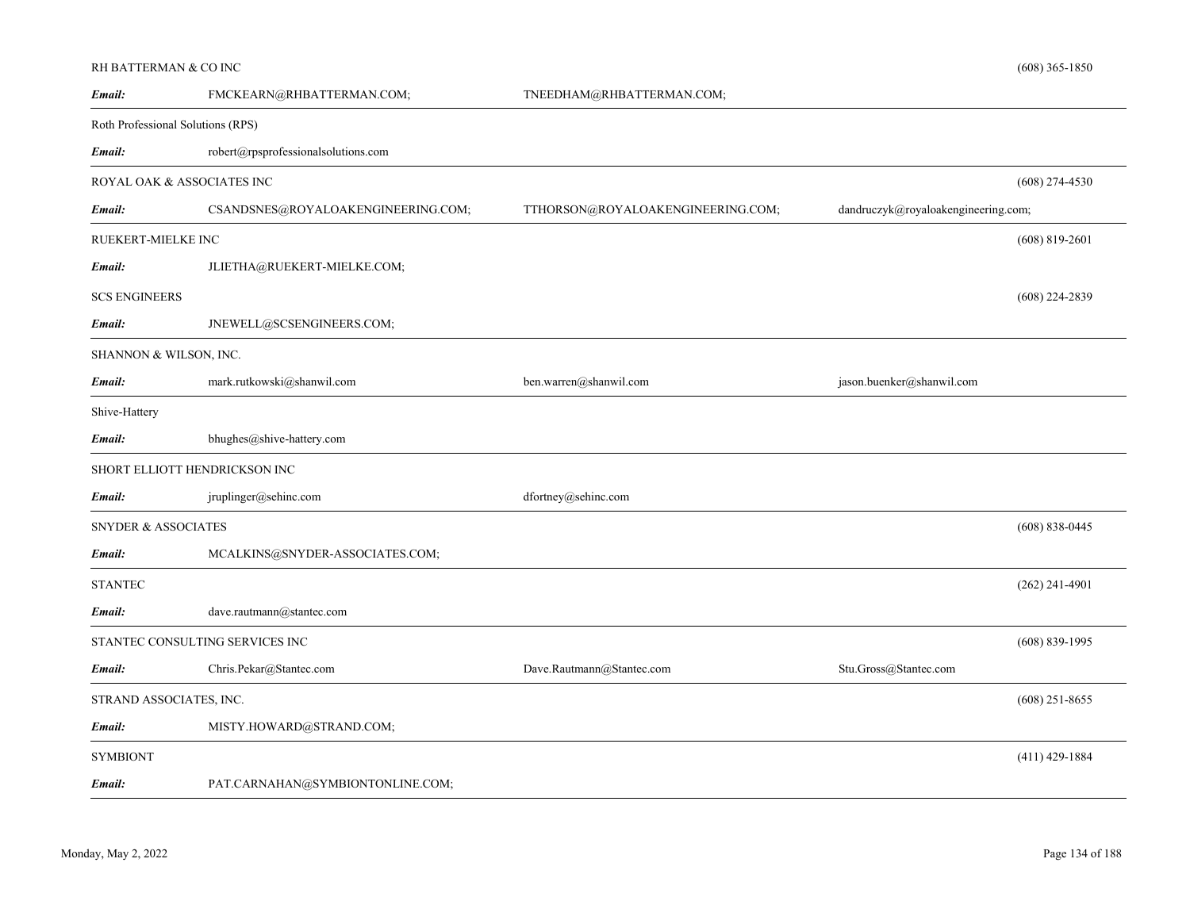# RH BATTERMAN & CO INC

| FMCKEARN@RHBATTERMAN.COM;           | TNEEDHAM@RHBATTERMAN.COM;         |                                     |                    |
|-------------------------------------|-----------------------------------|-------------------------------------|--------------------|
| Roth Professional Solutions (RPS)   |                                   |                                     |                    |
| robert@rpsprofessionalsolutions.com |                                   |                                     |                    |
| ROYAL OAK & ASSOCIATES INC          |                                   |                                     | $(608)$ 274-4530   |
| CSANDSNES@ROYALOAKENGINEERING.COM;  | TTHORSON@ROYALOAKENGINEERING.COM; | dandruczyk@royaloakengineering.com; |                    |
| RUEKERT-MIELKE INC                  |                                   |                                     | $(608)$ 819-2601   |
| JLIETHA@RUEKERT-MIELKE.COM;         |                                   |                                     |                    |
|                                     |                                   |                                     | $(608)$ 224-2839   |
| JNEWELL@SCSENGINEERS.COM;           |                                   |                                     |                    |
| SHANNON & WILSON, INC.              |                                   |                                     |                    |
| mark.rutkowski@shanwil.com          | ben.warren@shanwil.com            | jason.buenker@shanwil.com           |                    |
|                                     |                                   |                                     |                    |
| bhughes@shive-hattery.com           |                                   |                                     |                    |
| SHORT ELLIOTT HENDRICKSON INC       |                                   |                                     |                    |
| jruplinger@sehinc.com               | dfortney@sehinc.com               |                                     |                    |
| <b>SNYDER &amp; ASSOCIATES</b>      |                                   |                                     | $(608) 838 - 0445$ |
| MCALKINS@SNYDER-ASSOCIATES.COM;     |                                   |                                     |                    |
|                                     |                                   |                                     | $(262)$ 241-4901   |
| dave.rautmann@stantec.com           |                                   |                                     |                    |
| STANTEC CONSULTING SERVICES INC     |                                   |                                     | $(608) 839 - 1995$ |
| Chris.Pekar@Stantec.com             | Dave.Rautmann@Stantec.com         | Stu.Gross@Stantec.com               |                    |
| STRAND ASSOCIATES, INC.             |                                   |                                     | $(608)$ 251-8655   |
| MISTY.HOWARD@STRAND.COM;            |                                   |                                     |                    |
|                                     |                                   |                                     | $(411)$ 429-1884   |
| PAT.CARNAHAN@SYMBIONTONLINE.COM;    |                                   |                                     |                    |
|                                     |                                   |                                     |                    |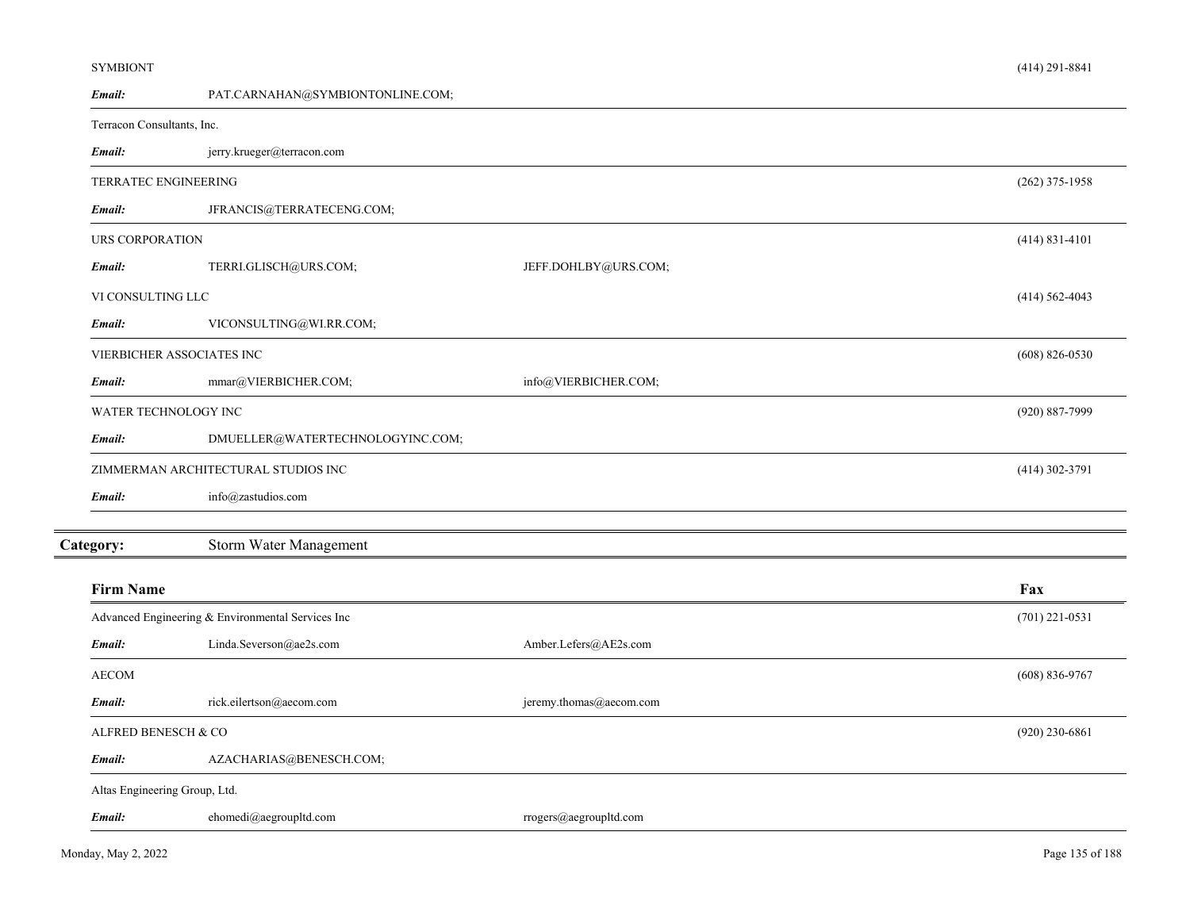| <b>SYMBIONT</b>               |                                                   |                         | $(414)$ 291-8841   |
|-------------------------------|---------------------------------------------------|-------------------------|--------------------|
| Email:                        | PAT.CARNAHAN@SYMBIONTONLINE.COM;                  |                         |                    |
| Terracon Consultants, Inc.    |                                                   |                         |                    |
| Email:                        | jerry.krueger@terracon.com                        |                         |                    |
| TERRATEC ENGINEERING          |                                                   |                         | $(262)$ 375-1958   |
| Email:                        | JFRANCIS@TERRATECENG.COM;                         |                         |                    |
| URS CORPORATION               |                                                   |                         | $(414)$ 831-4101   |
| Email:                        | TERRI.GLISCH@URS.COM;                             | JEFF.DOHLBY@URS.COM;    |                    |
| VI CONSULTING LLC             |                                                   |                         | $(414)$ 562-4043   |
| Email:                        | VICONSULTING@WI.RR.COM;                           |                         |                    |
|                               | VIERBICHER ASSOCIATES INC                         |                         | $(608)$ 826-0530   |
| Email:                        | mmar@VIERBICHER.COM;                              | info@VIERBICHER.COM;    |                    |
| WATER TECHNOLOGY INC          |                                                   |                         | $(920) 887 - 7999$ |
| Email:                        | DMUELLER@WATERTECHNOLOGYINC.COM;                  |                         |                    |
|                               | ZIMMERMAN ARCHITECTURAL STUDIOS INC               |                         | $(414)$ 302-3791   |
| Email:                        | info@zastudios.com                                |                         |                    |
| Category:                     | Storm Water Management                            |                         |                    |
| <b>Firm Name</b>              |                                                   |                         | Fax                |
|                               | Advanced Engineering & Environmental Services Inc |                         | $(701)$ 221-0531   |
| Email:                        | Linda.Severson@ae2s.com                           | Amber.Lefers@AE2s.com   |                    |
| <b>AECOM</b>                  |                                                   |                         | $(608)$ 836-9767   |
| Email:                        | rick.eilertson@aecom.com                          | jeremy.thomas@aecom.com |                    |
| ALFRED BENESCH & CO           |                                                   |                         | $(920)$ 230-6861   |
| Email:                        | AZACHARIAS@BENESCH.COM;                           |                         |                    |
| Altas Engineering Group, Ltd. |                                                   |                         |                    |
| Email:                        | ehomedi@aegroupltd.com                            | rrogers@aegroupltd.com  |                    |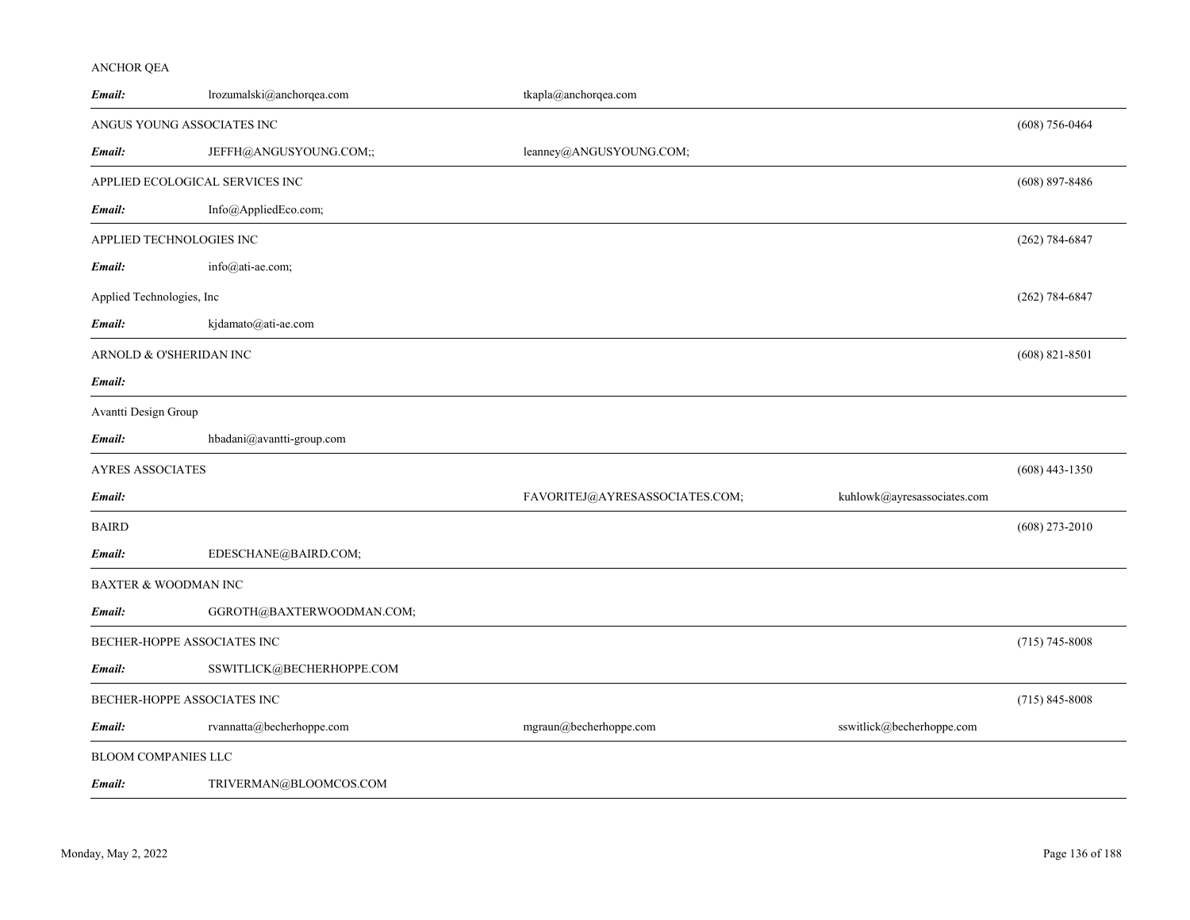# ANCHOR QEA

| Email:                          | lrozumalski@anchorqea.com | tkapla@anchorqea.com           |                             |                    |
|---------------------------------|---------------------------|--------------------------------|-----------------------------|--------------------|
| ANGUS YOUNG ASSOCIATES INC      |                           |                                |                             | $(608) 756 - 0464$ |
| Email:                          | JEFFH@ANGUSYOUNG.COM;;    | leanney@ANGUSYOUNG.COM;        |                             |                    |
| APPLIED ECOLOGICAL SERVICES INC |                           |                                |                             | $(608)$ 897-8486   |
| Email:                          | Info@AppliedEco.com;      |                                |                             |                    |
| APPLIED TECHNOLOGIES INC        |                           |                                |                             | $(262) 784 - 6847$ |
| Email:                          | $info@ati$ -ae.com;       |                                |                             |                    |
| Applied Technologies, Inc       |                           |                                |                             | $(262)$ 784-6847   |
| Email:                          | kjdamato@ati-ae.com       |                                |                             |                    |
| ARNOLD & O'SHERIDAN INC         |                           |                                |                             | $(608)$ 821-8501   |
| Email:                          |                           |                                |                             |                    |
| Avantti Design Group            |                           |                                |                             |                    |
| Email:                          | hbadani@avantti-group.com |                                |                             |                    |
| <b>AYRES ASSOCIATES</b>         |                           |                                |                             | $(608)$ 443-1350   |
| Email:                          |                           | FAVORITEJ@AYRESASSOCIATES.COM; | kuhlowk@ayresassociates.com |                    |
| <b>BAIRD</b>                    |                           |                                |                             | $(608)$ 273-2010   |
| Email:                          | EDESCHANE@BAIRD.COM;      |                                |                             |                    |
| BAXTER & WOODMAN INC            |                           |                                |                             |                    |
| Email:                          | GGROTH@BAXTERWOODMAN.COM; |                                |                             |                    |
| BECHER-HOPPE ASSOCIATES INC     |                           |                                |                             | $(715)$ 745-8008   |
| Email:                          | SSWITLICK@BECHERHOPPE.COM |                                |                             |                    |
| BECHER-HOPPE ASSOCIATES INC     |                           |                                |                             | $(715) 845 - 8008$ |
| Email:                          | rvannatta@becherhoppe.com | mgraun@becherhoppe.com         | sswitlick@becherhoppe.com   |                    |
| BLOOM COMPANIES LLC             |                           |                                |                             |                    |
| Email:                          | TRIVERMAN@BLOOMCOS.COM    |                                |                             |                    |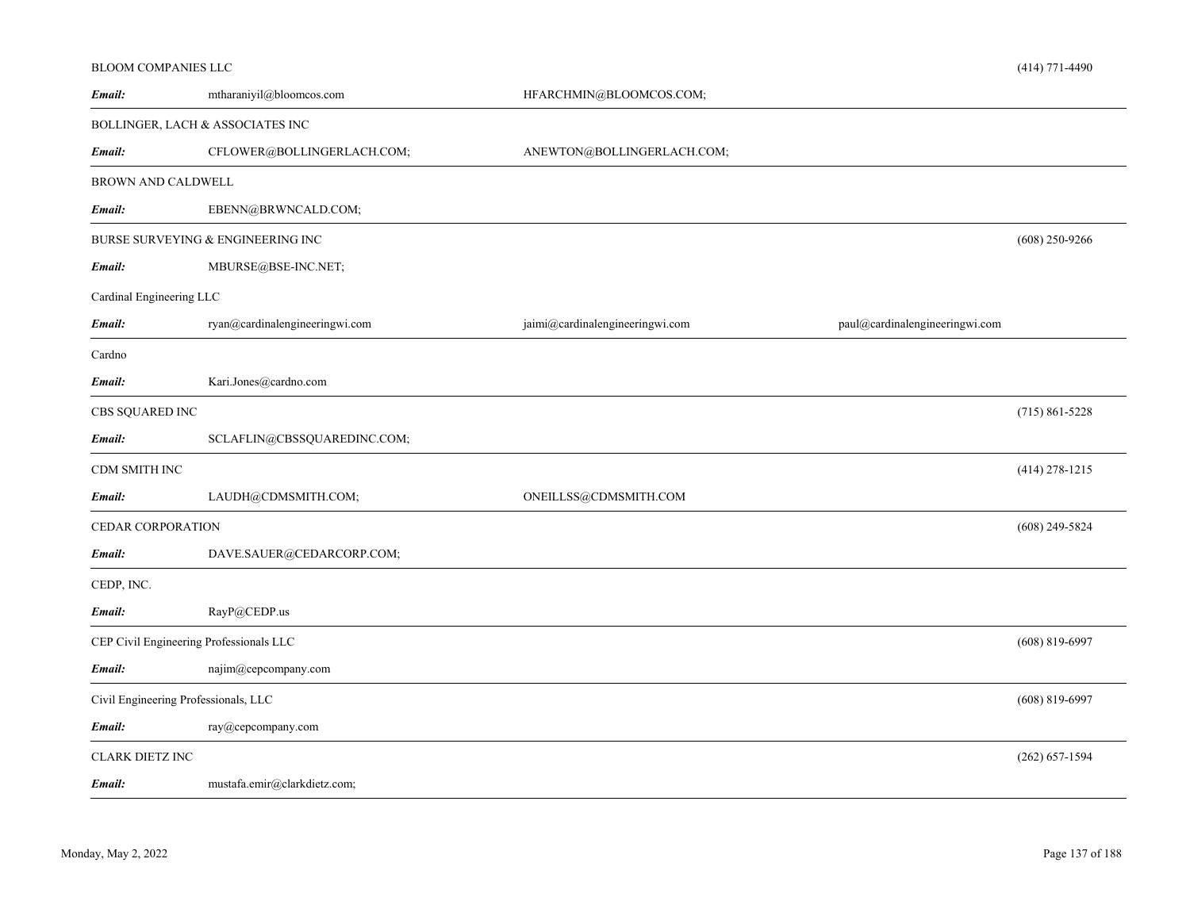|                          | BLOOM COMPANIES LLC                     |                                 |                                | $(414)$ 771-4490   |
|--------------------------|-----------------------------------------|---------------------------------|--------------------------------|--------------------|
| Email:                   | mtharaniyil@bloomcos.com                | HFARCHMIN@BLOOMCOS.COM;         |                                |                    |
|                          | BOLLINGER, LACH & ASSOCIATES INC        |                                 |                                |                    |
| Email:                   | CFLOWER@BOLLINGERLACH.COM;              | ANEWTON@BOLLINGERLACH.COM;      |                                |                    |
| BROWN AND CALDWELL       |                                         |                                 |                                |                    |
| Email:                   | EBENN@BRWNCALD.COM;                     |                                 |                                |                    |
|                          | BURSE SURVEYING $\&$ ENGINEERING INC    |                                 |                                | $(608)$ 250-9266   |
| Email:                   | MBURSE@BSE-INC.NET;                     |                                 |                                |                    |
| Cardinal Engineering LLC |                                         |                                 |                                |                    |
| Email:                   | ryan@cardinalengineeringwi.com          | jaimi@cardinalengineeringwi.com | paul@cardinalengineeringwi.com |                    |
| Cardno                   |                                         |                                 |                                |                    |
| Email:                   | Kari.Jones@cardno.com                   |                                 |                                |                    |
| CBS SQUARED INC          |                                         |                                 |                                | $(715) 861 - 5228$ |
| Email:                   | SCLAFLIN@CBSSQUAREDINC.COM;             |                                 |                                |                    |
| CDM SMITH INC            |                                         |                                 |                                | $(414)$ 278-1215   |
| Email:                   | LAUDH@CDMSMITH.COM;                     | ONEILLSS@CDMSMITH.COM           |                                |                    |
| CEDAR CORPORATION        |                                         |                                 |                                | $(608)$ 249-5824   |
| Email:                   | DAVE.SAUER@CEDARCORP.COM;               |                                 |                                |                    |
| CEDP, INC.               |                                         |                                 |                                |                    |
| Email:                   | RayP@CEDP.us                            |                                 |                                |                    |
|                          | CEP Civil Engineering Professionals LLC |                                 |                                | $(608) 819 - 6997$ |
| Email:                   | najim@cepcompany.com                    |                                 |                                |                    |
|                          | Civil Engineering Professionals, LLC    |                                 |                                | $(608) 819 - 6997$ |
| Email:                   | ray@cepcompany.com                      |                                 |                                |                    |
| <b>CLARK DIETZ INC</b>   |                                         |                                 |                                | $(262) 657 - 1594$ |
| Email:                   | mustafa.emir@clarkdietz.com;            |                                 |                                |                    |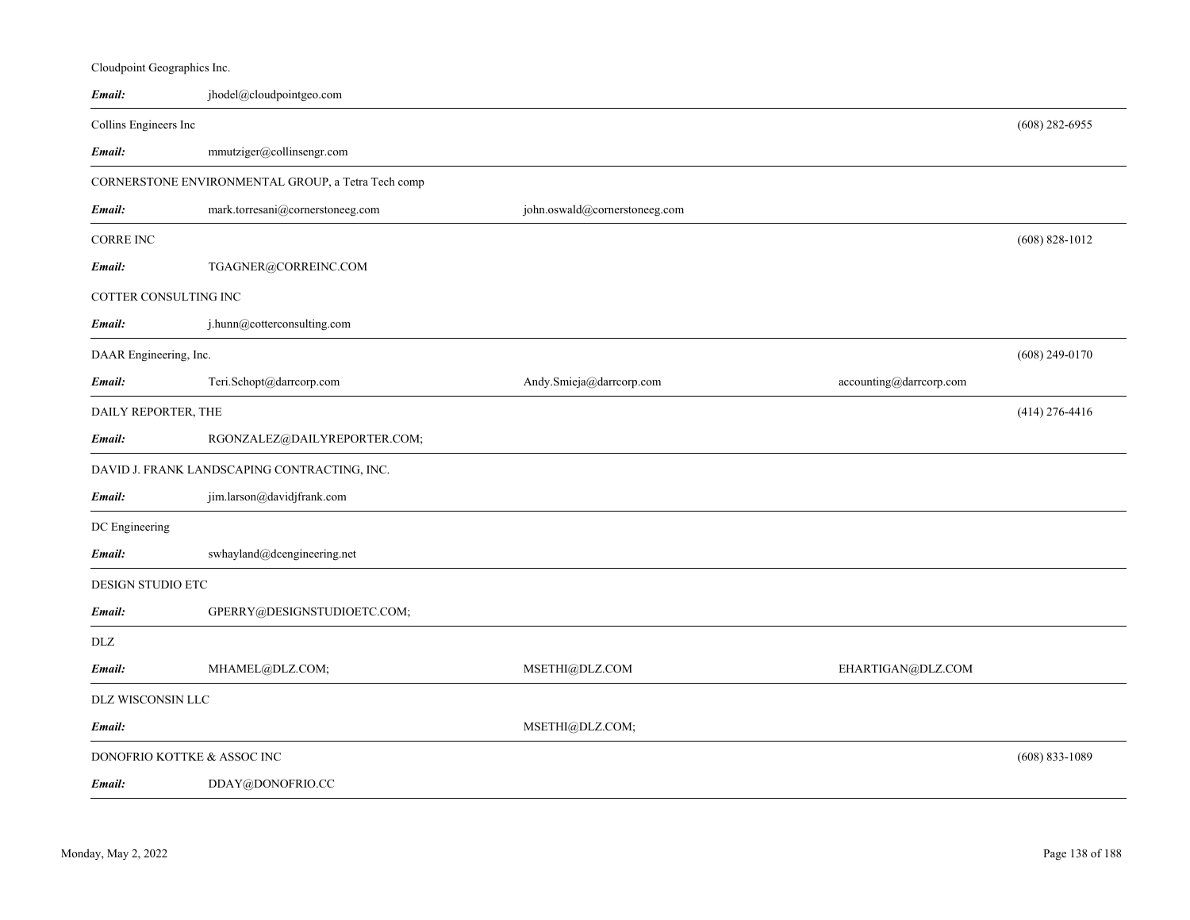| Email:                      | jhodel@cloudpointgeo.com                           |                               |                         |                    |
|-----------------------------|----------------------------------------------------|-------------------------------|-------------------------|--------------------|
| Collins Engineers Inc       |                                                    |                               |                         | $(608)$ 282-6955   |
| Email:                      | mmutziger@collinsengr.com                          |                               |                         |                    |
|                             | CORNERSTONE ENVIRONMENTAL GROUP, a Tetra Tech comp |                               |                         |                    |
| Email:                      | mark.torresani@cornerstoneeg.com                   | john.oswald@cornerstoneeg.com |                         |                    |
| <b>CORRE INC</b>            |                                                    |                               |                         | $(608) 828 - 1012$ |
| Email:                      | TGAGNER@CORREINC.COM                               |                               |                         |                    |
| COTTER CONSULTING INC       |                                                    |                               |                         |                    |
| Email:                      | j.hunn@cotterconsulting.com                        |                               |                         |                    |
| DAAR Engineering, Inc.      |                                                    |                               |                         | $(608)$ 249-0170   |
| Email:                      | Teri.Schopt@darrcorp.com                           | Andy.Smieja@darrcorp.com      | accounting@darrcorp.com |                    |
| DAILY REPORTER, THE         |                                                    |                               |                         | $(414)$ 276-4416   |
| Email:                      | RGONZALEZ@DAILYREPORTER.COM;                       |                               |                         |                    |
|                             | DAVID J. FRANK LANDSCAPING CONTRACTING, INC.       |                               |                         |                    |
| Email:                      | jim.larson@davidjfrank.com                         |                               |                         |                    |
| DC Engineering              |                                                    |                               |                         |                    |
| Email:                      | swhayland@dcengineering.net                        |                               |                         |                    |
| DESIGN STUDIO ETC           |                                                    |                               |                         |                    |
| Email:                      | GPERRY@DESIGNSTUDIOETC.COM;                        |                               |                         |                    |
| DLZ                         |                                                    |                               |                         |                    |
| Email:                      | MHAMEL@DLZ.COM;                                    | MSETHI@DLZ.COM                | EHARTIGAN@DLZ.COM       |                    |
| DLZ WISCONSIN LLC           |                                                    |                               |                         |                    |
| Email:                      |                                                    | MSETHI@DLZ.COM;               |                         |                    |
| DONOFRIO KOTTKE & ASSOC INC |                                                    |                               |                         | $(608) 833 - 1089$ |
| Email:                      | DDAY@DONOFRIO.CC                                   |                               |                         |                    |

Cloudpoint Geographics Inc.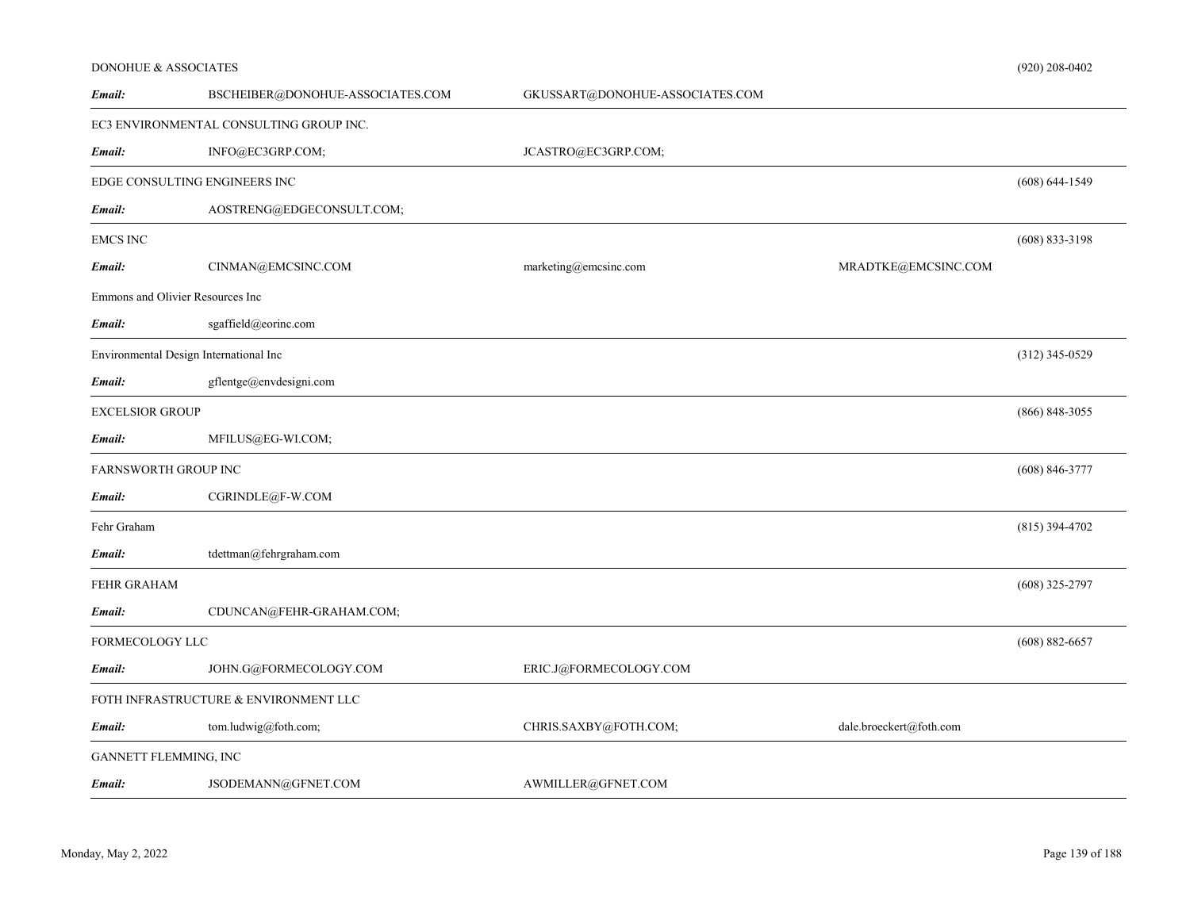# DONOHUE & ASSOCIATES

| Email:                       | BSCHEIBER@DONOHUE-ASSOCIATES.COM        | GKUSSART@DONOHUE-ASSOCIATES.COM |                         |                    |
|------------------------------|-----------------------------------------|---------------------------------|-------------------------|--------------------|
|                              | EC3 ENVIRONMENTAL CONSULTING GROUP INC. |                                 |                         |                    |
| Email:                       | INFO@EC3GRP.COM;                        | JCASTRO@EC3GRP.COM;             |                         |                    |
|                              | EDGE CONSULTING ENGINEERS INC           |                                 |                         | $(608) 644 - 1549$ |
| Email:                       | AOSTRENG@EDGECONSULT.COM;               |                                 |                         |                    |
| <b>EMCS INC</b>              |                                         |                                 |                         | $(608)$ 833-3198   |
| Email:                       | CINMAN@EMCSINC.COM                      | marketing@emcsinc.com           | MRADTKE@EMCSINC.COM     |                    |
|                              | Emmons and Olivier Resources Inc        |                                 |                         |                    |
| Email:                       | sgaffield@eorinc.com                    |                                 |                         |                    |
|                              | Environmental Design International Inc  |                                 |                         | $(312)$ 345-0529   |
| Email:                       | gflentge@envdesigni.com                 |                                 |                         |                    |
| <b>EXCELSIOR GROUP</b>       |                                         |                                 |                         | $(866) 848 - 3055$ |
| Email:                       | MFILUS@EG-WI.COM;                       |                                 |                         |                    |
| FARNSWORTH GROUP INC         |                                         |                                 |                         | $(608) 846 - 3777$ |
| Email:                       | CGRINDLE@F-W.COM                        |                                 |                         |                    |
| Fehr Graham                  |                                         |                                 |                         | $(815)$ 394-4702   |
| Email:                       | tdettman@fehrgraham.com                 |                                 |                         |                    |
| FEHR GRAHAM                  |                                         |                                 |                         | $(608)$ 325-2797   |
| Email:                       | CDUNCAN@FEHR-GRAHAM.COM;                |                                 |                         |                    |
| FORMECOLOGY LLC              |                                         |                                 |                         | $(608) 882 - 6657$ |
| Email:                       | JOHN.G@FORMECOLOGY.COM                  | ERIC.J@FORMECOLOGY.COM          |                         |                    |
|                              | FOTH INFRASTRUCTURE & ENVIRONMENT LLC   |                                 |                         |                    |
| Email:                       | tom.ludwig@foth.com;                    | CHRIS.SAXBY@FOTH.COM;           | dale.broeckert@foth.com |                    |
| <b>GANNETT FLEMMING, INC</b> |                                         |                                 |                         |                    |
| Email:                       | JSODEMANN@GFNET.COM                     | AWMILLER@GFNET.COM              |                         |                    |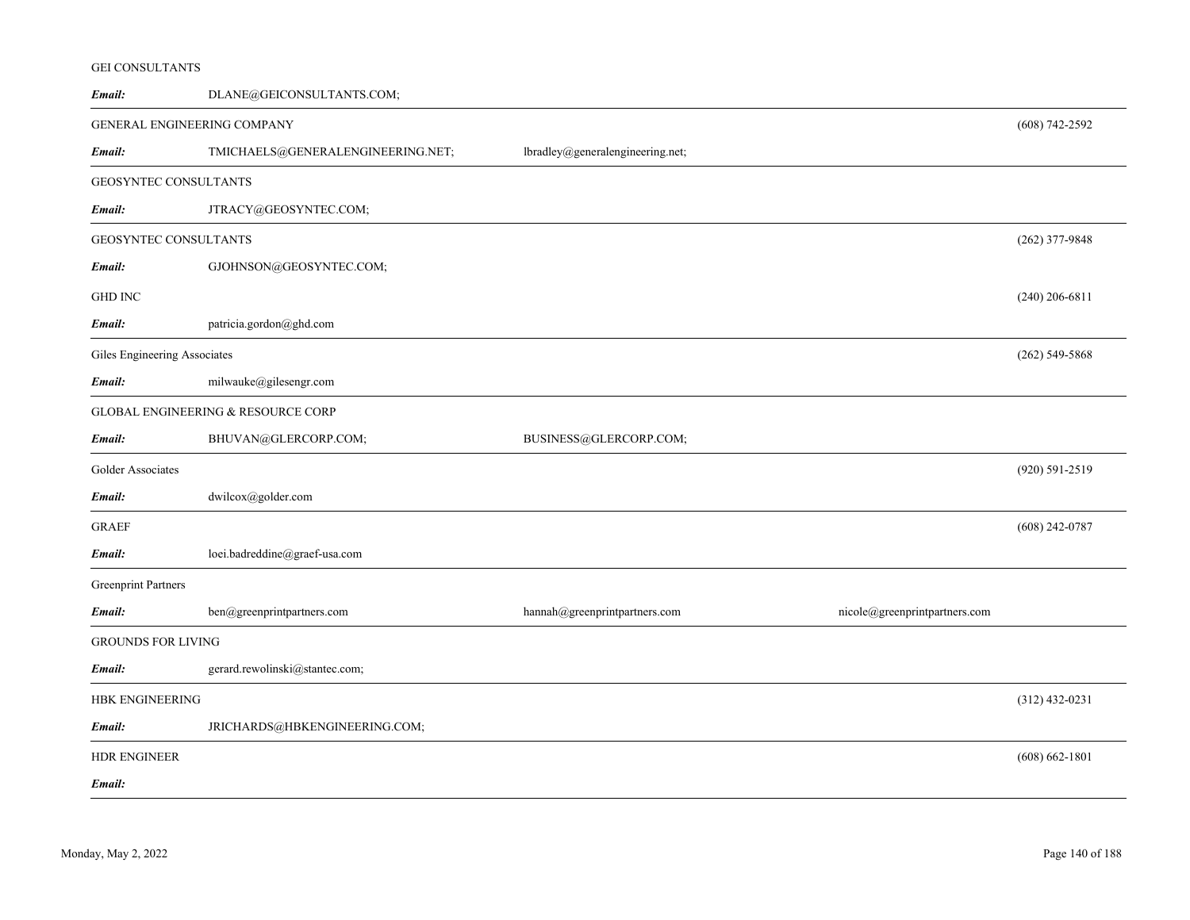# GEI CONSULTANTS

| Email:                       | DLANE@GEICONSULTANTS.COM;          |                                  |                               |                    |
|------------------------------|------------------------------------|----------------------------------|-------------------------------|--------------------|
|                              | <b>GENERAL ENGINEERING COMPANY</b> |                                  |                               | $(608) 742 - 2592$ |
| Email:                       | TMICHAELS@GENERALENGINEERING.NET;  | lbradley@generalengineering.net; |                               |                    |
| GEOSYNTEC CONSULTANTS        |                                    |                                  |                               |                    |
| Email:                       | JTRACY@GEOSYNTEC.COM;              |                                  |                               |                    |
| GEOSYNTEC CONSULTANTS        |                                    |                                  |                               | (262) 377-9848     |
| Email:                       | GJOHNSON@GEOSYNTEC.COM;            |                                  |                               |                    |
| <b>GHD INC</b>               |                                    |                                  |                               | $(240)$ 206-6811   |
| Email:                       | patricia.gordon@ghd.com            |                                  |                               |                    |
| Giles Engineering Associates |                                    |                                  |                               | $(262)$ 549-5868   |
| Email:                       | milwauke@gilesengr.com             |                                  |                               |                    |
|                              | GLOBAL ENGINEERING & RESOURCE CORP |                                  |                               |                    |
| Email:                       | BHUVAN@GLERCORP.COM;               | BUSINESS@GLERCORP.COM;           |                               |                    |
| Golder Associates            |                                    |                                  |                               | (920) 591-2519     |
| Email:                       | dwilcox@golder.com                 |                                  |                               |                    |
| <b>GRAEF</b>                 |                                    |                                  |                               | $(608)$ 242-0787   |
| Email:                       | loei.badreddine@graef-usa.com      |                                  |                               |                    |
| <b>Greenprint Partners</b>   |                                    |                                  |                               |                    |
| Email:                       | ben@greenprintpartners.com         | hannah@greenprintpartners.com    | nicole@greenprintpartners.com |                    |
| <b>GROUNDS FOR LIVING</b>    |                                    |                                  |                               |                    |
| Email:                       | gerard.rewolinski@stantec.com;     |                                  |                               |                    |
| <b>HBK ENGINEERING</b>       |                                    |                                  |                               | $(312)$ 432-0231   |
| Email:                       | JRICHARDS@HBKENGINEERING.COM;      |                                  |                               |                    |
| <b>HDR ENGINEER</b>          |                                    |                                  |                               | $(608) 662 - 1801$ |
| Email:                       |                                    |                                  |                               |                    |
|                              |                                    |                                  |                               |                    |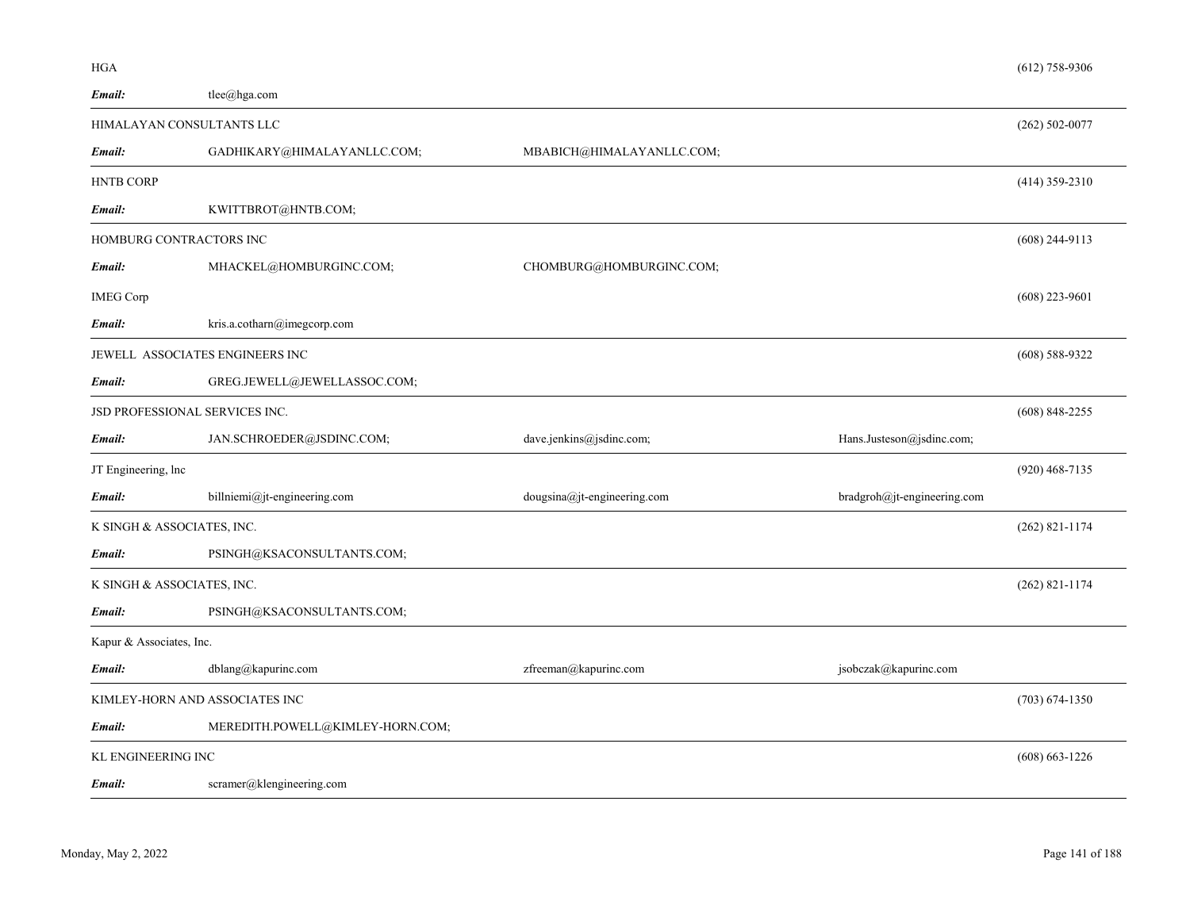| Email:                   | tlee@hga.com                     |                             |                             |                    |
|--------------------------|----------------------------------|-----------------------------|-----------------------------|--------------------|
|                          | HIMALAYAN CONSULTANTS LLC        |                             |                             | $(262)$ 502-0077   |
| Email:                   | GADHIKARY@HIMALAYANLLC.COM;      | MBABICH@HIMALAYANLLC.COM;   |                             |                    |
| <b>HNTB CORP</b>         |                                  |                             |                             | $(414)$ 359-2310   |
| Email:                   | KWITTBROT@HNTB.COM;              |                             |                             |                    |
|                          | HOMBURG CONTRACTORS INC          |                             |                             | $(608)$ 244-9113   |
| Email:                   | MHACKEL@HOMBURGINC.COM;          | CHOMBURG@HOMBURGINC.COM;    |                             |                    |
| <b>IMEG Corp</b>         |                                  |                             |                             | $(608)$ 223-9601   |
| Email:                   | kris.a.cotharn@imegcorp.com      |                             |                             |                    |
|                          | JEWELL ASSOCIATES ENGINEERS INC  |                             |                             | $(608) 588 - 9322$ |
| Email:                   | GREG.JEWELL@JEWELLASSOC.COM;     |                             |                             |                    |
|                          | JSD PROFESSIONAL SERVICES INC.   |                             |                             | $(608)$ 848-2255   |
| Email:                   | JAN.SCHROEDER@JSDINC.COM;        | dave.jenkins@jsdinc.com;    | Hans.Justeson@jsdinc.com;   |                    |
| JT Engineering, lnc      |                                  |                             |                             | $(920)$ 468-7135   |
| Email:                   | billniemi@jt-engineering.com     | dougsina@jt-engineering.com | bradgroh@jt-engineering.com |                    |
|                          | K SINGH & ASSOCIATES, INC.       |                             |                             | $(262)$ 821-1174   |
| Email:                   | PSINGH@KSACONSULTANTS.COM;       |                             |                             |                    |
|                          | K SINGH & ASSOCIATES, INC.       |                             |                             | $(262)$ 821-1174   |
| Email:                   | PSINGH@KSACONSULTANTS.COM;       |                             |                             |                    |
| Kapur & Associates, Inc. |                                  |                             |                             |                    |
| Email:                   | dblang@kapurinc.com              | zfreeman@kapurinc.com       | jsobczak@kapurinc.com       |                    |
|                          | KIMLEY-HORN AND ASSOCIATES INC   |                             |                             | $(703) 674 - 1350$ |
| Email:                   | MEREDITH.POWELL@KIMLEY-HORN.COM; |                             |                             |                    |
| KL ENGINEERING INC       |                                  |                             |                             | $(608) 663 - 1226$ |

scramer@klengineering.com *Email:*

HGA

(612) 758-9306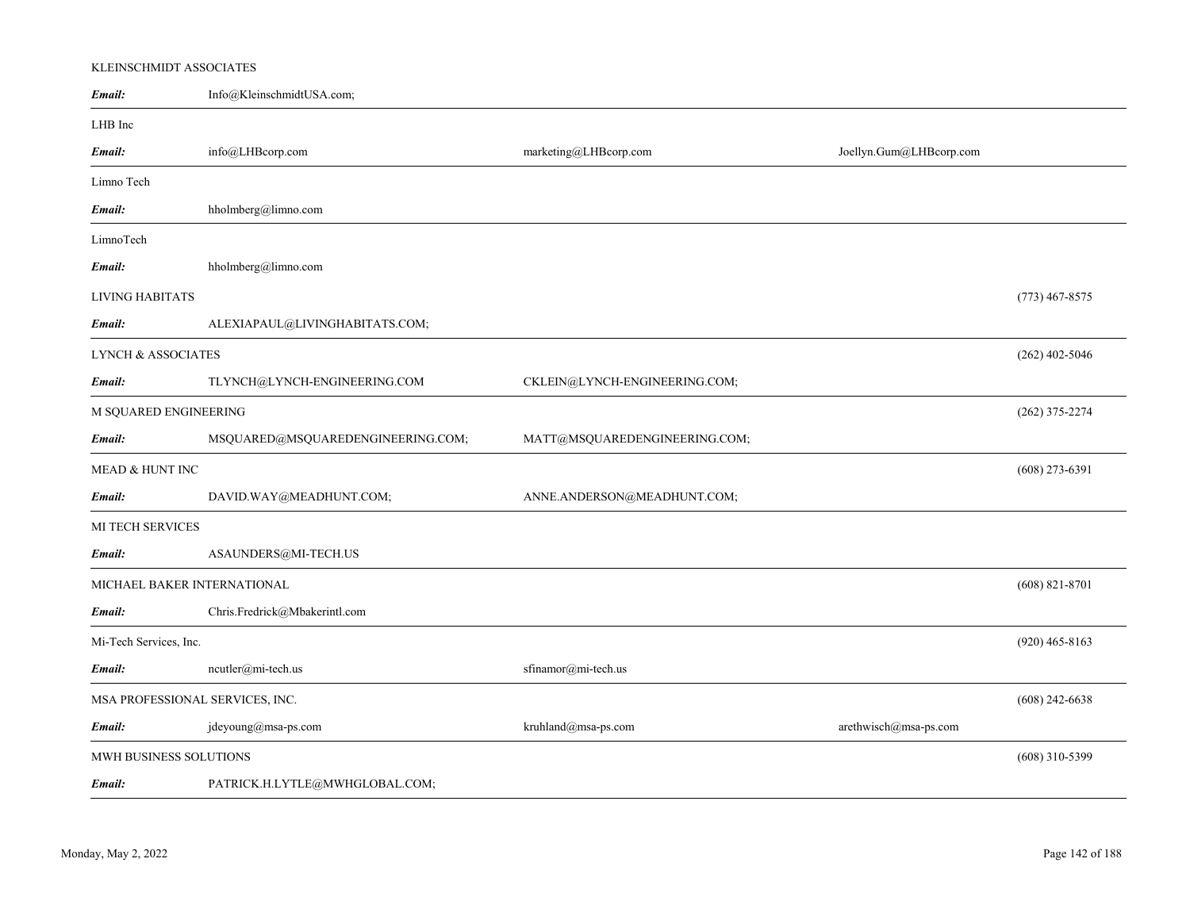# KLEINSCHMIDT ASSOCIATES

| Email:                          | Info@KleinschmidtUSA.com;         |                               |                         |                  |
|---------------------------------|-----------------------------------|-------------------------------|-------------------------|------------------|
| LHB Inc                         |                                   |                               |                         |                  |
| Email:                          | info@LHBcorp.com                  | marketing@LHBcorp.com         | Joellyn.Gum@LHBcorp.com |                  |
| Limno Tech                      |                                   |                               |                         |                  |
| Email:                          | hholmberg@limno.com               |                               |                         |                  |
| LimnoTech                       |                                   |                               |                         |                  |
| Email:                          | hholmberg@limno.com               |                               |                         |                  |
| LIVING HABITATS                 |                                   |                               |                         | $(773)$ 467-8575 |
| Email:                          | ALEXIAPAUL@LIVINGHABITATS.COM;    |                               |                         |                  |
| LYNCH & ASSOCIATES              |                                   |                               |                         | $(262)$ 402-5046 |
| Email:                          | TLYNCH@LYNCH-ENGINEERING.COM      | CKLEIN@LYNCH-ENGINEERING.COM; |                         |                  |
| M SQUARED ENGINEERING           |                                   |                               |                         | $(262)$ 375-2274 |
| Email:                          | MSQUARED@MSQUAREDENGINEERING.COM; | MATT@MSQUAREDENGINEERING.COM; |                         |                  |
| MEAD & HUNT INC                 |                                   |                               |                         | $(608)$ 273-6391 |
| Email:                          | DAVID.WAY@MEADHUNT.COM;           | ANNE.ANDERSON@MEADHUNT.COM;   |                         |                  |
| MI TECH SERVICES                |                                   |                               |                         |                  |
| Email:                          | ASAUNDERS@MI-TECH.US              |                               |                         |                  |
| MICHAEL BAKER INTERNATIONAL     |                                   |                               |                         | $(608)$ 821-8701 |
| Email:                          | Chris.Fredrick@Mbakerintl.com     |                               |                         |                  |
| Mi-Tech Services, Inc.          |                                   |                               |                         | $(920)$ 465-8163 |
| Email:                          | ncutler@mi-tech.us                | sfinamor@mi-tech.us           |                         |                  |
| MSA PROFESSIONAL SERVICES, INC. |                                   |                               |                         | $(608)$ 242-6638 |
| Email:                          | jdeyoung@msa-ps.com               | kruhland@msa-ps.com           | arethwisch@msa-ps.com   |                  |
| MWH BUSINESS SOLUTIONS          |                                   |                               |                         | $(608)$ 310-5399 |
| Email:                          | PATRICK.H.LYTLE@MWHGLOBAL.COM;    |                               |                         |                  |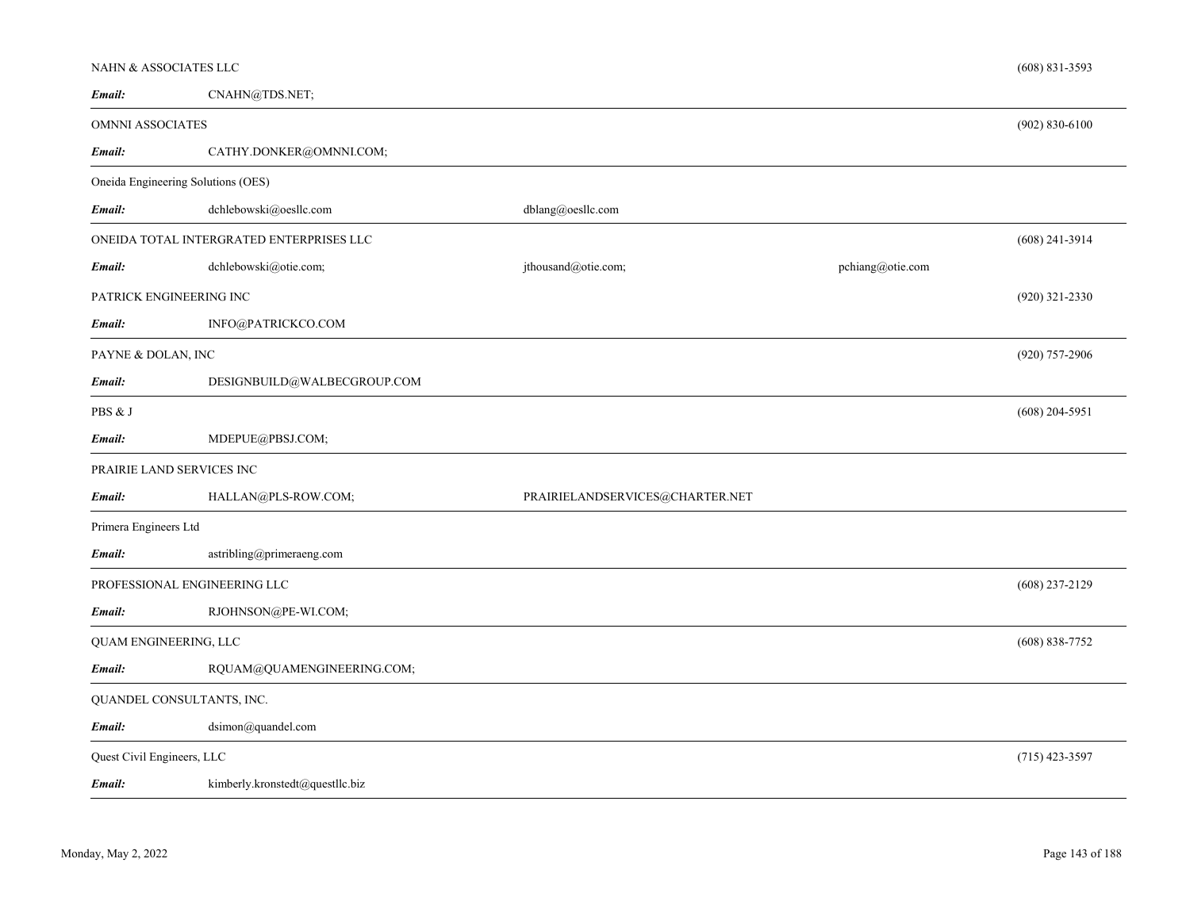| NAHN & ASSOCIATES LLC      |                                          |                                 |                    | $(608)$ 831-3593   |
|----------------------------|------------------------------------------|---------------------------------|--------------------|--------------------|
| Email:                     | CNAHN@TDS.NET;                           |                                 |                    |                    |
| OMNNI ASSOCIATES           |                                          |                                 | $(902) 830 - 6100$ |                    |
| Email:                     | CATHY.DONKER@OMNNI.COM;                  |                                 |                    |                    |
|                            | Oneida Engineering Solutions (OES)       |                                 |                    |                    |
| Email:                     | dchlebowski@oesllc.com                   | dblang@oesllc.com               |                    |                    |
|                            | ONEIDA TOTAL INTERGRATED ENTERPRISES LLC |                                 |                    | $(608)$ 241-3914   |
| Email:                     | dchlebowski@otie.com;                    | jthousand@otie.com;             | pchiang@otie.com   |                    |
| PATRICK ENGINEERING INC    |                                          |                                 |                    | $(920)$ 321-2330   |
| Email:                     | INFO@PATRICKCO.COM                       |                                 |                    |                    |
| PAYNE & DOLAN, INC         |                                          |                                 |                    | (920) 757-2906     |
| Email:                     | DESIGNBUILD@WALBECGROUP.COM              |                                 |                    |                    |
| PBS & J                    |                                          |                                 |                    | $(608)$ 204-5951   |
| Email:                     | MDEPUE@PBSJ.COM;                         |                                 |                    |                    |
|                            | PRAIRIE LAND SERVICES INC                |                                 |                    |                    |
| Email:                     | HALLAN@PLS-ROW.COM;                      | PRAIRIELANDSERVICES@CHARTER.NET |                    |                    |
| Primera Engineers Ltd      |                                          |                                 |                    |                    |
| Email:                     | astribling@primeraeng.com                |                                 |                    |                    |
|                            | PROFESSIONAL ENGINEERING LLC             |                                 |                    | $(608)$ 237-2129   |
| Email:                     | RJOHNSON@PE-WI.COM;                      |                                 |                    |                    |
| QUAM ENGINEERING, LLC      |                                          |                                 |                    | $(608) 838 - 7752$ |
| Email:                     | RQUAM@QUAMENGINEERING.COM;               |                                 |                    |                    |
|                            | QUANDEL CONSULTANTS, INC.                |                                 |                    |                    |
| Email:                     | dsimon@quandel.com                       |                                 |                    |                    |
| Quest Civil Engineers, LLC |                                          |                                 |                    | $(715)$ 423-3597   |
| Email:                     | kimberly.kronstedt@questllc.biz          |                                 |                    |                    |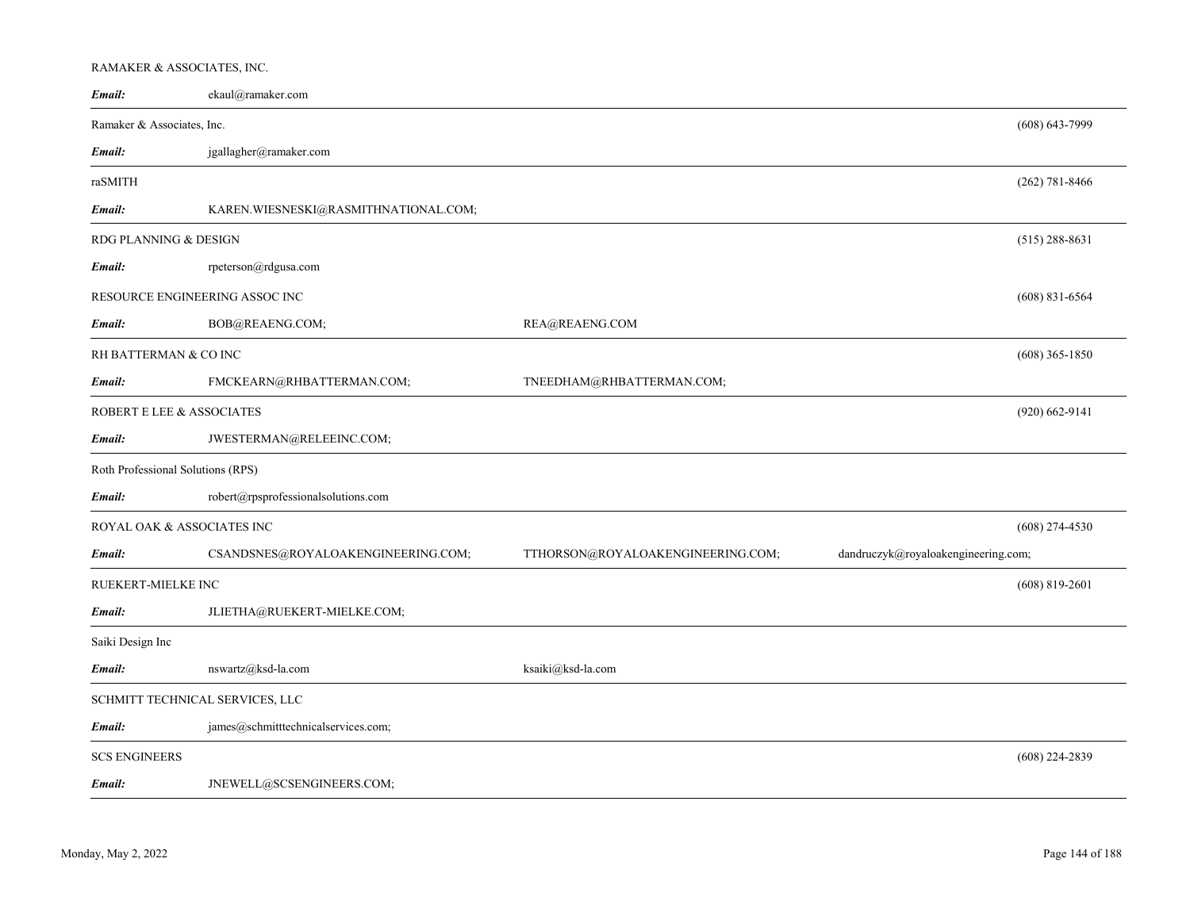# RAMAKER & ASSOCIATES, INC.

| Email:                            | ekaul@ramaker.com                    |                                                                          |                    |
|-----------------------------------|--------------------------------------|--------------------------------------------------------------------------|--------------------|
| Ramaker & Associates, Inc.        |                                      |                                                                          | $(608) 643 - 7999$ |
| Email:                            | jgallagher@ramaker.com               |                                                                          |                    |
| raSMITH                           |                                      |                                                                          | $(262)$ 781-8466   |
| Email:                            | KAREN.WIESNESKI@RASMITHNATIONAL.COM; |                                                                          |                    |
| RDG PLANNING & DESIGN             |                                      |                                                                          | $(515)$ 288-8631   |
| Email:                            | rpeterson@rdgusa.com                 |                                                                          |                    |
|                                   | RESOURCE ENGINEERING ASSOC INC       |                                                                          | $(608)$ 831-6564   |
| Email:                            | BOB@REAENG.COM;                      | REA@REAENG.COM                                                           |                    |
| RH BATTERMAN & CO INC             |                                      |                                                                          | $(608)$ 365-1850   |
| Email:                            | FMCKEARN@RHBATTERMAN.COM;            | TNEEDHAM@RHBATTERMAN.COM;                                                |                    |
| ROBERT E LEE & ASSOCIATES         |                                      |                                                                          | $(920) 662 - 9141$ |
| Email:                            | JWESTERMAN@RELEEINC.COM;             |                                                                          |                    |
| Roth Professional Solutions (RPS) |                                      |                                                                          |                    |
| Email:                            | robert@rpsprofessionalsolutions.com  |                                                                          |                    |
| ROYAL OAK & ASSOCIATES INC        |                                      |                                                                          | $(608)$ 274-4530   |
| Email:                            | CSANDSNES@ROYALOAKENGINEERING.COM;   | dandruczyk@royaloakengineering.com;<br>TTHORSON@ROYALOAKENGINEERING.COM; |                    |
| RUEKERT-MIELKE INC                |                                      |                                                                          | $(608)$ 819-2601   |
| Email:                            | JLIETHA@RUEKERT-MIELKE.COM;          |                                                                          |                    |
| Saiki Design Inc                  |                                      |                                                                          |                    |
| Email:                            | nswartz@ksd-la.com                   | ksaiki@ksd-la.com                                                        |                    |
|                                   | SCHMITT TECHNICAL SERVICES, LLC      |                                                                          |                    |
| Email:                            | james@schmitttechnicalservices.com;  |                                                                          |                    |
| <b>SCS ENGINEERS</b>              |                                      |                                                                          | $(608)$ 224-2839   |
| Email:                            | JNEWELL@SCSENGINEERS.COM;            |                                                                          |                    |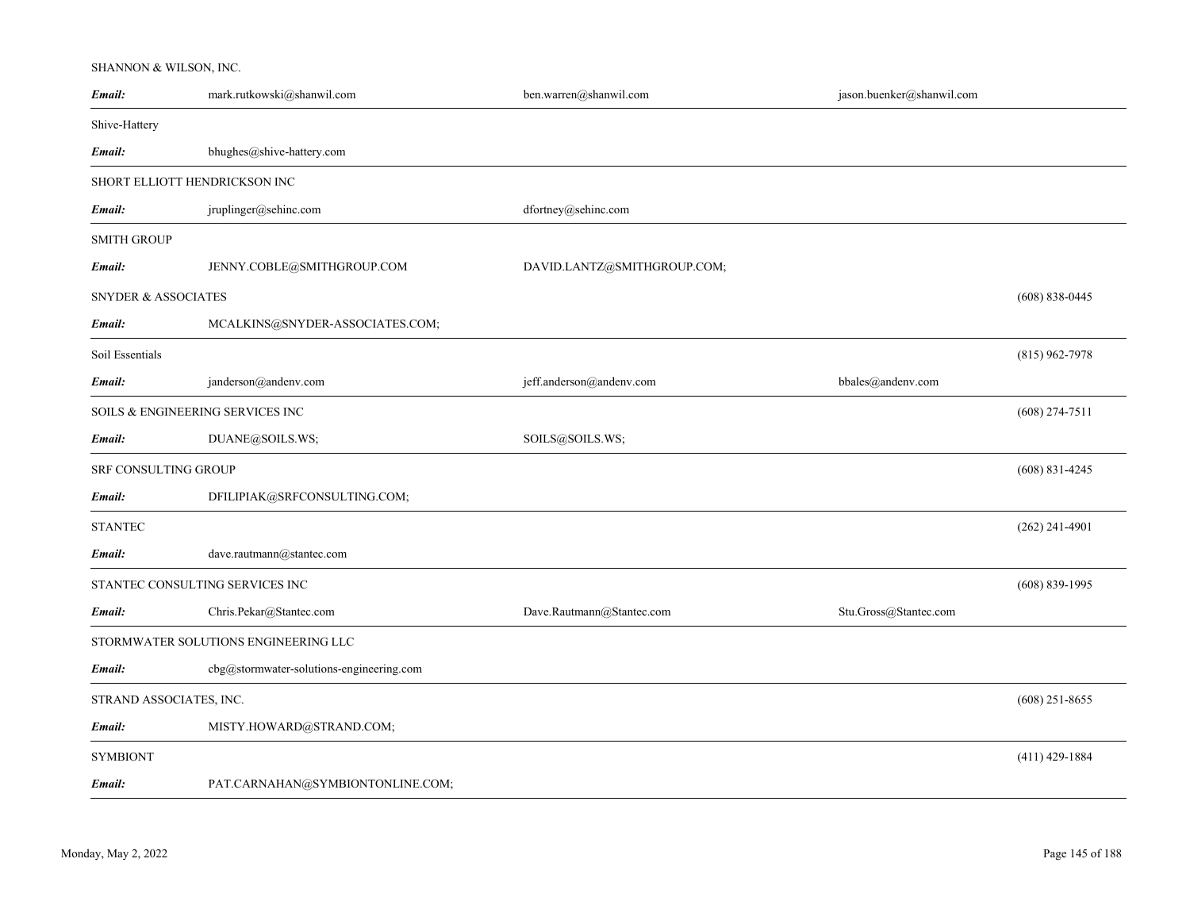## SHANNON & WILSON, INC.

| Email:                         | mark.rutkowski@shanwil.com               | ben.warren@shanwil.com      | jason.buenker@shanwil.com |                    |
|--------------------------------|------------------------------------------|-----------------------------|---------------------------|--------------------|
| Shive-Hattery                  |                                          |                             |                           |                    |
| Email:                         | bhughes@shive-hattery.com                |                             |                           |                    |
|                                | SHORT ELLIOTT HENDRICKSON INC            |                             |                           |                    |
| Email:                         | jruplinger@sehinc.com                    | dfortney@sehinc.com         |                           |                    |
| <b>SMITH GROUP</b>             |                                          |                             |                           |                    |
| Email:                         | JENNY.COBLE@SMITHGROUP.COM               | DAVID.LANTZ@SMITHGROUP.COM; |                           |                    |
| <b>SNYDER &amp; ASSOCIATES</b> |                                          |                             |                           | $(608) 838 - 0445$ |
| Email:                         | MCALKINS@SNYDER-ASSOCIATES.COM;          |                             |                           |                    |
| Soil Essentials                |                                          |                             |                           | $(815)$ 962-7978   |
| Email:                         | janderson@andenv.com                     | jeff.anderson@andenv.com    | bbales@andenv.com         |                    |
|                                | SOILS & ENGINEERING SERVICES INC         |                             |                           | $(608)$ 274-7511   |
| Email:                         | DUANE@SOILS.WS;                          | SOILS@SOILS.WS;             |                           |                    |
| SRF CONSULTING GROUP           |                                          |                             |                           | $(608) 831 - 4245$ |
| Email:                         | DFILIPIAK@SRFCONSULTING.COM;             |                             |                           |                    |
| <b>STANTEC</b>                 |                                          |                             |                           | $(262)$ 241-4901   |
| Email:                         | dave.rautmann@stantec.com                |                             |                           |                    |
|                                | STANTEC CONSULTING SERVICES INC          |                             |                           | $(608) 839 - 1995$ |
| Email:                         | Chris.Pekar@Stantec.com                  | Dave.Rautmann@Stantec.com   | Stu.Gross@Stantec.com     |                    |
|                                | STORMWATER SOLUTIONS ENGINEERING LLC     |                             |                           |                    |
| Email:                         | cbg@stormwater-solutions-engineering.com |                             |                           |                    |
| STRAND ASSOCIATES, INC.        |                                          |                             |                           | $(608)$ 251-8655   |
| Email:                         | MISTY.HOWARD@STRAND.COM;                 |                             |                           |                    |
| <b>SYMBIONT</b>                |                                          |                             |                           | $(411)$ 429-1884   |
| Email:                         | PAT.CARNAHAN@SYMBIONTONLINE.COM;         |                             |                           |                    |
|                                |                                          |                             |                           |                    |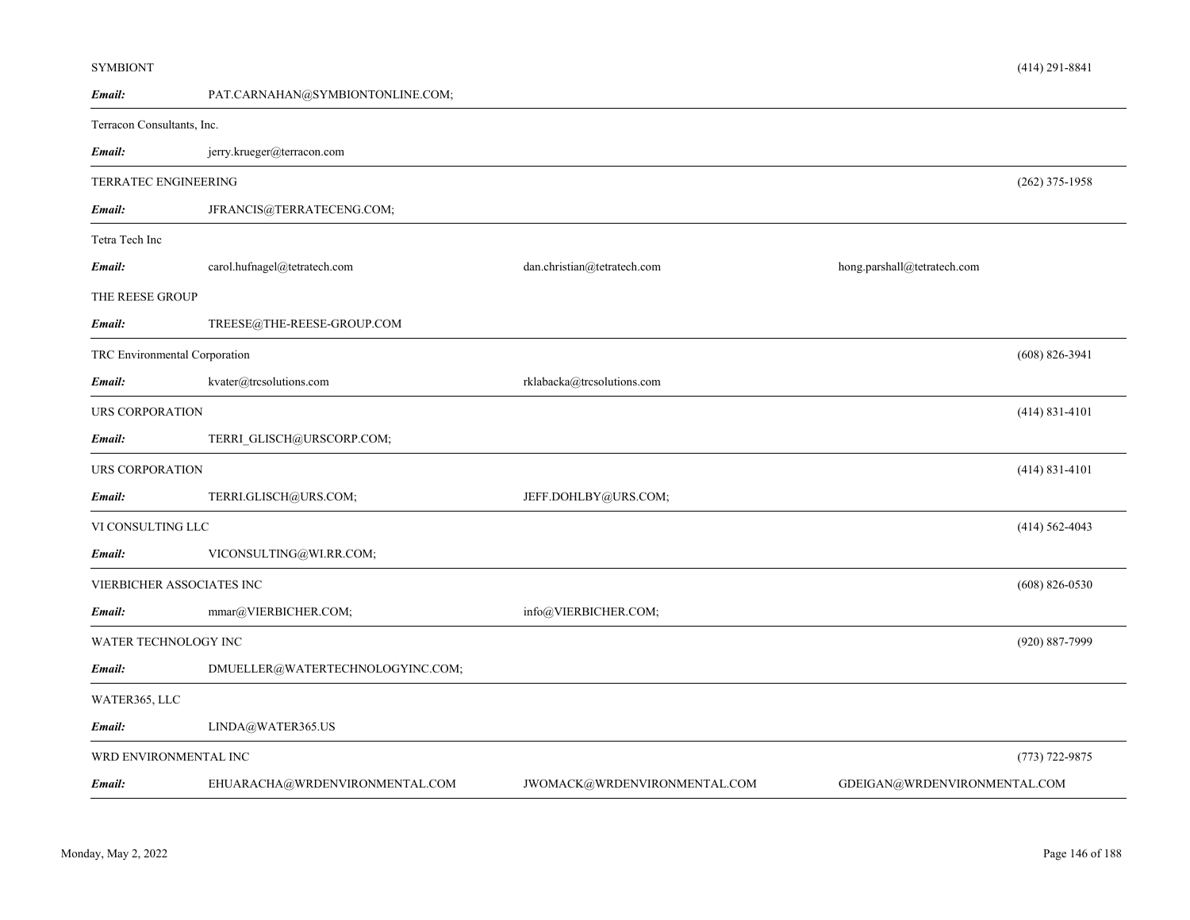| Email:                        | PAT.CARNAHAN@SYMBIONTONLINE.COM; |                              |                              |                    |
|-------------------------------|----------------------------------|------------------------------|------------------------------|--------------------|
| Terracon Consultants, Inc.    |                                  |                              |                              |                    |
| Email:                        | jerry.krueger@terracon.com       |                              |                              |                    |
| TERRATEC ENGINEERING          |                                  |                              |                              | $(262)$ 375-1958   |
| Email:                        | JFRANCIS@TERRATECENG.COM;        |                              |                              |                    |
| Tetra Tech Inc                |                                  |                              |                              |                    |
| Email:                        | carol.hufnagel@tetratech.com     | dan.christian@tetratech.com  | hong.parshall@tetratech.com  |                    |
| THE REESE GROUP               |                                  |                              |                              |                    |
| Email:                        | TREESE@THE-REESE-GROUP.COM       |                              |                              |                    |
| TRC Environmental Corporation |                                  |                              |                              | $(608) 826 - 3941$ |
| Email:                        | kvater@trcsolutions.com          | rklabacka@trcsolutions.com   |                              |                    |
| URS CORPORATION               |                                  |                              |                              | $(414) 831 - 4101$ |
| Email:                        | TERRI_GLISCH@URSCORP.COM;        |                              |                              |                    |
| URS CORPORATION               |                                  |                              |                              | $(414) 831 - 4101$ |
| Email:                        | TERRI.GLISCH@URS.COM;            | JEFF.DOHLBY@URS.COM;         |                              |                    |
| VI CONSULTING LLC             |                                  |                              |                              | $(414) 562 - 4043$ |
| Email:                        | VICONSULTING@WI.RR.COM;          |                              |                              |                    |
|                               | VIERBICHER ASSOCIATES INC        |                              |                              | $(608)$ 826-0530   |
| Email:                        | mmar@VIERBICHER.COM;             | info@VIERBICHER.COM;         |                              |                    |
| WATER TECHNOLOGY INC          |                                  |                              |                              | (920) 887-7999     |
| Email:                        | DMUELLER@WATERTECHNOLOGYINC.COM; |                              |                              |                    |
| WATER365, LLC                 |                                  |                              |                              |                    |
| Email:                        | LINDA@WATER365.US                |                              |                              |                    |
| WRD ENVIRONMENTAL INC         |                                  |                              |                              | $(773) 722 - 9875$ |
| Email:                        | EHUARACHA@WRDENVIRONMENTAL.COM   | JWOMACK@WRDENVIRONMENTAL.COM | GDEIGAN@WRDENVIRONMENTAL.COM |                    |

(414) 291-8841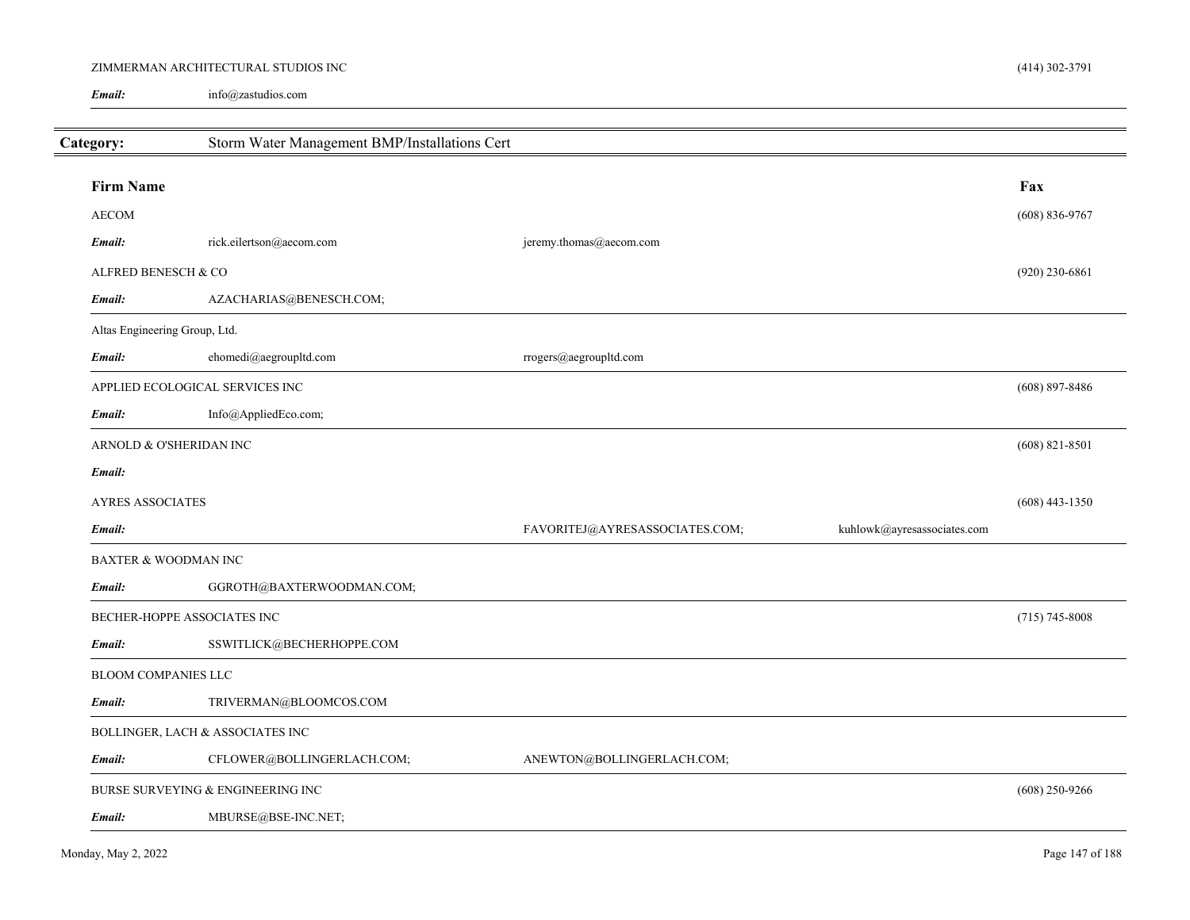#### ZIMMERMAN ARCHITECTURAL STUDIOS INC

info@zastudios.com *Email:*

| Category:                       | Storm Water Management BMP/Installations Cert |                                |                               |                  |
|---------------------------------|-----------------------------------------------|--------------------------------|-------------------------------|------------------|
| <b>Firm Name</b>                |                                               |                                |                               | Fax              |
| <b>AECOM</b>                    |                                               |                                |                               | $(608) 836-9767$ |
| Email:                          | rick.eilertson@aecom.com                      | jeremy.thomas@aecom.com        |                               |                  |
| ALFRED BENESCH & CO             |                                               |                                |                               | $(920)$ 230-6861 |
| Email:                          | AZACHARIAS@BENESCH.COM;                       |                                |                               |                  |
| Altas Engineering Group, Ltd.   |                                               |                                |                               |                  |
| Email:                          | ehomedi@aegroupltd.com                        | rrogers@aegroupltd.com         |                               |                  |
|                                 | APPLIED ECOLOGICAL SERVICES INC               |                                |                               | $(608)$ 897-8486 |
| Email:                          | Info@AppliedEco.com;                          |                                |                               |                  |
| ARNOLD & O'SHERIDAN INC         |                                               |                                |                               | $(608)$ 821-8501 |
| Email:                          |                                               |                                |                               |                  |
| <b>AYRES ASSOCIATES</b>         |                                               |                                |                               | $(608)$ 443-1350 |
| Email:                          |                                               | FAVORITEJ@AYRESASSOCIATES.COM; | $kuhlowk@ayressasociates.com$ |                  |
| <b>BAXTER &amp; WOODMAN INC</b> |                                               |                                |                               |                  |
| Email:                          | GGROTH@BAXTERWOODMAN.COM;                     |                                |                               |                  |
|                                 | BECHER-HOPPE ASSOCIATES INC                   |                                |                               | $(715)$ 745-8008 |
| Email:                          | SSWITLICK@BECHERHOPPE.COM                     |                                |                               |                  |
| BLOOM COMPANIES LLC             |                                               |                                |                               |                  |
| Email:                          | TRIVERMAN@BLOOMCOS.COM                        |                                |                               |                  |
|                                 | BOLLINGER, LACH & ASSOCIATES INC              |                                |                               |                  |
| Email:                          | CFLOWER@BOLLINGERLACH.COM;                    | ANEWTON@BOLLINGERLACH.COM;     |                               |                  |
|                                 | BURSE SURVEYING & ENGINEERING INC             |                                |                               | $(608)$ 250-9266 |
| Email:                          | MBURSE@BSE-INC.NET;                           |                                |                               |                  |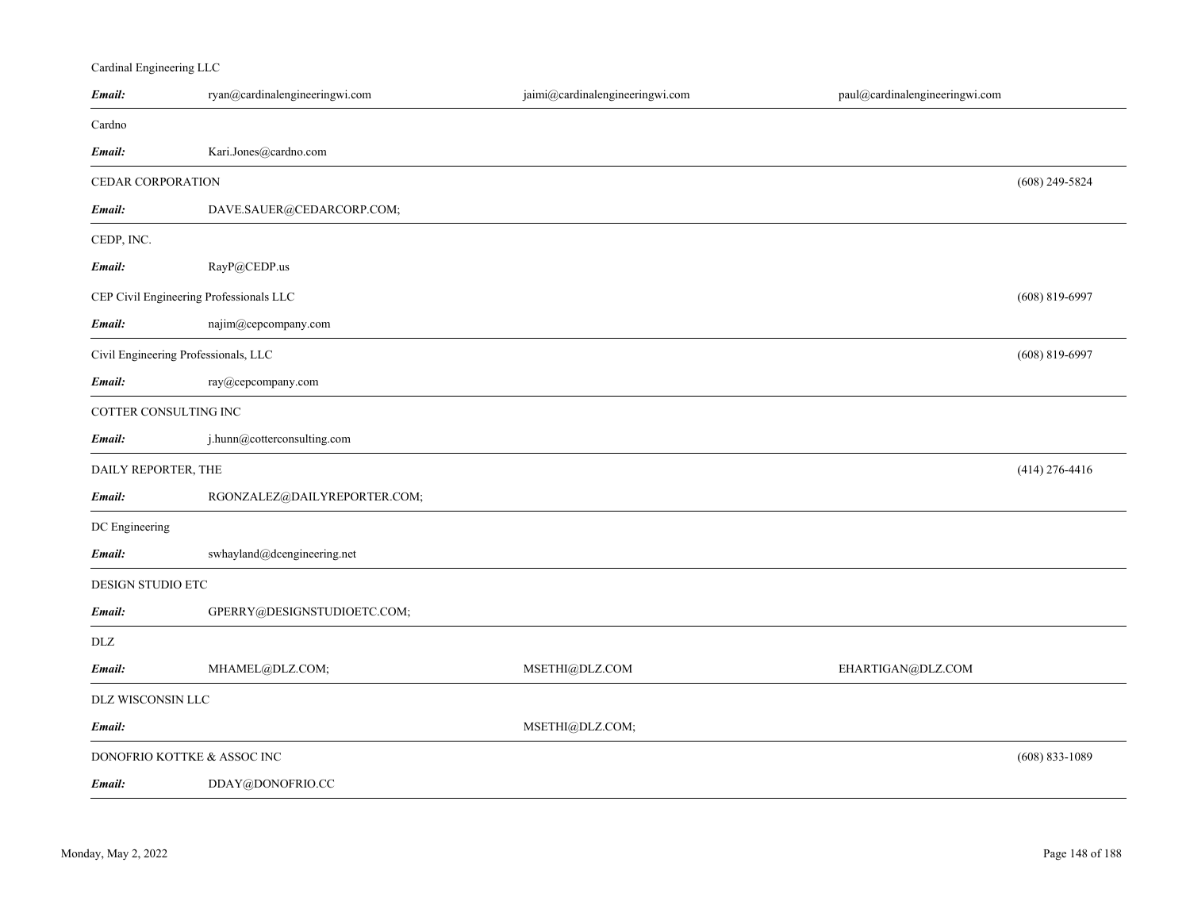# Cardinal Engineering LLC

| Email:                | ryan@cardinalengineeringwi.com                | jaimi@cardinalengineeringwi.com | paul@cardinalengineeringwi.com |                    |
|-----------------------|-----------------------------------------------|---------------------------------|--------------------------------|--------------------|
| Cardno                |                                               |                                 |                                |                    |
| Email:                | Kari.Jones@cardno.com                         |                                 |                                |                    |
| CEDAR CORPORATION     |                                               |                                 |                                | $(608)$ 249-5824   |
| Email:                | DAVE.SAUER@CEDARCORP.COM;                     |                                 |                                |                    |
| CEDP, INC.            |                                               |                                 |                                |                    |
| Email:                | RayP@CEDP.us                                  |                                 |                                |                    |
|                       | CEP Civil Engineering Professionals LLC       |                                 |                                | $(608)$ 819-6997   |
| Email:                | najim@cepcompany.com                          |                                 |                                |                    |
|                       | Civil Engineering Professionals, LLC          |                                 |                                | $(608)$ 819-6997   |
| Email:                | ray@cepcompany.com                            |                                 |                                |                    |
| COTTER CONSULTING INC |                                               |                                 |                                |                    |
| Email:                | j.hunn@cotterconsulting.com                   |                                 |                                |                    |
| DAILY REPORTER, THE   |                                               |                                 |                                | $(414)$ 276-4416   |
| Email:                | RGONZALEZ@DAILYREPORTER.COM;                  |                                 |                                |                    |
| DC Engineering        |                                               |                                 |                                |                    |
| Email:                | $\operatorname{swhayland@decengineering.net}$ |                                 |                                |                    |
| DESIGN STUDIO ETC     |                                               |                                 |                                |                    |
| Email:                | GPERRY@DESIGNSTUDIOETC.COM;                   |                                 |                                |                    |
| <b>DLZ</b>            |                                               |                                 |                                |                    |
| Email:                | MHAMEL@DLZ.COM;                               | MSETHI@DLZ.COM                  | EHARTIGAN@DLZ.COM              |                    |
| DLZ WISCONSIN LLC     |                                               |                                 |                                |                    |
| Email:                |                                               | MSETHI@DLZ.COM;                 |                                |                    |
|                       | DONOFRIO KOTTKE & ASSOC INC                   |                                 |                                | $(608) 833 - 1089$ |
| Email:                | DDAY@DONOFRIO.CC                              |                                 |                                |                    |
|                       |                                               |                                 |                                |                    |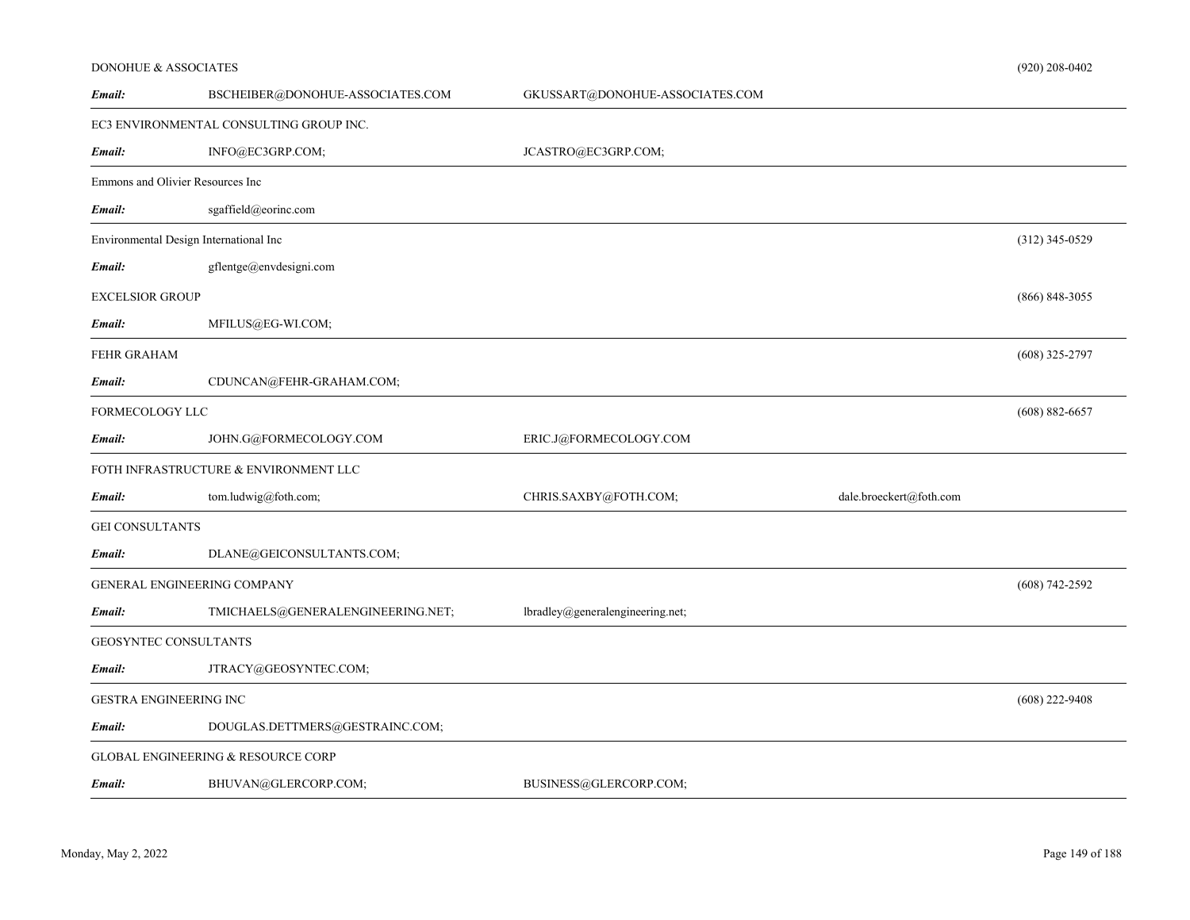#### DONOHUE & ASSOCIATES

| Email:                           | BSCHEIBER@DONOHUE-ASSOCIATES.COM              | GKUSSART@DONOHUE-ASSOCIATES.COM  |                         |                    |
|----------------------------------|-----------------------------------------------|----------------------------------|-------------------------|--------------------|
|                                  | EC3 ENVIRONMENTAL CONSULTING GROUP INC.       |                                  |                         |                    |
| Email:                           | INFO@EC3GRP.COM;                              | JCASTRO@EC3GRP.COM;              |                         |                    |
| Emmons and Olivier Resources Inc |                                               |                                  |                         |                    |
| Email:                           | sgaffield@eorinc.com                          |                                  |                         |                    |
|                                  | Environmental Design International Inc        |                                  |                         | $(312)$ 345-0529   |
| Email:                           | gflentge@envdesigni.com                       |                                  |                         |                    |
| <b>EXCELSIOR GROUP</b>           |                                               |                                  |                         | $(866) 848 - 3055$ |
| Email:                           | MFILUS@EG-WI.COM;                             |                                  |                         |                    |
| FEHR GRAHAM                      |                                               |                                  |                         | $(608)$ 325-2797   |
| Email:                           | CDUNCAN@FEHR-GRAHAM.COM;                      |                                  |                         |                    |
| FORMECOLOGY LLC                  |                                               |                                  |                         | $(608) 882 - 6657$ |
| Email:                           | JOHN.G@FORMECOLOGY.COM                        | ERIC.J@FORMECOLOGY.COM           |                         |                    |
|                                  | FOTH INFRASTRUCTURE & ENVIRONMENT LLC         |                                  |                         |                    |
| Email:                           | tom.ludwig@foth.com;                          | CHRIS.SAXBY@FOTH.COM;            | dale.broeckert@foth.com |                    |
| <b>GEI CONSULTANTS</b>           |                                               |                                  |                         |                    |
| Email:                           | DLANE@GEICONSULTANTS.COM;                     |                                  |                         |                    |
|                                  | GENERAL ENGINEERING COMPANY                   |                                  |                         | $(608) 742 - 2592$ |
| Email:                           | TMICHAELS@GENERALENGINEERING.NET;             | lbradley@generalengineering.net; |                         |                    |
| GEOSYNTEC CONSULTANTS            |                                               |                                  |                         |                    |
| Email:                           | JTRACY@GEOSYNTEC.COM;                         |                                  |                         |                    |
| GESTRA ENGINEERING INC           |                                               |                                  |                         | $(608)$ 222-9408   |
| Email:                           | DOUGLAS.DETTMERS@GESTRAINC.COM;               |                                  |                         |                    |
|                                  | <b>GLOBAL ENGINEERING &amp; RESOURCE CORP</b> |                                  |                         |                    |
| Email:                           | BHUVAN@GLERCORP.COM;                          | BUSINESS@GLERCORP.COM;           |                         |                    |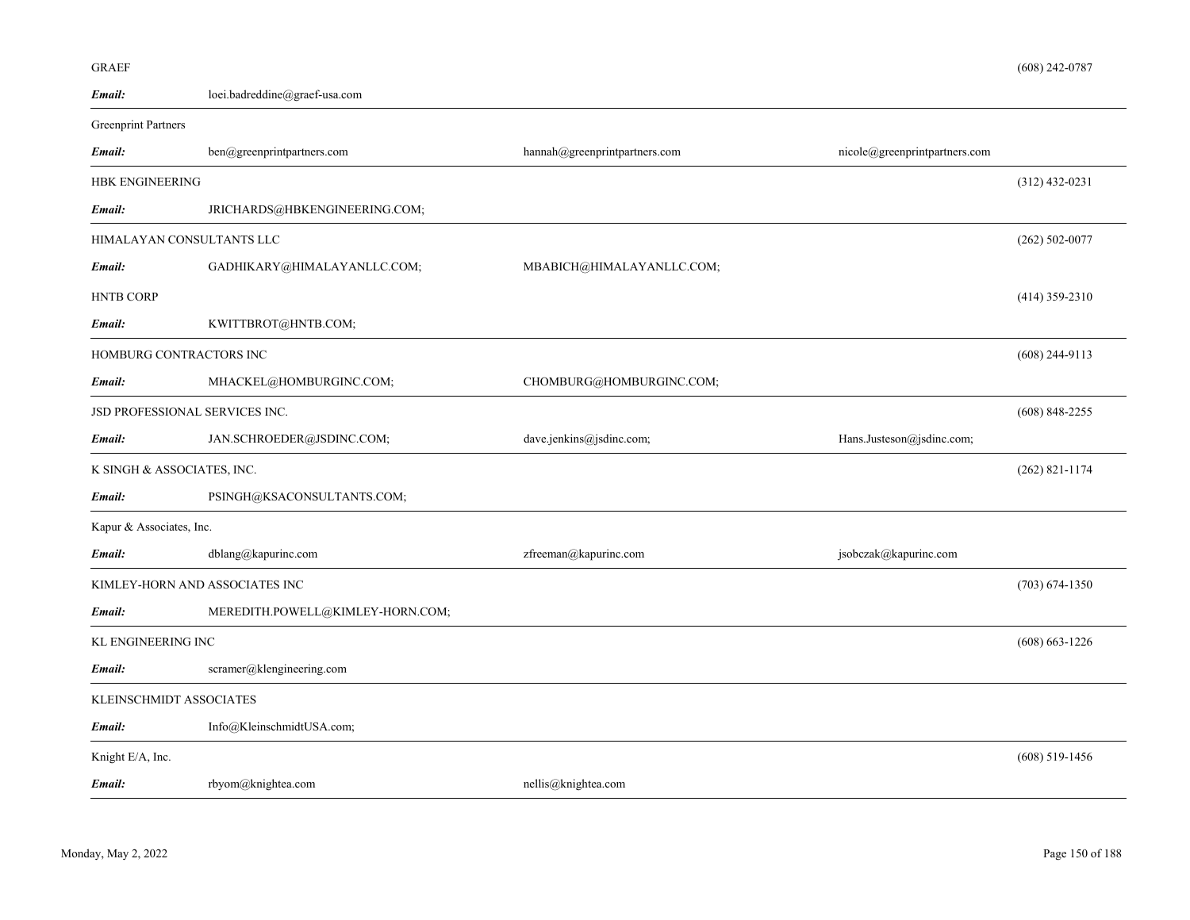| Email:                         | loei.badreddine@graef-usa.com    |                               |                               |                    |
|--------------------------------|----------------------------------|-------------------------------|-------------------------------|--------------------|
| <b>Greenprint Partners</b>     |                                  |                               |                               |                    |
| Email:                         | ben@greenprintpartners.com       | hannah@greenprintpartners.com | nicole@greenprintpartners.com |                    |
| <b>HBK ENGINEERING</b>         |                                  |                               |                               | $(312)$ 432-0231   |
| Email:                         | JRICHARDS@HBKENGINEERING.COM;    |                               |                               |                    |
| HIMALAYAN CONSULTANTS LLC      |                                  |                               |                               | $(262) 502 - 0077$ |
| Email:                         | GADHIKARY@HIMALAYANLLC.COM;      | MBABICH@HIMALAYANLLC.COM;     |                               |                    |
| <b>HNTB CORP</b>               |                                  |                               |                               | $(414)$ 359-2310   |
| Email:                         | KWITTBROT@HNTB.COM;              |                               |                               |                    |
| HOMBURG CONTRACTORS INC        |                                  |                               |                               | $(608)$ 244-9113   |
| Email:                         | MHACKEL@HOMBURGINC.COM;          | CHOMBURG@HOMBURGINC.COM;      |                               |                    |
| JSD PROFESSIONAL SERVICES INC. |                                  |                               |                               | $(608)$ 848-2255   |
| Email:                         | JAN.SCHROEDER@JSDINC.COM;        | dave.jenkins@jsdinc.com;      | Hans.Justeson@jsdinc.com;     |                    |
| K SINGH & ASSOCIATES, INC.     |                                  |                               |                               | $(262)$ 821-1174   |
| Email:                         | PSINGH@KSACONSULTANTS.COM;       |                               |                               |                    |
| Kapur & Associates, Inc.       |                                  |                               |                               |                    |
| Email:                         | dblang@kapurinc.com              | zfreeman@kapurinc.com         | jsobczak@kapurinc.com         |                    |
| KIMLEY-HORN AND ASSOCIATES INC |                                  |                               |                               | $(703) 674 - 1350$ |
| Email:                         | MEREDITH.POWELL@KIMLEY-HORN.COM; |                               |                               |                    |
| <b>KL ENGINEERING INC</b>      |                                  |                               |                               | $(608) 663 - 1226$ |
| Email:                         | scramer@klengineering.com        |                               |                               |                    |
| KLEINSCHMIDT ASSOCIATES        |                                  |                               |                               |                    |
| Email:                         | Info@KleinschmidtUSA.com;        |                               |                               |                    |
| Knight E/A, Inc.               |                                  |                               |                               | $(608)$ 519-1456   |
| Email:                         | rbyom@knightea.com               | nellis@knightea.com           |                               |                    |

GRAEF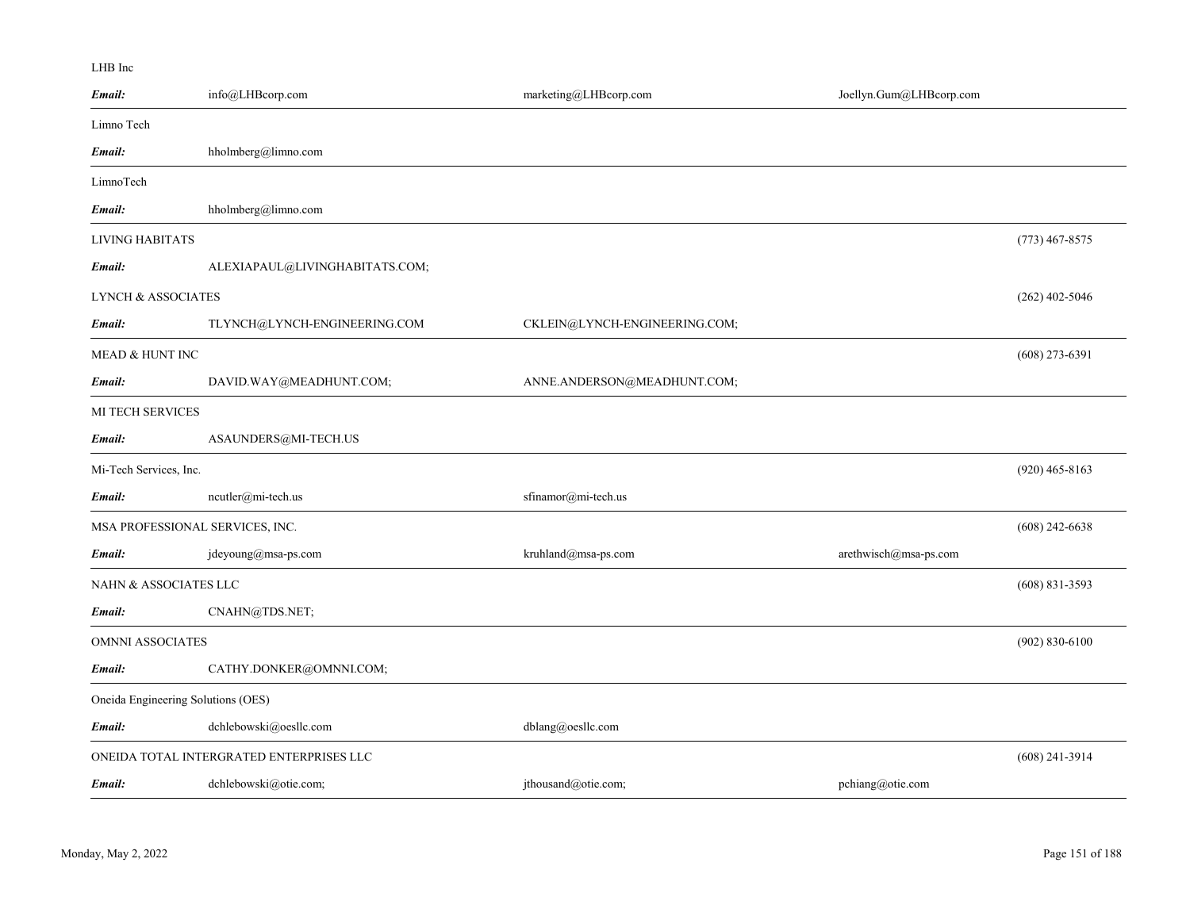#### LHB Inc

| Email:                        | info@LHBcorp.com                         | marketing@LHBcorp.com         | Joellyn.Gum@LHBcorp.com |                    |
|-------------------------------|------------------------------------------|-------------------------------|-------------------------|--------------------|
| Limno Tech                    |                                          |                               |                         |                    |
| Email:                        | hholmberg@limno.com                      |                               |                         |                    |
| LimnoTech                     |                                          |                               |                         |                    |
| Email:                        | hholmberg@limno.com                      |                               |                         |                    |
| LIVING HABITATS               |                                          |                               |                         | $(773)$ 467-8575   |
| Email:                        | ALEXIAPAUL@LIVINGHABITATS.COM;           |                               |                         |                    |
| <b>LYNCH &amp; ASSOCIATES</b> |                                          |                               |                         | $(262)$ 402-5046   |
| Email:                        | TLYNCH@LYNCH-ENGINEERING.COM             | CKLEIN@LYNCH-ENGINEERING.COM; |                         |                    |
| <b>MEAD &amp; HUNT INC</b>    |                                          |                               |                         | $(608)$ 273-6391   |
| Email:                        | DAVID.WAY@MEADHUNT.COM;                  | ANNE.ANDERSON@MEADHUNT.COM;   |                         |                    |
| <b>MI TECH SERVICES</b>       |                                          |                               |                         |                    |
| Email:                        | ASAUNDERS@MI-TECH.US                     |                               |                         |                    |
| Mi-Tech Services, Inc.        |                                          |                               |                         | $(920)$ 465-8163   |
| Email:                        | ncutler@mi-tech.us                       | sfinamor@mi-tech.us           |                         |                    |
|                               | MSA PROFESSIONAL SERVICES, INC.          |                               |                         | $(608)$ 242-6638   |
| Email:                        | jdeyoung@msa-ps.com                      | kruhland@msa-ps.com           | arethwisch@msa-ps.com   |                    |
| NAHN & ASSOCIATES LLC         |                                          |                               |                         | $(608)$ 831-3593   |
| Email:                        | CNAHN@TDS.NET;                           |                               |                         |                    |
| <b>OMNNI ASSOCIATES</b>       |                                          |                               |                         | $(902) 830 - 6100$ |
| Email:                        | CATHY.DONKER@OMNNI.COM;                  |                               |                         |                    |
|                               | Oneida Engineering Solutions (OES)       |                               |                         |                    |
| Email:                        | dchlebowski@oesllc.com                   | dblang@oesllc.com             |                         |                    |
|                               | ONEIDA TOTAL INTERGRATED ENTERPRISES LLC |                               |                         | $(608)$ 241-3914   |
| Email:                        | dchlebowski@otie.com;                    | jthousand@otie.com;           | pchiang@otie.com        |                    |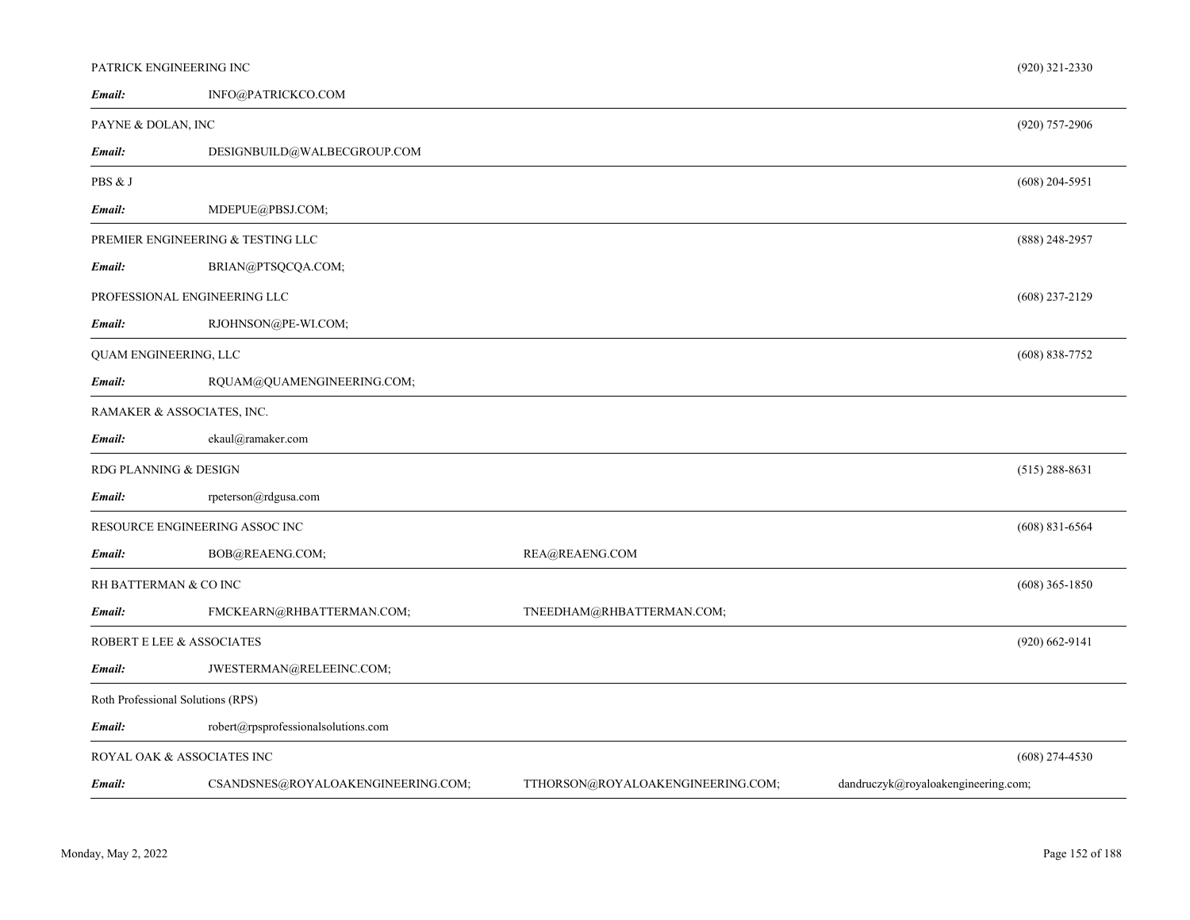|                       | PATRICK ENGINEERING INC             |                                   | $(920)$ 321-2330                    |
|-----------------------|-------------------------------------|-----------------------------------|-------------------------------------|
| Email:                | INFO@PATRICKCO.COM                  |                                   |                                     |
| PAYNE & DOLAN, INC    |                                     |                                   | (920) 757-2906                      |
| Email:                | DESIGNBUILD@WALBECGROUP.COM         |                                   |                                     |
| PBS & J               |                                     |                                   | $(608)$ 204-5951                    |
| Email:                | MDEPUE@PBSJ.COM;                    |                                   |                                     |
|                       | PREMIER ENGINEERING & TESTING LLC   |                                   | $(888)$ 248-2957                    |
| Email:                | BRIAN@PTSQCQA.COM;                  |                                   |                                     |
|                       | PROFESSIONAL ENGINEERING LLC        |                                   | $(608)$ 237-2129                    |
| Email:                | RJOHNSON@PE-WI.COM;                 |                                   |                                     |
| QUAM ENGINEERING, LLC |                                     |                                   | $(608) 838 - 7752$                  |
| Email:                | RQUAM@QUAMENGINEERING.COM;          |                                   |                                     |
|                       | RAMAKER & ASSOCIATES, INC.          |                                   |                                     |
| Email:                | ekaul@ramaker.com                   |                                   |                                     |
| RDG PLANNING & DESIGN |                                     |                                   | $(515)$ 288-8631                    |
| Email:                | rpeterson@rdgusa.com                |                                   |                                     |
|                       | RESOURCE ENGINEERING ASSOC INC      |                                   | $(608)$ 831-6564                    |
| Email:                | BOB@REAENG.COM;                     | REA@REAENG.COM                    |                                     |
| RH BATTERMAN & CO INC |                                     |                                   | $(608)$ 365-1850                    |
| Email:                | FMCKEARN@RHBATTERMAN.COM;           | TNEEDHAM@RHBATTERMAN.COM;         |                                     |
|                       | ROBERT E LEE & ASSOCIATES           |                                   | $(920)$ 662-9141                    |
| Email:                | JWESTERMAN@RELEEINC.COM;            |                                   |                                     |
|                       | Roth Professional Solutions (RPS)   |                                   |                                     |
| Email:                | robert@rpsprofessionalsolutions.com |                                   |                                     |
|                       | ROYAL OAK & ASSOCIATES INC          |                                   | $(608)$ 274-4530                    |
| Email:                | CSANDSNES@ROYALOAKENGINEERING.COM;  | TTHORSON@ROYALOAKENGINEERING.COM; | dandruczyk@royaloakengineering.com; |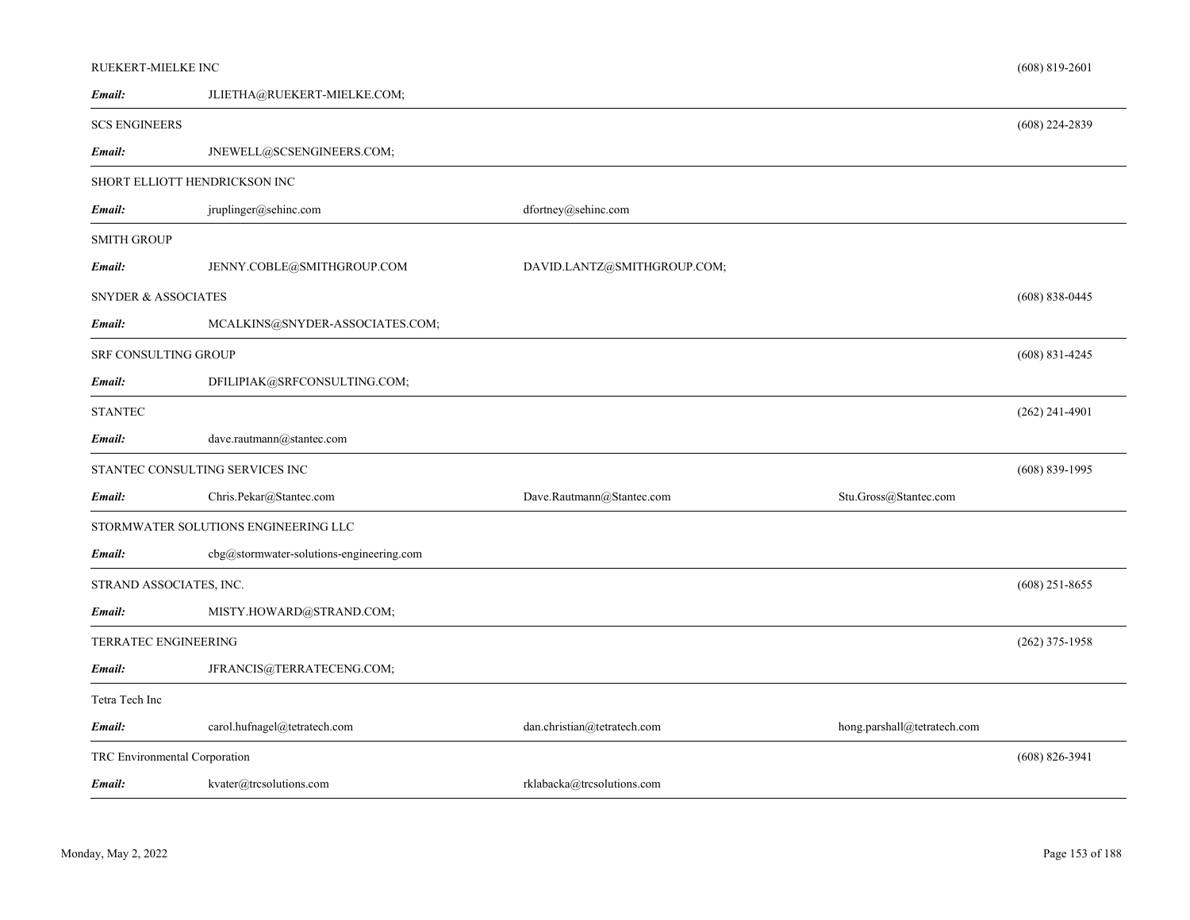| RUEKERT-MIELKE INC             |                                          |                             |                             | $(608) 819 - 2601$ |
|--------------------------------|------------------------------------------|-----------------------------|-----------------------------|--------------------|
| Email:                         | JLIETHA@RUEKERT-MIELKE.COM;              |                             |                             |                    |
| <b>SCS ENGINEERS</b>           |                                          |                             |                             | $(608)$ 224-2839   |
| Email:                         | JNEWELL@SCSENGINEERS.COM;                |                             |                             |                    |
|                                | SHORT ELLIOTT HENDRICKSON INC            |                             |                             |                    |
| Email:                         | jruplinger@sehinc.com                    | dfortney@sehinc.com         |                             |                    |
| <b>SMITH GROUP</b>             |                                          |                             |                             |                    |
| Email:                         | JENNY.COBLE@SMITHGROUP.COM               | DAVID.LANTZ@SMITHGROUP.COM; |                             |                    |
| <b>SNYDER &amp; ASSOCIATES</b> |                                          |                             |                             | $(608)$ 838-0445   |
| Email:                         | MCALKINS@SNYDER-ASSOCIATES.COM;          |                             |                             |                    |
| SRF CONSULTING GROUP           |                                          |                             |                             | $(608)$ 831-4245   |
| Email:                         | DFILIPIAK@SRFCONSULTING.COM;             |                             |                             |                    |
| <b>STANTEC</b>                 |                                          |                             |                             | $(262)$ 241-4901   |
| Email:                         | dave.rautmann@stantec.com                |                             |                             |                    |
|                                | STANTEC CONSULTING SERVICES INC          |                             |                             | $(608) 839 - 1995$ |
| Email:                         | Chris.Pekar@Stantec.com                  | Dave.Rautmann@Stantec.com   | Stu.Gross@Stantec.com       |                    |
|                                | STORMWATER SOLUTIONS ENGINEERING LLC     |                             |                             |                    |
| Email:                         | cbg@stormwater-solutions-engineering.com |                             |                             |                    |
| STRAND ASSOCIATES, INC.        |                                          |                             |                             | $(608)$ 251-8655   |
| Email:                         | MISTY.HOWARD@STRAND.COM;                 |                             |                             |                    |
| TERRATEC ENGINEERING           |                                          |                             |                             | $(262)$ 375-1958   |
| Email:                         | JFRANCIS@TERRATECENG.COM;                |                             |                             |                    |
| Tetra Tech Inc                 |                                          |                             |                             |                    |
| Email:                         | carol.hufnagel@tetratech.com             | dan.christian@tetratech.com | hong.parshall@tetratech.com |                    |
| TRC Environmental Corporation  |                                          |                             |                             | $(608) 826 - 3941$ |
| Email:                         | kvater@trcsolutions.com                  | rklabacka@trcsolutions.com  |                             |                    |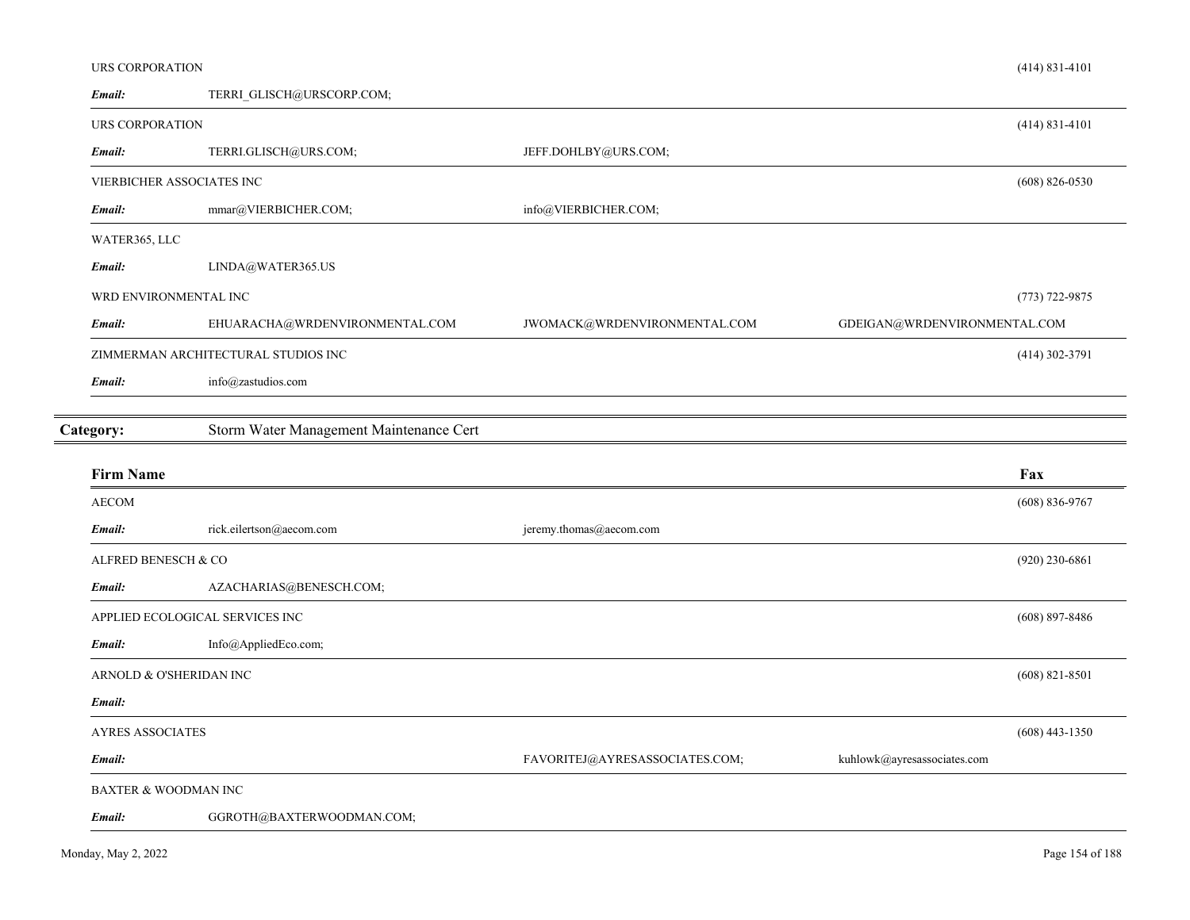|  | URS CORPORATION |  |
|--|-----------------|--|
|--|-----------------|--|

| Email:                          | TERRI GLISCH@URSCORP.COM;               |                                               |                              |                    |
|---------------------------------|-----------------------------------------|-----------------------------------------------|------------------------------|--------------------|
| URS CORPORATION                 |                                         |                                               |                              | $(414) 831 - 4101$ |
| Email:                          | TERRI.GLISCH@URS.COM;                   | JEFF.DOHLBY@URS.COM;                          |                              |                    |
|                                 | VIERBICHER ASSOCIATES INC               |                                               |                              | $(608)$ 826-0530   |
| Email:                          | mmar@VIERBICHER.COM;                    | info@VIERBICHER.COM;                          |                              |                    |
| WATER365, LLC                   |                                         |                                               |                              |                    |
| Email:                          | LINDA@WATER365.US                       |                                               |                              |                    |
|                                 | WRD ENVIRONMENTAL INC                   |                                               |                              | $(773) 722 - 9875$ |
| Email:                          | EHUARACHA@WRDENVIRONMENTAL.COM          | JWOMACK@WRDENVIRONMENTAL.COM                  | GDEIGAN@WRDENVIRONMENTAL.COM |                    |
|                                 | ZIMMERMAN ARCHITECTURAL STUDIOS INC     |                                               |                              | $(414)$ 302-3791   |
| Email:                          | info@zastudios.com                      |                                               |                              |                    |
|                                 |                                         |                                               |                              |                    |
| Category:                       | Storm Water Management Maintenance Cert |                                               |                              |                    |
|                                 |                                         |                                               |                              |                    |
| <b>Firm Name</b>                |                                         |                                               |                              | Fax                |
| <b>AECOM</b>                    |                                         |                                               |                              | $(608) 836 - 9767$ |
| Email:                          | rick.eilertson@aecom.com                | $\mathsf{jeremy.thomas} @ \mathsf{aecom.com}$ |                              |                    |
| ALFRED BENESCH & CO             |                                         |                                               |                              | $(920)$ 230-6861   |
| Email:                          | AZACHARIAS@BENESCH.COM;                 |                                               |                              |                    |
|                                 | APPLIED ECOLOGICAL SERVICES INC         |                                               |                              | $(608) 897 - 8486$ |
| Email:                          | Info@AppliedEco.com;                    |                                               |                              |                    |
|                                 | ARNOLD & O'SHERIDAN INC                 |                                               |                              | $(608)$ 821-8501   |
| Email:                          |                                         |                                               |                              |                    |
| <b>AYRES ASSOCIATES</b>         |                                         |                                               |                              | $(608)$ 443-1350   |
| Email:                          |                                         | FAVORITEJ@AYRESASSOCIATES.COM;                | kuhlowk@ayresassociates.com  |                    |
| <b>BAXTER &amp; WOODMAN INC</b> |                                         |                                               |                              |                    |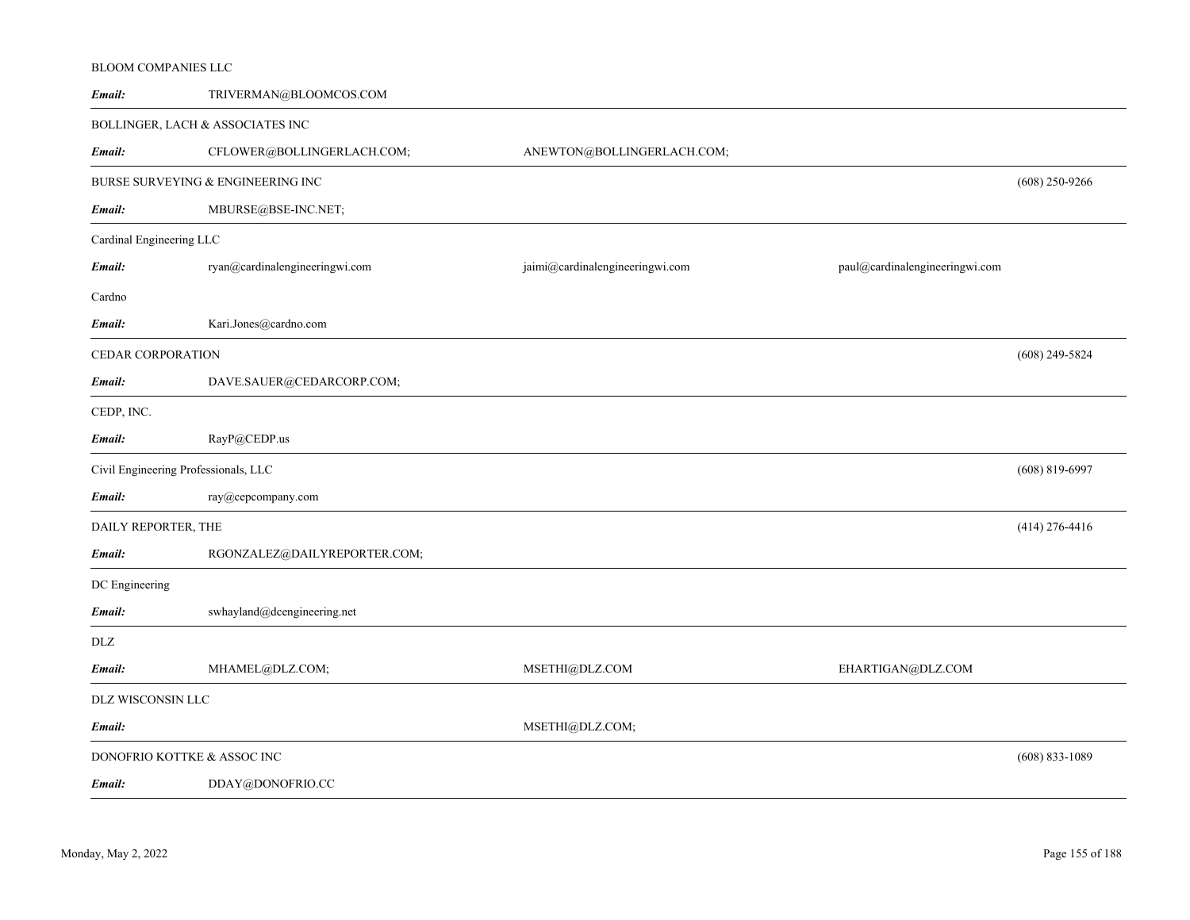# *Email:* TRIVERMAN@BLOOMCOS.COM BOLLINGER, LACH & ASSOCIATES INC *Email:*CFLOWER@BOLLINGERLACH.COM; ANEWTON@BOLLINGERLACH.COM; BURSE SURVEYING & ENGINEERING INCMBURSE@BSE-INC.NET; (608) 250-9266 *Email:*Cardinal Engineering LLC *Email:* ryan@cardinalengineeringwi.com jaimi@cardinalengineeringwi.com paul@cardinalengineeringwi.com Cardno*Email:* Kari.Jones@cardno.com CEDAR CORPORATIONDAVE.SAUER@CEDARCORP.COM; (608) 249-5824 *Email:* CEDP, INC. *Email:* RayP@CEDP.us Civil Engineering Professionals, LLC ray@cepcompany.com (608) 819-6997 *Email:* DAILY REPORTER, THE RGONZALEZ@DAILYREPORTER.COM; (414) 276-4416 *Email:*DC Engineering *Email:* swhayland@dcengineering.net DLZ *Email:* MHAMEL@DLZ.COM; MSETHI@DLZ.COM EHARTIGAN@DLZ.COM DLZ WISCONSIN LLC *Email:* MSETHI@DLZ.COM; DONOFRIO KOTTKE & ASSOC INC DDAY@DONOFRIO.CC (608) 833-1089 *Email:*

BLOOM COMPANIES LLC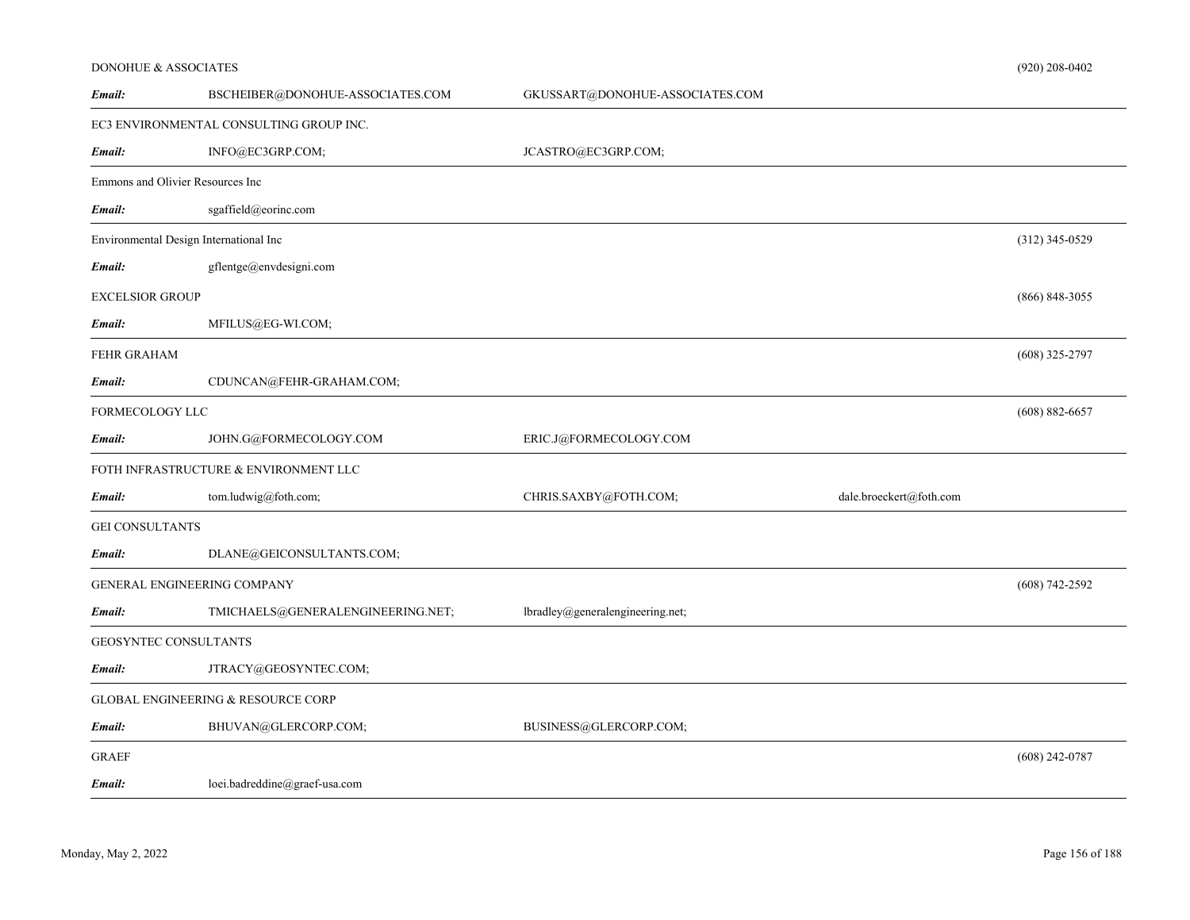#### DONOHUE & ASSOCIATES

| Email:                 | BSCHEIBER@DONOHUE-ASSOCIATES.COM        | GKUSSART@DONOHUE-ASSOCIATES.COM  |                         |                    |
|------------------------|-----------------------------------------|----------------------------------|-------------------------|--------------------|
|                        | EC3 ENVIRONMENTAL CONSULTING GROUP INC. |                                  |                         |                    |
| Email:                 | INFO@EC3GRP.COM;                        | JCASTRO@EC3GRP.COM;              |                         |                    |
|                        | Emmons and Olivier Resources Inc        |                                  |                         |                    |
| Email:                 | sgaffield@eorinc.com                    |                                  |                         |                    |
|                        | Environmental Design International Inc  |                                  |                         | $(312)$ 345-0529   |
| Email:                 | gflentge@envdesigni.com                 |                                  |                         |                    |
| <b>EXCELSIOR GROUP</b> |                                         |                                  |                         | $(866) 848 - 3055$ |
| Email:                 | MFILUS@EG-WI.COM;                       |                                  |                         |                    |
| FEHR GRAHAM            |                                         |                                  |                         | $(608)$ 325-2797   |
| Email:                 | CDUNCAN@FEHR-GRAHAM.COM;                |                                  |                         |                    |
| FORMECOLOGY LLC        |                                         |                                  |                         | $(608) 882 - 6657$ |
| Email:                 | JOHN.G@FORMECOLOGY.COM                  | ERIC.J@FORMECOLOGY.COM           |                         |                    |
|                        | FOTH INFRASTRUCTURE & ENVIRONMENT LLC   |                                  |                         |                    |
| Email:                 | tom.ludwig@foth.com;                    | CHRIS.SAXBY@FOTH.COM;            | dale.broeckert@foth.com |                    |
| <b>GEI CONSULTANTS</b> |                                         |                                  |                         |                    |
| Email:                 | DLANE@GEICONSULTANTS.COM;               |                                  |                         |                    |
|                        | GENERAL ENGINEERING COMPANY             |                                  |                         | $(608) 742 - 2592$ |
| Email:                 | TMICHAELS@GENERALENGINEERING.NET;       | lbradley@generalengineering.net; |                         |                    |
|                        | GEOSYNTEC CONSULTANTS                   |                                  |                         |                    |
| Email:                 | JTRACY@GEOSYNTEC.COM;                   |                                  |                         |                    |
|                        | GLOBAL ENGINEERING & RESOURCE CORP      |                                  |                         |                    |
| Email:                 | BHUVAN@GLERCORP.COM;                    | BUSINESS@GLERCORP.COM;           |                         |                    |
| <b>GRAEF</b>           |                                         |                                  |                         | $(608)$ 242-0787   |
| Email:                 | loei.badreddine@graef-usa.com           |                                  |                         |                    |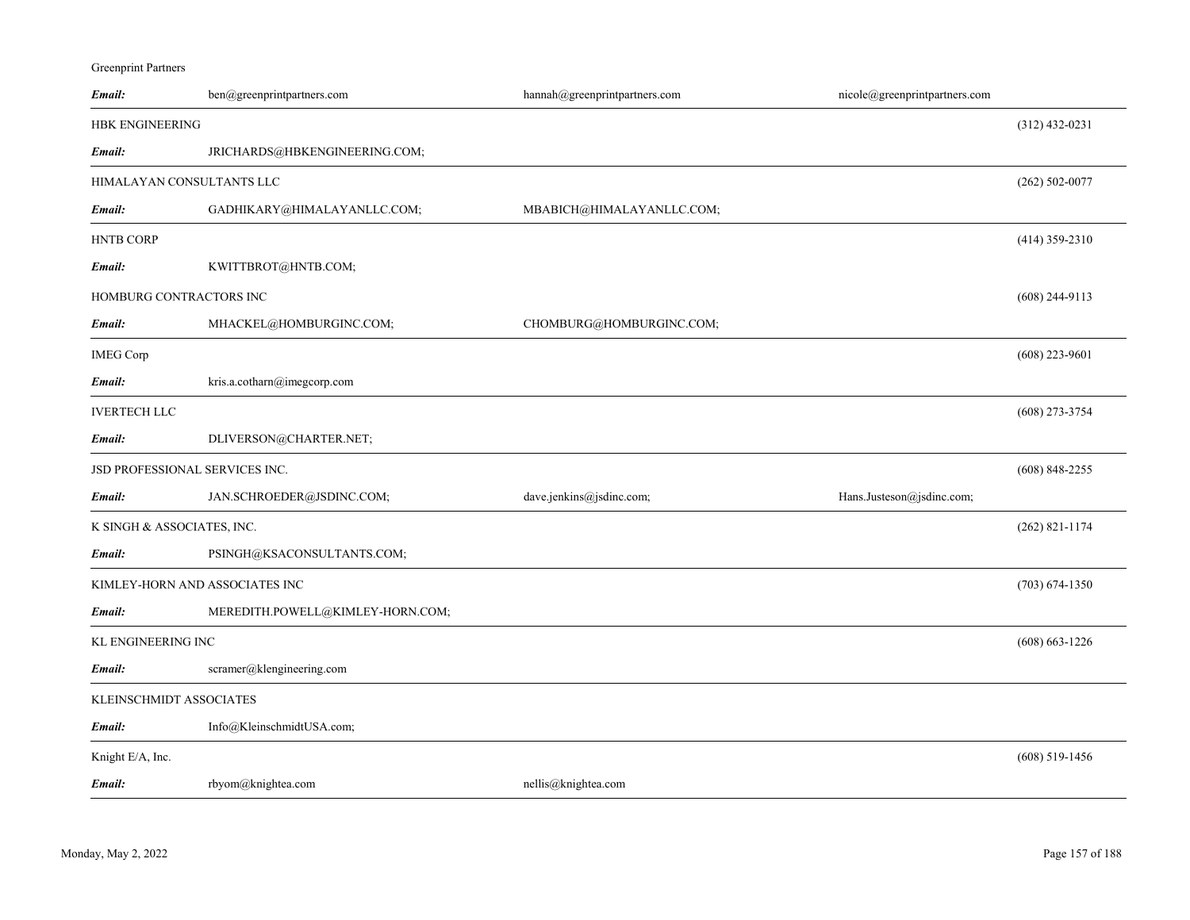Greenprint Partners

| Email:                     | ben@greenprintpartners.com       | hannah@greenprintpartners.com | nicole@greenprintpartners.com |                    |
|----------------------------|----------------------------------|-------------------------------|-------------------------------|--------------------|
| <b>HBK ENGINEERING</b>     |                                  |                               |                               | $(312)$ 432-0231   |
| Email:                     | JRICHARDS@HBKENGINEERING.COM;    |                               |                               |                    |
|                            | HIMALAYAN CONSULTANTS LLC        |                               |                               | $(262)$ 502-0077   |
| Email:                     | GADHIKARY@HIMALAYANLLC.COM;      | MBABICH@HIMALAYANLLC.COM;     |                               |                    |
| <b>HNTB CORP</b>           |                                  |                               |                               | $(414)$ 359-2310   |
| Email:                     | KWITTBROT@HNTB.COM;              |                               |                               |                    |
|                            | HOMBURG CONTRACTORS INC          |                               |                               | $(608)$ 244-9113   |
| Email:                     | MHACKEL@HOMBURGINC.COM;          | CHOMBURG@HOMBURGINC.COM;      |                               |                    |
| <b>IMEG Corp</b>           |                                  |                               |                               | $(608)$ 223-9601   |
| Email:                     | kris.a.cotharn@imegcorp.com      |                               |                               |                    |
| <b>IVERTECH LLC</b>        |                                  |                               |                               | $(608)$ 273-3754   |
| Email:                     | DLIVERSON@CHARTER.NET;           |                               |                               |                    |
|                            | JSD PROFESSIONAL SERVICES INC.   |                               |                               | $(608)$ 848-2255   |
| Email:                     | JAN.SCHROEDER@JSDINC.COM;        | dave.jenkins@jsdinc.com;      | Hans.Justeson@jsdinc.com;     |                    |
| K SINGH & ASSOCIATES, INC. |                                  |                               |                               | $(262)$ 821-1174   |
| Email:                     | PSINGH@KSACONSULTANTS.COM;       |                               |                               |                    |
|                            | KIMLEY-HORN AND ASSOCIATES INC   |                               |                               | $(703) 674 - 1350$ |
| Email:                     | MEREDITH.POWELL@KIMLEY-HORN.COM; |                               |                               |                    |
| KL ENGINEERING INC         |                                  |                               |                               | $(608) 663 - 1226$ |
| Email:                     | scramer@klengineering.com        |                               |                               |                    |
| KLEINSCHMIDT ASSOCIATES    |                                  |                               |                               |                    |
| Email:                     | Info@KleinschmidtUSA.com;        |                               |                               |                    |
| Knight E/A, Inc.           |                                  |                               |                               | $(608)$ 519-1456   |
| Email:                     | rbyom@knightea.com               | nellis@knightea.com           |                               |                    |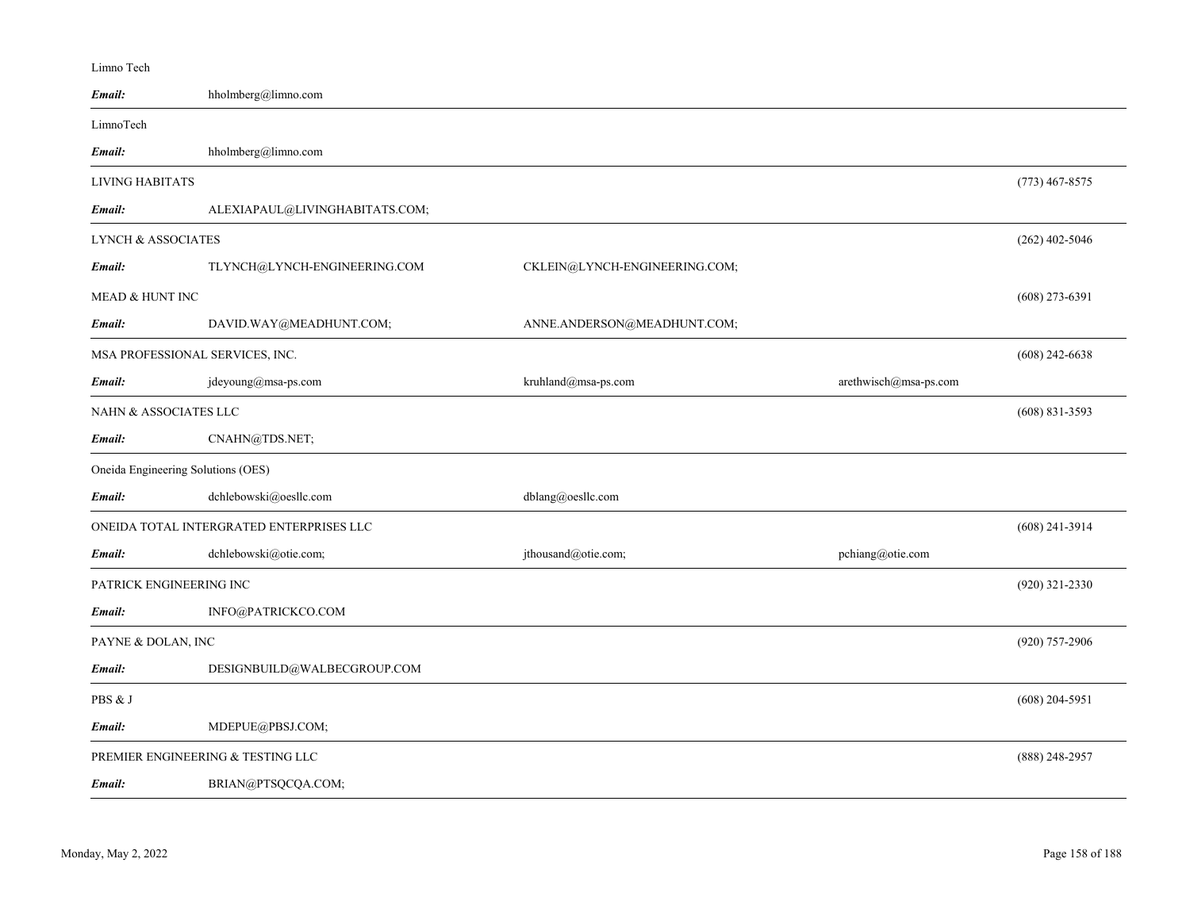| Limno Tech                         |                                          |                               |                       |                  |
|------------------------------------|------------------------------------------|-------------------------------|-----------------------|------------------|
| Email:                             | hholmberg@limno.com                      |                               |                       |                  |
| LimnoTech                          |                                          |                               |                       |                  |
| Email:                             | hholmberg@limno.com                      |                               |                       |                  |
| <b>LIVING HABITATS</b>             |                                          |                               |                       | $(773)$ 467-8575 |
| Email:                             | ALEXIAPAUL@LIVINGHABITATS.COM;           |                               |                       |                  |
| <b>LYNCH &amp; ASSOCIATES</b>      |                                          |                               |                       | $(262)$ 402-5046 |
| Email:                             | TLYNCH@LYNCH-ENGINEERING.COM             | CKLEIN@LYNCH-ENGINEERING.COM; |                       |                  |
| <b>MEAD &amp; HUNT INC</b>         |                                          |                               |                       | $(608)$ 273-6391 |
| Email:                             | DAVID.WAY@MEADHUNT.COM;                  | ANNE.ANDERSON@MEADHUNT.COM;   |                       |                  |
|                                    | MSA PROFESSIONAL SERVICES, INC.          |                               |                       | $(608)$ 242-6638 |
| Email:                             | jdeyoung@msa-ps.com                      | kruhland@msa-ps.com           | arethwisch@msa-ps.com |                  |
| <b>NAHN &amp; ASSOCIATES LLC</b>   |                                          |                               |                       | $(608)$ 831-3593 |
| Email:                             | CNAHN@TDS.NET;                           |                               |                       |                  |
| Oneida Engineering Solutions (OES) |                                          |                               |                       |                  |
| Email:                             | dchlebowski@oesllc.com                   | dblang@oesllc.com             |                       |                  |
|                                    | ONEIDA TOTAL INTERGRATED ENTERPRISES LLC |                               |                       | $(608)$ 241-3914 |
| Email:                             | dchlebowski@otie.com;                    | jthousand@otie.com;           | pchiang@otie.com      |                  |
| PATRICK ENGINEERING INC            |                                          |                               |                       | $(920)$ 321-2330 |
| Email:                             | INFO@PATRICKCO.COM                       |                               |                       |                  |
| PAYNE & DOLAN, INC                 |                                          |                               |                       | (920) 757-2906   |
| Email:                             | DESIGNBUILD@WALBECGROUP.COM              |                               |                       |                  |
| PBS & J                            |                                          |                               |                       | $(608)$ 204-5951 |
| Email:                             | MDEPUE@PBSJ.COM;                         |                               |                       |                  |
|                                    | PREMIER ENGINEERING & TESTING LLC        |                               |                       | $(888)$ 248-2957 |
| Email:                             | BRIAN@PTSQCQA.COM;                       |                               |                       |                  |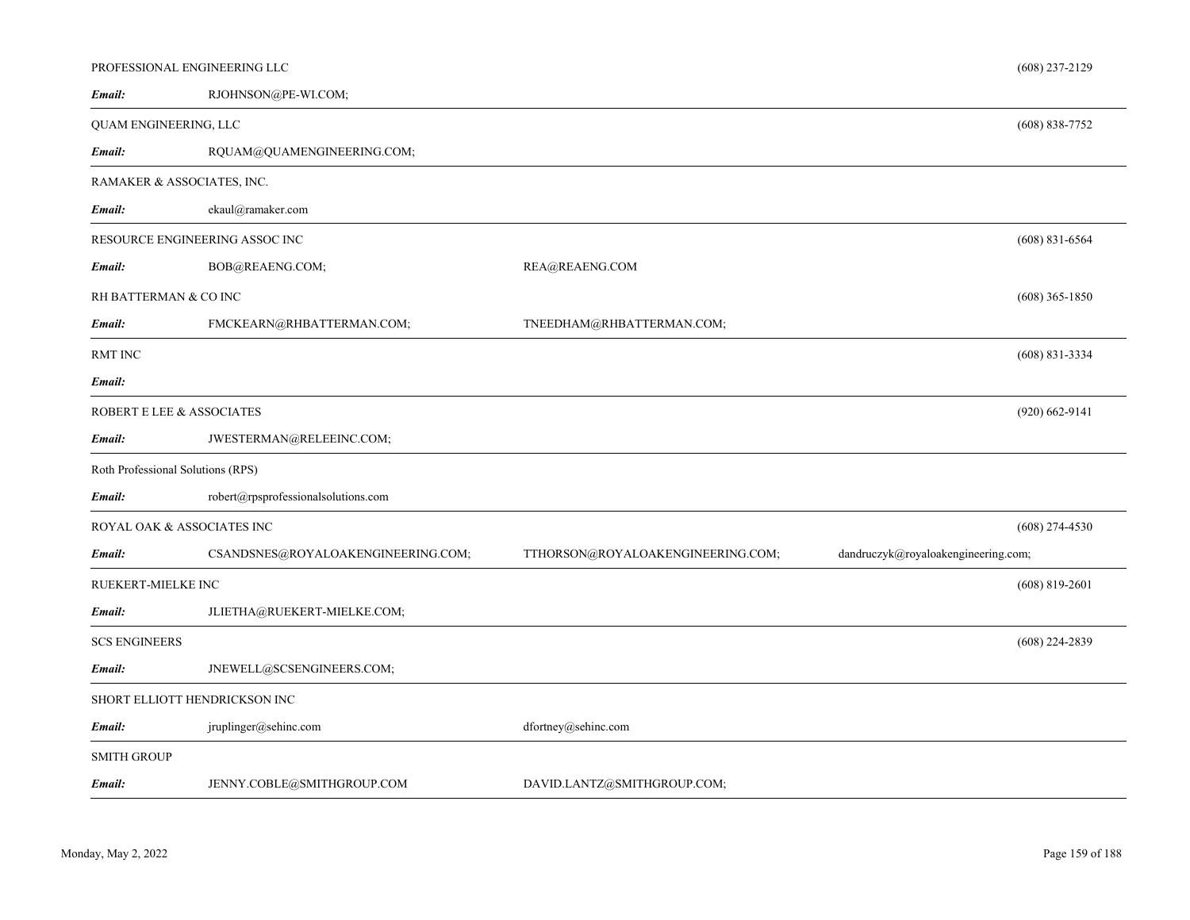|                                   | PROFESSIONAL ENGINEERING LLC        |                                   |                                     | $(608)$ 237-2129   |
|-----------------------------------|-------------------------------------|-----------------------------------|-------------------------------------|--------------------|
| Email:                            | RJOHNSON@PE-WI.COM;                 |                                   |                                     |                    |
| QUAM ENGINEERING, LLC             |                                     |                                   |                                     | $(608) 838 - 7752$ |
| Email:                            | RQUAM@QUAMENGINEERING.COM;          |                                   |                                     |                    |
|                                   | RAMAKER & ASSOCIATES, INC.          |                                   |                                     |                    |
| Email:                            | ekaul@ramaker.com                   |                                   |                                     |                    |
|                                   | RESOURCE ENGINEERING ASSOC INC      |                                   |                                     | $(608)$ 831-6564   |
| Email:                            | BOB@REAENG.COM;                     | REA@REAENG.COM                    |                                     |                    |
| RH BATTERMAN & CO INC             |                                     |                                   |                                     | $(608)$ 365-1850   |
| Email:                            | FMCKEARN@RHBATTERMAN.COM;           | TNEEDHAM@RHBATTERMAN.COM;         |                                     |                    |
| RMT INC                           |                                     |                                   |                                     | $(608) 831 - 3334$ |
| Email:                            |                                     |                                   |                                     |                    |
| ROBERT E LEE & ASSOCIATES         |                                     |                                   |                                     | $(920) 662 - 9141$ |
| Email:                            | JWESTERMAN@RELEEINC.COM;            |                                   |                                     |                    |
| Roth Professional Solutions (RPS) |                                     |                                   |                                     |                    |
| Email:                            | robert@rpsprofessionalsolutions.com |                                   |                                     |                    |
|                                   | ROYAL OAK & ASSOCIATES INC          |                                   |                                     | $(608)$ 274-4530   |
| Email:                            | CSANDSNES@ROYALOAKENGINEERING.COM;  | TTHORSON@ROYALOAKENGINEERING.COM; | dandruczyk@royaloakengineering.com; |                    |
| RUEKERT-MIELKE INC                |                                     |                                   |                                     | $(608)$ 819-2601   |
| Email:                            | JLIETHA@RUEKERT-MIELKE.COM;         |                                   |                                     |                    |
| <b>SCS ENGINEERS</b>              |                                     |                                   |                                     | $(608)$ 224-2839   |
| Email:                            | JNEWELL@SCSENGINEERS.COM;           |                                   |                                     |                    |
|                                   | SHORT ELLIOTT HENDRICKSON INC       |                                   |                                     |                    |
| Email:                            | jruplinger@sehinc.com               | dfortney@sehinc.com               |                                     |                    |
| <b>SMITH GROUP</b>                |                                     |                                   |                                     |                    |
| Email:                            | JENNY.COBLE@SMITHGROUP.COM          | DAVID.LANTZ@SMITHGROUP.COM;       |                                     |                    |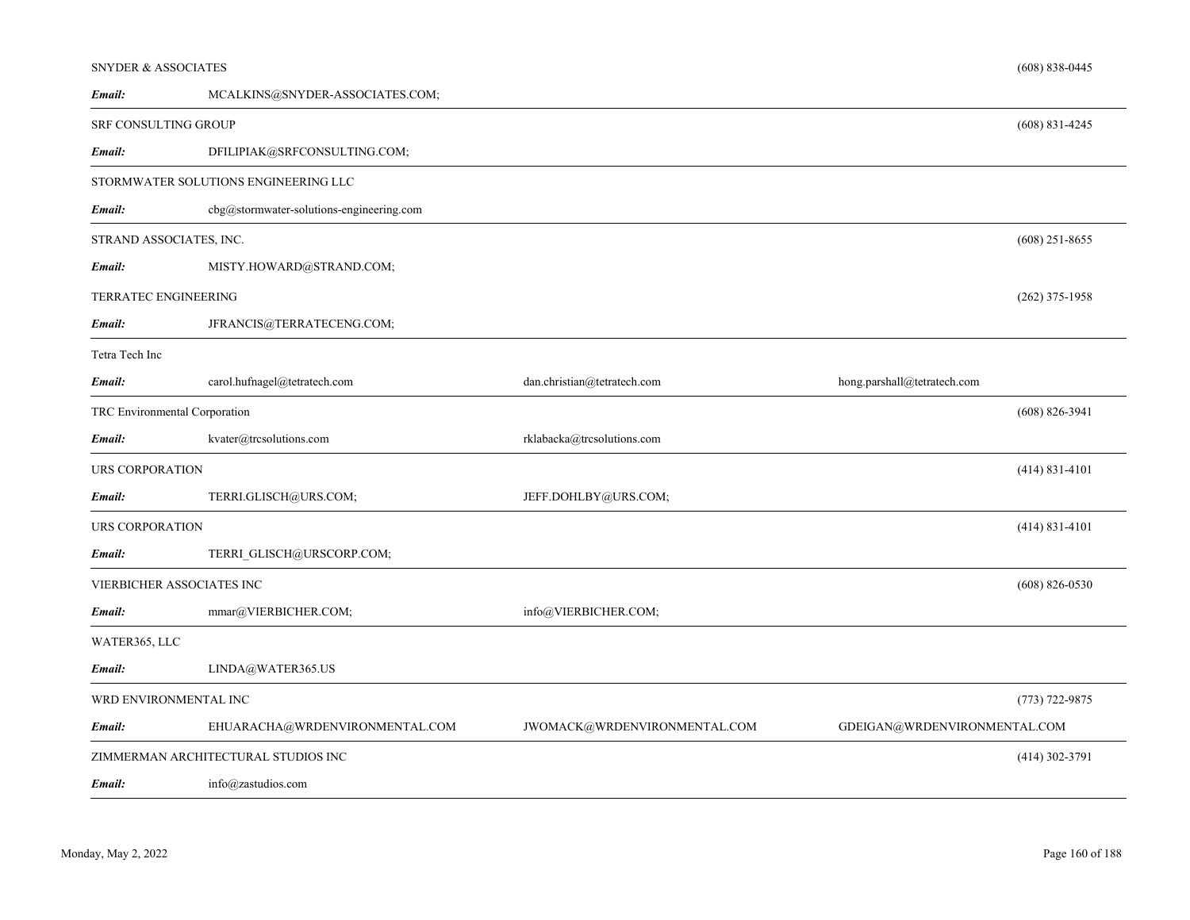| <b>SNYDER &amp; ASSOCIATES</b> |                                          |                              |                              | $(608) 838 - 0445$ |
|--------------------------------|------------------------------------------|------------------------------|------------------------------|--------------------|
| Email:                         | MCALKINS@SNYDER-ASSOCIATES.COM;          |                              |                              |                    |
| <b>SRF CONSULTING GROUP</b>    |                                          |                              |                              | $(608)$ 831-4245   |
| Email:                         | DFILIPIAK@SRFCONSULTING.COM;             |                              |                              |                    |
|                                | STORMWATER SOLUTIONS ENGINEERING LLC     |                              |                              |                    |
| Email:                         | cbg@stormwater-solutions-engineering.com |                              |                              |                    |
| STRAND ASSOCIATES, INC.        |                                          |                              |                              | $(608)$ 251-8655   |
| Email:                         | MISTY.HOWARD@STRAND.COM;                 |                              |                              |                    |
| TERRATEC ENGINEERING           |                                          |                              |                              | $(262)$ 375-1958   |
| Email:                         | JFRANCIS@TERRATECENG.COM;                |                              |                              |                    |
| Tetra Tech Inc                 |                                          |                              |                              |                    |
| Email:                         | carol.hufnagel@tetratech.com             | dan.christian@tetratech.com  | hong.parshall@tetratech.com  |                    |
| TRC Environmental Corporation  |                                          |                              |                              | $(608) 826 - 3941$ |
| Email:                         | kvater@trcsolutions.com                  | rklabacka@trcsolutions.com   |                              |                    |
| <b>URS CORPORATION</b>         |                                          |                              |                              | $(414) 831 - 4101$ |
| Email:                         | TERRI.GLISCH@URS.COM;                    | JEFF.DOHLBY@URS.COM;         |                              |                    |
| <b>URS CORPORATION</b>         |                                          |                              |                              | $(414)$ 831-4101   |
| Email:                         | TERRI GLISCH@URSCORP.COM;                |                              |                              |                    |
| VIERBICHER ASSOCIATES INC      |                                          |                              |                              | $(608)$ 826-0530   |
| Email:                         | mmar@VIERBICHER.COM;                     | info@VIERBICHER.COM;         |                              |                    |
| WATER365, LLC                  |                                          |                              |                              |                    |
| Email:                         | LINDA@WATER365.US                        |                              |                              |                    |
| WRD ENVIRONMENTAL INC          |                                          |                              |                              | $(773) 722 - 9875$ |
| Email:                         | EHUARACHA@WRDENVIRONMENTAL.COM           | JWOMACK@WRDENVIRONMENTAL.COM | GDEIGAN@WRDENVIRONMENTAL.COM |                    |
|                                | ZIMMERMAN ARCHITECTURAL STUDIOS INC      |                              |                              | $(414)$ 302-3791   |
| Email:                         | info@zastudios.com                       |                              |                              |                    |

*Email:*

and a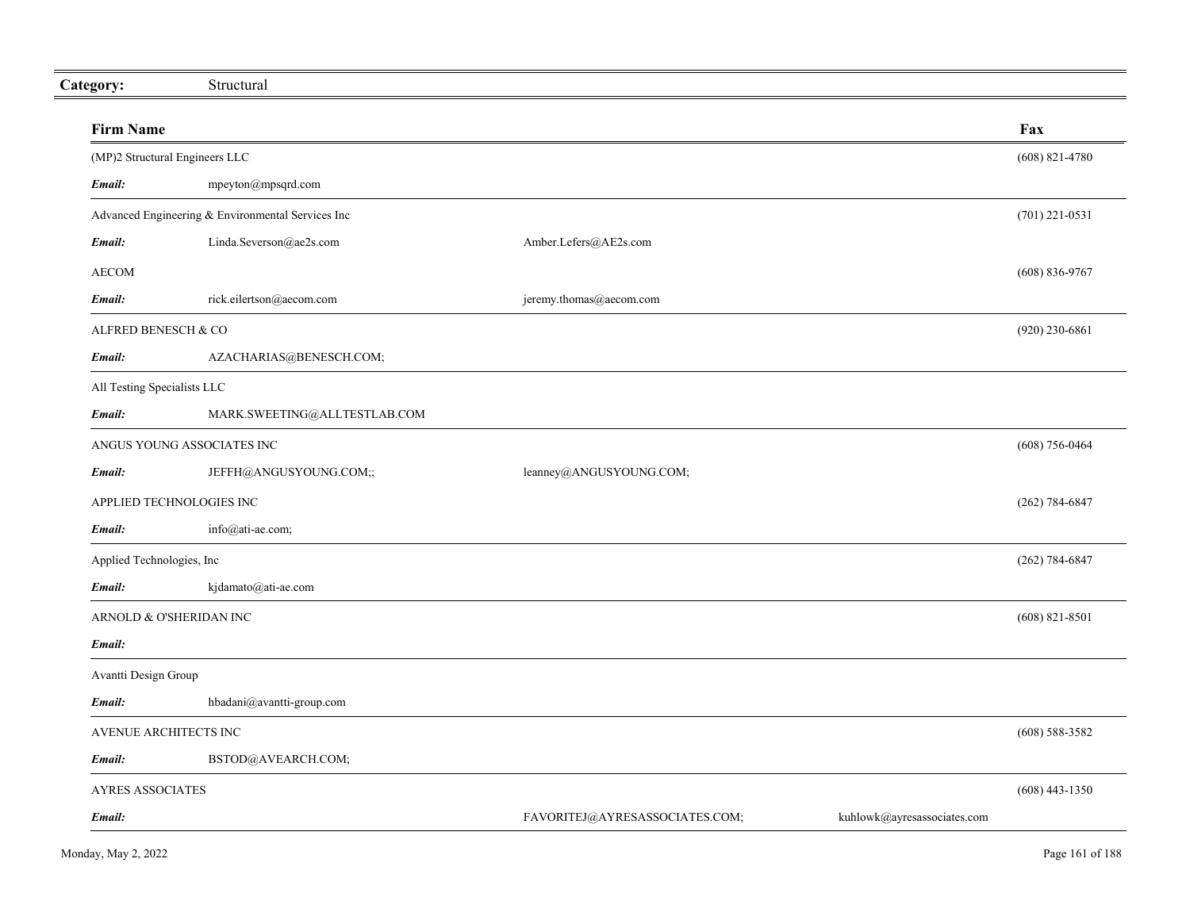| Category:                   | Structural                                        |                                |                             |                    |
|-----------------------------|---------------------------------------------------|--------------------------------|-----------------------------|--------------------|
| <b>Firm Name</b>            |                                                   |                                |                             | Fax                |
|                             | (MP)2 Structural Engineers LLC                    |                                |                             | $(608)$ 821-4780   |
| Email:                      | mpeyton@mpsqrd.com                                |                                |                             |                    |
|                             | Advanced Engineering & Environmental Services Inc |                                |                             | $(701)$ 221-0531   |
| Email:                      | Linda.Severson@ae2s.com                           | Amber.Lefers@AE2s.com          |                             |                    |
| <b>AECOM</b>                |                                                   |                                |                             | $(608) 836-9767$   |
| Email:                      | rick.eilertson@aecom.com                          | jeremy.thomas@aecom.com        |                             |                    |
| ALFRED BENESCH & CO         |                                                   |                                |                             | $(920)$ 230-6861   |
| Email:                      | AZACHARIAS@BENESCH.COM;                           |                                |                             |                    |
| All Testing Specialists LLC |                                                   |                                |                             |                    |
| Email:                      | MARK.SWEETING@ALLTESTLAB.COM                      |                                |                             |                    |
|                             | ANGUS YOUNG ASSOCIATES INC                        |                                |                             | $(608) 756 - 0464$ |
| Email:                      | JEFFH@ANGUSYOUNG.COM;;                            | leanney@ANGUSYOUNG.COM;        |                             |                    |
|                             | APPLIED TECHNOLOGIES INC                          |                                |                             | $(262) 784 - 6847$ |
| Email:                      | info@ati-ae.com;                                  |                                |                             |                    |
| Applied Technologies, Inc   |                                                   |                                |                             | $(262) 784 - 6847$ |
| Email:                      | kjdamato@ati-ae.com                               |                                |                             |                    |
|                             | ARNOLD & O'SHERIDAN INC                           |                                |                             | $(608)$ 821-8501   |
| Email:                      |                                                   |                                |                             |                    |
| Avantti Design Group        |                                                   |                                |                             |                    |
| Email:                      | hbadani@avantti-group.com                         |                                |                             |                    |
| AVENUE ARCHITECTS INC       |                                                   |                                |                             | $(608)$ 588-3582   |
| Email:                      | BSTOD@AVEARCH.COM;                                |                                |                             |                    |
| <b>AYRES ASSOCIATES</b>     |                                                   |                                |                             | $(608)$ 443-1350   |
| Email:                      |                                                   | FAVORITEJ@AYRESASSOCIATES.COM; | kuhlowk@ayresassociates.com |                    |
|                             |                                                   |                                |                             |                    |

 $\equiv$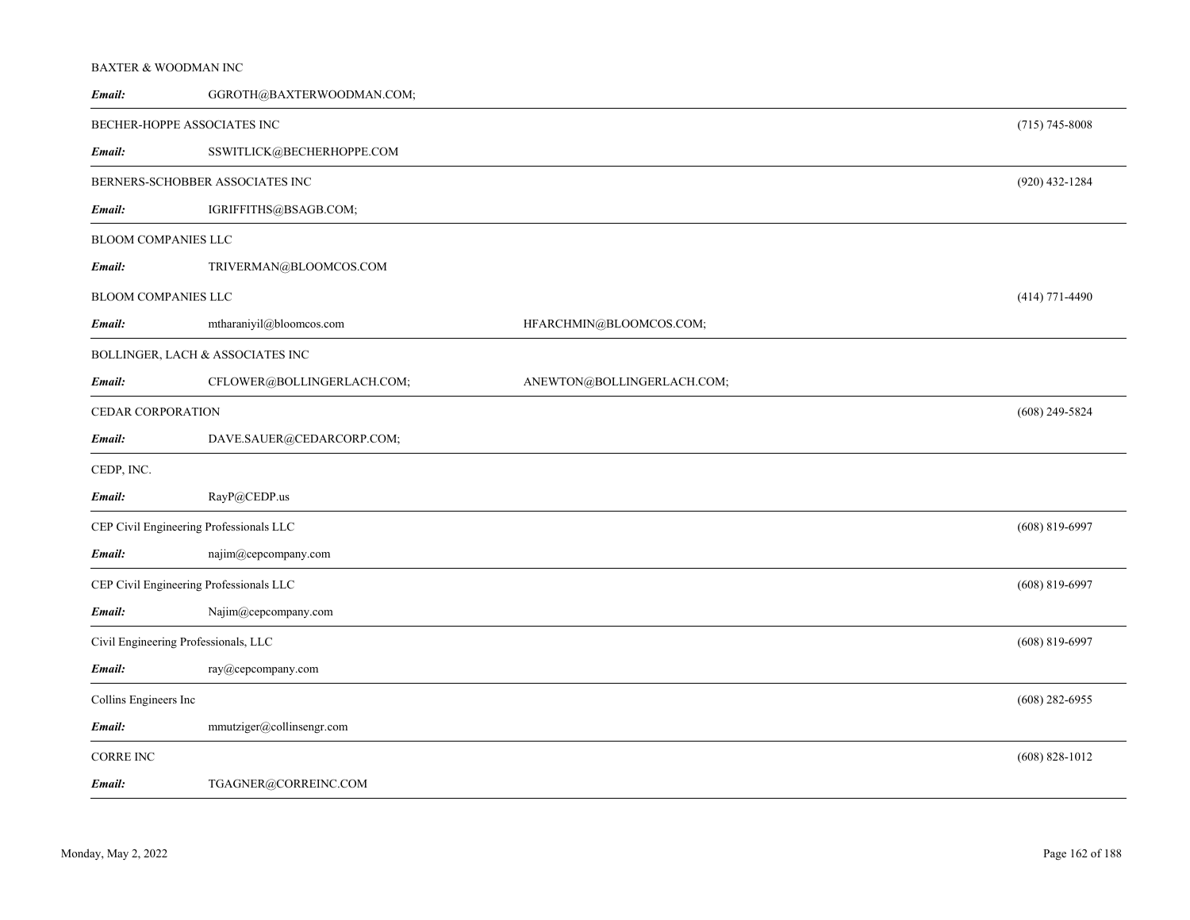### BAXTER & WOODMAN INC

| Email:                     | GGROTH@BAXTERWOODMAN.COM;               |                            |                    |
|----------------------------|-----------------------------------------|----------------------------|--------------------|
|                            | BECHER-HOPPE ASSOCIATES INC             |                            | $(715) 745 - 8008$ |
| Email:                     | SSWITLICK@BECHERHOPPE.COM               |                            |                    |
|                            | BERNERS-SCHOBBER ASSOCIATES INC         |                            | $(920)$ 432-1284   |
| Email:                     | IGRIFFITHS@BSAGB.COM;                   |                            |                    |
| BLOOM COMPANIES LLC        |                                         |                            |                    |
| Email:                     | TRIVERMAN@BLOOMCOS.COM                  |                            |                    |
| <b>BLOOM COMPANIES LLC</b> |                                         |                            | $(414)$ 771-4490   |
| Email:                     | mtharaniyil@bloomcos.com                | HFARCHMIN@BLOOMCOS.COM;    |                    |
|                            | BOLLINGER, LACH & ASSOCIATES INC        |                            |                    |
| Email:                     | CFLOWER@BOLLINGERLACH.COM;              | ANEWTON@BOLLINGERLACH.COM; |                    |
| CEDAR CORPORATION          |                                         |                            | $(608)$ 249-5824   |
| Email:                     | DAVE.SAUER@CEDARCORP.COM;               |                            |                    |
| CEDP, INC.                 |                                         |                            |                    |
| Email:                     | RayP@CEDP.us                            |                            |                    |
|                            | CEP Civil Engineering Professionals LLC |                            | $(608) 819 - 6997$ |
| Email:                     | najim@cepcompany.com                    |                            |                    |
|                            | CEP Civil Engineering Professionals LLC |                            | $(608)$ 819-6997   |
| Email:                     | Najim@cepcompany.com                    |                            |                    |
|                            | Civil Engineering Professionals, LLC    |                            | $(608)$ 819-6997   |
| Email:                     | ray@cepcompany.com                      |                            |                    |
| Collins Engineers Inc      |                                         |                            | $(608)$ 282-6955   |
| Email:                     | mmutziger@collinsengr.com               |                            |                    |
| <b>CORRE INC</b>           |                                         |                            | $(608) 828 - 1012$ |
| Email:                     | TGAGNER@CORREINC.COM                    |                            |                    |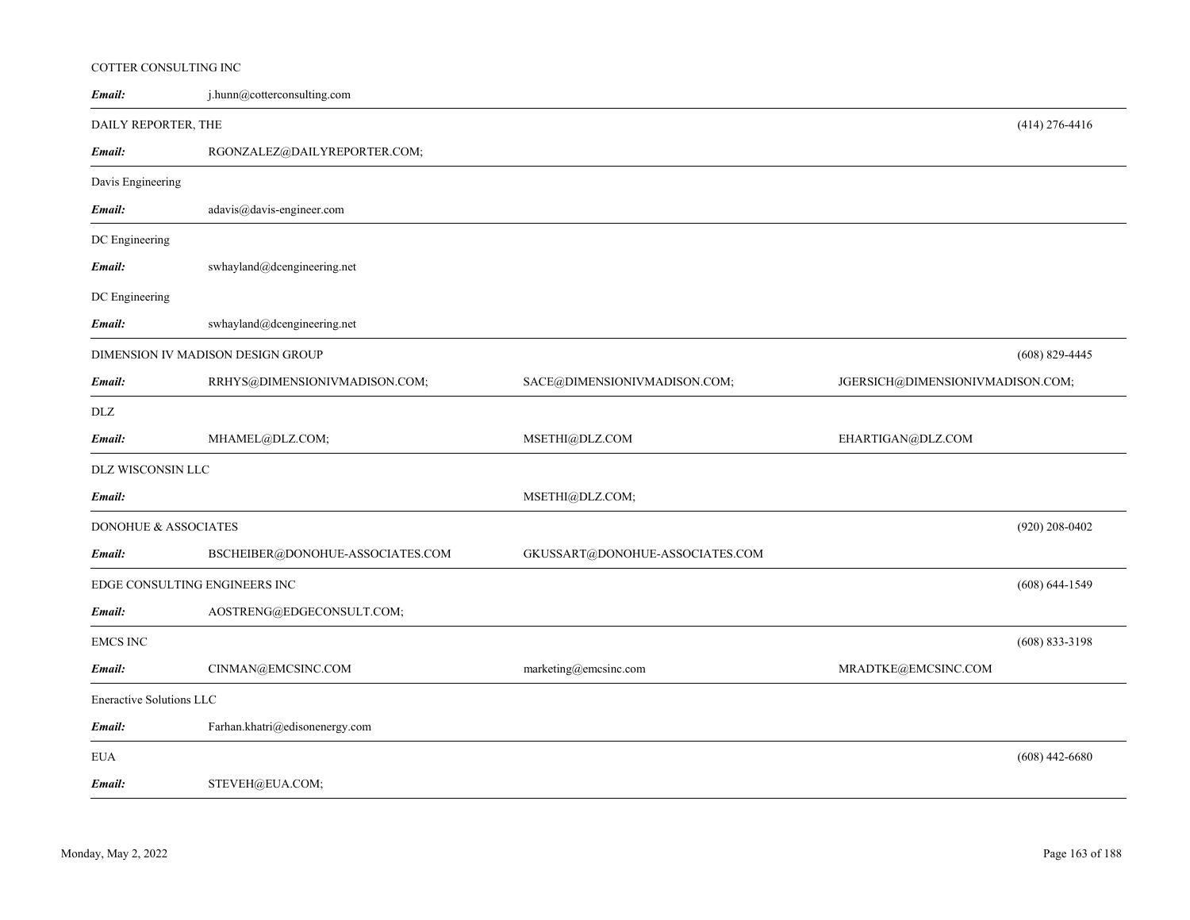#### COTTER CONSULTING INC

| Email:                        | j.hunn@cotterconsulting.com        |                                 |                                  |                    |
|-------------------------------|------------------------------------|---------------------------------|----------------------------------|--------------------|
| DAILY REPORTER, THE           |                                    |                                 |                                  | $(414)$ 276-4416   |
| Email:                        | RGONZALEZ@DAILYREPORTER.COM;       |                                 |                                  |                    |
| Davis Engineering             |                                    |                                 |                                  |                    |
| Email:                        | $adavis@davis\text{-}engineer.com$ |                                 |                                  |                    |
| DC Engineering                |                                    |                                 |                                  |                    |
| Email:                        | swhayland@dcengineering.net        |                                 |                                  |                    |
| DC Engineering                |                                    |                                 |                                  |                    |
| Email:                        | swhayland@dcengineering.net        |                                 |                                  |                    |
|                               | DIMENSION IV MADISON DESIGN GROUP  |                                 |                                  | $(608)$ 829-4445   |
| Email:                        | RRHYS@DIMENSIONIVMADISON.COM;      | SACE@DIMENSIONIVMADISON.COM;    | JGERSICH@DIMENSIONIVMADISON.COM; |                    |
| DLZ                           |                                    |                                 |                                  |                    |
| Email:                        | MHAMEL@DLZ.COM;                    | MSETHI@DLZ.COM                  | EHARTIGAN@DLZ.COM                |                    |
| DLZ WISCONSIN LLC             |                                    |                                 |                                  |                    |
| Email:                        |                                    | MSETHI@DLZ.COM;                 |                                  |                    |
| DONOHUE & ASSOCIATES          |                                    |                                 |                                  | $(920)$ 208-0402   |
| Email:                        | BSCHEIBER@DONOHUE-ASSOCIATES.COM   | GKUSSART@DONOHUE-ASSOCIATES.COM |                                  |                    |
| EDGE CONSULTING ENGINEERS INC |                                    |                                 |                                  | $(608) 644 - 1549$ |
| Email:                        | AOSTRENG@EDGECONSULT.COM;          |                                 |                                  |                    |
| <b>EMCS INC</b>               |                                    |                                 |                                  | $(608)$ 833-3198   |
| Email:                        | CINMAN@EMCSINC.COM                 | marketing@emcsinc.com           | MRADTKE@EMCSINC.COM              |                    |
| Eneractive Solutions LLC      |                                    |                                 |                                  |                    |
| Email:                        | Farhan.khatri@edisonenergy.com     |                                 |                                  |                    |
| <b>EUA</b>                    |                                    |                                 |                                  | $(608)$ 442-6680   |
| Email:                        | STEVEH@EUA.COM;                    |                                 |                                  |                    |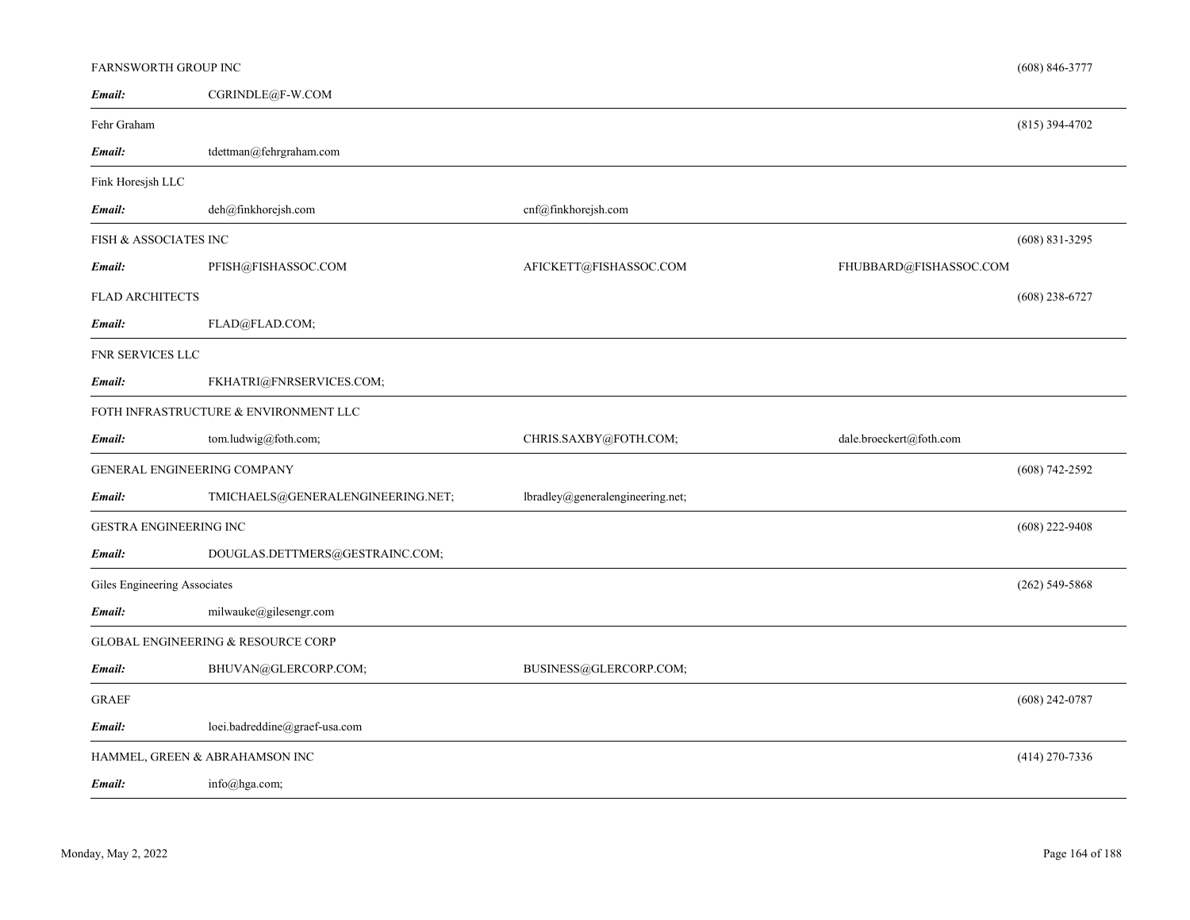| FARNSWORTH GROUP INC         |                                       |                                  |                         | $(608) 846 - 3777$ |
|------------------------------|---------------------------------------|----------------------------------|-------------------------|--------------------|
| Email:                       | CGRINDLE@F-W.COM                      |                                  |                         |                    |
| Fehr Graham                  |                                       |                                  |                         | $(815)$ 394-4702   |
| Email:                       | tdettman@fehrgraham.com               |                                  |                         |                    |
| Fink Horesjsh LLC            |                                       |                                  |                         |                    |
| Email:                       | deh@finkhorejsh.com                   | cnf@finkhorejsh.com              |                         |                    |
| FISH & ASSOCIATES INC        |                                       |                                  |                         | $(608) 831 - 3295$ |
| Email:                       | PFISH@FISHASSOC.COM                   | AFICKETT@FISHASSOC.COM           | FHUBBARD@FISHASSOC.COM  |                    |
| <b>FLAD ARCHITECTS</b>       |                                       |                                  |                         | $(608)$ 238-6727   |
| Email:                       | FLAD@FLAD.COM;                        |                                  |                         |                    |
| FNR SERVICES LLC             |                                       |                                  |                         |                    |
| Email:                       | FKHATRI@FNRSERVICES.COM;              |                                  |                         |                    |
|                              | FOTH INFRASTRUCTURE & ENVIRONMENT LLC |                                  |                         |                    |
| Email:                       | tom.ludwig@foth.com;                  | CHRIS.SAXBY@FOTH.COM;            | dale.broeckert@foth.com |                    |
|                              | <b>GENERAL ENGINEERING COMPANY</b>    |                                  |                         | $(608) 742 - 2592$ |
| Email:                       | TMICHAELS@GENERALENGINEERING.NET;     | lbradley@generalengineering.net; |                         |                    |
| GESTRA ENGINEERING INC       |                                       |                                  |                         | $(608)$ 222-9408   |
| Email:                       | DOUGLAS.DETTMERS@GESTRAINC.COM;       |                                  |                         |                    |
| Giles Engineering Associates |                                       |                                  |                         | $(262)$ 549-5868   |
| Email:                       | milwauke@gilesengr.com                |                                  |                         |                    |
|                              | GLOBAL ENGINEERING & RESOURCE CORP    |                                  |                         |                    |
| Email:                       | BHUVAN@GLERCORP.COM;                  | BUSINESS@GLERCORP.COM;           |                         |                    |
| <b>GRAEF</b>                 |                                       |                                  |                         | $(608)$ 242-0787   |
| Email:                       | loei.badreddine@graef-usa.com         |                                  |                         |                    |
|                              | HAMMEL, GREEN & ABRAHAMSON INC        |                                  |                         | $(414)$ 270-7336   |
| Email:                       | info@hga.com;                         |                                  |                         |                    |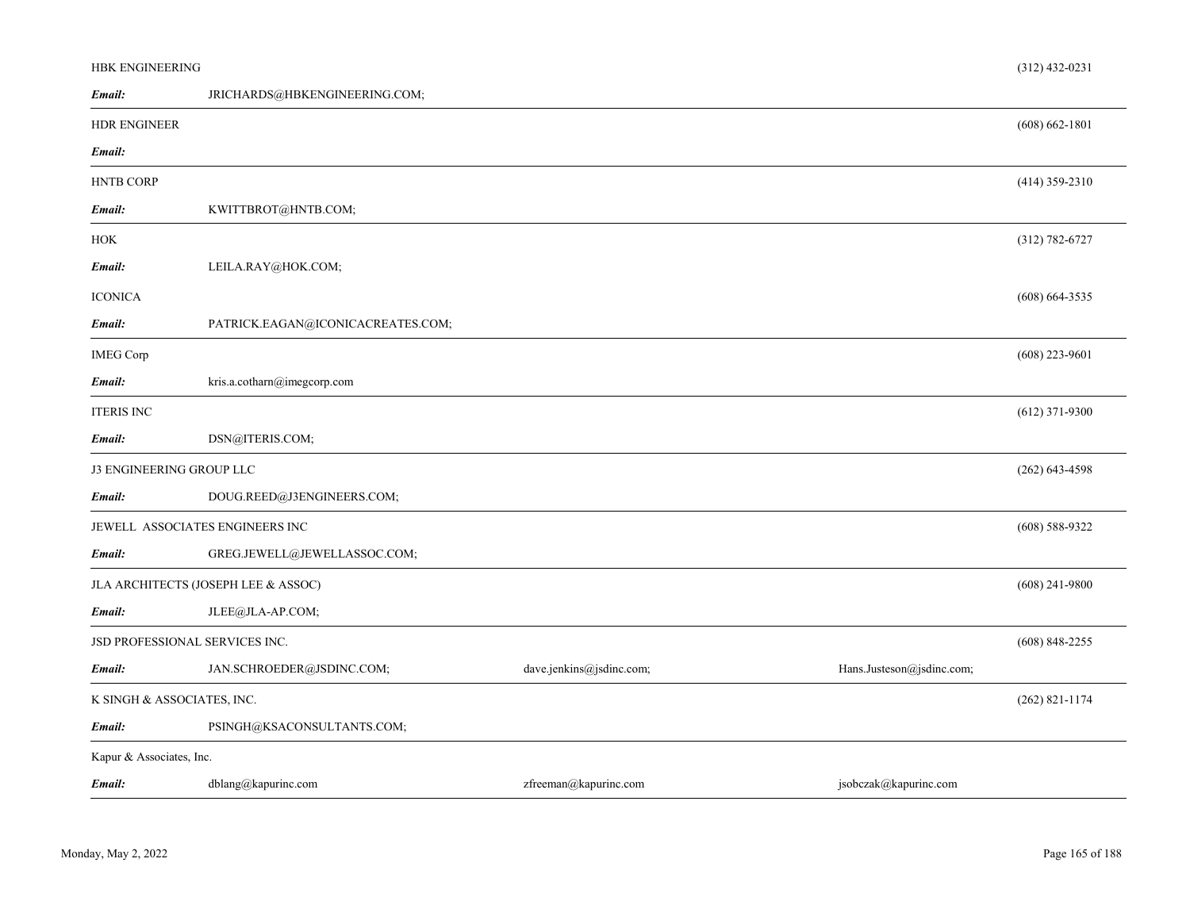| HBK ENGINEERING                |                                     |                          |                           | $(312)$ 432-0231   |  |
|--------------------------------|-------------------------------------|--------------------------|---------------------------|--------------------|--|
| Email:                         | JRICHARDS@HBKENGINEERING.COM;       |                          |                           |                    |  |
| <b>HDR ENGINEER</b>            |                                     |                          |                           | $(608) 662 - 1801$ |  |
| Email:                         |                                     |                          |                           |                    |  |
| <b>HNTB CORP</b>               |                                     |                          |                           | $(414)$ 359-2310   |  |
| Email:                         | KWITTBROT@HNTB.COM;                 |                          |                           |                    |  |
| HOK                            |                                     |                          |                           | $(312) 782 - 6727$ |  |
| Email:                         | LEILA.RAY@HOK.COM;                  |                          |                           |                    |  |
| <b>ICONICA</b>                 |                                     |                          |                           | $(608)$ 664-3535   |  |
| Email:                         | PATRICK.EAGAN@ICONICACREATES.COM;   |                          |                           |                    |  |
| <b>IMEG Corp</b>               |                                     |                          |                           | $(608)$ 223-9601   |  |
| Email:                         | kris.a.cotharn@imegcorp.com         |                          |                           |                    |  |
| <b>ITERIS INC</b>              |                                     |                          |                           | $(612)$ 371-9300   |  |
| Email:                         | DSN@ITERIS.COM;                     |                          |                           |                    |  |
| J3 ENGINEERING GROUP LLC       |                                     |                          |                           | $(262)$ 643-4598   |  |
| Email:                         | DOUG.REED@J3ENGINEERS.COM;          |                          |                           |                    |  |
|                                | JEWELL ASSOCIATES ENGINEERS INC     |                          |                           | $(608)$ 588-9322   |  |
| Email:                         | GREG.JEWELL@JEWELLASSOC.COM;        |                          |                           |                    |  |
|                                | JLA ARCHITECTS (JOSEPH LEE & ASSOC) |                          |                           | $(608)$ 241-9800   |  |
| Email:                         | JLEE@JLA-AP.COM;                    |                          |                           |                    |  |
| JSD PROFESSIONAL SERVICES INC. |                                     |                          |                           | $(608)$ 848-2255   |  |
| Email:                         | JAN.SCHROEDER@JSDINC.COM;           | dave.jenkins@jsdinc.com; | Hans.Justeson@jsdinc.com; |                    |  |
|                                | K SINGH & ASSOCIATES, INC.          |                          |                           |                    |  |
| Email:                         | PSINGH@KSACONSULTANTS.COM;          |                          |                           |                    |  |
| Kapur & Associates, Inc.       |                                     |                          |                           |                    |  |
| Email:                         | dblang@kapurinc.com                 | zfreeman@kapurinc.com    | jsobczak@kapurinc.com     |                    |  |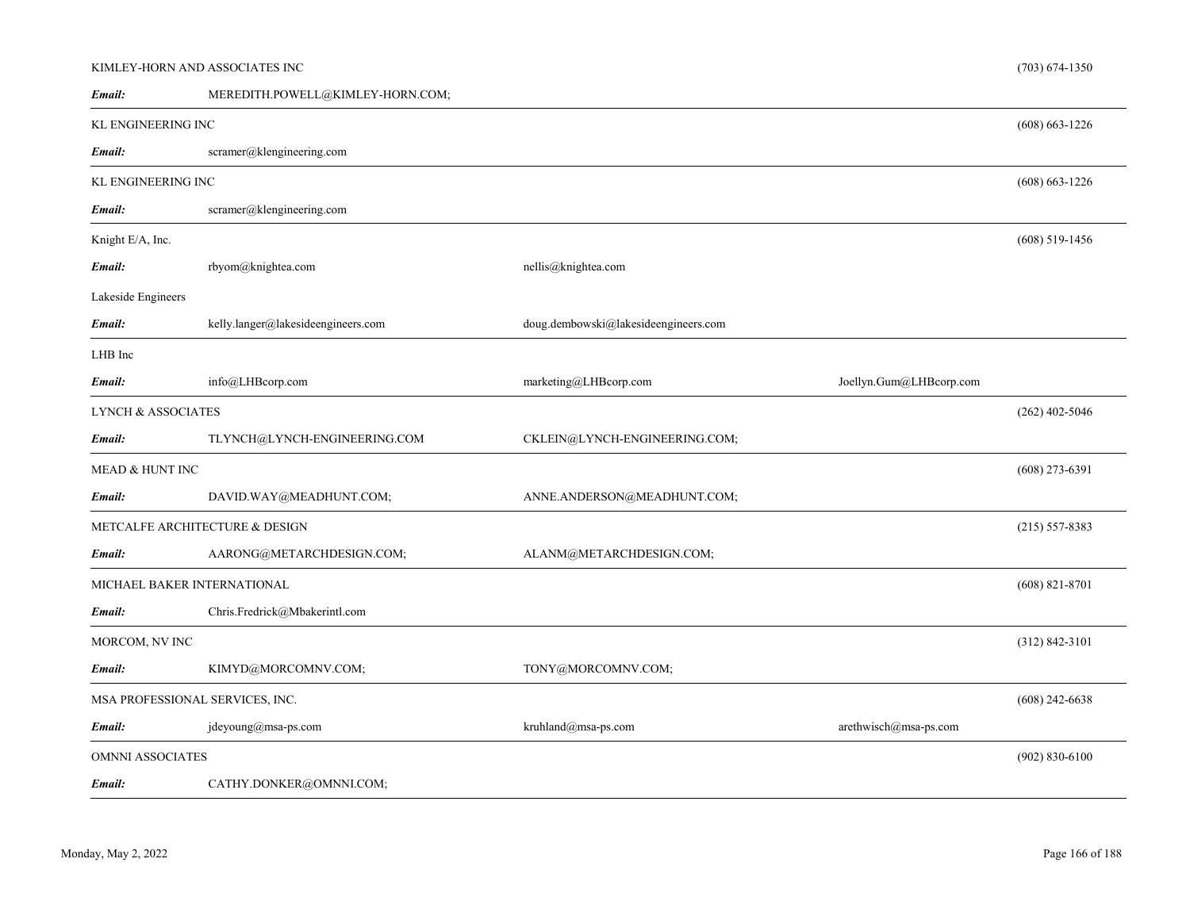#### KIMLEY-HORN AND ASSOCIATES INC

MEREDITH.POWELL@KIMLEY-HORN.COM; *Email:*

| <b>KL ENGINEERING INC</b>     |                                    |                                      |                         | $(608) 663 - 1226$ |
|-------------------------------|------------------------------------|--------------------------------------|-------------------------|--------------------|
| Email:                        | scramer@klengineering.com          |                                      |                         |                    |
| KL ENGINEERING INC            |                                    |                                      |                         | $(608) 663 - 1226$ |
| Email:                        | scramer@klengineering.com          |                                      |                         |                    |
| Knight E/A, Inc.              |                                    |                                      |                         | $(608)$ 519-1456   |
| Email:                        | rbyom@knightea.com                 | nellis@knightea.com                  |                         |                    |
| Lakeside Engineers            |                                    |                                      |                         |                    |
| Email:                        | kelly.langer@lakesideengineers.com | doug.dembowski@lakesideengineers.com |                         |                    |
| LHB Inc                       |                                    |                                      |                         |                    |
| Email:                        | info@LHBcorp.com                   | marketing@LHBcorp.com                | Joellyn.Gum@LHBcorp.com |                    |
| <b>LYNCH &amp; ASSOCIATES</b> |                                    |                                      |                         | $(262)$ 402-5046   |
| Email:                        | TLYNCH@LYNCH-ENGINEERING.COM       | CKLEIN@LYNCH-ENGINEERING.COM;        |                         |                    |
| MEAD & HUNT INC               |                                    |                                      |                         | $(608)$ 273-6391   |
| Email:                        | DAVID.WAY@MEADHUNT.COM;            | ANNE.ANDERSON@MEADHUNT.COM;          |                         |                    |
|                               | METCALFE ARCHITECTURE & DESIGN     |                                      |                         | $(215) 557 - 8383$ |
| Email:                        | AARONG@METARCHDESIGN.COM;          | ALANM@METARCHDESIGN.COM;             |                         |                    |
|                               | MICHAEL BAKER INTERNATIONAL        |                                      |                         | $(608)$ 821-8701   |
| Email:                        | Chris.Fredrick@Mbakerintl.com      |                                      |                         |                    |
| MORCOM, NV INC                |                                    |                                      |                         | $(312) 842 - 3101$ |
| Email:                        | KIMYD@MORCOMNV.COM;                | TONY@MORCOMNV.COM;                   |                         |                    |
|                               | MSA PROFESSIONAL SERVICES, INC.    |                                      |                         | $(608)$ 242-6638   |
| Email:                        | jdeyoung@msa-ps.com                | kruhland@msa-ps.com                  | arethwisch@msa-ps.com   |                    |
| <b>OMNNI ASSOCIATES</b>       |                                    |                                      |                         | $(902) 830 - 6100$ |
| Email:                        | CATHY.DONKER@OMNNI.COM;            |                                      |                         |                    |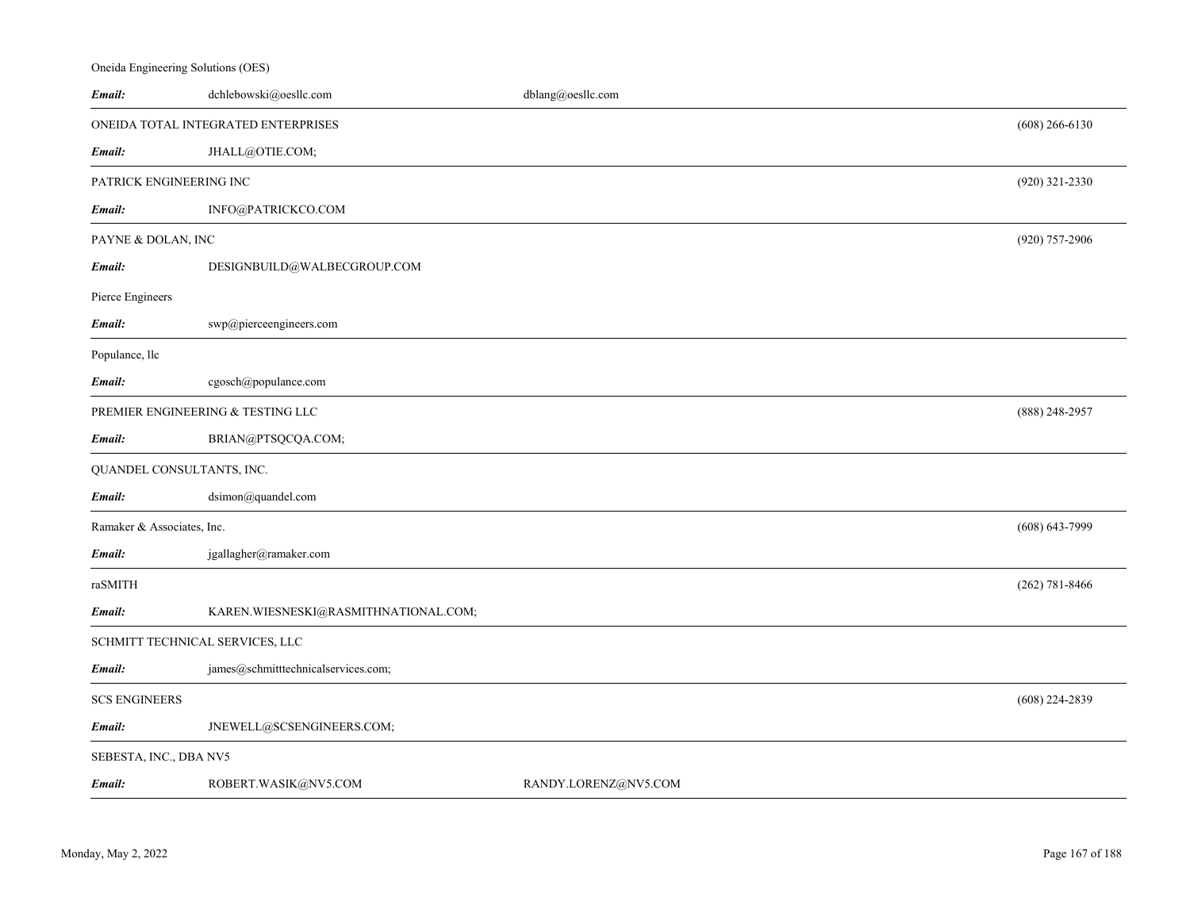# *Email:* dchlebowski@oesllc.com dblang@oesllc.com ONEIDA TOTAL INTEGRATED ENTERPRISESJHALL@OTIE.COM; (608) 266-6130 *Email:* PATRICK ENGINEERING INCINFO@PATRICKCO.COM (920) 321-2330 *Email:*PAYNE & DOLAN, INC DESIGNBUILD@WALBECGROUP.COM (920) 757-2906 *Email:*Pierce Engineers *Email:* swp@pierceengineers.com Populance, llc *Email:* cgosch@populance.com PREMIER ENGINEERING & TESTING LLC BRIAN@PTSQCQA.COM; (888) 248-2957 *Email:* QUANDEL CONSULTANTS, INC. *Email:* dsimon@quandel.com Ramaker & Associates, Inc. jgallagher@ramaker.com (608) 643-7999 *Email:*raSMITHKAREN.WIESNESKI@RASMITHNATIONAL.COM; (262) 781-8466 *Email:* SCHMITT TECHNICAL SERVICES, LLC *Email:*james@schmitttechnicalservices.com; SCS ENGINEERS JNEWELL@SCSENGINEERS.COM; (608) 224-2839 *Email:*SEBESTA, INC., DBA NV5 *Email:*ROBERT.WASIK@NV5.COM RANDY.LORENZ@NV5.COM

Oneida Engineering Solutions (OES)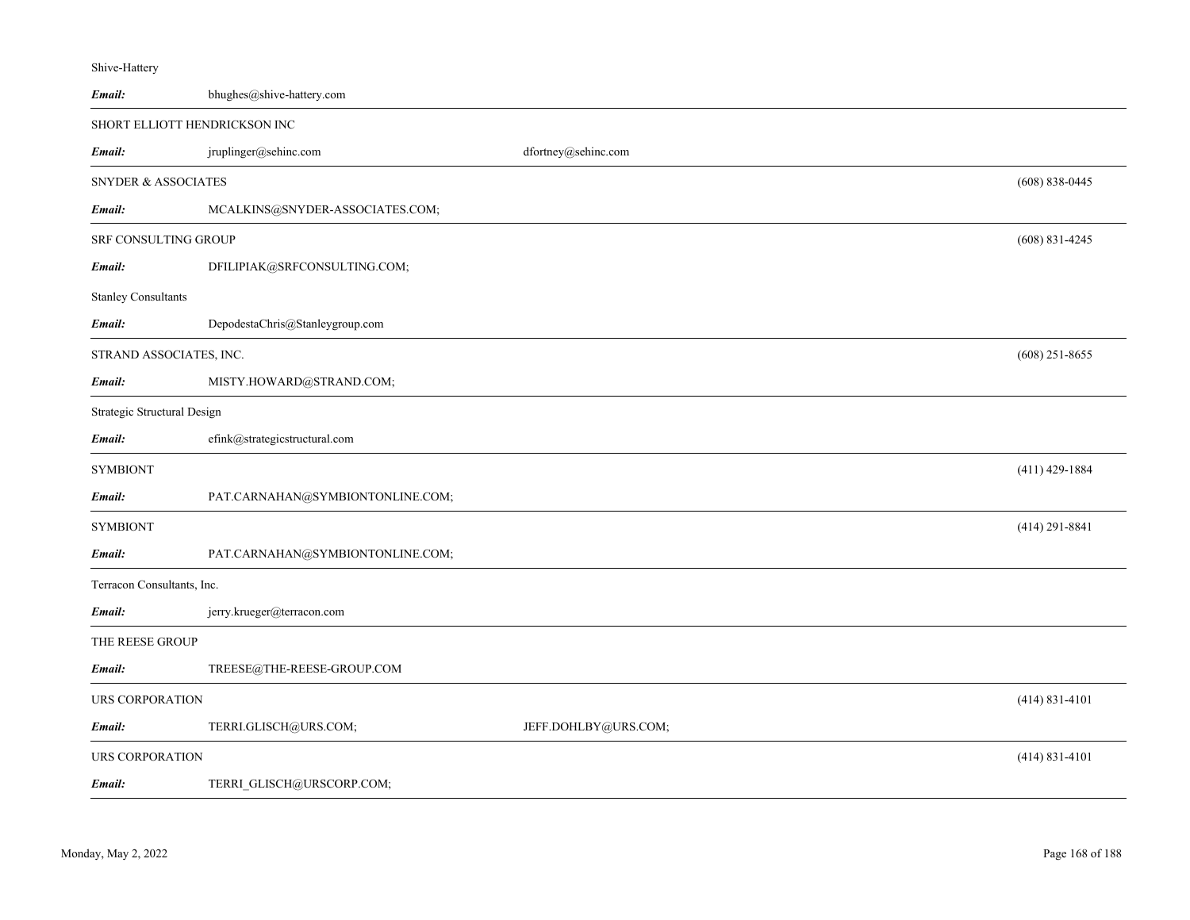| Email:                         | bhughes@shive-hattery.com        |                      |                    |
|--------------------------------|----------------------------------|----------------------|--------------------|
|                                | SHORT ELLIOTT HENDRICKSON INC    |                      |                    |
| Email:                         | jruplinger@sehinc.com            | dfortney@sehinc.com  |                    |
| <b>SNYDER &amp; ASSOCIATES</b> |                                  |                      | $(608) 838 - 0445$ |
| Email:                         | MCALKINS@SNYDER-ASSOCIATES.COM;  |                      |                    |
| SRF CONSULTING GROUP           |                                  |                      | $(608)$ 831-4245   |
| Email:                         | DFILIPIAK@SRFCONSULTING.COM;     |                      |                    |
| <b>Stanley Consultants</b>     |                                  |                      |                    |
| Email:                         | DepodestaChris@Stanleygroup.com  |                      |                    |
| STRAND ASSOCIATES, INC.        |                                  |                      | $(608)$ 251-8655   |
| Email:                         | MISTY.HOWARD@STRAND.COM;         |                      |                    |
| Strategic Structural Design    |                                  |                      |                    |
| Email:                         | efink@strategicstructural.com    |                      |                    |
| <b>SYMBIONT</b>                |                                  |                      | $(411)$ 429-1884   |
| Email:                         | PAT.CARNAHAN@SYMBIONTONLINE.COM; |                      |                    |
| <b>SYMBIONT</b>                |                                  |                      | $(414)$ 291-8841   |
| Email:                         | PAT.CARNAHAN@SYMBIONTONLINE.COM; |                      |                    |
| Terracon Consultants, Inc.     |                                  |                      |                    |
| Email:                         | jerry.krueger@terracon.com       |                      |                    |
| THE REESE GROUP                |                                  |                      |                    |
| Email:                         | TREESE@THE-REESE-GROUP.COM       |                      |                    |
| URS CORPORATION                |                                  |                      | $(414) 831 - 4101$ |
| Email:                         | TERRI.GLISCH@URS.COM;            | JEFF.DOHLBY@URS.COM; |                    |
| <b>URS CORPORATION</b>         |                                  |                      | $(414) 831 - 4101$ |
| Email:                         | TERRI_GLISCH@URSCORP.COM;        |                      |                    |

Shive-Hattery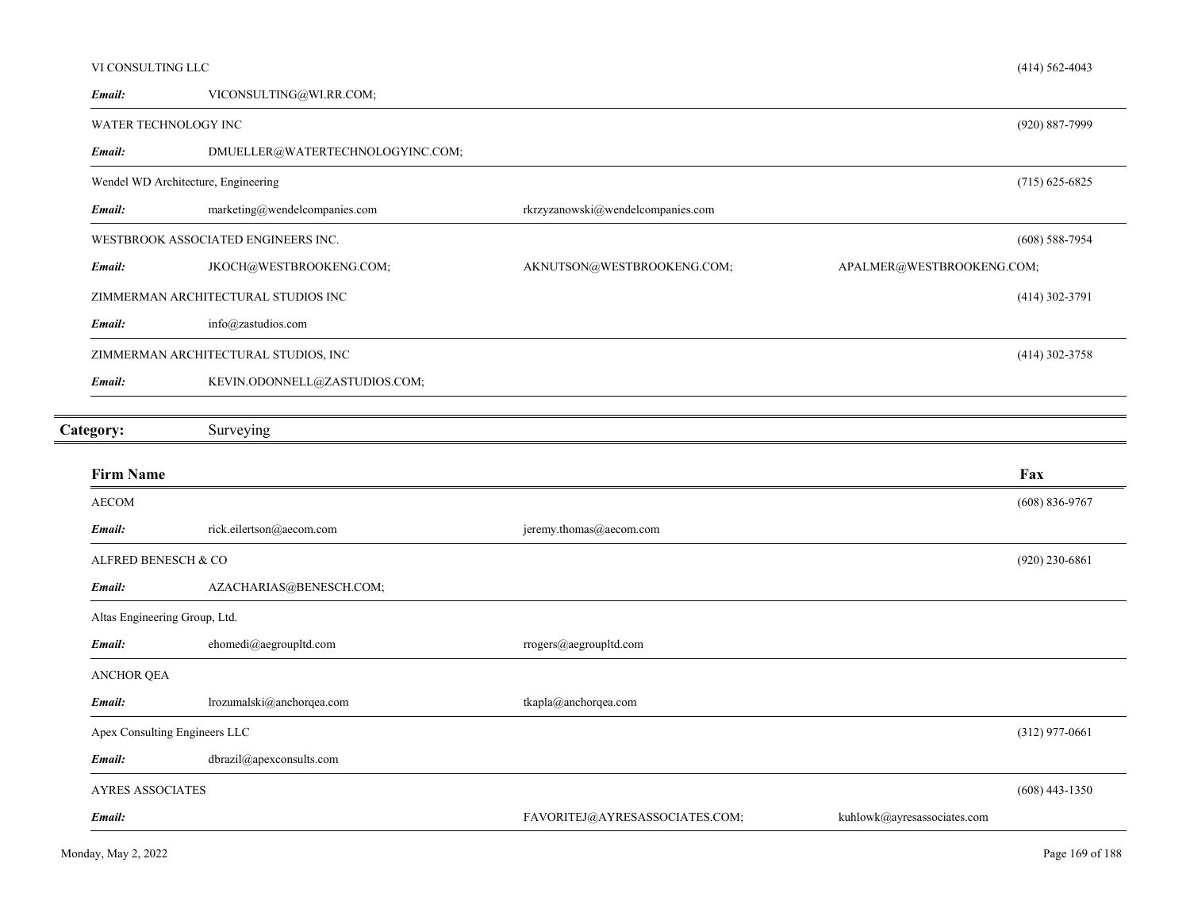| VI CONSULTING LLC             |                                         |                                   |                             | $(414) 562 - 4043$ |
|-------------------------------|-----------------------------------------|-----------------------------------|-----------------------------|--------------------|
| Email:                        | VICONSULTING@WI.RR.COM;                 |                                   |                             |                    |
|                               | WATER TECHNOLOGY INC                    |                                   |                             | $(920) 887 - 7999$ |
| Email:                        | DMUELLER@WATERTECHNOLOGYINC.COM;        |                                   |                             |                    |
|                               | Wendel WD Architecture, Engineering     |                                   |                             | $(715)$ 625-6825   |
| Email:                        | $\text{marketing@wendel companies.com}$ | rkrzyzanowski@wendelcompanies.com |                             |                    |
|                               | WESTBROOK ASSOCIATED ENGINEERS INC.     |                                   |                             | $(608) 588 - 7954$ |
| Email:                        | JKOCH@WESTBROOKENG.COM;                 | AKNUTSON@WESTBROOKENG.COM;        | APALMER@WESTBROOKENG.COM;   |                    |
|                               | ZIMMERMAN ARCHITECTURAL STUDIOS INC     |                                   |                             | $(414)$ 302-3791   |
| Email:                        | info@zastudios.com                      |                                   |                             |                    |
|                               | ZIMMERMAN ARCHITECTURAL STUDIOS, INC    |                                   |                             | $(414)$ 302-3758   |
| Email:                        | KEVIN.ODONNELL@ZASTUDIOS.COM;           |                                   |                             |                    |
| Category:                     | Surveying                               |                                   |                             |                    |
| <b>Firm Name</b>              |                                         |                                   |                             | Fax                |
| <b>AECOM</b>                  |                                         |                                   |                             | $(608) 836 - 9767$ |
| Email:                        | rick.eilertson@aecom.com                | jeremy.thomas@aecom.com           |                             |                    |
| ALFRED BENESCH & CO           |                                         |                                   |                             | $(920)$ 230-6861   |
| Email:                        | AZACHARIAS@BENESCH.COM;                 |                                   |                             |                    |
| Altas Engineering Group, Ltd. |                                         |                                   |                             |                    |
| Email:                        | ehomedi@aegroupltd.com                  | rrogers@aegroupltd.com            |                             |                    |
| <b>ANCHOR QEA</b>             |                                         |                                   |                             |                    |
| Email:                        | lrozumalski@anchorqea.com               | tkapla@anchorqea.com              |                             |                    |
|                               | Apex Consulting Engineers LLC           |                                   |                             | $(312)$ 977-0661   |
| Email:                        | dbrazil@apexconsults.com                |                                   |                             |                    |
| <b>AYRES ASSOCIATES</b>       |                                         |                                   |                             | $(608)$ 443-1350   |
| Email:                        |                                         | FAVORITEJ@AYRESASSOCIATES.COM;    | kuhlowk@ayresassociates.com |                    |
|                               |                                         |                                   |                             |                    |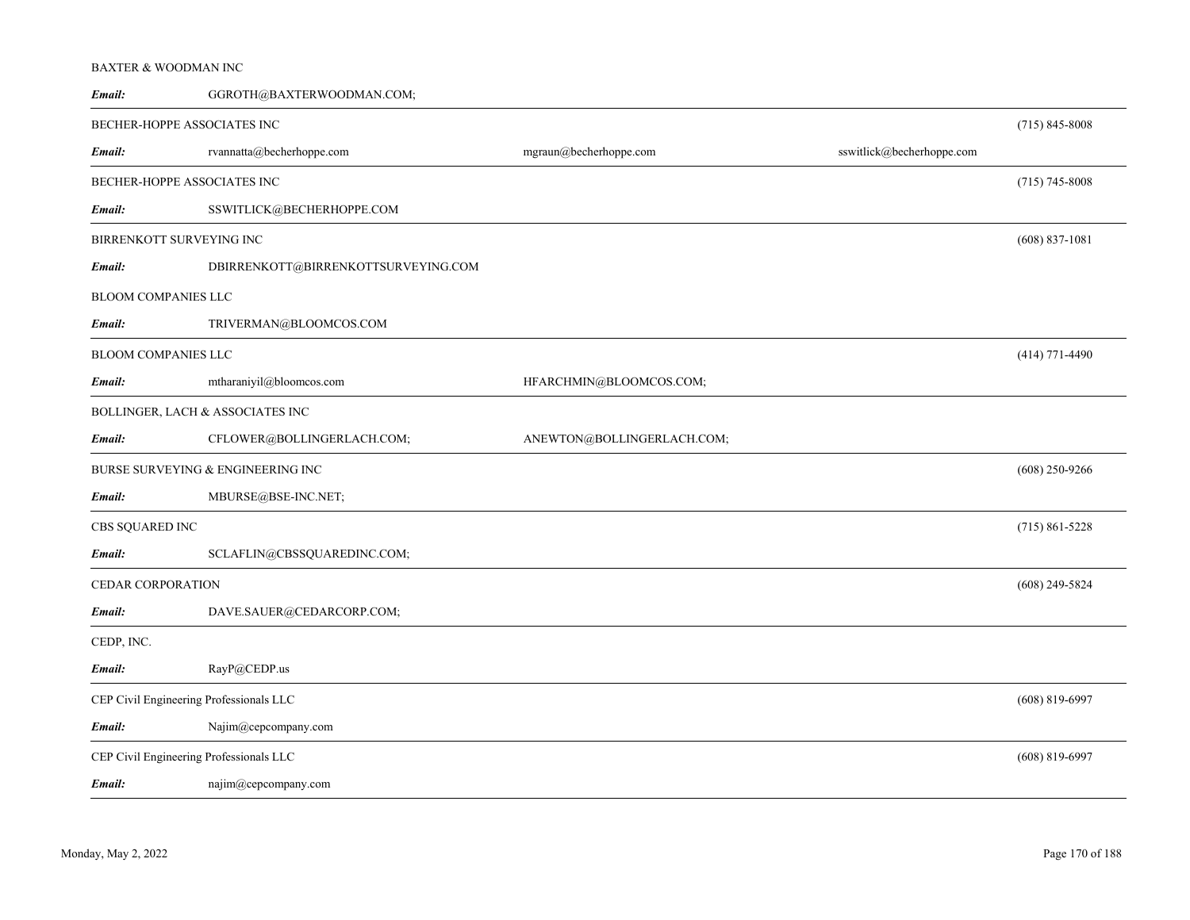#### BAXTER & WOODMAN INC

| Email:                                  | GGROTH@BAXTERWOODMAN.COM;           |                            |                           |                    |
|-----------------------------------------|-------------------------------------|----------------------------|---------------------------|--------------------|
| BECHER-HOPPE ASSOCIATES INC             |                                     |                            |                           | $(715) 845 - 8008$ |
| Email:                                  | rvannatta@becherhoppe.com           | mgraun@becherhoppe.com     | sswitlick@becherhoppe.com |                    |
| BECHER-HOPPE ASSOCIATES INC             |                                     |                            |                           | $(715) 745 - 8008$ |
| Email:                                  | SSWITLICK@BECHERHOPPE.COM           |                            |                           |                    |
| BIRRENKOTT SURVEYING INC                |                                     |                            |                           | $(608)$ 837-1081   |
| Email:                                  | DBIRRENKOTT@BIRRENKOTTSURVEYING.COM |                            |                           |                    |
| BLOOM COMPANIES LLC                     |                                     |                            |                           |                    |
| Email:                                  | TRIVERMAN@BLOOMCOS.COM              |                            |                           |                    |
| BLOOM COMPANIES LLC                     |                                     |                            |                           | $(414)$ 771-4490   |
| Email:                                  | mtharaniyil@bloomcos.com            | HFARCHMIN@BLOOMCOS.COM;    |                           |                    |
|                                         | BOLLINGER, LACH & ASSOCIATES INC    |                            |                           |                    |
| Email:                                  | CFLOWER@BOLLINGERLACH.COM;          | ANEWTON@BOLLINGERLACH.COM; |                           |                    |
|                                         | BURSE SURVEYING & ENGINEERING INC   |                            |                           | $(608)$ 250-9266   |
| Email:                                  | MBURSE@BSE-INC.NET;                 |                            |                           |                    |
| CBS SQUARED INC                         |                                     |                            |                           | $(715) 861 - 5228$ |
| Email:                                  | SCLAFLIN@CBSSQUAREDINC.COM;         |                            |                           |                    |
| CEDAR CORPORATION                       |                                     |                            |                           | $(608)$ 249-5824   |
| Email:                                  | DAVE.SAUER@CEDARCORP.COM;           |                            |                           |                    |
| CEDP, INC.                              |                                     |                            |                           |                    |
| Email:                                  | RayP@CEDP.us                        |                            |                           |                    |
| CEP Civil Engineering Professionals LLC |                                     |                            |                           | $(608)$ 819-6997   |
| Email:                                  | Najim@cepcompany.com                |                            |                           |                    |
| CEP Civil Engineering Professionals LLC |                                     |                            |                           | $(608)$ 819-6997   |
| Email:                                  | najim@cepcompany.com                |                            |                           |                    |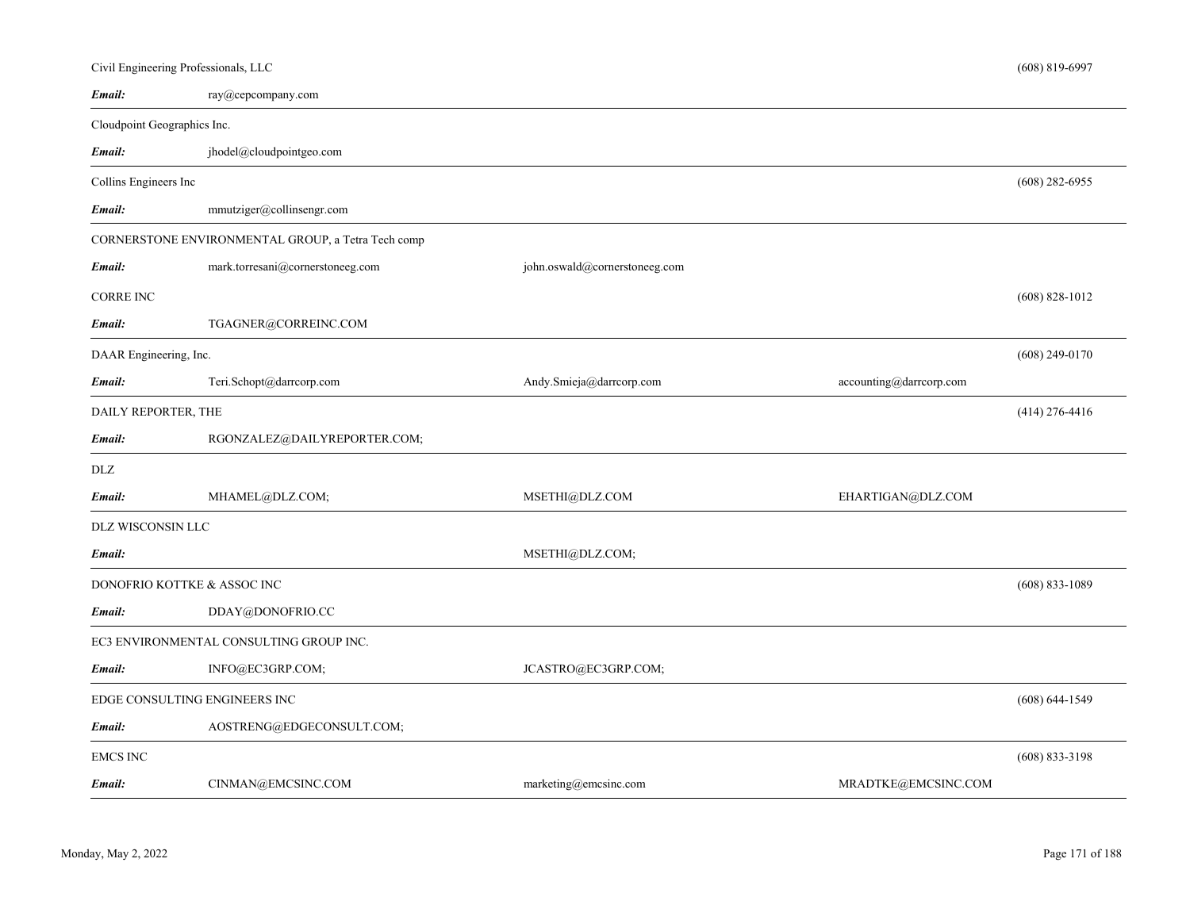|                             | Civil Engineering Professionals, LLC               |                                 |                         | $(608) 819 - 6997$ |
|-----------------------------|----------------------------------------------------|---------------------------------|-------------------------|--------------------|
| Email:                      | ray@cepcompany.com                                 |                                 |                         |                    |
| Cloudpoint Geographics Inc. |                                                    |                                 |                         |                    |
| Email:                      | jhodel@cloudpointgeo.com                           |                                 |                         |                    |
| Collins Engineers Inc       |                                                    |                                 |                         | $(608)$ 282-6955   |
| Email:                      | mmutziger@collinsengr.com                          |                                 |                         |                    |
|                             | CORNERSTONE ENVIRONMENTAL GROUP, a Tetra Tech comp |                                 |                         |                    |
| Email:                      | mark.torresani@cornerstoneeg.com                   | john.oswald@cornerstoneeg.com   |                         |                    |
| <b>CORRE INC</b>            |                                                    |                                 |                         | $(608)$ 828-1012   |
| Email:                      | TGAGNER@CORREINC.COM                               |                                 |                         |                    |
| DAAR Engineering, Inc.      |                                                    |                                 |                         | $(608)$ 249-0170   |
| Email:                      | Teri.Schopt@darrcorp.com                           | Andy.Smieja@darrcorp.com        | accounting@darrcorp.com |                    |
| DAILY REPORTER, THE         |                                                    |                                 |                         | $(414)$ 276-4416   |
| Email:                      | RGONZALEZ@DAILYREPORTER.COM;                       |                                 |                         |                    |
| DLZ                         |                                                    |                                 |                         |                    |
| Email:                      | MHAMEL@DLZ.COM;                                    | MSETHI@DLZ.COM                  | EHARTIGAN@DLZ.COM       |                    |
| DLZ WISCONSIN LLC           |                                                    |                                 |                         |                    |
| Email:                      |                                                    | MSETHI@DLZ.COM;                 |                         |                    |
|                             | DONOFRIO KOTTKE & ASSOC INC                        |                                 |                         | $(608) 833 - 1089$ |
| Email:                      | DDAY@DONOFRIO.CC                                   |                                 |                         |                    |
|                             | EC3 ENVIRONMENTAL CONSULTING GROUP INC.            |                                 |                         |                    |
| Email:                      | INFO@EC3GRP.COM;                                   | JCASTRO@EC3GRP.COM;             |                         |                    |
|                             | EDGE CONSULTING ENGINEERS INC                      |                                 |                         | $(608) 644 - 1549$ |
| Email:                      | AOSTRENG@EDGECONSULT.COM;                          |                                 |                         |                    |
| <b>EMCS INC</b>             |                                                    |                                 |                         | $(608)$ 833-3198   |
| Email:                      | CINMAN@EMCSINC.COM                                 | $marketing(\theta)$ emcsinc.com | MRADTKE@EMCSINC.COM     |                    |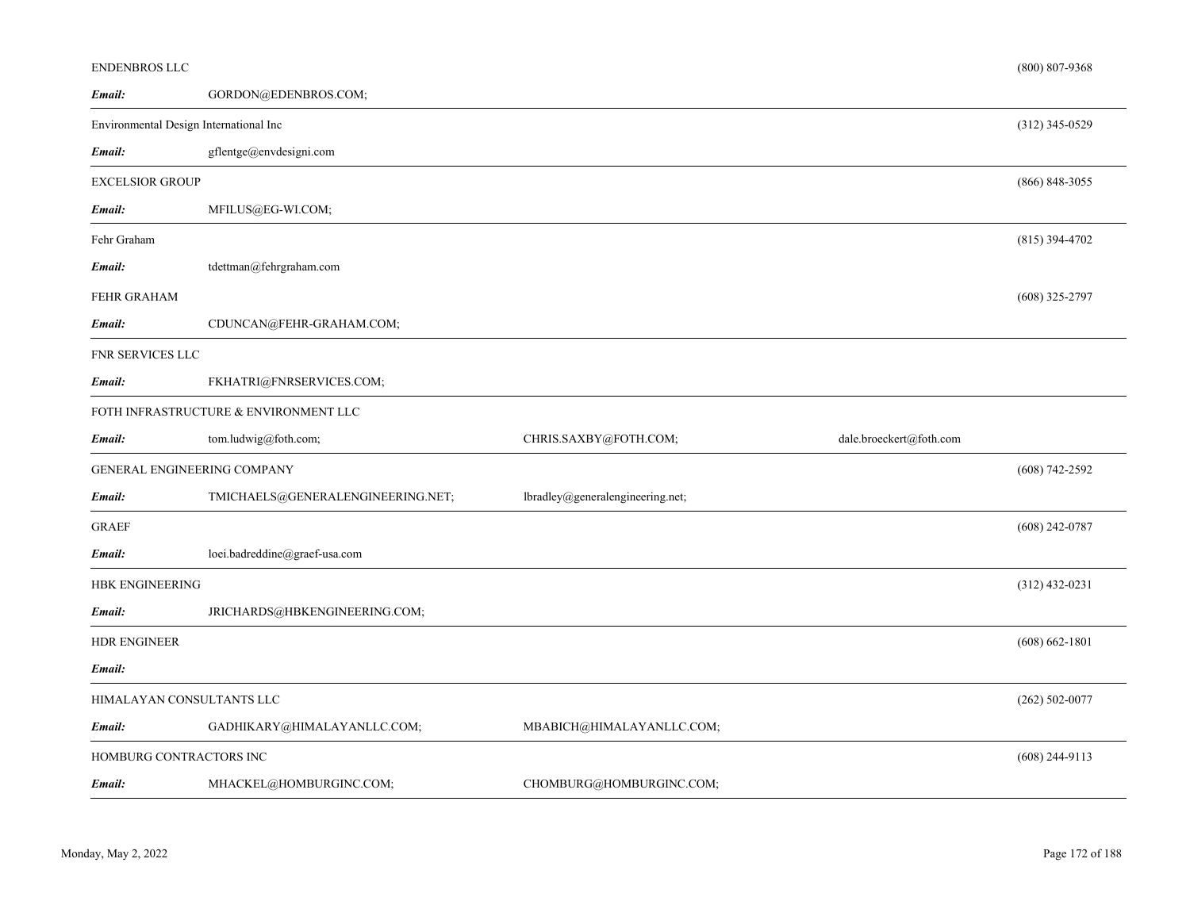| <b>ENDENBROS LLC</b>                   |                                       |                                  |                         | $(800) 807 - 9368$ |
|----------------------------------------|---------------------------------------|----------------------------------|-------------------------|--------------------|
| Email:                                 | GORDON@EDENBROS.COM;                  |                                  |                         |                    |
| Environmental Design International Inc |                                       |                                  |                         | $(312)$ 345-0529   |
| Email:                                 | gflentge@envdesigni.com               |                                  |                         |                    |
| <b>EXCELSIOR GROUP</b>                 |                                       |                                  |                         | $(866) 848 - 3055$ |
| Email:                                 | MFILUS@EG-WI.COM;                     |                                  |                         |                    |
| Fehr Graham                            |                                       |                                  |                         | $(815)$ 394-4702   |
| Email:                                 | tdettman@fehrgraham.com               |                                  |                         |                    |
| FEHR GRAHAM                            |                                       |                                  |                         | $(608)$ 325-2797   |
| Email:                                 | CDUNCAN@FEHR-GRAHAM.COM;              |                                  |                         |                    |
| FNR SERVICES LLC                       |                                       |                                  |                         |                    |
| Email:                                 | FKHATRI@FNRSERVICES.COM;              |                                  |                         |                    |
|                                        | FOTH INFRASTRUCTURE & ENVIRONMENT LLC |                                  |                         |                    |
| Email:                                 | tom.ludwig@foth.com;                  | CHRIS.SAXBY@FOTH.COM;            | dale.broeckert@foth.com |                    |
|                                        | <b>GENERAL ENGINEERING COMPANY</b>    |                                  |                         | $(608)$ 742-2592   |
| Email:                                 | TMICHAELS@GENERALENGINEERING.NET;     | lbradley@generalengineering.net; |                         |                    |
| <b>GRAEF</b>                           |                                       |                                  |                         | $(608)$ 242-0787   |
| Email:                                 | loei.badreddine@graef-usa.com         |                                  |                         |                    |
| <b>HBK ENGINEERING</b>                 |                                       |                                  |                         | $(312)$ 432-0231   |
| Email:                                 | JRICHARDS@HBKENGINEERING.COM;         |                                  |                         |                    |
| <b>HDR ENGINEER</b>                    |                                       |                                  |                         | $(608) 662 - 1801$ |
| Email:                                 |                                       |                                  |                         |                    |
| HIMALAYAN CONSULTANTS LLC              |                                       |                                  |                         | $(262)$ 502-0077   |
| Email:                                 | GADHIKARY@HIMALAYANLLC.COM;           | MBABICH@HIMALAYANLLC.COM;        |                         |                    |
| HOMBURG CONTRACTORS INC                |                                       |                                  |                         | $(608)$ 244-9113   |
| Email:                                 | MHACKEL@HOMBURGINC.COM;               | CHOMBURG@HOMBURGINC.COM;         |                         |                    |
|                                        |                                       |                                  |                         |                    |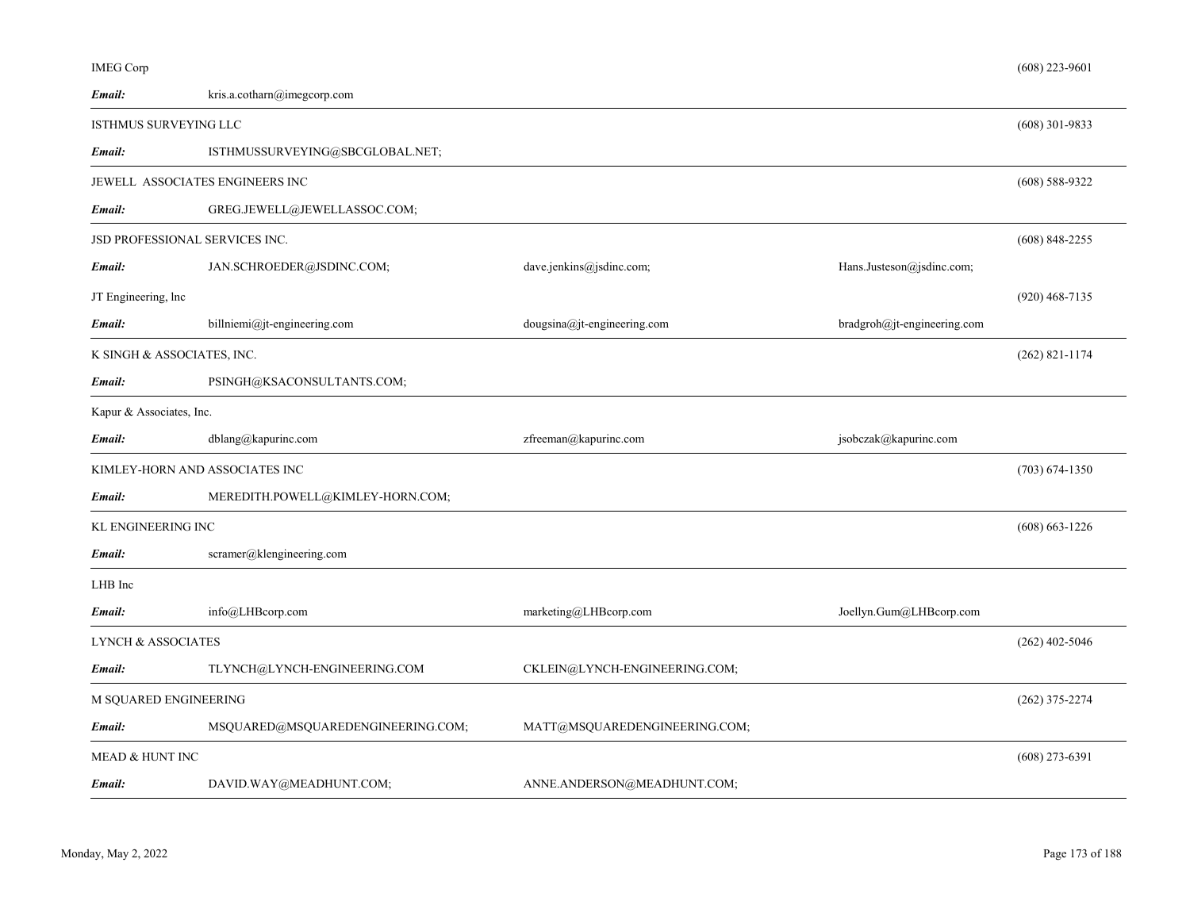| <b>IMEG Corp</b>                |                                   |                                |                             | $(608)$ 223-9601 |
|---------------------------------|-----------------------------------|--------------------------------|-----------------------------|------------------|
| Email:                          | kris.a.cotharn@imegcorp.com       |                                |                             |                  |
| ISTHMUS SURVEYING LLC           |                                   |                                |                             | $(608)$ 301-9833 |
| Email:                          | ISTHMUSSURVEYING@SBCGLOBAL.NET;   |                                |                             |                  |
| JEWELL ASSOCIATES ENGINEERS INC |                                   |                                |                             | $(608)$ 588-9322 |
| Email:                          | GREG.JEWELL@JEWELLASSOC.COM;      |                                |                             |                  |
| JSD PROFESSIONAL SERVICES INC.  |                                   |                                |                             | $(608)$ 848-2255 |
| Email:                          | JAN.SCHROEDER@JSDINC.COM;         | dave.jenkins@jsdinc.com;       | Hans.Justeson@jsdinc.com;   |                  |
| JT Engineering, lnc             |                                   |                                |                             | $(920)$ 468-7135 |
| Email:                          | billniemi@jt-engineering.com      | $dougsina@it$ -engineering.com | bradgroh@jt-engineering.com |                  |
| K SINGH & ASSOCIATES, INC.      |                                   |                                |                             | $(262)$ 821-1174 |
| Email:                          | PSINGH@KSACONSULTANTS.COM;        |                                |                             |                  |
| Kapur & Associates, Inc.        |                                   |                                |                             |                  |
| Email:                          | dblang@kapurinc.com               | zfreeman@kapurinc.com          | jsobczak@kapurinc.com       |                  |
| KIMLEY-HORN AND ASSOCIATES INC  |                                   |                                |                             | $(703)$ 674-1350 |
| Email:                          | MEREDITH.POWELL@KIMLEY-HORN.COM;  |                                |                             |                  |
| KL ENGINEERING INC              |                                   |                                |                             | $(608)$ 663-1226 |
| Email:                          | scramer@klengineering.com         |                                |                             |                  |
| LHB Inc                         |                                   |                                |                             |                  |
| Email:                          | info@LHBcorp.com                  | marketing@LHBcorp.com          | Joellyn.Gum@LHBcorp.com     |                  |
| <b>LYNCH &amp; ASSOCIATES</b>   |                                   |                                |                             | $(262)$ 402-5046 |
| Email:                          | TLYNCH@LYNCH-ENGINEERING.COM      | CKLEIN@LYNCH-ENGINEERING.COM;  |                             |                  |
| M SQUARED ENGINEERING           |                                   |                                |                             | $(262)$ 375-2274 |
| Email:                          | MSQUARED@MSQUAREDENGINEERING.COM; | MATT@MSQUAREDENGINEERING.COM;  |                             |                  |
| MEAD & HUNT INC                 |                                   |                                |                             | $(608)$ 273-6391 |
| Email:                          | DAVID.WAY@MEADHUNT.COM;           | ANNE.ANDERSON@MEADHUNT.COM;    |                             |                  |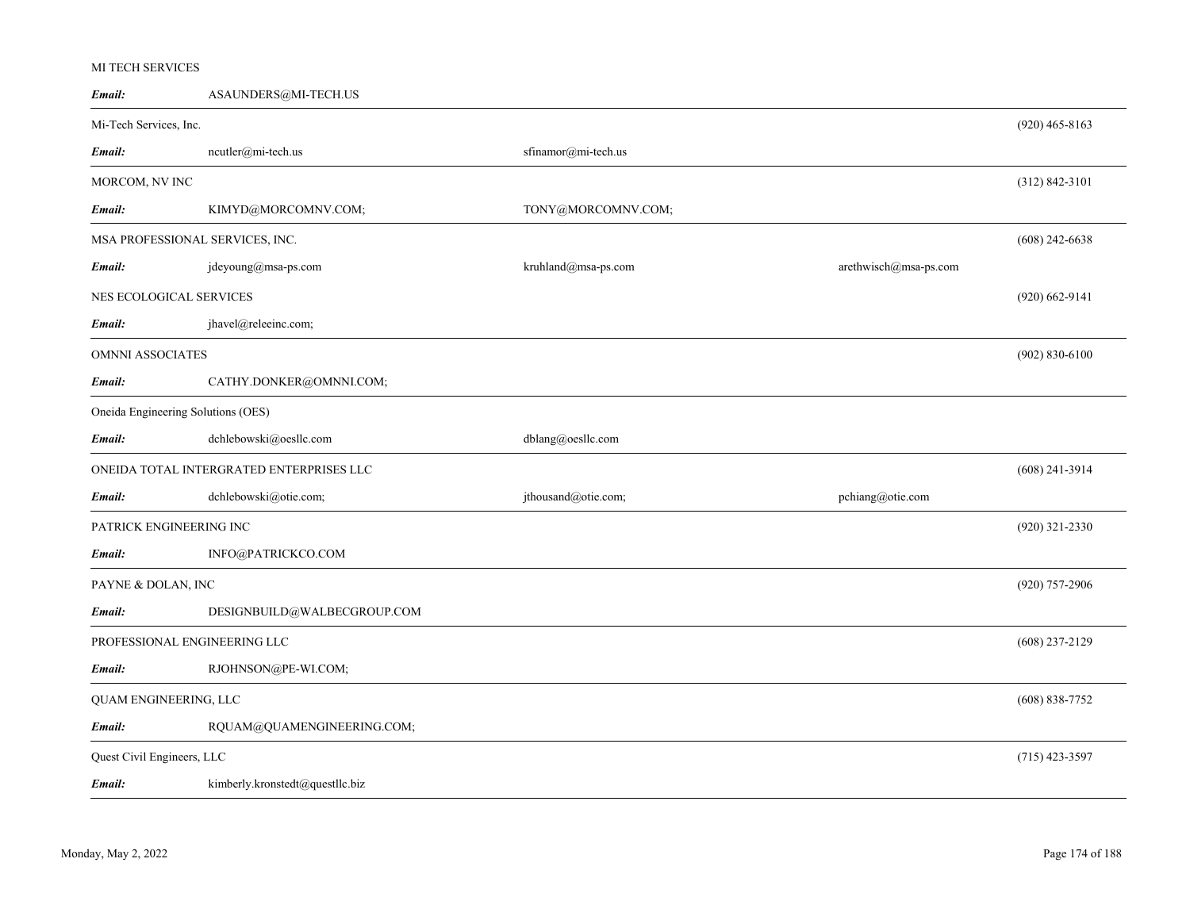## MI TECH SERVICES

| Email:                             | ASAUNDERS@MI-TECH.US                     |                     |                       |                    |
|------------------------------------|------------------------------------------|---------------------|-----------------------|--------------------|
| Mi-Tech Services, Inc.             |                                          |                     |                       | $(920)$ 465-8163   |
| Email:                             | ncutler@mi-tech.us                       | sfinamor@mi-tech.us |                       |                    |
| MORCOM, NV INC                     |                                          |                     |                       | $(312) 842 - 3101$ |
| Email:                             | KIMYD@MORCOMNV.COM;                      | TONY@MORCOMNV.COM;  |                       |                    |
| MSA PROFESSIONAL SERVICES, INC.    |                                          |                     |                       | $(608)$ 242-6638   |
| Email:                             | jdeyoung@msa-ps.com                      | kruhland@msa-ps.com | arethwisch@msa-ps.com |                    |
| NES ECOLOGICAL SERVICES            |                                          |                     |                       | $(920)$ 662-9141   |
| Email:                             | jhavel@releeinc.com;                     |                     |                       |                    |
| OMNNI ASSOCIATES                   |                                          |                     |                       | $(902) 830 - 6100$ |
| Email:                             | CATHY.DONKER@OMNNI.COM;                  |                     |                       |                    |
| Oneida Engineering Solutions (OES) |                                          |                     |                       |                    |
| Email:                             | dchlebowski@oesllc.com                   | dblang@oesllc.com   |                       |                    |
|                                    | ONEIDA TOTAL INTERGRATED ENTERPRISES LLC |                     |                       | $(608)$ 241-3914   |
| Email:                             | dchlebowski@otie.com;                    | jthousand@otie.com; | pchiang@otie.com      |                    |
| PATRICK ENGINEERING INC            |                                          |                     |                       | $(920)$ 321-2330   |
| Email:                             | INFO@PATRICKCO.COM                       |                     |                       |                    |
| PAYNE & DOLAN, INC                 |                                          |                     |                       | $(920)$ 757-2906   |
| Email:                             | DESIGNBUILD@WALBECGROUP.COM              |                     |                       |                    |
| PROFESSIONAL ENGINEERING LLC       |                                          |                     |                       | $(608)$ 237-2129   |
| Email:                             | RJOHNSON@PE-WI.COM;                      |                     |                       |                    |
| QUAM ENGINEERING, LLC              |                                          |                     |                       | $(608)$ 838-7752   |
| Email:                             | RQUAM@QUAMENGINEERING.COM;               |                     |                       |                    |
| Quest Civil Engineers, LLC         |                                          |                     |                       | $(715)$ 423-3597   |
| Email:                             | kimberly.kronstedt@questllc.biz          |                     |                       |                    |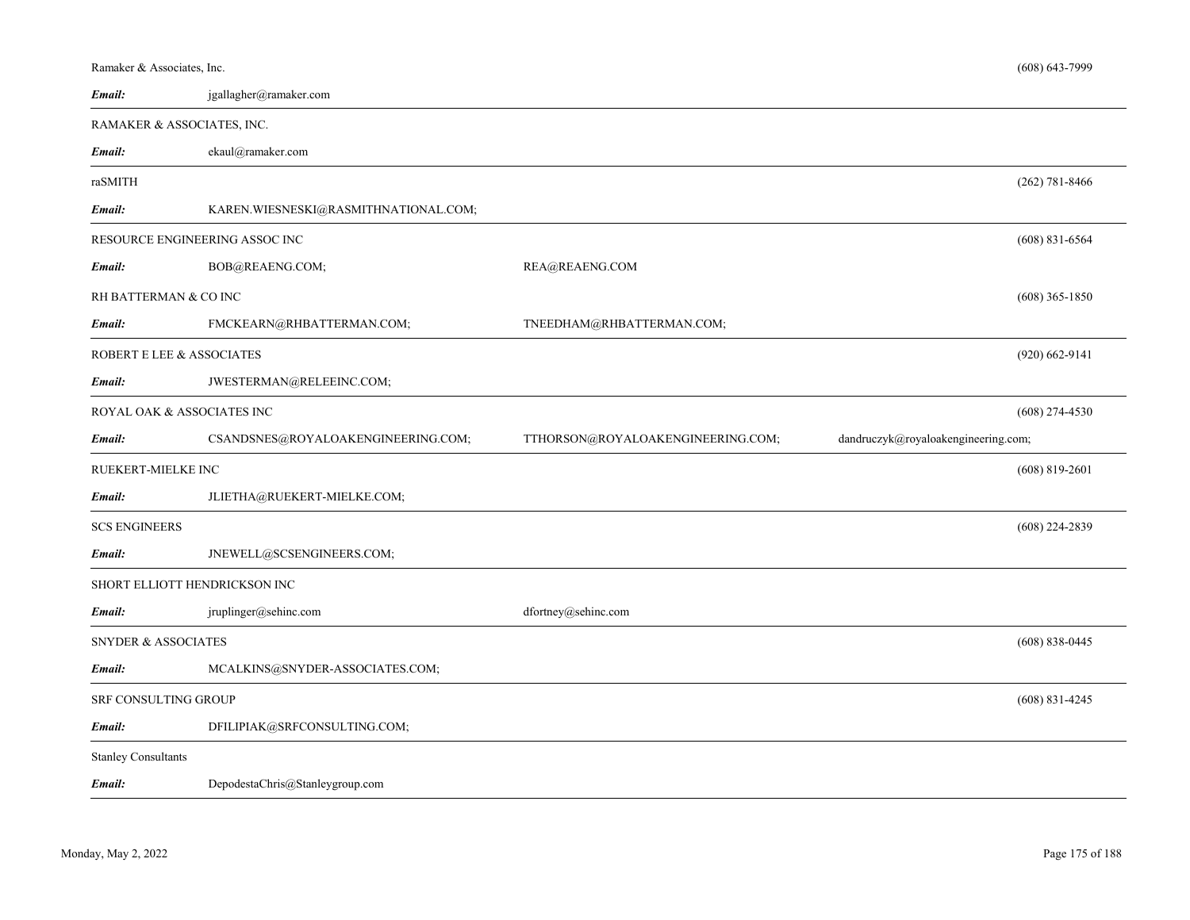| Ramaker & Associates, Inc.     |                                      |                                   | $(608) 643 - 7999$                  |
|--------------------------------|--------------------------------------|-----------------------------------|-------------------------------------|
| Email:                         | jgallagher@ramaker.com               |                                   |                                     |
| RAMAKER & ASSOCIATES, INC.     |                                      |                                   |                                     |
| Email:                         | ekaul@ramaker.com                    |                                   |                                     |
| raSMITH                        |                                      |                                   | $(262) 781 - 8466$                  |
| Email:                         | KAREN.WIESNESKI@RASMITHNATIONAL.COM; |                                   |                                     |
| RESOURCE ENGINEERING ASSOC INC |                                      |                                   | $(608)$ 831-6564                    |
| Email:                         | BOB@REAENG.COM;                      | REA@REAENG.COM                    |                                     |
| RH BATTERMAN & CO INC          |                                      |                                   | $(608)$ 365-1850                    |
| Email:                         | FMCKEARN@RHBATTERMAN.COM;            | TNEEDHAM@RHBATTERMAN.COM;         |                                     |
| ROBERT E LEE & ASSOCIATES      |                                      |                                   | $(920) 662 - 9141$                  |
| Email:                         | JWESTERMAN@RELEEINC.COM;             |                                   |                                     |
|                                |                                      |                                   |                                     |
| ROYAL OAK & ASSOCIATES INC     |                                      |                                   | $(608)$ 274-4530                    |
| Email:                         | CSANDSNES@ROYALOAKENGINEERING.COM;   | TTHORSON@ROYALOAKENGINEERING.COM; | dandruczyk@royaloakengineering.com; |
| RUEKERT-MIELKE INC             |                                      |                                   | $(608)$ 819-2601                    |
| Email:                         | JLIETHA@RUEKERT-MIELKE.COM;          |                                   |                                     |
| <b>SCS ENGINEERS</b>           |                                      |                                   | $(608)$ 224-2839                    |
| Email:                         | JNEWELL@SCSENGINEERS.COM;            |                                   |                                     |
| SHORT ELLIOTT HENDRICKSON INC  |                                      |                                   |                                     |
| Email:                         | jruplinger@sehinc.com                | dfortney@sehinc.com               |                                     |
| <b>SNYDER &amp; ASSOCIATES</b> |                                      |                                   | $(608) 838 - 0445$                  |
| Email:                         | MCALKINS@SNYDER-ASSOCIATES.COM;      |                                   |                                     |
| SRF CONSULTING GROUP           |                                      |                                   | $(608)$ 831-4245                    |
| Email:                         | DFILIPIAK@SRFCONSULTING.COM;         |                                   |                                     |
| <b>Stanley Consultants</b>     |                                      |                                   |                                     |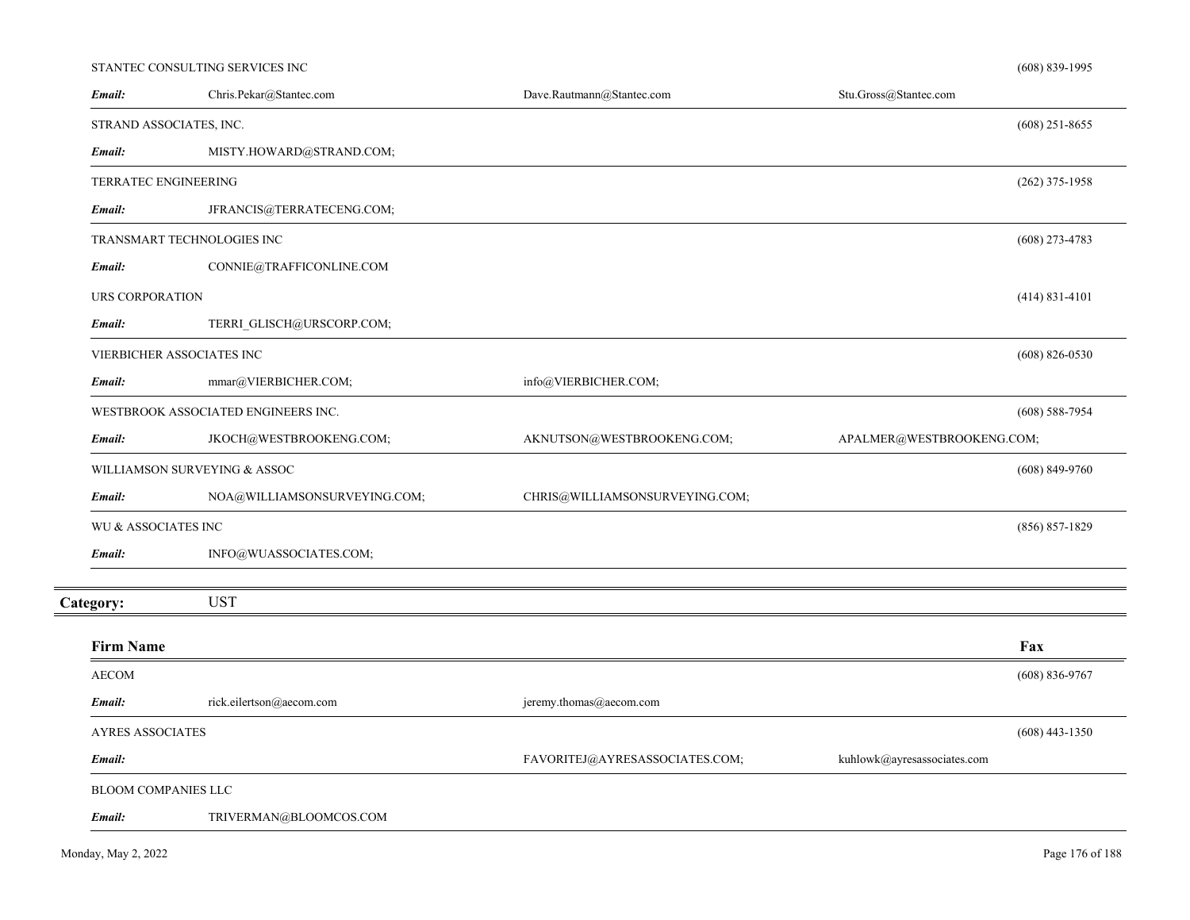#### STANTEC CONSULTING SERVICES INC

| Email:                  | Chris.Pekar@Stantec.com             | Dave.Rautmann@Stantec.com      | Stu.Gross@Stantec.com       |                    |
|-------------------------|-------------------------------------|--------------------------------|-----------------------------|--------------------|
| STRAND ASSOCIATES, INC. |                                     |                                |                             | $(608)$ 251-8655   |
| Email:                  | MISTY.HOWARD@STRAND.COM;            |                                |                             |                    |
| TERRATEC ENGINEERING    |                                     |                                |                             | $(262)$ 375-1958   |
| Email:                  | JFRANCIS@TERRATECENG.COM;           |                                |                             |                    |
|                         | TRANSMART TECHNOLOGIES INC          |                                |                             | $(608)$ 273-4783   |
| Email:                  | CONNIE@TRAFFICONLINE.COM            |                                |                             |                    |
| URS CORPORATION         |                                     |                                |                             | $(414) 831 - 4101$ |
| Email:                  | TERRI GLISCH@URSCORP.COM;           |                                |                             |                    |
|                         | VIERBICHER ASSOCIATES INC           |                                |                             | $(608) 826 - 0530$ |
| Email:                  | mmar@VIERBICHER.COM;                | info@VIERBICHER.COM;           |                             |                    |
|                         | WESTBROOK ASSOCIATED ENGINEERS INC. |                                |                             | $(608)$ 588-7954   |
| Email:                  | JKOCH@WESTBROOKENG.COM;             | AKNUTSON@WESTBROOKENG.COM;     | APALMER@WESTBROOKENG.COM;   |                    |
|                         | WILLIAMSON SURVEYING & ASSOC        |                                |                             | $(608) 849 - 9760$ |
| Email:                  | NOA@WILLIAMSONSURVEYING.COM;        | CHRIS@WILLIAMSONSURVEYING.COM; |                             |                    |
| WU & ASSOCIATES INC     |                                     |                                |                             | $(856) 857 - 1829$ |
| Email:                  | INFO@WUASSOCIATES.COM;              |                                |                             |                    |
| Category:               | <b>UST</b>                          |                                |                             |                    |
| <b>Firm Name</b>        |                                     |                                |                             | Fax                |
| <b>AECOM</b>            |                                     |                                |                             | $(608) 836 - 9767$ |
| Email:                  | rick.eilertson@aecom.com            | jeremy.thomas@aecom.com        |                             |                    |
| <b>AYRES ASSOCIATES</b> |                                     |                                |                             | $(608)$ 443-1350   |
| Email:                  |                                     | FAVORITEJ@AYRESASSOCIATES.COM; | kuhlowk@ayresassociates.com |                    |
| BLOOM COMPANIES LLC     |                                     |                                |                             |                    |
| Email:                  | TRIVERMAN@BLOOMCOS.COM              |                                |                             |                    |

(608) 839-1995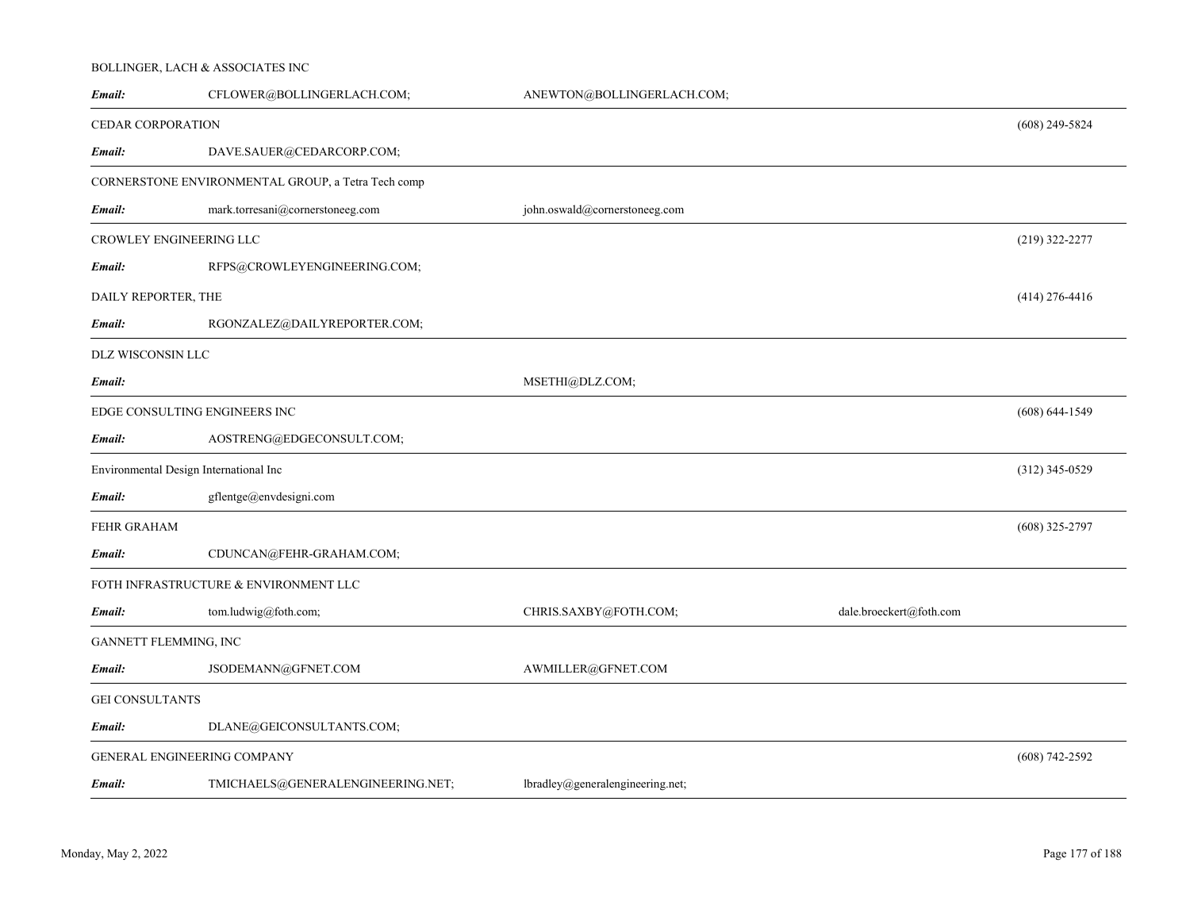#### BOLLINGER, LACH & ASSOCIATES INC

| Email:                                 | CFLOWER@BOLLINGERLACH.COM;                         | ANEWTON@BOLLINGERLACH.COM;       |                         |                    |
|----------------------------------------|----------------------------------------------------|----------------------------------|-------------------------|--------------------|
| CEDAR CORPORATION                      |                                                    |                                  |                         | $(608)$ 249-5824   |
| Email:                                 | DAVE.SAUER@CEDARCORP.COM;                          |                                  |                         |                    |
|                                        | CORNERSTONE ENVIRONMENTAL GROUP, a Tetra Tech comp |                                  |                         |                    |
| Email:                                 | mark.torresani@cornerstoneeg.com                   | john.oswald@cornerstoneeg.com    |                         |                    |
| CROWLEY ENGINEERING LLC                |                                                    |                                  |                         | (219) 322-2277     |
| Email:                                 | RFPS@CROWLEYENGINEERING.COM;                       |                                  |                         |                    |
| DAILY REPORTER, THE                    |                                                    |                                  |                         | $(414)$ 276-4416   |
| Email:                                 | RGONZALEZ@DAILYREPORTER.COM;                       |                                  |                         |                    |
| DLZ WISCONSIN LLC                      |                                                    |                                  |                         |                    |
| Email:                                 |                                                    | MSETHI@DLZ.COM;                  |                         |                    |
| EDGE CONSULTING ENGINEERS INC          |                                                    |                                  |                         | $(608) 644 - 1549$ |
| Email:                                 | AOSTRENG@EDGECONSULT.COM;                          |                                  |                         |                    |
| Environmental Design International Inc |                                                    |                                  |                         | $(312)$ 345-0529   |
| Email:                                 | gflentge@envdesigni.com                            |                                  |                         |                    |
| FEHR GRAHAM                            |                                                    |                                  |                         | $(608)$ 325-2797   |
| Email:                                 | CDUNCAN@FEHR-GRAHAM.COM;                           |                                  |                         |                    |
|                                        | FOTH INFRASTRUCTURE & ENVIRONMENT LLC              |                                  |                         |                    |
| Email:                                 | tom.ludwig@foth.com;                               | CHRIS.SAXBY@FOTH.COM;            | dale.broeckert@foth.com |                    |
| GANNETT FLEMMING, INC                  |                                                    |                                  |                         |                    |
| Email:                                 | JSODEMANN@GFNET.COM                                | AWMILLER@GFNET.COM               |                         |                    |
| <b>GEI CONSULTANTS</b>                 |                                                    |                                  |                         |                    |
| Email:                                 | DLANE@GEICONSULTANTS.COM;                          |                                  |                         |                    |
| GENERAL ENGINEERING COMPANY            |                                                    |                                  |                         | $(608) 742 - 2592$ |
| Email:                                 | TMICHAELS@GENERALENGINEERING.NET;                  | lbradley@generalengineering.net; |                         |                    |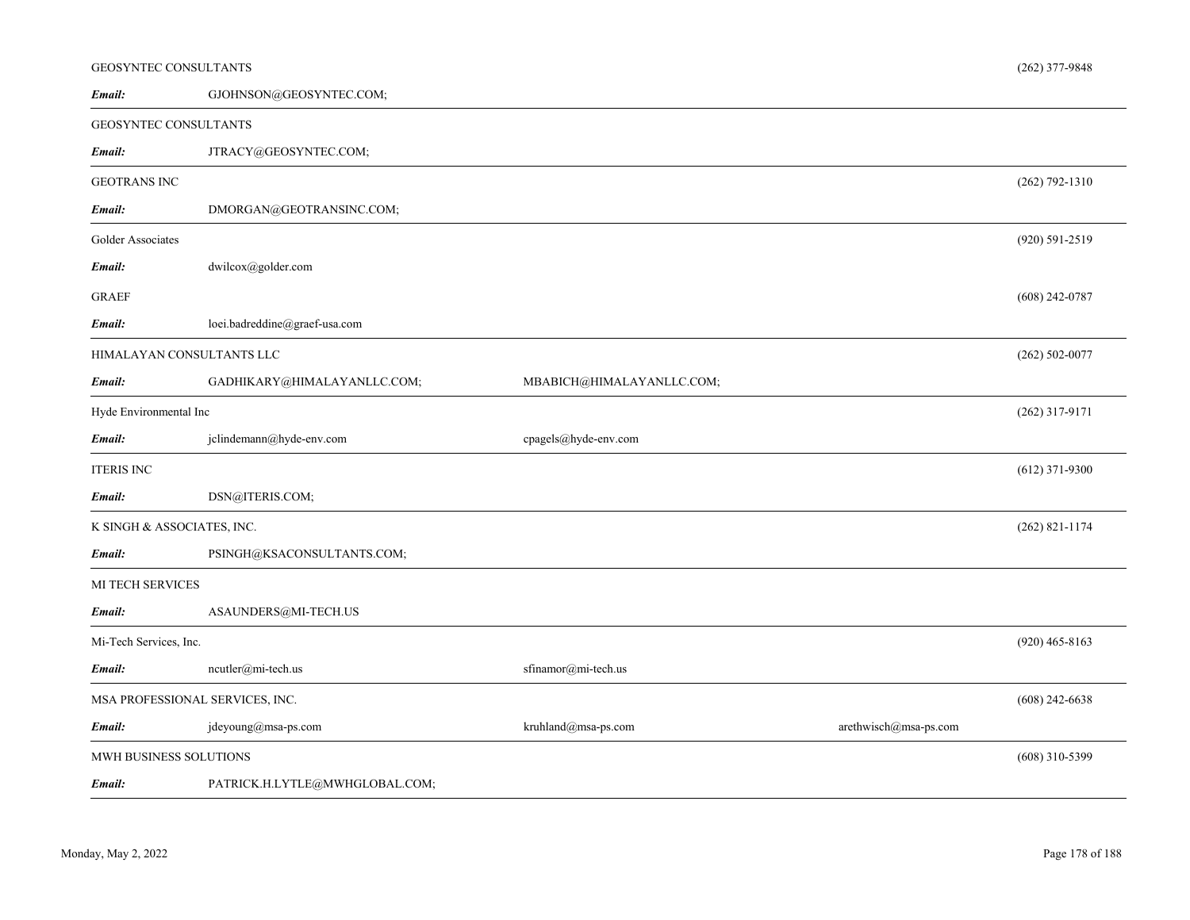| <b>GEOSYNTEC CONSULTANTS</b>    |                                |                           |                       | $(262)$ 377-9848   |
|---------------------------------|--------------------------------|---------------------------|-----------------------|--------------------|
| Email:                          | GJOHNSON@GEOSYNTEC.COM;        |                           |                       |                    |
| GEOSYNTEC CONSULTANTS           |                                |                           |                       |                    |
| Email:                          | JTRACY@GEOSYNTEC.COM;          |                           |                       |                    |
| <b>GEOTRANS INC</b>             |                                |                           |                       | $(262) 792 - 1310$ |
| Email:                          | DMORGAN@GEOTRANSINC.COM;       |                           |                       |                    |
| Golder Associates               |                                |                           |                       | $(920) 591 - 2519$ |
| Email:                          | dwilcox@golder.com             |                           |                       |                    |
| GRAEF                           |                                |                           |                       | $(608)$ 242-0787   |
| Email:                          | loei.badreddine@graef-usa.com  |                           |                       |                    |
| HIMALAYAN CONSULTANTS LLC       |                                |                           |                       | $(262) 502 - 0077$ |
| Email:                          | GADHIKARY@HIMALAYANLLC.COM;    | MBABICH@HIMALAYANLLC.COM; |                       |                    |
| Hyde Environmental Inc          |                                |                           |                       | $(262)$ 317-9171   |
| Email:                          | jclindemann@hyde-env.com       | cpagels@hyde-env.com      |                       |                    |
| <b>ITERIS INC</b>               |                                |                           |                       | $(612)$ 371-9300   |
| Email:                          | DSN@ITERIS.COM;                |                           |                       |                    |
| K SINGH & ASSOCIATES, INC.      |                                |                           |                       | $(262)$ 821-1174   |
| Email:                          | PSINGH@KSACONSULTANTS.COM;     |                           |                       |                    |
| MI TECH SERVICES                |                                |                           |                       |                    |
| Email:                          | ASAUNDERS@MI-TECH.US           |                           |                       |                    |
| Mi-Tech Services, Inc.          |                                |                           |                       | $(920)$ 465-8163   |
| Email:                          | $neutler@mi-tech.us$           | sfinamor@mi-tech.us       |                       |                    |
| MSA PROFESSIONAL SERVICES, INC. |                                |                           |                       | $(608)$ 242-6638   |
| Email:                          | jdeyoung@msa-ps.com            | kruhland@msa-ps.com       | arethwisch@msa-ps.com |                    |
| MWH BUSINESS SOLUTIONS          |                                |                           |                       | $(608)$ 310-5399   |
| Email:                          | PATRICK.H.LYTLE@MWHGLOBAL.COM; |                           |                       |                    |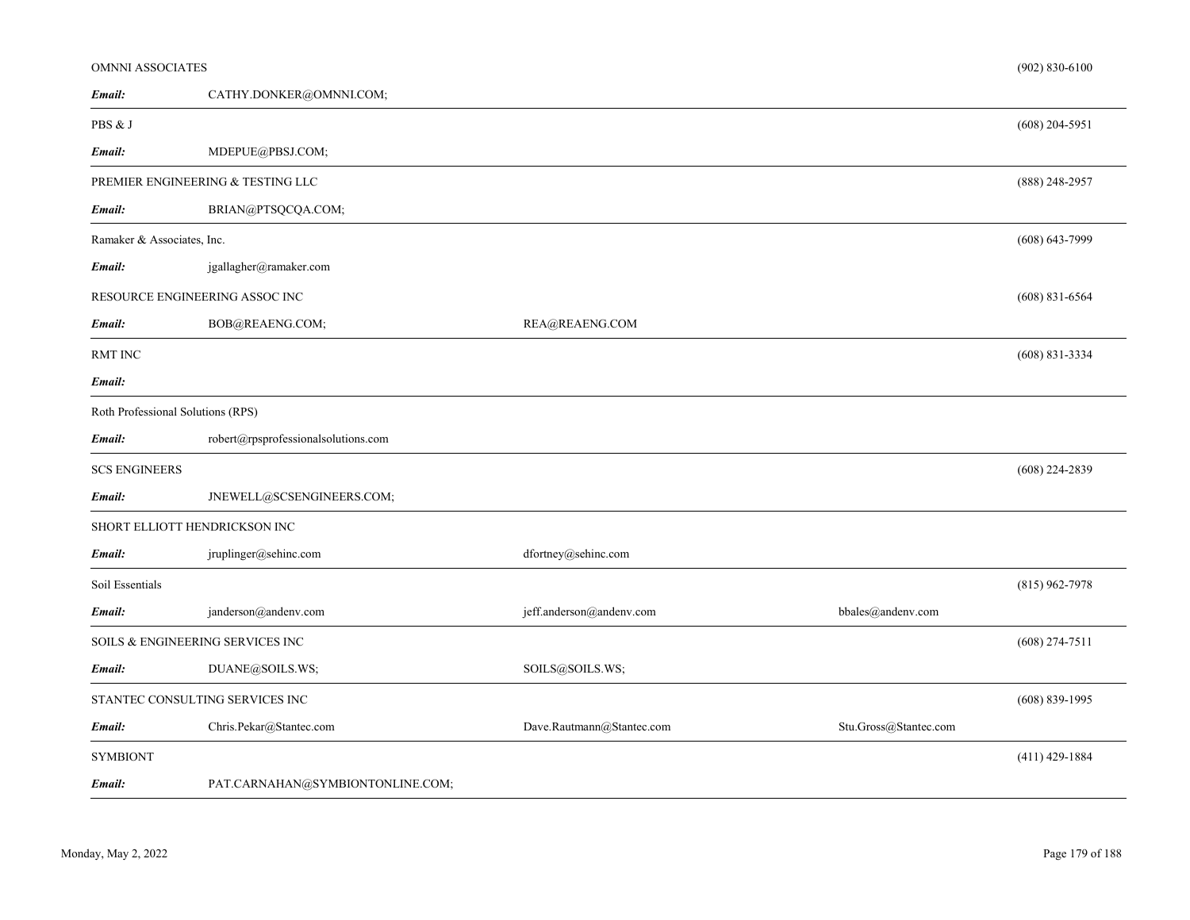| OMNNI ASSOCIATES                  |                                     |                                    |                       | $(902) 830 - 6100$ |
|-----------------------------------|-------------------------------------|------------------------------------|-----------------------|--------------------|
| Email:                            | CATHY.DONKER@OMNNI.COM;             |                                    |                       |                    |
| PBS & J                           |                                     |                                    |                       | $(608)$ 204-5951   |
| Email:                            | MDEPUE@PBSJ.COM;                    |                                    |                       |                    |
|                                   | PREMIER ENGINEERING & TESTING LLC   |                                    |                       | $(888)$ 248-2957   |
| Email:                            | BRIAN@PTSQCQA.COM;                  |                                    |                       |                    |
| Ramaker & Associates, Inc.        |                                     |                                    |                       | $(608) 643 - 7999$ |
| Email:                            | jgallagher@ramaker.com              |                                    |                       |                    |
|                                   | RESOURCE ENGINEERING ASSOC INC      |                                    |                       | $(608)$ 831-6564   |
| Email:                            | BOB@REAENG.COM;                     | REA@REAENG.COM                     |                       |                    |
| <b>RMT INC</b>                    |                                     |                                    |                       | $(608) 831 - 3334$ |
| Email:                            |                                     |                                    |                       |                    |
| Roth Professional Solutions (RPS) |                                     |                                    |                       |                    |
| Email:                            | robert@rpsprofessionalsolutions.com |                                    |                       |                    |
| <b>SCS ENGINEERS</b>              |                                     |                                    |                       | $(608)$ 224-2839   |
| Email:                            | JNEWELL@SCSENGINEERS.COM;           |                                    |                       |                    |
|                                   | SHORT ELLIOTT HENDRICKSON INC       |                                    |                       |                    |
| Email:                            | jruplinger@sehinc.com               | dfortney@sehinc.com                |                       |                    |
| Soil Essentials                   |                                     |                                    |                       | $(815)$ 962-7978   |
| Email:                            | janderson@andenv.com                | jeff.anderson@andenv.com           | bbales@andenv.com     |                    |
|                                   | SOILS & ENGINEERING SERVICES INC    |                                    |                       | $(608)$ 274-7511   |
| Email:                            | DUANE@SOILS.WS;                     | SOILS@SOILS.WS;                    |                       |                    |
|                                   | STANTEC CONSULTING SERVICES INC     |                                    |                       | $(608) 839-1995$   |
| Email:                            | Chris.Pekar@Stantec.com             | $\textsc{Dave.Rautmann@State.com}$ | Stu.Gross@Stantec.com |                    |
| <b>SYMBIONT</b>                   |                                     |                                    |                       | $(411)$ 429-1884   |
| Email:                            | PAT.CARNAHAN@SYMBIONTONLINE.COM;    |                                    |                       |                    |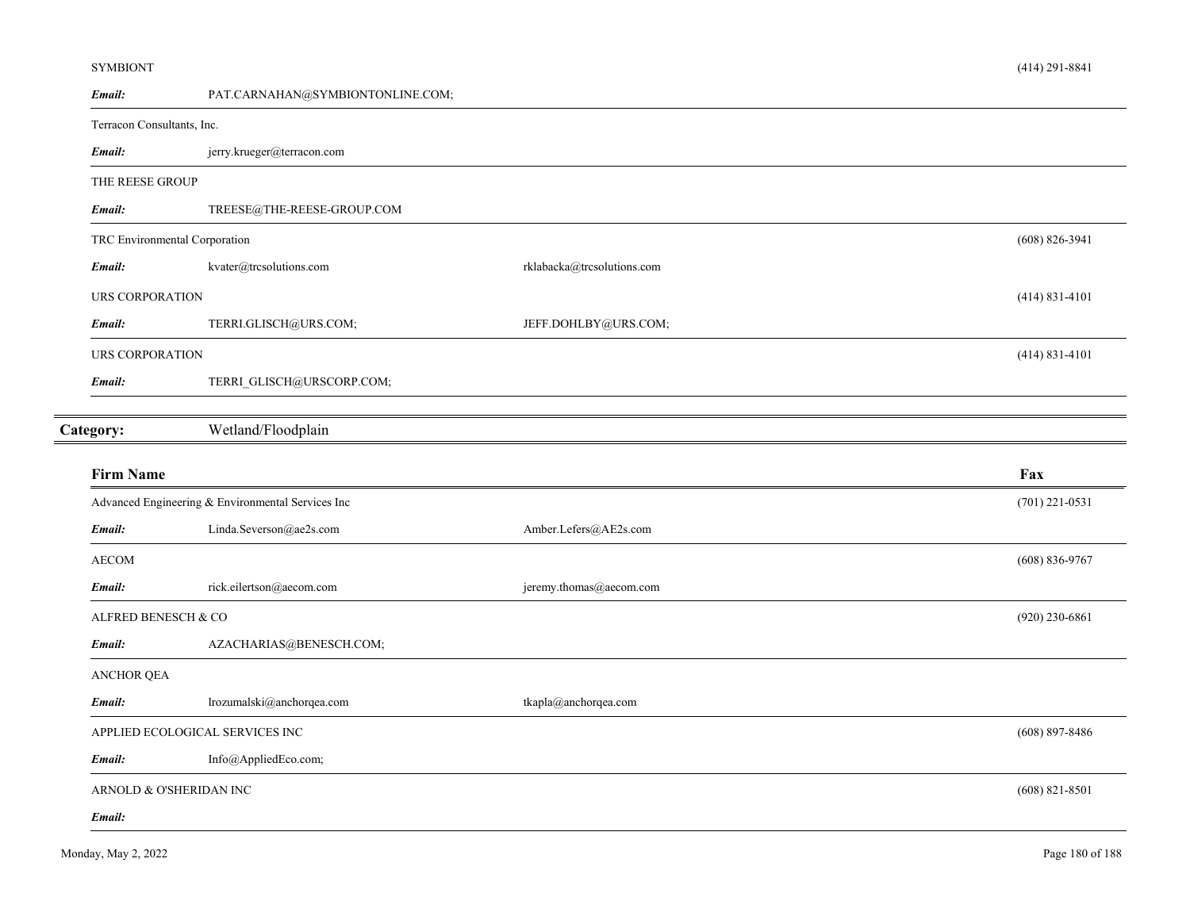#### SYMBIONT

| Email:                     | PAT.CARNAHAN@SYMBIONTONLINE.COM;                  |                            |                    |
|----------------------------|---------------------------------------------------|----------------------------|--------------------|
| Terracon Consultants, Inc. |                                                   |                            |                    |
| Email:                     | jerry.krueger@terracon.com                        |                            |                    |
| THE REESE GROUP            |                                                   |                            |                    |
| Email:                     | TREESE@THE-REESE-GROUP.COM                        |                            |                    |
|                            | TRC Environmental Corporation                     |                            | $(608) 826 - 3941$ |
| Email:                     | kvater@trcsolutions.com                           | rklabacka@trcsolutions.com |                    |
| URS CORPORATION            |                                                   |                            | $(414) 831 - 4101$ |
| Email:                     | TERRI.GLISCH@URS.COM;                             | JEFF.DOHLBY@URS.COM;       |                    |
| URS CORPORATION            |                                                   |                            | $(414) 831 - 4101$ |
| Email:                     | TERRI_GLISCH@URSCORP.COM;                         |                            |                    |
| Category:                  | Wetland/Floodplain                                |                            |                    |
|                            |                                                   |                            |                    |
|                            |                                                   |                            |                    |
| <b>Firm Name</b>           |                                                   |                            | Fax                |
|                            | Advanced Engineering & Environmental Services Inc |                            | $(701)$ 221-0531   |
| Email:                     | Linda.Severson@ae2s.com                           | Amber.Lefers@AE2s.com      |                    |
| <b>AECOM</b>               |                                                   |                            | $(608) 836 - 9767$ |
| Email:                     | rick.eilertson@aecom.com                          | jeremy.thomas@aecom.com    |                    |
| ALFRED BENESCH & CO        |                                                   |                            | $(920)$ 230-6861   |
| Email:                     | AZACHARIAS@BENESCH.COM;                           |                            |                    |
| ANCHOR QEA                 |                                                   |                            |                    |
| Email:                     | lrozumalski@anchorqea.com                         | tkapla@anchorqea.com       |                    |
|                            | APPLIED ECOLOGICAL SERVICES INC                   |                            | $(608) 897 - 8486$ |
| Email:                     | Info@AppliedEco.com;                              |                            |                    |
|                            | ARNOLD & O'SHERIDAN INC                           |                            | $(608) 821 - 8501$ |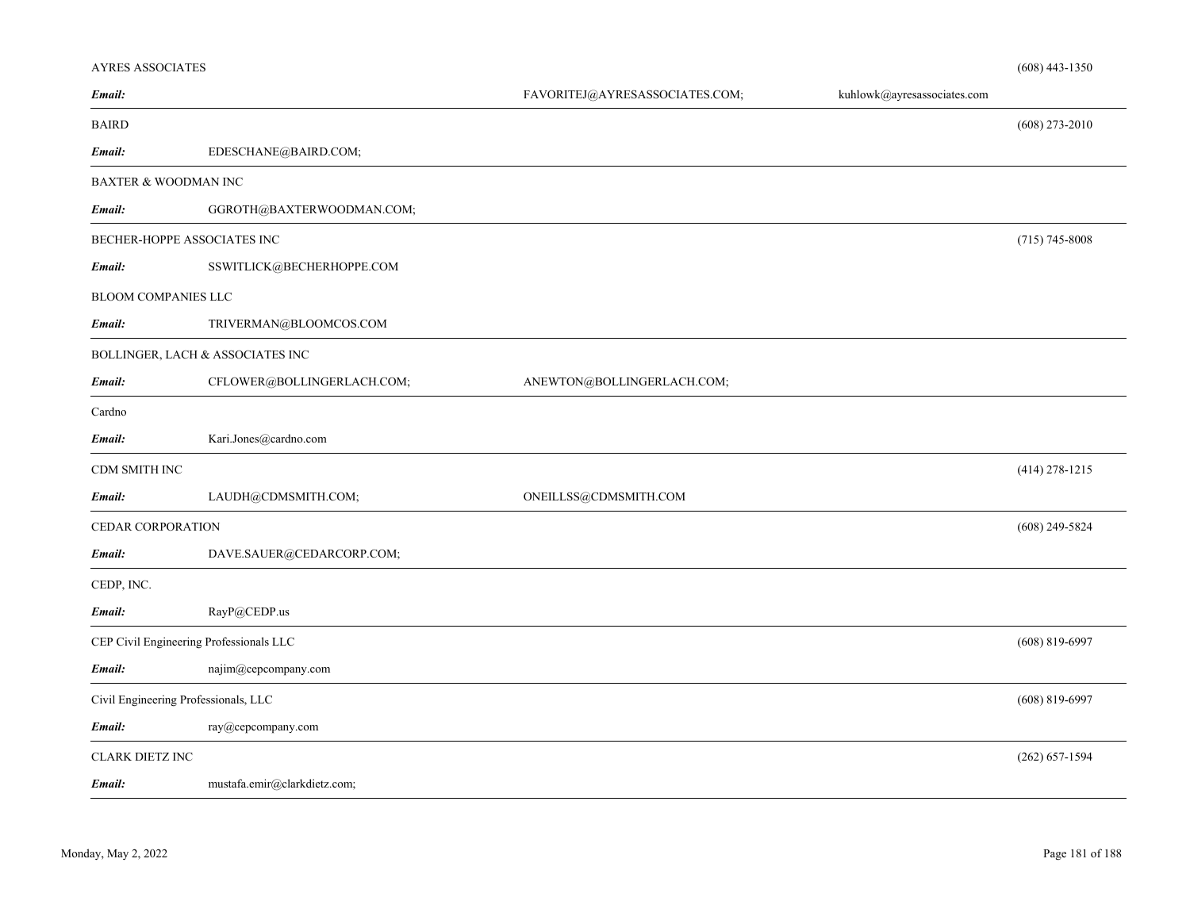## AYRES ASSOCIATES

| Email:                               |                                         | FAVORITEJ@AYRESASSOCIATES.COM; | kuhlowk@ayresassociates.com |                    |
|--------------------------------------|-----------------------------------------|--------------------------------|-----------------------------|--------------------|
| <b>BAIRD</b>                         |                                         |                                |                             | $(608)$ 273-2010   |
| Email:                               | EDESCHANE@BAIRD.COM;                    |                                |                             |                    |
| BAXTER & WOODMAN INC                 |                                         |                                |                             |                    |
| Email:                               | GGROTH@BAXTERWOODMAN.COM;               |                                |                             |                    |
| BECHER-HOPPE ASSOCIATES INC          |                                         |                                |                             | $(715) 745 - 8008$ |
| Email:                               | SSWITLICK@BECHERHOPPE.COM               |                                |                             |                    |
| <b>BLOOM COMPANIES LLC</b>           |                                         |                                |                             |                    |
| Email:                               | TRIVERMAN@BLOOMCOS.COM                  |                                |                             |                    |
|                                      | BOLLINGER, LACH & ASSOCIATES INC        |                                |                             |                    |
| Email:                               | CFLOWER@BOLLINGERLACH.COM;              | ANEWTON@BOLLINGERLACH.COM;     |                             |                    |
| Cardno                               |                                         |                                |                             |                    |
| Email:                               | Kari.Jones@cardno.com                   |                                |                             |                    |
| CDM SMITH INC                        |                                         |                                |                             | $(414)$ 278-1215   |
| Email:                               | LAUDH@CDMSMITH.COM;                     | ONEILLSS@CDMSMITH.COM          |                             |                    |
| CEDAR CORPORATION                    |                                         |                                |                             | $(608)$ 249-5824   |
| Email:                               | DAVE.SAUER@CEDARCORP.COM;               |                                |                             |                    |
| CEDP, INC.                           |                                         |                                |                             |                    |
| Email:                               | RayP@CEDP.us                            |                                |                             |                    |
|                                      | CEP Civil Engineering Professionals LLC |                                |                             | $(608)$ 819-6997   |
| Email:                               | najim@cepcompany.com                    |                                |                             |                    |
| Civil Engineering Professionals, LLC |                                         |                                |                             | $(608) 819 - 6997$ |
| Email:                               | ray@cepcompany.com                      |                                |                             |                    |
| CLARK DIETZ INC                      |                                         |                                |                             | $(262) 657 - 1594$ |
| Email:                               | mustafa.emir@clarkdietz.com;            |                                |                             |                    |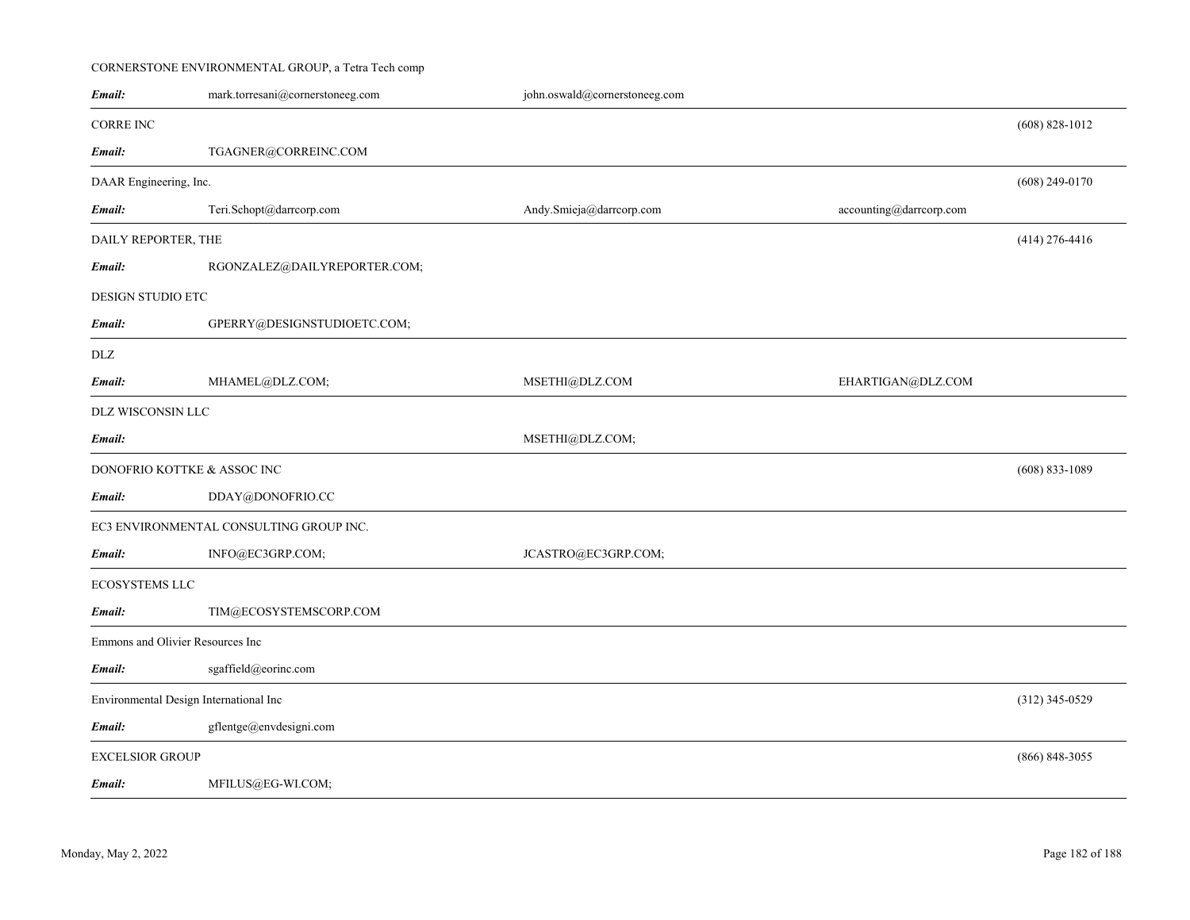# CORNERSTONE ENVIRONMENTAL GROUP, a Tetra Tech comp

| Email:                                 | mark.torresani@cornerstoneeg.com        | john.oswald@cornerstoneeg.com |                         |                    |
|----------------------------------------|-----------------------------------------|-------------------------------|-------------------------|--------------------|
| <b>CORRE INC</b>                       |                                         |                               |                         | $(608)$ 828-1012   |
| Email:                                 | TGAGNER@CORREINC.COM                    |                               |                         |                    |
| DAAR Engineering, Inc.                 |                                         |                               |                         | $(608)$ 249-0170   |
| Email:                                 | Teri.Schopt@darrcorp.com                | Andy.Smieja@darrcorp.com      | accounting@darrcorp.com |                    |
| DAILY REPORTER, THE                    |                                         |                               |                         | $(414)$ 276-4416   |
| Email:                                 | RGONZALEZ@DAILYREPORTER.COM;            |                               |                         |                    |
| DESIGN STUDIO ETC                      |                                         |                               |                         |                    |
| Email:                                 | GPERRY@DESIGNSTUDIOETC.COM;             |                               |                         |                    |
| DLZ                                    |                                         |                               |                         |                    |
| Email:                                 | MHAMEL@DLZ.COM;                         | MSETHI@DLZ.COM                | EHARTIGAN@DLZ.COM       |                    |
| DLZ WISCONSIN LLC                      |                                         |                               |                         |                    |
| Email:                                 |                                         | MSETHI@DLZ.COM;               |                         |                    |
| DONOFRIO KOTTKE & ASSOC INC            |                                         |                               |                         | $(608) 833 - 1089$ |
| Email:                                 | DDAY@DONOFRIO.CC                        |                               |                         |                    |
|                                        | EC3 ENVIRONMENTAL CONSULTING GROUP INC. |                               |                         |                    |
| Email:                                 | INFO@EC3GRP.COM;                        | JCASTRO@EC3GRP.COM;           |                         |                    |
| ECOSYSTEMS LLC                         |                                         |                               |                         |                    |
| Email:                                 | TIM@ECOSYSTEMSCORP.COM                  |                               |                         |                    |
| Emmons and Olivier Resources Inc       |                                         |                               |                         |                    |
| Email:                                 | sgaffield@eorinc.com                    |                               |                         |                    |
| Environmental Design International Inc |                                         |                               |                         | $(312)$ 345-0529   |
| Email:                                 | gflentge@envdesigni.com                 |                               |                         |                    |
| <b>EXCELSIOR GROUP</b>                 |                                         |                               |                         | $(866) 848 - 3055$ |
| Email:                                 | MFILUS@EG-WI.COM;                       |                               |                         |                    |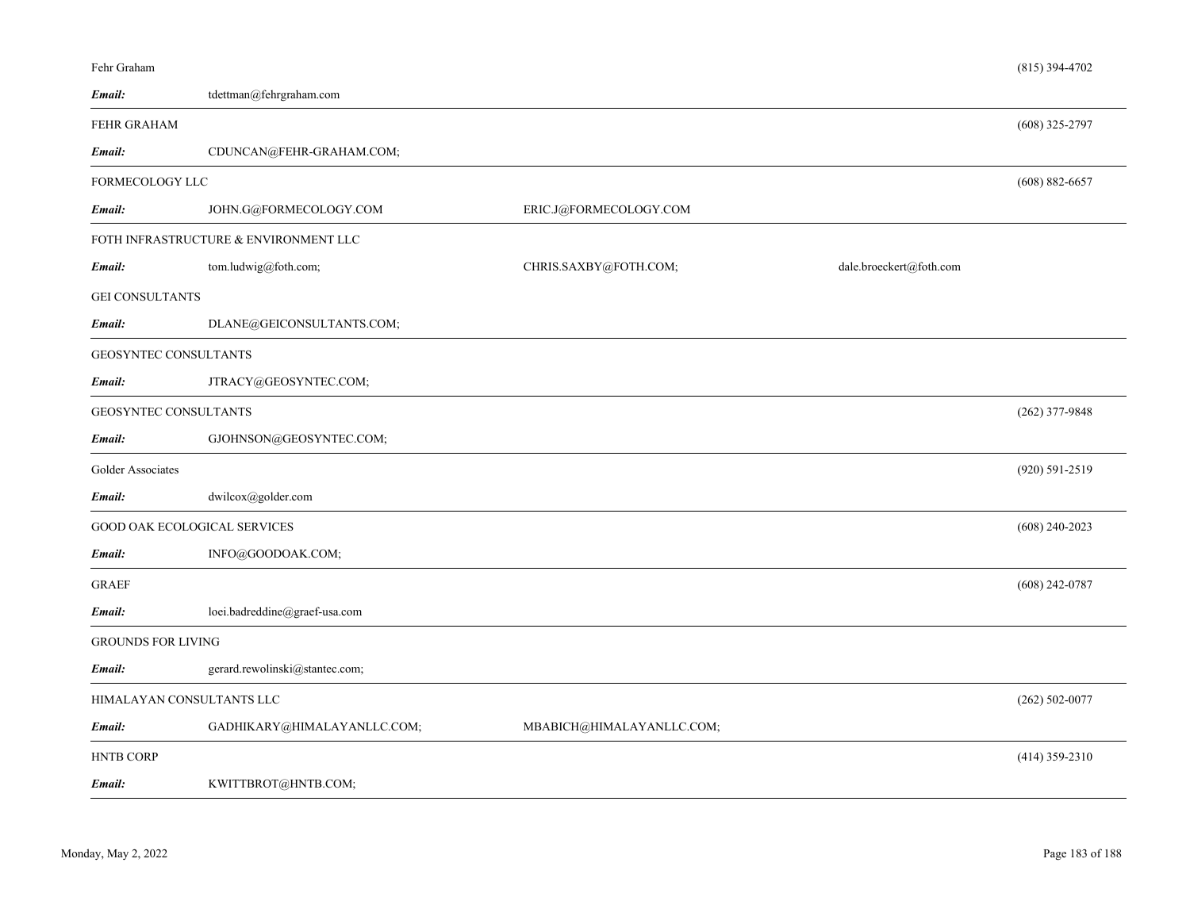| Fehr Graham               |                                       |                           |                         | $(815)$ 394-4702   |
|---------------------------|---------------------------------------|---------------------------|-------------------------|--------------------|
| Email:                    | tdettman@fehrgraham.com               |                           |                         |                    |
| FEHR GRAHAM               |                                       |                           |                         | $(608)$ 325-2797   |
| Email:                    | CDUNCAN@FEHR-GRAHAM.COM;              |                           |                         |                    |
| FORMECOLOGY LLC           |                                       |                           |                         | $(608) 882 - 6657$ |
| Email:                    | JOHN.G@FORMECOLOGY.COM                | ERIC.J@FORMECOLOGY.COM    |                         |                    |
|                           | FOTH INFRASTRUCTURE & ENVIRONMENT LLC |                           |                         |                    |
| Email:                    | tom.ludwig@foth.com;                  | CHRIS.SAXBY@FOTH.COM;     | dale.broeckert@foth.com |                    |
| <b>GEI CONSULTANTS</b>    |                                       |                           |                         |                    |
| Email:                    | DLANE@GEICONSULTANTS.COM;             |                           |                         |                    |
| GEOSYNTEC CONSULTANTS     |                                       |                           |                         |                    |
| Email:                    | JTRACY@GEOSYNTEC.COM;                 |                           |                         |                    |
|                           | GEOSYNTEC CONSULTANTS                 |                           |                         |                    |
| Email:                    | GJOHNSON@GEOSYNTEC.COM;               |                           |                         |                    |
| Golder Associates         |                                       |                           |                         | (920) 591-2519     |
| Email:                    | dwilcox@golder.com                    |                           |                         |                    |
|                           | GOOD OAK ECOLOGICAL SERVICES          |                           |                         | $(608)$ 240-2023   |
| Email:                    | INFO@GOODOAK.COM;                     |                           |                         |                    |
| <b>GRAEF</b>              |                                       |                           |                         | $(608)$ 242-0787   |
| Email:                    | loei.badreddine@graef-usa.com         |                           |                         |                    |
| <b>GROUNDS FOR LIVING</b> |                                       |                           |                         |                    |
| Email:                    | gerard.rewolinski@stantec.com;        |                           |                         |                    |
|                           | HIMALAYAN CONSULTANTS LLC             |                           |                         | $(262) 502 - 0077$ |
| Email:                    | GADHIKARY@HIMALAYANLLC.COM;           | MBABICH@HIMALAYANLLC.COM; |                         |                    |
| <b>HNTB CORP</b>          |                                       |                           |                         | $(414)$ 359-2310   |
| Email:                    | KWITTBROT@HNTB.COM;                   |                           |                         |                    |
|                           |                                       |                           |                         |                    |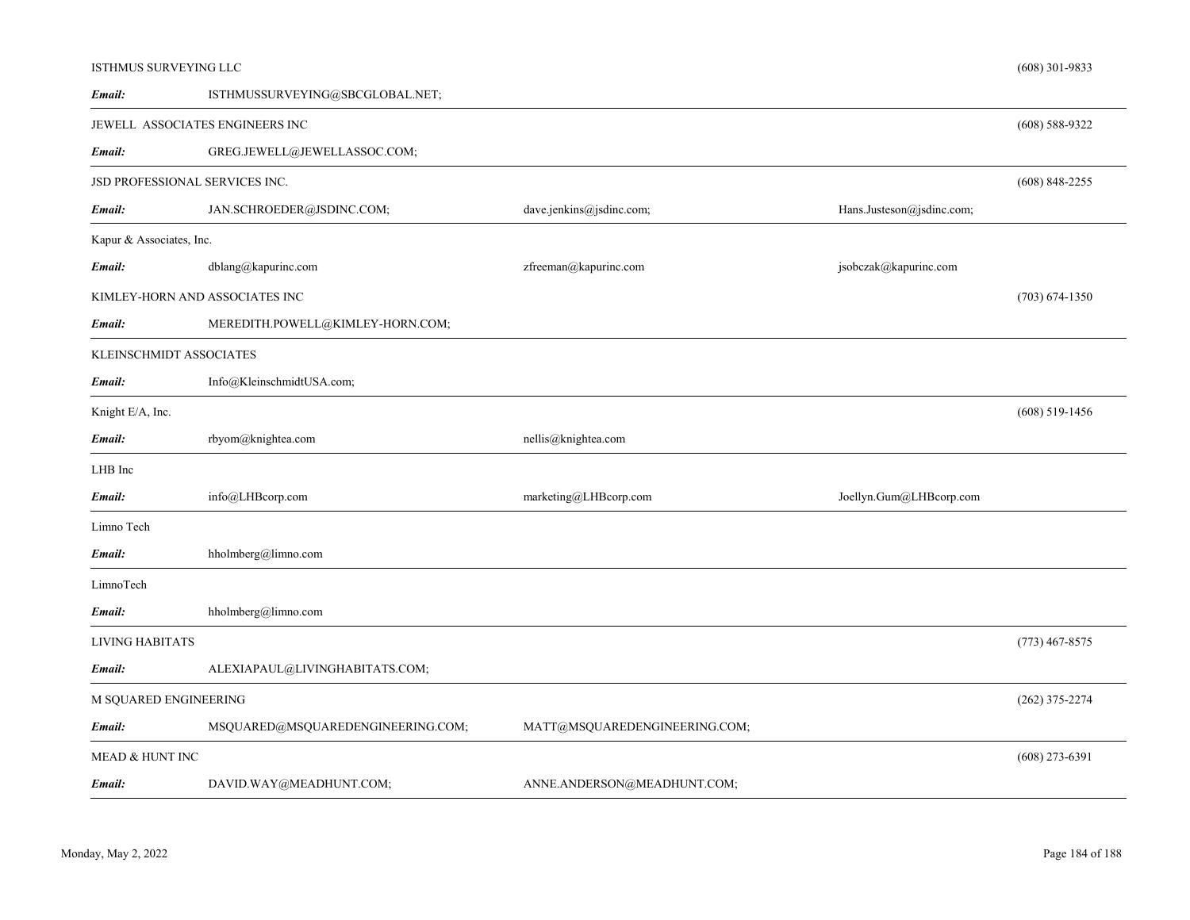#### ISTHMUS SURVEYING LLC

| Email:                         | ISTHMUSSURVEYING@SBCGLOBAL.NET;   |                               |                           |                    |
|--------------------------------|-----------------------------------|-------------------------------|---------------------------|--------------------|
|                                | JEWELL ASSOCIATES ENGINEERS INC   |                               |                           | $(608) 588 - 9322$ |
| Email:                         | GREG.JEWELL@JEWELLASSOC.COM;      |                               |                           |                    |
| JSD PROFESSIONAL SERVICES INC. |                                   |                               |                           | $(608)$ 848-2255   |
| Email:                         | JAN.SCHROEDER@JSDINC.COM;         | dave.jenkins@jsdinc.com;      | Hans.Justeson@jsdinc.com; |                    |
| Kapur & Associates, Inc.       |                                   |                               |                           |                    |
| Email:                         | dblang@kapurinc.com               | zfreeman@kapurinc.com         | jsobczak@kapurinc.com     |                    |
| KIMLEY-HORN AND ASSOCIATES INC |                                   |                               |                           | $(703) 674 - 1350$ |
| Email:                         | MEREDITH.POWELL@KIMLEY-HORN.COM;  |                               |                           |                    |
| KLEINSCHMIDT ASSOCIATES        |                                   |                               |                           |                    |
| Email:                         | Info@KleinschmidtUSA.com;         |                               |                           |                    |
| Knight E/A, Inc.               |                                   |                               |                           | $(608)$ 519-1456   |
| Email:                         | rbyom@knightea.com                | nellis@knightea.com           |                           |                    |
| LHB Inc                        |                                   |                               |                           |                    |
| Email:                         | info@LHBcorp.com                  | marketing@LHBcorp.com         | Joellyn.Gum@LHBcorp.com   |                    |
| Limno Tech                     |                                   |                               |                           |                    |
| Email:                         | hholmberg@limno.com               |                               |                           |                    |
| LimnoTech                      |                                   |                               |                           |                    |
| Email:                         | hholmberg@limno.com               |                               |                           |                    |
| <b>LIVING HABITATS</b>         |                                   |                               |                           | $(773)$ 467-8575   |
| Email:                         | ALEXIAPAUL@LIVINGHABITATS.COM;    |                               |                           |                    |
| M SQUARED ENGINEERING          |                                   |                               |                           | $(262)$ 375-2274   |
| Email:                         | MSQUARED@MSQUAREDENGINEERING.COM; | MATT@MSQUAREDENGINEERING.COM; |                           |                    |
| MEAD & HUNT INC                |                                   |                               |                           | $(608)$ 273-6391   |
| Email:                         | DAVID.WAY@MEADHUNT.COM;           | ANNE.ANDERSON@MEADHUNT.COM;   |                           |                    |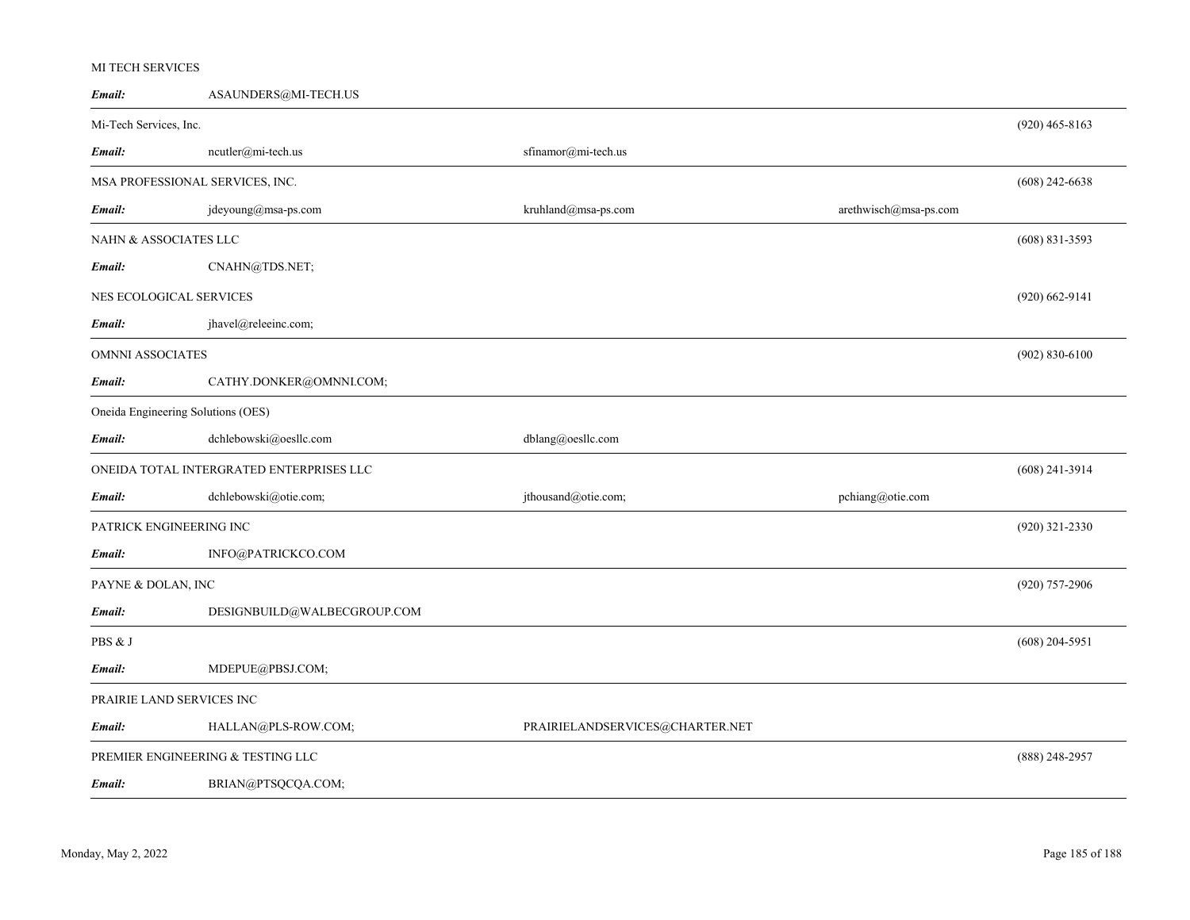### MI TECH SERVICES

| Email:                             | ASAUNDERS@MI-TECH.US                     |                                 |                       |                    |
|------------------------------------|------------------------------------------|---------------------------------|-----------------------|--------------------|
| Mi-Tech Services, Inc.             |                                          |                                 |                       | $(920)$ 465-8163   |
| Email:                             | ncutler@mi-tech.us                       | sfinamor@mi-tech.us             |                       |                    |
| MSA PROFESSIONAL SERVICES, INC.    |                                          |                                 |                       | $(608)$ 242-6638   |
| Email:                             | jdeyoung@msa-ps.com                      | $kruhland@msa\mbox{-}ps.com$    | arethwisch@msa-ps.com |                    |
| NAHN & ASSOCIATES LLC              |                                          |                                 |                       | $(608)$ 831-3593   |
| Email:                             | CNAHN@TDS.NET;                           |                                 |                       |                    |
| NES ECOLOGICAL SERVICES            |                                          |                                 |                       | $(920)$ 662-9141   |
| Email:                             | jhavel@releeinc.com;                     |                                 |                       |                    |
|                                    | OMNNI ASSOCIATES                         |                                 |                       | $(902) 830 - 6100$ |
| Email:                             | CATHY.DONKER@OMNNI.COM;                  |                                 |                       |                    |
| Oneida Engineering Solutions (OES) |                                          |                                 |                       |                    |
| Email:                             | dchlebowski@oesllc.com                   | dblang@oesllc.com               |                       |                    |
|                                    | ONEIDA TOTAL INTERGRATED ENTERPRISES LLC |                                 |                       | $(608)$ 241-3914   |
| Email:                             | dchlebowski@otie.com;                    | jthousand@otie.com;             | pchiang@otie.com      |                    |
| PATRICK ENGINEERING INC            |                                          |                                 |                       | (920) 321-2330     |
| Email:                             | INFO@PATRICKCO.COM                       |                                 |                       |                    |
| PAYNE & DOLAN, INC                 |                                          |                                 |                       | (920) 757-2906     |
| Email:                             | DESIGNBUILD@WALBECGROUP.COM              |                                 |                       |                    |
| PBS & J                            |                                          |                                 |                       | $(608)$ 204-5951   |
| Email:                             | MDEPUE@PBSJ.COM;                         |                                 |                       |                    |
| PRAIRIE LAND SERVICES INC          |                                          |                                 |                       |                    |
| Email:                             | HALLAN@PLS-ROW.COM;                      | PRAIRIELANDSERVICES@CHARTER.NET |                       |                    |
|                                    | PREMIER ENGINEERING & TESTING LLC        |                                 |                       | $(888)$ 248-2957   |
| Email:                             | BRIAN@PTSQCQA.COM;                       |                                 |                       |                    |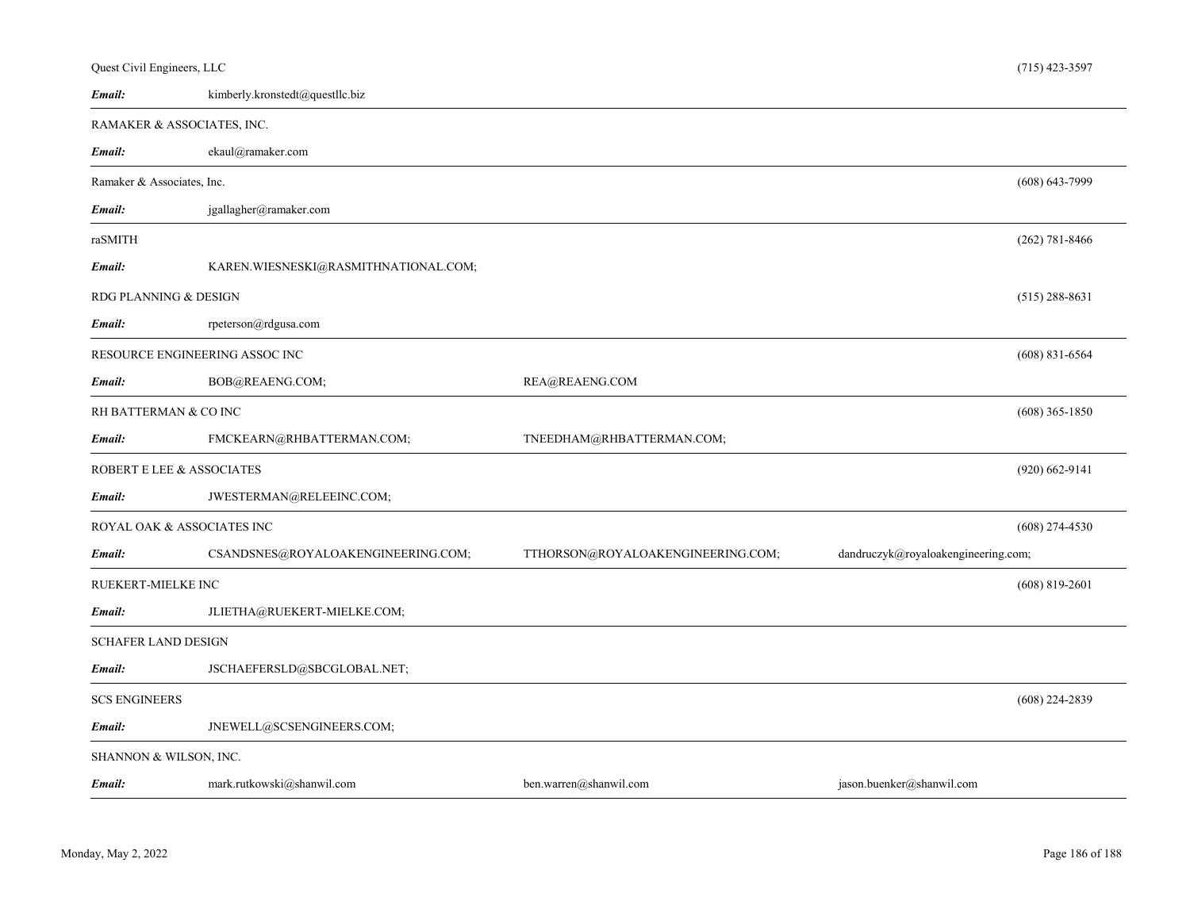| Quest Civil Engineers, LLC |                                      |                                   |                                     | $(715)$ 423-3597   |
|----------------------------|--------------------------------------|-----------------------------------|-------------------------------------|--------------------|
| Email:                     | kimberly.kronstedt@questllc.biz      |                                   |                                     |                    |
|                            | RAMAKER & ASSOCIATES, INC.           |                                   |                                     |                    |
| Email:                     | ekaul@ramaker.com                    |                                   |                                     |                    |
| Ramaker & Associates, Inc. |                                      |                                   |                                     | $(608) 643 - 7999$ |
| Email:                     | jgallagher@ramaker.com               |                                   |                                     |                    |
| raSMITH                    |                                      |                                   |                                     | $(262)$ 781-8466   |
| Email:                     | KAREN.WIESNESKI@RASMITHNATIONAL.COM; |                                   |                                     |                    |
| RDG PLANNING & DESIGN      |                                      |                                   |                                     | $(515)$ 288-8631   |
| Email:                     | rpeterson@rdgusa.com                 |                                   |                                     |                    |
|                            | RESOURCE ENGINEERING ASSOC INC       |                                   |                                     | $(608)$ 831-6564   |
| Email:                     | BOB@REAENG.COM;                      | REA@REAENG.COM                    |                                     |                    |
| RH BATTERMAN & CO INC      |                                      |                                   |                                     | $(608)$ 365-1850   |
| Email:                     | FMCKEARN@RHBATTERMAN.COM;            | TNEEDHAM@RHBATTERMAN.COM;         |                                     |                    |
| ROBERT E LEE & ASSOCIATES  |                                      |                                   |                                     | $(920)$ 662-9141   |
| Email:                     | JWESTERMAN@RELEEINC.COM;             |                                   |                                     |                    |
|                            | ROYAL OAK & ASSOCIATES INC           |                                   |                                     | $(608)$ 274-4530   |
| Email:                     | CSANDSNES@ROYALOAKENGINEERING.COM;   | TTHORSON@ROYALOAKENGINEERING.COM; | dandruczyk@royaloakengineering.com; |                    |
| <b>RUEKERT-MIELKE INC</b>  |                                      |                                   |                                     | $(608)$ 819-2601   |
| Email:                     | JLIETHA@RUEKERT-MIELKE.COM;          |                                   |                                     |                    |
| <b>SCHAFER LAND DESIGN</b> |                                      |                                   |                                     |                    |
| Email:                     | JSCHAEFERSLD@SBCGLOBAL.NET;          |                                   |                                     |                    |
| <b>SCS ENGINEERS</b>       |                                      |                                   |                                     | $(608)$ 224-2839   |
| Email:                     | JNEWELL@SCSENGINEERS.COM;            |                                   |                                     |                    |
| SHANNON & WILSON, INC.     |                                      |                                   |                                     |                    |
| Email:                     | mark.rutkowski@shanwil.com           | ben.warren@shanwil.com            | jason.buenker@shanwil.com           |                    |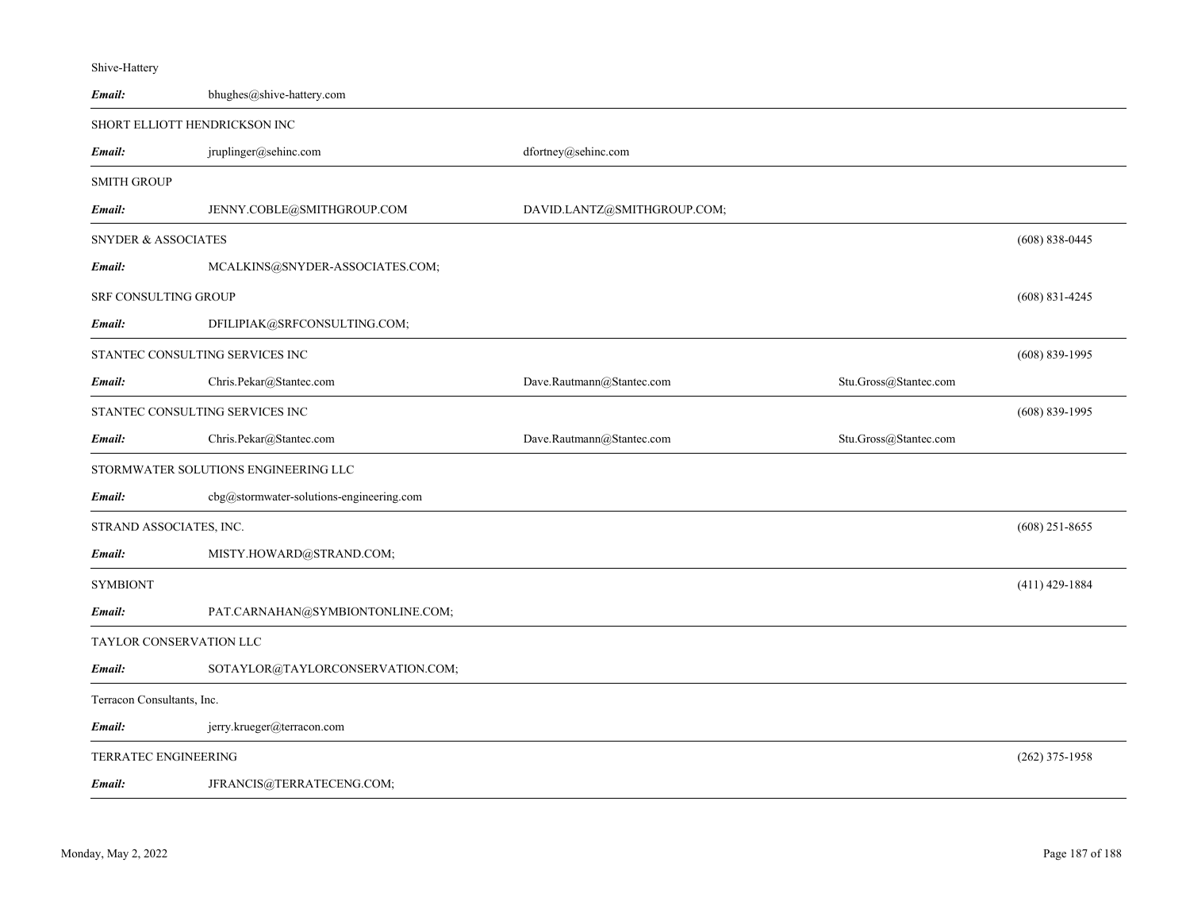| Email:                          | bhughes@shive-hattery.com                |                             |                       |                    |
|---------------------------------|------------------------------------------|-----------------------------|-----------------------|--------------------|
| SHORT ELLIOTT HENDRICKSON INC   |                                          |                             |                       |                    |
| Email:                          | jruplinger@sehinc.com                    | dfortney@sehinc.com         |                       |                    |
| <b>SMITH GROUP</b>              |                                          |                             |                       |                    |
| Email:                          | JENNY.COBLE@SMITHGROUP.COM               | DAVID.LANTZ@SMITHGROUP.COM; |                       |                    |
| <b>SNYDER &amp; ASSOCIATES</b>  |                                          |                             |                       | $(608) 838 - 0445$ |
| Email:                          | MCALKINS@SNYDER-ASSOCIATES.COM;          |                             |                       |                    |
| SRF CONSULTING GROUP            |                                          |                             |                       | $(608) 831 - 4245$ |
| Email:                          | DFILIPIAK@SRFCONSULTING.COM;             |                             |                       |                    |
| STANTEC CONSULTING SERVICES INC |                                          |                             |                       | $(608) 839 - 1995$ |
| Email:                          | Chris.Pekar@Stantec.com                  | Dave.Rautmann@Stantec.com   | Stu.Gross@Stantec.com |                    |
| STANTEC CONSULTING SERVICES INC |                                          |                             |                       | $(608) 839 - 1995$ |
| Email:                          | Chris.Pekar@Stantec.com                  | Dave.Rautmann@Stantec.com   | Stu.Gross@Stantec.com |                    |
|                                 | STORMWATER SOLUTIONS ENGINEERING LLC     |                             |                       |                    |
| Email:                          | cbg@stormwater-solutions-engineering.com |                             |                       |                    |
| STRAND ASSOCIATES, INC.         |                                          |                             |                       | $(608)$ 251-8655   |
| Email:                          | MISTY.HOWARD@STRAND.COM;                 |                             |                       |                    |
| <b>SYMBIONT</b>                 |                                          |                             |                       | $(411)$ 429-1884   |
| Email:                          | PAT.CARNAHAN@SYMBIONTONLINE.COM;         |                             |                       |                    |
| TAYLOR CONSERVATION LLC         |                                          |                             |                       |                    |
| Email:                          | SOTAYLOR@TAYLORCONSERVATION.COM;         |                             |                       |                    |
| Terracon Consultants, Inc.      |                                          |                             |                       |                    |
| Email:                          | jerry.krueger@terracon.com               |                             |                       |                    |
| <b>TERRATEC ENGINEERING</b>     |                                          |                             |                       | $(262)$ 375-1958   |

JFRANCIS@TERRATECENG.COM; *Email:*

Shive-Hattery